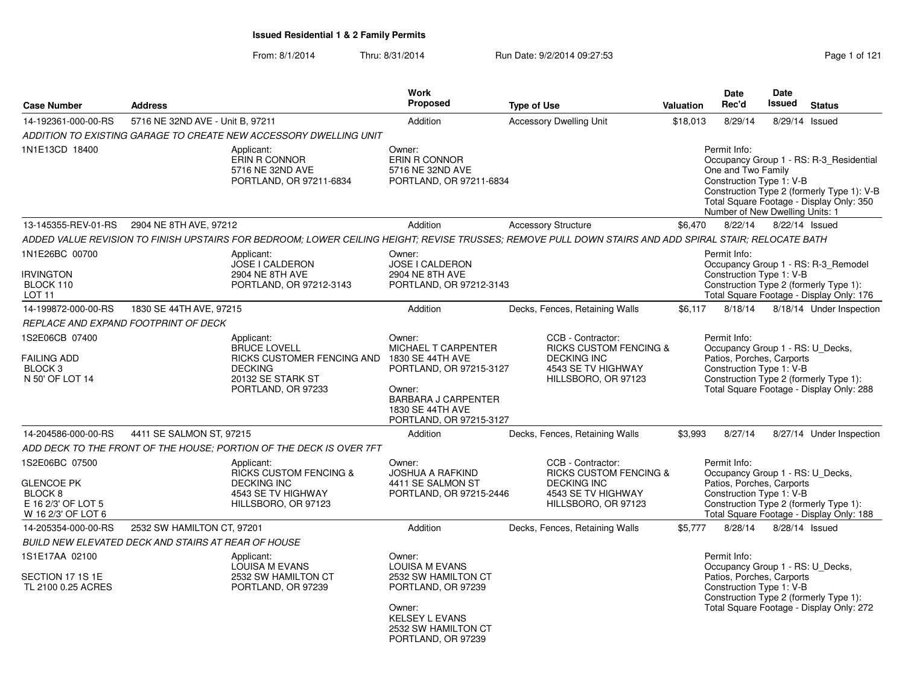| <b>Case Number</b>                                                                         | <b>Address</b>                                                                                                        |                                                                                                                                                        | <b>Work</b><br>Proposed                                                                                                                                             | <b>Type of Use</b>                                                                                                        | <b>Valuation</b>                                                                                                                                                                                | <b>Date</b><br>Rec'd                                                                                                                                                                            | Date<br>Issued | <b>Status</b>                                                                                                                     |
|--------------------------------------------------------------------------------------------|-----------------------------------------------------------------------------------------------------------------------|--------------------------------------------------------------------------------------------------------------------------------------------------------|---------------------------------------------------------------------------------------------------------------------------------------------------------------------|---------------------------------------------------------------------------------------------------------------------------|-------------------------------------------------------------------------------------------------------------------------------------------------------------------------------------------------|-------------------------------------------------------------------------------------------------------------------------------------------------------------------------------------------------|----------------|-----------------------------------------------------------------------------------------------------------------------------------|
| 14-192361-000-00-RS                                                                        | 5716 NE 32ND AVE - Unit B, 97211                                                                                      |                                                                                                                                                        | Addition                                                                                                                                                            | <b>Accessory Dwelling Unit</b>                                                                                            | \$18,013                                                                                                                                                                                        | 8/29/14                                                                                                                                                                                         |                | 8/29/14 Issued                                                                                                                    |
|                                                                                            |                                                                                                                       | ADDITION TO EXISTING GARAGE TO CREATE NEW ACCESSORY DWELLING UNIT                                                                                      |                                                                                                                                                                     |                                                                                                                           |                                                                                                                                                                                                 |                                                                                                                                                                                                 |                |                                                                                                                                   |
| 1N1E13CD 18400                                                                             |                                                                                                                       | Applicant:<br>ERIN R CONNOR<br>5716 NE 32ND AVE<br>PORTLAND, OR 97211-6834                                                                             | Owner:<br>ERIN R CONNOR<br>5716 NE 32ND AVE<br>PORTLAND, OR 97211-6834                                                                                              |                                                                                                                           |                                                                                                                                                                                                 | Permit Info:<br>One and Two Family<br>Construction Type 1: V-B<br>Number of New Dwelling Units: 1                                                                                               |                | Occupancy Group 1 - RS: R-3_Residential<br>Construction Type 2 (formerly Type 1): V-B<br>Total Square Footage - Display Only: 350 |
| 13-145355-REV-01-RS                                                                        | 2904 NE 8TH AVE, 97212                                                                                                |                                                                                                                                                        | Addition                                                                                                                                                            | <b>Accessory Structure</b>                                                                                                | \$6,470                                                                                                                                                                                         | 8/22/14                                                                                                                                                                                         |                | 8/22/14 Issued                                                                                                                    |
|                                                                                            |                                                                                                                       | ADDED VALUE REVISION TO FINISH UPSTAIRS FOR BEDROOM; LOWER CEILING HEIGHT; REVISE TRUSSES; REMOVE PULL DOWN STAIRS AND ADD SPIRAL STAIR; RELOCATE BATH |                                                                                                                                                                     |                                                                                                                           |                                                                                                                                                                                                 |                                                                                                                                                                                                 |                |                                                                                                                                   |
| 1N1E26BC 00700<br><b>IRVINGTON</b><br>BLOCK 110<br>LOT <sub>11</sub>                       |                                                                                                                       | Applicant:<br>JOSE I CALDERON<br>2904 NE 8TH AVE<br>PORTLAND, OR 97212-3143                                                                            | Owner:<br>JOSE I CALDERON<br>2904 NE 8TH AVE<br>PORTLAND, OR 97212-3143                                                                                             |                                                                                                                           |                                                                                                                                                                                                 | Permit Info:<br>Construction Type 1: V-B                                                                                                                                                        |                | Occupancy Group 1 - RS: R-3_Remodel<br>Construction Type 2 (formerly Type 1):<br>Total Square Footage - Display Only: 176         |
| 14-199872-000-00-RS                                                                        | 1830 SE 44TH AVE, 97215                                                                                               |                                                                                                                                                        | Addition                                                                                                                                                            | Decks, Fences, Retaining Walls                                                                                            | \$6,117                                                                                                                                                                                         | 8/18/14                                                                                                                                                                                         |                | 8/18/14 Under Inspection                                                                                                          |
|                                                                                            | REPLACE AND EXPAND FOOTPRINT OF DECK                                                                                  |                                                                                                                                                        |                                                                                                                                                                     |                                                                                                                           |                                                                                                                                                                                                 |                                                                                                                                                                                                 |                |                                                                                                                                   |
| 1S2E06CB 07400<br><b>FAILING ADD</b><br>BLOCK <sub>3</sub><br>N 50' OF LOT 14              | Applicant:<br>BRUCE LOVELL<br>RICKS CUSTOMER FENCING AND<br><b>DECKING</b><br>20132 SE STARK ST<br>PORTLAND, OR 97233 |                                                                                                                                                        | Owner:<br>MICHAEL T CARPENTER<br>1830 SE 44TH AVE<br>PORTLAND, OR 97215-3127<br>Owner:<br><b>BARBARA J CARPENTER</b><br>1830 SE 44TH AVE<br>PORTLAND, OR 97215-3127 | CCB - Contractor:<br><b>RICKS CUSTOM FENCING &amp;</b><br><b>DECKING INC</b><br>4543 SE TV HIGHWAY<br>HILLSBORO, OR 97123 |                                                                                                                                                                                                 | Permit Info:<br>Occupancy Group 1 - RS: U_Decks,<br>Patios, Porches, Carports<br>Construction Type 1: V-B<br>Construction Type 2 (formerly Type 1):<br>Total Square Footage - Display Only: 288 |                |                                                                                                                                   |
| 14-204586-000-00-RS                                                                        | 4411 SE SALMON ST, 97215                                                                                              |                                                                                                                                                        | Addition                                                                                                                                                            | Decks, Fences, Retaining Walls                                                                                            | \$3,993                                                                                                                                                                                         | 8/27/14                                                                                                                                                                                         |                | 8/27/14 Under Inspection                                                                                                          |
|                                                                                            |                                                                                                                       | ADD DECK TO THE FRONT OF THE HOUSE: PORTION OF THE DECK IS OVER 7FT                                                                                    |                                                                                                                                                                     |                                                                                                                           |                                                                                                                                                                                                 |                                                                                                                                                                                                 |                |                                                                                                                                   |
| 1S2E06BC 07500<br><b>GLENCOE PK</b><br>BLOCK 8<br>E 16 2/3' OF LOT 5<br>W 16 2/3' OF LOT 6 |                                                                                                                       | Applicant:<br><b>RICKS CUSTOM FENCING &amp;</b><br><b>DECKING INC</b><br>4543 SE TV HIGHWAY<br>HILLSBORO, OR 97123                                     | Owner:<br><b>JOSHUA A RAFKIND</b><br>4411 SE SALMON ST<br>PORTLAND, OR 97215-2446                                                                                   | CCB - Contractor:<br><b>RICKS CUSTOM FENCING &amp;</b><br><b>DECKING INC</b><br>4543 SE TV HIGHWAY<br>HILLSBORO, OR 97123 |                                                                                                                                                                                                 | Permit Info:<br>Occupancy Group 1 - RS: U_Decks,<br>Patios, Porches, Carports<br>Construction Type 1: V-B                                                                                       |                | Construction Type 2 (formerly Type 1):<br>Total Square Footage - Display Only: 188                                                |
| 14-205354-000-00-RS                                                                        | 2532 SW HAMILTON CT, 97201                                                                                            |                                                                                                                                                        | Addition                                                                                                                                                            | Decks, Fences, Retaining Walls                                                                                            | \$5,777                                                                                                                                                                                         | 8/28/14                                                                                                                                                                                         |                | 8/28/14 Issued                                                                                                                    |
|                                                                                            | BUILD NEW ELEVATED DECK AND STAIRS AT REAR OF HOUSE                                                                   |                                                                                                                                                        |                                                                                                                                                                     |                                                                                                                           |                                                                                                                                                                                                 |                                                                                                                                                                                                 |                |                                                                                                                                   |
| 1S1E17AA 02100<br>SECTION 17 1S 1E<br>TL 2100 0.25 ACRES                                   | Applicant:<br>LOUISA M EVANS<br>2532 SW HAMILTON CT<br>PORTLAND, OR 97239                                             |                                                                                                                                                        | Owner:<br><b>LOUISA M EVANS</b><br>2532 SW HAMILTON CT<br>PORTLAND, OR 97239<br>Owner:<br><b>KELSEY L EVANS</b><br>2532 SW HAMILTON CT<br>PORTLAND, OR 97239        |                                                                                                                           | Permit Info:<br>Occupancy Group 1 - RS: U_Decks,<br>Patios, Porches, Carports<br>Construction Type 1: V-B<br>Construction Type 2 (formerly Type 1):<br>Total Square Footage - Display Only: 272 |                                                                                                                                                                                                 |                |                                                                                                                                   |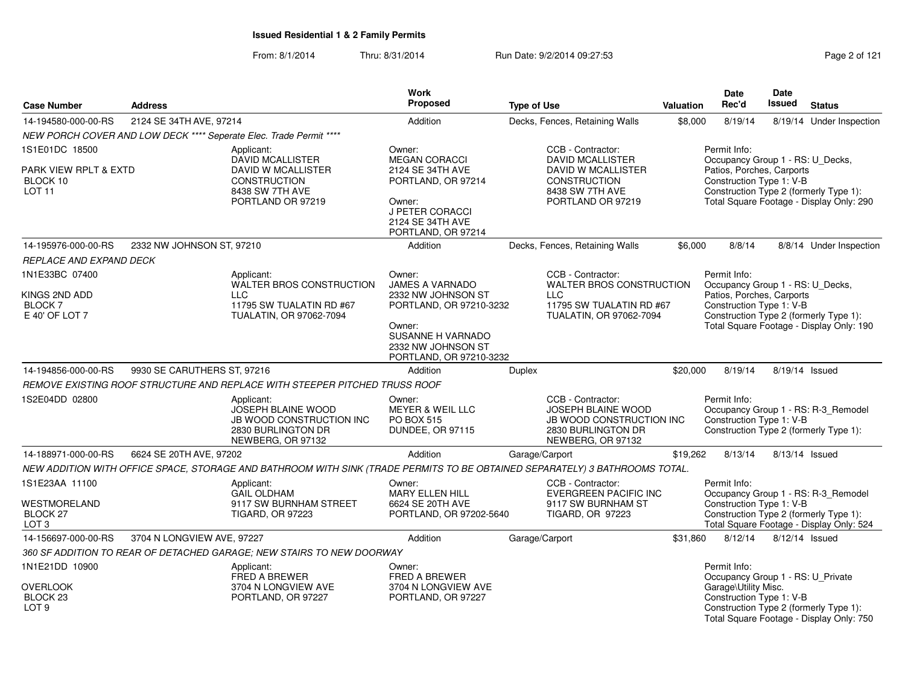| <b>Address</b><br><b>Case Number</b>                                         |                             |                                                                                                                             | <b>Work</b><br>Proposed                                                                                                                                           | <b>Type of Use</b> |                                                                                                                                   | Valuation | <b>Date</b><br>Rec'd                                                                                      | <b>Date</b><br>Issued                                                                                                                                                           | <b>Status</b>                                                                                                             |  |  |
|------------------------------------------------------------------------------|-----------------------------|-----------------------------------------------------------------------------------------------------------------------------|-------------------------------------------------------------------------------------------------------------------------------------------------------------------|--------------------|-----------------------------------------------------------------------------------------------------------------------------------|-----------|-----------------------------------------------------------------------------------------------------------|---------------------------------------------------------------------------------------------------------------------------------------------------------------------------------|---------------------------------------------------------------------------------------------------------------------------|--|--|
| 14-194580-000-00-RS                                                          | 2124 SE 34TH AVE, 97214     |                                                                                                                             | Addition                                                                                                                                                          |                    | Decks, Fences, Retaining Walls                                                                                                    | \$8,000   | 8/19/14                                                                                                   |                                                                                                                                                                                 | 8/19/14 Under Inspection                                                                                                  |  |  |
|                                                                              |                             | NEW PORCH COVER AND LOW DECK **** Seperate Elec. Trade Permit ****                                                          |                                                                                                                                                                   |                    |                                                                                                                                   |           |                                                                                                           |                                                                                                                                                                                 |                                                                                                                           |  |  |
| 1S1E01DC 18500<br>PARK VIEW RPLT & EXTD<br>BLOCK 10<br><b>LOT 11</b>         |                             | Applicant:<br><b>DAVID MCALLISTER</b><br>DAVID W MCALLISTER<br><b>CONSTRUCTION</b><br>8438 SW 7TH AVE<br>PORTLAND OR 97219  | Owner:<br><b>MEGAN CORACCI</b><br>2124 SE 34TH AVE<br>PORTLAND, OR 97214<br>Owner:<br>J PETER CORACCI<br>2124 SE 34TH AVE<br>PORTLAND, OR 97214                   |                    | CCB - Contractor:<br><b>DAVID MCALLISTER</b><br><b>DAVID W MCALLISTER</b><br>CONSTRUCTION<br>8438 SW 7TH AVE<br>PORTLAND OR 97219 |           | Permit Info:                                                                                              | Occupancy Group 1 - RS: U_Decks,<br>Patios, Porches, Carports<br>Construction Type 1: V-B<br>Construction Type 2 (formerly Type 1):<br>Total Square Footage - Display Only: 290 |                                                                                                                           |  |  |
| 14-195976-000-00-RS                                                          | 2332 NW JOHNSON ST, 97210   |                                                                                                                             | Addition                                                                                                                                                          |                    | Decks, Fences, Retaining Walls                                                                                                    | \$6,000   | 8/8/14                                                                                                    |                                                                                                                                                                                 | 8/8/14 Under Inspection                                                                                                   |  |  |
| REPLACE AND EXPAND DECK                                                      |                             |                                                                                                                             |                                                                                                                                                                   |                    |                                                                                                                                   |           |                                                                                                           |                                                                                                                                                                                 |                                                                                                                           |  |  |
| 1N1E33BC 07400<br>KINGS 2ND ADD<br><b>BLOCK7</b><br>E 40' OF LOT 7           |                             | Applicant:<br>WALTER BROS CONSTRUCTION<br>LLC.<br>11795 SW TUALATIN RD #67<br>TUALATIN, OR 97062-7094                       | Owner:<br><b>JAMES A VARNADO</b><br>2332 NW JOHNSON ST<br>PORTLAND, OR 97210-3232<br>Owner:<br>SUSANNE H VARNADO<br>2332 NW JOHNSON ST<br>PORTLAND, OR 97210-3232 |                    | CCB - Contractor:<br>WALTER BROS CONSTRUCTION<br><b>LLC</b><br>11795 SW TUALATIN RD #67<br>TUALATIN, OR 97062-7094                |           | Permit Info:<br>Occupancy Group 1 - RS: U_Decks,<br>Patios, Porches, Carports<br>Construction Type 1: V-B |                                                                                                                                                                                 | Construction Type 2 (formerly Type 1):<br>Total Square Footage - Display Only: 190                                        |  |  |
| 14-194856-000-00-RS                                                          | 9930 SE CARUTHERS ST, 97216 |                                                                                                                             | Addition                                                                                                                                                          | Duplex             |                                                                                                                                   | \$20,000  | 8/19/14                                                                                                   |                                                                                                                                                                                 | 8/19/14 Issued                                                                                                            |  |  |
|                                                                              |                             | REMOVE EXISTING ROOF STRUCTURE AND REPLACE WITH STEEPER PITCHED TRUSS ROOF                                                  |                                                                                                                                                                   |                    |                                                                                                                                   |           |                                                                                                           |                                                                                                                                                                                 |                                                                                                                           |  |  |
| 1S2E04DD 02800                                                               |                             | Applicant:<br>JOSEPH BLAINE WOOD<br>JB WOOD CONSTRUCTION INC<br>2830 BURLINGTON DR<br>NEWBERG, OR 97132                     | Owner:<br><b>MEYER &amp; WEIL LLC</b><br>PO BOX 515<br>DUNDEE, OR 97115                                                                                           |                    | CCB - Contractor:<br><b>JOSEPH BLAINE WOOD</b><br>JB WOOD CONSTRUCTION INC<br>2830 BURLINGTON DR<br>NEWBERG, OR 97132             |           | Permit Info:<br>Construction Type 1: V-B                                                                  |                                                                                                                                                                                 | Occupancy Group 1 - RS: R-3_Remodel<br>Construction Type 2 (formerly Type 1):                                             |  |  |
| 14-188971-000-00-RS                                                          | 6624 SE 20TH AVE, 97202     |                                                                                                                             | Addition                                                                                                                                                          | Garage/Carport     |                                                                                                                                   | \$19,262  | 8/13/14                                                                                                   |                                                                                                                                                                                 | 8/13/14 Issued                                                                                                            |  |  |
|                                                                              |                             | NEW ADDITION WITH OFFICE SPACE, STORAGE AND BATHROOM WITH SINK (TRADE PERMITS TO BE OBTAINED SEPARATELY) 3 BATHROOMS TOTAL. |                                                                                                                                                                   |                    |                                                                                                                                   |           |                                                                                                           |                                                                                                                                                                                 |                                                                                                                           |  |  |
| 1S1E23AA 11100<br>WESTMORELAND<br><b>BLOCK 27</b><br>LOT <sub>3</sub>        |                             | Applicant:<br><b>GAIL OLDHAM</b><br>9117 SW BURNHAM STREET<br><b>TIGARD, OR 97223</b>                                       | Owner:<br>MARY ELLEN HILL<br>6624 SE 20TH AVE<br>PORTLAND, OR 97202-5640                                                                                          |                    | CCB - Contractor:<br><b>EVERGREEN PACIFIC INC</b><br>9117 SW BURNHAM ST<br>TIGARD, OR 97223                                       |           | Permit Info:<br>Construction Type 1: V-B                                                                  |                                                                                                                                                                                 | Occupancy Group 1 - RS: R-3_Remodel<br>Construction Type 2 (formerly Type 1):<br>Total Square Footage - Display Only: 524 |  |  |
| 14-156697-000-00-RS                                                          | 3704 N LONGVIEW AVE, 97227  |                                                                                                                             | Addition                                                                                                                                                          | Garage/Carport     |                                                                                                                                   | \$31,860  | 8/12/14                                                                                                   |                                                                                                                                                                                 | $8/12/14$ Issued                                                                                                          |  |  |
|                                                                              |                             | 360 SF ADDITION TO REAR OF DETACHED GARAGE; NEW STAIRS TO NEW DOORWAY                                                       |                                                                                                                                                                   |                    |                                                                                                                                   |           |                                                                                                           |                                                                                                                                                                                 |                                                                                                                           |  |  |
| 1N1E21DD 10900<br><b>OVERLOOK</b><br>BLOCK <sub>23</sub><br>LOT <sub>9</sub> |                             | Applicant:<br>FRED A BREWER<br>3704 N LONGVIEW AVE<br>PORTLAND, OR 97227                                                    | Owner:<br>FRED A BREWER<br>3704 N LONGVIEW AVE<br>PORTLAND, OR 97227                                                                                              |                    |                                                                                                                                   |           | Permit Info:<br>Occupancy Group 1 - RS: U_Private<br>Garage\Utility Misc.<br>Construction Type 1: V-B     |                                                                                                                                                                                 | Construction Type 2 (formerly Type 1):<br>Total Square Footage - Display Only: 750                                        |  |  |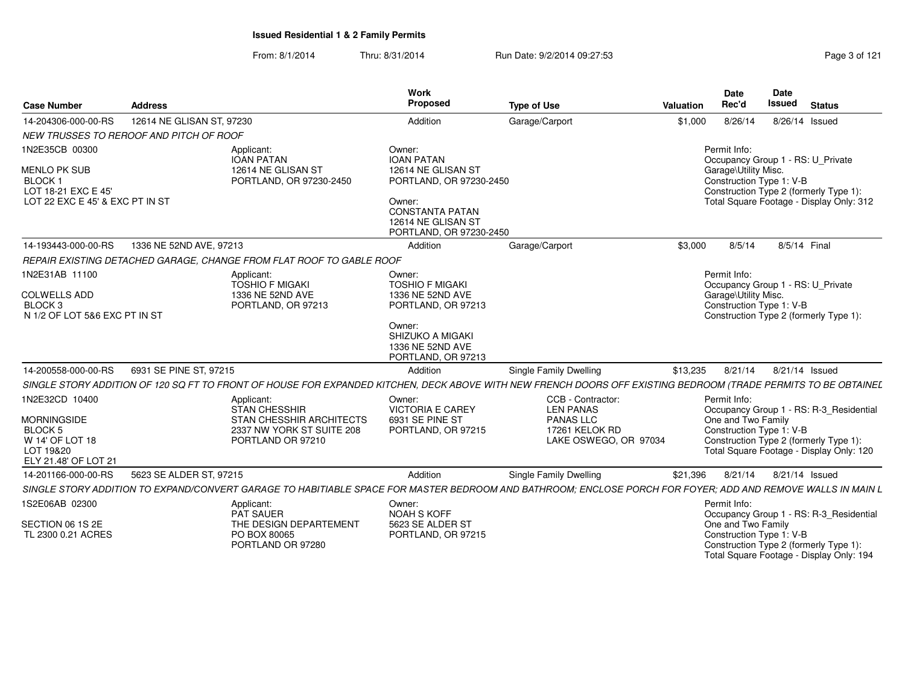| <b>Case Number</b>                                                                                             | Address                                                              |                                                                                                    | Work<br><b>Proposed</b>                                                                                                                                           | <b>Type of Use</b>                                                                                                                                             | Valuation | <b>Date</b><br>Rec'd                                                                                                                                                                            | <b>Date</b><br><b>Issued</b> | <b>Status</b>  |
|----------------------------------------------------------------------------------------------------------------|----------------------------------------------------------------------|----------------------------------------------------------------------------------------------------|-------------------------------------------------------------------------------------------------------------------------------------------------------------------|----------------------------------------------------------------------------------------------------------------------------------------------------------------|-----------|-------------------------------------------------------------------------------------------------------------------------------------------------------------------------------------------------|------------------------------|----------------|
| 14-204306-000-00-RS                                                                                            | 12614 NE GLISAN ST, 97230                                            |                                                                                                    | Addition                                                                                                                                                          | Garage/Carport                                                                                                                                                 | \$1,000   | 8/26/14                                                                                                                                                                                         |                              | 8/26/14 Issued |
|                                                                                                                | NEW TRUSSES TO REROOF AND PITCH OF ROOF                              |                                                                                                    |                                                                                                                                                                   |                                                                                                                                                                |           |                                                                                                                                                                                                 |                              |                |
| 1N2E35CB 00300<br>MENLO PK SUB<br><b>BLOCK1</b><br>LOT 18-21 EXC E 45'<br>LOT 22 EXC E 45' & EXC PT IN ST      | Applicant:<br><b>IOAN PATAN</b>                                      | 12614 NE GLISAN ST<br>PORTLAND, OR 97230-2450                                                      | Owner:<br><b>IOAN PATAN</b><br>12614 NE GLISAN ST<br>PORTLAND, OR 97230-2450<br>Owner:<br><b>CONSTANTA PATAN</b><br>12614 NE GLISAN ST<br>PORTLAND, OR 97230-2450 |                                                                                                                                                                |           | Permit Info:<br>Occupancy Group 1 - RS: U Private<br>Garage\Utility Misc.<br>Construction Type 1: V-B<br>Construction Type 2 (formerly Type 1):<br>Total Square Footage - Display Only: 312     |                              |                |
| 14-193443-000-00-RS                                                                                            | 1336 NE 52ND AVE, 97213                                              |                                                                                                    | Addition                                                                                                                                                          | Garage/Carport                                                                                                                                                 | \$3,000   | 8/5/14                                                                                                                                                                                          | 8/5/14 Final                 |                |
|                                                                                                                | REPAIR EXISTING DETACHED GARAGE, CHANGE FROM FLAT ROOF TO GABLE ROOF |                                                                                                    |                                                                                                                                                                   |                                                                                                                                                                |           |                                                                                                                                                                                                 |                              |                |
| 1N2E31AB 11100<br><b>COLWELLS ADD</b><br>BLOCK <sub>3</sub><br>N 1/2 OF LOT 5&6 EXC PT IN ST                   | Applicant:                                                           | <b>TOSHIO F MIGAKI</b><br>1336 NE 52ND AVE<br>PORTLAND, OR 97213                                   | Owner:<br><b>TOSHIO F MIGAKI</b><br>1336 NE 52ND AVE<br>PORTLAND, OR 97213<br>Owner:<br>SHIZUKO A MIGAKI<br>1336 NE 52ND AVE<br>PORTLAND, OR 97213                |                                                                                                                                                                |           | Permit Info:<br>Occupancy Group 1 - RS: U_Private<br>Garage\Utility Misc.<br>Construction Type 1: V-B<br>Construction Type 2 (formerly Type 1):                                                 |                              |                |
| 14-200558-000-00-RS                                                                                            | 6931 SE PINE ST, 97215                                               |                                                                                                    | Addition                                                                                                                                                          | <b>Single Family Dwelling</b>                                                                                                                                  | \$13,235  | 8/21/14                                                                                                                                                                                         |                              | 8/21/14 Issued |
|                                                                                                                |                                                                      |                                                                                                    |                                                                                                                                                                   | SINGLE STORY ADDITION OF 120 SQ FT TO FRONT OF HOUSE FOR EXPANDED KITCHEN, DECK ABOVE WITH NEW FRENCH DOORS OFF EXISTING BEDROOM (TRADE PERMITS TO BE OBTAINEL |           |                                                                                                                                                                                                 |                              |                |
| 1N2E32CD 10400<br><b>MORNINGSIDE</b><br><b>BLOCK 5</b><br>W 14' OF LOT 18<br>LOT 19&20<br>ELY 21.48' OF LOT 21 | Applicant:                                                           | <b>STAN CHESSHIR</b><br>STAN CHESSHIR ARCHITECTS<br>2337 NW YORK ST SUITE 208<br>PORTLAND OR 97210 | Owner:<br><b>VICTORIA E CAREY</b><br>6931 SE PINE ST<br>PORTLAND, OR 97215                                                                                        | CCB - Contractor:<br><b>LEN PANAS</b><br><b>PANAS LLC</b><br>17261 KELOK RD<br>LAKE OSWEGO, OR 97034                                                           |           | Permit Info:<br>Occupancy Group 1 - RS: R-3_Residential<br>One and Two Family<br>Construction Type 1: V-B<br>Construction Type 2 (formerly Type 1):<br>Total Square Footage - Display Only: 120 |                              |                |
| 14-201166-000-00-RS                                                                                            | 5623 SE ALDER ST. 97215                                              |                                                                                                    | Addition                                                                                                                                                          | <b>Single Family Dwelling</b>                                                                                                                                  | \$21,396  | 8/21/14                                                                                                                                                                                         |                              | 8/21/14 Issued |
|                                                                                                                |                                                                      |                                                                                                    |                                                                                                                                                                   | SINGLE STORY ADDITION TO EXPAND/CONVERT GARAGE TO HABITIABLE SPACE FOR MASTER BEDROOM AND BATHROOM: ENCLOSE PORCH FOR FOYER: ADD AND REMOVE WALLS IN MAIN L    |           |                                                                                                                                                                                                 |                              |                |
| 1S2E06AB 02300<br>SECTION 06 1S 2E<br>TL 2300 0.21 ACRES                                                       | Applicant:<br><b>PAT SAUER</b><br>PO BOX 80065                       | THE DESIGN DEPARTEMENT<br>PORTLAND OR 97280                                                        | Owner:<br><b>NOAH S KOFF</b><br>5623 SE ALDER ST<br>PORTLAND, OR 97215                                                                                            |                                                                                                                                                                |           | Permit Info:<br>Occupancy Group 1 - RS: R-3_Residential<br>One and Two Family<br>Construction Type 1: V-B<br>Construction Type 2 (formerly Type 1):<br>Total Square Footage - Display Only: 194 |                              |                |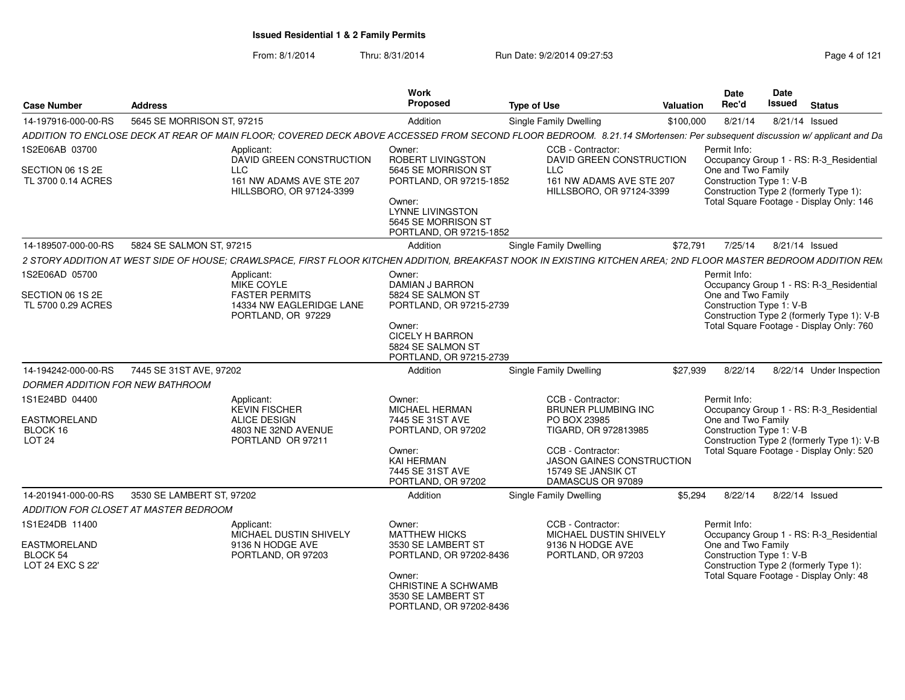| <b>Case Number</b>                                       | <b>Address</b>                                                                                                                                                           | Work<br>Proposed                                                                                                                                              | <b>Type of Use</b>                                                                        | Date<br>Rec'd<br><b>Valuation</b> | Date<br><b>Issued</b>                          | <b>Status</b>                                                                                                                     |
|----------------------------------------------------------|--------------------------------------------------------------------------------------------------------------------------------------------------------------------------|---------------------------------------------------------------------------------------------------------------------------------------------------------------|-------------------------------------------------------------------------------------------|-----------------------------------|------------------------------------------------|-----------------------------------------------------------------------------------------------------------------------------------|
| 14-197916-000-00-RS                                      | 5645 SE MORRISON ST, 97215                                                                                                                                               | Addition                                                                                                                                                      | <b>Single Family Dwelling</b>                                                             | \$100,000                         | 8/21/14                                        | 8/21/14 Issued                                                                                                                    |
|                                                          | ADDITION TO ENCLOSE DECK AT REAR OF MAIN FLOOR; COVERED DECK ABOVE ACCESSED FROM SECOND FLOOR BEDROOM. 8.21.14 SMortensen: Per subsequent discussion w/ applicant and Da |                                                                                                                                                               |                                                                                           |                                   |                                                |                                                                                                                                   |
| 1S2E06AB 03700                                           | Applicant:<br>DAVID GREEN CONSTRUCTION                                                                                                                                   | Owner:<br>ROBERT LIVINGSTON                                                                                                                                   | CCB - Contractor:<br>DAVID GREEN CONSTRUCTION                                             | Permit Info:                      |                                                | Occupancy Group 1 - RS: R-3_Residential                                                                                           |
| SECTION 06 1S 2E<br>TL 3700 0.14 ACRES                   | <b>LLC</b><br>161 NW ADAMS AVE STE 207<br>HILLSBORO, OR 97124-3399                                                                                                       | 5645 SE MORRISON ST<br>PORTLAND, OR 97215-1852<br>Owner:<br><b>LYNNE LIVINGSTON</b><br>5645 SE MORRISON ST<br>PORTLAND, OR 97215-1852                         | <b>LLC</b><br>161 NW ADAMS AVE STE 207<br>HILLSBORO, OR 97124-3399                        |                                   | One and Two Family<br>Construction Type 1: V-B | Construction Type 2 (formerly Type 1):<br>Total Square Footage - Display Only: 146                                                |
| 14-189507-000-00-RS                                      | 5824 SE SALMON ST, 97215                                                                                                                                                 | Addition                                                                                                                                                      | Single Family Dwelling                                                                    | \$72,791                          | 7/25/14 8/21/14 Issued                         |                                                                                                                                   |
|                                                          | 2 STORY ADDITION AT WEST SIDE OF HOUSE; CRAWLSPACE, FIRST FLOOR KITCHEN ADDITION, BREAKFAST NOOK IN EXISTING KITCHEN AREA; 2ND FLOOR MASTER BEDROOM ADDITION REM         |                                                                                                                                                               |                                                                                           |                                   |                                                |                                                                                                                                   |
|                                                          |                                                                                                                                                                          |                                                                                                                                                               |                                                                                           |                                   |                                                |                                                                                                                                   |
| 1S2E06AD 05700<br>SECTION 06 1S 2E<br>TL 5700 0.29 ACRES | Applicant:<br>MIKE COYLE<br><b>FASTER PERMITS</b><br>14334 NW EAGLERIDGE LANE<br>PORTLAND, OR 97229                                                                      | Owner:<br>DAMIAN J BARRON<br>5824 SE SALMON ST<br>PORTLAND, OR 97215-2739<br>Owner:<br><b>CICELY H BARRON</b><br>5824 SE SALMON ST<br>PORTLAND, OR 97215-2739 |                                                                                           | Permit Info:                      | One and Two Family<br>Construction Type 1: V-B | Occupancy Group 1 - RS: R-3_Residential<br>Construction Type 2 (formerly Type 1): V-B<br>Total Square Footage - Display Only: 760 |
| 14-194242-000-00-RS                                      | 7445 SE 31ST AVE, 97202                                                                                                                                                  | Addition                                                                                                                                                      | Single Family Dwelling                                                                    | \$27,939                          | 8/22/14                                        | 8/22/14 Under Inspection                                                                                                          |
| DORMER ADDITION FOR NEW BATHROOM                         |                                                                                                                                                                          |                                                                                                                                                               |                                                                                           |                                   |                                                |                                                                                                                                   |
| 1S1E24BD 04400                                           | Applicant:                                                                                                                                                               | Owner:                                                                                                                                                        | CCB - Contractor:                                                                         | Permit Info:                      |                                                |                                                                                                                                   |
|                                                          | KEVIN FISCHER                                                                                                                                                            | MICHAEL HERMAN                                                                                                                                                | <b>BRUNER PLUMBING INC</b>                                                                |                                   |                                                | Occupancy Group 1 - RS: R-3_Residential                                                                                           |
| EASTMORELAND                                             | ALICE DESIGN                                                                                                                                                             | 7445 SE 31ST AVE                                                                                                                                              | PO BOX 23985                                                                              |                                   | One and Two Family                             |                                                                                                                                   |
| BLOCK 16<br><b>LOT 24</b>                                | 4803 NE 32ND AVENUE<br>PORTLAND OR 97211                                                                                                                                 | PORTLAND, OR 97202                                                                                                                                            | TIGARD, OR 972813985                                                                      |                                   | Construction Type 1: V-B                       | Construction Type 2 (formerly Type 1): V-B                                                                                        |
|                                                          |                                                                                                                                                                          | Owner:<br>KAI HERMAN<br>7445 SE 31ST AVE<br>PORTLAND, OR 97202                                                                                                | CCB - Contractor:<br>JASON GAINES CONSTRUCTION<br>15749 SE JANSIK CT<br>DAMASCUS OR 97089 |                                   |                                                | Total Square Footage - Display Only: 520                                                                                          |
| 14-201941-000-00-RS                                      | 3530 SE LAMBERT ST, 97202                                                                                                                                                | Addition                                                                                                                                                      | Single Family Dwelling                                                                    | \$5,294                           | 8/22/14                                        | 8/22/14 Issued                                                                                                                    |
|                                                          | ADDITION FOR CLOSET AT MASTER BEDROOM                                                                                                                                    |                                                                                                                                                               |                                                                                           |                                   |                                                |                                                                                                                                   |
| 1S1E24DB 11400                                           | Applicant:                                                                                                                                                               | Owner:                                                                                                                                                        | CCB - Contractor:                                                                         | Permit Info:                      |                                                |                                                                                                                                   |
|                                                          | MICHAEL DUSTIN SHIVELY                                                                                                                                                   | <b>MATTHEW HICKS</b>                                                                                                                                          | MICHAEL DUSTIN SHIVELY                                                                    |                                   |                                                | Occupancy Group 1 - RS: R-3_Residential                                                                                           |
| EASTMORELAND<br>BLOCK 54<br>LOT 24 EXC S 22'             | 9136 N HODGE AVE<br>PORTLAND, OR 97203                                                                                                                                   | 3530 SE LAMBERT ST<br>PORTLAND, OR 97202-8436                                                                                                                 | 9136 N HODGE AVE<br>PORTLAND, OR 97203                                                    |                                   | One and Two Family<br>Construction Type 1: V-B | Construction Type 2 (formerly Type 1)                                                                                             |
|                                                          |                                                                                                                                                                          | Owner:<br>CHRISTINE A SCHWAMB<br>3530 SE LAMBERT ST<br>PORTLAND, OR 97202-8436                                                                                |                                                                                           |                                   |                                                | Total Square Footage - Display Only: 48                                                                                           |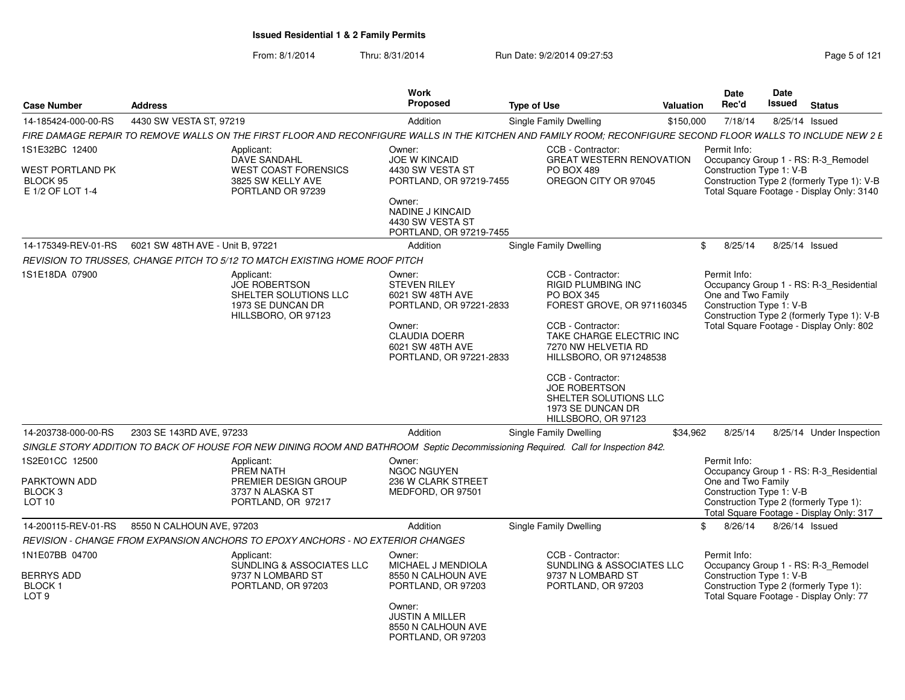| <b>Case Number</b>                                                       | <b>Address</b>                                                                  |                                                                                    | Work<br>Proposed                                                                                                                                              | <b>Type of Use</b>                                                                                                                                                                                                        | Valuation     | <b>Date</b><br>Rec'd                                           | <b>Date</b><br><b>Issued</b> | <b>Status</b>                                                                                                                     |
|--------------------------------------------------------------------------|---------------------------------------------------------------------------------|------------------------------------------------------------------------------------|---------------------------------------------------------------------------------------------------------------------------------------------------------------|---------------------------------------------------------------------------------------------------------------------------------------------------------------------------------------------------------------------------|---------------|----------------------------------------------------------------|------------------------------|-----------------------------------------------------------------------------------------------------------------------------------|
| 14-185424-000-00-RS                                                      | 4430 SW VESTA ST, 97219                                                         |                                                                                    | Addition                                                                                                                                                      | Single Family Dwelling                                                                                                                                                                                                    | \$150,000     | 7/18/14                                                        | 8/25/14 Issued               |                                                                                                                                   |
|                                                                          |                                                                                 |                                                                                    |                                                                                                                                                               | FIRE DAMAGE REPAIR TO REMOVE WALLS ON THE FIRST FLOOR AND RECONFIGURE WALLS IN THE KITCHEN AND FAMILY ROOM: RECONFIGURE SECOND FLOOR WALLS TO INCLUDE NEW 2 E                                                             |               |                                                                |                              |                                                                                                                                   |
| 1S1E32BC 12400                                                           | Applicant:                                                                      | DAVE SANDAHL                                                                       | Owner:<br>JOE W KINCAID                                                                                                                                       | CCB - Contractor:<br><b>GREAT WESTERN RENOVATION</b>                                                                                                                                                                      |               | Permit Info:                                                   |                              | Occupancy Group 1 - RS: R-3 Remodel                                                                                               |
| <b>WEST PORTLAND PK</b><br>BLOCK 95<br>E 1/2 OF LOT 1-4                  |                                                                                 | <b>WEST COAST FORENSICS</b><br>3825 SW KELLY AVE<br>PORTLAND OR 97239              | 4430 SW VESTA ST<br>PORTLAND, OR 97219-7455<br>Owner:                                                                                                         | <b>PO BOX 489</b><br>OREGON CITY OR 97045                                                                                                                                                                                 |               | Construction Type 1: V-B                                       |                              | Construction Type 2 (formerly Type 1): V-B<br>Total Square Footage - Display Only: 3140                                           |
|                                                                          |                                                                                 |                                                                                    | NADINE J KINCAID<br>4430 SW VESTA ST<br>PORTLAND, OR 97219-7455                                                                                               |                                                                                                                                                                                                                           |               |                                                                |                              |                                                                                                                                   |
|                                                                          | 14-175349-REV-01-RS   6021 SW 48TH AVE - Unit B, 97221                          |                                                                                    | Addition                                                                                                                                                      | <b>Single Family Dwelling</b>                                                                                                                                                                                             |               | \$8/25/14                                                      | 8/25/14 Issued               |                                                                                                                                   |
|                                                                          | REVISION TO TRUSSES, CHANGE PITCH TO 5/12 TO MATCH EXISTING HOME ROOF PITCH     |                                                                                    |                                                                                                                                                               |                                                                                                                                                                                                                           |               |                                                                |                              |                                                                                                                                   |
| 1S1E18DA 07900                                                           | Applicant:                                                                      | JOE ROBERTSON<br>SHELTER SOLUTIONS LLC<br>1973 SE DUNCAN DR<br>HILLSBORO, OR 97123 | Owner:<br><b>STEVEN RILEY</b><br>6021 SW 48TH AVE<br>PORTLAND, OR 97221-2833<br>Owner:<br><b>CLAUDIA DOERR</b><br>6021 SW 48TH AVE<br>PORTLAND, OR 97221-2833 | CCB - Contractor:<br><b>RIGID PLUMBING INC</b><br><b>PO BOX 345</b><br>FOREST GROVE, OR 971160345<br>CCB - Contractor:<br>TAKE CHARGE ELECTRIC INC<br>7270 NW HELVETIA RD<br>HILLSBORO, OR 971248538<br>CCB - Contractor: |               | Permit Info:<br>One and Two Family<br>Construction Type 1: V-B |                              | Occupancy Group 1 - RS: R-3_Residential<br>Construction Type 2 (formerly Type 1): V-B<br>Total Square Footage - Display Only: 802 |
| 14-203738-000-00-RS                                                      | 2303 SE 143RD AVE, 97233                                                        |                                                                                    | Addition                                                                                                                                                      | JOE ROBERTSON<br>SHELTER SOLUTIONS LLC<br>1973 SE DUNCAN DR<br>HILLSBORO, OR 97123<br><b>Single Family Dwelling</b>                                                                                                       | \$34,962      |                                                                |                              | 8/25/14  8/25/14  Under Inspection                                                                                                |
|                                                                          |                                                                                 |                                                                                    |                                                                                                                                                               | SINGLE STORY ADDITION TO BACK OF HOUSE FOR NEW DINING ROOM AND BATHROOM Septic Decommissioning Required. Call for Inspection 842.                                                                                         |               |                                                                |                              |                                                                                                                                   |
| 1S2E01CC 12500<br>PARKTOWN ADD<br>BLOCK <sub>3</sub><br><b>LOT 10</b>    | Applicant:<br>PREM NATH                                                         | PREMIER DESIGN GROUP<br>3737 N ALASKA ST<br>PORTLAND, OR 97217                     | Owner:<br><b>NGOC NGUYEN</b><br>236 W CLARK STREET<br>MEDFORD, OR 97501                                                                                       |                                                                                                                                                                                                                           |               | Permit Info:<br>One and Two Family<br>Construction Type 1: V-B |                              | Occupancy Group 1 - RS: R-3 Residential<br>Construction Type 2 (formerly Type 1):<br>Total Square Footage - Display Only: 317     |
| 14-200115-REV-01-RS                                                      | 8550 N CALHOUN AVE, 97203                                                       |                                                                                    | Addition                                                                                                                                                      | <b>Single Family Dwelling</b>                                                                                                                                                                                             | $\mathcal{S}$ |                                                                | 8/26/14 8/26/14 Issued       |                                                                                                                                   |
|                                                                          | REVISION - CHANGE FROM EXPANSION ANCHORS TO EPOXY ANCHORS - NO EXTERIOR CHANGES |                                                                                    |                                                                                                                                                               |                                                                                                                                                                                                                           |               |                                                                |                              |                                                                                                                                   |
| 1N1E07BB 04700<br><b>BERRYS ADD</b><br><b>BLOCK1</b><br>LOT <sub>9</sub> | Applicant:                                                                      | SUNDLING & ASSOCIATES LLC<br>9737 N LOMBARD ST<br>PORTLAND, OR 97203               | Owner:<br>MICHAEL J MENDIOLA<br>8550 N CALHOUN AVE<br>PORTLAND, OR 97203                                                                                      | CCB - Contractor:<br>SUNDLING & ASSOCIATES LLC<br>9737 N LOMBARD ST<br>PORTLAND, OR 97203                                                                                                                                 |               | Permit Info:<br>Construction Type 1: V-B                       |                              | Occupancy Group 1 - RS: R-3 Remodel<br>Construction Type 2 (formerly Type 1):<br>Total Square Footage - Display Only: 77          |
|                                                                          |                                                                                 |                                                                                    | Owner:<br><b>JUSTIN A MILLER</b><br>8550 N CALHOUN AVE<br>PORTLAND, OR 97203                                                                                  |                                                                                                                                                                                                                           |               |                                                                |                              |                                                                                                                                   |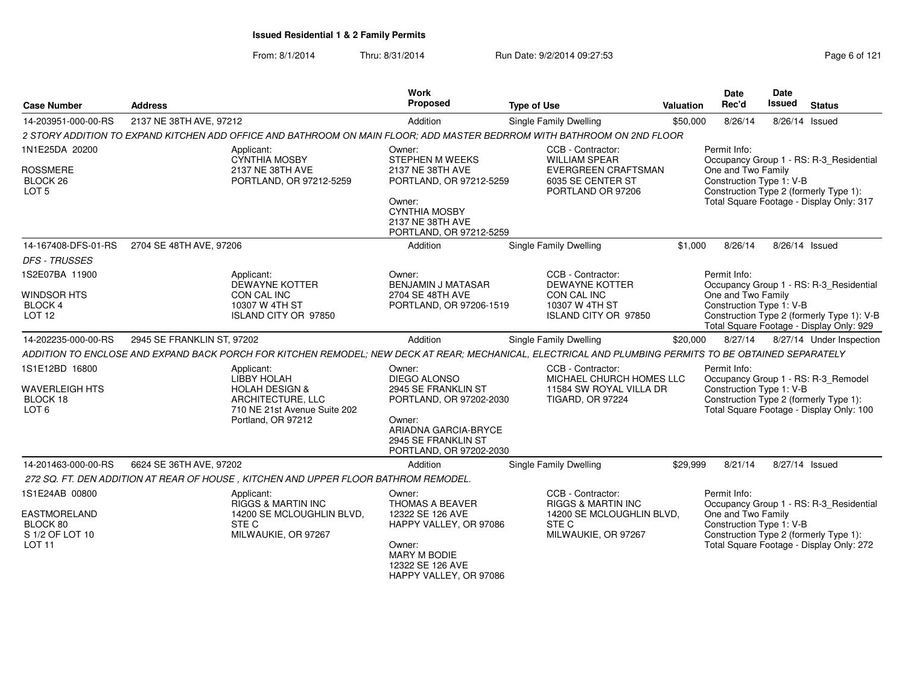| <b>Case Number</b>                                                                    | <b>Address</b>                                                                                                                                         | <b>Work</b><br>Proposed                                                                                                                                             | <b>Type of Use</b>                                                                                                | <b>Valuation</b> | Date<br>Rec'd                                                                                                                            | Date<br><b>Issued</b> | <b>Status</b>                                                                                                                 |
|---------------------------------------------------------------------------------------|--------------------------------------------------------------------------------------------------------------------------------------------------------|---------------------------------------------------------------------------------------------------------------------------------------------------------------------|-------------------------------------------------------------------------------------------------------------------|------------------|------------------------------------------------------------------------------------------------------------------------------------------|-----------------------|-------------------------------------------------------------------------------------------------------------------------------|
| 14-203951-000-00-RS                                                                   | 2137 NE 38TH AVE, 97212                                                                                                                                | Addition                                                                                                                                                            | Single Family Dwelling                                                                                            | \$50,000         | 8/26/14                                                                                                                                  | 8/26/14 Issued        |                                                                                                                               |
|                                                                                       | 2 STORY ADDITION TO EXPAND KITCHEN ADD OFFICE AND BATHROOM ON MAIN FLOOR; ADD MASTER BEDRROM WITH BATHROOM ON 2ND FLOOR                                |                                                                                                                                                                     |                                                                                                                   |                  |                                                                                                                                          |                       |                                                                                                                               |
| 1N1E25DA 20200<br><b>ROSSMERE</b><br>BLOCK 26<br>LOT <sub>5</sub>                     | Applicant:<br><b>CYNTHIA MOSBY</b><br>2137 NE 38TH AVE<br>PORTLAND, OR 97212-5259                                                                      | Owner:<br>STEPHEN M WEEKS<br>2137 NE 38TH AVE<br>PORTLAND, OR 97212-5259<br>Owner:<br><b>CYNTHIA MOSBY</b><br>2137 NE 38TH AVE                                      | CCB - Contractor:<br><b>WILLIAM SPEAR</b><br><b>EVERGREEN CRAFTSMAN</b><br>6035 SE CENTER ST<br>PORTLAND OR 97206 |                  | Permit Info:<br>One and Two Family<br>Construction Type 1: V-B                                                                           |                       | Occupancy Group 1 - RS: R-3_Residential<br>Construction Type 2 (formerly Type 1):<br>Total Square Footage - Display Only: 317 |
| 14-167408-DFS-01-RS                                                                   | 2704 SE 48TH AVE, 97206                                                                                                                                | PORTLAND, OR 97212-5259<br>Addition                                                                                                                                 | Single Family Dwelling                                                                                            | \$1,000          | 8/26/14                                                                                                                                  |                       | 8/26/14 Issued                                                                                                                |
| <b>DFS - TRUSSES</b>                                                                  |                                                                                                                                                        |                                                                                                                                                                     |                                                                                                                   |                  |                                                                                                                                          |                       |                                                                                                                               |
| 1S2E07BA 11900                                                                        | Applicant:<br><b>DEWAYNE KOTTER</b>                                                                                                                    | Owner:<br><b>BENJAMIN J MATASAR</b>                                                                                                                                 | CCB - Contractor:<br><b>DEWAYNE KOTTER</b>                                                                        |                  | Permit Info:                                                                                                                             |                       | Occupancy Group 1 - RS: R-3_Residential                                                                                       |
| <b>WINDSOR HTS</b><br>BLOCK 4<br>LOT <sub>12</sub>                                    | CON CAL INC<br>10307 W 4TH ST<br><b>ISLAND CITY OR 97850</b>                                                                                           | 2704 SE 48TH AVE<br>PORTLAND, OR 97206-1519                                                                                                                         | CON CAL INC<br>10307 W 4TH ST<br>ISLAND CITY OR 97850                                                             |                  | One and Two Family<br>Construction Type 1: V-B<br>Construction Type 2 (formerly Type 1): V-B<br>Total Square Footage - Display Only: 929 |                       |                                                                                                                               |
| 14-202235-000-00-RS                                                                   | 2945 SE FRANKLIN ST, 97202                                                                                                                             | Addition                                                                                                                                                            | Single Family Dwelling                                                                                            | \$20,000         | 8/27/14                                                                                                                                  |                       | 8/27/14 Under Inspection                                                                                                      |
|                                                                                       | ADDITION TO ENCLOSE AND EXPAND BACK PORCH FOR KITCHEN REMODEL; NEW DECK AT REAR; MECHANICAL, ELECTRICAL AND PLUMBING PERMITS TO BE OBTAINED SEPARATELY |                                                                                                                                                                     |                                                                                                                   |                  |                                                                                                                                          |                       |                                                                                                                               |
| 1S1E12BD 16800<br><b>WAVERLEIGH HTS</b><br>BLOCK 18<br>LOT <sub>6</sub>               | Applicant:<br>LIBBY HOLAH<br><b>HOLAH DESIGN &amp;</b><br>ARCHITECTURE, LLC<br>710 NE 21st Avenue Suite 202<br>Portland, OR 97212                      | Owner:<br><b>DIEGO ALONSO</b><br>2945 SE FRANKLIN ST<br>PORTLAND, OR 97202-2030<br>Owner:<br>ARIADNA GARCIA-BRYCE<br>2945 SE FRANKLIN ST<br>PORTLAND, OR 97202-2030 | CCB - Contractor:<br>MICHAEL CHURCH HOMES LLC<br>11584 SW ROYAL VILLA DR<br><b>TIGARD, OR 97224</b>               |                  | Permit Info:<br>Construction Type 1: V-B                                                                                                 |                       | Occupancy Group 1 - RS: R-3_Remodel<br>Construction Type 2 (formerly Type 1):<br>Total Square Footage - Display Only: 100     |
| 14-201463-000-00-RS                                                                   | 6624 SE 36TH AVE, 97202                                                                                                                                | Addition                                                                                                                                                            | Single Family Dwelling                                                                                            | \$29,999         | 8/21/14                                                                                                                                  | 8/27/14 Issued        |                                                                                                                               |
|                                                                                       | 272 SQ. FT. DEN ADDITION AT REAR OF HOUSE, KITCHEN AND UPPER FLOOR BATHROM REMODEL.                                                                    |                                                                                                                                                                     |                                                                                                                   |                  |                                                                                                                                          |                       |                                                                                                                               |
| 1S1E24AB 00800<br><b>EASTMORELAND</b><br>BLOCK 80<br>S 1/2 OF LOT 10<br><b>LOT 11</b> | Applicant:<br><b>RIGGS &amp; MARTIN INC</b><br>14200 SE MCLOUGHLIN BLVD,<br>STE C<br>MILWAUKIE, OR 97267                                               | Owner:<br><b>THOMAS A BEAVER</b><br>12322 SE 126 AVE<br>HAPPY VALLEY, OR 97086<br>Owner:<br><b>MARY M BODIE</b><br>12322 SE 126 AVE<br>HAPPY VALLEY, OR 97086       | CCB - Contractor:<br><b>RIGGS &amp; MARTIN INC</b><br>14200 SE MCLOUGHLIN BLVD,<br>STE C<br>MILWAUKIE, OR 97267   |                  | Permit Info:<br>One and Two Family<br>Construction Type 1: V-B                                                                           |                       | Occupancy Group 1 - RS: R-3 Residential<br>Construction Type 2 (formerly Type 1):<br>Total Square Footage - Display Only: 272 |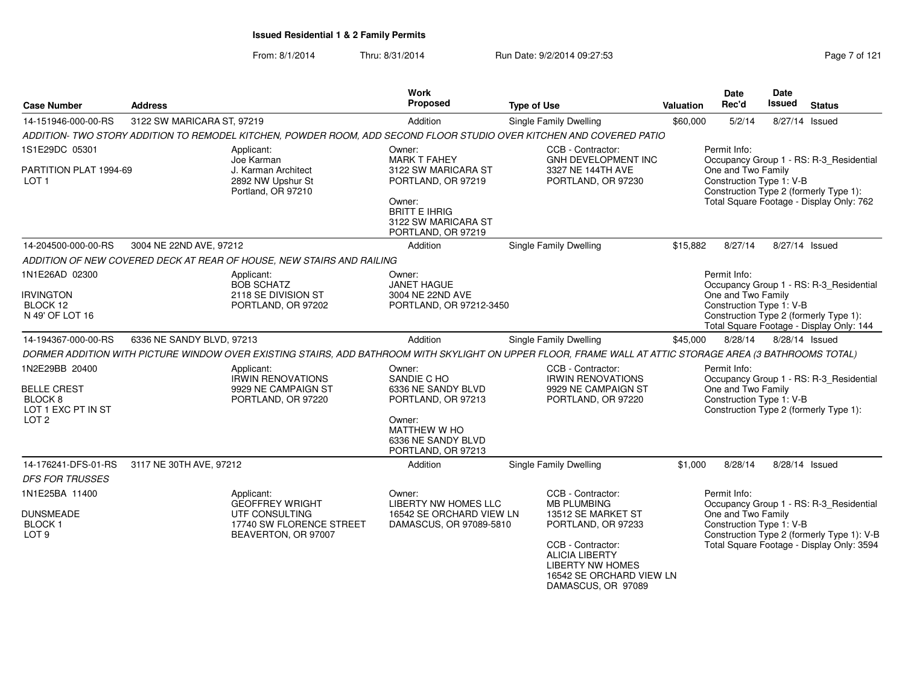From: 8/1/2014Thru: 8/31/2014 **Run Date: 9/2/2014 09:27:53** Page 7 of 121

| <b>Case Number</b>                                                               | <b>Address</b>                                                    |                                                                                     | <b>Work</b><br>Proposed                                                     | <b>Type of Use</b>                                                                                                                                        | <b>Valuation</b>                                                                                                                                    | Date<br>Rec'd                                                                                                                           | Date<br><b>Issued</b> | <b>Status</b>                           |  |
|----------------------------------------------------------------------------------|-------------------------------------------------------------------|-------------------------------------------------------------------------------------|-----------------------------------------------------------------------------|-----------------------------------------------------------------------------------------------------------------------------------------------------------|-----------------------------------------------------------------------------------------------------------------------------------------------------|-----------------------------------------------------------------------------------------------------------------------------------------|-----------------------|-----------------------------------------|--|
| 14-151946-000-00-RS                                                              | 3122 SW MARICARA ST, 97219                                        |                                                                                     | Addition                                                                    | Single Family Dwelling                                                                                                                                    | \$60,000                                                                                                                                            | 5/2/14                                                                                                                                  |                       | 8/27/14 Issued                          |  |
|                                                                                  |                                                                   |                                                                                     |                                                                             | ADDITION- TWO STORY ADDITION TO REMODEL KITCHEN, POWDER ROOM, ADD SECOND FLOOR STUDIO OVER KITCHEN AND COVERED PATIO                                      |                                                                                                                                                     |                                                                                                                                         |                       |                                         |  |
| 1S1E29DC 05301                                                                   |                                                                   | Applicant:<br>Joe Karman                                                            | Owner:<br><b>MARK T FAHEY</b><br>3122 SW MARICARA ST                        | CCB - Contractor:<br><b>GNH DEVELOPMENT INC</b>                                                                                                           |                                                                                                                                                     | Permit Info:                                                                                                                            |                       | Occupancy Group 1 - RS: R-3 Residential |  |
| PARTITION PLAT 1994-69<br>LOT <sub>1</sub>                                       |                                                                   | J. Karman Architect<br>2892 NW Upshur St<br>Portland, OR 97210                      |                                                                             | 3327 NE 144TH AVE<br>PORTLAND, OR 97230                                                                                                                   |                                                                                                                                                     | One and Two Family<br>Construction Type 1: V-B<br>Construction Type 2 (formerly Type 1):                                                |                       |                                         |  |
|                                                                                  |                                                                   |                                                                                     | Owner:<br><b>BRITT E IHRIG</b><br>3122 SW MARICARA ST<br>PORTLAND, OR 97219 |                                                                                                                                                           |                                                                                                                                                     | Total Square Footage - Display Only: 762                                                                                                |                       |                                         |  |
| 14-204500-000-00-RS                                                              | 3004 NE 22ND AVE, 97212                                           |                                                                                     | Addition                                                                    | <b>Single Family Dwelling</b>                                                                                                                             | \$15,882                                                                                                                                            | 8/27/14                                                                                                                                 |                       | 8/27/14 Issued                          |  |
|                                                                                  |                                                                   | ADDITION OF NEW COVERED DECK AT REAR OF HOUSE, NEW STAIRS AND RAILING               |                                                                             |                                                                                                                                                           |                                                                                                                                                     |                                                                                                                                         |                       |                                         |  |
| 1N1E26AD 02300                                                                   |                                                                   | Applicant:<br><b>BOB SCHATZ</b>                                                     | Owner:<br><b>JANET HAGUE</b>                                                |                                                                                                                                                           |                                                                                                                                                     | Permit Info:                                                                                                                            |                       | Occupancy Group 1 - RS: R-3_Residential |  |
| <b>IRVINGTON</b><br>BLOCK 12<br>N 49' OF LOT 16                                  |                                                                   | 2118 SE DIVISION ST<br>PORTLAND, OR 97202                                           | 3004 NE 22ND AVE<br>PORTLAND, OR 97212-3450                                 |                                                                                                                                                           | One and Two Family<br>Construction Type 1: V-B<br>Construction Type 2 (formerly Type 1):<br>Total Square Footage - Display Only: 144                |                                                                                                                                         |                       |                                         |  |
| 14-194367-000-00-RS                                                              | 6336 NE SANDY BLVD, 97213                                         |                                                                                     | Addition                                                                    | Single Family Dwelling                                                                                                                                    | \$45,000                                                                                                                                            | 8/28/14                                                                                                                                 |                       | 8/28/14 Issued                          |  |
|                                                                                  |                                                                   |                                                                                     |                                                                             | DORMER ADDITION WITH PICTURE WINDOW OVER EXISTING STAIRS, ADD BATHROOM WITH SKYLIGHT ON UPPER FLOOR, FRAME WALL AT ATTIC STORAGE AREA (3 BATHROOMS TOTAL) |                                                                                                                                                     |                                                                                                                                         |                       |                                         |  |
| 1N2E29BB 20400<br><b>BELLE CREST</b><br>BLOCK <sub>8</sub><br>LOT 1 EXC PT IN ST |                                                                   | Applicant:<br><b>IRWIN RENOVATIONS</b><br>9929 NE CAMPAIGN ST<br>PORTLAND, OR 97220 | Owner:<br>SANDIE C HO<br>6336 NE SANDY BLVD<br>PORTLAND, OR 97213           | CCB - Contractor:<br><b>IRWIN RENOVATIONS</b><br>9929 NE CAMPAIGN ST<br>PORTLAND, OR 97220                                                                | Permit Info:<br>Occupancy Group 1 - RS: R-3_Residential<br>One and Two Family<br>Construction Type 1: V-B<br>Construction Type 2 (formerly Type 1): |                                                                                                                                         |                       |                                         |  |
| LOT <sub>2</sub>                                                                 |                                                                   |                                                                                     | Owner:<br>MATTHEW W HO<br>6336 NE SANDY BLVD<br>PORTLAND, OR 97213          |                                                                                                                                                           |                                                                                                                                                     |                                                                                                                                         |                       |                                         |  |
| 14-176241-DFS-01-RS                                                              | 3117 NE 30TH AVE, 97212                                           |                                                                                     | Addition                                                                    | <b>Single Family Dwelling</b>                                                                                                                             | \$1,000                                                                                                                                             | 8/28/14                                                                                                                                 |                       | 8/28/14 Issued                          |  |
| <b>DFS FOR TRUSSES</b>                                                           |                                                                   |                                                                                     |                                                                             |                                                                                                                                                           |                                                                                                                                                     |                                                                                                                                         |                       |                                         |  |
| 1N1E25BA 11400                                                                   |                                                                   | Applicant:<br><b>GEOFFREY WRIGHT</b>                                                | Owner:<br><b>LIBERTY NW HOMES LLC</b>                                       | CCB - Contractor:<br><b>MB PLUMBING</b>                                                                                                                   |                                                                                                                                                     | Permit Info:                                                                                                                            |                       |                                         |  |
| <b>DUNSMEADE</b><br><b>BLOCK1</b><br>LOT <sub>9</sub>                            | UTF CONSULTING<br>17740 SW FLORENCE STREET<br>BEAVERTON, OR 97007 |                                                                                     | 16542 SE ORCHARD VIEW LN<br>DAMASCUS, OR 97089-5810                         | 13512 SE MARKET ST<br>PORTLAND, OR 97233                                                                                                                  |                                                                                                                                                     | Occupancy Group 1 - RS: R-3_Residential<br>One and Two Family<br>Construction Type 1: V-B<br>Construction Type 2 (formerly Type 1): V-B |                       |                                         |  |
|                                                                                  |                                                                   |                                                                                     |                                                                             | 16542 SE ORCHARD VIEW LN                                                                                                                                  | Total Square Footage - Display Only: 3594                                                                                                           |                                                                                                                                         |                       |                                         |  |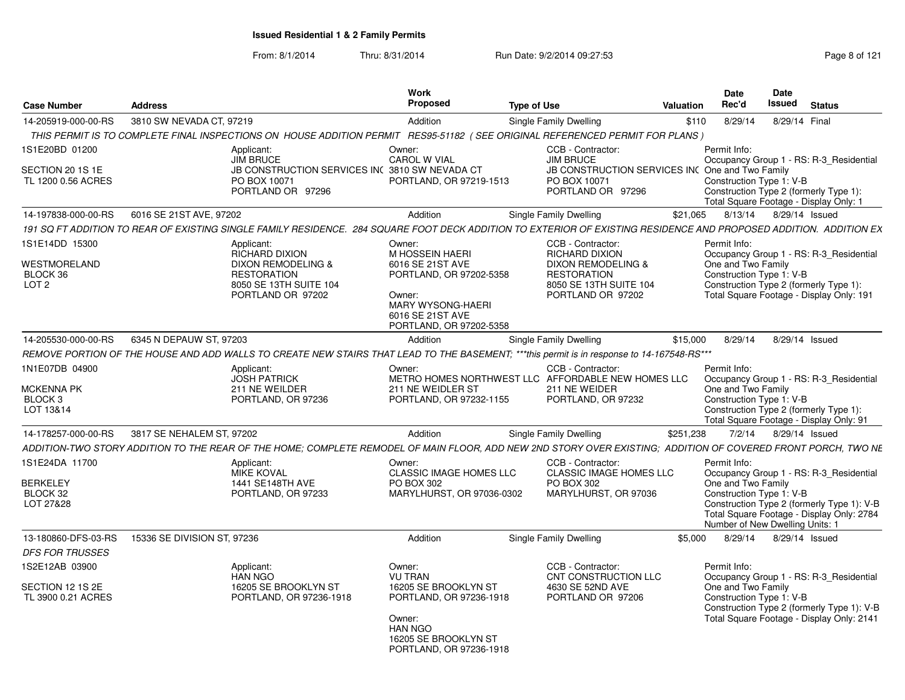From: 8/1/2014Thru: 8/31/2014 Run Date: 9/2/2014 09:27:53 Run Date: 9/2/2014 09:27:53

| <b>Case Number</b>                                                     | <b>Address</b>              |                                                                                                                                                                    | <b>Work</b><br>Proposed                                                                                                          | <b>Type of Use</b>                                                                                             | <b>Valuation</b> | Date<br>Rec'd                                                                                                                                                                                  | Date<br>Issued | <b>Status</b>  |  |
|------------------------------------------------------------------------|-----------------------------|--------------------------------------------------------------------------------------------------------------------------------------------------------------------|----------------------------------------------------------------------------------------------------------------------------------|----------------------------------------------------------------------------------------------------------------|------------------|------------------------------------------------------------------------------------------------------------------------------------------------------------------------------------------------|----------------|----------------|--|
| 14-205919-000-00-RS                                                    | 3810 SW NEVADA CT, 97219    |                                                                                                                                                                    | Addition                                                                                                                         | <b>Single Family Dwelling</b>                                                                                  | \$110            | 8/29/14                                                                                                                                                                                        |                | 8/29/14 Final  |  |
|                                                                        |                             | THIS PERMIT IS TO COMPLETE FINAL INSPECTIONS ON HOUSE ADDITION PERMIT                                                                                              |                                                                                                                                  | RES95-51182 (SEE ORIGINAL REFERENCED PERMIT FOR PLANS)                                                         |                  |                                                                                                                                                                                                |                |                |  |
| 1S1E20BD 01200                                                         |                             | Applicant:<br><b>JIM BRUCE</b>                                                                                                                                     | Owner:<br><b>CAROL W VIAL</b>                                                                                                    | CCB - Contractor:<br><b>JIM BRUCE</b>                                                                          |                  | Permit Info:<br>Occupancy Group 1 - RS: R-3_Residential                                                                                                                                        |                |                |  |
| SECTION 20 1S 1E<br>TL 1200 0.56 ACRES                                 |                             | JB CONSTRUCTION SERVICES INC 3810 SW NEVADA CT<br>PO BOX 10071<br>PORTLAND OR 97296                                                                                | PORTLAND, OR 97219-1513                                                                                                          | JB CONSTRUCTION SERVICES INC One and Two Family<br>PO BOX 10071<br>PORTLAND OR 97296                           |                  | Construction Type 1: V-B<br>Construction Type 2 (formerly Type 1):<br>Total Square Footage - Display Only: 1                                                                                   |                |                |  |
| 14-197838-000-00-RS                                                    | 6016 SE 21ST AVE, 97202     |                                                                                                                                                                    | Addition                                                                                                                         | <b>Single Family Dwelling</b>                                                                                  | \$21.065         | 8/13/14                                                                                                                                                                                        |                | 8/29/14 Issued |  |
|                                                                        |                             | 191 SQ FT ADDITION TO REAR OF EXISTING SINGLE FAMILY RESIDENCE. 284 SQUARE FOOT DECK ADDITION TO EXTERIOR OF EXISTING RESIDENCE AND PROPOSED ADDITION. ADDITION EX |                                                                                                                                  |                                                                                                                |                  |                                                                                                                                                                                                |                |                |  |
| 1S1E14DD 15300                                                         |                             | Applicant:<br><b>RICHARD DIXION</b>                                                                                                                                | Owner:<br>M HOSSEIN HAERI                                                                                                        | CCB - Contractor:<br><b>RICHARD DIXION</b>                                                                     |                  | Permit Info:<br>Occupancy Group 1 - RS: R-3_Residential                                                                                                                                        |                |                |  |
| <b>WESTMORELAND</b><br>BLOCK 36<br>LOT <sub>2</sub>                    |                             | DIXON REMODELING &<br><b>RESTORATION</b><br>8050 SE 13TH SUITE 104<br>PORTLAND OR 97202                                                                            | 6016 SE 21ST AVE<br>PORTLAND, OR 97202-5358<br>Owner:<br><b>MARY WYSONG-HAERI</b><br>6016 SE 21ST AVE<br>PORTLAND, OR 97202-5358 | DIXON REMODELING &<br><b>RESTORATION</b><br>8050 SE 13TH SUITE 104<br>PORTLAND OR 97202                        |                  | One and Two Family<br>Construction Type 1: V-B<br>Construction Type 2 (formerly Type 1):<br>Total Square Footage - Display Only: 191                                                           |                |                |  |
| 14-205530-000-00-RS                                                    | 6345 N DEPAUW ST, 97203     |                                                                                                                                                                    | Addition                                                                                                                         | <b>Single Family Dwelling</b>                                                                                  | \$15,000         | 8/29/14                                                                                                                                                                                        |                | 8/29/14 Issued |  |
|                                                                        |                             | REMOVE PORTION OF THE HOUSE AND ADD WALLS TO CREATE NEW STAIRS THAT LEAD TO THE BASEMENT; ***this permit is in response to 14-167548-RS***                         |                                                                                                                                  |                                                                                                                |                  |                                                                                                                                                                                                |                |                |  |
| 1N1E07DB 04900<br><b>MCKENNA PK</b><br>BLOCK <sub>3</sub><br>LOT 13&14 |                             | Applicant:<br><b>JOSH PATRICK</b><br>211 NE WEILDER<br>PORTLAND, OR 97236                                                                                          | Owner:<br>211 NE WEIDLER ST<br>PORTLAND, OR 97232-1155                                                                           | CCB - Contractor:<br>METRO HOMES NORTHWEST LLC AFFORDABLE NEW HOMES LLC<br>211 NE WEIDER<br>PORTLAND, OR 97232 |                  | Permit Info:<br>Occupancy Group 1 - RS: R-3 Residential<br>One and Two Family<br>Construction Type 1: V-B<br>Construction Type 2 (formerly Type 1):<br>Total Square Footage - Display Only: 91 |                |                |  |
| 14-178257-000-00-RS                                                    | 3817 SE NEHALEM ST. 97202   |                                                                                                                                                                    | Addition                                                                                                                         | <b>Single Family Dwelling</b>                                                                                  | \$251,238        | 7/2/14                                                                                                                                                                                         |                | 8/29/14 Issued |  |
|                                                                        |                             | ADDITION-TWO STORY ADDITION TO THE REAR OF THE HOME: COMPLETE REMODEL OF MAIN FLOOR, ADD NEW 2ND STORY OVER EXISTING: ADDITION OF COVERED FRONT PORCH, TWO NE      |                                                                                                                                  |                                                                                                                |                  |                                                                                                                                                                                                |                |                |  |
| 1S1E24DA 11700<br><b>BERKELEY</b>                                      |                             | Applicant:<br><b>MIKE KOVAL</b><br>1441 SE148TH AVE                                                                                                                | Owner:<br><b>CLASSIC IMAGE HOMES LLC</b><br>PO BOX 302                                                                           | CCB - Contractor:<br><b>CLASSIC IMAGE HOMES LLC</b><br>PO BOX 302                                              |                  | Permit Info:<br>Occupancy Group 1 - RS: R-3 Residential<br>One and Two Family                                                                                                                  |                |                |  |
| BLOCK 32<br>LOT 27&28                                                  |                             | PORTLAND, OR 97233                                                                                                                                                 | MARYLHURST, OR 97036-0302                                                                                                        | MARYLHURST, OR 97036                                                                                           |                  | Construction Type 1: V-B<br>Construction Type 2 (formerly Type 1): V-B<br>Total Square Footage - Display Only: 2784<br>Number of New Dwelling Units: 1                                         |                |                |  |
| 13-180860-DFS-03-RS<br><b>DFS FOR TRUSSES</b>                          | 15336 SE DIVISION ST, 97236 |                                                                                                                                                                    | Addition                                                                                                                         | <b>Single Family Dwelling</b>                                                                                  | \$5,000          | 8/29/14                                                                                                                                                                                        |                | 8/29/14 Issued |  |
| 1S2E12AB 03900                                                         |                             | Applicant:<br><b>HAN NGO</b>                                                                                                                                       | Owner:<br><b>VU TRAN</b>                                                                                                         | CCB - Contractor:<br>CNT CONSTRUCTION LLC                                                                      |                  | Permit Info:<br>Occupancy Group 1 - RS: R-3 Residential                                                                                                                                        |                |                |  |
| SECTION 12 1S 2E<br>TL 3900 0.21 ACRES                                 |                             | 16205 SE BROOKLYN ST<br>PORTLAND, OR 97236-1918                                                                                                                    | 16205 SE BROOKLYN ST<br>PORTLAND, OR 97236-1918<br>Owner:<br><b>HAN NGO</b><br>16205 SE BROOKLYN ST<br>PORTLAND, OR 97236-1918   | 4630 SE 52ND AVE<br>PORTLAND OR 97206                                                                          |                  | One and Two Family<br>Construction Type 1: V-B<br>Construction Type 2 (formerly Type 1): V-B<br>Total Square Footage - Display Only: 2141                                                      |                |                |  |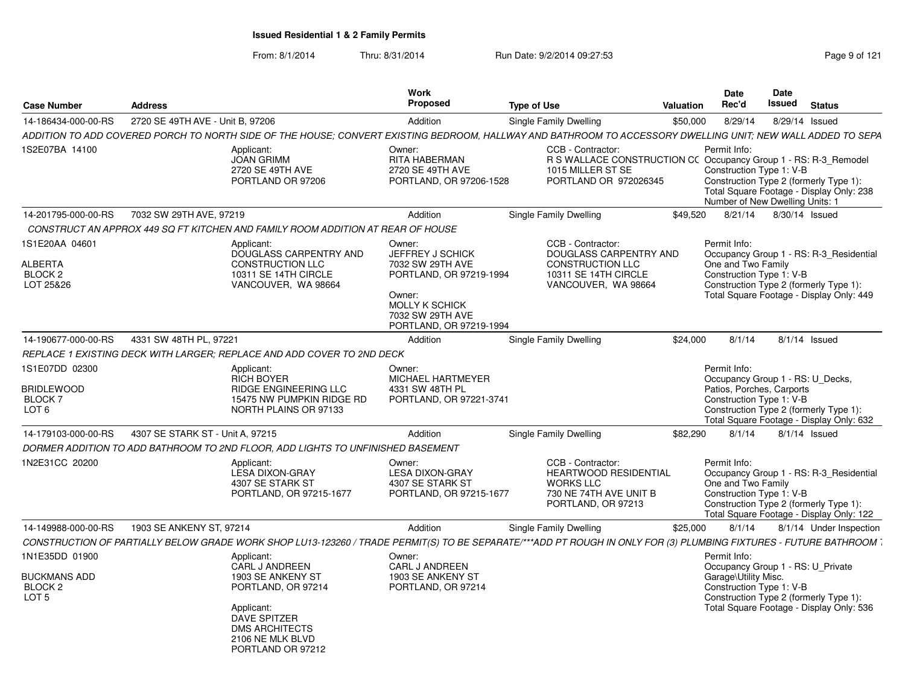| <b>Case Number</b>                                                            | <b>Address</b>                   |                                                                                                                                                                    | <b>Work</b><br>Proposed                                                                                                                              | <b>Type of Use</b>                                                                                                                 | Valuation | <b>Date</b><br>Rec'd                                                                                      | <b>Date</b><br><b>Issued</b> | <b>Status</b>                                                                                                                 |
|-------------------------------------------------------------------------------|----------------------------------|--------------------------------------------------------------------------------------------------------------------------------------------------------------------|------------------------------------------------------------------------------------------------------------------------------------------------------|------------------------------------------------------------------------------------------------------------------------------------|-----------|-----------------------------------------------------------------------------------------------------------|------------------------------|-------------------------------------------------------------------------------------------------------------------------------|
| 14-186434-000-00-RS                                                           | 2720 SE 49TH AVE - Unit B. 97206 |                                                                                                                                                                    | Addition                                                                                                                                             | Single Family Dwelling                                                                                                             | \$50,000  | 8/29/14                                                                                                   | 8/29/14 Issued               |                                                                                                                               |
|                                                                               |                                  | ADDITION TO ADD COVERED PORCH TO NORTH SIDE OF THE HOUSE; CONVERT EXISTING BEDROOM, HALLWAY AND BATHROOM TO ACCESSORY DWELLING UNIT; NEW WALL ADDED TO SEPA        |                                                                                                                                                      |                                                                                                                                    |           |                                                                                                           |                              |                                                                                                                               |
| 1S2E07BA 14100                                                                |                                  | Applicant:<br><b>JOAN GRIMM</b><br>2720 SE 49TH AVE<br>PORTLAND OR 97206                                                                                           | Owner:<br>RITA HABERMAN<br>2720 SE 49TH AVE<br>PORTLAND, OR 97206-1528                                                                               | CCB - Contractor:<br>R S WALLACE CONSTRUCTION CC Occupancy Group 1 - RS: R-3 Remodel<br>1015 MILLER ST SE<br>PORTLAND OR 972026345 |           | Permit Info:<br>Construction Type 1: V-B<br>Number of New Dwelling Units: 1                               |                              | Construction Type 2 (formerly Type 1):<br>Total Square Footage - Display Only: 238                                            |
| 14-201795-000-00-RS                                                           | 7032 SW 29TH AVE, 97219          |                                                                                                                                                                    | Addition                                                                                                                                             | Single Family Dwelling                                                                                                             | \$49,520  | 8/21/14                                                                                                   | 8/30/14 Issued               |                                                                                                                               |
|                                                                               |                                  | CONSTRUCT AN APPROX 449 SQ FT KITCHEN AND FAMILY ROOM ADDITION AT REAR OF HOUSE                                                                                    |                                                                                                                                                      |                                                                                                                                    |           |                                                                                                           |                              |                                                                                                                               |
| 1S1E20AA 04601<br>ALBERTA<br>BLOCK <sub>2</sub><br>LOT 25&26                  |                                  | Applicant:<br>DOUGLASS CARPENTRY AND<br><b>CONSTRUCTION LLC</b><br>10311 SE 14TH CIRCLE<br>VANCOUVER. WA 98664                                                     | Owner:<br>JEFFREY J SCHICK<br>7032 SW 29TH AVE<br>PORTLAND, OR 97219-1994<br>Owner:<br>MOLLY K SCHICK<br>7032 SW 29TH AVE<br>PORTLAND, OR 97219-1994 | CCB - Contractor:<br>DOUGLASS CARPENTRY AND<br><b>CONSTRUCTION LLC</b><br>10311 SE 14TH CIRCLE<br>VANCOUVER. WA 98664              |           | Permit Info:<br>One and Two Family<br>Construction Type 1: V-B                                            |                              | Occupancy Group 1 - RS: R-3 Residential<br>Construction Type 2 (formerly Type 1):<br>Total Square Footage - Display Only: 449 |
| 14-190677-000-00-RS                                                           | 4331 SW 48TH PL, 97221           |                                                                                                                                                                    | Addition                                                                                                                                             | Single Family Dwelling                                                                                                             | \$24,000  | 8/1/14                                                                                                    | $8/1/14$ Issued              |                                                                                                                               |
|                                                                               |                                  | REPLACE 1 EXISTING DECK WITH LARGER; REPLACE AND ADD COVER TO 2ND DECK                                                                                             |                                                                                                                                                      |                                                                                                                                    |           |                                                                                                           |                              |                                                                                                                               |
| 1S1E07DD 02300<br><b>BRIDLEWOOD</b><br>BLOCK <sub>7</sub><br>LOT <sub>6</sub> |                                  | Applicant:<br><b>RICH BOYER</b><br><b>RIDGE ENGINEERING LLC</b><br>15475 NW PUMPKIN RIDGE RD<br>NORTH PLAINS OR 97133                                              | Owner:<br>MICHAEL HARTMEYER<br>4331 SW 48TH PL<br>PORTLAND, OR 97221-3741                                                                            |                                                                                                                                    |           | Permit Info:<br>Occupancy Group 1 - RS: U Decks,<br>Patios, Porches, Carports<br>Construction Type 1: V-B |                              | Construction Type 2 (formerly Type 1):<br>Total Square Footage - Display Only: 632                                            |
| 14-179103-000-00-RS                                                           | 4307 SE STARK ST - Unit A, 97215 |                                                                                                                                                                    | Addition                                                                                                                                             | Single Family Dwelling                                                                                                             | \$82,290  | 8/1/14                                                                                                    | $8/1/14$ Issued              |                                                                                                                               |
|                                                                               |                                  | DORMER ADDITION TO ADD BATHROOM TO 2ND FLOOR, ADD LIGHTS TO UNFINISHED BASEMENT                                                                                    |                                                                                                                                                      |                                                                                                                                    |           |                                                                                                           |                              |                                                                                                                               |
| 1N2E31CC 20200                                                                |                                  | Applicant:<br>LESA DIXON-GRAY<br>4307 SE STARK ST<br>PORTLAND, OR 97215-1677                                                                                       | Owner:<br><b>LESA DIXON-GRAY</b><br>4307 SE STARK ST<br>PORTLAND, OR 97215-1677                                                                      | CCB - Contractor:<br><b>HEARTWOOD RESIDENTIAL</b><br><b>WORKS LLC</b><br>730 NE 74TH AVE UNIT B<br>PORTLAND, OR 97213              |           | Permit Info:<br>One and Two Family<br>Construction Type 1: V-B                                            |                              | Occupancy Group 1 - RS: R-3 Residential<br>Construction Type 2 (formerly Type 1):<br>Total Square Footage - Display Only: 122 |
| 14-149988-000-00-RS                                                           | 1903 SE ANKENY ST. 97214         |                                                                                                                                                                    | Addition                                                                                                                                             | Single Family Dwelling                                                                                                             | \$25,000  | 8/1/14                                                                                                    |                              | 8/1/14 Under Inspection                                                                                                       |
|                                                                               |                                  | CONSTRUCTION OF PARTIALLY BELOW GRADE WORK SHOP LU13-123260 / TRADE PERMIT(S) TO BE SEPARATE/***ADD PT ROUGH IN ONLY FOR (3) PLUMBING FIXTURES - FUTURE BATHROOM ` |                                                                                                                                                      |                                                                                                                                    |           |                                                                                                           |                              |                                                                                                                               |
| 1N1E35DD 01900                                                                |                                  | Applicant:<br>CARL J ANDREEN                                                                                                                                       | Owner:<br>CARL J ANDREEN                                                                                                                             |                                                                                                                                    |           | Permit Info:<br>Occupancy Group 1 - RS: U Private                                                         |                              |                                                                                                                               |
| <b>BUCKMANS ADD</b><br>BLOCK <sub>2</sub><br>LOT <sub>5</sub>                 |                                  | 1903 SE ANKENY ST<br>PORTLAND, OR 97214<br>Applicant:<br>DAVE SPITZER<br><b>DMS ARCHITECTS</b><br>2106 NE MLK BLVD<br>PORTLAND OR 97212                            | 1903 SE ANKENY ST<br>PORTLAND, OR 97214                                                                                                              |                                                                                                                                    |           | Garage\Utility Misc.<br>Construction Type 1: V-B                                                          |                              | Construction Type 2 (formerly Type 1):<br>Total Square Footage - Display Only: 536                                            |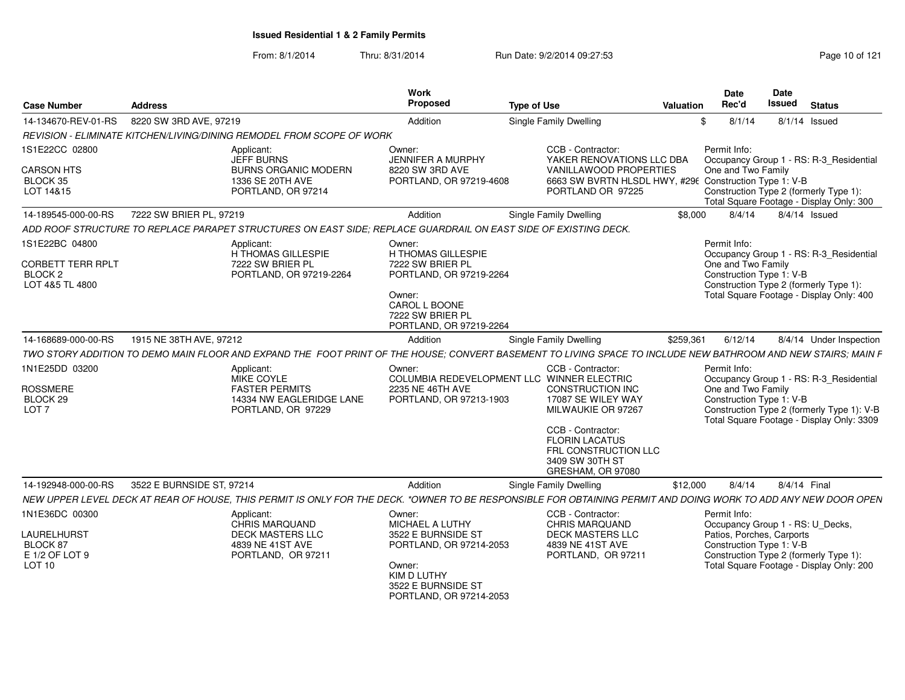| <b>Case Number</b>                                                              | <b>Address</b>                                                                                                                                                 | Work<br>Proposed                                                                                                                                      | <b>Type of Use</b>                                                                                                                                                                                     | Valuation | <b>Date</b><br>Rec'd               | <b>Date</b><br>Issued<br><b>Status</b>                                                                                                                                          |
|---------------------------------------------------------------------------------|----------------------------------------------------------------------------------------------------------------------------------------------------------------|-------------------------------------------------------------------------------------------------------------------------------------------------------|--------------------------------------------------------------------------------------------------------------------------------------------------------------------------------------------------------|-----------|------------------------------------|---------------------------------------------------------------------------------------------------------------------------------------------------------------------------------|
| 14-134670-REV-01-RS                                                             | 8220 SW 3RD AVE, 97219                                                                                                                                         | Addition                                                                                                                                              | Single Family Dwelling                                                                                                                                                                                 |           | 8/1/14                             | 8/1/14 Issued                                                                                                                                                                   |
|                                                                                 | REVISION - ELIMINATE KITCHEN/LIVING/DINING REMODEL FROM SCOPE OF WORK                                                                                          |                                                                                                                                                       |                                                                                                                                                                                                        |           |                                    |                                                                                                                                                                                 |
| 1S1E22CC 02800<br><b>CARSON HTS</b><br>BLOCK 35<br>LOT 14&15                    | Applicant:<br>JEFF BURNS<br><b>BURNS ORGANIC MODERN</b><br>1336 SE 20TH AVE<br>PORTLAND, OR 97214                                                              | Owner:<br><b>JENNIFER A MURPHY</b><br>8220 SW 3RD AVE<br>PORTLAND, OR 97219-4608                                                                      | CCB - Contractor:<br>YAKER RENOVATIONS LLC DBA<br><b>VANILLAWOOD PROPERTIES</b><br>6663 SW BVRTN HLSDL HWY, #296 Construction Type 1: V-B<br>PORTLAND OR 97225                                         |           | Permit Info:<br>One and Two Family | Occupancy Group 1 - RS: R-3_Residential<br>Construction Type 2 (formerly Type 1):<br>Total Square Footage - Display Only: 300                                                   |
| 14-189545-000-00-RS                                                             | 7222 SW BRIER PL, 97219                                                                                                                                        | Addition                                                                                                                                              | Single Family Dwelling                                                                                                                                                                                 | \$8.000   | 8/4/14                             | 8/4/14 Issued                                                                                                                                                                   |
|                                                                                 | ADD ROOF STRUCTURE TO REPLACE PARAPET STRUCTURES ON EAST SIDE; REPLACE GUARDRAIL ON EAST SIDE OF EXISTING DECK.                                                |                                                                                                                                                       |                                                                                                                                                                                                        |           |                                    |                                                                                                                                                                                 |
| 1S1E22BC 04800<br><b>CORBETT TERR RPLT</b><br><b>BLOCK 2</b><br>LOT 4&5 TL 4800 | Applicant:<br>H THOMAS GILLESPIE<br>7222 SW BRIER PL<br>PORTLAND, OR 97219-2264                                                                                | Owner:<br>H THOMAS GILLESPIE<br>7222 SW BRIER PL<br>PORTLAND, OR 97219-2264<br>Owner:<br>CAROL L BOONE<br>7222 SW BRIER PL<br>PORTLAND, OR 97219-2264 |                                                                                                                                                                                                        |           | Permit Info:<br>One and Two Family | Occupancy Group 1 - RS: R-3_Residential<br>Construction Type 1: V-B<br>Construction Type 2 (formerly Type 1):<br>Total Square Footage - Display Only: 400                       |
| 14-168689-000-00-RS                                                             | 1915 NE 38TH AVE, 97212                                                                                                                                        | Addition                                                                                                                                              | Single Family Dwelling                                                                                                                                                                                 | \$259,361 | 6/12/14                            | 8/4/14 Under Inspection                                                                                                                                                         |
|                                                                                 | TWO STORY ADDITION TO DEMO MAIN FLOOR AND EXPAND THE FOOT PRINT OF THE HOUSE; CONVERT BASEMENT TO LIVING SPACE TO INCLUDE NEW BATHROOM AND NEW STAIRS; MAIN F  |                                                                                                                                                       |                                                                                                                                                                                                        |           |                                    |                                                                                                                                                                                 |
| 1N1E25DD 03200<br>ROSSMERE<br>BLOCK 29<br>LOT <sub>7</sub>                      | Applicant:<br>MIKE COYLE<br><b>FASTER PERMITS</b><br>14334 NW EAGLERIDGE LANE<br>PORTLAND, OR 97229                                                            | Owner:<br>COLUMBIA REDEVELOPMENT LLC WINNER ELECTRIC<br>2235 NE 46TH AVE<br>PORTLAND, OR 97213-1903                                                   | CCB - Contractor:<br><b>CONSTRUCTION INC</b><br>17087 SE WILEY WAY<br>MILWAUKIE OR 97267<br>CCB - Contractor:<br><b>FLORIN LACATUS</b><br>FRL CONSTRUCTION LLC<br>3409 SW 30TH ST<br>GRESHAM, OR 97080 |           | Permit Info:<br>One and Two Family | Occupancy Group 1 - RS: R-3_Residential<br>Construction Type 1: V-B<br>Construction Type 2 (formerly Type 1): V-B<br>Total Square Footage - Display Only: 3309                  |
| 14-192948-000-00-RS                                                             | 3522 E BURNSIDE ST, 97214                                                                                                                                      | Addition                                                                                                                                              | <b>Single Family Dwelling</b>                                                                                                                                                                          | \$12,000  | 8/4/14                             | 8/4/14 Final                                                                                                                                                                    |
|                                                                                 | NEW UPPER LEVEL DECK AT REAR OF HOUSE. THIS PERMIT IS ONLY FOR THE DECK. *OWNER TO BE RESPONSIBLE FOR OBTAINING PERMIT AND DOING WORK TO ADD ANY NEW DOOR OPEN |                                                                                                                                                       |                                                                                                                                                                                                        |           |                                    |                                                                                                                                                                                 |
| 1N1E36DC 00300<br>LAURELHURST<br>BLOCK 87<br>E 1/2 OF LOT 9<br><b>LOT 10</b>    | Applicant:<br><b>CHRIS MARQUAND</b><br><b>DECK MASTERS LLC</b><br>4839 NE 41ST AVE<br>PORTLAND. OR 97211                                                       | Owner:<br>MICHAEL A LUTHY<br>3522 E BURNSIDE ST<br>PORTLAND, OR 97214-2053<br>Owner:<br>KIM D LUTHY<br>3522 E BURNSIDE ST<br>PORTLAND, OR 97214-2053  | CCB - Contractor:<br>CHRIS MARQUAND<br><b>DECK MASTERS LLC</b><br>4839 NE 41ST AVE<br>PORTLAND, OR 97211                                                                                               |           | Permit Info:                       | Occupancy Group 1 - RS: U_Decks,<br>Patios, Porches, Carports<br>Construction Type 1: V-B<br>Construction Type 2 (formerly Type 1):<br>Total Square Footage - Display Only: 200 |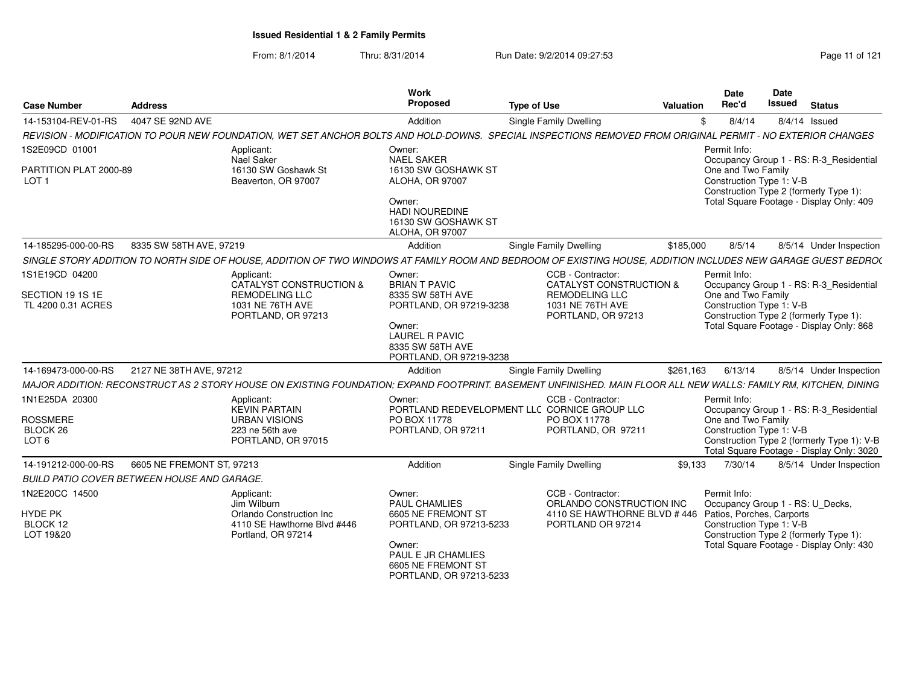| <b>Case Number</b>                                 | <b>Address</b>            |                                                                                                                                                                  | Work<br>Proposed                                                                                                                                       | <b>Type of Use</b>                                                | Valuation | <b>Date</b><br>Rec'd                                                                                                                 | Date<br><b>Issued</b> | <b>Status</b> |                                                                                         |
|----------------------------------------------------|---------------------------|------------------------------------------------------------------------------------------------------------------------------------------------------------------|--------------------------------------------------------------------------------------------------------------------------------------------------------|-------------------------------------------------------------------|-----------|--------------------------------------------------------------------------------------------------------------------------------------|-----------------------|---------------|-----------------------------------------------------------------------------------------|
| 14-153104-REV-01-RS                                | 4047 SE 92ND AVE          |                                                                                                                                                                  | Addition                                                                                                                                               | Single Family Dwelling                                            |           | 8/4/14                                                                                                                               |                       | 8/4/14 Issued |                                                                                         |
|                                                    |                           | REVISION - MODIFICATION TO POUR NEW FOUNDATION, WET SET ANCHOR BOLTS AND HOLD-DOWNS. SPECIAL INSPECTIONS REMOVED FROM ORIGINAL PERMIT - NO EXTERIOR CHANGES      |                                                                                                                                                        |                                                                   |           |                                                                                                                                      |                       |               |                                                                                         |
| 1S2E09CD 01001                                     |                           | Applicant:                                                                                                                                                       | Owner:                                                                                                                                                 |                                                                   |           | Permit Info:                                                                                                                         |                       |               |                                                                                         |
| PARTITION PLAT 2000-89<br>LOT <sub>1</sub>         |                           | Nael Saker<br>16130 SW Goshawk St<br>Beaverton, OR 97007                                                                                                         | <b>NAEL SAKER</b><br>16130 SW GOSHAWK ST<br><b>ALOHA, OR 97007</b><br>Owner:<br><b>HADI NOUREDINE</b><br>16130 SW GOSHAWK ST<br><b>ALOHA, OR 97007</b> |                                                                   |           | One and Two Family<br>Construction Type 1: V-B<br>Construction Type 2 (formerly Type 1):<br>Total Square Footage - Display Only: 409 |                       |               | Occupancy Group 1 - RS: R-3_Residential                                                 |
| 14-185295-000-00-RS                                | 8335 SW 58TH AVE, 97219   |                                                                                                                                                                  | Addition                                                                                                                                               | <b>Single Family Dwelling</b>                                     | \$185,000 | 8/5/14                                                                                                                               |                       |               | 8/5/14 Under Inspection                                                                 |
|                                                    |                           | SINGLE STORY ADDITION TO NORTH SIDE OF HOUSE, ADDITION OF TWO WINDOWS AT FAMILY ROOM AND BEDROOM OF EXISTING HOUSE, ADDITION INCLUDES NEW GARAGE GUEST BEDRO(    |                                                                                                                                                        |                                                                   |           |                                                                                                                                      |                       |               |                                                                                         |
| 1S1E19CD 04200                                     |                           | Applicant:<br>CATALYST CONSTRUCTION &                                                                                                                            | Owner:<br><b>BRIAN T PAVIC</b>                                                                                                                         | CCB - Contractor:<br>CATALYST CONSTRUCTION &                      |           | Permit Info:                                                                                                                         |                       |               | Occupancy Group 1 - RS: R-3_Residential                                                 |
| SECTION 19 1S 1E<br>TL 4200 0.31 ACRES             |                           | <b>REMODELING LLC</b><br>1031 NE 76TH AVE<br>PORTLAND, OR 97213                                                                                                  | 8335 SW 58TH AVE<br>PORTLAND, OR 97219-3238<br>Owner:<br><b>LAUREL R PAVIC</b><br>8335 SW 58TH AVE<br>PORTLAND, OR 97219-3238                          | <b>REMODELING LLC</b><br>1031 NE 76TH AVE<br>PORTLAND, OR 97213   |           | One and Two Family<br>Construction Type 1: V-B<br>Construction Type 2 (formerly Type 1):<br>Total Square Footage - Display Only: 868 |                       |               |                                                                                         |
| 14-169473-000-00-RS                                | 2127 NE 38TH AVE, 97212   |                                                                                                                                                                  | Addition                                                                                                                                               | Single Family Dwelling                                            | \$261,163 | 6/13/14                                                                                                                              |                       |               | 8/5/14 Under Inspection                                                                 |
|                                                    |                           | MAJOR ADDITION: RECONSTRUCT AS 2 STORY HOUSE ON EXISTING FOUNDATION; EXPAND FOOTPRINT. BASEMENT UNFINISHED. MAIN FLOOR ALL NEW WALLS: FAMILY RM, KITCHEN, DINING |                                                                                                                                                        |                                                                   |           |                                                                                                                                      |                       |               |                                                                                         |
| 1N1E25DA 20300                                     |                           | Applicant:<br><b>KEVIN PARTAIN</b>                                                                                                                               | Owner:                                                                                                                                                 | CCB - Contractor:<br>PORTLAND REDEVELOPMENT LLC CORNICE GROUP LLC |           | Permit Info:                                                                                                                         |                       |               | Occupancy Group 1 - RS: R-3_Residential                                                 |
| <b>ROSSMERE</b>                                    |                           | <b>URBAN VISIONS</b>                                                                                                                                             | PO BOX 11778                                                                                                                                           | PO BOX 11778                                                      |           | One and Two Family                                                                                                                   |                       |               |                                                                                         |
| BLOCK 26<br>LOT <sub>6</sub>                       |                           | 223 ne 56th ave<br>PORTLAND, OR 97015                                                                                                                            | PORTLAND, OR 97211                                                                                                                                     | PORTLAND, OR 97211                                                |           | Construction Type 1: V-B                                                                                                             |                       |               | Construction Type 2 (formerly Type 1): V-B<br>Total Square Footage - Display Only: 3020 |
| 14-191212-000-00-RS                                | 6605 NE FREMONT ST, 97213 |                                                                                                                                                                  | Addition                                                                                                                                               | Single Family Dwelling                                            | \$9,133   | 7/30/14                                                                                                                              |                       |               | 8/5/14 Under Inspection                                                                 |
| <b>BUILD PATIO COVER BETWEEN HOUSE AND GARAGE.</b> |                           |                                                                                                                                                                  |                                                                                                                                                        |                                                                   |           |                                                                                                                                      |                       |               |                                                                                         |
| 1N2E20CC 14500                                     |                           | Applicant:<br>Jim Wilburn                                                                                                                                        | Owner:<br><b>PAUL CHAMLIES</b>                                                                                                                         | CCB - Contractor:<br>ORLANDO CONSTRUCTION INC                     |           | Permit Info:                                                                                                                         |                       |               |                                                                                         |
| HYDE PK                                            |                           | Orlando Construction Inc                                                                                                                                         | 6605 NE FREMONT ST                                                                                                                                     | 4110 SE HAWTHORNE BLVD #446 Patios, Porches, Carports             |           | Occupancy Group 1 - RS: U_Decks,                                                                                                     |                       |               |                                                                                         |
| BLOCK 12<br>LOT 19&20                              |                           | 4110 SE Hawthorne Blvd #446<br>Portland, OR 97214                                                                                                                | PORTLAND, OR 97213-5233                                                                                                                                | PORTLAND OR 97214                                                 |           | Construction Type 1: V-B<br>Construction Type 2 (formerly Type 1):                                                                   |                       |               |                                                                                         |
|                                                    |                           |                                                                                                                                                                  | Owner:<br>PAUL E JR CHAMLIES<br>6605 NE FREMONT ST<br>PORTLAND, OR 97213-5233                                                                          |                                                                   |           | Total Square Footage - Display Only: 430                                                                                             |                       |               |                                                                                         |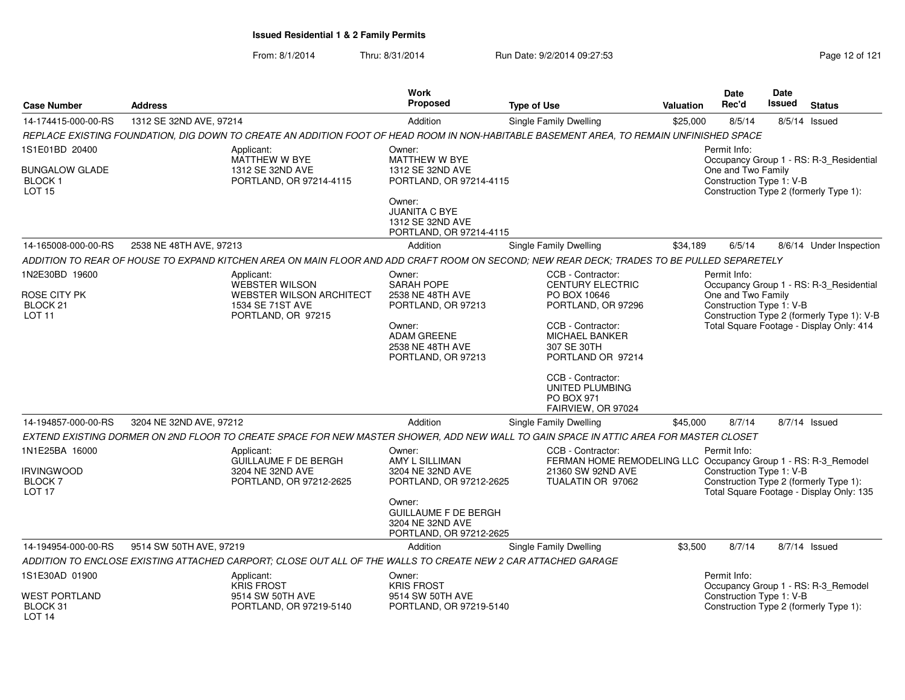From: 8/1/2014Thru: 8/31/2014 Run Date: 9/2/2014 09:27:53 Page 12 of 121

| <b>Case Number</b>                                                                                   | <b>Address</b>          |                                                                                                                                            | Work<br><b>Proposed</b>                                                                                                                                         | <b>Type of Use</b>                                                                                                            | <b>Valuation</b>                                                   | <b>Date</b><br>Rec'd                           | <b>Date</b><br>Issued                                                             | <b>Status</b>                                                                      |  |
|------------------------------------------------------------------------------------------------------|-------------------------|--------------------------------------------------------------------------------------------------------------------------------------------|-----------------------------------------------------------------------------------------------------------------------------------------------------------------|-------------------------------------------------------------------------------------------------------------------------------|--------------------------------------------------------------------|------------------------------------------------|-----------------------------------------------------------------------------------|------------------------------------------------------------------------------------|--|
| 14-174415-000-00-RS                                                                                  | 1312 SE 32ND AVE, 97214 |                                                                                                                                            | Addition                                                                                                                                                        | Single Family Dwelling                                                                                                        | \$25,000                                                           | 8/5/14                                         |                                                                                   | 8/5/14 Issued                                                                      |  |
|                                                                                                      |                         | REPLACE EXISTING FOUNDATION, DIG DOWN TO CREATE AN ADDITION FOOT OF HEAD ROOM IN NON-HABITABLE BASEMENT AREA, TO REMAIN UNFINISHED SPACE   |                                                                                                                                                                 |                                                                                                                               |                                                                    |                                                |                                                                                   |                                                                                    |  |
| 1S1E01BD 20400                                                                                       |                         | Applicant:                                                                                                                                 | Owner:                                                                                                                                                          |                                                                                                                               |                                                                    | Permit Info:                                   |                                                                                   |                                                                                    |  |
| <b>BUNGALOW GLADE</b><br>BLOCK <sub>1</sub><br><b>LOT 15</b>                                         |                         | MATTHEW W BYE<br>1312 SE 32ND AVE<br>PORTLAND, OR 97214-4115                                                                               | MATTHEW W BYE<br>1312 SE 32ND AVE<br>PORTLAND, OR 97214-4115                                                                                                    |                                                                                                                               |                                                                    | One and Two Family<br>Construction Type 1: V-B | Occupancy Group 1 - RS: R-3_Residential<br>Construction Type 2 (formerly Type 1): |                                                                                    |  |
|                                                                                                      |                         |                                                                                                                                            | Owner:<br><b>JUANITA C BYE</b><br>1312 SE 32ND AVE<br>PORTLAND, OR 97214-4115                                                                                   |                                                                                                                               |                                                                    |                                                |                                                                                   |                                                                                    |  |
| 14-165008-000-00-RS                                                                                  | 2538 NE 48TH AVE, 97213 |                                                                                                                                            | Addition                                                                                                                                                        | Single Family Dwelling                                                                                                        | \$34,189                                                           | 6/5/14                                         |                                                                                   | 8/6/14 Under Inspection                                                            |  |
|                                                                                                      |                         | ADDITION TO REAR OF HOUSE TO EXPAND KITCHEN AREA ON MAIN FLOOR AND ADD CRAFT ROOM ON SECOND; NEW REAR DECK; TRADES TO BE PULLED SEPARETELY |                                                                                                                                                                 |                                                                                                                               |                                                                    |                                                |                                                                                   |                                                                                    |  |
| 1N2E30BD 19600<br>ROSE CITY PK                                                                       |                         | Applicant:<br><b>WEBSTER WILSON</b><br><b>WEBSTER WILSON ARCHITECT</b>                                                                     | Owner:<br><b>SARAH POPE</b><br>2538 NE 48TH AVE                                                                                                                 | CCB - Contractor:<br><b>CENTURY ELECTRIC</b><br>PO BOX 10646                                                                  |                                                                    | Permit Info:<br>One and Two Family             |                                                                                   | Occupancy Group 1 - RS: R-3 Residential                                            |  |
| BLOCK <sub>21</sub><br><b>LOT 11</b>                                                                 |                         | 1534 SE 71ST AVE<br>PORTLAND, OR 97215                                                                                                     | PORTLAND, OR 97213                                                                                                                                              | PORTLAND, OR 97296                                                                                                            |                                                                    | Construction Type 1: V-B                       |                                                                                   | Construction Type 2 (formerly Type 1): V-B                                         |  |
|                                                                                                      |                         |                                                                                                                                            | Owner:<br>ADAM GREENE<br>2538 NE 48TH AVE<br>PORTLAND, OR 97213                                                                                                 | CCB - Contractor:<br>MICHAEL BANKER<br>307 SE 30TH<br>PORTLAND OR 97214                                                       |                                                                    |                                                |                                                                                   | Total Square Footage - Display Only: 414                                           |  |
|                                                                                                      |                         |                                                                                                                                            |                                                                                                                                                                 | CCB - Contractor:<br>UNITED PLUMBING<br><b>PO BOX 971</b><br>FAIRVIEW, OR 97024                                               |                                                                    |                                                |                                                                                   |                                                                                    |  |
| 14-194857-000-00-RS                                                                                  | 3204 NE 32ND AVE, 97212 |                                                                                                                                            | Addition                                                                                                                                                        | Single Family Dwelling                                                                                                        | \$45,000                                                           | 8/7/14                                         |                                                                                   | 8/7/14 Issued                                                                      |  |
|                                                                                                      |                         | EXTEND EXISTING DORMER ON 2ND FLOOR TO CREATE SPACE FOR NEW MASTER SHOWER, ADD NEW WALL TO GAIN SPACE IN ATTIC AREA FOR MASTER CLOSET      |                                                                                                                                                                 |                                                                                                                               |                                                                    |                                                |                                                                                   |                                                                                    |  |
| 1N1E25BA 16000<br><b>IRVINGWOOD</b><br>BLOCK <sub>7</sub><br>LOT <sub>17</sub>                       |                         | Applicant:<br><b>GUILLAUME F DE BERGH</b><br>3204 NE 32ND AVE<br>PORTLAND, OR 97212-2625                                                   | Owner:<br>AMY L SILLIMAN<br>3204 NE 32ND AVE<br>PORTLAND, OR 97212-2625<br>Owner:<br><b>GUILLAUME F DE BERGH</b><br>3204 NE 32ND AVE<br>PORTLAND, OR 97212-2625 | CCB - Contractor:<br>FERMAN HOME REMODELING LLC Occupancy Group 1 - RS: R-3_Remodel<br>21360 SW 92ND AVE<br>TUALATIN OR 97062 |                                                                    | Permit Info:<br>Construction Type 1: V-B       |                                                                                   | Construction Type 2 (formerly Type 1):<br>Total Square Footage - Display Only: 135 |  |
| 14-194954-000-00-RS                                                                                  | 9514 SW 50TH AVE, 97219 |                                                                                                                                            | Addition                                                                                                                                                        | Single Family Dwelling                                                                                                        | \$3,500                                                            | 8/7/14                                         |                                                                                   | 8/7/14 Issued                                                                      |  |
|                                                                                                      |                         | ADDITION TO ENCLOSE EXISTING ATTACHED CARPORT; CLOSE OUT ALL OF THE WALLS TO CREATE NEW 2 CAR ATTACHED GARAGE                              |                                                                                                                                                                 |                                                                                                                               |                                                                    |                                                |                                                                                   |                                                                                    |  |
| 1S1E30AD 01900<br>Applicant:<br><b>KRIS FROST</b>                                                    |                         |                                                                                                                                            | Owner:<br><b>KRIS FROST</b>                                                                                                                                     |                                                                                                                               | Permit Info:<br>Occupancy Group 1 - RS: R-3_Remodel                |                                                |                                                                                   |                                                                                    |  |
| <b>WEST PORTLAND</b><br>9514 SW 50TH AVE<br>BLOCK 31<br>PORTLAND, OR 97219-5140<br>LOT <sub>14</sub> |                         | 9514 SW 50TH AVE<br>PORTLAND, OR 97219-5140                                                                                                |                                                                                                                                                                 |                                                                                                                               | Construction Type 1: V-B<br>Construction Type 2 (formerly Type 1): |                                                |                                                                                   |                                                                                    |  |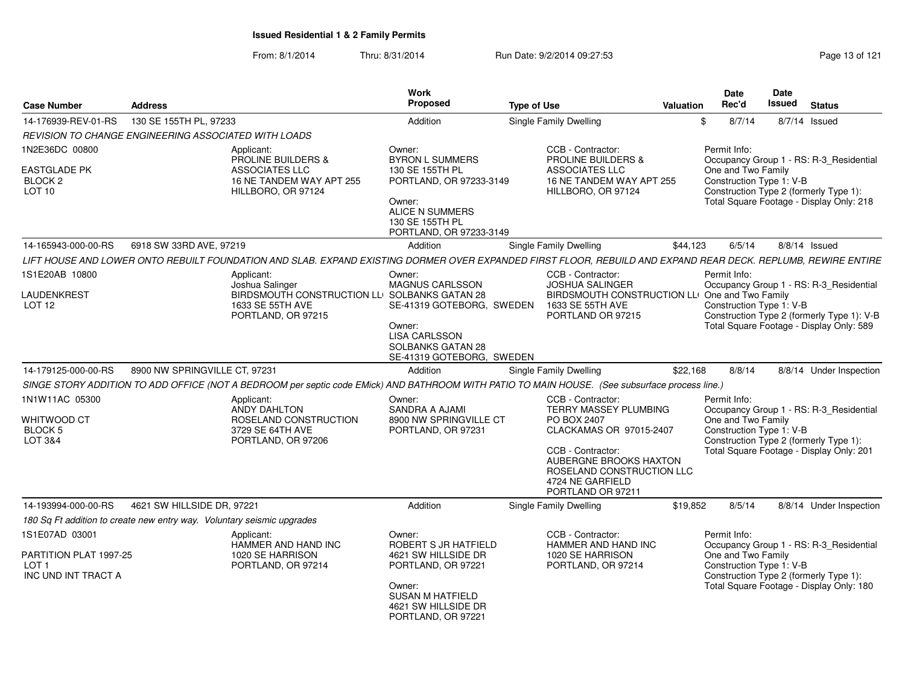| <b>Case Number</b>                                                | <b>Address</b>                                                         |                                                                                                                                                               | Work<br><b>Proposed</b>                                                                                               | <b>Type of Use</b> |                                                                                                                                        | Valuation | Date<br>Rec'd      |        | Date<br>Issued<br><b>Status</b>                                                                                    |  |
|-------------------------------------------------------------------|------------------------------------------------------------------------|---------------------------------------------------------------------------------------------------------------------------------------------------------------|-----------------------------------------------------------------------------------------------------------------------|--------------------|----------------------------------------------------------------------------------------------------------------------------------------|-----------|--------------------|--------|--------------------------------------------------------------------------------------------------------------------|--|
| 14-176939-REV-01-RS                                               | 130 SE 155TH PL, 97233                                                 |                                                                                                                                                               | Addition                                                                                                              |                    | <b>Single Family Dwelling</b>                                                                                                          |           |                    | 8/7/14 | 8/7/14 Issued                                                                                                      |  |
|                                                                   | REVISION TO CHANGE ENGINEERING ASSOCIATED WITH LOADS                   |                                                                                                                                                               |                                                                                                                       |                    |                                                                                                                                        |           |                    |        |                                                                                                                    |  |
| 1N2E36DC 00800                                                    |                                                                        | Applicant:<br><b>PROLINE BUILDERS &amp;</b>                                                                                                                   | Owner:<br><b>BYRON L SUMMERS</b>                                                                                      |                    | CCB - Contractor:<br><b>PROLINE BUILDERS &amp;</b>                                                                                     |           | Permit Info:       |        | Occupancy Group 1 - RS: R-3 Residential                                                                            |  |
| <b>EASTGLADE PK</b><br>BLOCK 2<br><b>LOT 10</b>                   |                                                                        | <b>ASSOCIATES LLC</b><br>16 NE TANDEM WAY APT 255<br>HILLBORO, OR 97124                                                                                       | 130 SE 155TH PL<br>PORTLAND, OR 97233-3149<br>Owner:<br>ALICE N SUMMERS<br>130 SE 155TH PL<br>PORTLAND, OR 97233-3149 |                    | <b>ASSOCIATES LLC</b><br>16 NE TANDEM WAY APT 255<br>HILLBORO, OR 97124                                                                |           | One and Two Family |        | Construction Type 1: V-B<br>Construction Type 2 (formerly Type 1):<br>Total Square Footage - Display Only: 218     |  |
| 14-165943-000-00-RS                                               | 6918 SW 33RD AVE, 97219                                                |                                                                                                                                                               | Addition                                                                                                              |                    | <b>Single Family Dwelling</b>                                                                                                          | \$44,123  |                    | 6/5/14 | $8/8/14$ Issued                                                                                                    |  |
|                                                                   |                                                                        | LIFT HOUSE AND LOWER ONTO REBUILT FOUNDATION AND SLAB. EXPAND EXISTING DORMER OVER EXPANDED FIRST FLOOR, REBUILD AND EXPAND REAR DECK. REPLUMB, REWIRE ENTIRE |                                                                                                                       |                    |                                                                                                                                        |           |                    |        |                                                                                                                    |  |
| 1S1E20AB 10800                                                    |                                                                        | Applicant:<br>Joshua Salinger                                                                                                                                 | Owner:<br><b>MAGNUS CARLSSON</b>                                                                                      |                    | CCB - Contractor:<br><b>JOSHUA SALINGER</b>                                                                                            |           | Permit Info:       |        | Occupancy Group 1 - RS: R-3 Residential                                                                            |  |
| LAUDENKREST<br>LOT <sub>12</sub>                                  |                                                                        | BIRDSMOUTH CONSTRUCTION LLI SOLBANKS GATAN 28<br>1633 SE 55TH AVE<br>PORTLAND, OR 97215                                                                       | SE-41319 GOTEBORG, SWEDEN<br>Owner:<br><b>LISA CARLSSON</b><br><b>SOLBANKS GATAN 28</b><br>SE-41319 GOTEBORG, SWEDEN  |                    | BIRDSMOUTH CONSTRUCTION LL<br>1633 SE 55TH AVE<br>PORTLAND OR 97215                                                                    |           | One and Two Family |        | Construction Type 1: V-B<br>Construction Type 2 (formerly Type 1): V-B<br>Total Square Footage - Display Only: 589 |  |
| 14-179125-000-00-RS                                               | 8900 NW SPRINGVILLE CT. 97231                                          |                                                                                                                                                               | Addition                                                                                                              |                    | <b>Single Family Dwelling</b>                                                                                                          | \$22.168  |                    | 8/8/14 | 8/8/14 Under Inspection                                                                                            |  |
|                                                                   |                                                                        | SINGE STORY ADDITION TO ADD OFFICE (NOT A BEDROOM per septic code EMick) AND BATHROOM WITH PATIO TO MAIN HOUSE. (See subsurface process line.)                |                                                                                                                       |                    |                                                                                                                                        |           |                    |        |                                                                                                                    |  |
| 1N1W11AC 05300                                                    |                                                                        | Applicant:<br>ANDY DAHLTON                                                                                                                                    | Owner:<br>SANDRA A AJAMI                                                                                              |                    | CCB - Contractor:<br>TERRY MASSEY PLUMBING                                                                                             |           | Permit Info:       |        | Occupancy Group 1 - RS: R-3 Residential                                                                            |  |
| WHITWOOD CT<br>BLOCK 5<br>LOT 3&4                                 |                                                                        | ROSELAND CONSTRUCTION<br>3729 SE 64TH AVE<br>PORTLAND, OR 97206                                                                                               | 8900 NW SPRINGVILLE CT<br>PORTLAND, OR 97231                                                                          |                    | PO BOX 2407<br>CLACKAMAS OR 97015-2407<br>CCB - Contractor:<br>AUBERGNE BROOKS HAXTON<br>ROSELAND CONSTRUCTION LLC<br>4724 NE GARFIELD |           | One and Two Family |        | Construction Type 1: V-B<br>Construction Type 2 (formerly Type 1):<br>Total Square Footage - Display Only: 201     |  |
|                                                                   |                                                                        |                                                                                                                                                               |                                                                                                                       |                    | PORTLAND OR 97211                                                                                                                      |           |                    |        |                                                                                                                    |  |
| 14-193994-000-00-RS                                               | 4621 SW HILLSIDE DR. 97221                                             |                                                                                                                                                               | Addition                                                                                                              |                    | Single Family Dwelling                                                                                                                 | \$19.852  |                    | 8/5/14 | 8/8/14 Under Inspection                                                                                            |  |
|                                                                   | 180 Sq Ft addition to create new entry way. Voluntary seismic upgrades |                                                                                                                                                               |                                                                                                                       |                    |                                                                                                                                        |           |                    |        |                                                                                                                    |  |
| 1S1E07AD 03001                                                    |                                                                        | Applicant:<br>HAMMER AND HAND INC                                                                                                                             | Owner:<br>ROBERT S JR HATFIELD                                                                                        |                    | CCB - Contractor:<br>HAMMER AND HAND INC                                                                                               |           | Permit Info:       |        | Occupancy Group 1 - RS: R-3_Residential                                                                            |  |
| PARTITION PLAT 1997-25<br>LOT <sub>1</sub><br>INC UND INT TRACT A |                                                                        | 1020 SE HARRISON<br>PORTLAND, OR 97214                                                                                                                        | 4621 SW HILLSIDE DR<br>PORTLAND, OR 97221                                                                             |                    | 1020 SE HARRISON<br>PORTLAND, OR 97214                                                                                                 |           | One and Two Family |        | Construction Type 1: V-B<br>Construction Type 2 (formerly Type 1):                                                 |  |
|                                                                   |                                                                        |                                                                                                                                                               | Owner:<br><b>SUSAN M HATFIELD</b><br>4621 SW HILLSIDE DR<br>PORTLAND, OR 97221                                        |                    |                                                                                                                                        |           |                    |        | Total Square Footage - Display Only: 180                                                                           |  |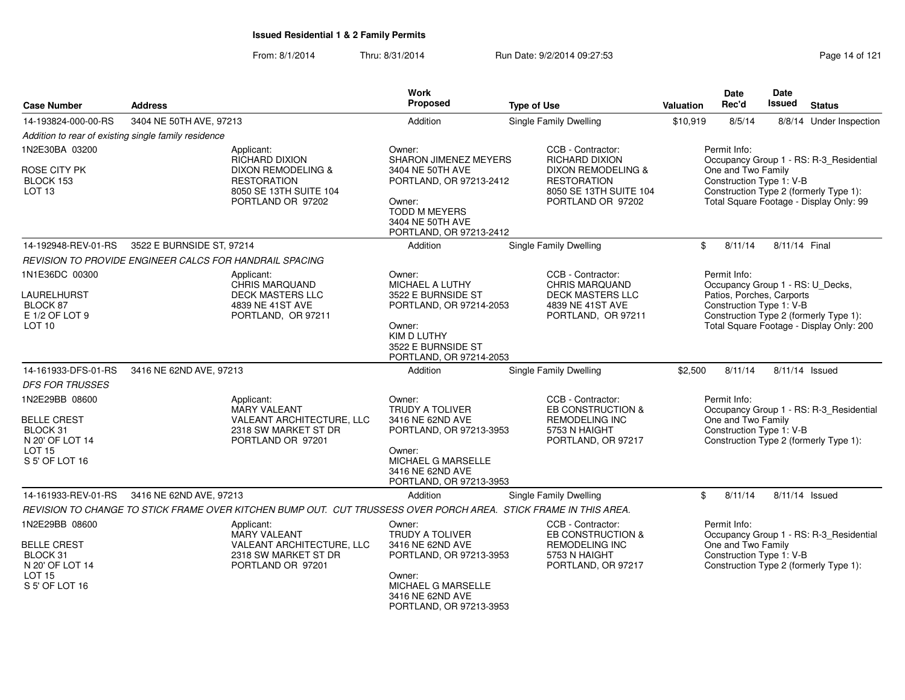| <b>Case Number</b>                                                                                     | <b>Address</b>                                          |                                                                                                                  | <b>Work</b><br><b>Proposed</b>                                                                                                                                 | <b>Type of Use</b>                                                                                               | <b>Valuation</b> | Date<br>Rec'd                                                         | <b>Date</b><br>Issued | <b>Status</b>                                                                                                                |
|--------------------------------------------------------------------------------------------------------|---------------------------------------------------------|------------------------------------------------------------------------------------------------------------------|----------------------------------------------------------------------------------------------------------------------------------------------------------------|------------------------------------------------------------------------------------------------------------------|------------------|-----------------------------------------------------------------------|-----------------------|------------------------------------------------------------------------------------------------------------------------------|
|                                                                                                        |                                                         |                                                                                                                  |                                                                                                                                                                |                                                                                                                  |                  |                                                                       |                       |                                                                                                                              |
| 14-193824-000-00-RS                                                                                    | 3404 NE 50TH AVE, 97213                                 |                                                                                                                  | Addition                                                                                                                                                       | Single Family Dwelling                                                                                           | \$10,919         | 8/5/14                                                                |                       | 8/8/14 Under Inspection                                                                                                      |
| 1N2E30BA 03200                                                                                         | Addition to rear of existing single family residence    | Applicant:                                                                                                       | Owner:                                                                                                                                                         | CCB - Contractor:                                                                                                |                  | Permit Info:                                                          |                       |                                                                                                                              |
| ROSE CITY PK<br>BLOCK 153<br>LOT <sub>13</sub>                                                         |                                                         | RICHARD DIXION<br>DIXON REMODELING &<br><b>RESTORATION</b><br>8050 SE 13TH SUITE 104<br>PORTLAND OR 97202        | <b>SHARON JIMENEZ MEYERS</b><br>3404 NE 50TH AVE<br>PORTLAND, OR 97213-2412<br>Owner:<br><b>TODD M MEYERS</b><br>3404 NE 50TH AVE<br>PORTLAND, OR 97213-2412   | <b>RICHARD DIXION</b><br>DIXON REMODELING &<br><b>RESTORATION</b><br>8050 SE 13TH SUITE 104<br>PORTLAND OR 97202 |                  | One and Two Family<br>Construction Type 1: V-B                        |                       | Occupancy Group 1 - RS: R-3_Residential<br>Construction Type 2 (formerly Type 1):<br>Total Square Footage - Display Only: 99 |
| 14-192948-REV-01-RS                                                                                    | 3522 E BURNSIDE ST, 97214                               |                                                                                                                  | Addition                                                                                                                                                       | Single Family Dwelling                                                                                           | $\mathbb{S}$     | 8/11/14                                                               | 8/11/14 Final         |                                                                                                                              |
|                                                                                                        | REVISION TO PROVIDE ENGINEER CALCS FOR HANDRAIL SPACING |                                                                                                                  |                                                                                                                                                                |                                                                                                                  |                  |                                                                       |                       |                                                                                                                              |
| 1N1E36DC 00300<br>LAURELHURST<br>BLOCK 87<br>E 1/2 OF LOT 9<br>LOT <sub>10</sub>                       |                                                         | Applicant:<br>CHRIS MARQUAND<br><b>DECK MASTERS LLC</b><br>4839 NE 41ST AVE<br>PORTLAND, OR 97211                | Owner:<br>MICHAEL A LUTHY<br>3522 E BURNSIDE ST<br>PORTLAND, OR 97214-2053<br>Owner:<br>KIM D LUTHY<br>3522 E BURNSIDE ST<br>PORTLAND, OR 97214-2053           | CCB - Contractor:<br><b>CHRIS MARQUAND</b><br><b>DECK MASTERS LLC</b><br>4839 NE 41ST AVE<br>PORTLAND, OR 97211  |                  | Permit Info:<br>Patios, Porches, Carports<br>Construction Type 1: V-B |                       | Occupancy Group 1 - RS: U_Decks,<br>Construction Type 2 (formerly Type 1):<br>Total Square Footage - Display Only: 200       |
| 14-161933-DFS-01-RS                                                                                    | 3416 NE 62ND AVE, 97213                                 |                                                                                                                  | Addition                                                                                                                                                       | <b>Single Family Dwelling</b>                                                                                    | \$2,500          | 8/11/14                                                               |                       | 8/11/14 Issued                                                                                                               |
| <b>DFS FOR TRUSSES</b>                                                                                 |                                                         |                                                                                                                  |                                                                                                                                                                |                                                                                                                  |                  |                                                                       |                       |                                                                                                                              |
| 1N2E29BB 08600<br><b>BELLE CREST</b><br>BLOCK 31<br>N 20' OF LOT 14<br><b>LOT 15</b>                   |                                                         | Applicant:<br><b>MARY VALEANT</b><br>VALEANT ARCHITECTURE, LLC<br>2318 SW MARKET ST DR<br>PORTLAND OR 97201      | Owner:<br><b>TRUDY A TOLIVER</b><br>3416 NE 62ND AVE<br>PORTLAND, OR 97213-3953<br>Owner:                                                                      | CCB - Contractor:<br>EB CONSTRUCTION &<br><b>REMODELING INC</b><br>5753 N HAIGHT<br>PORTLAND, OR 97217           |                  | Permit Info:<br>One and Two Family<br>Construction Type 1: V-B        |                       | Occupancy Group 1 - RS: R-3_Residential<br>Construction Type 2 (formerly Type 1):                                            |
| S 5' OF LOT 16                                                                                         |                                                         |                                                                                                                  | MICHAEL G MARSELLE<br>3416 NE 62ND AVE<br>PORTLAND, OR 97213-3953                                                                                              |                                                                                                                  |                  |                                                                       |                       |                                                                                                                              |
| 14-161933-REV-01-RS                                                                                    | 3416 NE 62ND AVE, 97213                                 |                                                                                                                  | Addition                                                                                                                                                       | Single Family Dwelling                                                                                           | \$               | 8/11/14                                                               |                       | 8/11/14 Issued                                                                                                               |
|                                                                                                        |                                                         | REVISION TO CHANGE TO STICK FRAME OVER KITCHEN BUMP OUT. CUT TRUSSESS OVER PORCH AREA. STICK FRAME IN THIS AREA. |                                                                                                                                                                |                                                                                                                  |                  |                                                                       |                       |                                                                                                                              |
| 1N2E29BB 08600<br><b>BELLE CREST</b><br>BLOCK 31<br>N 20' OF LOT 14<br><b>LOT 15</b><br>S 5' OF LOT 16 |                                                         | Applicant:<br><b>MARY VALEANT</b><br>VALEANT ARCHITECTURE, LLC<br>2318 SW MARKET ST DR<br>PORTLAND OR 97201      | Owner:<br><b>TRUDY A TOLIVER</b><br>3416 NE 62ND AVE<br>PORTLAND, OR 97213-3953<br>Owner:<br>MICHAEL G MARSELLE<br>3416 NE 62ND AVE<br>PORTLAND, OR 97213-3953 | CCB - Contractor:<br>EB CONSTRUCTION &<br><b>REMODELING INC</b><br>5753 N HAIGHT<br>PORTLAND, OR 97217           |                  | Permit Info:<br>One and Two Family<br>Construction Type 1: V-B        |                       | Occupancy Group 1 - RS: R-3_Residential<br>Construction Type 2 (formerly Type 1):                                            |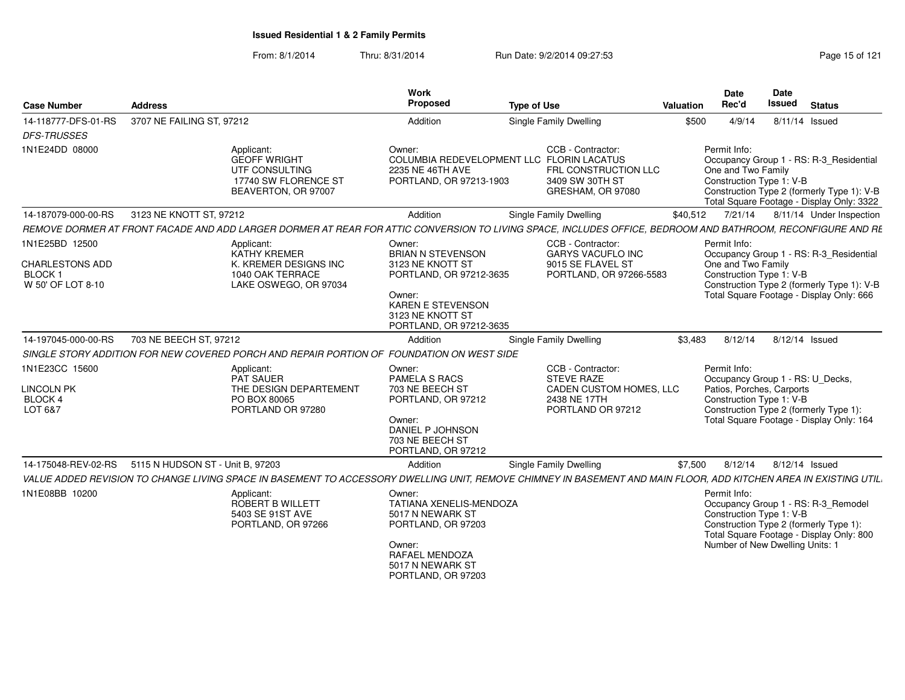| <b>Case Number</b>                                                             | <b>Address</b>                                                                                                                                                    | Work<br>Proposed                                                                                                                                                | <b>Type of Use</b>                                                                                                             | <b>Valuation</b> | Date<br>Rec'd                                                               | Date<br><b>Issued</b> | <b>Status</b>                                                                                                                      |
|--------------------------------------------------------------------------------|-------------------------------------------------------------------------------------------------------------------------------------------------------------------|-----------------------------------------------------------------------------------------------------------------------------------------------------------------|--------------------------------------------------------------------------------------------------------------------------------|------------------|-----------------------------------------------------------------------------|-----------------------|------------------------------------------------------------------------------------------------------------------------------------|
| 14-118777-DFS-01-RS<br><b>DFS-TRUSSES</b>                                      | 3707 NE FAILING ST, 97212                                                                                                                                         | Addition                                                                                                                                                        | <b>Single Family Dwelling</b>                                                                                                  | \$500            | 4/9/14                                                                      |                       | 8/11/14 Issued                                                                                                                     |
| 1N1E24DD 08000                                                                 | Applicant:<br><b>GEOFF WRIGHT</b><br>UTF CONSULTING<br>17740 SW FLORENCE ST<br>BEAVERTON, OR 97007                                                                | Owner:<br>2235 NE 46TH AVE<br>PORTLAND, OR 97213-1903                                                                                                           | CCB - Contractor:<br>COLUMBIA REDEVELOPMENT LLC FLORIN LACATUS<br>FRL CONSTRUCTION LLC<br>3409 SW 30TH ST<br>GRESHAM, OR 97080 |                  | Permit Info:<br>One and Two Family<br>Construction Type 1: V-B              |                       | Occupancy Group 1 - RS: R-3 Residential<br>Construction Type 2 (formerly Type 1): V-B<br>Total Square Footage - Display Only: 3322 |
| 14-187079-000-00-RS                                                            | 3123 NE KNOTT ST, 97212                                                                                                                                           | Addition                                                                                                                                                        | <b>Single Family Dwelling</b>                                                                                                  | \$40,512         | 7/21/14                                                                     |                       | 8/11/14 Under Inspection                                                                                                           |
|                                                                                | REMOVE DORMER AT FRONT FACADE AND ADD LARGER DORMER AT REAR FOR ATTIC CONVERSION TO LIVING SPACE, INCLUDES OFFICE, BEDROOM AND BATHROOM, RECONFIGURE AND RE       |                                                                                                                                                                 |                                                                                                                                |                  |                                                                             |                       |                                                                                                                                    |
| 1N1E25BD 12500<br><b>CHARLESTONS ADD</b><br><b>BLOCK1</b><br>W 50' OF LOT 8-10 | Applicant:<br>KATHY KREMER<br>K. KREMER DESIGNS INC<br>1040 OAK TERRACE<br>LAKE OSWEGO, OR 97034                                                                  | Owner:<br><b>BRIAN N STEVENSON</b><br>3123 NE KNOTT ST<br>PORTLAND, OR 97212-3635<br>Owner:<br>KAREN E STEVENSON<br>3123 NE KNOTT ST<br>PORTLAND, OR 97212-3635 | CCB - Contractor:<br>GARYS VACUFLO INC<br>9015 SE FLAVEL ST<br>PORTLAND, OR 97266-5583                                         |                  | Permit Info:<br>One and Two Family<br>Construction Type 1: V-B              |                       | Occupancy Group 1 - RS: R-3 Residential<br>Construction Type 2 (formerly Type 1): V-B<br>Total Square Footage - Display Only: 666  |
| 14-197045-000-00-RS                                                            | 703 NE BEECH ST, 97212                                                                                                                                            | Addition                                                                                                                                                        | <b>Single Family Dwelling</b>                                                                                                  | \$3.483          | 8/12/14                                                                     |                       | 8/12/14 Issued                                                                                                                     |
|                                                                                | SINGLE STORY ADDITION FOR NEW COVERED PORCH AND REPAIR PORTION OF FOUNDATION ON WEST SIDE                                                                         |                                                                                                                                                                 |                                                                                                                                |                  |                                                                             |                       |                                                                                                                                    |
| 1N1E23CC 15600<br><b>LINCOLN PK</b>                                            | Applicant:<br><b>PAT SAUER</b><br>THE DESIGN DEPARTEMENT                                                                                                          | Owner:<br><b>PAMELA S RACS</b><br>703 NE BEECH ST                                                                                                               | CCB - Contractor:<br><b>STEVE RAZE</b><br>CADEN CUSTOM HOMES, LLC                                                              |                  | Permit Info:<br>Patios, Porches, Carports                                   |                       | Occupancy Group 1 - RS: U Decks,                                                                                                   |
| BLOCK 4<br>LOT 6&7                                                             | PO BOX 80065<br>PORTLAND OR 97280                                                                                                                                 | PORTLAND, OR 97212<br>Owner:<br>DANIEL P JOHNSON<br>703 NE BEECH ST<br>PORTLAND, OR 97212                                                                       | 2438 NE 17TH<br>PORTLAND OR 97212                                                                                              |                  | Construction Type 1: V-B                                                    |                       | Construction Type 2 (formerly Type 1):<br>Total Square Footage - Display Only: 164                                                 |
| 14-175048-REV-02-RS                                                            | 5115 N HUDSON ST - Unit B, 97203                                                                                                                                  | Addition                                                                                                                                                        | <b>Single Family Dwelling</b>                                                                                                  | \$7,500          | 8/12/14                                                                     |                       | 8/12/14 Issued                                                                                                                     |
|                                                                                | VALUE ADDED REVISION TO CHANGE LIVING SPACE IN BASEMENT TO ACCESSORY DWELLING UNIT, REMOVE CHIMNEY IN BASEMENT AND MAIN FLOOR, ADD KITCHEN AREA IN EXISTING UTIL. |                                                                                                                                                                 |                                                                                                                                |                  |                                                                             |                       |                                                                                                                                    |
| 1N1E08BB 10200                                                                 | Applicant:<br>ROBERT B WILLETT<br>5403 SE 91ST AVE<br>PORTLAND, OR 97266                                                                                          | Owner:<br>TATIANA XENELIS-MENDOZA<br>5017 N NEWARK ST<br>PORTLAND, OR 97203<br>Owner:<br>RAFAEL MENDOZA<br>5017 N NEWARK ST<br>PORTLAND, OR 97203               |                                                                                                                                |                  | Permit Info:<br>Construction Type 1: V-B<br>Number of New Dwelling Units: 1 |                       | Occupancy Group 1 - RS: R-3_Remodel<br>Construction Type 2 (formerly Type 1):<br>Total Square Footage - Display Only: 800          |
|                                                                                |                                                                                                                                                                   |                                                                                                                                                                 |                                                                                                                                |                  |                                                                             |                       |                                                                                                                                    |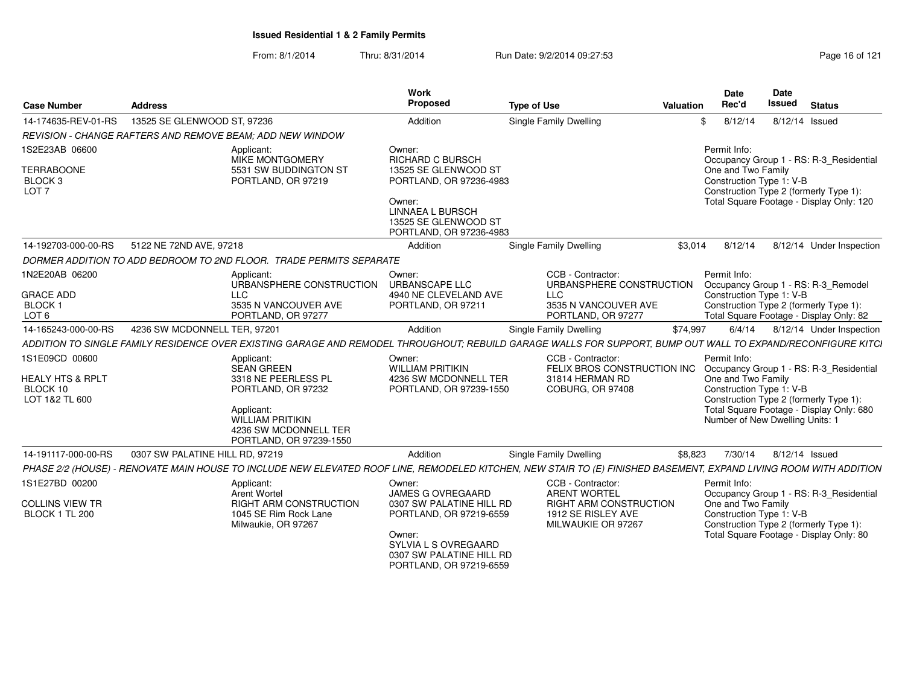|                                                                               |                                                                                                                                        |                          | Work                                                                                                                                         |                                                                    | Date<br>Date                                                                                                                                                            |
|-------------------------------------------------------------------------------|----------------------------------------------------------------------------------------------------------------------------------------|--------------------------|----------------------------------------------------------------------------------------------------------------------------------------------|--------------------------------------------------------------------|-------------------------------------------------------------------------------------------------------------------------------------------------------------------------|
| <b>Case Number</b>                                                            | <b>Address</b>                                                                                                                         |                          | Proposed                                                                                                                                     | <b>Type of Use</b>                                                 | <b>Issued</b><br>Rec'd<br>Valuation<br><b>Status</b>                                                                                                                    |
| 14-174635-REV-01-RS                                                           | 13525 SE GLENWOOD ST, 97236                                                                                                            |                          | Addition                                                                                                                                     | Single Family Dwelling                                             | 8/12/14<br>8/12/14 Issued                                                                                                                                               |
|                                                                               | <b>REVISION - CHANGE RAFTERS AND REMOVE BEAM: ADD NEW WINDOW</b>                                                                       |                          |                                                                                                                                              |                                                                    |                                                                                                                                                                         |
| 1S2E23AB 06600<br><b>TERRABOONE</b><br>BLOCK <sub>3</sub><br>LOT <sub>7</sub> | Applicant:<br>MIKE MONTGOMERY<br>5531 SW BUDDINGTON ST<br>PORTLAND, OR 97219                                                           |                          | Owner:<br><b>RICHARD C BURSCH</b><br>13525 SE GLENWOOD ST<br>PORTLAND, OR 97236-4983                                                         |                                                                    | Permit Info:<br>Occupancy Group 1 - RS: R-3_Residential<br>One and Two Family<br>Construction Type 1: V-B<br>Construction Type 2 (formerly Type 1):                     |
|                                                                               |                                                                                                                                        |                          | Owner:<br><b>LINNAEA L BURSCH</b><br>13525 SE GLENWOOD ST<br>PORTLAND, OR 97236-4983                                                         |                                                                    | Total Square Footage - Display Only: 120                                                                                                                                |
| 14-192703-000-00-RS                                                           | 5122 NE 72ND AVE, 97218                                                                                                                |                          | Addition                                                                                                                                     | <b>Single Family Dwelling</b>                                      | \$3,014<br>8/12/14<br>8/12/14 Under Inspection                                                                                                                          |
|                                                                               | DORMER ADDITION TO ADD BEDROOM TO 2ND FLOOR. TRADE PERMITS SEPARATE                                                                    |                          |                                                                                                                                              |                                                                    |                                                                                                                                                                         |
| 1N2E20AB 06200                                                                | Applicant:                                                                                                                             | URBANSPHERE CONSTRUCTION | Owner:<br><b>URBANSCAPE LLC</b>                                                                                                              | CCB - Contractor:                                                  | Permit Info:<br>URBANSPHERE CONSTRUCTION  Occupancy Group 1 - RS: R-3_Remodel                                                                                           |
| <b>GRACE ADD</b><br><b>BLOCK</b><br>LOT <sub>6</sub>                          | <b>LLC</b><br>3535 N VANCOUVER AVE<br>PORTLAND, OR 97277                                                                               |                          | 4940 NE CLEVELAND AVE<br>PORTLAND, OR 97211                                                                                                  | LLC<br>3535 N VANCOUVER AVE<br>PORTLAND, OR 97277                  | Construction Type 1: V-B<br>Construction Type 2 (formerly Type 1):<br>Total Square Footage - Display Only: 82                                                           |
| 14-165243-000-00-RS                                                           | 4236 SW MCDONNELL TER, 9720                                                                                                            |                          | Addition                                                                                                                                     | <b>Single Family Dwelling</b>                                      | \$74,997<br>6/4/14<br>8/12/14 Under Inspection                                                                                                                          |
|                                                                               |                                                                                                                                        |                          |                                                                                                                                              |                                                                    | ADDITION TO SINGLE FAMILY RESIDENCE OVER EXISTING GARAGE AND REMODEL THROUGHOUT; REBUILD GARAGE WALLS FOR SUPPORT, BUMP OUT WALL TO EXPAND/RECONFIGURE KITCI            |
| 1S1E09CD 00600                                                                | Applicant:<br>SEAN GREEN                                                                                                               |                          | Owner:<br><b>WILLIAM PRITIKIN</b>                                                                                                            | CCB - Contractor:                                                  | Permit Info:<br>FELIX BROS CONSTRUCTION INC Occupancy Group 1 - RS: R-3_Residential                                                                                     |
| <b>HEALY HTS &amp; RPLT</b><br>BLOCK 10<br>LOT 1&2 TL 600                     | 3318 NE PEERLESS PL<br>PORTLAND, OR 97232<br>Applicant:<br><b>WILLIAM PRITIKIN</b><br>4236 SW MCDONNELL TER<br>PORTLAND, OR 97239-1550 |                          | 4236 SW MCDONNELL TER<br>PORTLAND, OR 97239-1550                                                                                             | 31814 HERMAN RD<br>COBURG, OR 97408                                | One and Two Family<br>Construction Type 1: V-B<br>Construction Type 2 (formerly Type 1):<br>Total Square Footage - Display Only: 680<br>Number of New Dwelling Units: 1 |
| 14-191117-000-00-RS                                                           | 0307 SW PALATINE HILL RD, 97219                                                                                                        |                          | Addition                                                                                                                                     | Single Family Dwelling                                             | \$8,823<br>8/12/14 Issued<br>7/30/14                                                                                                                                    |
| PHASE 2/2 (HOUSE) -                                                           |                                                                                                                                        |                          |                                                                                                                                              |                                                                    | - RENOVATE MAIN HOUSE TO INCLUDE NEW ELEVATED ROOF LINE, REMODELED KITCHEN, NEW STAIR TO (E) FINISHED BASEMENT, EXPAND LIVING ROOM WITH ADDITION                        |
| 1S1E27BD 00200                                                                | Applicant:<br>Arent Wortel                                                                                                             |                          | Owner:<br><b>JAMES G OVREGAARD</b>                                                                                                           | CCB - Contractor:<br><b>ARENT WORTEL</b>                           | Permit Info:<br>Occupancy Group 1 - RS: R-3_Residential                                                                                                                 |
| COLLINS VIEW TR<br>BLOCK 1 TL 200                                             | RIGHT ARM CONSTRUCTION<br>1045 SE Rim Rock Lane<br>Milwaukie, OR 97267                                                                 |                          | 0307 SW PALATINE HILL RD<br>PORTLAND, OR 97219-6559<br>Owner:<br>SYLVIA L S OVREGAARD<br>0307 SW PALATINE HILL RD<br>PORTLAND, OR 97219-6559 | RIGHT ARM CONSTRUCTION<br>1912 SE RISLEY AVE<br>MILWAUKIE OR 97267 | One and Two Family<br>Construction Type 1: V-B<br>Construction Type 2 (formerly Type 1):<br>Total Square Footage - Display Only: 80                                     |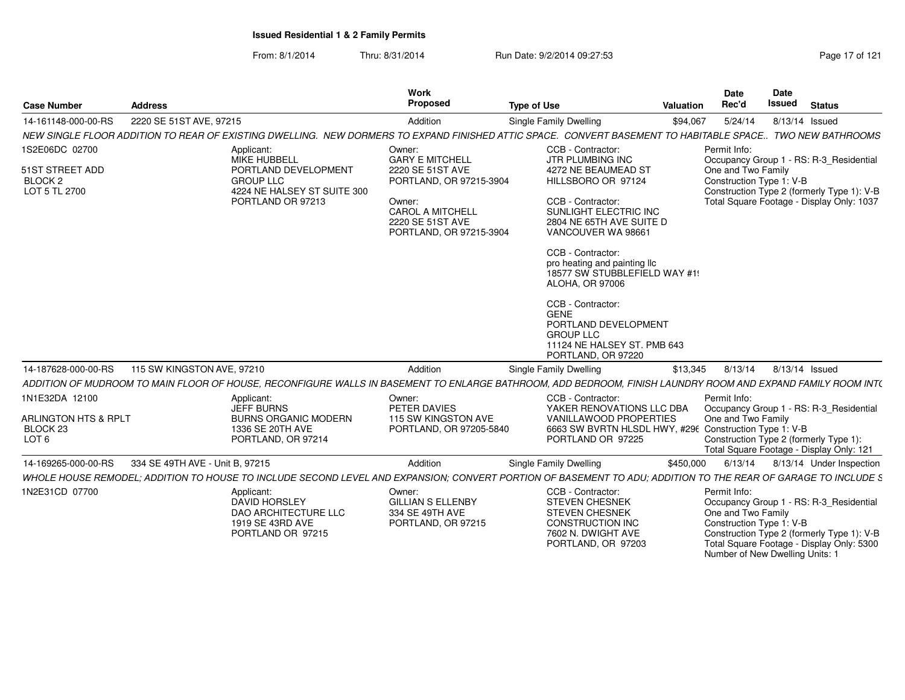| <b>Case Number</b>                                                                | <b>Address</b>                                                                                                                                                | Work<br>Proposed                                                                                                                                                    | <b>Type of Use</b>                                                                                                                                                                                                                                                                                                                                                                                                | <b>Valuation</b> | Date<br>Rec'd                                                  | <b>Date</b><br><b>Issued</b><br><b>Status</b>                                                                                                                         |
|-----------------------------------------------------------------------------------|---------------------------------------------------------------------------------------------------------------------------------------------------------------|---------------------------------------------------------------------------------------------------------------------------------------------------------------------|-------------------------------------------------------------------------------------------------------------------------------------------------------------------------------------------------------------------------------------------------------------------------------------------------------------------------------------------------------------------------------------------------------------------|------------------|----------------------------------------------------------------|-----------------------------------------------------------------------------------------------------------------------------------------------------------------------|
| 14-161148-000-00-RS                                                               | 2220 SE 51ST AVE, 97215                                                                                                                                       | Addition                                                                                                                                                            | <b>Single Family Dwelling</b>                                                                                                                                                                                                                                                                                                                                                                                     | \$94,067         | 5/24/14                                                        | 8/13/14 Issued                                                                                                                                                        |
|                                                                                   | NEW SINGLE FLOOR ADDITION TO REAR OF EXISTING DWELLING. NEW DORMERS TO EXPAND FINISHED ATTIC SPACE. CONVERT BASEMENT TO HABITABLE SPACE TWO NEW BATHROOMS     |                                                                                                                                                                     |                                                                                                                                                                                                                                                                                                                                                                                                                   |                  |                                                                |                                                                                                                                                                       |
| 1S2E06DC 02700<br>51ST STREET ADD<br>BLOCK <sub>2</sub><br>LOT 5 TL 2700          | Applicant:<br>MIKE HUBBELL<br>PORTLAND DEVELOPMENT<br><b>GROUP LLC</b><br>4224 NE HALSEY ST SUITE 300<br>PORTLAND OR 97213                                    | Owner:<br><b>GARY E MITCHELL</b><br>2220 SE 51ST AVE<br>PORTLAND, OR 97215-3904<br>Owner:<br><b>CAROL A MITCHELL</b><br>2220 SE 51ST AVE<br>PORTLAND, OR 97215-3904 | CCB - Contractor:<br>JTR PLUMBING INC<br>4272 NE BEAUMEAD ST<br>HILLSBORO OR 97124<br>CCB - Contractor:<br>SUNLIGHT ELECTRIC INC<br>2804 NE 65TH AVE SUITE D<br>VANCOUVER WA 98661<br>CCB - Contractor:<br>pro heating and painting IIc<br>18577 SW STUBBLEFIELD WAY #19<br><b>ALOHA, OR 97006</b><br>CCB - Contractor:<br><b>GENE</b><br>PORTLAND DEVELOPMENT<br><b>GROUP LLC</b><br>11124 NE HALSEY ST. PMB 643 |                  | Permit Info:<br>One and Two Family<br>Construction Type 1: V-B | Occupancy Group 1 - RS: R-3 Residential<br>Construction Type 2 (formerly Type 1): V-B<br>Total Square Footage - Display Only: 1037                                    |
| 14-187628-000-00-RS                                                               | 115 SW KINGSTON AVE, 97210                                                                                                                                    | Addition                                                                                                                                                            | PORTLAND, OR 97220<br>Single Family Dwelling                                                                                                                                                                                                                                                                                                                                                                      | \$13,345         | 8/13/14                                                        | 8/13/14 Issued                                                                                                                                                        |
|                                                                                   | ADDITION OF MUDROOM TO MAIN FLOOR OF HOUSE, RECONFIGURE WALLS IN BASEMENT TO ENLARGE BATHROOM, ADD BEDROOM, FINISH LAUNDRY ROOM AND EXPAND FAMILY ROOM INT(   |                                                                                                                                                                     |                                                                                                                                                                                                                                                                                                                                                                                                                   |                  |                                                                |                                                                                                                                                                       |
| 1N1E32DA 12100<br>ARLINGTON HTS & RPLT<br>BLOCK <sub>23</sub><br>LOT <sub>6</sub> | Applicant:<br><b>JEFF BURNS</b><br><b>BURNS ORGANIC MODERN</b><br>1336 SE 20TH AVE<br>PORTLAND, OR 97214                                                      | Owner:<br>PETER DAVIES<br>115 SW KINGSTON AVE<br>PORTLAND, OR 97205-5840                                                                                            | CCB - Contractor:<br>YAKER RENOVATIONS LLC DBA<br><b>VANILLAWOOD PROPERTIES</b><br>6663 SW BVRTN HLSDL HWY, #296 Construction Type 1: V-B<br>PORTLAND OR 97225                                                                                                                                                                                                                                                    |                  | Permit Info:<br>One and Two Family                             | Occupancy Group 1 - RS: R-3_Residential<br>Construction Type 2 (formerly Type 1):<br>Total Square Footage - Display Only: 121                                         |
| 14-169265-000-00-RS                                                               | 334 SE 49TH AVE - Unit B, 97215                                                                                                                               | Addition                                                                                                                                                            | Single Family Dwelling                                                                                                                                                                                                                                                                                                                                                                                            | \$450,000        | 6/13/14                                                        | 8/13/14 Under Inspection                                                                                                                                              |
|                                                                                   | WHOLE HOUSE REMODEL; ADDITION TO HOUSE TO INCLUDE SECOND LEVEL AND EXPANSION; CONVERT PORTION OF BASEMENT TO ADU; ADDITION TO THE REAR OF GARAGE TO INCLUDE S |                                                                                                                                                                     |                                                                                                                                                                                                                                                                                                                                                                                                                   |                  |                                                                |                                                                                                                                                                       |
| 1N2E31CD 07700                                                                    | Applicant:<br><b>DAVID HORSLEY</b><br>DAO ARCHITECTURE LLC<br>1919 SE 43RD AVE<br>PORTLAND OR 97215                                                           | Owner:<br><b>GILLIAN S ELLENBY</b><br>334 SE 49TH AVE<br>PORTLAND, OR 97215                                                                                         | CCB - Contractor:<br><b>STEVEN CHESNEK</b><br><b>STEVEN CHESNEK</b><br><b>CONSTRUCTION INC</b><br>7602 N. DWIGHT AVE<br>PORTLAND, OR 97203                                                                                                                                                                                                                                                                        |                  | Permit Info:<br>One and Two Family<br>Construction Type 1: V-B | Occupancy Group 1 - RS: R-3_Residential<br>Construction Type 2 (formerly Type 1): V-B<br>Total Square Footage - Display Only: 5300<br>Number of New Dwelling Units: 1 |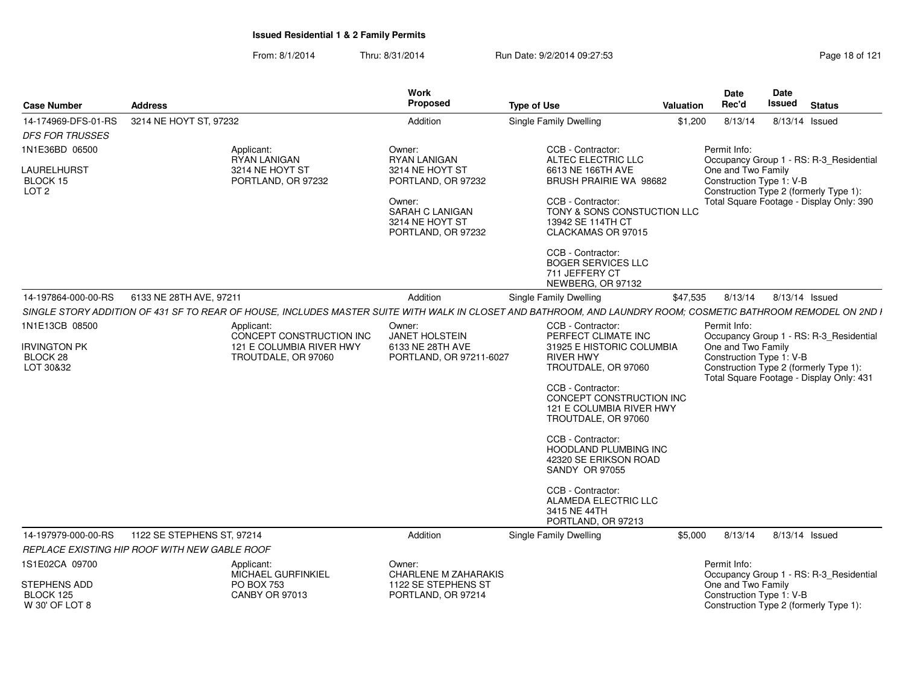| <b>Case Number</b>                                 | <b>Address</b>                                                                                                                                                 | <b>Work</b><br>Proposed                                                   | <b>Type of Use</b>                                                                               | <b>Valuation</b> | <b>Date</b><br>Rec'd                           | Date<br><b>Issued</b> | <b>Status</b>                                                                      |
|----------------------------------------------------|----------------------------------------------------------------------------------------------------------------------------------------------------------------|---------------------------------------------------------------------------|--------------------------------------------------------------------------------------------------|------------------|------------------------------------------------|-----------------------|------------------------------------------------------------------------------------|
| 14-174969-DFS-01-RS                                | 3214 NE HOYT ST, 97232                                                                                                                                         | Addition                                                                  | Single Family Dwelling                                                                           | \$1,200          | 8/13/14                                        |                       | 8/13/14 Issued                                                                     |
| <b>DFS FOR TRUSSES</b>                             |                                                                                                                                                                |                                                                           |                                                                                                  |                  |                                                |                       |                                                                                    |
| 1N1E36BD 06500                                     | Applicant:<br><b>RYAN LANIGAN</b>                                                                                                                              | Owner:<br><b>RYAN LANIGAN</b>                                             | CCB - Contractor:<br>ALTEC ELECTRIC LLC                                                          |                  | Permit Info:                                   |                       | Occupancy Group 1 - RS: R-3_Residential                                            |
| LAURELHURST<br>BLOCK 15<br>LOT <sub>2</sub>        | 3214 NE HOYT ST<br>PORTLAND, OR 97232                                                                                                                          | 3214 NE HOYT ST<br>PORTLAND, OR 97232                                     | 6613 NE 166TH AVE<br>BRUSH PRAIRIE WA 98682                                                      |                  | One and Two Family<br>Construction Type 1: V-B |                       | Construction Type 2 (formerly Type 1):                                             |
|                                                    |                                                                                                                                                                | Owner:<br><b>SARAH C LANIGAN</b><br>3214 NE HOYT ST<br>PORTLAND, OR 97232 | CCB - Contractor:<br>TONY & SONS CONSTUCTION LLC<br>13942 SE 114TH CT<br>CLACKAMAS OR 97015      |                  |                                                |                       | Total Square Footage - Display Only: 390                                           |
|                                                    |                                                                                                                                                                |                                                                           | CCB - Contractor:<br><b>BOGER SERVICES LLC</b><br>711 JEFFERY CT<br>NEWBERG, OR 97132            |                  |                                                |                       |                                                                                    |
| 14-197864-000-00-RS                                | 6133 NE 28TH AVE, 97211                                                                                                                                        | Addition                                                                  | Single Family Dwelling                                                                           | \$47,535         | 8/13/14                                        |                       | 8/13/14 Issued                                                                     |
|                                                    | SINGLE STORY ADDITION OF 431 SF TO REAR OF HOUSE, INCLUDES MASTER SUITE WITH WALK IN CLOSET AND BATHROOM, AND LAUNDRY ROOM; COSMETIC BATHROOM REMODEL ON 2ND I |                                                                           |                                                                                                  |                  |                                                |                       |                                                                                    |
| 1N1E13CB 08500                                     | Applicant:<br>CONCEPT CONSTRUCTION INC                                                                                                                         | Owner:<br>JANET HOLSTEIN                                                  | CCB - Contractor:<br>PERFECT CLIMATE INC                                                         |                  | Permit Info:                                   |                       | Occupancy Group 1 - RS: R-3_Residential                                            |
| <b>IRVINGTON PK</b><br>BLOCK 28<br>LOT 30&32       | 121 E COLUMBIA RIVER HWY<br>TROUTDALE, OR 97060                                                                                                                | 6133 NE 28TH AVE<br>PORTLAND, OR 97211-6027                               | 31925 E HISTORIC COLUMBIA<br><b>RIVER HWY</b><br>TROUTDALE, OR 97060                             |                  | One and Two Family<br>Construction Type 1: V-B |                       | Construction Type 2 (formerly Type 1):<br>Total Square Footage - Display Only: 431 |
|                                                    |                                                                                                                                                                |                                                                           | CCB - Contractor:<br>CONCEPT CONSTRUCTION INC<br>121 E COLUMBIA RIVER HWY<br>TROUTDALE, OR 97060 |                  |                                                |                       |                                                                                    |
|                                                    |                                                                                                                                                                |                                                                           | CCB - Contractor:<br>HOODLAND PLUMBING INC<br>42320 SE ERIKSON ROAD<br><b>SANDY OR 97055</b>     |                  |                                                |                       |                                                                                    |
|                                                    |                                                                                                                                                                |                                                                           | CCB - Contractor:<br>ALAMEDA ELECTRIC LLC<br>3415 NE 44TH<br>PORTLAND, OR 97213                  |                  |                                                |                       |                                                                                    |
| 14-197979-000-00-RS                                | 1122 SE STEPHENS ST, 97214                                                                                                                                     | Addition                                                                  | Single Family Dwelling                                                                           | \$5,000          | 8/13/14                                        |                       | 8/13/14 Issued                                                                     |
|                                                    | REPLACE EXISTING HIP ROOF WITH NEW GABLE ROOF                                                                                                                  |                                                                           |                                                                                                  |                  |                                                |                       |                                                                                    |
| 1S1E02CA 09700                                     | Applicant:                                                                                                                                                     | Owner:                                                                    |                                                                                                  |                  | Permit Info:                                   |                       |                                                                                    |
| <b>STEPHENS ADD</b><br>BLOCK 125<br>W 30' OF LOT 8 | MICHAEL GURFINKIEL<br>PO BOX 753<br><b>CANBY OR 97013</b>                                                                                                      | <b>CHARLENE M ZAHARAKIS</b><br>1122 SE STEPHENS ST<br>PORTLAND, OR 97214  |                                                                                                  |                  | One and Two Family<br>Construction Type 1: V-B |                       | Occupancy Group 1 - RS: R-3_Residential<br>Construction Type 2 (formerly Type 1):  |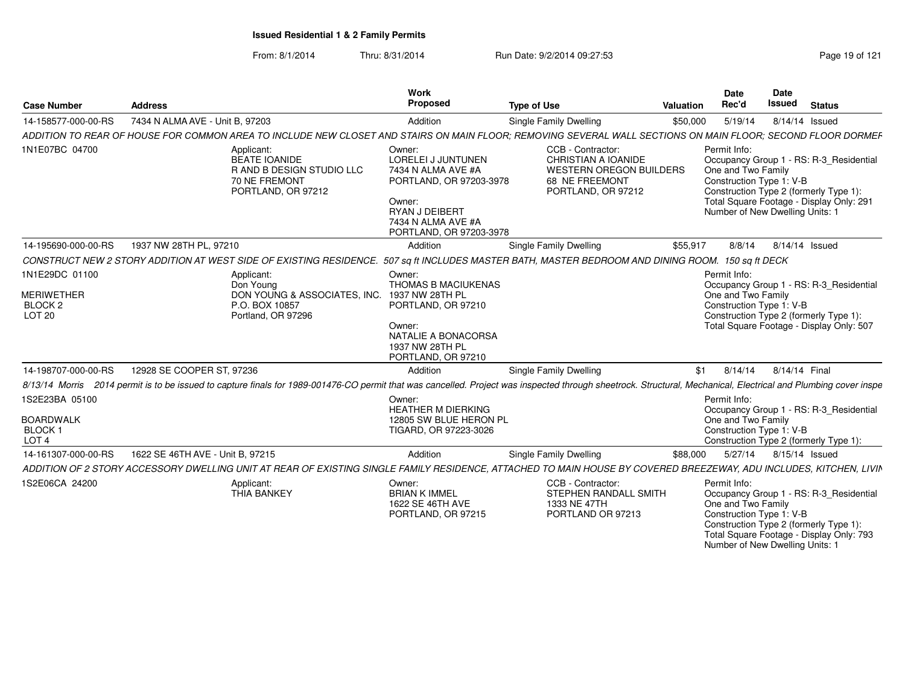| Case Number                                                                  | <b>Address</b>                              |                                                                                                 | Work<br><b>Propose</b>                                                                                                                                            | <b>Type of Use</b>                                                                                                                                                                                              | Valuation | Date<br>Rec'd                                                  | Date<br><b>Issued</b><br><b>Status</b>                                                                                                                           |
|------------------------------------------------------------------------------|---------------------------------------------|-------------------------------------------------------------------------------------------------|-------------------------------------------------------------------------------------------------------------------------------------------------------------------|-----------------------------------------------------------------------------------------------------------------------------------------------------------------------------------------------------------------|-----------|----------------------------------------------------------------|------------------------------------------------------------------------------------------------------------------------------------------------------------------|
| 14-158577-000-00-RS                                                          | 7434 N ALMA AVE - Unit B, 97203             |                                                                                                 | Addition                                                                                                                                                          | Single Family Dwelling                                                                                                                                                                                          | \$50,000  | 5/19/14                                                        | 8/14/14 Issued                                                                                                                                                   |
|                                                                              |                                             |                                                                                                 |                                                                                                                                                                   | ADDITION TO REAR OF HOUSE FOR COMMON AREA TO INCLUDE NEW CLOSET AND STAIRS ON MAIN FLOOR; REMOVING SEVERAL WALL SECTIONS ON MAIN FLOOR; SECOND FLOOR DORMEF                                                     |           |                                                                |                                                                                                                                                                  |
| 1N1E07BC 04700                                                               |                                             | Applicant:<br>BEATE IOANIDE<br>R AND B DESIGN STUDIO LLC<br>70 NE FREMONT<br>PORTLAND, OR 97212 | Owner:<br><b>LORELEI J JUNTUNEN</b><br>7434 N ALMA AVE #A<br>PORTLAND, OR 97203-3978<br>Owner:<br>RYAN J DEIBERT<br>7434 N ALMA AVE #A<br>PORTLAND, OR 97203-3978 | CCB - Contractor:<br>CHRISTIAN A IOANIDE<br><b>WESTERN OREGON BUILDERS</b><br>68 NE FREEMONT<br>PORTLAND, OR 97212                                                                                              |           | Permit Info:<br>One and Two Family<br>Construction Type 1: V-B | Occupancy Group 1 - RS: R-3_Residential<br>Construction Type 2 (formerly Type 1):<br>Total Square Footage - Display Only: 291<br>Number of New Dwelling Units: 1 |
|                                                                              | 14-195690-000-00-RS  1937 NW 28TH PL, 97210 |                                                                                                 | Additior                                                                                                                                                          | Single Family Dwelling                                                                                                                                                                                          | \$55,917  |                                                                | 8/8/14 8/14/14 Issued                                                                                                                                            |
|                                                                              |                                             | CONSTRUCT NEW 2 STORY ADDITION AT WEST SIDE OF EXISTING RESIDENCE                               |                                                                                                                                                                   | 507 sq ft INCLUDES MASTER BATH, MASTER BEDROOM AND DINING ROOM. 150 sq ft DECK                                                                                                                                  |           |                                                                |                                                                                                                                                                  |
| 1N1E29DC 01100<br><b>MERIWETHER</b><br>BLOCK <sub>2</sub><br><b>LOT 20</b>   |                                             | Applicant:<br>Don Young<br>DON YOUNG & ASSOCIATES, INC.<br>P.O. BOX 10857<br>Portland, OR 97296 | Owner:<br>THOMAS B MACIUKENAS<br>1937 NW 28TH PL<br>PORTLAND, OR 97210<br>Owner:<br>NATALIE A BONACORSA<br>1937 NW 28TH PL<br>PORTLAND, OR 97210                  |                                                                                                                                                                                                                 |           | Permit Info:<br>One and Two Family<br>Construction Type 1: V-B | Occupancy Group 1 - RS: R-3 Residential<br>Construction Type 2 (formerly Type 1):<br>Total Square Footage - Display Only: 507                                    |
| 14-198707-000-00-RS                                                          | 12928 SE COOPER ST, 97236                   |                                                                                                 | Addition                                                                                                                                                          | Single Family Dwelling                                                                                                                                                                                          |           | $$1 \qquad 8/14/14$                                            | 8/14/14 Final                                                                                                                                                    |
|                                                                              |                                             |                                                                                                 |                                                                                                                                                                   | 8/13/14 Morris 2014 permit is to be issued to capture finals for 1989-001476-CO permit that was cancelled. Project was inspected through sheetrock. Structural, Mechanical, Electrical and Plumbing cover inspe |           |                                                                |                                                                                                                                                                  |
| 1S2E23BA 05100<br><b>BOARDWALK</b><br>BLOCK <sub>1</sub><br>LOT <sub>4</sub> |                                             |                                                                                                 | Owner:<br><b>HEATHER M DIERKING</b><br>12805 SW BLUE HERON PL<br>TIGARD, OR 97223-3026                                                                            |                                                                                                                                                                                                                 |           | Permit Info:<br>One and Two Family<br>Construction Type 1: V-B | Occupancy Group 1 - RS: R-3_Residential<br>Construction Type 2 (formerly Type 1):                                                                                |
| 14-161307-000-00-RS                                                          | 1622 SE 46TH AVE - Unit B, 97215            |                                                                                                 | Addition                                                                                                                                                          | Single Family Dwelling                                                                                                                                                                                          | \$88,000  | 5/27/14                                                        | 8/15/14 Issued                                                                                                                                                   |
|                                                                              |                                             |                                                                                                 |                                                                                                                                                                   | ADDITION OF 2 STORY ACCESSORY DWELLING UNIT AT REAR OF EXISTING SINGLE FAMILY RESIDENCE, ATTACHED TO MAIN HOUSE BY COVERED BREEZEWAY, ADU INCLUDES, KITCHEN, LIVIN                                              |           |                                                                |                                                                                                                                                                  |
| 1S2E06CA 24200                                                               |                                             | Applicant:<br><b>THIA BANKEY</b>                                                                | Owner:<br><b>BRIAN K IMMEL</b><br>1622 SE 46TH AVE<br>PORTLAND, OR 97215                                                                                          | CCB - Contractor:<br><b>STEPHEN RANDALL SMITH</b><br>1333 NE 47TH<br>PORTLAND OR 97213                                                                                                                          |           | Permit Info:<br>One and Two Family<br>Construction Type 1: V-B | Occupancy Group 1 - RS: R-3_Residential<br>Construction Type 2 (formerly Type 1):<br>Total Square Footage - Display Only: 793<br>Number of New Dwelling Units: 1 |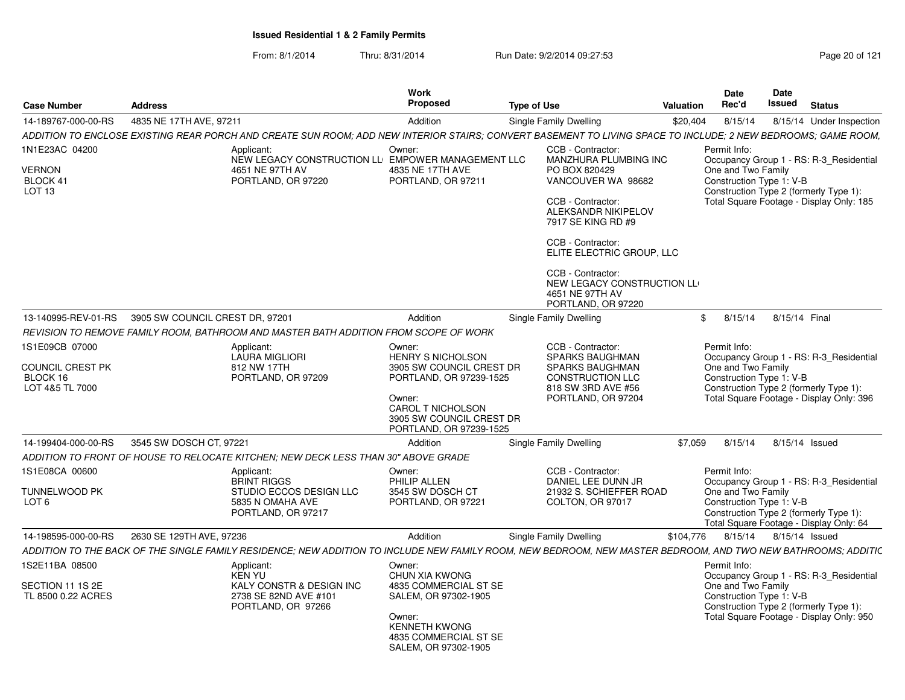| 14-189767-000-00-RS<br>4835 NE 17TH AVE, 97211<br>8/15/14<br>8/15/14 Under Inspection<br>Addition<br>Single Family Dwelling<br>\$20,404<br>ADDITION TO ENCLOSE EXISTING REAR PORCH AND CREATE SUN ROOM: ADD NEW INTERIOR STAIRS: CONVERT BASEMENT TO LIVING SPACE TO INCLUDE: 2 NEW BEDROOMS: GAME ROOM.<br>1N1E23AC 04200<br>Owner:<br>CCB - Contractor:<br>Permit Info:<br>Applicant:<br>NEW LEGACY CONSTRUCTION LLEMPOWER MANAGEMENT LLC<br><b>MANZHURA PLUMBING INC</b><br>Occupancy Group 1 - RS: R-3_Residential<br><b>VERNON</b><br>4651 NE 97TH AV<br>4835 NE 17TH AVE<br>One and Two Family<br>PO BOX 820429<br>Construction Type 1: V-B<br>BLOCK 41<br>PORTLAND, OR 97220<br>PORTLAND, OR 97211<br>VANCOUVER WA 98682<br>Construction Type 2 (formerly Type 1):<br>LOT 13<br>Total Square Footage - Display Only: 185<br>CCB - Contractor:<br>ALEKSANDR NIKIPELOV<br>7917 SE KING RD #9<br>CCB - Contractor:<br>ELITE ELECTRIC GROUP, LLC<br>CCB - Contractor:<br>NEW LEGACY CONSTRUCTION LL<br>4651 NE 97TH AV<br>PORTLAND, OR 97220<br>13-140995-REV-01-RS<br>3905 SW COUNCIL CREST DR. 97201<br>Addition<br>Single Family Dwelling<br>8/15/14<br>8/15/14 Final<br>\$<br>REVISION TO REMOVE FAMILY ROOM, BATHROOM AND MASTER BATH ADDITION FROM SCOPE OF WORK<br>1S1E09CB 07000<br>CCB - Contractor:<br>Permit Info:<br>Applicant:<br>Owner:<br><b>SPARKS BAUGHMAN</b><br><b>LAURA MIGLIORI</b><br><b>HENRY S NICHOLSON</b><br>Occupancy Group 1 - RS: R-3_Residential<br>One and Two Family<br>COUNCIL CREST PK<br>812 NW 17TH<br>3905 SW COUNCIL CREST DR<br><b>SPARKS BAUGHMAN</b><br>Construction Type 1: V-B<br>BLOCK 16<br>PORTLAND, OR 97209<br>PORTLAND, OR 97239-1525<br><b>CONSTRUCTION LLC</b><br>LOT 4&5 TL 7000<br>818 SW 3RD AVE #56<br>Construction Type 2 (formerly Type 1):<br>Total Square Footage - Display Only: 396<br>Owner:<br>PORTLAND, OR 97204<br>CAROL T NICHOLSON<br>3905 SW COUNCIL CREST DR<br>PORTLAND, OR 97239-1525<br>\$7.059<br>14-199404-000-00-RS<br>3545 SW DOSCH CT, 97221<br>Addition<br>Single Family Dwelling<br>8/15/14<br>8/15/14 Issued<br>ADDITION TO FRONT OF HOUSE TO RELOCATE KITCHEN: NEW DECK LESS THAN 30" ABOVE GRADE<br>1S1E08CA 00600<br>CCB - Contractor:<br>Permit Info:<br>Applicant:<br>Owner:<br><b>BRINT RIGGS</b><br>PHILIP ALLEN<br>DANIEL LEE DUNN JR<br>Occupancy Group 1 - RS: R-3_Residential<br>One and Two Family<br>TUNNELWOOD PK<br>STUDIO ECCOS DESIGN LLC<br>3545 SW DOSCH CT<br>21932 S. SCHIEFFER ROAD<br>Construction Type 1: V-B<br>LOT <sub>6</sub><br>5835 N OMAHA AVE<br>PORTLAND, OR 97221<br>COLTON, OR 97017<br>PORTLAND, OR 97217<br>Construction Type 2 (formerly Type 1):<br>Total Square Footage - Display Only: 64<br>2630 SE 129TH AVE, 97236<br>Addition<br>8/15/14 Issued<br>14-198595-000-00-RS<br>Single Family Dwelling<br>\$104,776<br>8/15/14<br>ADDITION TO THE BACK OF THE SINGLE FAMILY RESIDENCE; NEW ADDITION TO INCLUDE NEW FAMILY ROOM, NEW BEDROOM, NEW MASTER BEDROOM, AND TWO NEW BATHROOMS; ADDITIC<br>1S2E11BA 08500<br>Permit Info:<br>Applicant:<br>Owner:<br><b>KEN YU</b><br>CHUN XIA KWONG<br>Occupancy Group 1 - RS: R-3 Residential<br>One and Two Family<br>SECTION 11 1S 2E<br>KALY CONSTR & DESIGN INC<br>4835 COMMERCIAL ST SE<br>TL 8500 0.22 ACRES<br>2738 SE 82ND AVE #101<br>SALEM, OR 97302-1905<br>Construction Type 1: V-B<br>PORTLAND, OR 97266<br>Construction Type 2 (formerly Type 1):<br>Total Square Footage - Display Only: 950<br>Owner:<br><b>KENNETH KWONG</b><br>4835 COMMERCIAL ST SE<br>SALEM, OR 97302-1905 | <b>Case Number</b> | <b>Address</b> | Work<br>Proposed | <b>Type of Use</b> | Valuation | Date<br>Rec'd | Date<br>Issued | <b>Status</b> |
|---------------------------------------------------------------------------------------------------------------------------------------------------------------------------------------------------------------------------------------------------------------------------------------------------------------------------------------------------------------------------------------------------------------------------------------------------------------------------------------------------------------------------------------------------------------------------------------------------------------------------------------------------------------------------------------------------------------------------------------------------------------------------------------------------------------------------------------------------------------------------------------------------------------------------------------------------------------------------------------------------------------------------------------------------------------------------------------------------------------------------------------------------------------------------------------------------------------------------------------------------------------------------------------------------------------------------------------------------------------------------------------------------------------------------------------------------------------------------------------------------------------------------------------------------------------------------------------------------------------------------------------------------------------------------------------------------------------------------------------------------------------------------------------------------------------------------------------------------------------------------------------------------------------------------------------------------------------------------------------------------------------------------------------------------------------------------------------------------------------------------------------------------------------------------------------------------------------------------------------------------------------------------------------------------------------------------------------------------------------------------------------------------------------------------------------------------------------------------------------------------------------------------------------------------------------------------------------------------------------------------------------------------------------------------------------------------------------------------------------------------------------------------------------------------------------------------------------------------------------------------------------------------------------------------------------------------------------------------------------------------------------------------------------------------------------------------------------------------------------------------------------------------------------------------------------------------------------------------------------------------------------------------------------------------------------------------------------------------------------------------------------------------------------------------------------------------------------------------------------------------------------------------------------------------------------------|--------------------|----------------|------------------|--------------------|-----------|---------------|----------------|---------------|
|                                                                                                                                                                                                                                                                                                                                                                                                                                                                                                                                                                                                                                                                                                                                                                                                                                                                                                                                                                                                                                                                                                                                                                                                                                                                                                                                                                                                                                                                                                                                                                                                                                                                                                                                                                                                                                                                                                                                                                                                                                                                                                                                                                                                                                                                                                                                                                                                                                                                                                                                                                                                                                                                                                                                                                                                                                                                                                                                                                                                                                                                                                                                                                                                                                                                                                                                                                                                                                                                                                                                                                     |                    |                |                  |                    |           |               |                |               |
|                                                                                                                                                                                                                                                                                                                                                                                                                                                                                                                                                                                                                                                                                                                                                                                                                                                                                                                                                                                                                                                                                                                                                                                                                                                                                                                                                                                                                                                                                                                                                                                                                                                                                                                                                                                                                                                                                                                                                                                                                                                                                                                                                                                                                                                                                                                                                                                                                                                                                                                                                                                                                                                                                                                                                                                                                                                                                                                                                                                                                                                                                                                                                                                                                                                                                                                                                                                                                                                                                                                                                                     |                    |                |                  |                    |           |               |                |               |
|                                                                                                                                                                                                                                                                                                                                                                                                                                                                                                                                                                                                                                                                                                                                                                                                                                                                                                                                                                                                                                                                                                                                                                                                                                                                                                                                                                                                                                                                                                                                                                                                                                                                                                                                                                                                                                                                                                                                                                                                                                                                                                                                                                                                                                                                                                                                                                                                                                                                                                                                                                                                                                                                                                                                                                                                                                                                                                                                                                                                                                                                                                                                                                                                                                                                                                                                                                                                                                                                                                                                                                     |                    |                |                  |                    |           |               |                |               |
|                                                                                                                                                                                                                                                                                                                                                                                                                                                                                                                                                                                                                                                                                                                                                                                                                                                                                                                                                                                                                                                                                                                                                                                                                                                                                                                                                                                                                                                                                                                                                                                                                                                                                                                                                                                                                                                                                                                                                                                                                                                                                                                                                                                                                                                                                                                                                                                                                                                                                                                                                                                                                                                                                                                                                                                                                                                                                                                                                                                                                                                                                                                                                                                                                                                                                                                                                                                                                                                                                                                                                                     |                    |                |                  |                    |           |               |                |               |
|                                                                                                                                                                                                                                                                                                                                                                                                                                                                                                                                                                                                                                                                                                                                                                                                                                                                                                                                                                                                                                                                                                                                                                                                                                                                                                                                                                                                                                                                                                                                                                                                                                                                                                                                                                                                                                                                                                                                                                                                                                                                                                                                                                                                                                                                                                                                                                                                                                                                                                                                                                                                                                                                                                                                                                                                                                                                                                                                                                                                                                                                                                                                                                                                                                                                                                                                                                                                                                                                                                                                                                     |                    |                |                  |                    |           |               |                |               |
|                                                                                                                                                                                                                                                                                                                                                                                                                                                                                                                                                                                                                                                                                                                                                                                                                                                                                                                                                                                                                                                                                                                                                                                                                                                                                                                                                                                                                                                                                                                                                                                                                                                                                                                                                                                                                                                                                                                                                                                                                                                                                                                                                                                                                                                                                                                                                                                                                                                                                                                                                                                                                                                                                                                                                                                                                                                                                                                                                                                                                                                                                                                                                                                                                                                                                                                                                                                                                                                                                                                                                                     |                    |                |                  |                    |           |               |                |               |
|                                                                                                                                                                                                                                                                                                                                                                                                                                                                                                                                                                                                                                                                                                                                                                                                                                                                                                                                                                                                                                                                                                                                                                                                                                                                                                                                                                                                                                                                                                                                                                                                                                                                                                                                                                                                                                                                                                                                                                                                                                                                                                                                                                                                                                                                                                                                                                                                                                                                                                                                                                                                                                                                                                                                                                                                                                                                                                                                                                                                                                                                                                                                                                                                                                                                                                                                                                                                                                                                                                                                                                     |                    |                |                  |                    |           |               |                |               |
|                                                                                                                                                                                                                                                                                                                                                                                                                                                                                                                                                                                                                                                                                                                                                                                                                                                                                                                                                                                                                                                                                                                                                                                                                                                                                                                                                                                                                                                                                                                                                                                                                                                                                                                                                                                                                                                                                                                                                                                                                                                                                                                                                                                                                                                                                                                                                                                                                                                                                                                                                                                                                                                                                                                                                                                                                                                                                                                                                                                                                                                                                                                                                                                                                                                                                                                                                                                                                                                                                                                                                                     |                    |                |                  |                    |           |               |                |               |
|                                                                                                                                                                                                                                                                                                                                                                                                                                                                                                                                                                                                                                                                                                                                                                                                                                                                                                                                                                                                                                                                                                                                                                                                                                                                                                                                                                                                                                                                                                                                                                                                                                                                                                                                                                                                                                                                                                                                                                                                                                                                                                                                                                                                                                                                                                                                                                                                                                                                                                                                                                                                                                                                                                                                                                                                                                                                                                                                                                                                                                                                                                                                                                                                                                                                                                                                                                                                                                                                                                                                                                     |                    |                |                  |                    |           |               |                |               |
|                                                                                                                                                                                                                                                                                                                                                                                                                                                                                                                                                                                                                                                                                                                                                                                                                                                                                                                                                                                                                                                                                                                                                                                                                                                                                                                                                                                                                                                                                                                                                                                                                                                                                                                                                                                                                                                                                                                                                                                                                                                                                                                                                                                                                                                                                                                                                                                                                                                                                                                                                                                                                                                                                                                                                                                                                                                                                                                                                                                                                                                                                                                                                                                                                                                                                                                                                                                                                                                                                                                                                                     |                    |                |                  |                    |           |               |                |               |
|                                                                                                                                                                                                                                                                                                                                                                                                                                                                                                                                                                                                                                                                                                                                                                                                                                                                                                                                                                                                                                                                                                                                                                                                                                                                                                                                                                                                                                                                                                                                                                                                                                                                                                                                                                                                                                                                                                                                                                                                                                                                                                                                                                                                                                                                                                                                                                                                                                                                                                                                                                                                                                                                                                                                                                                                                                                                                                                                                                                                                                                                                                                                                                                                                                                                                                                                                                                                                                                                                                                                                                     |                    |                |                  |                    |           |               |                |               |
|                                                                                                                                                                                                                                                                                                                                                                                                                                                                                                                                                                                                                                                                                                                                                                                                                                                                                                                                                                                                                                                                                                                                                                                                                                                                                                                                                                                                                                                                                                                                                                                                                                                                                                                                                                                                                                                                                                                                                                                                                                                                                                                                                                                                                                                                                                                                                                                                                                                                                                                                                                                                                                                                                                                                                                                                                                                                                                                                                                                                                                                                                                                                                                                                                                                                                                                                                                                                                                                                                                                                                                     |                    |                |                  |                    |           |               |                |               |
|                                                                                                                                                                                                                                                                                                                                                                                                                                                                                                                                                                                                                                                                                                                                                                                                                                                                                                                                                                                                                                                                                                                                                                                                                                                                                                                                                                                                                                                                                                                                                                                                                                                                                                                                                                                                                                                                                                                                                                                                                                                                                                                                                                                                                                                                                                                                                                                                                                                                                                                                                                                                                                                                                                                                                                                                                                                                                                                                                                                                                                                                                                                                                                                                                                                                                                                                                                                                                                                                                                                                                                     |                    |                |                  |                    |           |               |                |               |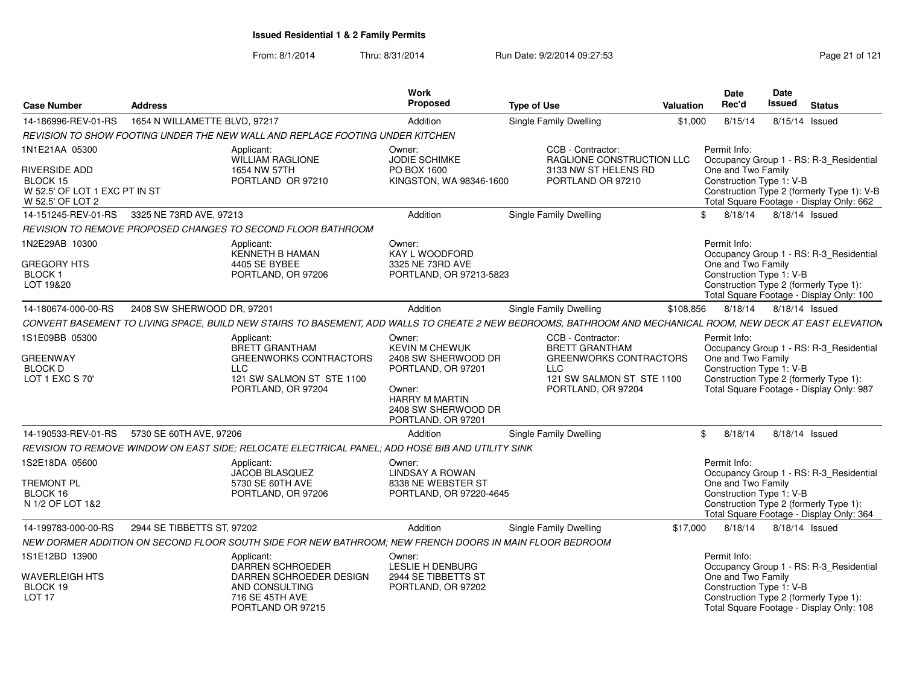From: 8/1/2014

Thru: 8/31/2014 **Run Date: 9/2/2014 09:27:53** Page 21 of 121

| <b>Case Number</b>                                                                    | <b>Address</b>                                                                                                                                               | Work<br><b>Proposed</b>                                                                                                   | <b>Type of Use</b>                                                                             | Valuation | <b>Date</b><br>Rec'd                           | <b>Date</b><br><b>Issued</b> | <b>Status</b>                                                                          |
|---------------------------------------------------------------------------------------|--------------------------------------------------------------------------------------------------------------------------------------------------------------|---------------------------------------------------------------------------------------------------------------------------|------------------------------------------------------------------------------------------------|-----------|------------------------------------------------|------------------------------|----------------------------------------------------------------------------------------|
| 14-186996-REV-01-RS                                                                   | 1654 N WILLAMETTE BLVD, 97217                                                                                                                                | Addition                                                                                                                  | Single Family Dwelling                                                                         | \$1,000   | 8/15/14                                        |                              | 8/15/14 Issued                                                                         |
|                                                                                       | REVISION TO SHOW FOOTING UNDER THE NEW WALL AND REPLACE FOOTING UNDER KITCHEN                                                                                |                                                                                                                           |                                                                                                |           |                                                |                              |                                                                                        |
| 1N1E21AA 05300                                                                        | Applicant:<br>WILLIAM RAGLIONE                                                                                                                               | Owner:<br>JODIE SCHIMKE                                                                                                   | CCB - Contractor:<br>RAGLIONE CONSTRUCTION LLC                                                 |           | Permit Info:                                   |                              | Occupancy Group 1 - RS: R-3_Residential                                                |
| <b>RIVERSIDE ADD</b><br>BLOCK 15<br>W 52.5' OF LOT 1 EXC PT IN ST<br>W 52.5' OF LOT 2 | 1654 NW 57TH<br>PORTLAND OR 97210                                                                                                                            | PO BOX 1600<br>KINGSTON, WA 98346-1600                                                                                    | 3133 NW ST HELENS RD<br>PORTLAND OR 97210                                                      |           | One and Two Family<br>Construction Type 1: V-B |                              | Construction Type 2 (formerly Type 1): V-B<br>Total Square Footage - Display Only: 662 |
| 14-151245-REV-01-RS                                                                   | 3325 NE 73RD AVE, 97213                                                                                                                                      | Addition                                                                                                                  | <b>Single Family Dwelling</b>                                                                  |           | 8/18/14<br>\$                                  | 8/18/14 Issued               |                                                                                        |
|                                                                                       | REVISION TO REMOVE PROPOSED CHANGES TO SECOND FLOOR BATHROOM                                                                                                 |                                                                                                                           |                                                                                                |           |                                                |                              |                                                                                        |
| 1N2E29AB 10300                                                                        | Applicant:<br>KENNETH B HAMAN                                                                                                                                | Owner:<br><b>KAY L WOODFORD</b>                                                                                           |                                                                                                |           | Permit Info:                                   |                              | Occupancy Group 1 - RS: R-3_Residential                                                |
| <b>GREGORY HTS</b><br><b>BLOCK1</b><br>LOT 19&20                                      | 4405 SE BYBEE<br>PORTLAND, OR 97206                                                                                                                          | 3325 NE 73RD AVE<br>PORTLAND, OR 97213-5823                                                                               |                                                                                                |           | One and Two Family<br>Construction Type 1: V-B |                              | Construction Type 2 (formerly Type 1):<br>Total Square Footage - Display Only: 100     |
| 14-180674-000-00-RS                                                                   | 2408 SW SHERWOOD DR, 97201                                                                                                                                   | Addition                                                                                                                  | Single Family Dwelling                                                                         | \$108,856 | 8/18/14                                        | 8/18/14 Issued               |                                                                                        |
|                                                                                       | CONVERT BASEMENT TO LIVING SPACE, BUILD NEW STAIRS TO BASEMENT, ADD WALLS TO CREATE 2 NEW BEDROOMS, BATHROOM AND MECHANICAL ROOM, NEW DECK AT EAST ELEVATION |                                                                                                                           |                                                                                                |           |                                                |                              |                                                                                        |
| 1S1E09BB 05300                                                                        | Applicant:<br><b>BRETT GRANTHAM</b>                                                                                                                          | Owner:<br><b>KEVIN M CHEWUK</b>                                                                                           | CCB - Contractor:<br><b>BRETT GRANTHAM</b>                                                     |           | Permit Info:                                   |                              | Occupancy Group 1 - RS: R-3_Residential                                                |
| <b>GREENWAY</b><br><b>BLOCK D</b><br>LOT 1 EXC S 70'                                  | <b>GREENWORKS CONTRACTORS</b><br>LLC<br>121 SW SALMON ST STE 1100<br>PORTLAND, OR 97204                                                                      | 2408 SW SHERWOOD DR<br>PORTLAND, OR 97201<br>Owner:<br><b>HARRY M MARTIN</b><br>2408 SW SHERWOOD DR<br>PORTLAND, OR 97201 | <b>GREENWORKS CONTRACTORS</b><br><b>LLC</b><br>121 SW SALMON ST STE 1100<br>PORTLAND, OR 97204 |           | One and Two Family<br>Construction Type 1: V-B |                              | Construction Type 2 (formerly Type 1):<br>Total Square Footage - Display Only: 987     |
| 14-190533-REV-01-RS                                                                   | 5730 SE 60TH AVE, 97206                                                                                                                                      | Addition                                                                                                                  | Single Family Dwelling                                                                         |           | \$<br>8/18/14                                  |                              | 8/18/14 Issued                                                                         |
|                                                                                       | REVISION TO REMOVE WINDOW ON EAST SIDE; RELOCATE ELECTRICAL PANEL; ADD HOSE BIB AND UTILITY SINK                                                             |                                                                                                                           |                                                                                                |           |                                                |                              |                                                                                        |
| 1S2E18DA 05600<br><b>TREMONT PL</b>                                                   | Applicant:<br><b>JACOB BLASQUEZ</b><br>5730 SE 60TH AVE                                                                                                      | Owner:<br><b>LINDSAY A ROWAN</b><br>8338 NE WEBSTER ST                                                                    |                                                                                                |           | Permit Info:<br>One and Two Family             |                              | Occupancy Group 1 - RS: R-3 Residential                                                |
| BLOCK 16<br>N 1/2 OF LOT 1&2                                                          | PORTLAND, OR 97206                                                                                                                                           | PORTLAND, OR 97220-4645                                                                                                   |                                                                                                |           | Construction Type 1: V-B                       |                              | Construction Type 2 (formerly Type 1):<br>Total Square Footage - Display Only: 364     |
| 14-199783-000-00-RS                                                                   | 2944 SE TIBBETTS ST. 97202                                                                                                                                   | Addition                                                                                                                  | <b>Single Family Dwelling</b>                                                                  | \$17,000  | 8/18/14                                        |                              | 8/18/14 Issued                                                                         |
|                                                                                       | NEW DORMER ADDITION ON SECOND FLOOR SOUTH SIDE FOR NEW BATHROOM; NEW FRENCH DOORS IN MAIN FLOOR BEDROOM                                                      |                                                                                                                           |                                                                                                |           |                                                |                              |                                                                                        |
| 1S1E12BD 13900                                                                        | Applicant:<br><b>DARREN SCHROEDER</b>                                                                                                                        | Owner:<br>LESLIE H DENBURG                                                                                                |                                                                                                |           | Permit Info:                                   |                              | Occupancy Group 1 - RS: R-3_Residential                                                |
| <b>WAVERLEIGH HTS</b><br>BLOCK 19<br>LOT <sub>17</sub>                                | DARREN SCHROEDER DESIGN<br>AND CONSULTING<br>716 SE 45TH AVE<br>PORTLAND OR 97215                                                                            | 2944 SE TIBBETTS ST<br>PORTLAND, OR 97202                                                                                 |                                                                                                |           | One and Two Family<br>Construction Type 1: V-B |                              | Construction Type 2 (formerly Type 1):<br>Total Square Footage - Display Only: 108     |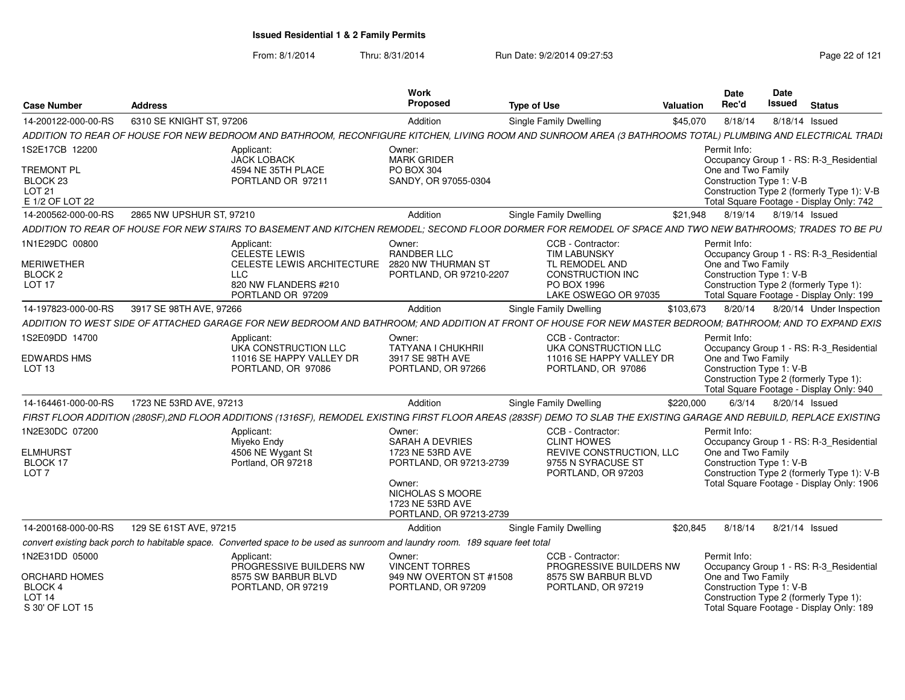| 6310 SE KNIGHT ST, 97206<br>Addition<br>8/18/14<br>8/18/14 Issued<br>14-200122-000-00-RS<br>Single Family Dwelling<br>\$45,070<br>ADDITION TO REAR OF HOUSE FOR NEW BEDROOM AND BATHROOM, RECONFIGURE KITCHEN, LIVING ROOM AND SUNROOM AREA (3 BATHROOMS TOTAL) PLUMBING AND ELECTRICAL TRADI<br>1S2E17CB 12200<br>Permit Info:<br>Applicant:<br>Owner:<br><b>MARK GRIDER</b><br><b>JACK LOBACK</b><br>Occupancy Group 1 - RS: R-3_Residential | <b>Status</b> |
|------------------------------------------------------------------------------------------------------------------------------------------------------------------------------------------------------------------------------------------------------------------------------------------------------------------------------------------------------------------------------------------------------------------------------------------------|---------------|
|                                                                                                                                                                                                                                                                                                                                                                                                                                                |               |
|                                                                                                                                                                                                                                                                                                                                                                                                                                                |               |
|                                                                                                                                                                                                                                                                                                                                                                                                                                                |               |
| <b>TREMONT PL</b><br>4594 NE 35TH PLACE<br>PO BOX 304<br>One and Two Family<br>SANDY, OR 97055-0304<br>Construction Type 1: V-B<br>BLOCK <sub>23</sub><br>PORTLAND OR 97211<br>LOT <sub>21</sub><br>Construction Type 2 (formerly Type 1): V-B<br>Total Square Footage - Display Only: 742<br>E 1/2 OF LOT 22                                                                                                                                  |               |
| 2865 NW UPSHUR ST, 97210<br>Addition<br><b>Single Family Dwelling</b><br>8/19/14 8/19/14 Issued<br>14-200562-000-00-RS<br>\$21,948                                                                                                                                                                                                                                                                                                             |               |
| ADDITION TO REAR OF HOUSE FOR NEW STAIRS TO BASEMENT AND KITCHEN REMODEL; SECOND FLOOR DORMER FOR REMODEL OF SPACE AND TWO NEW BATHROOMS; TRADES TO BE PU                                                                                                                                                                                                                                                                                      |               |
| 1N1E29DC 00800<br>CCB - Contractor:<br>Permit Info:<br>Applicant:<br>Owner:<br><b>CELESTE LEWIS</b><br><b>RANDBER LLC</b><br><b>TIM LABUNSKY</b><br>Occupancy Group 1 - RS: R-3_Residential<br><b>MERIWETHER</b><br>CELESTE LEWIS ARCHITECTURE<br>2820 NW THURMAN ST<br>TL REMODEL AND<br>One and Two Family                                                                                                                                   |               |
| <b>LLC</b><br>CONSTRUCTION INC<br>Construction Type 1: V-B<br>BLOCK <sub>2</sub><br>PORTLAND, OR 97210-2207<br>Construction Type 2 (formerly Type 1):<br>LOT <sub>17</sub><br>820 NW FLANDERS #210<br>PO BOX 1996<br>PORTLAND OR 97209<br>LAKE OSWEGO OR 97035<br>Total Square Footage - Display Only: 199                                                                                                                                     |               |
| 14-197823-000-00-RS<br>3917 SE 98TH AVE, 97266<br>Addition<br>Single Family Dwelling<br>\$103,673<br>8/20/14<br>8/20/14 Under Inspection                                                                                                                                                                                                                                                                                                       |               |
| ADDITION TO WEST SIDE OF ATTACHED GARAGE FOR NEW BEDROOM AND BATHROOM; AND ADDITION AT FRONT OF HOUSE FOR NEW MASTER BEDROOM; BATHROOM; AND TO EXPAND EXIS                                                                                                                                                                                                                                                                                     |               |
| 1S2E09DD 14700<br>CCB - Contractor:<br>Permit Info:<br>Applicant:<br>Owner:<br>UKA CONSTRUCTION LLC<br>TATYANA I CHUKHRII<br>UKA CONSTRUCTION LLC<br>Occupancy Group 1 - RS: R-3 Residential                                                                                                                                                                                                                                                   |               |
| <b>EDWARDS HMS</b><br>11016 SE HAPPY VALLEY DR<br>11016 SE HAPPY VALLEY DR<br>One and Two Family<br>3917 SE 98TH AVE<br>Construction Type 1: V-B<br>LOT <sub>13</sub><br>PORTLAND, OR 97086<br>PORTLAND, OR 97266<br>PORTLAND, OR 97086<br>Construction Type 2 (formerly Type 1):<br>Total Square Footage - Display Only: 940                                                                                                                  |               |
| 6/3/14<br>14-164461-000-00-RS<br>1723 NE 53RD AVE, 97213<br>Addition<br>\$220,000<br>8/20/14 Issued<br>Single Family Dwelling                                                                                                                                                                                                                                                                                                                  |               |
| FIRST FLOOR ADDITION (280SF),2ND FLOOR ADDITIONS (1316SF), REMODEL EXISTING FIRST FLOOR AREAS (283SF) DEMO TO SLAB THE EXISTING GARAGE AND REBUILD, REPLACE EXISTING                                                                                                                                                                                                                                                                           |               |
| 1N2E30DC 07200<br>Permit Info:<br>Applicant:<br>CCB - Contractor:<br>Owner:<br><b>CLINT HOWES</b><br>Occupancy Group 1 - RS: R-3_Residential<br>Miyeko Endy<br><b>SARAH A DEVRIES</b>                                                                                                                                                                                                                                                          |               |
| <b>ELMHURST</b><br>4506 NE Wygant St<br>1723 NE 53RD AVE<br>REVIVE CONSTRUCTION, LLC<br>One and Two Family<br>BLOCK 17<br>Portland, OR 97218<br>PORTLAND, OR 97213-2739<br>9755 N SYRACUSE ST<br>Construction Type 1: V-B<br>LOT <sub>7</sub><br>Construction Type 2 (formerly Type 1): V-B<br>PORTLAND, OR 97203                                                                                                                              |               |
| Total Square Footage - Display Only: 1906<br>Owner:<br>NICHOLAS S MOORE<br>1723 NE 53RD AVE<br>PORTLAND, OR 97213-2739                                                                                                                                                                                                                                                                                                                         |               |
| 14-200168-000-00-RS<br>129 SE 61ST AVE, 97215<br>Addition<br><b>Single Family Dwelling</b><br>\$20.845<br>8/18/14<br>8/21/14 Issued                                                                                                                                                                                                                                                                                                            |               |
| convert existing back porch to habitable space. Converted space to be used as sunroom and laundry room. 189 square feet total                                                                                                                                                                                                                                                                                                                  |               |
| 1N2E31DD 05000<br>CCB - Contractor:<br>Applicant:<br>Owner:<br>Permit Info:<br>PROGRESSIVE BUILDERS NW<br><b>VINCENT TORRES</b><br>PROGRESSIVE BUILDERS NW<br>Occupancy Group 1 - RS: R-3 Residential                                                                                                                                                                                                                                          |               |
| <b>ORCHARD HOMES</b><br>8575 SW BARBUR BLVD<br>949 NW OVERTON ST #1508<br>8575 SW BARBUR BLVD<br>One and Two Family<br>PORTLAND, OR 97219<br>Construction Type 1: V-B<br>BLOCK 4<br>PORTLAND, OR 97209<br>PORTLAND, OR 97219<br>LOT <sub>14</sub><br>Construction Type 2 (formerly Type 1):<br>Total Square Footage - Display Only: 189<br>S 30' OF LOT 15                                                                                     |               |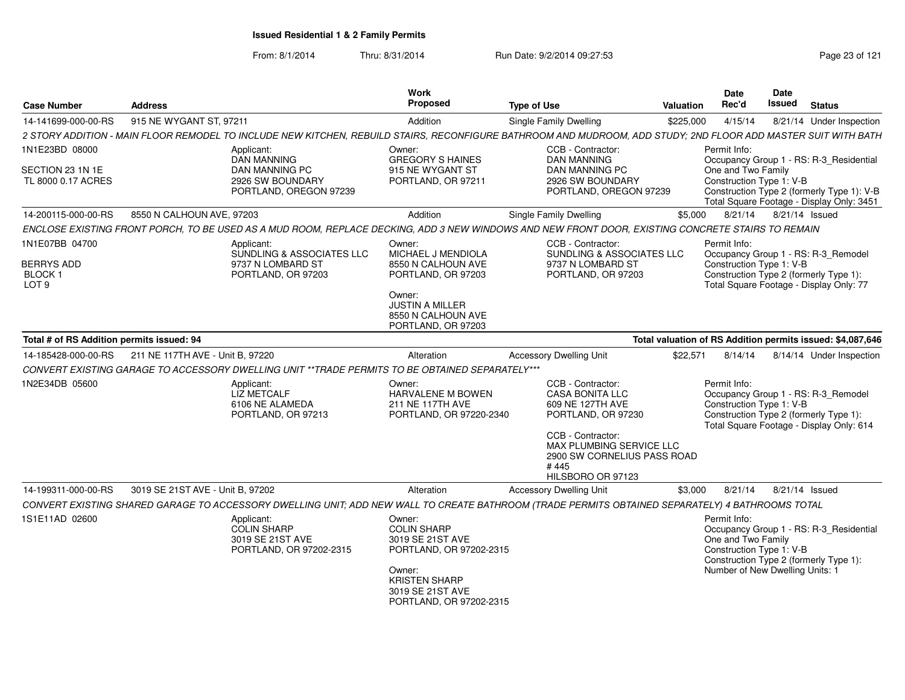| <b>Case Number</b>                                                 | <b>Address</b>                                       |                                                                                                  | Work<br><b>Proposed</b>                                                                                                                                      | <b>Type of Use</b>                                                                                                                                                                                 | Valuation                                                  | Date<br>Rec'd                                                                                                                               | <b>Date</b><br><b>Issued</b> | <b>Status</b> |                                                                                                                                    |
|--------------------------------------------------------------------|------------------------------------------------------|--------------------------------------------------------------------------------------------------|--------------------------------------------------------------------------------------------------------------------------------------------------------------|----------------------------------------------------------------------------------------------------------------------------------------------------------------------------------------------------|------------------------------------------------------------|---------------------------------------------------------------------------------------------------------------------------------------------|------------------------------|---------------|------------------------------------------------------------------------------------------------------------------------------------|
| 14-141699-000-00-RS                                                | 915 NE WYGANT ST, 97211                              |                                                                                                  | Addition                                                                                                                                                     | <b>Single Family Dwelling</b>                                                                                                                                                                      | \$225,000                                                  | 4/15/14                                                                                                                                     |                              |               | 8/21/14 Under Inspection                                                                                                           |
|                                                                    |                                                      |                                                                                                  |                                                                                                                                                              | 2 STORY ADDITION - MAIN FLOOR REMODEL TO INCLUDE NEW KITCHEN, REBUILD STAIRS, RECONFIGURE BATHROOM AND MUDROOM, ADD STUDY; 2ND FLOOR ADD MASTER SUIT WITH BATH                                     |                                                            |                                                                                                                                             |                              |               |                                                                                                                                    |
| 1N1E23BD 08000<br>SECTION 23 1N 1E<br>TL 8000 0.17 ACRES           |                                                      | Applicant:<br>DAN MANNING<br><b>DAN MANNING PC</b><br>2926 SW BOUNDARY<br>PORTLAND, OREGON 97239 | Owner:<br><b>GREGORY S HAINES</b><br>915 NE WYGANT ST<br>PORTLAND, OR 97211                                                                                  | CCB - Contractor:<br><b>DAN MANNING</b><br><b>DAN MANNING PC</b><br>2926 SW BOUNDARY<br>PORTLAND, OREGON 97239                                                                                     |                                                            | Permit Info:<br>One and Two Family<br>Construction Type 1: V-B                                                                              |                              |               | Occupancy Group 1 - RS: R-3_Residential<br>Construction Type 2 (formerly Type 1): V-B<br>Total Square Footage - Display Only: 3451 |
| 14-200115-000-00-RS                                                | 8550 N CALHOUN AVE, 97203                            |                                                                                                  | Addition                                                                                                                                                     | <b>Single Family Dwelling</b>                                                                                                                                                                      |                                                            | \$5,000 8/21/14                                                                                                                             | 8/21/14 Issued               |               |                                                                                                                                    |
|                                                                    |                                                      |                                                                                                  |                                                                                                                                                              | ENCLOSE EXISTING FRONT PORCH. TO BE USED AS A MUD ROOM. REPLACE DECKING, ADD 3 NEW WINDOWS AND NEW FRONT DOOR, EXISTING CONCRETE STAIRS TO REMAIN                                                  |                                                            |                                                                                                                                             |                              |               |                                                                                                                                    |
| 1N1E07BB 04700<br><b>BERRYS ADD</b><br>BLOCK 1<br>LOT <sub>9</sub> |                                                      | Applicant:<br>SUNDLING & ASSOCIATES LLC<br>9737 N LOMBARD ST<br>PORTLAND, OR 97203               | Owner:<br><b>MICHAEL J MENDIOLA</b><br>8550 N CALHOUN AVE<br>PORTLAND, OR 97203<br>Owner:<br>JUSTIN A MILLER<br>8550 N CALHOUN AVE<br>PORTLAND, OR 97203     | CCB - Contractor:<br>SUNDLING & ASSOCIATES LLC<br>9737 N LOMBARD ST<br>PORTLAND, OR 97203                                                                                                          |                                                            | Permit Info:<br>Construction Type 1: V-B<br>Construction Type 2 (formerly Type 1):                                                          |                              |               | Occupancy Group 1 - RS: R-3_Remodel<br>Total Square Footage - Display Only: 77                                                     |
| Total # of RS Addition permits issued: 94                          |                                                      |                                                                                                  |                                                                                                                                                              |                                                                                                                                                                                                    | Total valuation of RS Addition permits issued: \$4,087,646 |                                                                                                                                             |                              |               |                                                                                                                                    |
|                                                                    | 14-185428-000-00-RS 211 NE 117TH AVE - Unit B. 97220 |                                                                                                  | Alteration                                                                                                                                                   | <b>Accessory Dwelling Unit</b>                                                                                                                                                                     | \$22,571                                                   | 8/14/14                                                                                                                                     |                              |               | 8/14/14 Under Inspection                                                                                                           |
|                                                                    |                                                      | CONVERT EXISTING GARAGE TO ACCESSORY DWELLING UNIT **TRADE PERMITS TO BE OBTAINED SEPARATELY***  |                                                                                                                                                              |                                                                                                                                                                                                    |                                                            |                                                                                                                                             |                              |               |                                                                                                                                    |
| 1N2E34DB 05600                                                     |                                                      | Applicant:<br>LIZ METCALF<br>6106 NE ALAMEDA<br>PORTLAND, OR 97213                               | Owner:<br>HARVALENE M BOWEN<br>211 NE 117TH AVE<br>PORTLAND, OR 97220-2340                                                                                   | CCB - Contractor:<br><b>CASA BONITA LLC</b><br>609 NE 127TH AVE<br>PORTLAND, OR 97230<br>CCB - Contractor:<br>MAX PLUMBING SERVICE LLC<br>2900 SW CORNELIUS PASS ROAD<br>#445<br>HILSBORO OR 97123 |                                                            | Permit Info:<br>Construction Type 1: V-B<br>Construction Type 2 (formerly Type 1):                                                          |                              |               | Occupancy Group 1 - RS: R-3_Remodel<br>Total Square Footage - Display Only: 614                                                    |
| 14-199311-000-00-RS                                                | 3019 SE 21ST AVE - Unit B, 97202                     |                                                                                                  | Alteration                                                                                                                                                   | <b>Accessory Dwelling Unit</b>                                                                                                                                                                     | \$3,000                                                    | 8/21/14                                                                                                                                     | 8/21/14 Issued               |               |                                                                                                                                    |
|                                                                    |                                                      |                                                                                                  |                                                                                                                                                              | CONVERT EXISTING SHARED GARAGE TO ACCESSORY DWELLING UNIT; ADD NEW WALL TO CREATE BATHROOM (TRADE PERMITS OBTAINED SEPARATELY) 4 BATHROOMS TOTAL                                                   |                                                            |                                                                                                                                             |                              |               |                                                                                                                                    |
| 1S1E11AD 02600                                                     |                                                      | Applicant:<br><b>COLIN SHARP</b><br>3019 SE 21ST AVE<br>PORTLAND, OR 97202-2315                  | Owner:<br><b>COLIN SHARP</b><br>3019 SE 21ST AVE<br>PORTLAND, OR 97202-2315<br>Owner:<br><b>KRISTEN SHARP</b><br>3019 SE 21ST AVE<br>PORTLAND, OR 97202-2315 |                                                                                                                                                                                                    |                                                            | Permit Info:<br>One and Two Family<br>Construction Type 1: V-B<br>Construction Type 2 (formerly Type 1):<br>Number of New Dwelling Units: 1 |                              |               | Occupancy Group 1 - RS: R-3_Residential                                                                                            |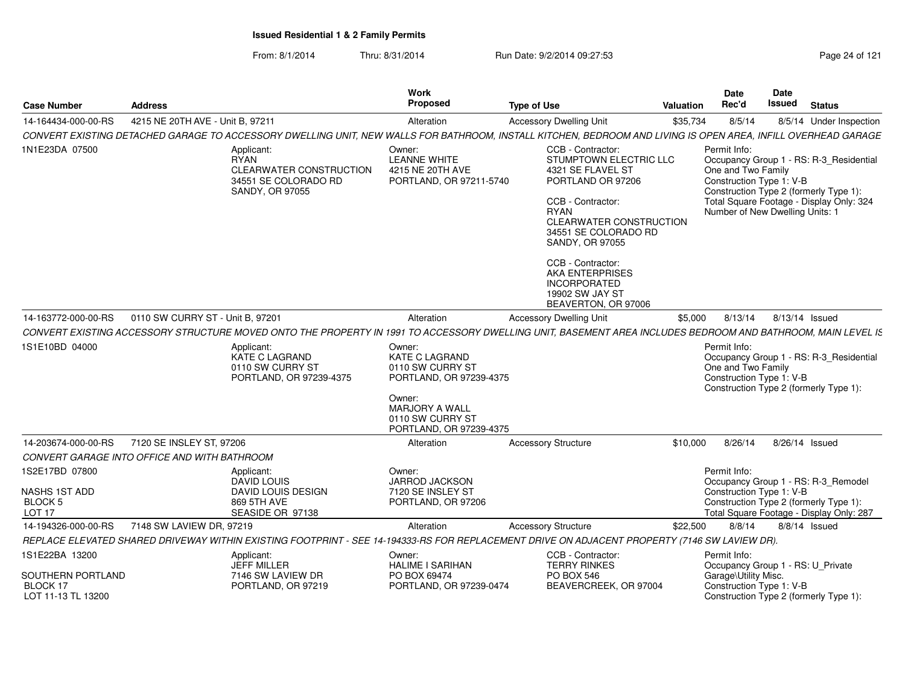From: 8/1/2014Thru: 8/31/2014 Run Date: 9/2/2014 09:27:53 Run Date: 9/2/2014 09:27:53

| <b>Case Number</b>                         | <b>Address</b>                               |                                                                                                        | Work<br><b>Proposed</b>                                                        | <b>Type of Use</b>                                                                                                                                                                                     | <b>Valuation</b> | Date<br>Rec'd                                                                                     | <b>Date</b><br>Issued | <b>Status</b>                                                                                                                 |
|--------------------------------------------|----------------------------------------------|--------------------------------------------------------------------------------------------------------|--------------------------------------------------------------------------------|--------------------------------------------------------------------------------------------------------------------------------------------------------------------------------------------------------|------------------|---------------------------------------------------------------------------------------------------|-----------------------|-------------------------------------------------------------------------------------------------------------------------------|
| 14-164434-000-00-RS                        | 4215 NE 20TH AVE - Unit B, 97211             |                                                                                                        | Alteration                                                                     | <b>Accessory Dwelling Unit</b>                                                                                                                                                                         | \$35,734         | 8/5/14                                                                                            |                       | 8/5/14 Under Inspection                                                                                                       |
|                                            |                                              |                                                                                                        |                                                                                | CONVERT EXISTING DETACHED GARAGE TO ACCESSORY DWELLING UNIT, NEW WALLS FOR BATHROOM, INSTALL KITCHEN, BEDROOM AND LIVING IS OPEN AREA, INFILL OVERHEAD GARAGE                                          |                  |                                                                                                   |                       |                                                                                                                               |
| 1N1E23DA 07500                             |                                              | Applicant:<br><b>RYAN</b><br><b>CLEARWATER CONSTRUCTION</b><br>34551 SE COLORADO RD<br>SANDY, OR 97055 | Owner:<br><b>LEANNE WHITE</b><br>4215 NE 20TH AVE<br>PORTLAND, OR 97211-5740   | CCB - Contractor:<br>STUMPTOWN ELECTRIC LLC<br>4321 SE FLAVEL ST<br>PORTLAND OR 97206<br>CCB - Contractor:<br><b>RYAN</b><br>CLEARWATER CONSTRUCTION<br>34551 SE COLORADO RD<br><b>SANDY, OR 97055</b> |                  | Permit Info:<br>One and Two Family<br>Construction Type 1: V-B<br>Number of New Dwelling Units: 1 |                       | Occupancy Group 1 - RS: R-3 Residential<br>Construction Type 2 (formerly Type 1):<br>Total Square Footage - Display Only: 324 |
|                                            |                                              |                                                                                                        |                                                                                | CCB - Contractor:<br><b>AKA ENTERPRISES</b><br>INCORPORATED<br>19902 SW JAY ST<br>BEAVERTON, OR 97006                                                                                                  |                  |                                                                                                   |                       |                                                                                                                               |
| 14-163772-000-00-RS                        | 0110 SW CURRY ST - Unit B, 97201             |                                                                                                        | Alteration                                                                     | <b>Accessory Dwelling Unit</b>                                                                                                                                                                         | \$5,000          | 8/13/14                                                                                           | 8/13/14 Issued        |                                                                                                                               |
|                                            |                                              |                                                                                                        |                                                                                | CONVERT EXISTING ACCESSORY STRUCTURE MOVED ONTO THE PROPERTY IN 1991 TO ACCESSORY DWELLING UNIT, BASEMENT AREA INCLUDES BEDROOM AND BATHROOM, MAIN LEVEL IS                                            |                  |                                                                                                   |                       |                                                                                                                               |
| 1S1E10BD 04000                             |                                              | Applicant:<br>KATE C LAGRAND<br>0110 SW CURRY ST<br>PORTLAND, OR 97239-4375                            | Owner:<br><b>KATE C LAGRAND</b><br>0110 SW CURRY ST<br>PORTLAND, OR 97239-4375 |                                                                                                                                                                                                        |                  | Permit Info:<br>One and Two Family<br>Construction Type 1: V-B                                    |                       | Occupancy Group 1 - RS: R-3_Residential<br>Construction Type 2 (formerly Type 1):                                             |
|                                            |                                              |                                                                                                        | Owner:<br><b>MARJORY A WALL</b><br>0110 SW CURRY ST<br>PORTLAND, OR 97239-4375 |                                                                                                                                                                                                        |                  |                                                                                                   |                       |                                                                                                                               |
| 14-203674-000-00-RS                        | 7120 SE INSLEY ST. 97206                     |                                                                                                        | Alteration                                                                     | <b>Accessory Structure</b>                                                                                                                                                                             | \$10,000         | 8/26/14                                                                                           | 8/26/14 Issued        |                                                                                                                               |
|                                            | CONVERT GARAGE INTO OFFICE AND WITH BATHROOM |                                                                                                        |                                                                                |                                                                                                                                                                                                        |                  |                                                                                                   |                       |                                                                                                                               |
| 1S2E17BD 07800<br>NASHS 1ST ADD<br>BLOCK 5 |                                              | Applicant:<br>DAVID LOUIS<br><b>DAVID LOUIS DESIGN</b><br>869 5TH AVE                                  | Owner:<br>JARROD JACKSON<br>7120 SE INSLEY ST<br>PORTLAND, OR 97206            |                                                                                                                                                                                                        |                  | Permit Info:<br>Construction Type 1: V-B                                                          |                       | Occupancy Group 1 - RS: R-3 Remodel<br>Construction Type 2 (formerly Type 1):                                                 |
| LOT <sub>17</sub>                          |                                              | SEASIDE OR 97138                                                                                       |                                                                                |                                                                                                                                                                                                        |                  |                                                                                                   |                       | Total Square Footage - Display Only: 287                                                                                      |
| 14-194326-000-00-RS                        | 7148 SW LAVIEW DR, 97219                     |                                                                                                        | Alteration                                                                     | <b>Accessory Structure</b>                                                                                                                                                                             | \$22,500         | 8/8/14                                                                                            |                       | 8/8/14 Issued                                                                                                                 |
|                                            |                                              |                                                                                                        |                                                                                | REPLACE ELEVATED SHARED DRIVEWAY WITHIN EXISTING FOOTPRINT - SEE 14-194333-RS FOR REPLACEMENT DRIVE ON ADJACENT PROPERTY (7146 SW LAVIEW DR).                                                          |                  |                                                                                                   |                       |                                                                                                                               |
| 1S1E22BA 13200<br>SOUTHERN PORTLAND        |                                              | Applicant:<br><b>JEFF MILLER</b><br>7146 SW LAVIEW DR                                                  | Owner:<br><b>HALIME I SARIHAN</b><br>PO BOX 69474                              | CCB - Contractor:<br><b>TERRY RINKES</b><br><b>PO BOX 546</b>                                                                                                                                          |                  | Permit Info:<br>Occupancy Group 1 - RS: U_Private<br>Garage\Utility Misc.                         |                       |                                                                                                                               |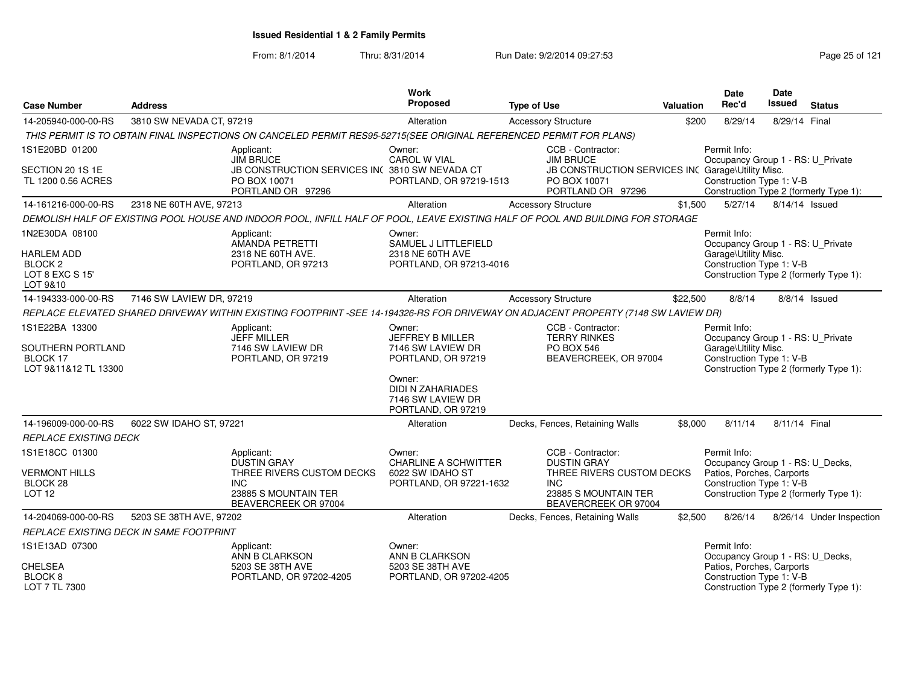| <b>Case Number</b>                                                      | <b>Address</b>           |                                                                                                                                    | <b>Work</b><br>Proposed                                                                              | <b>Type of Use</b>                                                                                                                 | <b>Valuation</b> | <b>Date</b><br>Rec'd                                                                                                                                | Date<br><b>Issued</b> | <b>Status</b>            |
|-------------------------------------------------------------------------|--------------------------|------------------------------------------------------------------------------------------------------------------------------------|------------------------------------------------------------------------------------------------------|------------------------------------------------------------------------------------------------------------------------------------|------------------|-----------------------------------------------------------------------------------------------------------------------------------------------------|-----------------------|--------------------------|
| 14-205940-000-00-RS                                                     | 3810 SW NEVADA CT, 97219 |                                                                                                                                    | Alteration                                                                                           | <b>Accessory Structure</b>                                                                                                         | \$200            | 8/29/14                                                                                                                                             | 8/29/14 Final         |                          |
|                                                                         |                          | THIS PERMIT IS TO OBTAIN FINAL INSPECTIONS ON CANCELED PERMIT RES95-52715(SEE ORIGINAL REFERENCED PERMIT FOR PLANS)                |                                                                                                      |                                                                                                                                    |                  |                                                                                                                                                     |                       |                          |
| 1S1E20BD 01200                                                          |                          | Applicant:<br><b>JIM BRUCE</b>                                                                                                     | Owner:<br><b>CAROL W VIAL</b>                                                                        | CCB - Contractor:<br><b>JIM BRUCE</b>                                                                                              |                  | Permit Info:<br>Occupancy Group 1 - RS: U_Private                                                                                                   |                       |                          |
| SECTION 20 1S 1E<br>TL 1200 0.56 ACRES                                  |                          | JB CONSTRUCTION SERVICES INC 3810 SW NEVADA CT<br>PO BOX 10071<br>PORTLAND OR 97296                                                | PORTLAND, OR 97219-1513                                                                              | JB CONSTRUCTION SERVICES INC Garage\Utility Misc.<br>PO BOX 10071<br>PORTLAND OR 97296                                             |                  | Construction Type 1: V-B<br>Construction Type 2 (formerly Type 1):                                                                                  |                       |                          |
| 14-161216-000-00-RS                                                     | 2318 NE 60TH AVE, 97213  |                                                                                                                                    | Alteration                                                                                           | <b>Accessory Structure</b>                                                                                                         | \$1,500          | 5/27/14                                                                                                                                             | 8/14/14 Issued        |                          |
|                                                                         |                          | DEMOLISH HALF OF EXISTING POOL HOUSE AND INDOOR POOL, INFILL HALF OF POOL, LEAVE EXISTING HALF OF POOL AND BUILDING FOR STORAGE    |                                                                                                      |                                                                                                                                    |                  |                                                                                                                                                     |                       |                          |
| 1N2E30DA 08100                                                          |                          | Applicant:<br>AMANDA PETRETTI                                                                                                      | Owner:<br>SAMUEL J LITTLEFIELD                                                                       |                                                                                                                                    |                  | Permit Info:<br>Occupancy Group 1 - RS: U_Private                                                                                                   |                       |                          |
| <b>HARLEM ADD</b><br><b>BLOCK 2</b><br>LOT 8 EXC S 15'<br>LOT 9&10      |                          | 2318 NE 60TH AVE.<br>PORTLAND, OR 97213                                                                                            | 2318 NE 60TH AVE<br>PORTLAND, OR 97213-4016                                                          |                                                                                                                                    |                  | Garage\Utility Misc.<br>Construction Type 1: V-B<br>Construction Type 2 (formerly Type 1):                                                          |                       |                          |
| 14-194333-000-00-RS                                                     | 7146 SW LAVIEW DR, 97219 |                                                                                                                                    | Alteration                                                                                           | <b>Accessory Structure</b>                                                                                                         | \$22,500         | 8/8/14                                                                                                                                              |                       | 8/8/14 Issued            |
|                                                                         |                          | REPLACE ELEVATED SHARED DRIVEWAY WITHIN EXISTING FOOTPRINT -SEE 14-194326-RS FOR DRIVEWAY ON ADJACENT PROPERTY (7148 SW LAVIEW DR) |                                                                                                      |                                                                                                                                    |                  |                                                                                                                                                     |                       |                          |
| 1S1E22BA 13300<br>SOUTHERN PORTLAND<br>BLOCK 17<br>LOT 9&11&12 TL 13300 |                          | Applicant:<br><b>JEFF MILLER</b><br>7146 SW LAVIEW DR<br>PORTLAND, OR 97219                                                        | Owner:<br>JEFFREY B MILLER<br>7146 SW LAVIEW DR<br>PORTLAND, OR 97219<br>Owner:<br>DIDI N ZAHARIADES | CCB - Contractor:<br><b>TERRY RINKES</b><br><b>PO BOX 546</b><br>BEAVERCREEK, OR 97004                                             |                  | Permit Info:<br>Occupancy Group 1 - RS: U_Private<br>Garage\Utility Misc.<br>Construction Type 1: V-B<br>Construction Type 2 (formerly Type 1):     |                       |                          |
|                                                                         |                          |                                                                                                                                    | 7146 SW LAVIEW DR<br>PORTLAND, OR 97219                                                              |                                                                                                                                    |                  |                                                                                                                                                     |                       |                          |
| 14-196009-000-00-RS                                                     | 6022 SW IDAHO ST, 97221  |                                                                                                                                    | Alteration                                                                                           | Decks, Fences, Retaining Walls                                                                                                     | \$8,000          | 8/11/14                                                                                                                                             | 8/11/14 Final         |                          |
| <b>REPLACE EXISTING DECK</b>                                            |                          |                                                                                                                                    |                                                                                                      |                                                                                                                                    |                  |                                                                                                                                                     |                       |                          |
| 1S1E18CC 01300<br><b>VERMONT HILLS</b><br>BLOCK 28<br><b>LOT 12</b>     |                          | Applicant:<br><b>DUSTIN GRAY</b><br>THREE RIVERS CUSTOM DECKS<br><b>INC</b><br>23885 S MOUNTAIN TER<br>BEAVERCREEK OR 97004        | Owner:<br><b>CHARLINE A SCHWITTER</b><br>6022 SW IDAHO ST<br>PORTLAND, OR 97221-1632                 | CCB - Contractor:<br><b>DUSTIN GRAY</b><br>THREE RIVERS CUSTOM DECKS<br><b>INC</b><br>23885 S MOUNTAIN TER<br>BEAVERCREEK OR 97004 |                  | Permit Info:<br>Occupancy Group 1 - RS: U_Decks,<br>Patios, Porches, Carports<br>Construction Type 1: V-B<br>Construction Type 2 (formerly Type 1): |                       |                          |
| 14-204069-000-00-RS                                                     | 5203 SE 38TH AVE, 97202  |                                                                                                                                    | Alteration                                                                                           | Decks, Fences, Retaining Walls                                                                                                     | \$2,500          | 8/26/14                                                                                                                                             |                       | 8/26/14 Under Inspection |
| <b>REPLACE EXISTING DECK IN SAME FOOTPRINT</b>                          |                          |                                                                                                                                    |                                                                                                      |                                                                                                                                    |                  |                                                                                                                                                     |                       |                          |
| 1S1E13AD 07300                                                          |                          | Applicant:<br>ANN B CLARKSON                                                                                                       | Owner:<br>ANN B CLARKSON                                                                             |                                                                                                                                    |                  | Permit Info:<br>Occupancy Group 1 - RS: U_Decks,                                                                                                    |                       |                          |
| <b>CHELSEA</b><br>BLOCK <sub>8</sub><br>LOT 7 TL 7300                   |                          | 5203 SE 38TH AVE<br>PORTLAND, OR 97202-4205                                                                                        | 5203 SE 38TH AVE<br>PORTLAND, OR 97202-4205                                                          |                                                                                                                                    |                  | Patios, Porches, Carports<br>Construction Type 1: V-B<br>Construction Type 2 (formerly Type 1):                                                     |                       |                          |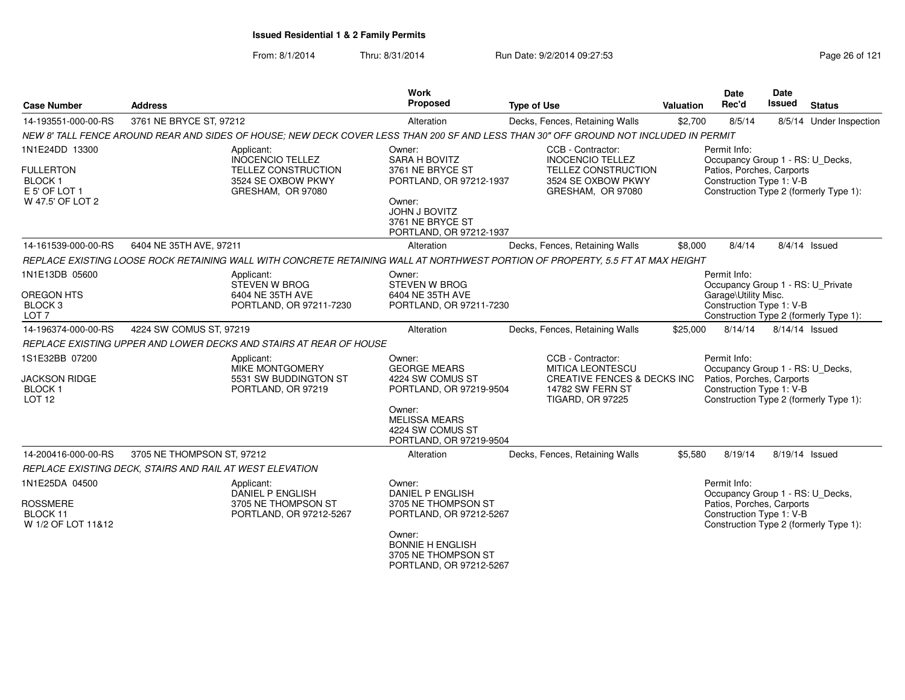| <b>Case Number</b>                                                                       | <b>Address</b>                                                                                                                        | <b>Work</b><br><b>Proposed</b>                                                                                                                                             | <b>Type of Use</b>                                                                                                                    | Valuation | Date<br>Rec'd                                                                                             | Date<br>Issued | <b>Status</b>                          |
|------------------------------------------------------------------------------------------|---------------------------------------------------------------------------------------------------------------------------------------|----------------------------------------------------------------------------------------------------------------------------------------------------------------------------|---------------------------------------------------------------------------------------------------------------------------------------|-----------|-----------------------------------------------------------------------------------------------------------|----------------|----------------------------------------|
| 14-193551-000-00-RS                                                                      | 3761 NE BRYCE ST, 97212                                                                                                               | Alteration                                                                                                                                                                 | Decks, Fences, Retaining Walls                                                                                                        | \$2,700   | 8/5/14                                                                                                    |                | 8/5/14 Under Inspection                |
|                                                                                          | NEW 8' TALL FENCE AROUND REAR AND SIDES OF HOUSE; NEW DECK COVER LESS THAN 200 SF AND LESS THAN 30" OFF GROUND NOT INCLUDED IN PERMIT |                                                                                                                                                                            |                                                                                                                                       |           |                                                                                                           |                |                                        |
| 1N1E24DD 13300<br><b>FULLERTON</b><br><b>BLOCK1</b><br>E 5' OF LOT 1<br>W 47.5' OF LOT 2 | Applicant:<br><b>INOCENCIO TELLEZ</b><br>TELLEZ CONSTRUCTION<br>3524 SE OXBOW PKWY<br>GRESHAM, OR 97080                               | Owner:<br>SARA H BOVITZ<br>3761 NE BRYCE ST<br>PORTLAND, OR 97212-1937<br>Owner:<br>JOHN J BOVITZ<br>3761 NE BRYCE ST<br>PORTLAND, OR 97212-1937                           | CCB - Contractor:<br><b>INOCENCIO TELLEZ</b><br><b>TELLEZ CONSTRUCTION</b><br>3524 SE OXBOW PKWY<br>GRESHAM, OR 97080                 |           | Permit Info:<br>Occupancy Group 1 - RS: U_Decks,<br>Patios, Porches, Carports<br>Construction Type 1: V-B |                | Construction Type 2 (formerly Type 1): |
| 14-161539-000-00-RS                                                                      | 6404 NE 35TH AVE, 97211                                                                                                               | Alteration                                                                                                                                                                 | Decks, Fences, Retaining Walls                                                                                                        | \$8,000   | 8/4/14                                                                                                    |                | 8/4/14 Issued                          |
|                                                                                          | REPLACE EXISTING LOOSE ROCK RETAINING WALL WITH CONCRETE RETAINING WALL AT NORTHWEST PORTION OF PROPERTY, 5.5 FT AT MAX HEIGHT        |                                                                                                                                                                            |                                                                                                                                       |           |                                                                                                           |                |                                        |
| 1N1E13DB 05600<br>OREGON HTS<br>BLOCK <sub>3</sub><br>LOT <sub>7</sub>                   | Applicant:<br>STEVEN W BROG<br>6404 NE 35TH AVE<br>PORTLAND, OR 97211-7230                                                            | Owner:<br><b>STEVEN W BROG</b><br>6404 NE 35TH AVE<br>PORTLAND, OR 97211-7230                                                                                              |                                                                                                                                       |           | Permit Info:<br>Occupancy Group 1 - RS: U Private<br>Garage\Utility Misc.<br>Construction Type 1: V-B     |                | Construction Type 2 (formerly Type 1): |
| 14-196374-000-00-RS                                                                      | 4224 SW COMUS ST, 97219                                                                                                               | Alteration                                                                                                                                                                 | Decks, Fences, Retaining Walls                                                                                                        | \$25,000  | 8/14/14                                                                                                   | 8/14/14 Issued |                                        |
|                                                                                          | REPLACE EXISTING UPPER AND LOWER DECKS AND STAIRS AT REAR OF HOUSE                                                                    |                                                                                                                                                                            |                                                                                                                                       |           |                                                                                                           |                |                                        |
| 1S1E32BB 07200<br><b>JACKSON RIDGE</b><br><b>BLOCK1</b><br>LOT <sub>12</sub>             | Applicant:<br>MIKE MONTGOMERY<br>5531 SW BUDDINGTON ST<br>PORTLAND, OR 97219                                                          | Owner:<br><b>GEORGE MEARS</b><br>4224 SW COMUS ST<br>PORTLAND, OR 97219-9504<br>Owner:<br><b>MELISSA MEARS</b><br>4224 SW COMUS ST<br>PORTLAND, OR 97219-9504              | CCB - Contractor:<br><b>MITICA LEONTESCU</b><br><b>CREATIVE FENCES &amp; DECKS INC</b><br>14782 SW FERN ST<br><b>TIGARD, OR 97225</b> |           | Permit Info:<br>Occupancy Group 1 - RS: U_Decks,<br>Patios, Porches, Carports<br>Construction Type 1: V-B |                | Construction Type 2 (formerly Type 1): |
| 14-200416-000-00-RS                                                                      | 3705 NE THOMPSON ST, 97212                                                                                                            | Alteration                                                                                                                                                                 | Decks, Fences, Retaining Walls                                                                                                        | \$5.580   | 8/19/14                                                                                                   | 8/19/14 Issued |                                        |
|                                                                                          | REPLACE EXISTING DECK, STAIRS AND RAIL AT WEST ELEVATION                                                                              |                                                                                                                                                                            |                                                                                                                                       |           |                                                                                                           |                |                                        |
| 1N1E25DA 04500<br><b>ROSSMERE</b><br>BLOCK 11<br>W 1/2 OF LOT 11&12                      | Applicant:<br><b>DANIEL P ENGLISH</b><br>3705 NE THOMPSON ST<br>PORTLAND, OR 97212-5267                                               | Owner:<br><b>DANIEL P ENGLISH</b><br>3705 NE THOMPSON ST<br>PORTLAND, OR 97212-5267<br>Owner:<br><b>BONNIE H ENGLISH</b><br>3705 NE THOMPSON ST<br>PORTLAND, OR 97212-5267 |                                                                                                                                       |           | Permit Info:<br>Occupancy Group 1 - RS: U Decks,<br>Patios, Porches, Carports<br>Construction Type 1: V-B |                | Construction Type 2 (formerly Type 1): |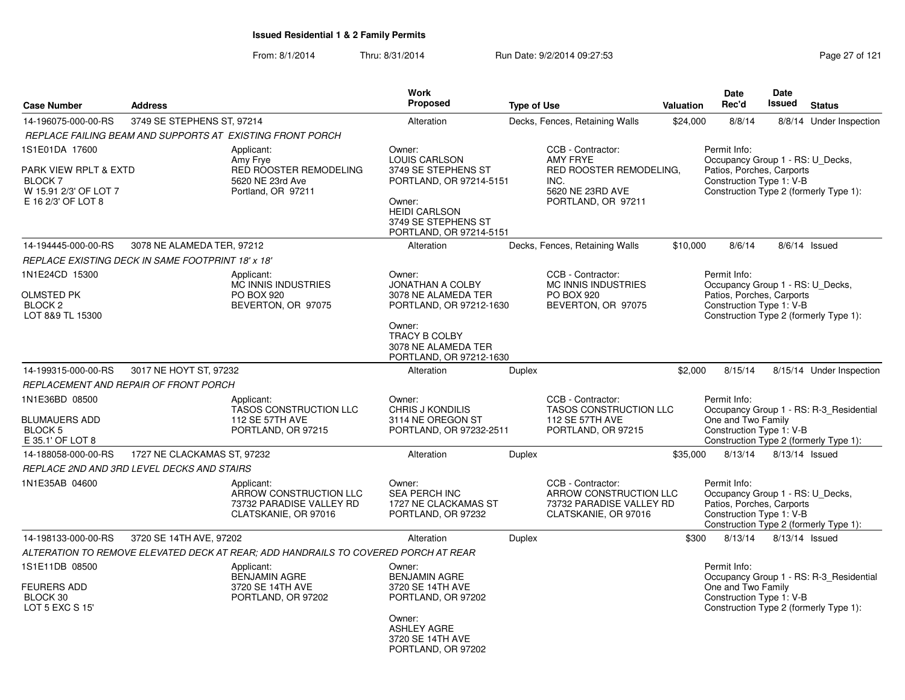|                                                                                                          |                                                   |                                                                                            | Work                                                                                                                                                                 |                    |                                                                                                                   |                  | Date                                                                                                      | Date          |                                                                                   |
|----------------------------------------------------------------------------------------------------------|---------------------------------------------------|--------------------------------------------------------------------------------------------|----------------------------------------------------------------------------------------------------------------------------------------------------------------------|--------------------|-------------------------------------------------------------------------------------------------------------------|------------------|-----------------------------------------------------------------------------------------------------------|---------------|-----------------------------------------------------------------------------------|
| <b>Case Number</b>                                                                                       | <b>Address</b>                                    |                                                                                            | <b>Proposed</b>                                                                                                                                                      | <b>Type of Use</b> |                                                                                                                   | <b>Valuation</b> | Rec'd                                                                                                     | <b>Issued</b> | <b>Status</b>                                                                     |
| 14-196075-000-00-RS                                                                                      | 3749 SE STEPHENS ST, 97214                        |                                                                                            | Alteration                                                                                                                                                           |                    | Decks, Fences, Retaining Walls                                                                                    | \$24,000         | 8/8/14                                                                                                    |               | 8/8/14 Under Inspection                                                           |
|                                                                                                          |                                                   | REPLACE FAILING BEAM AND SUPPORTS AT EXISTING FRONT PORCH                                  |                                                                                                                                                                      |                    |                                                                                                                   |                  |                                                                                                           |               |                                                                                   |
| 1S1E01DA 17600<br>PARK VIEW RPLT & EXTD<br><b>BLOCK 7</b><br>W 15.91 2/3' OF LOT 7<br>E 16 2/3' OF LOT 8 |                                                   | Applicant:<br>Amy Frye<br>RED ROOSTER REMODELING<br>5620 NE 23rd Ave<br>Portland, OR 97211 | Owner:<br><b>LOUIS CARLSON</b><br>3749 SE STEPHENS ST<br>PORTLAND, OR 97214-5151<br>Owner:<br><b>HEIDI CARLSON</b><br>3749 SE STEPHENS ST<br>PORTLAND, OR 97214-5151 |                    | CCB - Contractor:<br><b>AMY FRYE</b><br>RED ROOSTER REMODELING.<br>INC.<br>5620 NE 23RD AVE<br>PORTLAND, OR 97211 |                  | Permit Info:<br>Occupancy Group 1 - RS: U_Decks,<br>Patios, Porches, Carports<br>Construction Type 1: V-B |               | Construction Type 2 (formerly Type 1):                                            |
| 14-194445-000-00-RS                                                                                      | 3078 NE ALAMEDA TER, 97212                        |                                                                                            | Alteration                                                                                                                                                           |                    | Decks, Fences, Retaining Walls                                                                                    | \$10,000         | 8/6/14                                                                                                    |               | $8/6/14$ Issued                                                                   |
|                                                                                                          | REPLACE EXISTING DECK IN SAME FOOTPRINT 18' x 18' |                                                                                            |                                                                                                                                                                      |                    |                                                                                                                   |                  |                                                                                                           |               |                                                                                   |
| 1N1E24CD 15300<br>OLMSTED PK<br>BLOCK <sub>2</sub><br>LOT 8&9 TL 15300                                   |                                                   | Applicant:<br><b>MC INNIS INDUSTRIES</b><br><b>PO BOX 920</b><br>BEVERTON, OR 97075        | Owner:<br><b>JONATHAN A COLBY</b><br>3078 NE ALAMEDA TER<br>PORTLAND, OR 97212-1630<br>Owner:<br>TRACY B COLBY<br>3078 NE ALAMEDA TER<br>PORTLAND, OR 97212-1630     |                    | CCB - Contractor:<br>MC INNIS INDUSTRIES<br>PO BOX 920<br>BEVERTON, OR 97075                                      |                  | Permit Info:<br>Occupancy Group 1 - RS: U_Decks,<br>Patios, Porches, Carports<br>Construction Type 1: V-B |               | Construction Type 2 (formerly Type 1):                                            |
| 14-199315-000-00-RS                                                                                      | 3017 NE HOYT ST, 97232                            |                                                                                            | Alteration                                                                                                                                                           | Duplex             |                                                                                                                   | \$2,000          | 8/15/14                                                                                                   |               | 8/15/14 Under Inspection                                                          |
|                                                                                                          | REPLACEMENT AND REPAIR OF FRONT PORCH             |                                                                                            |                                                                                                                                                                      |                    |                                                                                                                   |                  |                                                                                                           |               |                                                                                   |
| 1N1E36BD 08500<br><b>BLUMAUERS ADD</b><br>BLOCK <sub>5</sub><br>E 35.1' OF LOT 8                         |                                                   | Applicant:<br><b>TASOS CONSTRUCTION LLC</b><br>112 SE 57TH AVE<br>PORTLAND, OR 97215       | Owner:<br>CHRIS J KONDILIS<br>3114 NE OREGON ST<br>PORTLAND, OR 97232-2511                                                                                           |                    | CCB - Contractor:<br><b>TASOS CONSTRUCTION LLC</b><br>112 SE 57TH AVE<br>PORTLAND, OR 97215                       |                  | Permit Info:<br>One and Two Family<br>Construction Type 1: V-B                                            |               | Occupancy Group 1 - RS: R-3_Residential<br>Construction Type 2 (formerly Type 1): |
| 14-188058-000-00-RS                                                                                      | 1727 NE CLACKAMAS ST. 97232                       |                                                                                            | Alteration                                                                                                                                                           | Duplex             |                                                                                                                   | \$35,000         | 8/13/14                                                                                                   |               | 8/13/14 Issued                                                                    |
|                                                                                                          | REPLACE 2ND AND 3RD LEVEL DECKS AND STAIRS        |                                                                                            |                                                                                                                                                                      |                    |                                                                                                                   |                  |                                                                                                           |               |                                                                                   |
| 1N1E35AB 04600                                                                                           |                                                   | Applicant:<br>ARROW CONSTRUCTION LLC<br>73732 PARADISE VALLEY RD<br>CLATSKANIE, OR 97016   | Owner:<br>SEA PERCH INC<br>1727 NE CLACKAMAS ST<br>PORTLAND, OR 97232                                                                                                |                    | CCB - Contractor:<br>ARROW CONSTRUCTION LLC<br>73732 PARADISE VALLEY RD<br>CLATSKANIE, OR 97016                   |                  | Permit Info:<br>Occupancy Group 1 - RS: U_Decks,<br>Patios, Porches, Carports<br>Construction Type 1: V-B |               | Construction Type 2 (formerly Type 1):                                            |
| 14-198133-000-00-RS                                                                                      | 3720 SE 14TH AVE, 97202                           |                                                                                            | Alteration                                                                                                                                                           | Duplex             |                                                                                                                   | \$300            | 8/13/14                                                                                                   |               | 8/13/14 Issued                                                                    |
|                                                                                                          |                                                   | ALTERATION TO REMOVE ELEVATED DECK AT REAR; ADD HANDRAILS TO COVERED PORCH AT REAR         |                                                                                                                                                                      |                    |                                                                                                                   |                  |                                                                                                           |               |                                                                                   |
| 1S1E11DB 08500<br><b>FEURERS ADD</b><br>BLOCK 30<br>LOT 5 EXC S 15'                                      |                                                   | Applicant:<br><b>BENJAMIN AGRE</b><br>3720 SE 14TH AVE<br>PORTLAND, OR 97202               | Owner:<br><b>BENJAMIN AGRE</b><br>3720 SE 14TH AVE<br>PORTLAND, OR 97202<br>Owner:<br><b>ASHLEY AGRE</b><br>3720 SE 14TH AVE<br>PORTLAND, OR 97202                   |                    |                                                                                                                   |                  | Permit Info:<br>One and Two Family<br>Construction Type 1: V-B                                            |               | Occupancy Group 1 - RS: R-3_Residential<br>Construction Type 2 (formerly Type 1): |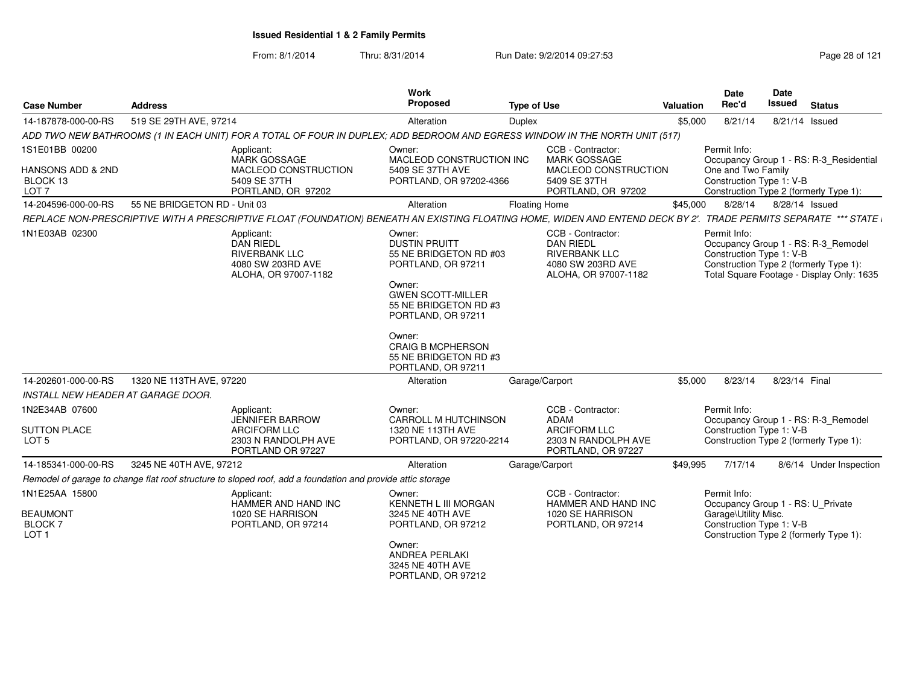From: 8/1/2014Thru: 8/31/2014 Run Date: 9/2/2014 09:27:53 Research 2012 121

| <b>Case Number</b>                                                             | <b>Address</b>                                                                                                                                                     | Work<br><b>Proposed</b>                                                                                                                                                                                                                                  | <b>Type of Use</b>                                                                                         | Valuation | Date<br>Rec'd                                                                                         | Date<br><b>Issued</b> | <b>Status</b>                                                                                                              |
|--------------------------------------------------------------------------------|--------------------------------------------------------------------------------------------------------------------------------------------------------------------|----------------------------------------------------------------------------------------------------------------------------------------------------------------------------------------------------------------------------------------------------------|------------------------------------------------------------------------------------------------------------|-----------|-------------------------------------------------------------------------------------------------------|-----------------------|----------------------------------------------------------------------------------------------------------------------------|
| 14-187878-000-00-RS                                                            | 519 SE 29TH AVE, 97214                                                                                                                                             | Alteration                                                                                                                                                                                                                                               | Duplex                                                                                                     | \$5,000   | 8/21/14                                                                                               | 8/21/14 Issued        |                                                                                                                            |
|                                                                                | ADD TWO NEW BATHROOMS (1 IN EACH UNIT) FOR A TOTAL OF FOUR IN DUPLEX; ADD BEDROOM AND EGRESS WINDOW IN THE NORTH UNIT (517)                                        |                                                                                                                                                                                                                                                          |                                                                                                            |           |                                                                                                       |                       |                                                                                                                            |
| 1S1E01BB 00200<br><b>HANSONS ADD &amp; 2ND</b><br>BLOCK 13<br>LOT <sub>7</sub> | Applicant:<br>MARK GOSSAGE<br>MACLEOD CONSTRUCTION<br>5409 SE 37TH<br>PORTLAND, OR 97202                                                                           | Owner:<br>MACLEOD CONSTRUCTION INC<br>5409 SE 37TH AVE<br>PORTLAND, OR 97202-4366                                                                                                                                                                        | CCB - Contractor:<br><b>MARK GOSSAGE</b><br>MACLEOD CONSTRUCTION<br>5409 SE 37TH<br>PORTLAND, OR 97202     |           | Permit Info:<br>One and Two Family<br>Construction Type 1: V-B                                        |                       | Occupancy Group 1 - RS: R-3_Residential<br>Construction Type 2 (formerly Type 1):                                          |
| 14-204596-000-00-RS                                                            | 55 NE BRIDGETON RD - Unit 03                                                                                                                                       | Alteration                                                                                                                                                                                                                                               | <b>Floating Home</b>                                                                                       | \$45,000  | 8/28/14                                                                                               | 8/28/14 Issued        |                                                                                                                            |
|                                                                                | REPLACE NON-PRESCRIPTIVE WITH A PRESCRIPTIVE FLOAT (FOUNDATION) BENEATH AN EXISTING FLOATING HOME, WIDEN AND ENTEND DECK BY 2'. TRADE PERMITS SEPARATE *** STATE i |                                                                                                                                                                                                                                                          |                                                                                                            |           |                                                                                                       |                       |                                                                                                                            |
| 1N1E03AB 02300                                                                 | Applicant:<br><b>DAN RIEDL</b><br><b>RIVERBANK LLC</b><br>4080 SW 203RD AVE<br>ALOHA, OR 97007-1182                                                                | Owner:<br><b>DUSTIN PRUITT</b><br>55 NE BRIDGETON RD #03<br>PORTLAND, OR 97211<br>Owner:<br><b>GWEN SCOTT-MILLER</b><br>55 NE BRIDGETON RD #3<br>PORTLAND, OR 97211<br>Owner:<br><b>CRAIG B MCPHERSON</b><br>55 NE BRIDGETON RD #3<br>PORTLAND, OR 97211 | CCB - Contractor:<br><b>DAN RIEDL</b><br><b>RIVERBANK LLC</b><br>4080 SW 203RD AVE<br>ALOHA, OR 97007-1182 |           | Permit Info:<br>Construction Type 1: V-B                                                              |                       | Occupancy Group 1 - RS: R-3_Remodel<br>Construction Type 2 (formerly Type 1):<br>Total Square Footage - Display Only: 1635 |
| 14-202601-000-00-RS                                                            | 1320 NE 113TH AVE, 97220                                                                                                                                           | Alteration                                                                                                                                                                                                                                               | Garage/Carport                                                                                             | \$5,000   | 8/23/14                                                                                               | 8/23/14 Final         |                                                                                                                            |
| INSTALL NEW HEADER AT GARAGE DOOR.                                             |                                                                                                                                                                    |                                                                                                                                                                                                                                                          |                                                                                                            |           |                                                                                                       |                       |                                                                                                                            |
| 1N2E34AB 07600<br><b>SUTTON PLACE</b><br>LOT <sub>5</sub>                      | Applicant:<br><b>JENNIFER BARROW</b><br><b>ARCIFORM LLC</b><br>2303 N RANDOLPH AVE<br>PORTLAND OR 97227                                                            | Owner:<br><b>CARROLL M HUTCHINSON</b><br>1320 NE 113TH AVE<br>PORTLAND, OR 97220-2214                                                                                                                                                                    | CCB - Contractor:<br><b>ADAM</b><br><b>ARCIFORM LLC</b><br>2303 N RANDOLPH AVE<br>PORTLAND, OR 97227       |           | Permit Info:<br>Construction Type 1: V-B                                                              |                       | Occupancy Group 1 - RS: R-3_Remodel<br>Construction Type 2 (formerly Type 1):                                              |
| 14-185341-000-00-RS                                                            | 3245 NE 40TH AVE, 97212                                                                                                                                            | Alteration                                                                                                                                                                                                                                               | Garage/Carport                                                                                             | \$49,995  | 7/17/14                                                                                               |                       | 8/6/14 Under Inspection                                                                                                    |
|                                                                                | Remodel of garage to change flat roof structure to sloped roof, add a foundation and provide attic storage                                                         |                                                                                                                                                                                                                                                          |                                                                                                            |           |                                                                                                       |                       |                                                                                                                            |
| 1N1E25AA 15800<br><b>BEAUMONT</b><br><b>BLOCK7</b><br>LOT <sub>1</sub>         | Applicant:<br>HAMMER AND HAND INC<br>1020 SE HARRISON<br>PORTLAND, OR 97214                                                                                        | Owner:<br>KENNETH L III MORGAN<br>3245 NE 40TH AVE<br>PORTLAND, OR 97212<br>Owner:<br><b>ANDREA PERLAKI</b><br>3245 NE 40TH AVE                                                                                                                          | CCB - Contractor:<br>HAMMER AND HAND INC<br>1020 SE HARRISON<br>PORTLAND, OR 97214                         |           | Permit Info:<br>Occupancy Group 1 - RS: U_Private<br>Garage\Utility Misc.<br>Construction Type 1: V-B |                       | Construction Type 2 (formerly Type 1):                                                                                     |

PORTLAND, OR 97212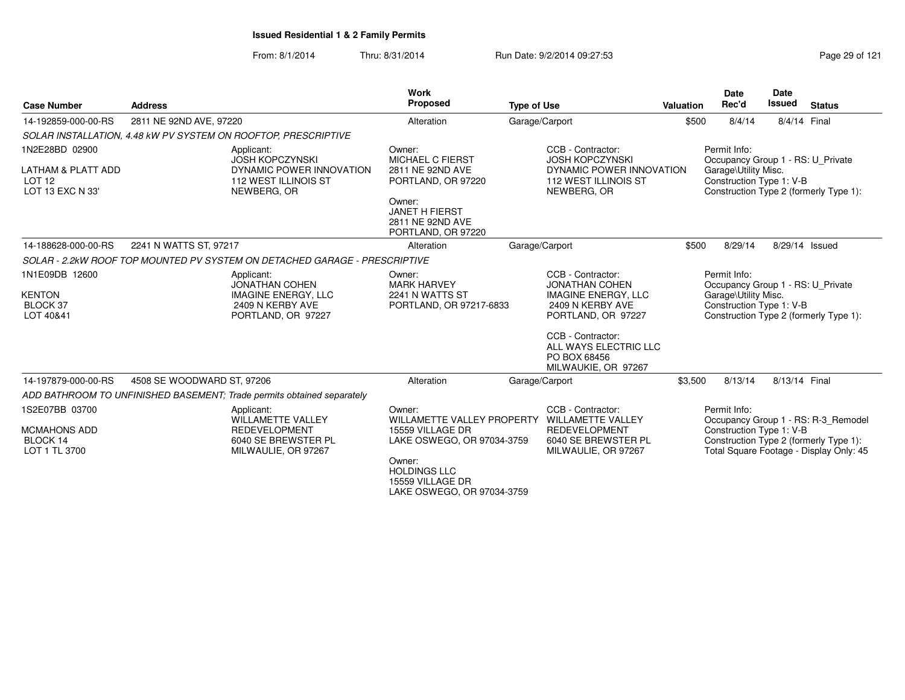From: 8/1/2014Thru: 8/31/2014 **Run Date: 9/2/2014 09:27:53** Page 29 of 121

| <b>Case Number</b>                                                                       | <b>Address</b>                                                 |                                                                                                                | Work<br>Proposed                                                                                                                                  | <b>Type of Use</b>                                                                                                    | <b>Valuation</b> | <b>Date</b><br>Rec'd                                                                                  | <b>Date</b><br><b>Issued</b> | <b>Status</b>                                                                     |
|------------------------------------------------------------------------------------------|----------------------------------------------------------------|----------------------------------------------------------------------------------------------------------------|---------------------------------------------------------------------------------------------------------------------------------------------------|-----------------------------------------------------------------------------------------------------------------------|------------------|-------------------------------------------------------------------------------------------------------|------------------------------|-----------------------------------------------------------------------------------|
| 14-192859-000-00-RS                                                                      | 2811 NE 92ND AVE, 97220                                        |                                                                                                                | Alteration                                                                                                                                        | Garage/Carport                                                                                                        | \$500            | 8/4/14                                                                                                | 8/4/14 Final                 |                                                                                   |
|                                                                                          | SOLAR INSTALLATION, 4.48 kW PV SYSTEM ON ROOFTOP, PRESCRIPTIVE |                                                                                                                |                                                                                                                                                   |                                                                                                                       |                  |                                                                                                       |                              |                                                                                   |
| 1N2E28BD 02900<br><b>LATHAM &amp; PLATT ADD</b><br>LOT <sub>12</sub><br>LOT 13 EXC N 33' |                                                                | Applicant:<br><b>JOSH KOPCZYNSKI</b><br>DYNAMIC POWER INNOVATION<br><b>112 WEST ILLINOIS ST</b><br>NEWBERG, OR | Owner:<br>MICHAEL C FIERST<br>2811 NE 92ND AVE<br>PORTLAND, OR 97220<br>Owner:<br><b>JANET H FIERST</b><br>2811 NE 92ND AVE<br>PORTLAND, OR 97220 | CCB - Contractor:<br><b>JOSH KOPCZYNSKI</b><br>DYNAMIC POWER INNOVATION<br><b>112 WEST ILLINOIS ST</b><br>NEWBERG, OR |                  | Permit Info:<br>Occupancy Group 1 - RS: U Private<br>Garage\Utility Misc.<br>Construction Type 1: V-B |                              | Construction Type 2 (formerly Type 1):                                            |
| 14-188628-000-00-RS                                                                      | 2241 N WATTS ST, 97217                                         |                                                                                                                | Alteration                                                                                                                                        | Garage/Carport                                                                                                        | \$500            | 8/29/14                                                                                               |                              | 8/29/14 Issued                                                                    |
|                                                                                          |                                                                | SOLAR - 2.2kW ROOF TOP MOUNTED PV SYSTEM ON DETACHED GARAGE - PRESCRIPTIVE                                     |                                                                                                                                                   |                                                                                                                       |                  |                                                                                                       |                              |                                                                                   |
| 1N1E09DB 12600                                                                           |                                                                | Applicant:<br><b>JONATHAN COHEN</b>                                                                            | Owner:<br><b>MARK HARVEY</b>                                                                                                                      | CCB - Contractor:<br><b>JONATHAN COHEN</b>                                                                            |                  | Permit Info:<br>Occupancy Group 1 - RS: U_Private                                                     |                              |                                                                                   |
| <b>KENTON</b><br>BLOCK 37<br>LOT 40&41                                                   |                                                                | <b>IMAGINE ENERGY, LLC</b><br>2409 N KERBY AVE<br>PORTLAND, OR 97227                                           | 2241 N WATTS ST<br>PORTLAND, OR 97217-6833                                                                                                        | <b>IMAGINE ENERGY, LLC</b><br>2409 N KERBY AVE<br>PORTLAND, OR 97227                                                  |                  | Garage\Utility Misc.<br>Construction Type 1: V-B                                                      |                              | Construction Type 2 (formerly Type 1):                                            |
|                                                                                          |                                                                |                                                                                                                |                                                                                                                                                   | CCB - Contractor:<br>ALL WAYS ELECTRIC LLC<br>PO BOX 68456<br>MILWAUKIE, OR 97267                                     |                  |                                                                                                       |                              |                                                                                   |
| 14-197879-000-00-RS                                                                      | 4508 SE WOODWARD ST, 97206                                     |                                                                                                                | Alteration                                                                                                                                        | Garage/Carport                                                                                                        | \$3,500          | 8/13/14                                                                                               | 8/13/14 Final                |                                                                                   |
|                                                                                          |                                                                | ADD BATHROOM TO UNFINISHED BASEMENT; Trade permits obtained separately                                         |                                                                                                                                                   |                                                                                                                       |                  |                                                                                                       |                              |                                                                                   |
| 1S2E07BB 03700                                                                           |                                                                | Applicant:<br>WILLAMETTE VALLEY                                                                                | Owner:<br><b>WILLAMETTE VALLEY PROPERTY</b>                                                                                                       | CCB - Contractor:<br><b>WILLAMETTE VALLEY</b>                                                                         |                  | Permit Info:                                                                                          |                              | Occupancy Group 1 - RS: R-3 Remodel                                               |
| <b>MCMAHONS ADD</b><br>BLOCK 14<br>LOT 1 TL 3700                                         |                                                                | <b>REDEVELOPMENT</b><br>6040 SE BREWSTER PL<br>MILWAULIE, OR 97267                                             | 15559 VILLAGE DR<br>LAKE OSWEGO, OR 97034-3759                                                                                                    | <b>REDEVELOPMENT</b><br>6040 SE BREWSTER PL<br>MILWAULIE, OR 97267                                                    |                  | Construction Type 1: V-B                                                                              |                              | Construction Type 2 (formerly Type 1):<br>Total Square Footage - Display Only: 45 |
|                                                                                          |                                                                |                                                                                                                | Owner:<br><b>HOLDINGS LLC</b><br>15559 VILLAGE DR<br>LAKE OSWEGO, OR 97034-3759                                                                   |                                                                                                                       |                  |                                                                                                       |                              |                                                                                   |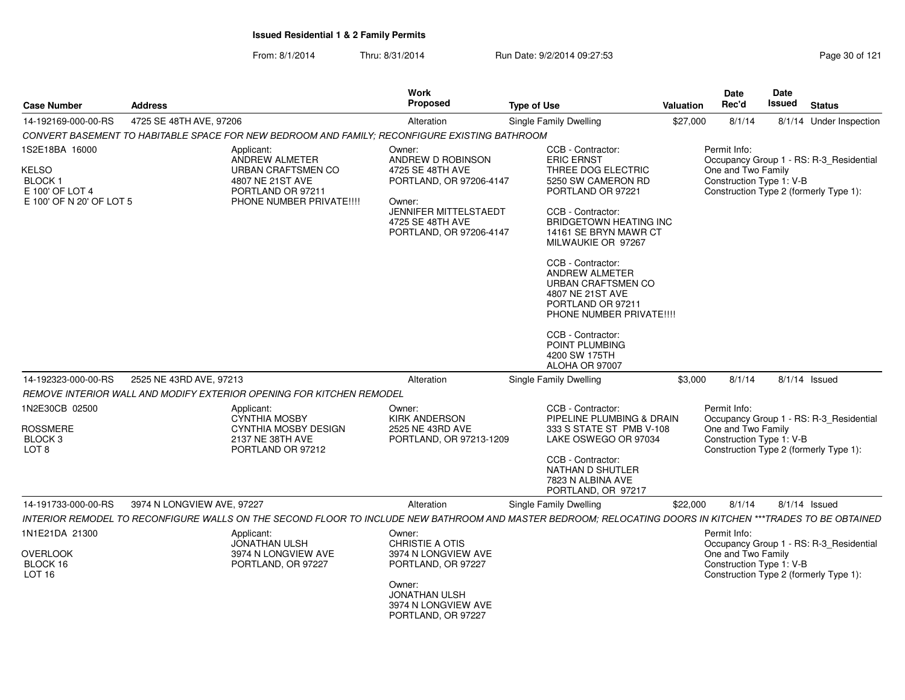| <b>Case Number</b>                                                           | <b>Address</b>             |                                                                                               | Work<br><b>Proposed</b>                                                     | <b>Type of Use</b>                                                                                                                                         | Valuation | <b>Date</b><br>Rec'd                           | Date<br><b>Issued</b> | <b>Status</b>                           |
|------------------------------------------------------------------------------|----------------------------|-----------------------------------------------------------------------------------------------|-----------------------------------------------------------------------------|------------------------------------------------------------------------------------------------------------------------------------------------------------|-----------|------------------------------------------------|-----------------------|-----------------------------------------|
| 14-192169-000-00-RS                                                          | 4725 SE 48TH AVE, 97206    |                                                                                               | Alteration                                                                  | Single Family Dwelling                                                                                                                                     | \$27,000  | 8/1/14                                         |                       | 8/1/14 Under Inspection                 |
|                                                                              |                            | CONVERT BASEMENT TO HABITABLE SPACE FOR NEW BEDROOM AND FAMILY: RECONFIGURE EXISTING BATHROOM |                                                                             |                                                                                                                                                            |           |                                                |                       |                                         |
| 1S2E18BA 16000                                                               |                            | Applicant:<br><b>ANDREW ALMETER</b>                                                           | Owner:<br>ANDREW D ROBINSON                                                 | CCB - Contractor:<br><b>ERIC ERNST</b>                                                                                                                     |           | Permit Info:                                   |                       | Occupancy Group 1 - RS: R-3_Residential |
| <b>KELSO</b><br><b>BLOCK1</b><br>E 100' OF LOT 4<br>E 100' OF N 20' OF LOT 5 |                            | URBAN CRAFTSMEN CO<br>4807 NE 21ST AVE<br>PORTLAND OR 97211<br>PHONE NUMBER PRIVATE!!!!       | 4725 SE 48TH AVE<br>PORTLAND, OR 97206-4147<br>Owner:                       | THREE DOG ELECTRIC<br>5250 SW CAMERON RD<br>PORTLAND OR 97221                                                                                              |           | One and Two Family<br>Construction Type 1: V-B |                       | Construction Type 2 (formerly Type 1):  |
|                                                                              |                            |                                                                                               | JENNIFER MITTELSTAEDT<br>4725 SE 48TH AVE<br>PORTLAND, OR 97206-4147        | CCB - Contractor:<br><b>BRIDGETOWN HEATING INC</b><br>14161 SE BRYN MAWR CT<br>MILWAUKIE OR 97267                                                          |           |                                                |                       |                                         |
|                                                                              |                            |                                                                                               |                                                                             | CCB - Contractor:<br><b>ANDREW ALMETER</b><br>URBAN CRAFTSMEN CO<br>4807 NE 21ST AVE<br>PORTLAND OR 97211<br>PHONE NUMBER PRIVATE !!!!                     |           |                                                |                       |                                         |
|                                                                              |                            |                                                                                               |                                                                             | CCB - Contractor:<br>POINT PLUMBING<br>4200 SW 175TH<br>ALOHA OR 97007                                                                                     |           |                                                |                       |                                         |
| 14-192323-000-00-RS                                                          | 2525 NE 43RD AVE, 97213    |                                                                                               | Alteration                                                                  | <b>Single Family Dwelling</b>                                                                                                                              | \$3,000   | 8/1/14                                         |                       | 8/1/14 Issued                           |
|                                                                              |                            | REMOVE INTERIOR WALL AND MODIFY EXTERIOR OPENING FOR KITCHEN REMODEL                          |                                                                             |                                                                                                                                                            |           |                                                |                       |                                         |
| 1N2E30CB 02500                                                               |                            | Applicant:<br>CYNTHIA MOSBY                                                                   | Owner:<br><b>KIRK ANDERSON</b>                                              | CCB - Contractor:<br>PIPELINE PLUMBING & DRAIN                                                                                                             |           | Permit Info:                                   |                       | Occupancy Group 1 - RS: R-3 Residential |
| <b>ROSSMERE</b><br>BLOCK <sub>3</sub><br>LOT <sub>8</sub>                    |                            | CYNTHIA MOSBY DESIGN<br>2137 NE 38TH AVE<br>PORTLAND OR 97212                                 | 2525 NE 43RD AVE<br>PORTLAND, OR 97213-1209                                 | 333 S STATE ST PMB V-108<br>LAKE OSWEGO OR 97034                                                                                                           |           | One and Two Family<br>Construction Type 1: V-B |                       | Construction Type 2 (formerly Type 1):  |
|                                                                              |                            |                                                                                               |                                                                             | CCB - Contractor:<br>NATHAN D SHUTLER<br>7823 N ALBINA AVE<br>PORTLAND, OR 97217                                                                           |           |                                                |                       |                                         |
| 14-191733-000-00-RS                                                          | 3974 N LONGVIEW AVE, 97227 |                                                                                               | Alteration                                                                  | Single Family Dwelling                                                                                                                                     | \$22,000  | 8/1/14                                         |                       | $8/1/14$ Issued                         |
|                                                                              |                            |                                                                                               |                                                                             | INTERIOR REMODEL TO RECONFIGURE WALLS ON THE SECOND FLOOR TO INCLUDE NEW BATHROOM AND MASTER BEDROOM; RELOCATING DOORS IN KITCHEN ***TRADES TO BE OBTAINED |           |                                                |                       |                                         |
| 1N1E21DA 21300<br><b>OVERLOOK</b>                                            |                            | Applicant:<br><b>JONATHAN ULSH</b><br>3974 N LONGVIEW AVE                                     | Owner:<br><b>CHRISTIE A OTIS</b><br>3974 N LONGVIEW AVE                     |                                                                                                                                                            |           | Permit Info:<br>One and Two Family             |                       | Occupancy Group 1 - RS: R-3_Residential |
| BLOCK 16<br><b>LOT 16</b>                                                    |                            | PORTLAND, OR 97227                                                                            | PORTLAND, OR 97227                                                          |                                                                                                                                                            |           | Construction Type 1: V-B                       |                       | Construction Type 2 (formerly Type 1):  |
|                                                                              |                            |                                                                                               | Owner:<br><b>JONATHAN ULSH</b><br>3974 N LONGVIEW AVE<br>PORTLAND, OR 97227 |                                                                                                                                                            |           |                                                |                       |                                         |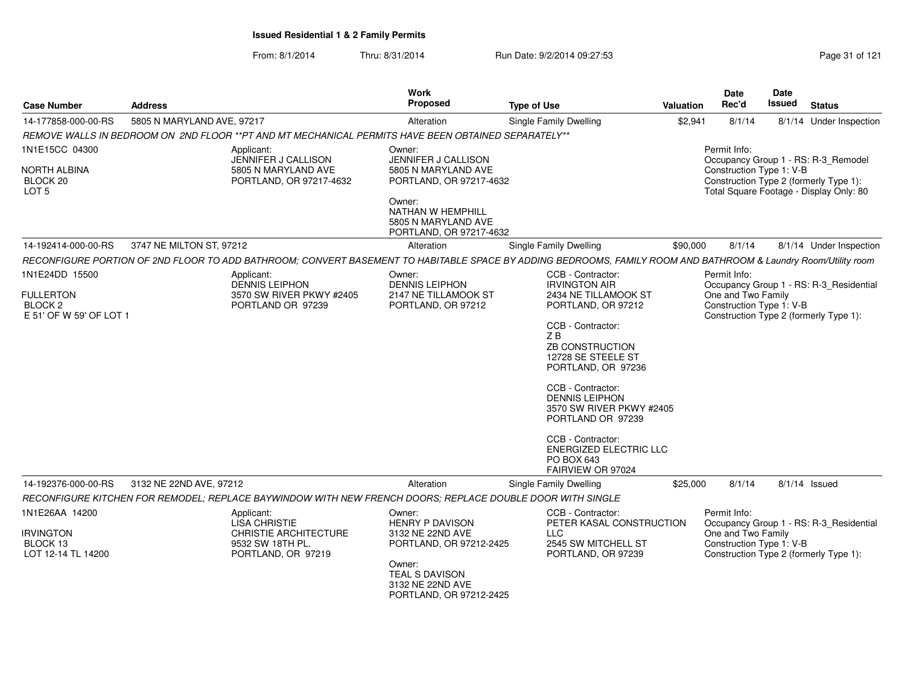| <b>Case Number</b>                                                                  | <b>Address</b>                                                                                                                                                 | <b>Work</b><br>Proposed                                                                                                                                           | <b>Type of Use</b>                                                                                                                                                                                                                                                                      | Valuation | <b>Date</b><br>Rec'd                                           | Date<br><b>Issued</b> | <b>Status</b>                                                                                                            |
|-------------------------------------------------------------------------------------|----------------------------------------------------------------------------------------------------------------------------------------------------------------|-------------------------------------------------------------------------------------------------------------------------------------------------------------------|-----------------------------------------------------------------------------------------------------------------------------------------------------------------------------------------------------------------------------------------------------------------------------------------|-----------|----------------------------------------------------------------|-----------------------|--------------------------------------------------------------------------------------------------------------------------|
| 14-177858-000-00-RS                                                                 | 5805 N MARYLAND AVE, 97217                                                                                                                                     | Alteration                                                                                                                                                        | <b>Single Family Dwelling</b>                                                                                                                                                                                                                                                           | \$2,941   | 8/1/14                                                         |                       | 8/1/14 Under Inspection                                                                                                  |
|                                                                                     | REMOVE WALLS IN BEDROOM ON 2ND FLOOR **PT AND MT MECHANICAL PERMITS HAVE BEEN OBTAINED SEPARATELY**                                                            |                                                                                                                                                                   |                                                                                                                                                                                                                                                                                         |           |                                                                |                       |                                                                                                                          |
| 1N1E15CC 04300<br>NORTH ALBINA<br>BLOCK <sub>20</sub><br>LOT <sub>5</sub>           | Applicant:<br>JENNIFER J CALLISON<br>5805 N MARYLAND AVE<br>PORTLAND, OR 97217-4632                                                                            | Owner:<br>JENNIFER J CALLISON<br>5805 N MARYLAND AVE<br>PORTLAND, OR 97217-4632<br>Owner:<br>NATHAN W HEMPHILL<br>5805 N MARYLAND AVE<br>PORTLAND, OR 97217-4632  |                                                                                                                                                                                                                                                                                         |           | Permit Info:<br>Construction Type 1: V-B                       |                       | Occupancy Group 1 - RS: R-3 Remodel<br>Construction Type 2 (formerly Type 1):<br>Total Square Footage - Display Only: 80 |
| 14-192414-000-00-RS                                                                 | 3747 NE MILTON ST, 97212                                                                                                                                       | Alteration                                                                                                                                                        | Single Family Dwelling                                                                                                                                                                                                                                                                  | \$90,000  | 8/1/14                                                         |                       | 8/1/14 Under Inspection                                                                                                  |
|                                                                                     | RECONFIGURE PORTION OF 2ND FLOOR TO ADD BATHROOM; CONVERT BASEMENT TO HABITABLE SPACE BY ADDING BEDROOMS, FAMILY ROOM AND BATHROOM & Laundry Room/Utility room |                                                                                                                                                                   |                                                                                                                                                                                                                                                                                         |           |                                                                |                       |                                                                                                                          |
| 1N1E24DD 15500<br><b>FULLERTON</b><br>BLOCK <sub>2</sub><br>E 51' OF W 59' OF LOT 1 | Applicant:<br><b>DENNIS LEIPHON</b><br>3570 SW RIVER PKWY #2405<br>PORTLAND OR 97239                                                                           | Owner:<br><b>DENNIS LEIPHON</b><br>2147 NE TILLAMOOK ST<br>PORTLAND, OR 97212                                                                                     | CCB - Contractor:<br><b>IRVINGTON AIR</b><br>2434 NE TILLAMOOK ST<br>PORTLAND, OR 97212<br>CCB - Contractor:<br>ZB<br><b>ZB CONSTRUCTION</b><br>12728 SE STEELE ST<br>PORTLAND, OR 97236<br>CCB - Contractor:<br><b>DENNIS LEIPHON</b><br>3570 SW RIVER PKWY #2405<br>PORTLAND OR 97239 |           | Permit Info:<br>One and Two Family<br>Construction Type 1: V-B |                       | Occupancy Group 1 - RS: R-3_Residential<br>Construction Type 2 (formerly Type 1):                                        |
| 14-192376-000-00-RS                                                                 | 3132 NE 22ND AVE, 97212<br>RECONFIGURE KITCHEN FOR REMODEL; REPLACE BAYWINDOW WITH NEW FRENCH DOORS; REPLACE DOUBLE DOOR WITH SINGLE                           | Alteration                                                                                                                                                        | CCB - Contractor:<br><b>ENERGIZED ELECTRIC LLC</b><br>PO BOX 643<br>FAIRVIEW OR 97024<br>Single Family Dwelling                                                                                                                                                                         | \$25,000  | 8/1/14                                                         |                       | $8/1/14$ Issued                                                                                                          |
| 1N1E26AA 14200<br><b>IRVINGTON</b><br>BLOCK 13<br>LOT 12-14 TL 14200                | Applicant:<br><b>LISA CHRISTIE</b><br><b>CHRISTIE ARCHITECTURE</b><br>9532 SW 18TH PL.<br>PORTLAND, OR 97219                                                   | Owner:<br><b>HENRY P DAVISON</b><br>3132 NE 22ND AVE<br>PORTLAND, OR 97212-2425<br>Owner:<br><b>TEAL S DAVISON</b><br>3132 NE 22ND AVE<br>PORTLAND, OR 97212-2425 | CCB - Contractor:<br>PETER KASAL CONSTRUCTION<br>LLC.<br>2545 SW MITCHELL ST<br>PORTLAND, OR 97239                                                                                                                                                                                      |           | Permit Info:<br>One and Two Family<br>Construction Type 1: V-B |                       | Occupancy Group 1 - RS: R-3_Residential<br>Construction Type 2 (formerly Type 1):                                        |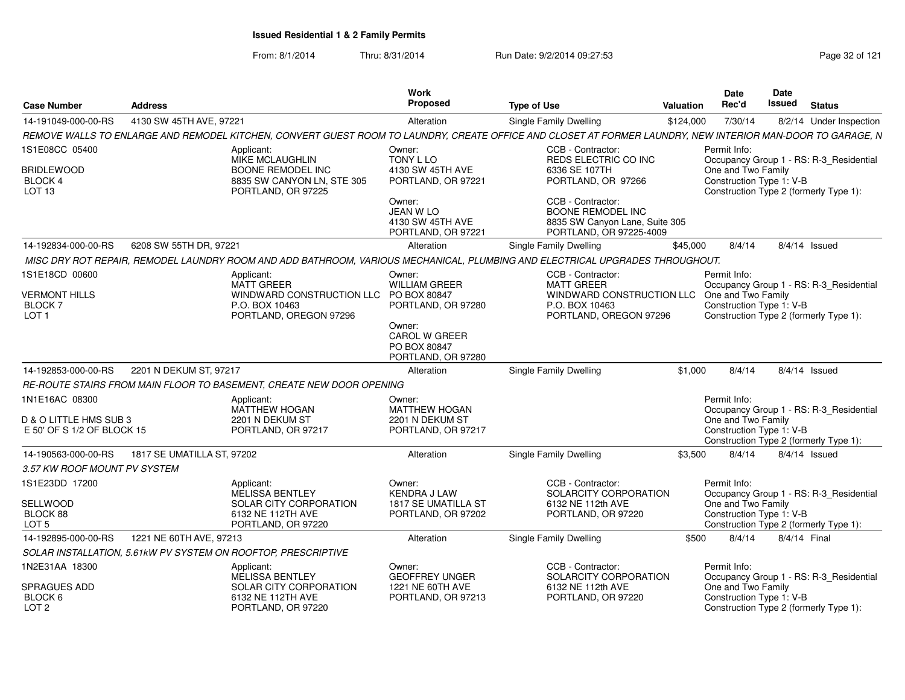| <b>Case Number</b>                                        | <b>Address</b>                                                       |                                                                              | Work<br><b>Proposed</b>                                              | <b>Type of Use</b>                                                                                                                                         | Valuation | Date<br>Rec'd                                                                            | <b>Date</b><br>Issued | <b>Status</b>                           |
|-----------------------------------------------------------|----------------------------------------------------------------------|------------------------------------------------------------------------------|----------------------------------------------------------------------|------------------------------------------------------------------------------------------------------------------------------------------------------------|-----------|------------------------------------------------------------------------------------------|-----------------------|-----------------------------------------|
| 14-191049-000-00-RS                                       | 4130 SW 45TH AVE, 97221                                              |                                                                              | Alteration                                                           | <b>Single Family Dwelling</b>                                                                                                                              | \$124.000 | 7/30/14                                                                                  |                       | 8/2/14 Under Inspection                 |
|                                                           |                                                                      |                                                                              |                                                                      | REMOVE WALLS TO ENLARGE AND REMODEL KITCHEN, CONVERT GUEST ROOM TO LAUNDRY, CREATE OFFICE AND CLOSET AT FORMER LAUNDRY, NEW INTERIOR MAN-DOOR TO GARAGE, N |           |                                                                                          |                       |                                         |
| 1S1E08CC 05400                                            | Applicant:                                                           | <b>MIKE MCLAUGHLIN</b>                                                       | Owner:<br>TONY L LO                                                  | CCB - Contractor:<br>REDS ELECTRIC CO INC                                                                                                                  |           | Permit Info:                                                                             |                       | Occupancy Group 1 - RS: R-3_Residential |
| <b>BRIDLEWOOD</b><br>BLOCK 4<br>LOT <sub>13</sub>         |                                                                      | <b>BOONE REMODEL INC</b><br>8835 SW CANYON LN, STE 305<br>PORTLAND, OR 97225 | 4130 SW 45TH AVE<br>PORTLAND, OR 97221                               | 6336 SE 107TH<br>PORTLAND, OR 97266                                                                                                                        |           | One and Two Family<br>Construction Type 1: V-B<br>Construction Type 2 (formerly Type 1): |                       |                                         |
|                                                           |                                                                      |                                                                              | Owner:<br>JEAN W LO<br>4130 SW 45TH AVE<br>PORTLAND, OR 97221        | CCB - Contractor:<br><b>BOONE REMODEL INC</b><br>8835 SW Canyon Lane, Suite 305<br>PORTLAND, OR 97225-4009                                                 |           |                                                                                          |                       |                                         |
| 14-192834-000-00-RS                                       | 6208 SW 55TH DR, 97221                                               |                                                                              | Alteration                                                           | <b>Single Family Dwelling</b>                                                                                                                              | \$45,000  | 8/4/14                                                                                   |                       | $8/4/14$ Issued                         |
|                                                           |                                                                      |                                                                              |                                                                      | MISC DRY ROT REPAIR, REMODEL LAUNDRY ROOM AND ADD BATHROOM, VARIOUS MECHANICAL, PLUMBING AND ELECTRICAL UPGRADES THROUGHOUT.                               |           |                                                                                          |                       |                                         |
| 1S1E18CD 00600                                            | Applicant:<br><b>MATT GREER</b>                                      |                                                                              | Owner:<br><b>WILLIAM GREER</b>                                       | CCB - Contractor:<br><b>MATT GREER</b>                                                                                                                     |           | Permit Info:                                                                             |                       | Occupancy Group 1 - RS: R-3_Residential |
| <b>VERMONT HILLS</b><br><b>BLOCK7</b><br>LOT <sub>1</sub> | P.O. BOX 10463                                                       | WINDWARD CONSTRUCTION LLC PO BOX 80847<br>PORTLAND, OREGON 97296             | PORTLAND, OR 97280                                                   | WINDWARD CONSTRUCTION LLC One and Two Family<br>P.O. BOX 10463<br>PORTLAND, OREGON 97296                                                                   |           | Construction Type 1: V-B<br>Construction Type 2 (formerly Type 1):                       |                       |                                         |
|                                                           |                                                                      |                                                                              | Owner:<br><b>CAROL W GREER</b><br>PO BOX 80847<br>PORTLAND, OR 97280 |                                                                                                                                                            |           |                                                                                          |                       |                                         |
| 14-192853-000-00-RS                                       | 2201 N DEKUM ST, 97217                                               |                                                                              | Alteration                                                           | Single Family Dwelling                                                                                                                                     | \$1,000   | 8/4/14                                                                                   |                       | 8/4/14 Issued                           |
|                                                           | RE-ROUTE STAIRS FROM MAIN FLOOR TO BASEMENT, CREATE NEW DOOR OPENING |                                                                              |                                                                      |                                                                                                                                                            |           |                                                                                          |                       |                                         |
| 1N1E16AC 08300                                            | Applicant:                                                           | <b>MATTHEW HOGAN</b>                                                         | Owner:<br><b>MATTHEW HOGAN</b>                                       |                                                                                                                                                            |           | Permit Info:                                                                             |                       | Occupancy Group 1 - RS: R-3 Residential |
| D & O LITTLE HMS SUB 3<br>E 50' OF S 1/2 OF BLOCK 15      |                                                                      | 2201 N DEKUM ST<br>PORTLAND, OR 97217                                        | 2201 N DEKUM ST<br>PORTLAND, OR 97217                                |                                                                                                                                                            |           | One and Two Family<br>Construction Type 1: V-B<br>Construction Type 2 (formerly Type 1): |                       |                                         |
| 14-190563-000-00-RS                                       | 1817 SE UMATILLA ST, 97202                                           |                                                                              | Alteration                                                           | <b>Single Family Dwelling</b>                                                                                                                              | \$3.500   | 8/4/14                                                                                   |                       | $8/4/14$ Issued                         |
| 3.57 KW ROOF MOUNT PV SYSTEM                              |                                                                      |                                                                              |                                                                      |                                                                                                                                                            |           |                                                                                          |                       |                                         |
| 1S1E23DD 17200                                            | Applicant:                                                           | MELISSA BENTLEY                                                              | Owner:<br><b>KENDRA J LAW</b>                                        | CCB - Contractor:<br>SOLARCITY CORPORATION                                                                                                                 |           | Permit Info:                                                                             |                       | Occupancy Group 1 - RS: R-3_Residential |
| <b>SELLWOOD</b><br>BLOCK 88<br>LOT <sub>5</sub>           |                                                                      | SOLAR CITY CORPORATION<br>6132 NE 112TH AVE<br>PORTLAND, OR 97220            | 1817 SE UMATILLA ST<br>PORTLAND, OR 97202                            | 6132 NE 112th AVE<br>PORTLAND, OR 97220                                                                                                                    |           | One and Two Family<br>Construction Type 1: V-B<br>Construction Type 2 (formerly Type 1): |                       |                                         |
|                                                           | 1221 NE 60TH AVE, 97213                                              |                                                                              | Alteration                                                           | Single Family Dwelling                                                                                                                                     | \$500     | 8/4/14                                                                                   | 8/4/14 Final          |                                         |
| 14-192895-000-00-RS                                       |                                                                      |                                                                              |                                                                      |                                                                                                                                                            |           |                                                                                          |                       |                                         |
| 1N2E31AA 18300                                            | SOLAR INSTALLATION, 5.61kW PV SYSTEM ON ROOFTOP, PRESCRIPTIVE        |                                                                              |                                                                      | CCB - Contractor:                                                                                                                                          |           | Permit Info:                                                                             |                       |                                         |
|                                                           | Applicant:                                                           | MELISSA BENTLEY                                                              | Owner:<br><b>GEOFFREY UNGER</b>                                      | SOLARCITY CORPORATION                                                                                                                                      |           |                                                                                          |                       | Occupancy Group 1 - RS: R-3_Residential |
| <b>SPRAGUES ADD</b><br>BLOCK 6<br>LOT <sub>2</sub>        |                                                                      | SOLAR CITY CORPORATION<br>6132 NE 112TH AVE<br>PORTLAND, OR 97220            | 1221 NE 60TH AVE<br>PORTLAND, OR 97213                               | 6132 NE 112th AVE<br>PORTLAND, OR 97220                                                                                                                    |           | One and Two Family<br>Construction Type 1: V-B<br>Construction Type 2 (formerly Type 1): |                       |                                         |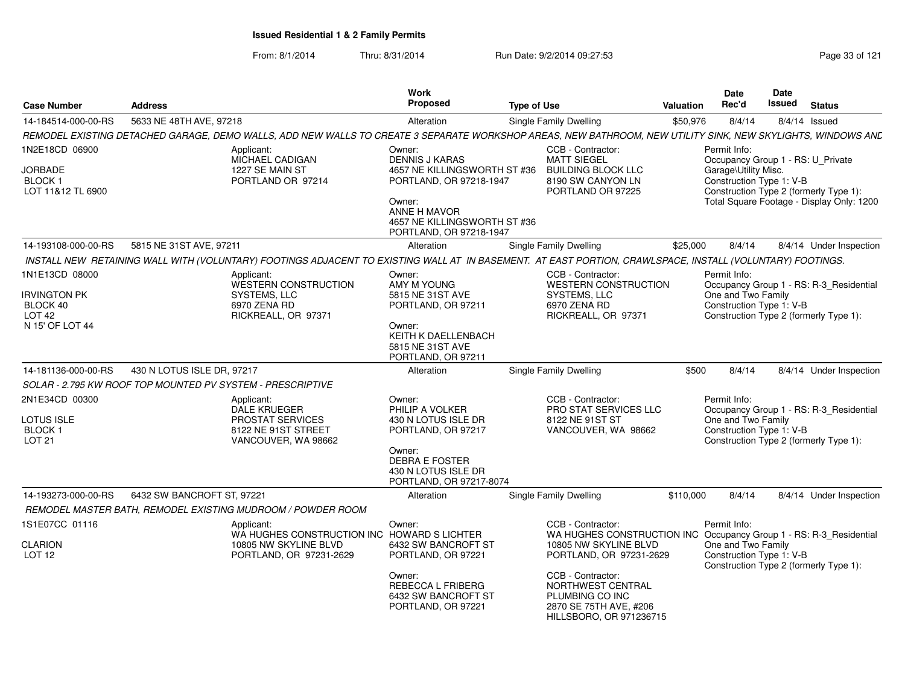| <b>Case Number</b>                                                  | <b>Address</b>             |                                                                                                                                                             | <b>Work</b><br><b>Proposed</b>                                                                                                               | <b>Type of Use</b> |                                                                                                                                             | Valuation | Date<br>Rec'd |                                                  | Date<br>Issued | <b>Status</b>                                                                       |
|---------------------------------------------------------------------|----------------------------|-------------------------------------------------------------------------------------------------------------------------------------------------------------|----------------------------------------------------------------------------------------------------------------------------------------------|--------------------|---------------------------------------------------------------------------------------------------------------------------------------------|-----------|---------------|--------------------------------------------------|----------------|-------------------------------------------------------------------------------------|
| 14-184514-000-00-RS                                                 | 5633 NE 48TH AVE, 97218    |                                                                                                                                                             | Alteration                                                                                                                                   |                    | Single Family Dwelling                                                                                                                      | \$50,976  |               | 8/4/14                                           |                | $8/4/14$ Issued                                                                     |
|                                                                     |                            | REMODEL EXISTING DETACHED GARAGE, DEMO WALLS, ADD NEW WALLS TO CREATE 3 SEPARATE WORKSHOP AREAS, NEW BATHROOM, NEW UTILITY SINK, NEW SKYLIGHTS, WINDOWS ANL |                                                                                                                                              |                    |                                                                                                                                             |           |               |                                                  |                |                                                                                     |
| 1N2E18CD 06900                                                      |                            | Applicant:<br><b>MICHAEL CADIGAN</b>                                                                                                                        | Owner:<br><b>DENNIS J KARAS</b>                                                                                                              |                    | CCB - Contractor:<br><b>MATT SIEGEL</b>                                                                                                     |           | Permit Info:  |                                                  |                | Occupancy Group 1 - RS: U Private                                                   |
| <b>JORBADE</b><br>BLOCK 1<br>LOT 11&12 TL 6900                      |                            | 1227 SE MAIN ST<br>PORTLAND OR 97214                                                                                                                        | 4657 NE KILLINGSWORTH ST #36<br>PORTLAND, OR 97218-1947<br>Owner:<br>ANNE H MAVOR<br>4657 NE KILLINGSWORTH ST #36<br>PORTLAND, OR 97218-1947 |                    | <b>BUILDING BLOCK LLC</b><br>8190 SW CANYON LN<br>PORTLAND OR 97225                                                                         |           |               | Garage\Utility Misc.<br>Construction Type 1: V-B |                | Construction Type 2 (formerly Type 1):<br>Total Square Footage - Display Only: 1200 |
| 14-193108-000-00-RS                                                 | 5815 NE 31ST AVE, 97211    |                                                                                                                                                             | Alteration                                                                                                                                   |                    | Single Family Dwelling                                                                                                                      | \$25,000  |               | 8/4/14                                           |                | 8/4/14 Under Inspection                                                             |
|                                                                     |                            | INSTALL NEW RETAINING WALL WITH (VOLUNTARY) FOOTINGS ADJACENT TO EXISTING WALL AT IN BASEMENT. AT EAST PORTION, CRAWLSPACE, INSTALL (VOLUNTARY) FOOTINGS.   |                                                                                                                                              |                    |                                                                                                                                             |           |               |                                                  |                |                                                                                     |
| 1N1E13CD 08000                                                      |                            | Applicant:<br>WESTERN CONSTRUCTION                                                                                                                          | Owner:<br>AMY M YOUNG                                                                                                                        |                    | CCB - Contractor:<br><b>WESTERN CONSTRUCTION</b>                                                                                            |           | Permit Info:  |                                                  |                | Occupancy Group 1 - RS: R-3_Residential                                             |
| <b>IRVINGTON PK</b><br>BLOCK 40                                     |                            | SYSTEMS, LLC<br>6970 ZENA RD                                                                                                                                | 5815 NE 31ST AVE<br>PORTLAND, OR 97211                                                                                                       |                    | SYSTEMS, LLC<br>6970 ZENA RD                                                                                                                |           |               | One and Two Family<br>Construction Type 1: V-B   |                |                                                                                     |
| LOT 42<br>N 15' OF LOT 44                                           |                            | RICKREALL, OR 97371                                                                                                                                         | Owner:<br>KEITH K DAELLENBACH<br>5815 NE 31ST AVE<br>PORTLAND, OR 97211                                                                      |                    | RICKREALL, OR 97371                                                                                                                         |           |               |                                                  |                | Construction Type 2 (formerly Type 1):                                              |
| 14-181136-000-00-RS                                                 | 430 N LOTUS ISLE DR, 97217 |                                                                                                                                                             | Alteration                                                                                                                                   |                    | Single Family Dwelling                                                                                                                      | \$500     |               | 8/4/14                                           |                | 8/4/14 Under Inspection                                                             |
|                                                                     |                            | SOLAR - 2.795 KW ROOF TOP MOUNTED PV SYSTEM - PRESCRIPTIVE                                                                                                  |                                                                                                                                              |                    |                                                                                                                                             |           |               |                                                  |                |                                                                                     |
| 2N1E34CD 00300<br>LOTUS ISLE<br>BLOCK <sub>1</sub><br><b>LOT 21</b> |                            | Applicant:<br><b>DALE KRUEGER</b><br>PROSTAT SERVICES<br>8122 NE 91ST STREET<br>VANCOUVER, WA 98662                                                         | Owner:<br>PHILIP A VOLKER<br>430 N LOTUS ISLE DR<br>PORTLAND, OR 97217                                                                       |                    | CCB - Contractor:<br>PRO STAT SERVICES LLC<br>8122 NE 91ST ST<br>VANCOUVER, WA 98662                                                        |           | Permit Info:  | One and Two Family<br>Construction Type 1: V-B   |                | Occupancy Group 1 - RS: R-3_Residential<br>Construction Type 2 (formerly Type 1):   |
|                                                                     |                            |                                                                                                                                                             | Owner:<br><b>DEBRA E FOSTER</b><br>430 N LOTUS ISLE DR<br>PORTLAND, OR 97217-8074                                                            |                    |                                                                                                                                             |           |               |                                                  |                |                                                                                     |
| 14-193273-000-00-RS                                                 | 6432 SW BANCROFT ST, 97221 |                                                                                                                                                             | Alteration                                                                                                                                   |                    | Single Family Dwelling                                                                                                                      | \$110,000 |               | 8/4/14                                           |                | 8/4/14 Under Inspection                                                             |
|                                                                     |                            | REMODEL MASTER BATH, REMODEL EXISTING MUDROOM / POWDER ROOM                                                                                                 |                                                                                                                                              |                    |                                                                                                                                             |           |               |                                                  |                |                                                                                     |
| 1S1E07CC 01116<br><b>CLARION</b><br>LOT <sub>12</sub>               |                            | Applicant:<br>WA HUGHES CONSTRUCTION INC HOWARD S LICHTER<br>10805 NW SKYLINE BLVD<br>PORTLAND, OR 97231-2629                                               | Owner:<br>6432 SW BANCROFT ST<br>PORTLAND, OR 97221                                                                                          |                    | CCB - Contractor:<br>WA HUGHES CONSTRUCTION INC Occupancy Group 1 - RS: R-3 Residential<br>10805 NW SKYLINE BLVD<br>PORTLAND, OR 97231-2629 |           | Permit Info:  | One and Two Family<br>Construction Type 1: V-B   |                |                                                                                     |
|                                                                     |                            |                                                                                                                                                             | Owner:<br>REBECCA L FRIBERG<br>6432 SW BANCROFT ST<br>PORTLAND, OR 97221                                                                     |                    | CCB - Contractor:<br>NORTHWEST CENTRAL<br>PLUMBING CO INC<br>2870 SE 75TH AVE, #206<br>HILLSBORO, OR 971236715                              |           |               |                                                  |                | Construction Type 2 (formerly Type 1):                                              |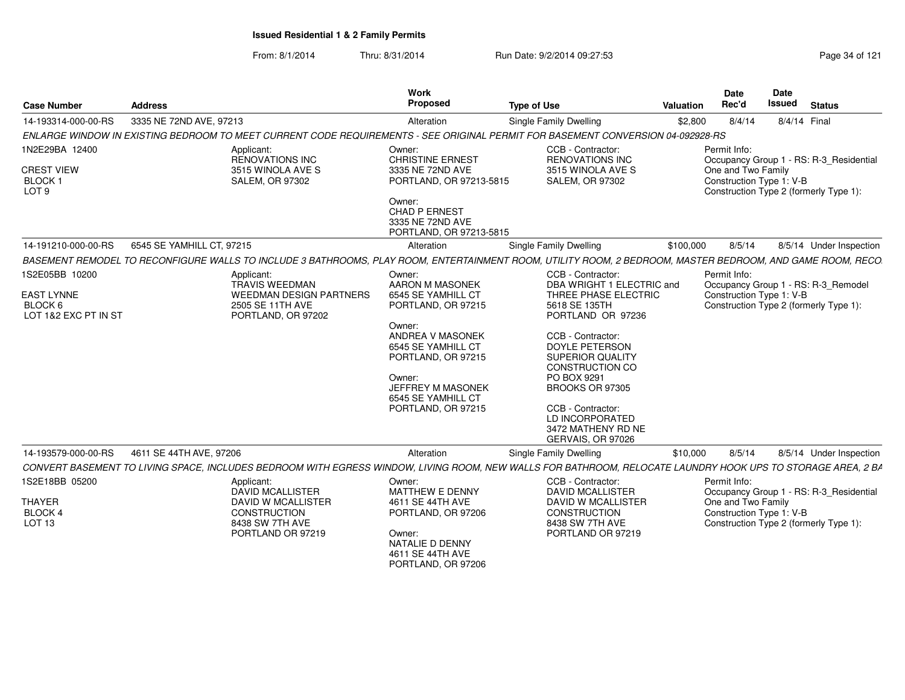| <b>Case Number</b>                                                       | <b>Address</b>                                                                                                                                              | <b>Work</b><br>Proposed                                                                                                                                                                                                           | <b>Type of Use</b>                                                                                                                                                                                                                                                                                                            | Valuation | Date<br>Rec'd                                                  | Date<br>Issued | <b>Status</b>                                                                     |
|--------------------------------------------------------------------------|-------------------------------------------------------------------------------------------------------------------------------------------------------------|-----------------------------------------------------------------------------------------------------------------------------------------------------------------------------------------------------------------------------------|-------------------------------------------------------------------------------------------------------------------------------------------------------------------------------------------------------------------------------------------------------------------------------------------------------------------------------|-----------|----------------------------------------------------------------|----------------|-----------------------------------------------------------------------------------|
| 14-193314-000-00-RS                                                      | 3335 NE 72ND AVE, 97213                                                                                                                                     | Alteration                                                                                                                                                                                                                        | Single Family Dwelling                                                                                                                                                                                                                                                                                                        | \$2,800   | 8/4/14                                                         | 8/4/14 Final   |                                                                                   |
|                                                                          | ENLARGE WINDOW IN EXISTING BEDROOM TO MEET CURRENT CODE REQUIREMENTS - SEE ORIGINAL PERMIT FOR BASEMENT CONVERSION 04-092928-RS                             |                                                                                                                                                                                                                                   |                                                                                                                                                                                                                                                                                                                               |           |                                                                |                |                                                                                   |
| 1N2E29BA 12400<br><b>CREST VIEW</b><br><b>BLOCK1</b><br>LOT <sub>9</sub> | Applicant:<br>RENOVATIONS INC<br>3515 WINOLA AVE S<br><b>SALEM. OR 97302</b>                                                                                | Owner:<br><b>CHRISTINE ERNEST</b><br>3335 NE 72ND AVE<br>PORTLAND, OR 97213-5815<br>Owner:<br>CHAD P ERNEST<br>3335 NE 72ND AVE                                                                                                   | CCB - Contractor:<br><b>RENOVATIONS INC</b><br>3515 WINOLA AVE S<br><b>SALEM, OR 97302</b>                                                                                                                                                                                                                                    |           | Permit Info:<br>One and Two Family<br>Construction Type 1: V-B |                | Occupancy Group 1 - RS: R-3_Residential<br>Construction Type 2 (formerly Type 1): |
|                                                                          |                                                                                                                                                             | PORTLAND, OR 97213-5815                                                                                                                                                                                                           |                                                                                                                                                                                                                                                                                                                               |           |                                                                |                |                                                                                   |
| 14-191210-000-00-RS                                                      | 6545 SE YAMHILL CT. 97215                                                                                                                                   | Alteration                                                                                                                                                                                                                        | <b>Single Family Dwelling</b>                                                                                                                                                                                                                                                                                                 | \$100,000 | 8/5/14                                                         |                | 8/5/14 Under Inspection                                                           |
|                                                                          | BASEMENT REMODEL TO RECONFIGURE WALLS TO INCLUDE 3 BATHROOMS, PLAY ROOM, ENTERTAINMENT ROOM, UTILITY ROOM, 2 BEDROOM, MASTER BEDROOM, AND GAME ROOM, RECO   |                                                                                                                                                                                                                                   |                                                                                                                                                                                                                                                                                                                               |           |                                                                |                |                                                                                   |
| 1S2E05BB 10200<br><b>EAST LYNNE</b><br>BLOCK 6<br>LOT 1&2 EXC PT IN ST   | Applicant:<br><b>TRAVIS WEEDMAN</b><br><b>WEEDMAN DESIGN PARTNERS</b><br>2505 SE 11TH AVE<br>PORTLAND, OR 97202                                             | Owner:<br>AARON M MASONEK<br>6545 SE YAMHILL CT<br>PORTLAND, OR 97215<br>Owner:<br>ANDREA V MASONEK<br>6545 SE YAMHILL CT<br>PORTLAND, OR 97215<br>Owner:<br><b>JEFFREY M MASONEK</b><br>6545 SE YAMHILL CT<br>PORTLAND, OR 97215 | CCB - Contractor:<br>DBA WRIGHT 1 ELECTRIC and<br>THREE PHASE ELECTRIC<br>5618 SE 135TH<br>PORTLAND OR 97236<br>CCB - Contractor:<br><b>DOYLE PETERSON</b><br><b>SUPERIOR QUALITY</b><br>CONSTRUCTION CO<br>PO BOX 9291<br>BROOKS OR 97305<br>CCB - Contractor:<br>LD INCORPORATED<br>3472 MATHENY RD NE<br>GERVAIS, OR 97026 |           | Permit Info:<br>Construction Type 1: V-B                       |                | Occupancy Group 1 - RS: R-3_Remodel<br>Construction Type 2 (formerly Type 1):     |
| 14-193579-000-00-RS                                                      | 4611 SE 44TH AVE, 97206                                                                                                                                     | Alteration                                                                                                                                                                                                                        | Single Family Dwelling                                                                                                                                                                                                                                                                                                        | \$10,000  | 8/5/14                                                         |                | 8/5/14 Under Inspection                                                           |
|                                                                          | CONVERT BASEMENT TO LIVING SPACE, INCLUDES BEDROOM WITH EGRESS WINDOW, LIVING ROOM, NEW WALLS FOR BATHROOM, RELOCATE LAUNDRY HOOK UPS TO STORAGE AREA, 2 BA |                                                                                                                                                                                                                                   |                                                                                                                                                                                                                                                                                                                               |           |                                                                |                |                                                                                   |
| 1S2E18BB 05200                                                           | Applicant:                                                                                                                                                  | Owner:                                                                                                                                                                                                                            | CCB - Contractor:                                                                                                                                                                                                                                                                                                             |           | Permit Info:                                                   |                |                                                                                   |
| THAYER<br>BLOCK 4<br>LOT 13                                              | <b>DAVID MCALLISTER</b><br><b>DAVID W MCALLISTER</b><br>CONSTRUCTION<br>8438 SW 7TH AVE<br>PORTLAND OR 97219                                                | <b>MATTHEW E DENNY</b><br>4611 SE 44TH AVE<br>PORTLAND, OR 97206<br>Owner:<br>NATALIE D DENNY<br>4611 SE 44TH AVE<br>PORTLAND, OR 97206                                                                                           | <b>DAVID MCALLISTER</b><br>DAVID W MCALLISTER<br>CONSTRUCTION<br>8438 SW 7TH AVE<br>PORTLAND OR 97219                                                                                                                                                                                                                         |           | One and Two Family<br>Construction Type 1: V-B                 |                | Occupancy Group 1 - RS: R-3_Residential<br>Construction Type 2 (formerly Type 1): |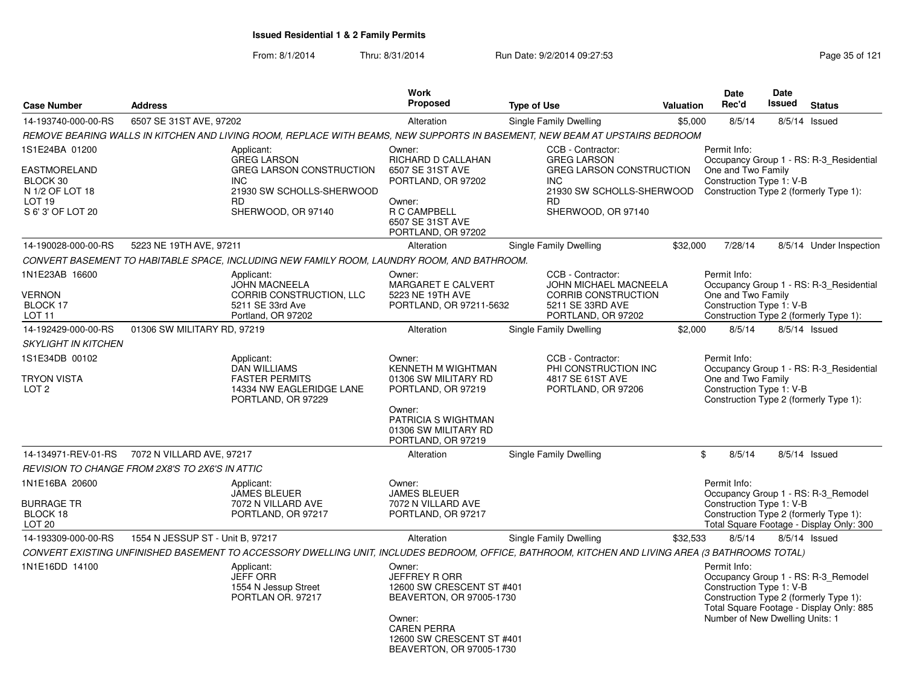|                                                                                              |                                  |                                                                                                                                                   | <b>Work</b>                                                                                                                                                                      |                                                                                                                                                          |                  | <b>Date</b>                                                                 | Date   |                                                                                                                           |
|----------------------------------------------------------------------------------------------|----------------------------------|---------------------------------------------------------------------------------------------------------------------------------------------------|----------------------------------------------------------------------------------------------------------------------------------------------------------------------------------|----------------------------------------------------------------------------------------------------------------------------------------------------------|------------------|-----------------------------------------------------------------------------|--------|---------------------------------------------------------------------------------------------------------------------------|
| <b>Case Number</b>                                                                           | <b>Address</b>                   |                                                                                                                                                   | <b>Proposed</b>                                                                                                                                                                  | <b>Type of Use</b>                                                                                                                                       | <b>Valuation</b> | Rec'd                                                                       | Issued | <b>Status</b>                                                                                                             |
| 14-193740-000-00-RS                                                                          | 6507 SE 31ST AVE, 97202          |                                                                                                                                                   | Alteration                                                                                                                                                                       | <b>Single Family Dwelling</b>                                                                                                                            | \$5,000          | 8/5/14                                                                      |        | $8/5/14$ Issued                                                                                                           |
|                                                                                              |                                  | REMOVE BEARING WALLS IN KITCHEN AND LIVING ROOM, REPLACE WITH BEAMS, NEW SUPPORTS IN BASEMENT, NEW BEAM AT UPSTAIRS BEDROOM                       |                                                                                                                                                                                  |                                                                                                                                                          |                  |                                                                             |        |                                                                                                                           |
| 1S1E24BA 01200<br>EASTMORELAND<br>BLOCK 30<br>N 1/2 OF LOT 18<br>LOT 19<br>S 6' 3' OF LOT 20 |                                  | Applicant:<br><b>GREG LARSON</b><br><b>GREG LARSON CONSTRUCTION</b><br><b>INC</b><br>21930 SW SCHOLLS-SHERWOOD<br><b>RD</b><br>SHERWOOD, OR 97140 | Owner:<br><b>RICHARD D CALLAHAN</b><br>6507 SE 31ST AVE<br>PORTLAND, OR 97202<br>Owner:<br>R C CAMPBELL<br>6507 SE 31ST AVE<br>PORTLAND, OR 97202                                | CCB - Contractor:<br><b>GREG LARSON</b><br><b>GREG LARSON CONSTRUCTION</b><br><b>INC</b><br>21930 SW SCHOLLS-SHERWOOD<br><b>RD</b><br>SHERWOOD, OR 97140 |                  | Permit Info:<br>One and Two Family<br>Construction Type 1: V-B              |        | Occupancy Group 1 - RS: R-3 Residential<br>Construction Type 2 (formerly Type 1):                                         |
| 14-190028-000-00-RS                                                                          | 5223 NE 19TH AVE, 97211          |                                                                                                                                                   | Alteration                                                                                                                                                                       | <b>Single Family Dwelling</b>                                                                                                                            | \$32,000         | 7/28/14                                                                     |        | 8/5/14 Under Inspection                                                                                                   |
|                                                                                              |                                  | CONVERT BASEMENT TO HABITABLE SPACE, INCLUDING NEW FAMILY ROOM, LAUNDRY ROOM, AND BATHROOM.                                                       |                                                                                                                                                                                  |                                                                                                                                                          |                  |                                                                             |        |                                                                                                                           |
| 1N1E23AB 16600<br><b>VERNON</b><br>BLOCK 17<br>LOT 11                                        |                                  | Applicant:<br><b>JOHN MACNEELA</b><br>CORRIB CONSTRUCTION, LLC<br>5211 SE 33rd Ave<br>Portland, OR 97202                                          | Owner:<br>MARGARET E CALVERT<br>5223 NE 19TH AVE<br>PORTLAND, OR 97211-5632                                                                                                      | CCB - Contractor:<br>JOHN MICHAEL MACNEELA<br><b>CORRIB CONSTRUCTION</b><br>5211 SE 33RD AVE<br>PORTLAND, OR 97202                                       |                  | Permit Info:<br>One and Two Family<br>Construction Type 1: V-B              |        | Occupancy Group 1 - RS: R-3 Residential<br>Construction Type 2 (formerly Type 1):                                         |
| 14-192429-000-00-RS                                                                          | 01306 SW MILITARY RD, 97219      |                                                                                                                                                   | Alteration                                                                                                                                                                       | Single Family Dwelling                                                                                                                                   | \$2,000          | 8/5/14                                                                      |        | $8/5/14$ Issued                                                                                                           |
| <b>SKYLIGHT IN KITCHEN</b>                                                                   |                                  |                                                                                                                                                   |                                                                                                                                                                                  |                                                                                                                                                          |                  |                                                                             |        |                                                                                                                           |
| 1S1E34DB 00102<br><b>TRYON VISTA</b><br>LOT <sub>2</sub>                                     |                                  | Applicant:<br><b>DAN WILLIAMS</b><br><b>FASTER PERMITS</b><br>14334 NW EAGLERIDGE LANE<br>PORTLAND, OR 97229                                      | Owner:<br>KENNETH M WIGHTMAN<br>01306 SW MILITARY RD<br>PORTLAND, OR 97219<br>Owner:<br><b>PATRICIA S WIGHTMAN</b><br>01306 SW MILITARY RD<br>PORTLAND, OR 97219                 | CCB - Contractor:<br>PHI CONSTRUCTION INC<br>4817 SE 61ST AVE<br>PORTLAND, OR 97206                                                                      |                  | Permit Info:<br>One and Two Family<br>Construction Type 1: V-B              |        | Occupancy Group 1 - RS: R-3_Residential<br>Construction Type 2 (formerly Type 1):                                         |
| 14-134971-REV-01-RS                                                                          | 7072 N VILLARD AVE, 97217        |                                                                                                                                                   | Alteration                                                                                                                                                                       | Single Family Dwelling                                                                                                                                   |                  | \$<br>8/5/14                                                                |        | 8/5/14 Issued                                                                                                             |
| REVISION TO CHANGE FROM 2X8'S TO 2X6'S IN ATTIC                                              |                                  |                                                                                                                                                   |                                                                                                                                                                                  |                                                                                                                                                          |                  |                                                                             |        |                                                                                                                           |
| 1N1E16BA 20600<br><b>BURRAGE TR</b><br>BLOCK 18<br>LOT <sub>20</sub>                         |                                  | Applicant:<br><b>JAMES BLEUER</b><br>7072 N VILLARD AVE<br>PORTLAND, OR 97217                                                                     | Owner:<br><b>JAMES BLEUER</b><br>7072 N VILLARD AVE<br>PORTLAND, OR 97217                                                                                                        |                                                                                                                                                          |                  | Permit Info:<br>Construction Type 1: V-B                                    |        | Occupancy Group 1 - RS: R-3 Remodel<br>Construction Type 2 (formerly Type 1):<br>Total Square Footage - Display Only: 300 |
| 14-193309-000-00-RS                                                                          | 1554 N JESSUP ST - Unit B, 97217 |                                                                                                                                                   | Alteration                                                                                                                                                                       | <b>Single Family Dwelling</b>                                                                                                                            | \$32,533         | 8/5/14                                                                      |        | 8/5/14 Issued                                                                                                             |
|                                                                                              |                                  | CONVERT EXISTING UNFINISHED BASEMENT TO ACCESSORY DWELLING UNIT. INCLUDES BEDROOM. OFFICE. BATHROOM. KITCHEN AND LIVING AREA (3 BATHROOMS TOTAL)  |                                                                                                                                                                                  |                                                                                                                                                          |                  |                                                                             |        |                                                                                                                           |
| 1N1E16DD 14100                                                                               |                                  | Applicant:<br><b>JEFF ORR</b><br>1554 N Jessup Street<br>PORTLAN OR. 97217                                                                        | Owner:<br><b>JEFFREY R ORR</b><br>12600 SW CRESCENT ST #401<br>BEAVERTON, OR 97005-1730<br>Owner:<br><b>CAREN PERRA</b><br>12600 SW CRESCENT ST #401<br>BEAVERTON, OR 97005-1730 |                                                                                                                                                          |                  | Permit Info:<br>Construction Type 1: V-B<br>Number of New Dwelling Units: 1 |        | Occupancy Group 1 - RS: R-3_Remodel<br>Construction Type 2 (formerly Type 1):<br>Total Square Footage - Display Only: 885 |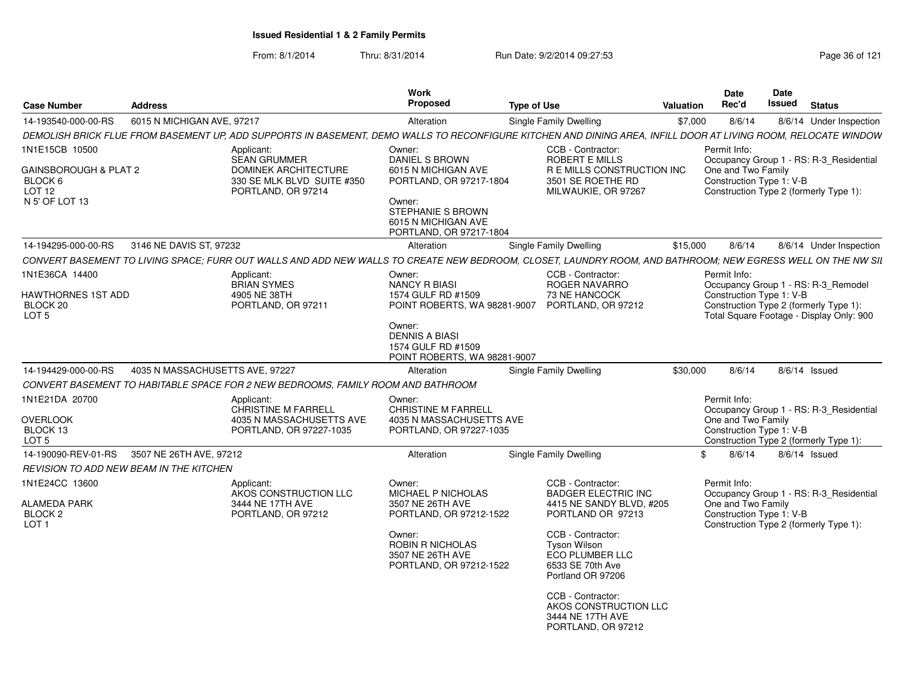| <b>Case Number</b>                                                      | <b>Address</b>                                 |                                                                                                                                                                | Work<br><b>Proposed</b>                                                                                                         | <b>Type of Use</b>                                                                                   | Valuation | Date<br>Rec'd                                  | <b>Date</b><br>Issued                                              | <b>Status</b>                                                                 |
|-------------------------------------------------------------------------|------------------------------------------------|----------------------------------------------------------------------------------------------------------------------------------------------------------------|---------------------------------------------------------------------------------------------------------------------------------|------------------------------------------------------------------------------------------------------|-----------|------------------------------------------------|--------------------------------------------------------------------|-------------------------------------------------------------------------------|
| 14-193540-000-00-RS                                                     | 6015 N MICHIGAN AVE, 97217                     |                                                                                                                                                                | Alteration                                                                                                                      | <b>Single Family Dwelling</b>                                                                        | \$7,000   | 8/6/14                                         |                                                                    | 8/6/14 Under Inspection                                                       |
|                                                                         |                                                | DEMOLISH BRICK FLUE FROM BASEMENT UP, ADD SUPPORTS IN BASEMENT, DEMO WALLS TO RECONFIGURE KITCHEN AND DINING AREA, INFILL DOOR AT LIVING ROOM, RELOCATE WINDOW |                                                                                                                                 |                                                                                                      |           |                                                |                                                                    |                                                                               |
| 1N1E15CB 10500                                                          |                                                | Applicant:<br><b>SEAN GRUMMER</b>                                                                                                                              | Owner:<br>DANIEL S BROWN                                                                                                        | CCB - Contractor:<br>ROBERT E MILLS                                                                  |           | Permit Info:                                   |                                                                    | Occupancy Group 1 - RS: R-3 Residential                                       |
| GAINSBOROUGH & PLAT 2<br>BLOCK 6<br>LOT <sub>12</sub><br>N 5' OF LOT 13 |                                                | <b>DOMINEK ARCHITECTURE</b><br>330 SE MLK BLVD SUITE #350<br>PORTLAND, OR 97214                                                                                | 6015 N MICHIGAN AVE<br>PORTLAND, OR 97217-1804<br>Owner:<br>STEPHANIE S BROWN<br>6015 N MICHIGAN AVE<br>PORTLAND, OR 97217-1804 | R E MILLS CONSTRUCTION INC<br>3501 SE ROETHE RD<br>MILWAUKIE, OR 97267                               |           | One and Two Family<br>Construction Type 1: V-B |                                                                    | Construction Type 2 (formerly Type 1):                                        |
| 14-194295-000-00-RS                                                     | 3146 NE DAVIS ST, 97232                        |                                                                                                                                                                | Alteration                                                                                                                      | Single Family Dwelling                                                                               | \$15,000  | 8/6/14                                         |                                                                    | 8/6/14 Under Inspection                                                       |
|                                                                         |                                                | CONVERT BASEMENT TO LIVING SPACE; FURR OUT WALLS AND ADD NEW WALLS TO CREATE NEW BEDROOM, CLOSET, LAUNDRY ROOM, AND BATHROOM; NEW EGRESS WELL ON THE NW SIL    |                                                                                                                                 |                                                                                                      |           |                                                |                                                                    |                                                                               |
| 1N1E36CA 14400<br>HAWTHORNES 1ST ADD<br>BLOCK 20                        |                                                | Applicant:<br><b>BRIAN SYMES</b><br>4905 NE 38TH<br>PORTLAND, OR 97211                                                                                         | Owner:<br>NANCY R BIASI<br>1574 GULF RD #1509<br>POINT ROBERTS, WA 98281-9007                                                   | CCB - Contractor:<br>ROGER NAVARRO<br>73 NE HANCOCK<br>PORTLAND, OR 97212                            |           | Permit Info:<br>Construction Type 1: V-B       |                                                                    | Occupancy Group 1 - RS: R-3 Remodel<br>Construction Type 2 (formerly Type 1): |
| LOT 5                                                                   |                                                |                                                                                                                                                                | Owner:<br><b>DENNIS A BIASI</b><br>1574 GULF RD #1509<br>POINT ROBERTS, WA 98281-9007                                           |                                                                                                      |           |                                                |                                                                    | Total Square Footage - Display Only: 900                                      |
| 14-194429-000-00-RS                                                     | 4035 N MASSACHUSETTS AVE, 97227                |                                                                                                                                                                | Alteration                                                                                                                      | Single Family Dwelling                                                                               | \$30,000  | 8/6/14                                         |                                                                    | 8/6/14 Issued                                                                 |
|                                                                         |                                                | CONVERT BASEMENT TO HABITABLE SPACE FOR 2 NEW BEDROOMS, FAMILY ROOM AND BATHROOM                                                                               |                                                                                                                                 |                                                                                                      |           |                                                |                                                                    |                                                                               |
| 1N1E21DA 20700<br>OVERLOOK                                              |                                                | Applicant:<br><b>CHRISTINE M FARRELL</b><br>4035 N MASSACHUSETTS AVE                                                                                           | Owner:<br><b>CHRISTINE M FARRELL</b><br>4035 N MASSACHUSETTS AVE                                                                |                                                                                                      |           | Permit Info:<br>One and Two Family             |                                                                    | Occupancy Group 1 - RS: R-3 Residential                                       |
| BLOCK 13<br>LOT 5                                                       |                                                | PORTLAND, OR 97227-1035                                                                                                                                        | PORTLAND, OR 97227-1035                                                                                                         |                                                                                                      |           | Construction Type 1: V-B                       |                                                                    | Construction Type 2 (formerly Type 1):                                        |
| 14-190090-REV-01-RS                                                     | 3507 NE 26TH AVE, 97212                        |                                                                                                                                                                | Alteration                                                                                                                      | <b>Single Family Dwelling</b>                                                                        |           | 8/6/14<br>\$                                   |                                                                    | $8/6/14$ Issued                                                               |
|                                                                         | <b>REVISION TO ADD NEW BEAM IN THE KITCHEN</b> |                                                                                                                                                                |                                                                                                                                 |                                                                                                      |           |                                                |                                                                    |                                                                               |
| 1N1E24CC 13600<br>ALAMEDA PARK                                          |                                                | Applicant:<br>AKOS CONSTRUCTION LLC<br>3444 NE 17TH AVE                                                                                                        | Owner:<br><b>MICHAEL P NICHOLAS</b><br>3507 NE 26TH AVE                                                                         | CCB - Contractor:<br><b>BADGER ELECTRIC INC</b><br>4415 NE SANDY BLVD, #205                          |           | Permit Info:<br>One and Two Family             |                                                                    | Occupancy Group 1 - RS: R-3 Residential                                       |
| BLOCK <sub>2</sub><br>LOT <sub>1</sub>                                  |                                                | PORTLAND, OR 97212                                                                                                                                             | PORTLAND, OR 97212-1522                                                                                                         | PORTLAND OR 97213                                                                                    |           |                                                | Construction Type 1: V-B<br>Construction Type 2 (formerly Type 1): |                                                                               |
|                                                                         |                                                |                                                                                                                                                                | Owner:<br>ROBIN R NICHOLAS<br>3507 NE 26TH AVE<br>PORTLAND, OR 97212-1522                                                       | CCB - Contractor:<br><b>Tyson Wilson</b><br>ECO PLUMBER LLC<br>6533 SE 70th Ave<br>Portland OR 97206 |           |                                                |                                                                    |                                                                               |
|                                                                         |                                                |                                                                                                                                                                |                                                                                                                                 | CCB - Contractor:<br>AKOS CONSTRUCTION LLC<br>3444 NE 17TH AVE<br>PORTLAND, OR 97212                 |           |                                                |                                                                    |                                                                               |
|                                                                         |                                                |                                                                                                                                                                |                                                                                                                                 |                                                                                                      |           |                                                |                                                                    |                                                                               |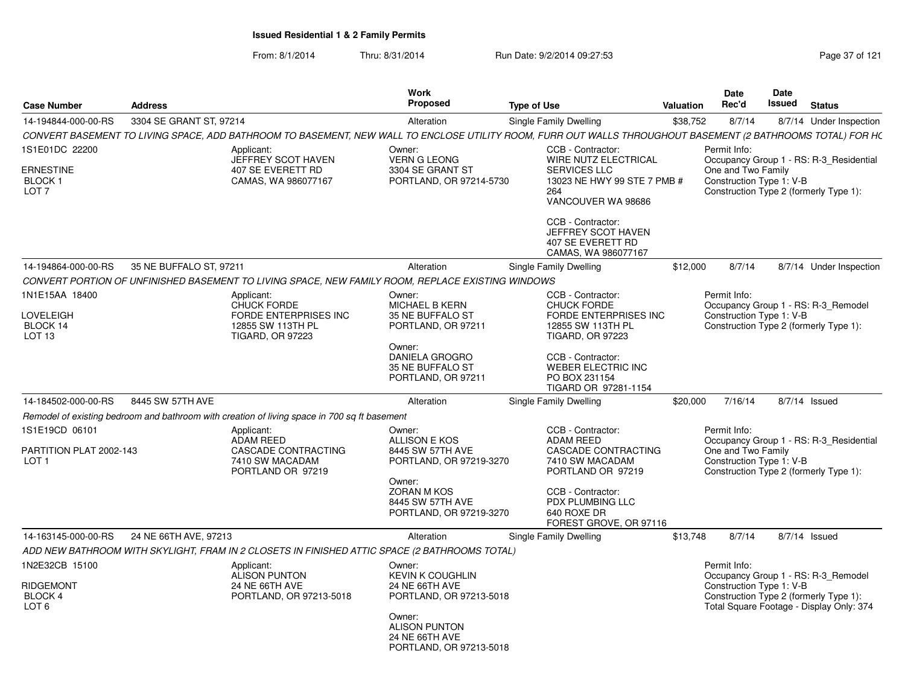| <b>Case Number</b>                                                       | <b>Address</b>          |                                                                                                           | Work<br><b>Proposed</b>                                                                                                                                       | Type of Use                                                                                                                                                                                                                | <b>Valuation</b> | Date<br>Rec'd                                                  | Date<br><b>Issued</b> | <b>Status</b>                                                                                                             |
|--------------------------------------------------------------------------|-------------------------|-----------------------------------------------------------------------------------------------------------|---------------------------------------------------------------------------------------------------------------------------------------------------------------|----------------------------------------------------------------------------------------------------------------------------------------------------------------------------------------------------------------------------|------------------|----------------------------------------------------------------|-----------------------|---------------------------------------------------------------------------------------------------------------------------|
| 14-194844-000-00-RS                                                      | 3304 SE GRANT ST. 97214 |                                                                                                           | Alteration                                                                                                                                                    | Single Family Dwelling                                                                                                                                                                                                     | \$38,752         | 8/7/14                                                         |                       | 8/7/14 Under Inspection                                                                                                   |
|                                                                          |                         |                                                                                                           |                                                                                                                                                               | CONVERT BASEMENT TO LIVING SPACE, ADD BATHROOM TO BASEMENT, NEW WALL TO ENCLOSE UTILITY ROOM, FURR OUT WALLS THROUGHOUT BASEMENT (2 BATHROOMS TOTAL) FOR HC                                                                |                  |                                                                |                       |                                                                                                                           |
| 1S1E01DC 22200<br><b>ERNESTINE</b><br>BLOCK 1<br>LOT <sub>7</sub>        |                         | Applicant:<br>JEFFREY SCOT HAVEN<br>407 SE EVERETT RD<br>CAMAS, WA 986077167                              | Owner:<br><b>VERN G LEONG</b><br>3304 SE GRANT ST<br>PORTLAND, OR 97214-5730                                                                                  | CCB - Contractor:<br><b>WIRE NUTZ ELECTRICAL</b><br><b>SERVICES LLC</b><br>13023 NE HWY 99 STE 7 PMB #<br>264<br>VANCOUVER WA 98686<br>CCB - Contractor:<br>JEFFREY SCOT HAVEN<br>407 SE EVERETT RD<br>CAMAS, WA 986077167 |                  | Permit Info:<br>One and Two Family<br>Construction Type 1: V-B |                       | Occupancy Group 1 - RS: R-3 Residential<br>Construction Type 2 (formerly Type 1):                                         |
| 14-194864-000-00-RS                                                      | 35 NE BUFFALO ST, 97211 |                                                                                                           | Alteration                                                                                                                                                    | Single Family Dwelling                                                                                                                                                                                                     | \$12,000         | 8/7/14                                                         |                       | 8/7/14 Under Inspection                                                                                                   |
|                                                                          |                         | CONVERT PORTION OF UNFINISHED BASEMENT TO LIVING SPACE, NEW FAMILY ROOM, REPLACE EXISTING WINDOWS         |                                                                                                                                                               |                                                                                                                                                                                                                            |                  |                                                                |                       |                                                                                                                           |
| 1N1E15AA 18400<br>LOVELEIGH<br>BLOCK 14<br>LOT <sub>13</sub>             |                         | Applicant:<br><b>CHUCK FORDE</b><br>FORDE ENTERPRISES INC<br>12855 SW 113TH PL<br><b>TIGARD, OR 97223</b> | Owner:<br><b>MICHAEL B KERN</b><br>35 NE BUFFALO ST<br>PORTLAND, OR 97211<br>Owner:<br>DANIELA GROGRO<br>35 NE BUFFALO ST<br>PORTLAND, OR 97211               | CCB - Contractor:<br><b>CHUCK FORDE</b><br><b>FORDE ENTERPRISES INC</b><br>12855 SW 113TH PL<br><b>TIGARD, OR 97223</b><br>CCB - Contractor:<br><b>WEBER ELECTRIC INC</b><br>PO BOX 231154<br>TIGARD OR 97281-1154         |                  | Permit Info:<br>Construction Type 1: V-B                       |                       | Occupancy Group 1 - RS: R-3 Remodel<br>Construction Type 2 (formerly Type 1):                                             |
| 14-184502-000-00-RS                                                      | 8445 SW 57TH AVE        |                                                                                                           | Alteration                                                                                                                                                    | Single Family Dwelling                                                                                                                                                                                                     | \$20,000         | 7/16/14                                                        |                       | 8/7/14 Issued                                                                                                             |
|                                                                          |                         | Remodel of existing bedroom and bathroom with creation of living space in 700 sq ft basement              |                                                                                                                                                               |                                                                                                                                                                                                                            |                  |                                                                |                       |                                                                                                                           |
| 1S1E19CD 06101<br>PARTITION PLAT 2002-143<br>LOT <sub>1</sub>            |                         | Applicant:<br><b>ADAM REED</b><br>CASCADE CONTRACTING<br>7410 SW MACADAM<br>PORTLAND OR 97219             | Owner:<br><b>ALLISON E KOS</b><br>8445 SW 57TH AVE<br>PORTLAND, OR 97219-3270<br>Owner:<br><b>ZORAN M KOS</b><br>8445 SW 57TH AVE<br>PORTLAND, OR 97219-3270  | CCB - Contractor:<br><b>ADAM REED</b><br>CASCADE CONTRACTING<br>7410 SW MACADAM<br>PORTLAND OR 97219<br>CCB - Contractor:<br>PDX PLUMBING LLC<br>640 ROXE DR                                                               |                  | Permit Info:<br>One and Two Family<br>Construction Type 1: V-B |                       | Occupancy Group 1 - RS: R-3 Residential<br>Construction Type 2 (formerly Type 1):                                         |
|                                                                          |                         |                                                                                                           |                                                                                                                                                               | FOREST GROVE, OR 97116                                                                                                                                                                                                     |                  |                                                                |                       |                                                                                                                           |
| 14-163145-000-00-RS                                                      | 24 NE 66TH AVE, 97213   | ADD NEW BATHROOM WITH SKYLIGHT, FRAM IN 2 CLOSETS IN FINISHED ATTIC SPACE (2 BATHROOMS TOTAL)             | Alteration                                                                                                                                                    | Single Family Dwelling                                                                                                                                                                                                     | \$13,748         | 8/7/14                                                         |                       | 8/7/14 Issued                                                                                                             |
| 1N2E32CB 15100<br><b>RIDGEMONT</b><br><b>BLOCK 4</b><br>LOT <sub>6</sub> |                         | Applicant:<br><b>ALISON PUNTON</b><br>24 NE 66TH AVE<br>PORTLAND, OR 97213-5018                           | Owner:<br><b>KEVIN K COUGHLIN</b><br>24 NE 66TH AVE<br>PORTLAND, OR 97213-5018<br>Owner:<br><b>ALISON PUNTON</b><br>24 NE 66TH AVE<br>PORTLAND, OR 97213-5018 |                                                                                                                                                                                                                            |                  | Permit Info:<br>Construction Type 1: V-B                       |                       | Occupancy Group 1 - RS: R-3 Remodel<br>Construction Type 2 (formerly Type 1):<br>Total Square Footage - Display Only: 374 |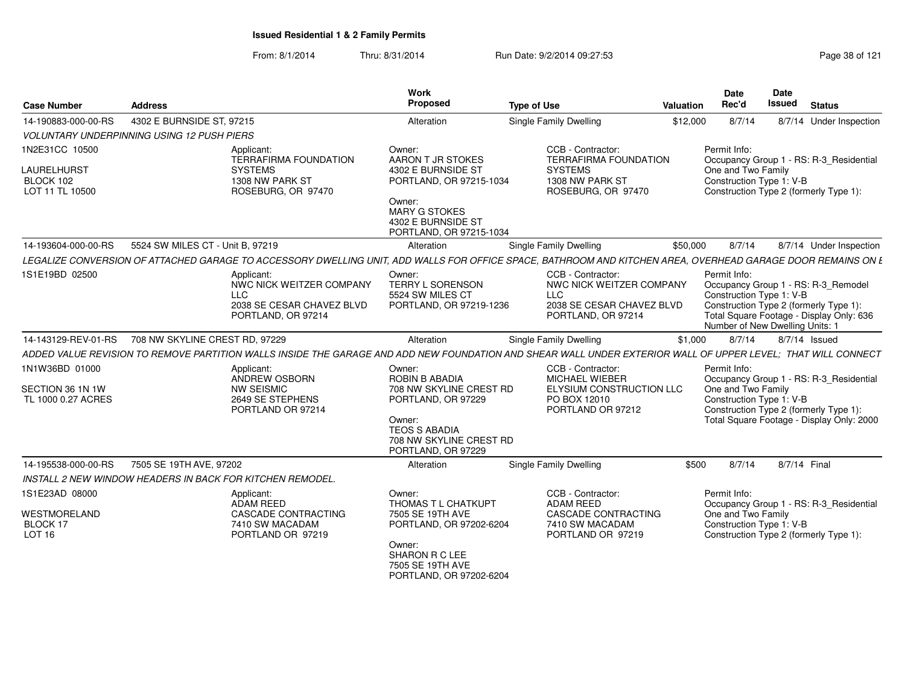| <b>Case Number</b>                                            | <b>Address</b>                                         |                                                                                                                                                              | Work<br>Proposed                                                                                                                                                | <b>Type of Use</b>                                                                                             | Valuation | <b>Date</b><br>Rec'd                                                        | Date<br><b>Issued</b> | <b>Status</b>                                                                                                                  |
|---------------------------------------------------------------|--------------------------------------------------------|--------------------------------------------------------------------------------------------------------------------------------------------------------------|-----------------------------------------------------------------------------------------------------------------------------------------------------------------|----------------------------------------------------------------------------------------------------------------|-----------|-----------------------------------------------------------------------------|-----------------------|--------------------------------------------------------------------------------------------------------------------------------|
| 14-190883-000-00-RS                                           | 4302 E BURNSIDE ST, 97215                              |                                                                                                                                                              | Alteration                                                                                                                                                      | <b>Single Family Dwelling</b>                                                                                  | \$12,000  | 8/7/14                                                                      |                       | 8/7/14 Under Inspection                                                                                                        |
|                                                               | <b>VOLUNTARY UNDERPINNING USING 12 PUSH PIERS</b>      |                                                                                                                                                              |                                                                                                                                                                 |                                                                                                                |           |                                                                             |                       |                                                                                                                                |
| 1N2E31CC 10500<br>LAURELHURST<br>BLOCK 102<br>LOT 11 TL 10500 |                                                        | Applicant:<br><b>TERRAFIRMA FOUNDATION</b><br><b>SYSTEMS</b><br>1308 NW PARK ST<br>ROSEBURG, OR 97470                                                        | Owner:<br>AARON T JR STOKES<br>4302 E BURNSIDE ST<br>PORTLAND, OR 97215-1034<br>Owner:<br><b>MARY G STOKES</b><br>4302 E BURNSIDE ST<br>PORTLAND, OR 97215-1034 | CCB - Contractor:<br><b>TERRAFIRMA FOUNDATION</b><br><b>SYSTEMS</b><br>1308 NW PARK ST<br>ROSEBURG, OR 97470   |           | Permit Info:<br>One and Two Family<br>Construction Type 1: V-B              |                       | Occupancy Group 1 - RS: R-3_Residential<br>Construction Type 2 (formerly Type 1):                                              |
| 14-193604-000-00-RS                                           | 5524 SW MILES CT - Unit B, 97219                       |                                                                                                                                                              | Alteration                                                                                                                                                      | <b>Single Family Dwelling</b>                                                                                  | \$50,000  | 8/7/14                                                                      |                       | 8/7/14 Under Inspection                                                                                                        |
|                                                               |                                                        | LEGALIZE CONVERSION OF ATTACHED GARAGE TO ACCESSORY DWELLING UNIT. ADD WALLS FOR OFFICE SPACE. BATHROOM AND KITCHEN AREA. OVERHEAD GARAGE DOOR REMAINS ON L  |                                                                                                                                                                 |                                                                                                                |           |                                                                             |                       |                                                                                                                                |
| 1S1E19BD 02500                                                |                                                        | Applicant:<br>NWC NICK WEITZER COMPANY<br><b>LLC</b><br>2038 SE CESAR CHAVEZ BLVD<br>PORTLAND, OR 97214                                                      | Owner:<br>TERRY L SORENSON<br>5524 SW MILES CT<br>PORTLAND, OR 97219-1236                                                                                       | CCB - Contractor:<br>NWC NICK WEITZER COMPANY<br><b>LLC</b><br>2038 SE CESAR CHAVEZ BLVD<br>PORTLAND, OR 97214 |           | Permit Info:<br>Construction Type 1: V-B<br>Number of New Dwelling Units: 1 |                       | Occupancy Group 1 - RS: R-3 Remodel<br>Construction Type 2 (formerly Type 1):<br>Total Square Footage - Display Only: 636      |
|                                                               | 14-143129-REV-01-RS     708 NW SKYLINE CREST RD. 97229 |                                                                                                                                                              | Alteration                                                                                                                                                      | <b>Single Family Dwelling</b>                                                                                  | \$1,000   | 8/7/14                                                                      |                       | 8/7/14 Issued                                                                                                                  |
|                                                               |                                                        | ADDED VALUE REVISION TO REMOVE PARTITION WALLS INSIDE THE GARAGE AND ADD NEW FOUNDATION AND SHEAR WALL UNDER EXTERIOR WALL OF UPPER LEVEL; THAT WILL CONNECT |                                                                                                                                                                 |                                                                                                                |           |                                                                             |                       |                                                                                                                                |
| 1N1W36BD 01000<br>SECTION 36 1N 1W<br>TL 1000 0.27 ACRES      |                                                        | Applicant:<br>ANDREW OSBORN<br><b>NW SEISMIC</b><br>2649 SE STEPHENS<br>PORTLAND OR 97214                                                                    | Owner:<br>ROBIN B ABADIA<br>708 NW SKYLINE CREST RD<br>PORTLAND, OR 97229<br>Owner:<br><b>TEOS S ABADIA</b><br>708 NW SKYLINE CREST RD<br>PORTLAND, OR 97229    | CCB - Contractor:<br><b>MICHAEL WIEBER</b><br>ELYSIUM CONSTRUCTION LLC<br>PO BOX 12010<br>PORTLAND OR 97212    |           | Permit Info:<br>One and Two Family<br>Construction Type 1: V-B              |                       | Occupancy Group 1 - RS: R-3_Residential<br>Construction Type 2 (formerly Type 1):<br>Total Square Footage - Display Only: 2000 |
| 14-195538-000-00-RS                                           | 7505 SE 19TH AVE, 97202                                |                                                                                                                                                              | Alteration                                                                                                                                                      | <b>Single Family Dwelling</b>                                                                                  | \$500     | 8/7/14                                                                      |                       | 8/7/14 Final                                                                                                                   |
|                                                               |                                                        | <b>INSTALL 2 NEW WINDOW HEADERS IN BACK FOR KITCHEN REMODEL.</b>                                                                                             |                                                                                                                                                                 |                                                                                                                |           |                                                                             |                       |                                                                                                                                |
| 1S1E23AD 08000<br><b>WESTMORELAND</b><br>BLOCK 17<br>LOT 16   |                                                        | Applicant:<br>ADAM REED<br>CASCADE CONTRACTING<br>7410 SW MACADAM<br>PORTLAND OR 97219                                                                       | Owner:<br>THOMAS T L CHATKUPT<br>7505 SE 19TH AVE<br>PORTLAND, OR 97202-6204<br>Owner:<br>SHARON R C LEE<br>7505 SE 19TH AVE<br>PORTLAND, OR 97202-6204         | CCB - Contractor:<br><b>ADAM REED</b><br><b>CASCADE CONTRACTING</b><br>7410 SW MACADAM<br>PORTLAND OR 97219    |           | Permit Info:<br>One and Two Family<br>Construction Type 1: V-B              |                       | Occupancy Group 1 - RS: R-3 Residential<br>Construction Type 2 (formerly Type 1):                                              |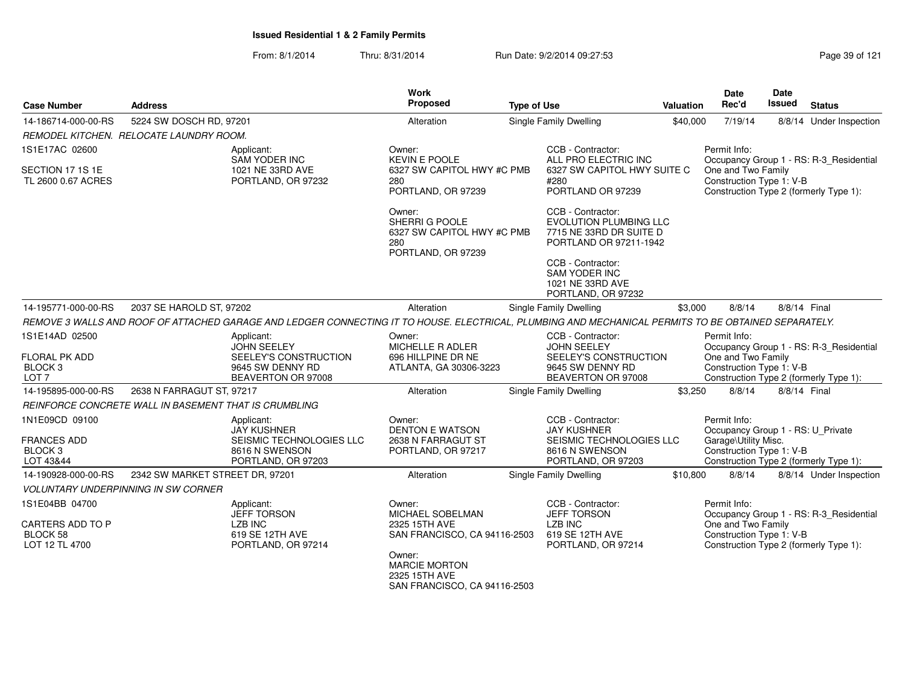From: 8/1/2014Thru: 8/31/2014 **Run Date: 9/2/2014 09:27:53** Page 39 of 121

| <b>Case Number</b>                                      | <b>Address</b>                                        |                                                                                                                                                      | <b>Work</b><br>Proposed                                                             | <b>Type of Use</b>     |                                                                                                  | Valuation | Date<br>Rec'd                                     | Date<br><b>Issued</b>   | <b>Status</b>                           |
|---------------------------------------------------------|-------------------------------------------------------|------------------------------------------------------------------------------------------------------------------------------------------------------|-------------------------------------------------------------------------------------|------------------------|--------------------------------------------------------------------------------------------------|-----------|---------------------------------------------------|-------------------------|-----------------------------------------|
| 14-186714-000-00-RS                                     | 5224 SW DOSCH RD, 97201                               |                                                                                                                                                      | Alteration                                                                          | Single Family Dwelling | \$40,000                                                                                         | 7/19/14   |                                                   | 8/8/14 Under Inspection |                                         |
|                                                         | REMODEL KITCHEN. RELOCATE LAUNDRY ROOM.               |                                                                                                                                                      |                                                                                     |                        |                                                                                                  |           |                                                   |                         |                                         |
| 1S1E17AC 02600                                          |                                                       | Applicant:<br><b>SAM YODER INC</b>                                                                                                                   | Owner:<br><b>KEVIN E POOLE</b>                                                      |                        | CCB - Contractor:<br>ALL PRO ELECTRIC INC                                                        |           | Permit Info:                                      |                         | Occupancy Group 1 - RS: R-3_Residential |
| SECTION 17 1S 1E<br>TL 2600 0.67 ACRES                  |                                                       | 1021 NE 33RD AVE<br>PORTLAND, OR 97232                                                                                                               | 6327 SW CAPITOL HWY #C PMB<br>280<br>PORTLAND, OR 97239                             |                        | 6327 SW CAPITOL HWY SUITE C<br>#280<br>PORTLAND OR 97239                                         |           | One and Two Family<br>Construction Type 1: V-B    |                         | Construction Type 2 (formerly Type 1):  |
|                                                         |                                                       |                                                                                                                                                      | Owner:<br>SHERRI G POOLE<br>6327 SW CAPITOL HWY #C PMB<br>280<br>PORTLAND, OR 97239 |                        | CCB - Contractor:<br>EVOLUTION PLUMBING LLC<br>7715 NE 33RD DR SUITE D<br>PORTLAND OR 97211-1942 |           |                                                   |                         |                                         |
|                                                         |                                                       |                                                                                                                                                      |                                                                                     |                        | CCB - Contractor:<br><b>SAM YODER INC</b><br>1021 NE 33RD AVE<br>PORTLAND, OR 97232              |           |                                                   |                         |                                         |
| 14-195771-000-00-RS                                     | 2037 SE HAROLD ST, 97202                              |                                                                                                                                                      | Alteration                                                                          |                        | Single Family Dwelling                                                                           | \$3,000   | 8/8/14                                            | 8/8/14 Final            |                                         |
|                                                         |                                                       | REMOVE 3 WALLS AND ROOF OF ATTACHED GARAGE AND LEDGER CONNECTING IT TO HOUSE. ELECTRICAL, PLUMBING AND MECHANICAL PERMITS TO BE OBTAINED SEPARATELY. |                                                                                     |                        |                                                                                                  |           |                                                   |                         |                                         |
| 1S1E14AD 02500                                          |                                                       | Applicant:<br><b>JOHN SEELEY</b>                                                                                                                     | Owner:<br>MICHELLE R ADLER                                                          |                        | CCB - Contractor:<br><b>JOHN SEELEY</b>                                                          |           | Permit Info:                                      |                         | Occupancy Group 1 - RS: R-3_Residential |
| FLORAL PK ADD<br>BLOCK <sub>3</sub><br>LOT <sub>7</sub> |                                                       | SEELEY'S CONSTRUCTION<br>9645 SW DENNY RD<br>BEAVERTON OR 97008                                                                                      | 696 HILLPINE DR NE<br>ATLANTA, GA 30306-3223                                        |                        | SEELEY'S CONSTRUCTION<br>9645 SW DENNY RD<br>BEAVERTON OR 97008                                  |           | One and Two Family<br>Construction Type 1: V-B    |                         | Construction Type 2 (formerly Type 1):  |
| 14-195895-000-00-RS                                     | 2638 N FARRAGUT ST, 97217                             |                                                                                                                                                      | Alteration                                                                          |                        | Single Family Dwelling                                                                           | \$3,250   | 8/8/14                                            | 8/8/14 Final            |                                         |
|                                                         | REINFORCE CONCRETE WALL IN BASEMENT THAT IS CRUMBLING |                                                                                                                                                      |                                                                                     |                        |                                                                                                  |           |                                                   |                         |                                         |
| 1N1E09CD 09100                                          |                                                       | Applicant:<br><b>JAY KUSHNER</b>                                                                                                                     | Owner:<br><b>DENTON E WATSON</b>                                                    |                        | CCB - Contractor:<br><b>JAY KUSHNER</b>                                                          |           | Permit Info:<br>Occupancy Group 1 - RS: U Private |                         |                                         |
| <b>FRANCES ADD</b><br>BLOCK <sub>3</sub>                |                                                       | SEISMIC TECHNOLOGIES LLC<br>8616 N SWENSON                                                                                                           | 2638 N FARRAGUT ST<br>PORTLAND, OR 97217                                            |                        | SEISMIC TECHNOLOGIES LLC<br>8616 N SWENSON                                                       |           | Garage\Utility Misc.<br>Construction Type 1: V-B  |                         |                                         |
| LOT 43&44                                               |                                                       | PORTLAND, OR 97203                                                                                                                                   |                                                                                     |                        | PORTLAND, OR 97203                                                                               |           |                                                   |                         | Construction Type 2 (formerly Type 1):  |
| 14-190928-000-00-RS                                     | 2342 SW MARKET STREET DR, 97201                       |                                                                                                                                                      | Alteration                                                                          |                        | <b>Single Family Dwelling</b>                                                                    | \$10,800  | 8/8/14                                            |                         | 8/8/14 Under Inspection                 |
|                                                         | <b>VOLUNTARY UNDERPINNING IN SW CORNER</b>            |                                                                                                                                                      |                                                                                     |                        |                                                                                                  |           |                                                   |                         |                                         |
| 1S1E04BB 04700                                          |                                                       | Applicant:<br><b>JEFF TORSON</b>                                                                                                                     | Owner:<br>MICHAEL SOBELMAN                                                          |                        | CCB - Contractor:<br><b>JEFF TORSON</b>                                                          |           | Permit Info:                                      |                         | Occupancy Group 1 - RS: R-3 Residential |
| <b>CARTERS ADD TO P</b>                                 |                                                       | <b>LZB INC</b>                                                                                                                                       | 2325 15TH AVE                                                                       |                        | <b>LZB INC</b>                                                                                   |           | One and Two Family                                |                         |                                         |
| BLOCK 58<br>LOT 12 TL 4700                              |                                                       | 619 SE 12TH AVE<br>PORTLAND, OR 97214                                                                                                                | SAN FRANCISCO, CA 94116-2503<br>Owner:<br><b>MARCIE MORTON</b>                      |                        | 619 SE 12TH AVE<br>PORTLAND, OR 97214                                                            |           | Construction Type 1: V-B                          |                         | Construction Type 2 (formerly Type 1):  |
|                                                         |                                                       |                                                                                                                                                      | 2325 15TH AVE                                                                       |                        |                                                                                                  |           |                                                   |                         |                                         |

SAN FRANCISCO, CA 94116-2503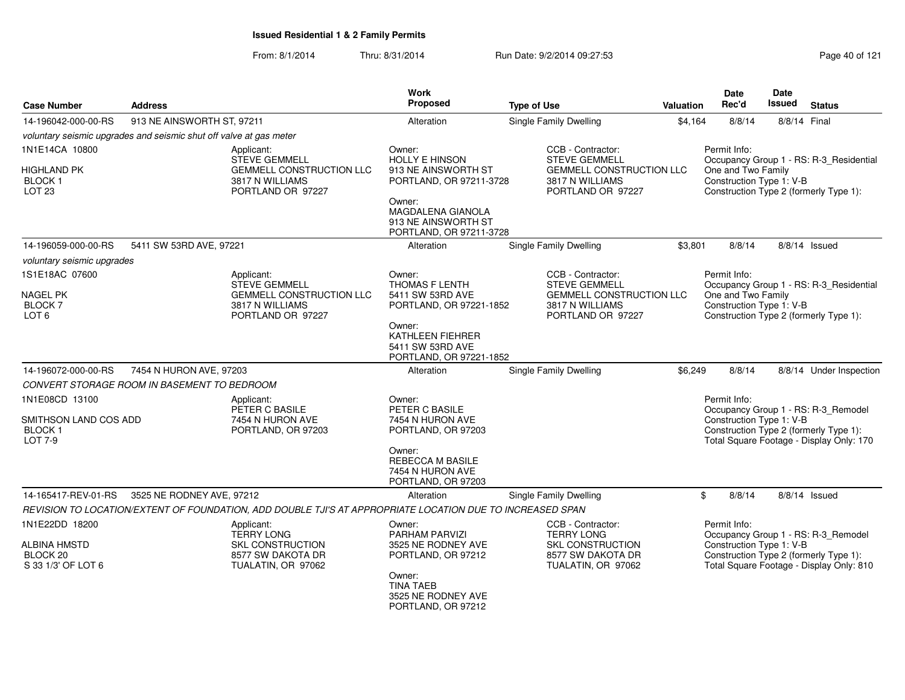| <b>Case Number</b>                                                      | <b>Address</b>                                                                                 |                                                                                                           | Work<br>Proposed                                                              | <b>Type of Use</b>                                                                                    | Valuation                                               | <b>Date</b><br>Rec'd                           | <b>Date</b><br>Issued | <b>Status</b>                                                                                                             |  |
|-------------------------------------------------------------------------|------------------------------------------------------------------------------------------------|-----------------------------------------------------------------------------------------------------------|-------------------------------------------------------------------------------|-------------------------------------------------------------------------------------------------------|---------------------------------------------------------|------------------------------------------------|-----------------------|---------------------------------------------------------------------------------------------------------------------------|--|
| 14-196042-000-00-RS                                                     | 913 NE AINSWORTH ST, 97211                                                                     |                                                                                                           | Alteration                                                                    | <b>Single Family Dwelling</b>                                                                         | \$4,164<br>8/8/14                                       |                                                | 8/8/14 Final          |                                                                                                                           |  |
|                                                                         | voluntary seismic upgrades and seismic shut off valve at gas meter                             |                                                                                                           |                                                                               |                                                                                                       |                                                         |                                                |                       |                                                                                                                           |  |
| 1N1E14CA 10800                                                          |                                                                                                | Applicant:<br><b>STEVE GEMMELL</b>                                                                        | Owner:<br><b>HOLLY E HINSON</b>                                               | CCB - Contractor:<br><b>STEVE GEMMELL</b>                                                             | Permit Info:<br>Occupancy Group 1 - RS: R-3 Residential |                                                |                       |                                                                                                                           |  |
| <b>HIGHLAND PK</b><br><b>BLOCK1</b><br><b>LOT 23</b>                    |                                                                                                | <b>GEMMELL CONSTRUCTION LLC</b><br>3817 N WILLIAMS<br>PORTLAND OR 97227                                   | 913 NE AINSWORTH ST<br>PORTLAND, OR 97211-3728                                | <b>GEMMELL CONSTRUCTION LLC</b><br>3817 N WILLIAMS<br>PORTLAND OR 97227                               |                                                         | One and Two Family<br>Construction Type 1: V-B |                       | Construction Type 2 (formerly Type 1):                                                                                    |  |
|                                                                         |                                                                                                |                                                                                                           | Owner:<br>MAGDALENA GIANOLA<br>913 NE AINSWORTH ST<br>PORTLAND, OR 97211-3728 |                                                                                                       |                                                         |                                                |                       |                                                                                                                           |  |
| 14-196059-000-00-RS                                                     | 5411 SW 53RD AVE, 97221                                                                        |                                                                                                           | Alteration                                                                    | Single Family Dwelling                                                                                | \$3,801                                                 | 8/8/14                                         |                       | $8/8/14$ Issued                                                                                                           |  |
| voluntary seismic upgrades                                              |                                                                                                |                                                                                                           |                                                                               |                                                                                                       |                                                         |                                                |                       |                                                                                                                           |  |
| 1S1E18AC 07600                                                          |                                                                                                | Applicant:<br><b>STEVE GEMMELL</b>                                                                        | Owner:<br>THOMAS F LENTH                                                      | CCB - Contractor:<br><b>STEVE GEMMELL</b>                                                             |                                                         | Permit Info:                                   |                       | Occupancy Group 1 - RS: R-3_Residential                                                                                   |  |
| NAGEL PK<br>BLOCK 7<br>LOT 6                                            |                                                                                                | <b>GEMMELL CONSTRUCTION LLC</b><br>3817 N WILLIAMS<br>PORTLAND OR 97227                                   | 5411 SW 53RD AVE<br>PORTLAND, OR 97221-1852                                   | <b>GEMMELL CONSTRUCTION LLC</b><br>3817 N WILLIAMS<br>PORTLAND OR 97227                               |                                                         | One and Two Family<br>Construction Type 1: V-B |                       | Construction Type 2 (formerly Type 1):                                                                                    |  |
|                                                                         |                                                                                                |                                                                                                           | Owner:<br>KATHLEEN FIEHRER<br>5411 SW 53RD AVE<br>PORTLAND, OR 97221-1852     |                                                                                                       |                                                         |                                                |                       |                                                                                                                           |  |
| 14-196072-000-00-RS                                                     | 7454 N HURON AVE, 97203                                                                        |                                                                                                           | Alteration                                                                    | Single Family Dwelling                                                                                | \$6,249                                                 | 8/8/14                                         |                       | 8/8/14 Under Inspection                                                                                                   |  |
|                                                                         | CONVERT STORAGE ROOM IN BASEMENT TO BEDROOM                                                    |                                                                                                           |                                                                               |                                                                                                       |                                                         |                                                |                       |                                                                                                                           |  |
| 1N1E08CD 13100                                                          |                                                                                                | Applicant:<br>PETER C BASILE                                                                              | Owner:<br>PETER C BASILE                                                      |                                                                                                       |                                                         | Permit Info:                                   |                       | Occupancy Group 1 - RS: R-3_Remodel                                                                                       |  |
| SMITHSON LAND COS ADD<br><b>BLOCK1</b><br><b>LOT 7-9</b>                |                                                                                                | 7454 N HURON AVE<br>PORTLAND, OR 97203                                                                    | 7454 N HURON AVE<br>PORTLAND, OR 97203                                        |                                                                                                       |                                                         | Construction Type 1: V-B                       |                       | Construction Type 2 (formerly Type 1):<br>Total Square Footage - Display Only: 170                                        |  |
|                                                                         |                                                                                                |                                                                                                           | Owner:<br>REBECCA M BASILE<br>7454 N HURON AVE<br>PORTLAND, OR 97203          |                                                                                                       |                                                         |                                                |                       |                                                                                                                           |  |
| 14-165417-REV-01-RS                                                     | 3525 NE RODNEY AVE, 97212                                                                      |                                                                                                           | Alteration                                                                    | Single Family Dwelling                                                                                |                                                         | \$<br>8/8/14                                   |                       | $8/8/14$ Issued                                                                                                           |  |
|                                                                         |                                                                                                | REVISION TO LOCATION/EXTENT OF FOUNDATION, ADD DOUBLE TJI'S AT APPROPRIATE LOCATION DUE TO INCREASED SPAN |                                                                               |                                                                                                       |                                                         |                                                |                       |                                                                                                                           |  |
| 1N1E22DD 18200<br><b>ALBINA HMSTD</b><br>BLOCK 20<br>S 33 1/3' OF LOT 6 | Applicant:<br><b>TERRY LONG</b><br>SKL CONSTRUCTION<br>8577 SW DAKOTA DR<br>TUALATIN, OR 97062 |                                                                                                           | Owner:<br>PARHAM PARVIZI<br>3525 NE RODNEY AVE<br>PORTLAND, OR 97212          | CCB - Contractor:<br><b>TERRY LONG</b><br>SKL CONSTRUCTION<br>8577 SW DAKOTA DR<br>TUALATIN, OR 97062 |                                                         | Permit Info:<br>Construction Type 1: V-B       |                       | Occupancy Group 1 - RS: R-3_Remodel<br>Construction Type 2 (formerly Type 1):<br>Total Square Footage - Display Only: 810 |  |
|                                                                         |                                                                                                |                                                                                                           | Owner:<br><b>TINA TAEB</b><br>3525 NE RODNEY AVE<br>PORTLAND, OR 97212        |                                                                                                       |                                                         |                                                |                       |                                                                                                                           |  |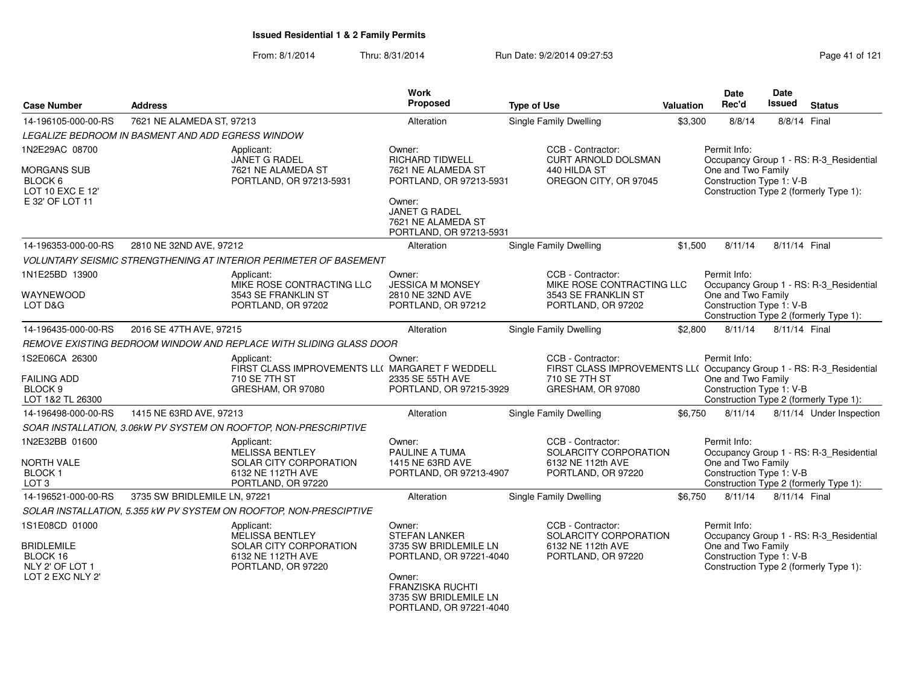| <b>Case Number</b>                                                                     | <b>Address</b>                                    |                                                                                                           | <b>Work</b><br>Proposed                                                                                                                                                     | <b>Type of Use</b>                                                                                                              | <b>Valuation</b> | Date<br>Rec'd                                                                            | Date<br>Issued | <b>Status</b>                                                                     |  |
|----------------------------------------------------------------------------------------|---------------------------------------------------|-----------------------------------------------------------------------------------------------------------|-----------------------------------------------------------------------------------------------------------------------------------------------------------------------------|---------------------------------------------------------------------------------------------------------------------------------|------------------|------------------------------------------------------------------------------------------|----------------|-----------------------------------------------------------------------------------|--|
| 14-196105-000-00-RS                                                                    | 7621 NE ALAMEDA ST, 97213                         |                                                                                                           | Alteration                                                                                                                                                                  | <b>Single Family Dwelling</b>                                                                                                   | \$3,300          | 8/8/14                                                                                   | 8/8/14 Final   |                                                                                   |  |
|                                                                                        | LEGALIZE BEDROOM IN BASMENT AND ADD EGRESS WINDOW |                                                                                                           |                                                                                                                                                                             |                                                                                                                                 |                  |                                                                                          |                |                                                                                   |  |
| 1N2E29AC 08700                                                                         |                                                   | Applicant:<br>JANET G RADEL                                                                               | Owner:<br><b>RICHARD TIDWELL</b>                                                                                                                                            | CCB - Contractor:<br><b>CURT ARNOLD DOLSMAN</b>                                                                                 |                  | Permit Info:                                                                             |                | Occupancy Group 1 - RS: R-3_Residential                                           |  |
| <b>MORGANS SUB</b><br>BLOCK <sub>6</sub><br>LOT 10 EXC E 12'                           |                                                   | 7621 NE ALAMEDA ST<br>PORTLAND, OR 97213-5931                                                             | 7621 NE ALAMEDA ST<br>PORTLAND, OR 97213-5931                                                                                                                               | 440 HILDA ST<br>OREGON CITY, OR 97045                                                                                           |                  | One and Two Family<br>Construction Type 1: V-B<br>Construction Type 2 (formerly Type 1): |                |                                                                                   |  |
| E 32' OF LOT 11                                                                        |                                                   |                                                                                                           | Owner:<br><b>JANET G RADEL</b><br>7621 NE ALAMEDA ST<br>PORTLAND, OR 97213-5931                                                                                             |                                                                                                                                 |                  |                                                                                          |                |                                                                                   |  |
| 14-196353-000-00-RS                                                                    | 2810 NE 32ND AVE, 97212                           |                                                                                                           | Alteration                                                                                                                                                                  | Single Family Dwelling                                                                                                          | \$1,500          | 8/11/14                                                                                  | 8/11/14 Final  |                                                                                   |  |
|                                                                                        |                                                   | VOLUNTARY SEISMIC STRENGTHENING AT INTERIOR PERIMETER OF BASEMENT                                         |                                                                                                                                                                             |                                                                                                                                 |                  |                                                                                          |                |                                                                                   |  |
| 1N1E25BD 13900<br>WAYNEWOOD<br>LOT D&G                                                 |                                                   | Applicant:<br>MIKE ROSE CONTRACTING LLC<br>3543 SE FRANKLIN ST<br>PORTLAND, OR 97202                      | Owner:<br><b>JESSICA M MONSEY</b><br>2810 NE 32ND AVE<br>PORTLAND, OR 97212                                                                                                 | CCB - Contractor:<br>MIKE ROSE CONTRACTING LLC<br>3543 SE FRANKLIN ST<br>PORTLAND, OR 97202                                     |                  | Permit Info:<br>One and Two Family<br>Construction Type 1: V-B                           |                | Occupancy Group 1 - RS: R-3_Residential<br>Construction Type 2 (formerly Type 1): |  |
| 14-196435-000-00-RS                                                                    | 2016 SE 47TH AVE, 97215                           |                                                                                                           | Alteration                                                                                                                                                                  | Single Family Dwelling                                                                                                          | \$2,800          | 8/11/14                                                                                  | 8/11/14 Final  |                                                                                   |  |
|                                                                                        |                                                   | REMOVE EXISTING BEDROOM WINDOW AND REPLACE WITH SLIDING GLASS DOOR                                        |                                                                                                                                                                             |                                                                                                                                 |                  |                                                                                          |                |                                                                                   |  |
| 1S2E06CA 26300<br><b>FAILING ADD</b><br>BLOCK <sub>9</sub><br>LOT 1&2 TL 26300         |                                                   | Applicant:<br>FIRST CLASS IMPROVEMENTS LL( MARGARET F WEDDELL<br>710 SE 7TH ST<br>GRESHAM, OR 97080       | Owner:<br>2335 SE 55TH AVE<br>PORTLAND, OR 97215-3929                                                                                                                       | CCB - Contractor:<br>FIRST CLASS IMPROVEMENTS LL( Occupancy Group 1 - RS: R-3_Residential<br>710 SE 7TH ST<br>GRESHAM, OR 97080 |                  | Permit Info:<br>One and Two Family<br>Construction Type 1: V-B                           |                | Construction Type 2 (formerly Type 1):                                            |  |
| 14-196498-000-00-RS                                                                    | 1415 NE 63RD AVE, 97213                           |                                                                                                           | Alteration                                                                                                                                                                  | Single Family Dwelling                                                                                                          | \$6.750          | 8/11/14                                                                                  |                | 8/11/14 Under Inspection                                                          |  |
|                                                                                        |                                                   | SOAR INSTALLATION, 3.06kW PV SYSTEM ON ROOFTOP, NON-PRESCRIPTIVE                                          |                                                                                                                                                                             |                                                                                                                                 |                  |                                                                                          |                |                                                                                   |  |
| 1N2E32BB 01600<br><b>NORTH VALE</b><br><b>BLOCK1</b><br>LOT <sub>3</sub>               |                                                   | Applicant:<br><b>MELISSA BENTLEY</b><br>SOLAR CITY CORPORATION<br>6132 NE 112TH AVE<br>PORTLAND, OR 97220 | Owner:<br>PAULINE A TUMA<br>1415 NE 63RD AVE<br>PORTLAND, OR 97213-4907                                                                                                     | CCB - Contractor:<br>SOLARCITY CORPORATION<br>6132 NE 112th AVE<br>PORTLAND, OR 97220                                           |                  | Permit Info:<br>One and Two Family<br>Construction Type 1: V-B                           |                | Occupancy Group 1 - RS: R-3_Residential<br>Construction Type 2 (formerly Type 1): |  |
| 14-196521-000-00-RS                                                                    | 3735 SW BRIDLEMILE LN, 97221                      |                                                                                                           | Alteration                                                                                                                                                                  | Single Family Dwelling                                                                                                          | \$6,750          | 8/11/14                                                                                  | 8/11/14 Final  |                                                                                   |  |
|                                                                                        |                                                   | SOLAR INSTALLATION, 5.355 kW PV SYSTEM ON ROOFTOP, NON-PRESCIPTIVE                                        |                                                                                                                                                                             |                                                                                                                                 |                  |                                                                                          |                |                                                                                   |  |
| 1S1E08CD 01000<br><b>BRIDLEMILE</b><br>BLOCK 16<br>NLY 2' OF LOT 1<br>LOT 2 EXC NLY 2" |                                                   | Applicant:<br><b>MELISSA BENTLEY</b><br>SOLAR CITY CORPORATION<br>6132 NE 112TH AVE<br>PORTLAND, OR 97220 | Owner:<br><b>STEFAN LANKER</b><br>3735 SW BRIDLEMILE LN<br>PORTLAND, OR 97221-4040<br>Owner:<br><b>FRANZISKA RUCHTI</b><br>3735 SW BRIDLEMILE LN<br>PORTLAND, OR 97221-4040 | CCB - Contractor:<br>SOLARCITY CORPORATION<br>6132 NE 112th AVE<br>PORTLAND, OR 97220                                           |                  | Permit Info:<br>One and Two Family<br>Construction Type 1: V-B                           |                | Occupancy Group 1 - RS: R-3_Residential<br>Construction Type 2 (formerly Type 1): |  |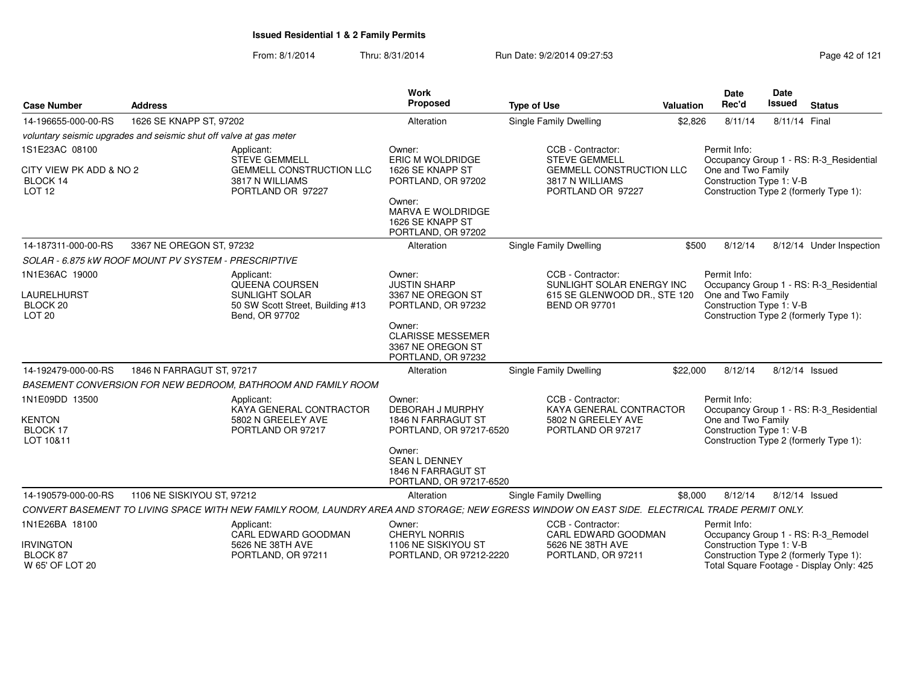| <b>Case Number</b>                                                     | <b>Address</b>                                                                                                |                                                                                                                                                | <b>Work</b><br>Proposed                                                         | <b>Type of Use</b>                                                                                            | Valuation          | <b>Date</b><br>Rec'd                                                                     | Date<br>Issued | <b>Status</b>                                                                      |
|------------------------------------------------------------------------|---------------------------------------------------------------------------------------------------------------|------------------------------------------------------------------------------------------------------------------------------------------------|---------------------------------------------------------------------------------|---------------------------------------------------------------------------------------------------------------|--------------------|------------------------------------------------------------------------------------------|----------------|------------------------------------------------------------------------------------|
| 14-196655-000-00-RS                                                    | 1626 SE KNAPP ST, 97202                                                                                       |                                                                                                                                                | Alteration                                                                      | Single Family Dwelling                                                                                        | \$2,826<br>8/11/14 |                                                                                          | 8/11/14 Final  |                                                                                    |
|                                                                        | voluntary seismic upgrades and seismic shut off valve at gas meter                                            |                                                                                                                                                |                                                                                 |                                                                                                               |                    |                                                                                          |                |                                                                                    |
| 1S1E23AC 08100<br>CITY VIEW PK ADD & NO 2<br>BLOCK 14<br><b>LOT 12</b> | Applicant:<br><b>STEVE GEMMELL</b><br><b>GEMMELL CONSTRUCTION LLC</b><br>3817 N WILLIAMS<br>PORTLAND OR 97227 |                                                                                                                                                | Owner:<br>ERIC M WOLDRIDGE<br>1626 SE KNAPP ST<br>PORTLAND, OR 97202            | CCB - Contractor:<br><b>STEVE GEMMELL</b><br>GEMMELL CONSTRUCTION LLC<br>3817 N WILLIAMS<br>PORTLAND OR 97227 |                    | Permit Info:<br>One and Two Family<br>Construction Type 1: V-B                           |                | Occupancy Group 1 - RS: R-3_Residential<br>Construction Type 2 (formerly Type 1):  |
|                                                                        |                                                                                                               |                                                                                                                                                | Owner:<br><b>MARVA E WOLDRIDGE</b><br>1626 SE KNAPP ST<br>PORTLAND, OR 97202    |                                                                                                               |                    |                                                                                          |                |                                                                                    |
| 14-187311-000-00-RS                                                    | 3367 NE OREGON ST, 97232                                                                                      |                                                                                                                                                | Alteration                                                                      | <b>Single Family Dwelling</b>                                                                                 | \$500              | 8/12/14                                                                                  |                | 8/12/14 Under Inspection                                                           |
|                                                                        | SOLAR - 6.875 KW ROOF MOUNT PV SYSTEM - PRESCRIPTIVE                                                          |                                                                                                                                                |                                                                                 |                                                                                                               |                    |                                                                                          |                |                                                                                    |
| 1N1E36AC 19000                                                         |                                                                                                               | Applicant:<br>QUEENA COURSEN                                                                                                                   | Owner:<br><b>JUSTIN SHARP</b>                                                   | CCB - Contractor:<br>SUNLIGHT SOLAR ENERGY INC                                                                |                    | Permit Info:                                                                             |                | Occupancy Group 1 - RS: R-3 Residential                                            |
| <b>LAURELHURST</b><br>BLOCK 20<br><b>LOT 20</b>                        |                                                                                                               | <b>SUNLIGHT SOLAR</b><br>50 SW Scott Street, Building #13<br>Bend, OR 97702                                                                    | 3367 NE OREGON ST<br>PORTLAND, OR 97232                                         | 615 SE GLENWOOD DR., STE 120<br><b>BEND OR 97701</b>                                                          |                    | One and Two Family<br>Construction Type 1: V-B<br>Construction Type 2 (formerly Type 1): |                |                                                                                    |
|                                                                        |                                                                                                               |                                                                                                                                                | Owner:<br><b>CLARISSE MESSEMER</b><br>3367 NE OREGON ST<br>PORTLAND, OR 97232   |                                                                                                               |                    |                                                                                          |                |                                                                                    |
| 14-192479-000-00-RS                                                    | 1846 N FARRAGUT ST, 97217                                                                                     |                                                                                                                                                | Alteration                                                                      | <b>Single Family Dwelling</b>                                                                                 | \$22,000           | 8/12/14                                                                                  | 8/12/14 Issued |                                                                                    |
|                                                                        |                                                                                                               | BASEMENT CONVERSION FOR NEW BEDROOM, BATHROOM AND FAMILY ROOM                                                                                  |                                                                                 |                                                                                                               |                    |                                                                                          |                |                                                                                    |
| 1N1E09DD 13500<br><b>KENTON</b><br>BLOCK 17<br>LOT 10&11               |                                                                                                               | Applicant:<br>KAYA GENERAL CONTRACTOR<br>5802 N GREELEY AVE<br>PORTLAND OR 97217                                                               | Owner:<br>DEBORAH J MURPHY<br>1846 N FARRAGUT ST<br>PORTLAND, OR 97217-6520     | CCB - Contractor:<br>KAYA GENERAL CONTRACTOR<br>5802 N GREELEY AVE<br>PORTLAND OR 97217                       |                    | Permit Info:<br>One and Two Family<br>Construction Type 1: V-B                           |                | Occupancy Group 1 - RS: R-3_Residential<br>Construction Type 2 (formerly Type 1):  |
|                                                                        |                                                                                                               |                                                                                                                                                | Owner:<br><b>SEAN L DENNEY</b><br>1846 N FARRAGUT ST<br>PORTLAND, OR 97217-6520 |                                                                                                               |                    |                                                                                          |                |                                                                                    |
| 14-190579-000-00-RS                                                    | 1106 NE SISKIYOU ST, 97212                                                                                    |                                                                                                                                                | Alteration                                                                      | <b>Single Family Dwelling</b>                                                                                 | \$8,000            | 8/12/14                                                                                  |                | 8/12/14 Issued                                                                     |
|                                                                        |                                                                                                               | CONVERT BASEMENT TO LIVING SPACE WITH NEW FAMILY ROOM, LAUNDRY AREA AND STORAGE; NEW EGRESS WINDOW ON EAST SIDE. ELECTRICAL TRADE PERMIT ONLY. |                                                                                 |                                                                                                               |                    |                                                                                          |                |                                                                                    |
| 1N1E26BA 18100                                                         |                                                                                                               | Applicant:<br>CARL EDWARD GOODMAN                                                                                                              | Owner:<br><b>CHERYL NORRIS</b>                                                  | CCB - Contractor:<br>CARL EDWARD GOODMAN                                                                      |                    | Permit Info:                                                                             |                | Occupancy Group 1 - RS: R-3_Remodel                                                |
| <b>IRVINGTON</b><br>BLOCK 87<br>W 65' OF LOT 20                        |                                                                                                               | 5626 NE 38TH AVE<br>PORTLAND, OR 97211                                                                                                         | 1106 NE SISKIYOU ST<br>PORTLAND, OR 97212-2220                                  | 5626 NE 38TH AVE<br>PORTLAND, OR 97211                                                                        |                    | Construction Type 1: V-B                                                                 |                | Construction Type 2 (formerly Type 1):<br>Total Square Footage - Display Only: 425 |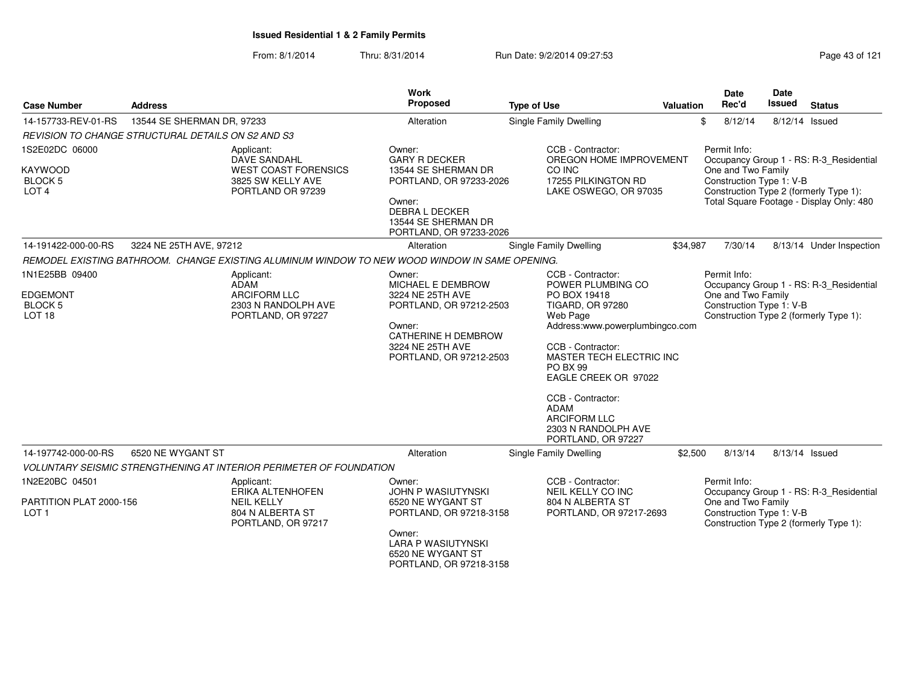|                                                                          |                                                                                                     | <b>Work</b>                                                                                                                                                |                                                                                                                                                                                                                                                                                                                        |           | <b>Date</b>                                                                                                                                         | <b>Date</b>                                                                       |  |  |
|--------------------------------------------------------------------------|-----------------------------------------------------------------------------------------------------|------------------------------------------------------------------------------------------------------------------------------------------------------------|------------------------------------------------------------------------------------------------------------------------------------------------------------------------------------------------------------------------------------------------------------------------------------------------------------------------|-----------|-----------------------------------------------------------------------------------------------------------------------------------------------------|-----------------------------------------------------------------------------------|--|--|
| <b>Case Number</b>                                                       | <b>Address</b>                                                                                      | Proposed                                                                                                                                                   | <b>Type of Use</b>                                                                                                                                                                                                                                                                                                     | Valuation | Rec'd                                                                                                                                               | <b>Issued</b><br><b>Status</b>                                                    |  |  |
| 14-157733-REV-01-RS                                                      | 13544 SE SHERMAN DR, 97233                                                                          | Alteration                                                                                                                                                 | Single Family Dwelling                                                                                                                                                                                                                                                                                                 |           | \$<br>8/12/14                                                                                                                                       | 8/12/14 Issued                                                                    |  |  |
|                                                                          | <b>REVISION TO CHANGE STRUCTURAL DETAILS ON S2 AND S3</b>                                           |                                                                                                                                                            |                                                                                                                                                                                                                                                                                                                        |           |                                                                                                                                                     |                                                                                   |  |  |
| 1S2E02DC 06000<br><b>KAYWOOD</b><br><b>BLOCK 5</b><br>LOT <sub>4</sub>   | Applicant:<br>DAVE SANDAHL<br><b>WEST COAST FORENSICS</b><br>3825 SW KELLY AVE<br>PORTLAND OR 97239 | Owner:<br><b>GARY R DECKER</b><br>13544 SE SHERMAN DR<br>PORTLAND, OR 97233-2026                                                                           | CCB - Contractor:<br>OREGON HOME IMPROVEMENT<br>CO INC<br>17255 PILKINGTON RD<br>LAKE OSWEGO, OR 97035                                                                                                                                                                                                                 |           | Permit Info:<br>Occupancy Group 1 - RS: R-3_Residential<br>One and Two Family<br>Construction Type 1: V-B<br>Construction Type 2 (formerly Type 1): |                                                                                   |  |  |
|                                                                          |                                                                                                     | Owner:<br>DEBRA L DECKER<br>13544 SE SHERMAN DR<br>PORTLAND, OR 97233-2026                                                                                 |                                                                                                                                                                                                                                                                                                                        |           |                                                                                                                                                     | Total Square Footage - Display Only: 480                                          |  |  |
| 14-191422-000-00-RS                                                      | 3224 NE 25TH AVE, 97212                                                                             | Alteration                                                                                                                                                 | Single Family Dwelling                                                                                                                                                                                                                                                                                                 | \$34,987  | 7/30/14                                                                                                                                             | 8/13/14 Under Inspection                                                          |  |  |
|                                                                          | REMODEL EXISTING BATHROOM. CHANGE EXISTING ALUMINUM WINDOW TO NEW WOOD WINDOW IN SAME OPENING.      |                                                                                                                                                            |                                                                                                                                                                                                                                                                                                                        |           |                                                                                                                                                     |                                                                                   |  |  |
| 1N1E25BB 09400<br><b>EDGEMONT</b><br><b>BLOCK 5</b><br>LOT <sub>18</sub> | Applicant:<br>ADAM<br><b>ARCIFORM LLC</b><br>2303 N RANDOLPH AVE<br>PORTLAND, OR 97227              | Owner:<br>MICHAEL E DEMBROW<br>3224 NE 25TH AVE<br>PORTLAND, OR 97212-2503<br>Owner:<br>CATHERINE H DEMBROW<br>3224 NE 25TH AVE<br>PORTLAND, OR 97212-2503 | CCB - Contractor:<br>POWER PLUMBING CO<br>PO BOX 19418<br><b>TIGARD, OR 97280</b><br>Web Page<br>Address:www.powerplumbingco.com<br>CCB - Contractor:<br>MASTER TECH ELECTRIC INC<br>PO BX 99<br>EAGLE CREEK OR 97022<br>CCB - Contractor:<br>ADAM<br><b>ARCIFORM LLC</b><br>2303 N RANDOLPH AVE<br>PORTLAND, OR 97227 |           | Permit Info:<br>One and Two Family<br>Construction Type 1: V-B                                                                                      | Occupancy Group 1 - RS: R-3_Residential<br>Construction Type 2 (formerly Type 1): |  |  |
| 14-197742-000-00-RS                                                      | 6520 NE WYGANT ST                                                                                   | Alteration                                                                                                                                                 | Single Family Dwelling                                                                                                                                                                                                                                                                                                 | \$2,500   | 8/13/14                                                                                                                                             | 8/13/14 Issued                                                                    |  |  |
|                                                                          | <b>VOLUNTARY SEISMIC STRENGTHENING AT INTERIOR PERIMETER OF FOUNDATION</b>                          |                                                                                                                                                            |                                                                                                                                                                                                                                                                                                                        |           |                                                                                                                                                     |                                                                                   |  |  |
| 1N2E20BC 04501                                                           | Applicant:<br><b>ERIKA ALTENHOFEN</b>                                                               | Owner:<br><b>JOHN P WASIUTYNSKI</b>                                                                                                                        | CCB - Contractor:<br><b>NEIL KELLY CO INC</b>                                                                                                                                                                                                                                                                          |           | Permit Info:                                                                                                                                        | Occupancy Group 1 - RS: R-3_Residential                                           |  |  |
| PARTITION PLAT 2000-156<br>LOT <sub>1</sub>                              | <b>NEIL KELLY</b><br>804 N ALBERTA ST<br>PORTLAND, OR 97217                                         | 6520 NE WYGANT ST<br>PORTLAND, OR 97218-3158<br>Owner:<br><b>LARA P WASIUTYNSKI</b><br>6520 NE WYGANT ST<br>PORTLAND, OR 97218-3158                        | 804 N ALBERTA ST<br>PORTLAND, OR 97217-2693                                                                                                                                                                                                                                                                            |           | One and Two Family<br>Construction Type 1: V-B                                                                                                      | Construction Type 2 (formerly Type 1):                                            |  |  |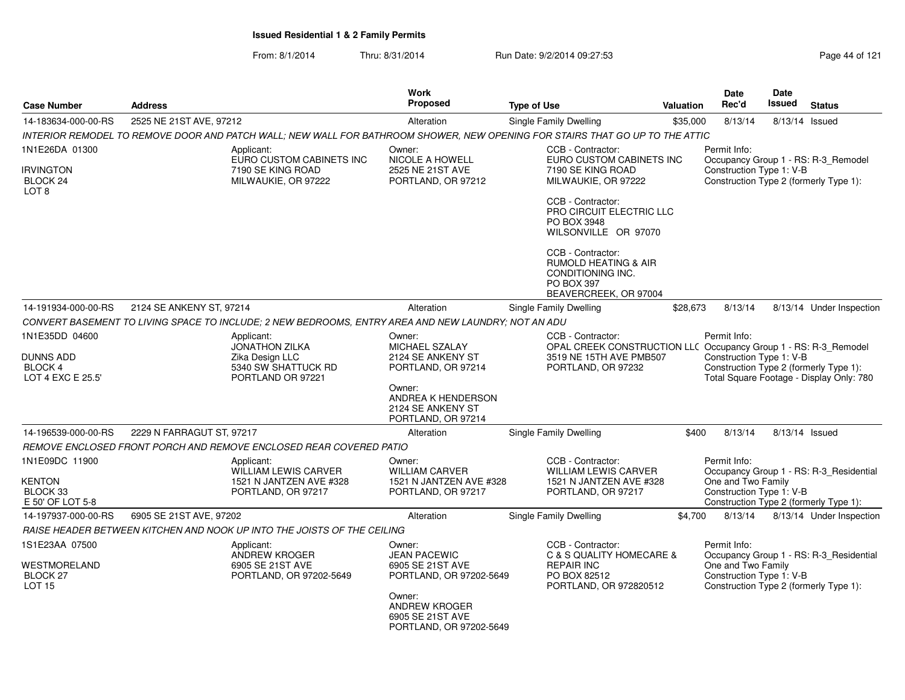From: 8/1/2014Thru: 8/31/2014 Run Date: 9/2/2014 09:27:53 Run Date: 9/2/2014 09:27:53

| <b>Case Number</b>                               | <b>Address</b>                                                                                                               | <b>Work</b><br><b>Proposed</b>                                                | <b>Type of Use</b>                                                                                                      | <b>Valuation</b> | Date<br>Rec'd                                  | <b>Date</b><br>Issued | <b>Status</b>                                                                      |
|--------------------------------------------------|------------------------------------------------------------------------------------------------------------------------------|-------------------------------------------------------------------------------|-------------------------------------------------------------------------------------------------------------------------|------------------|------------------------------------------------|-----------------------|------------------------------------------------------------------------------------|
| 14-183634-000-00-RS                              | 2525 NE 21ST AVE, 97212                                                                                                      | Alteration                                                                    | Single Family Dwelling                                                                                                  | \$35,000         | 8/13/14                                        |                       | 8/13/14 Issued                                                                     |
|                                                  | INTERIOR REMODEL TO REMOVE DOOR AND PATCH WALL; NEW WALL FOR BATHROOM SHOWER, NEW OPENING FOR STAIRS THAT GO UP TO THE ATTIC |                                                                               |                                                                                                                         |                  |                                                |                       |                                                                                    |
| 1N1E26DA 01300                                   | Applicant:<br>EURO CUSTOM CABINETS INC                                                                                       | Owner:<br>NICOLE A HOWELL                                                     | CCB - Contractor:<br>EURO CUSTOM CABINETS INC                                                                           |                  | Permit Info:                                   |                       | Occupancy Group 1 - RS: R-3_Remodel                                                |
| <b>IRVINGTON</b><br>BLOCK 24<br>LOT <sub>8</sub> | 7190 SE KING ROAD<br>MILWAUKIE, OR 97222                                                                                     | 2525 NE 21ST AVE<br>PORTLAND, OR 97212                                        | 7190 SE KING ROAD<br>MILWAUKIE, OR 97222                                                                                |                  | Construction Type 1: V-B                       |                       | Construction Type 2 (formerly Type 1):                                             |
|                                                  |                                                                                                                              |                                                                               | CCB - Contractor:<br><b>PRO CIRCUIT ELECTRIC LLC</b><br>PO BOX 3948<br>WILSONVILLE OR 97070                             |                  |                                                |                       |                                                                                    |
|                                                  |                                                                                                                              |                                                                               | CCB - Contractor:<br><b>RUMOLD HEATING &amp; AIR</b><br>CONDITIONING INC.<br><b>PO BOX 397</b><br>BEAVERCREEK, OR 97004 |                  |                                                |                       |                                                                                    |
| 14-191934-000-00-RS                              | 2124 SE ANKENY ST, 97214                                                                                                     | Alteration                                                                    | Single Family Dwelling                                                                                                  | \$28,673         | 8/13/14                                        |                       | 8/13/14 Under Inspection                                                           |
|                                                  | CONVERT BASEMENT TO LIVING SPACE TO INCLUDE; 2 NEW BEDROOMS, ENTRY AREA AND NEW LAUNDRY; NOT AN ADU                          |                                                                               |                                                                                                                         |                  |                                                |                       |                                                                                    |
| 1N1E35DD 04600                                   | Applicant:<br><b>JONATHON ZILKA</b>                                                                                          | Owner:<br>MICHAEL SZALAY                                                      | CCB - Contractor:<br>OPAL CREEK CONSTRUCTION LLC Occupancy Group 1 - RS: R-3_Remodel                                    |                  | Permit Info:                                   |                       |                                                                                    |
| DUNNS ADD<br><b>BLOCK 4</b><br>LOT 4 EXC E 25.5' | Zika Design LLC<br>5340 SW SHATTUCK RD<br>PORTLAND OR 97221                                                                  | 2124 SE ANKENY ST<br>PORTLAND, OR 97214                                       | 3519 NE 15TH AVE PMB507<br>PORTLAND, OR 97232                                                                           |                  | Construction Type 1: V-B                       |                       | Construction Type 2 (formerly Type 1):<br>Total Square Footage - Display Only: 780 |
|                                                  |                                                                                                                              | Owner:<br>ANDREA K HENDERSON<br>2124 SE ANKENY ST<br>PORTLAND, OR 97214       |                                                                                                                         |                  |                                                |                       |                                                                                    |
| 14-196539-000-00-RS                              | 2229 N FARRAGUT ST, 97217                                                                                                    | Alteration                                                                    | Single Family Dwelling                                                                                                  | \$400            | 8/13/14                                        |                       | 8/13/14 Issued                                                                     |
|                                                  | REMOVE ENCLOSED FRONT PORCH AND REMOVE ENCLOSED REAR COVERED PATIO                                                           |                                                                               |                                                                                                                         |                  |                                                |                       |                                                                                    |
| 1N1E09DC 11900                                   | Applicant:<br><b>WILLIAM LEWIS CARVER</b>                                                                                    | Owner:<br><b>WILLIAM CARVER</b>                                               | CCB - Contractor:<br><b>WILLIAM LEWIS CARVER</b>                                                                        |                  | Permit Info:<br>One and Two Family             |                       | Occupancy Group 1 - RS: R-3 Residential                                            |
| KENTON<br>BLOCK 33<br>E 50' OF LOT 5-8           | 1521 N JANTZEN AVE #328<br>PORTLAND, OR 97217                                                                                | 1521 N JANTZEN AVE #328<br>PORTLAND, OR 97217                                 | 1521 N JANTZEN AVE #328<br>PORTLAND, OR 97217                                                                           |                  | Construction Type 1: V-B                       |                       | Construction Type 2 (formerly Type 1):                                             |
| 14-197937-000-00-RS                              | 6905 SE 21ST AVE, 97202                                                                                                      | Alteration                                                                    | Single Family Dwelling                                                                                                  | \$4,700          | 8/13/14                                        |                       | 8/13/14 Under Inspection                                                           |
|                                                  | RAISE HEADER BETWEEN KITCHEN AND NOOK UP INTO THE JOISTS OF THE CEILING                                                      |                                                                               |                                                                                                                         |                  |                                                |                       |                                                                                    |
| 1S1E23AA 07500                                   | Applicant:<br>ANDREW KROGER                                                                                                  | Owner:<br><b>JEAN PACEWIC</b>                                                 | CCB - Contractor:<br>C & S QUALITY HOMECARE &                                                                           |                  | Permit Info:                                   |                       | Occupancy Group 1 - RS: R-3_Residential                                            |
| WESTMORELAND<br>BLOCK 27<br><b>LOT 15</b>        | 6905 SE 21ST AVE<br>PORTLAND, OR 97202-5649                                                                                  | 6905 SE 21ST AVE<br>PORTLAND, OR 97202-5649                                   | <b>REPAIR INC</b><br>PO BOX 82512<br>PORTLAND, OR 972820512                                                             |                  | One and Two Family<br>Construction Type 1: V-B |                       | Construction Type 2 (formerly Type 1):                                             |
|                                                  |                                                                                                                              | Owner:<br><b>ANDREW KROGER</b><br>6905 SE 21ST AVE<br>PORTLAND, OR 97202-5649 |                                                                                                                         |                  |                                                |                       |                                                                                    |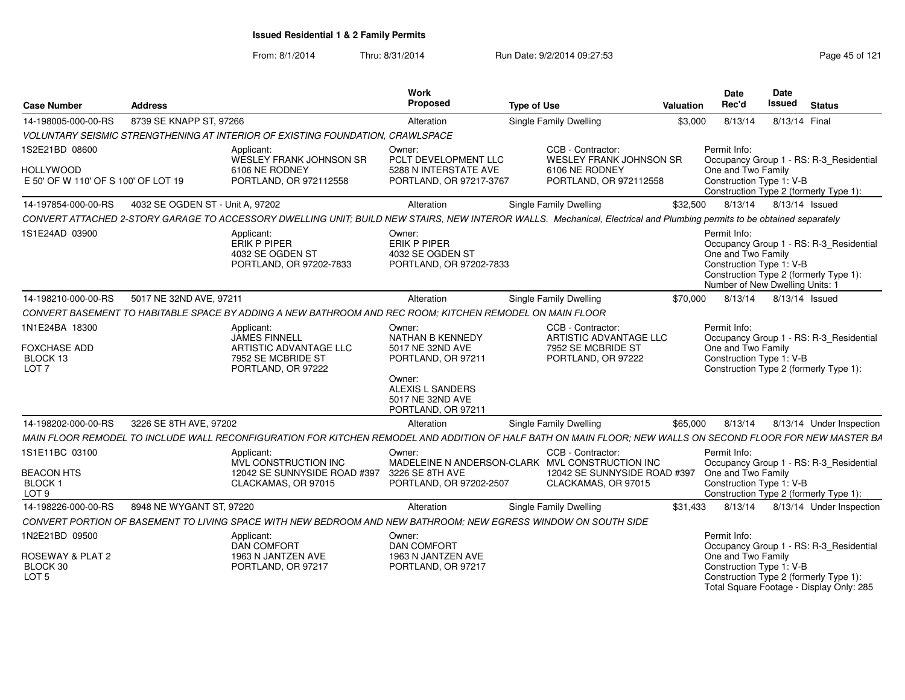From: 8/1/2014

Thru: 8/31/2014 **Run Date: 9/2/2014 09:27:53** Page 45 of 121

| <b>Case Number</b>                                                            | <b>Address</b>                   |                                                                                                                                                                        | <b>Work</b><br><b>Proposed</b>                                                                          | <b>Type of Use</b> |                                                                                         | <b>Valuation</b> | <b>Date</b><br>Rec'd                                                                              | <b>Date</b><br><b>Issued</b> | <b>Status</b>                                                                      |
|-------------------------------------------------------------------------------|----------------------------------|------------------------------------------------------------------------------------------------------------------------------------------------------------------------|---------------------------------------------------------------------------------------------------------|--------------------|-----------------------------------------------------------------------------------------|------------------|---------------------------------------------------------------------------------------------------|------------------------------|------------------------------------------------------------------------------------|
| 14-198005-000-00-RS                                                           | 8739 SE KNAPP ST. 97266          |                                                                                                                                                                        | Alteration                                                                                              |                    | <b>Single Family Dwelling</b>                                                           | \$3,000          | 8/13/14                                                                                           | 8/13/14 Final                |                                                                                    |
|                                                                               |                                  | VOLUNTARY SEISMIC STRENGTHENING AT INTERIOR OF EXISTING FOUNDATION, CRAWLSPACE                                                                                         |                                                                                                         |                    |                                                                                         |                  |                                                                                                   |                              |                                                                                    |
| 1S2E21BD 08600<br>HOLLYWOOD                                                   |                                  | Applicant:<br><b>WESLEY FRANK JOHNSON SR</b><br>6106 NE RODNEY                                                                                                         | Owner:<br>PCLT DEVELOPMENT LLC<br>5288 N INTERSTATE AVE                                                 |                    | CCB - Contractor:<br><b>WESLEY FRANK JOHNSON SR</b><br>6106 NE RODNEY                   |                  | Permit Info:<br>One and Two Family                                                                |                              | Occupancy Group 1 - RS: R-3_Residential                                            |
| E 50' OF W 110' OF S 100' OF LOT 19                                           |                                  | PORTLAND, OR 972112558                                                                                                                                                 | PORTLAND, OR 97217-3767                                                                                 |                    | PORTLAND, OR 972112558                                                                  |                  | Construction Type 1: V-B                                                                          |                              | Construction Type 2 (formerly Type 1):                                             |
| 14-197854-000-00-RS                                                           | 4032 SE OGDEN ST - Unit A, 97202 |                                                                                                                                                                        | Alteration                                                                                              |                    | <b>Single Family Dwelling</b>                                                           | \$32,500         | 8/13/14                                                                                           | 8/13/14 Issued               |                                                                                    |
|                                                                               |                                  | CONVERT ATTACHED 2-STORY GARAGE TO ACCESSORY DWELLING UNIT; BUILD NEW STAIRS, NEW INTEROR WALLS. Mechanical, Electrical and Plumbing permits to be obtained separately |                                                                                                         |                    |                                                                                         |                  |                                                                                                   |                              |                                                                                    |
| 1S1E24AD 03900                                                                |                                  | Applicant:<br>ERIK P PIPER<br>4032 SE OGDEN ST<br>PORTLAND, OR 97202-7833                                                                                              | Owner:<br><b>ERIK P PIPER</b><br>4032 SE OGDEN ST<br>PORTLAND, OR 97202-7833                            |                    |                                                                                         |                  | Permit Info:<br>One and Two Family<br>Construction Type 1: V-B<br>Number of New Dwelling Units: 1 |                              | Occupancy Group 1 - RS: R-3_Residential<br>Construction Type 2 (formerly Type 1):  |
| 14-198210-000-00-RS                                                           | 5017 NE 32ND AVE, 97211          |                                                                                                                                                                        | Alteration                                                                                              |                    | <b>Single Family Dwelling</b>                                                           | \$70,000         | 8/13/14                                                                                           |                              | 8/13/14 Issued                                                                     |
|                                                                               |                                  | CONVERT BASEMENT TO HABITABLE SPACE BY ADDING A NEW BATHROOM AND REC ROOM; KITCHEN REMODEL ON MAIN FLOOR                                                               |                                                                                                         |                    |                                                                                         |                  |                                                                                                   |                              |                                                                                    |
| 1N1E24BA 18300<br>FOXCHASE ADD<br>BLOCK 13<br>LOT <sub>7</sub>                |                                  | Applicant:<br>JAMES FINNELL<br>ARTISTIC ADVANTAGE LLC<br>7952 SE MCBRIDE ST<br>PORTLAND, OR 97222                                                                      | Owner:<br><b>NATHAN B KENNEDY</b><br>5017 NE 32ND AVE<br>PORTLAND, OR 97211<br>Owner:                   |                    | CCB - Contractor:<br>ARTISTIC ADVANTAGE LLC<br>7952 SE MCBRIDE ST<br>PORTLAND, OR 97222 |                  | Permit Info:<br>One and Two Family<br>Construction Type 1: V-B                                    |                              | Occupancy Group 1 - RS: R-3_Residential<br>Construction Type 2 (formerly Type 1):  |
| 14-198202-000-00-RS                                                           | 3226 SE 8TH AVE, 97202           |                                                                                                                                                                        | ALEXIS L SANDERS<br>5017 NE 32ND AVE<br>PORTLAND, OR 97211                                              |                    | <b>Single Family Dwelling</b>                                                           | \$65,000         | 8/13/14                                                                                           |                              | 8/13/14 Under Inspection                                                           |
|                                                                               |                                  |                                                                                                                                                                        | Alteration                                                                                              |                    |                                                                                         |                  |                                                                                                   |                              |                                                                                    |
|                                                                               |                                  | MAIN FLOOR REMODEL TO INCLUDE WALL RECONFIGURATION FOR KITCHEN REMODEL AND ADDITION OF HALF BATH ON MAIN FLOOR; NEW WALLS ON SECOND FLOOR FOR NEW MASTER BA            |                                                                                                         |                    | CCB - Contractor:                                                                       |                  | Permit Info:                                                                                      |                              |                                                                                    |
| 1S1E11BC 03100<br><b>BEACON HTS</b><br>BLOCK <sub>1</sub><br>LOT <sub>9</sub> |                                  | Applicant:<br>MVL CONSTRUCTION INC<br>12042 SE SUNNYSIDE ROAD #397<br>CLACKAMAS, OR 97015                                                                              | Owner:<br>MADELEINE N ANDERSON-CLARK MVL CONSTRUCTION INC<br>3226 SE 8TH AVE<br>PORTLAND, OR 97202-2507 |                    | 12042 SE SUNNYSIDE ROAD #397<br>CLACKAMAS, OR 97015                                     |                  | One and Two Family<br>Construction Type 1: V-B                                                    |                              | Occupancy Group 1 - RS: R-3_Residential<br>Construction Type 2 (formerly Type 1):  |
| 14-198226-000-00-RS                                                           | 8948 NE WYGANT ST, 97220         |                                                                                                                                                                        | Alteration                                                                                              |                    | <b>Single Family Dwelling</b>                                                           | \$31.433         | 8/13/14                                                                                           |                              | 8/13/14 Under Inspection                                                           |
|                                                                               |                                  | CONVERT PORTION OF BASEMENT TO LIVING SPACE WITH NEW BEDROOM AND NEW BATHROOM: NEW EGRESS WINDOW ON SOUTH SIDE                                                         |                                                                                                         |                    |                                                                                         |                  |                                                                                                   |                              |                                                                                    |
| 1N2E21BD 09500                                                                |                                  | Applicant:<br><b>DAN COMFORT</b>                                                                                                                                       | Owner:<br><b>DAN COMFORT</b>                                                                            |                    |                                                                                         |                  | Permit Info:                                                                                      |                              | Occupancy Group 1 - RS: R-3_Residential                                            |
| ROSEWAY & PLAT 2<br>BLOCK 30<br>LOT <sub>5</sub>                              |                                  | 1963 N JANTZEN AVE<br>PORTLAND, OR 97217                                                                                                                               | 1963 N JANTZEN AVE<br>PORTLAND, OR 97217                                                                |                    |                                                                                         |                  | One and Two Family<br>Construction Type 1: V-B                                                    |                              | Construction Type 2 (formerly Type 1):<br>Total Square Footage - Display Only: 285 |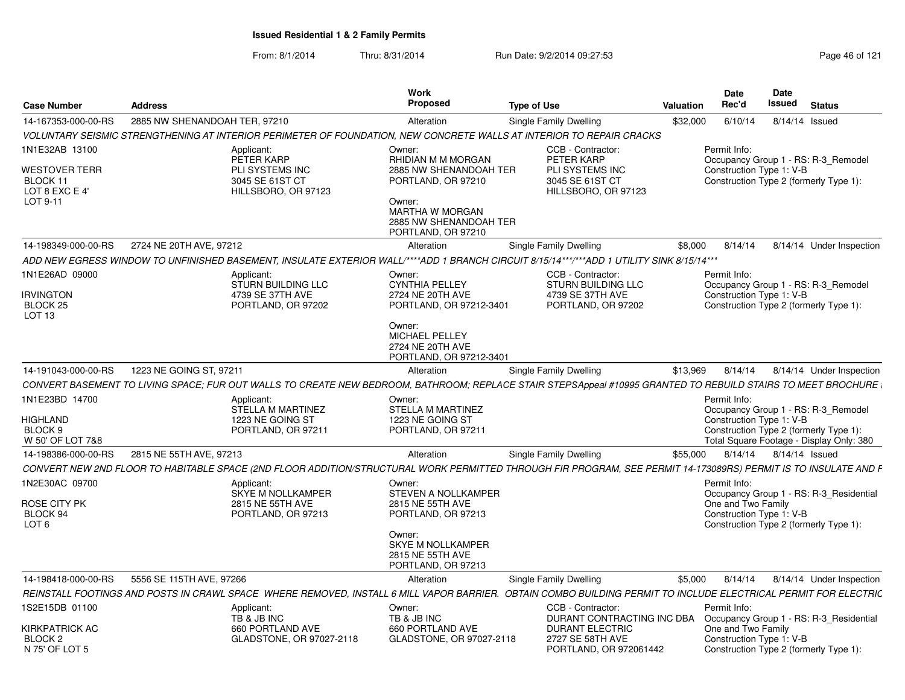| <b>Case Number</b>                                                          | <b>Address</b>                |                                                                                              | Work<br><b>Proposed</b>                                                                                                                                          | <b>Type of Use</b>                                                                                                                                              | Valuation | Date<br>Rec'd                                                                                            | Date<br>Issued         | <b>Status</b>                                                                   |
|-----------------------------------------------------------------------------|-------------------------------|----------------------------------------------------------------------------------------------|------------------------------------------------------------------------------------------------------------------------------------------------------------------|-----------------------------------------------------------------------------------------------------------------------------------------------------------------|-----------|----------------------------------------------------------------------------------------------------------|------------------------|---------------------------------------------------------------------------------|
| 14-167353-000-00-RS                                                         | 2885 NW SHENANDOAH TER. 97210 |                                                                                              | Alteration                                                                                                                                                       | Single Family Dwelling                                                                                                                                          | \$32,000  | 6/10/14                                                                                                  | 8/14/14 Issued         |                                                                                 |
|                                                                             |                               |                                                                                              |                                                                                                                                                                  | VOLUNTARY SEISMIC STRENGTHENING AT INTERIOR PERIMETER OF FOUNDATION. NEW CONCRETE WALLS AT INTERIOR TO REPAIR CRACKS                                            |           |                                                                                                          |                        |                                                                                 |
| 1N1E32AB 13100<br>WESTOVER TERR<br>BLOCK 11<br>LOT 8 EXC E 4'<br>LOT 9-11   |                               | Applicant:<br>PETER KARP<br><b>PLI SYSTEMS INC</b><br>3045 SE 61ST CT<br>HILLSBORO, OR 97123 | Owner:<br>RHIDIAN M M MORGAN<br>2885 NW SHENANDOAH TER<br>PORTLAND, OR 97210<br>Owner:<br><b>MARTHA W MORGAN</b><br>2885 NW SHENANDOAH TER<br>PORTLAND, OR 97210 | CCB - Contractor:<br>PETER KARP<br>PLI SYSTEMS INC<br>3045 SE 61ST CT<br>HILLSBORO, OR 97123                                                                    |           | Permit Info:<br>Construction Type 1: V-B<br>Construction Type 2 (formerly Type 1):                       |                        | Occupancy Group 1 - RS: R-3 Remodel                                             |
| 14-198349-000-00-RS                                                         | 2724 NE 20TH AVE, 97212       |                                                                                              | Alteration                                                                                                                                                       | Single Family Dwelling                                                                                                                                          | \$8.000   | 8/14/14                                                                                                  |                        | 8/14/14 Under Inspection                                                        |
|                                                                             |                               |                                                                                              |                                                                                                                                                                  | ADD NEW EGRESS WINDOW TO UNFINISHED BASEMENT, INSULATE EXTERIOR WALL/****ADD 1 BRANCH CIRCUIT 8/15/14***/***ADD 1 UTILITY SINK 8/15/14***                       |           |                                                                                                          |                        |                                                                                 |
| 1N1E26AD 09000<br><b>IRVINGTON</b><br>BLOCK 25<br>LOT 13                    |                               | Applicant:<br><b>STURN BUILDING LLC</b><br>4739 SE 37TH AVE<br>PORTLAND, OR 97202            | Owner:<br><b>CYNTHIA PELLEY</b><br>2724 NE 20TH AVE<br>PORTLAND, OR 97212-3401<br>Owner:<br>MICHAEL PELLEY<br>2724 NE 20TH AVE                                   | CCB - Contractor:<br>STURN BUILDING LLC<br>4739 SE 37TH AVE<br>PORTLAND, OR 97202                                                                               |           | Permit Info:<br>Construction Type 1: V-B<br>Construction Type 2 (formerly Type 1):                       |                        | Occupancy Group 1 - RS: R-3_Remodel                                             |
|                                                                             |                               |                                                                                              | PORTLAND, OR 97212-3401                                                                                                                                          |                                                                                                                                                                 |           |                                                                                                          |                        |                                                                                 |
| 14-191043-000-00-RS                                                         | 1223 NE GOING ST, 97211       |                                                                                              | Alteration                                                                                                                                                       | Single Family Dwelling                                                                                                                                          | \$13,969  | 8/14/14                                                                                                  |                        | 8/14/14 Under Inspection                                                        |
|                                                                             |                               |                                                                                              |                                                                                                                                                                  | CONVERT BASEMENT TO LIVING SPACE; FUR OUT WALLS TO CREATE NEW BEDROOM, BATHROOM; REPLACE STAIR STEPSAppeal #10995 GRANTED TO REBUILD STAIRS TO MEET BROCHURE    |           |                                                                                                          |                        |                                                                                 |
| 1N1E23BD 14700<br><b>HIGHLAND</b><br>BLOCK <sub>9</sub><br>W 50' OF LOT 7&8 |                               | Applicant:<br>STELLA M MARTINEZ<br>1223 NE GOING ST<br>PORTLAND, OR 97211                    | Owner:<br>STELLA M MARTINEZ<br>1223 NE GOING ST<br>PORTLAND, OR 97211                                                                                            |                                                                                                                                                                 |           | Permit Info:<br>Construction Type 1: V-B<br>Construction Type 2 (formerly Type 1):                       |                        | Occupancy Group 1 - RS: R-3 Remodel<br>Total Square Footage - Display Only: 380 |
| 14-198386-000-00-RS                                                         | 2815 NE 55TH AVE, 97213       |                                                                                              | Alteration                                                                                                                                                       | Single Family Dwelling                                                                                                                                          | \$55,000  |                                                                                                          | 8/14/14 8/14/14 Issued |                                                                                 |
|                                                                             |                               |                                                                                              |                                                                                                                                                                  | CONVERT NEW 2ND FLOOR TO HABITABLE SPACE (2ND FLOOR ADDITION/STRUCTURAL WORK PERMITTED THROUGH FIR PROGRAM, SEE PERMIT 14-173089RS) PERMIT IS TO INSULATE AND F |           |                                                                                                          |                        |                                                                                 |
| 1N2E30AC 09700<br>ROSE CITY PK<br>BLOCK 94<br>LOT <sub>6</sub>              |                               | Applicant:<br><b>SKYE M NOLLKAMPER</b><br>2815 NE 55TH AVE<br>PORTLAND, OR 97213             | Owner:<br>STEVEN A NOLLKAMPER<br>2815 NE 55TH AVE<br>PORTLAND, OR 97213<br>Owner:<br><b>SKYE M NOLLKAMPER</b><br>2815 NE 55TH AVE<br>PORTLAND, OR 97213          |                                                                                                                                                                 |           | Permit Info:<br>One and Two Family<br>Construction Type 1: V-B<br>Construction Type 2 (formerly Type 1): |                        | Occupancy Group 1 - RS: R-3_Residential                                         |
| 14-198418-000-00-RS                                                         | 5556 SE 115TH AVE, 97266      |                                                                                              | Alteration                                                                                                                                                       | Single Family Dwelling                                                                                                                                          | \$5,000   | 8/14/14                                                                                                  |                        | 8/14/14 Under Inspection                                                        |
|                                                                             |                               |                                                                                              |                                                                                                                                                                  | REINSTALL FOOTINGS AND POSTS IN CRAWL SPACE WHERE REMOVED, INSTALL 6 MILL VAPOR BARRIER. OBTAIN COMBO BUILDING PERMIT TO INCLUDE ELECTRICAL PERMIT FOR ELECTRIC |           |                                                                                                          |                        |                                                                                 |
| 1S2E15DB 01100                                                              |                               | Applicant:<br>TB & JB INC                                                                    | Owner:<br>TB & JB INC                                                                                                                                            | CCB - Contractor:<br>DURANT CONTRACTING INC DBA                                                                                                                 |           | Permit Info:                                                                                             |                        | Occupancy Group 1 - RS: R-3 Residential                                         |
| KIRKPATRICK AC<br>BLOCK 2<br>N 75' OF LOT 5                                 |                               | 660 PORTLAND AVE<br>GLADSTONE, OR 97027-2118                                                 | 660 PORTLAND AVE<br>GLADSTONE, OR 97027-2118                                                                                                                     | <b>DURANT ELECTRIC</b><br>2727 SE 58TH AVE<br>PORTLAND, OR 972061442                                                                                            |           | One and Two Family<br>Construction Type 1: V-B<br>Construction Type 2 (formerly Type 1):                 |                        |                                                                                 |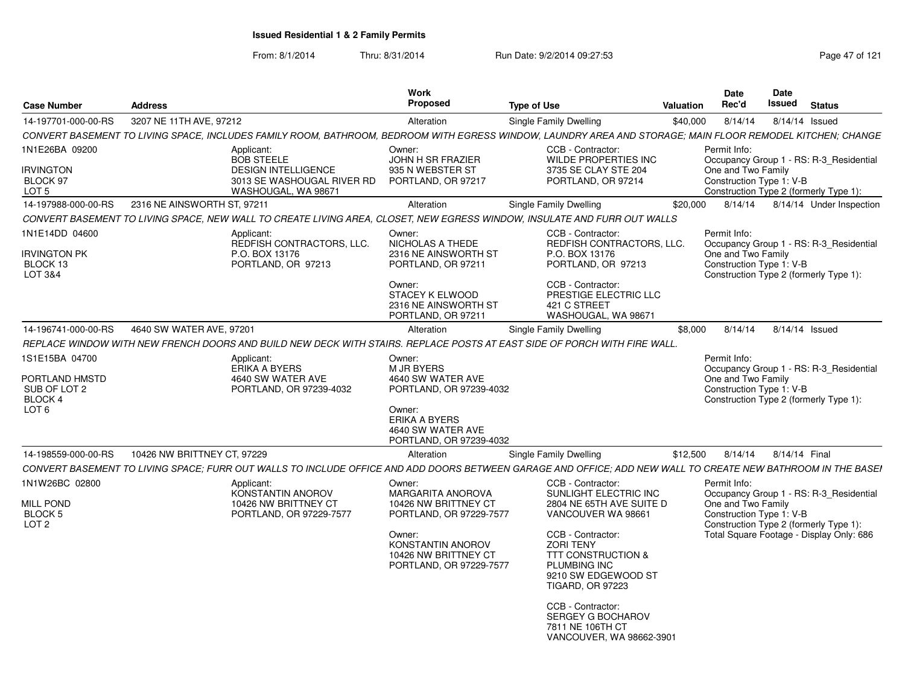From: 8/1/2014

Thru: 8/31/2014 Run Date: 9/2/2014 09:27:53 Research 21

| <b>Case Number</b>                                                       | <b>Address</b>              |                                                                                                                   | Work<br>Proposed                                                                                                                                                 | <b>Type of Use</b>                                                                                                                                                                                                            | Valuation | Date<br>Rec'd                                                  | <b>Date</b><br>Issued | Status                                                                                                                        |
|--------------------------------------------------------------------------|-----------------------------|-------------------------------------------------------------------------------------------------------------------|------------------------------------------------------------------------------------------------------------------------------------------------------------------|-------------------------------------------------------------------------------------------------------------------------------------------------------------------------------------------------------------------------------|-----------|----------------------------------------------------------------|-----------------------|-------------------------------------------------------------------------------------------------------------------------------|
| 14-197701-000-00-RS                                                      | 3207 NE 11TH AVE, 97212     |                                                                                                                   | Alteration                                                                                                                                                       | Single Family Dwelling                                                                                                                                                                                                        | \$40,000  | 8/14/14                                                        |                       | 8/14/14 Issued                                                                                                                |
|                                                                          |                             |                                                                                                                   |                                                                                                                                                                  | CONVERT BASEMENT TO LIVING SPACE, INCLUDES FAMILY ROOM, BATHROOM, BEDROOM WITH EGRESS WINDOW, LAUNDRY AREA AND STORAGE; MAIN FLOOR REMODEL KITCHEN; CHANGE                                                                    |           |                                                                |                       |                                                                                                                               |
| 1N1E26BA 09200<br><b>IRVINGTON</b><br>BLOCK 97<br>LOT <sub>5</sub>       |                             | Applicant<br><b>BOB STEELE</b><br><b>DESIGN INTELLIGENCE</b><br>3013 SE WASHOUGAL RIVER RD<br>WASHOUGAL, WA 98671 | Owner:<br>JOHN H SR FRAZIER<br>935 N WEBSTER ST<br>PORTLAND, OR 97217                                                                                            | CCB - Contractor:<br><b>WILDE PROPERTIES INC</b><br>3735 SE CLAY STE 204<br>PORTLAND, OR 97214                                                                                                                                |           | Permit Info:<br>One and Two Family<br>Construction Type 1: V-B |                       | Occupancy Group 1 - RS: R-3 Residential<br>Construction Type 2 (formerly Type 1):                                             |
| 14-197988-000-00-RS                                                      | 2316 NE AINSWORTH ST, 97211 |                                                                                                                   | Alteration                                                                                                                                                       |                                                                                                                                                                                                                               | \$20,000  | 8/14/14                                                        |                       | 8/14/14 Under Inspection                                                                                                      |
|                                                                          |                             |                                                                                                                   |                                                                                                                                                                  | Single Family Dwelling                                                                                                                                                                                                        |           |                                                                |                       |                                                                                                                               |
|                                                                          |                             |                                                                                                                   |                                                                                                                                                                  | CONVERT BASEMENT TO LIVING SPACE, NEW WALL TO CREATE LIVING AREA, CLOSET, NEW EGRESS WINDOW, INSULATE AND FURR OUT WALLS                                                                                                      |           |                                                                |                       |                                                                                                                               |
| 1N1E14DD 04600<br><b>IRVINGTON PK</b><br>BLOCK 13<br>LOT 3&4             |                             | Applicant<br>REDFISH CONTRACTORS, LLC.<br>P.O. BOX 13176<br>PORTLAND, OR 97213                                    | Owner:<br>NICHOLAS A THEDE<br>2316 NE AINSWORTH ST<br>PORTLAND, OR 97211<br>Owner:<br>STACEY K ELWOOD<br>2316 NE AINSWORTH ST                                    | CCB - Contractor:<br>REDFISH CONTRACTORS, LLC.<br>P.O. BOX 13176<br>PORTLAND, OR 97213<br>CCB - Contractor:<br>PRESTIGE ELECTRIC LLC<br>421 C STREET                                                                          |           | Permit Info:<br>One and Two Family<br>Construction Type 1: V-B |                       | Occupancy Group 1 - RS: R-3_Residential<br>Construction Type 2 (formerly Type 1):                                             |
|                                                                          |                             |                                                                                                                   | PORTLAND, OR 97211                                                                                                                                               | WASHOUGAL, WA 9867                                                                                                                                                                                                            |           |                                                                |                       |                                                                                                                               |
| 14-196741-000-00-RS                                                      | 4640 SW WATER AVE, 97201    |                                                                                                                   | Alteration                                                                                                                                                       | Single Family Dwelling                                                                                                                                                                                                        | \$8,000   | 8/14/14                                                        |                       | 8/14/14 Issued                                                                                                                |
|                                                                          |                             |                                                                                                                   |                                                                                                                                                                  | REPLACE WINDOW WITH NEW FRENCH DOORS AND BUILD NEW DECK WITH STAIRS. REPLACE POSTS AT EAST SIDE OF PORCH WITH FIRE WALL.                                                                                                      |           |                                                                |                       |                                                                                                                               |
| 1S1E15BA 04700<br>PORTLAND HMSTD<br>SUB OF LOT 2<br>BLOCK 4              |                             | Applicant<br>ERIKA A BYERS<br>4640 SW WATER AVE<br>PORTLAND, OR 97239-4032                                        | Owner:<br><b>M JR BYERS</b><br>4640 SW WATER AVE<br>PORTLAND, OR 97239-4032                                                                                      |                                                                                                                                                                                                                               |           | Permit Info:<br>One and Two Family<br>Construction Type 1: V-B |                       | Occupancy Group 1 - RS: R-3 Residential<br>Construction Type 2 (formerly Type 1):                                             |
| LOT <sub>6</sub>                                                         |                             |                                                                                                                   | Owner:<br><b>ERIKA A BYERS</b><br>4640 SW WATER AVE<br>PORTLAND, OR 97239-4032                                                                                   |                                                                                                                                                                                                                               |           |                                                                |                       |                                                                                                                               |
| 14-198559-000-00-RS                                                      | 10426 NW BRITTNEY CT, 97229 |                                                                                                                   | Alteration                                                                                                                                                       | Single Family Dwelling                                                                                                                                                                                                        | \$12,500  | 8/14/14 8/14/14 Final                                          |                       |                                                                                                                               |
|                                                                          |                             |                                                                                                                   |                                                                                                                                                                  | CONVERT BASEMENT TO LIVING SPACE; FURR OUT WALLS TO INCLUDE OFFICE AND ADD DOORS BETWEEN GARAGE AND OFFICE; ADD NEW WALL TO CREATE NEW BATHROOM IN THE BASEI                                                                  |           |                                                                |                       |                                                                                                                               |
| 1N1W26BC 02800<br><b>MILL POND</b><br><b>BLOCK 5</b><br>LOT <sub>2</sub> |                             | Applicant:<br>KONSTANTIN ANOROV<br>10426 NW BRITTNEY CT<br>PORTLAND, OR 97229-7577                                | Owner:<br>MARGARITA ANOROVA<br>10426 NW BRITTNEY CT<br>PORTLAND, OR 97229-7577<br>Owner:<br>KONSTANTIN ANOROV<br>10426 NW BRITTNEY CT<br>PORTLAND, OR 97229-7577 | CCB - Contractor:<br>SUNLIGHT ELECTRIC INC<br>2804 NE 65TH AVE SUITE D<br>VANCOUVER WA 98661<br>CCB - Contractor:<br><b>ZORI TENY</b><br>TTT CONSTRUCTION &<br>PLUMBING INC<br>9210 SW EDGEWOOD ST<br><b>TIGARD, OR 97223</b> |           | Permit Info:<br>One and Two Family<br>Construction Type 1: V-B |                       | Occupancy Group 1 - RS: R-3_Residential<br>Construction Type 2 (formerly Type 1):<br>Total Square Footage - Display Only: 686 |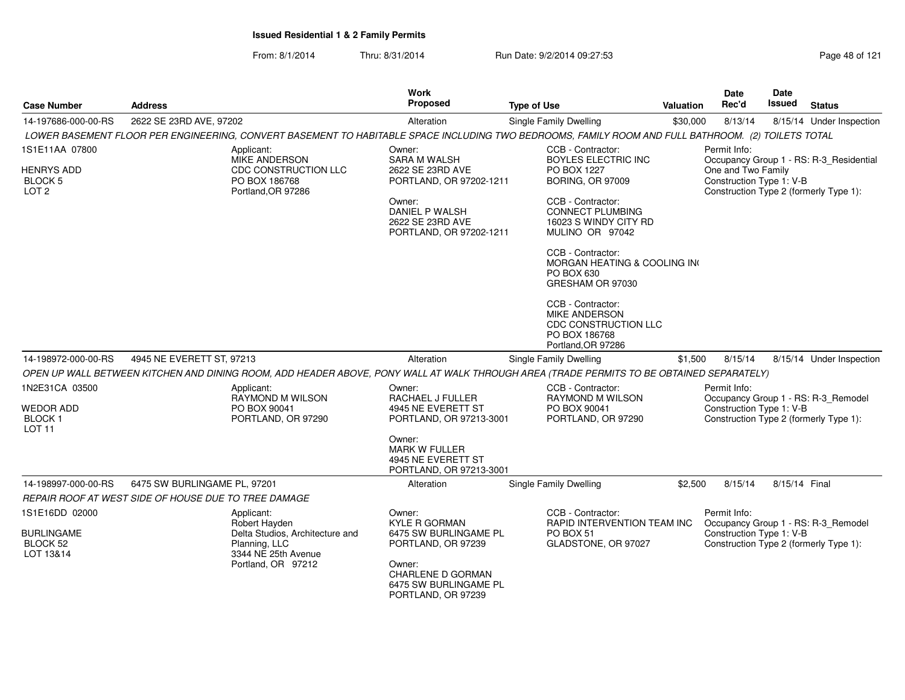| <b>Case Number</b>                                      | <b>Address</b>                                                                                                                                     |                                                                                   | <b>Type of Use</b>                                                                                       | Valuation | Date<br>Rec'd                                  | Date<br><b>Issued</b> | <b>Status</b>                                                                     |
|---------------------------------------------------------|----------------------------------------------------------------------------------------------------------------------------------------------------|-----------------------------------------------------------------------------------|----------------------------------------------------------------------------------------------------------|-----------|------------------------------------------------|-----------------------|-----------------------------------------------------------------------------------|
| 14-197686-000-00-RS                                     | 2622 SE 23RD AVE, 97202                                                                                                                            | Alteration                                                                        | Single Family Dwelling                                                                                   | \$30,000  | 8/13/14                                        |                       | 8/15/14 Under Inspection                                                          |
|                                                         | LOWER BASEMENT FLOOR PER ENGINEERING, CONVERT BASEMENT TO HABITABLE SPACE INCLUDING TWO BEDROOMS, FAMILY ROOM AND FULL BATHROOM. (2) TOILETS TOTAL |                                                                                   |                                                                                                          |           |                                                |                       |                                                                                   |
| 1S1E11AA 07800                                          | Applicant:                                                                                                                                         | Owner:                                                                            | CCB - Contractor:                                                                                        |           | Permit Info:                                   |                       |                                                                                   |
| <b>HENRYS ADD</b><br><b>BLOCK 5</b><br>LOT <sub>2</sub> | <b>MIKE ANDERSON</b><br>CDC CONSTRUCTION LLC<br>PO BOX 186768<br>Portland, OR 97286                                                                | <b>SARA M WALSH</b><br>2622 SE 23RD AVE<br>PORTLAND, OR 97202-1211                | <b>BOYLES ELECTRIC INC</b><br>PO BOX 1227<br><b>BORING, OR 97009</b>                                     |           | One and Two Family<br>Construction Type 1: V-B |                       | Occupancy Group 1 - RS: R-3 Residential<br>Construction Type 2 (formerly Type 1): |
|                                                         |                                                                                                                                                    | Owner:<br><b>DANIEL P WALSH</b><br>2622 SE 23RD AVE<br>PORTLAND, OR 97202-1211    | CCB - Contractor:<br><b>CONNECT PLUMBING</b><br>16023 S WINDY CITY RD<br>MULINO OR 97042                 |           |                                                |                       |                                                                                   |
|                                                         |                                                                                                                                                    |                                                                                   | CCB - Contractor:<br>MORGAN HEATING & COOLING IN<br>PO BOX 630<br>GRESHAM OR 97030                       |           |                                                |                       |                                                                                   |
|                                                         |                                                                                                                                                    |                                                                                   | CCB - Contractor:<br><b>MIKE ANDERSON</b><br>CDC CONSTRUCTION LLC<br>PO BOX 186768<br>Portland, OR 97286 |           |                                                |                       |                                                                                   |
| 14-198972-000-00-RS                                     | 4945 NE EVERETT ST, 97213                                                                                                                          | Alteration                                                                        | Single Family Dwelling                                                                                   | \$1,500   | 8/15/14                                        |                       | 8/15/14 Under Inspection                                                          |
|                                                         | OPEN UP WALL BETWEEN KITCHEN AND DINING ROOM, ADD HEADER ABOVE, PONY WALL AT WALK THROUGH AREA (TRADE PERMITS TO BE OBTAINED SEPARATELY)           |                                                                                   |                                                                                                          |           |                                                |                       |                                                                                   |
| 1N2E31CA 03500                                          | Applicant:                                                                                                                                         | Owner:                                                                            | CCB - Contractor:                                                                                        |           | Permit Info:                                   |                       |                                                                                   |
| <b>WEDOR ADD</b><br><b>BLOCK1</b><br>LOT <sub>11</sub>  | RAYMOND M WILSON<br>PO BOX 90041<br>PORTLAND, OR 97290                                                                                             | RACHAEL J FULLER<br>4945 NE EVERETT ST<br>PORTLAND, OR 97213-3001                 | <b>RAYMOND M WILSON</b><br>PO BOX 90041<br>PORTLAND, OR 97290                                            |           | Construction Type 1: V-B                       |                       | Occupancy Group 1 - RS: R-3_Remodel<br>Construction Type 2 (formerly Type 1):     |
|                                                         |                                                                                                                                                    | Owner:<br><b>MARK W FULLER</b><br>4945 NE EVERETT ST<br>PORTLAND, OR 97213-3001   |                                                                                                          |           |                                                |                       |                                                                                   |
| 14-198997-000-00-RS                                     | 6475 SW BURLINGAME PL, 97201                                                                                                                       | Alteration                                                                        | <b>Single Family Dwelling</b>                                                                            | \$2,500   | 8/15/14                                        | 8/15/14 Final         |                                                                                   |
|                                                         | REPAIR ROOF AT WEST SIDE OF HOUSE DUE TO TREE DAMAGE                                                                                               |                                                                                   |                                                                                                          |           |                                                |                       |                                                                                   |
| 1S1E16DD 02000                                          | Applicant:<br>Robert Hayden                                                                                                                        | Owner:<br><b>KYLE R GORMAN</b>                                                    | CCB - Contractor:<br><b>RAPID INTERVENTION TEAM INC</b>                                                  |           | Permit Info:                                   |                       | Occupancy Group 1 - RS: R-3_Remodel                                               |
| <b>BURLINGAME</b>                                       | Delta Studios, Architecture and                                                                                                                    | 6475 SW BURLINGAME PL                                                             | <b>PO BOX 51</b>                                                                                         |           | Construction Type 1: V-B                       |                       |                                                                                   |
| <b>BLOCK 52</b><br>LOT 13&14                            | Planning, LLC<br>3344 NE 25th Avenue                                                                                                               | PORTLAND, OR 97239                                                                | GLADSTONE, OR 97027                                                                                      |           |                                                |                       | Construction Type 2 (formerly Type 1):                                            |
|                                                         | Portland, OR 97212                                                                                                                                 | Owner:<br><b>CHARLENE D GORMAN</b><br>6475 SW BURLINGAME PL<br>PORTLAND, OR 97239 |                                                                                                          |           |                                                |                       |                                                                                   |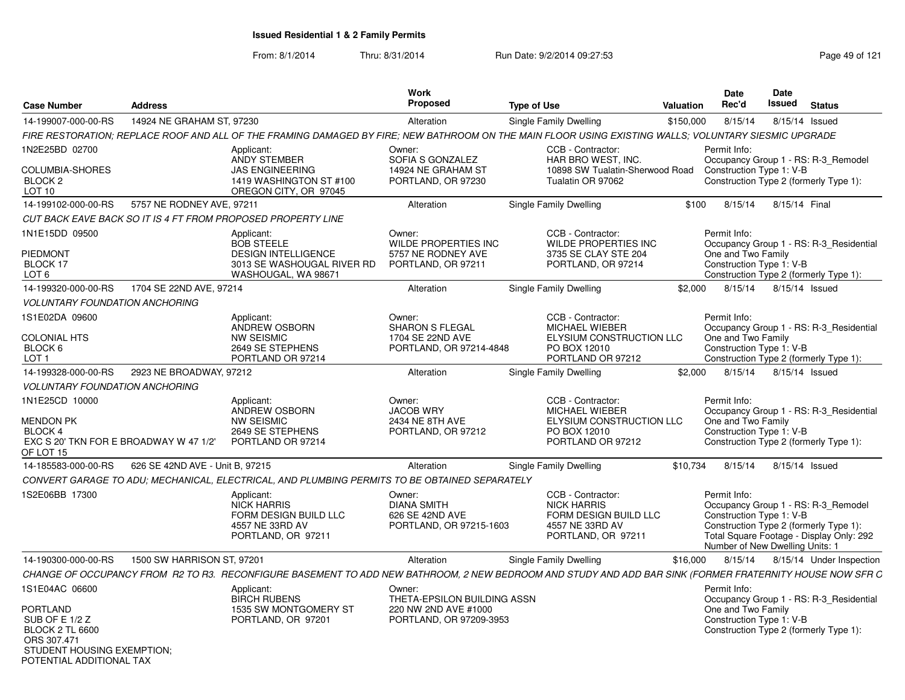From: 8/1/2014

Thru: 8/31/2014 Run Date: 9/2/2014 09:27:53 Research 2012 121

| <b>Case Number</b>                                                                                   | <b>Address</b>                  |                                                                                                                                                          | <b>Work</b><br><b>Proposed</b>                                                           | <b>Type of Use</b>                                                                                          | Valuation | <b>Date</b><br>Rec'd                                                        | Date<br>Issued | <b>Status</b>                                                                                                             |
|------------------------------------------------------------------------------------------------------|---------------------------------|----------------------------------------------------------------------------------------------------------------------------------------------------------|------------------------------------------------------------------------------------------|-------------------------------------------------------------------------------------------------------------|-----------|-----------------------------------------------------------------------------|----------------|---------------------------------------------------------------------------------------------------------------------------|
| 14-199007-000-00-RS                                                                                  | 14924 NE GRAHAM ST. 97230       |                                                                                                                                                          | Alteration                                                                               | Single Family Dwelling                                                                                      | \$150,000 | 8/15/14                                                                     | 8/15/14 Issued |                                                                                                                           |
|                                                                                                      |                                 | FIRE RESTORATION: REPLACE ROOF AND ALL OF THE FRAMING DAMAGED BY FIRE: NEW BATHROOM ON THE MAIN FLOOR USING EXISTING WALLS: VOLUNTARY SIESMIC UPGRADE    |                                                                                          |                                                                                                             |           |                                                                             |                |                                                                                                                           |
| 1N2E25BD 02700                                                                                       |                                 | Applicant:<br>ANDY STEMBER                                                                                                                               | Owner:<br>SOFIA S GONZALEZ                                                               | CCB - Contractor:<br>HAR BRO WEST. INC.                                                                     |           | Permit Info:                                                                |                |                                                                                                                           |
| COLUMBIA-SHORES<br>BLOCK <sub>2</sub><br><b>LOT 10</b>                                               |                                 | <b>JAS ENGINEERING</b><br>1419 WASHINGTON ST #100<br>OREGON CITY, OR 97045                                                                               | 14924 NE GRAHAM ST<br>PORTLAND, OR 97230                                                 | 10898 SW Tualatin-Sherwood Road<br>Tualatin OR 97062                                                        |           | Construction Type 1: V-B                                                    |                | Occupancy Group 1 - RS: R-3_Remodel<br>Construction Type 2 (formerly Type 1):                                             |
| 14-199102-000-00-RS                                                                                  | 5757 NE RODNEY AVE, 97211       |                                                                                                                                                          | Alteration                                                                               | Single Family Dwelling                                                                                      | \$100     | 8/15/14                                                                     | 8/15/14 Final  |                                                                                                                           |
|                                                                                                      |                                 | CUT BACK EAVE BACK SO IT IS 4 FT FROM PROPOSED PROPERTY LINE                                                                                             |                                                                                          |                                                                                                             |           |                                                                             |                |                                                                                                                           |
| 1N1E15DD 09500                                                                                       |                                 | Applicant:<br><b>BOB STEELE</b>                                                                                                                          | Owner:<br><b>WILDE PROPERTIES INC</b>                                                    | CCB - Contractor:<br><b>WILDE PROPERTIES INC</b>                                                            |           | Permit Info:                                                                |                | Occupancy Group 1 - RS: R-3 Residential                                                                                   |
| PIEDMONT<br>BLOCK 17<br>LOT <sub>6</sub>                                                             |                                 | <b>DESIGN INTELLIGENCE</b><br>3013 SE WASHOUGAL RIVER RD<br>WASHOUGAL, WA 98671                                                                          | 5757 NE RODNEY AVE<br>PORTLAND, OR 97211                                                 | 3735 SE CLAY STE 204<br>PORTLAND, OR 97214                                                                  |           | One and Two Family<br>Construction Type 1: V-B                              |                | Construction Type 2 (formerly Type 1):                                                                                    |
| 14-199320-000-00-RS                                                                                  | 1704 SE 22ND AVE, 97214         |                                                                                                                                                          | Alteration                                                                               | Single Family Dwelling                                                                                      | \$2,000   | 8/15/14                                                                     | 8/15/14 Issued |                                                                                                                           |
| <b>VOLUNTARY FOUNDATION ANCHORING</b>                                                                |                                 |                                                                                                                                                          |                                                                                          |                                                                                                             |           |                                                                             |                |                                                                                                                           |
| 1S1E02DA 09600                                                                                       |                                 | Applicant:<br>ANDREW OSBORN                                                                                                                              | Owner:<br><b>SHARON S FLEGAL</b>                                                         | CCB - Contractor:<br><b>MICHAEL WIEBER</b>                                                                  |           | Permit Info:                                                                |                | Occupancy Group 1 - RS: R-3 Residential                                                                                   |
| <b>COLONIAL HTS</b><br>BLOCK 6<br>LOT <sub>1</sub>                                                   |                                 | NW SEISMIC<br>2649 SE STEPHENS<br>PORTLAND OR 97214                                                                                                      | 1704 SE 22ND AVE<br>PORTLAND, OR 97214-4848                                              | <b>ELYSIUM CONSTRUCTION LLC</b><br>PO BOX 12010<br>PORTLAND OR 97212                                        |           | One and Two Family<br>Construction Type 1: V-B                              |                | Construction Type 2 (formerly Type 1):                                                                                    |
| 14-199328-000-00-RS                                                                                  | 2923 NE BROADWAY, 97212         |                                                                                                                                                          | Alteration                                                                               | Single Family Dwelling                                                                                      | \$2,000   | 8/15/14                                                                     | 8/15/14 Issued |                                                                                                                           |
| <b>VOLUNTARY FOUNDATION ANCHORING</b>                                                                |                                 |                                                                                                                                                          |                                                                                          |                                                                                                             |           |                                                                             |                |                                                                                                                           |
| 1N1E25CD 10000<br><b>MENDON PK</b><br>BLOCK 4<br>EXC S 20' TKN FOR E BROADWAY W 47 1/2'<br>OF LOT 15 |                                 | Applicant:<br><b>ANDREW OSBORN</b><br><b>NW SEISMIC</b><br>2649 SE STEPHENS<br>PORTLAND OR 97214                                                         | Owner:<br><b>JACOB WRY</b><br>2434 NE 8TH AVE<br>PORTLAND, OR 97212                      | CCB - Contractor:<br><b>MICHAEL WIEBER</b><br>ELYSIUM CONSTRUCTION LLC<br>PO BOX 12010<br>PORTLAND OR 97212 |           | Permit Info:<br>One and Two Family<br>Construction Type 1: V-B              |                | Occupancy Group 1 - RS: R-3 Residential<br>Construction Type 2 (formerly Type 1):                                         |
| 14-185583-000-00-RS                                                                                  | 626 SE 42ND AVE - Unit B, 97215 |                                                                                                                                                          | Alteration                                                                               | Single Family Dwelling                                                                                      | \$10,734  | 8/15/14                                                                     | 8/15/14 Issued |                                                                                                                           |
|                                                                                                      |                                 | CONVERT GARAGE TO ADU; MECHANICAL, ELECTRICAL, AND PLUMBING PERMITS TO BE OBTAINED SEPARATELY                                                            |                                                                                          |                                                                                                             |           |                                                                             |                |                                                                                                                           |
| 1S2E06BB 17300                                                                                       |                                 | Applicant:<br><b>NICK HARRIS</b><br>FORM DESIGN BUILD LLC<br>4557 NE 33RD AV<br>PORTLAND, OR 97211                                                       | Owner:<br><b>DIANA SMITH</b><br>626 SE 42ND AVE<br>PORTLAND, OR 97215-1603               | CCB - Contractor:<br><b>NICK HARRIS</b><br>FORM DESIGN BUILD LLC<br>4557 NE 33RD AV<br>PORTLAND, OR 97211   |           | Permit Info:<br>Construction Type 1: V-B<br>Number of New Dwelling Units: 1 |                | Occupancy Group 1 - RS: R-3 Remodel<br>Construction Type 2 (formerly Type 1):<br>Total Square Footage - Display Only: 292 |
| 14-190300-000-00-RS                                                                                  | 1500 SW HARRISON ST, 97201      |                                                                                                                                                          | Alteration                                                                               | Single Family Dwelling                                                                                      | \$16,000  | 8/15/14                                                                     |                | 8/15/14 Under Inspection                                                                                                  |
|                                                                                                      |                                 | CHANGE OF OCCUPANCY FROM R2 TO R3. RECONFIGURE BASEMENT TO ADD NEW BATHROOM, 2 NEW BEDROOM AND STUDY AND ADD BAR SINK (FORMER FRATERNITY HOUSE NOW SFR C |                                                                                          |                                                                                                             |           |                                                                             |                |                                                                                                                           |
| 1S1E04AC 06600<br>PORTLAND<br>SUB OF E 1/2 Z                                                         |                                 | Applicant:<br><b>BIRCH RUBENS</b><br>1535 SW MONTGOMERY ST<br>PORTLAND, OR 97201                                                                         | Owner:<br>THETA-EPSILON BUILDING ASSN<br>220 NW 2ND AVE #1000<br>PORTLAND, OR 97209-3953 |                                                                                                             |           | Permit Info:<br>One and Two Family<br>Construction Type 1: V-B              |                | Occupancy Group 1 - RS: R-3 Residential                                                                                   |
| <b>BLOCK 2 TL 6600</b><br>ORS 307.471<br>STUDENT HOUSING EXEMPTION:<br>POTENTIAL ADDITIONAL TAX      |                                 |                                                                                                                                                          |                                                                                          |                                                                                                             |           |                                                                             |                | Construction Type 2 (formerly Type 1):                                                                                    |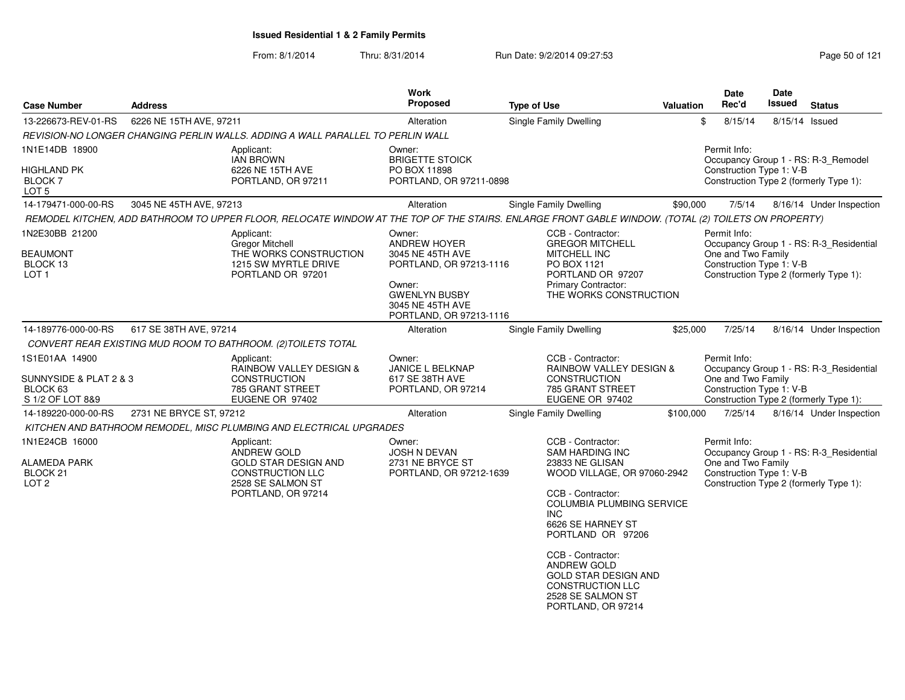From: 8/1/2014

Thru: 8/31/2014 Run Date: 9/2/2014 09:27:53 Research 2012 121

| <b>Case Number</b>                                                                  | <b>Address</b>          |                                                                                                                                                     | Work<br><b>Proposed</b>                                                                                                                                       | <b>Type of Use</b>                                                                                                                                                                                                                                                                                                                                       | Valuation | Date<br>Rec'd                                                  | Date<br><b>Issued</b> | <b>Status</b>                                                                     |
|-------------------------------------------------------------------------------------|-------------------------|-----------------------------------------------------------------------------------------------------------------------------------------------------|---------------------------------------------------------------------------------------------------------------------------------------------------------------|----------------------------------------------------------------------------------------------------------------------------------------------------------------------------------------------------------------------------------------------------------------------------------------------------------------------------------------------------------|-----------|----------------------------------------------------------------|-----------------------|-----------------------------------------------------------------------------------|
| 13-226673-REV-01-RS                                                                 | 6226 NE 15TH AVE, 97211 |                                                                                                                                                     | Alteration                                                                                                                                                    | <b>Single Family Dwelling</b>                                                                                                                                                                                                                                                                                                                            |           | \$<br>8/15/14                                                  | 8/15/14 Issued        |                                                                                   |
|                                                                                     |                         | REVISION-NO LONGER CHANGING PERLIN WALLS. ADDING A WALL PARALLEL TO PERLIN WALL                                                                     |                                                                                                                                                               |                                                                                                                                                                                                                                                                                                                                                          |           |                                                                |                       |                                                                                   |
| 1N1E14DB 18900                                                                      |                         | Applicant:<br><b>IAN BROWN</b>                                                                                                                      | Owner:<br><b>BRIGETTE STOICK</b>                                                                                                                              |                                                                                                                                                                                                                                                                                                                                                          |           | Permit Info:                                                   |                       | Occupancy Group 1 - RS: R-3_Remodel                                               |
| HIGHLAND PK<br>BLOCK <sub>7</sub><br>LOT 5                                          |                         | 6226 NE 15TH AVE<br>PORTLAND, OR 97211                                                                                                              | PO BOX 11898<br>PORTLAND, OR 97211-0898                                                                                                                       |                                                                                                                                                                                                                                                                                                                                                          |           | Construction Type 1: V-B                                       |                       | Construction Type 2 (formerly Type 1):                                            |
| 14-179471-000-00-RS                                                                 | 3045 NE 45TH AVE, 97213 |                                                                                                                                                     | Alteration                                                                                                                                                    | <b>Single Family Dwelling</b>                                                                                                                                                                                                                                                                                                                            | \$90,000  | 7/5/14                                                         |                       | 8/16/14 Under Inspection                                                          |
|                                                                                     |                         | REMODEL KITCHEN, ADD BATHROOM TO UPPER FLOOR, RELOCATE WINDOW AT THE TOP OF THE STAIRS. ENLARGE FRONT GABLE WINDOW. (TOTAL (2) TOILETS ON PROPERTY) |                                                                                                                                                               |                                                                                                                                                                                                                                                                                                                                                          |           |                                                                |                       |                                                                                   |
| 1N2E30BB 21200<br><b>BEAUMONT</b><br>BLOCK 13<br>LOT 1                              |                         | Applicant:<br><b>Gregor Mitchell</b><br>THE WORKS CONSTRUCTION<br>1215 SW MYRTLE DRIVE<br>PORTLAND OR 97201                                         | Owner:<br><b>ANDREW HOYER</b><br>3045 NE 45TH AVE<br>PORTLAND, OR 97213-1116<br>Owner:<br><b>GWENLYN BUSBY</b><br>3045 NE 45TH AVE<br>PORTLAND, OR 97213-1116 | CCB - Contractor:<br><b>GREGOR MITCHELL</b><br><b>MITCHELL INC</b><br>PO BOX 1121<br>PORTLAND OR 97207<br>Primary Contractor:<br>THE WORKS CONSTRUCTION                                                                                                                                                                                                  |           | Permit Info:<br>One and Two Family<br>Construction Type 1: V-B |                       | Occupancy Group 1 - RS: R-3_Residential<br>Construction Type 2 (formerly Type 1): |
| 14-189776-000-00-RS                                                                 | 617 SE 38TH AVE, 97214  |                                                                                                                                                     | Alteration                                                                                                                                                    | Single Family Dwelling                                                                                                                                                                                                                                                                                                                                   | \$25,000  | 7/25/14                                                        |                       | 8/16/14 Under Inspection                                                          |
|                                                                                     |                         | CONVERT REAR EXISTING MUD ROOM TO BATHROOM. (2) TOILETS TOTAL                                                                                       |                                                                                                                                                               |                                                                                                                                                                                                                                                                                                                                                          |           |                                                                |                       |                                                                                   |
| 1S1E01AA 14900<br>SUNNYSIDE & PLAT 2 & 3<br>BLOCK <sub>63</sub><br>S 1/2 OF LOT 8&9 |                         | Applicant:<br>RAINBOW VALLEY DESIGN &<br><b>CONSTRUCTION</b><br>785 GRANT STREET<br>EUGENE OR 97402                                                 | Owner:<br>JANICE L BELKNAP<br>617 SE 38TH AVE<br>PORTLAND, OR 97214                                                                                           | CCB - Contractor:<br>RAINBOW VALLEY DESIGN &<br><b>CONSTRUCTION</b><br>785 GRANT STREET<br>EUGENE OR 97402                                                                                                                                                                                                                                               |           | Permit Info:<br>One and Two Family<br>Construction Type 1: V-B |                       | Occupancy Group 1 - RS: R-3_Residential<br>Construction Type 2 (formerly Type 1): |
| 14-189220-000-00-RS                                                                 | 2731 NE BRYCE ST, 97212 |                                                                                                                                                     | Alteration                                                                                                                                                    | <b>Single Family Dwelling</b>                                                                                                                                                                                                                                                                                                                            | \$100,000 | 7/25/14                                                        |                       | 8/16/14 Under Inspection                                                          |
|                                                                                     |                         | KITCHEN AND BATHROOM REMODEL, MISC PLUMBING AND ELECTRICAL UPGRADES                                                                                 |                                                                                                                                                               |                                                                                                                                                                                                                                                                                                                                                          |           |                                                                |                       |                                                                                   |
| 1N1E24CB 16000<br><b>ALAMEDA PARK</b><br>BLOCK <sub>21</sub><br>LOT <sub>2</sub>    |                         | Applicant:<br>ANDREW GOLD<br><b>GOLD STAR DESIGN AND</b><br><b>CONSTRUCTION LLC</b><br>2528 SE SALMON ST<br>PORTLAND, OR 97214                      | Owner:<br><b>JOSH N DEVAN</b><br>2731 NE BRYCE ST<br>PORTLAND, OR 97212-1639                                                                                  | CCB - Contractor:<br><b>SAM HARDING INC</b><br>23833 NE GLISAN<br>WOOD VILLAGE, OR 97060-2942<br>CCB - Contractor:<br><b>COLUMBIA PLUMBING SERVICE</b><br>INC.<br>6626 SE HARNEY ST<br>PORTLAND OR 97206<br>CCB - Contractor:<br><b>ANDREW GOLD</b><br><b>GOLD STAR DESIGN AND</b><br><b>CONSTRUCTION LLC</b><br>2528 SE SALMON ST<br>PORTLAND, OR 97214 |           | Permit Info:<br>One and Two Family<br>Construction Type 1: V-B |                       | Occupancy Group 1 - RS: R-3_Residential<br>Construction Type 2 (formerly Type 1): |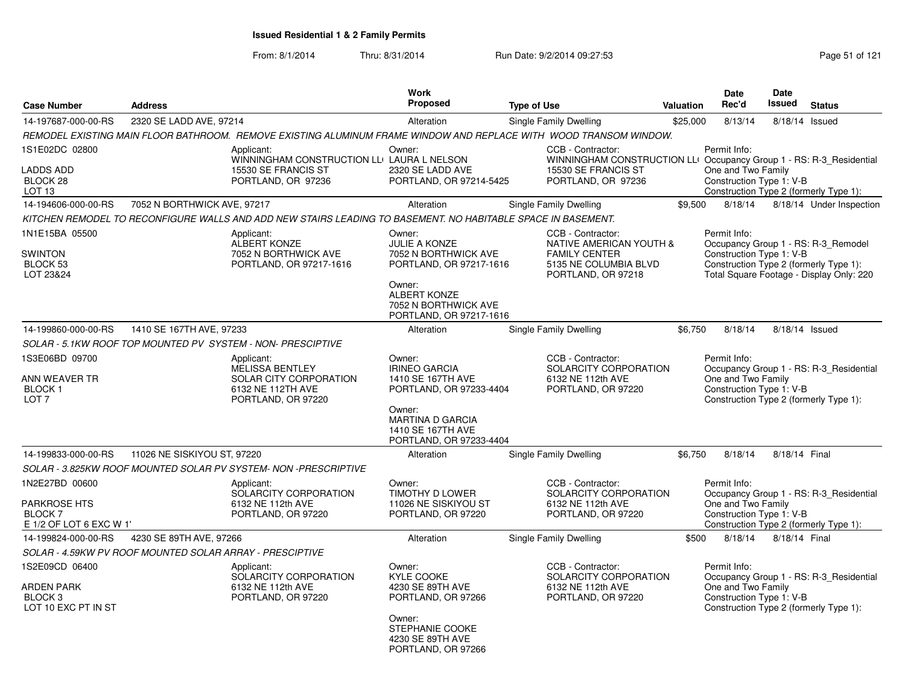| <b>Case Number</b>                                                                | <b>Address</b>                                           |                                                                                                                   | Work<br><b>Proposed</b>                                                                                                                                               | <b>Type of Use</b>                                                                                                                    | Valuation | <b>Date</b><br>Rec'd                                           | Date<br>Issued | <b>Status</b>                                                                                                             |
|-----------------------------------------------------------------------------------|----------------------------------------------------------|-------------------------------------------------------------------------------------------------------------------|-----------------------------------------------------------------------------------------------------------------------------------------------------------------------|---------------------------------------------------------------------------------------------------------------------------------------|-----------|----------------------------------------------------------------|----------------|---------------------------------------------------------------------------------------------------------------------------|
| 14-197687-000-00-RS                                                               | 2320 SE LADD AVE, 97214                                  |                                                                                                                   | Alteration                                                                                                                                                            | <b>Single Family Dwelling</b>                                                                                                         | \$25,000  | 8/13/14                                                        | 8/18/14        | Issued                                                                                                                    |
|                                                                                   |                                                          | REMODEL EXISTING MAIN FLOOR BATHROOM. REMOVE EXISTING ALUMINUM FRAME WINDOW AND REPLACE WITH WOOD TRANSOM WINDOW. |                                                                                                                                                                       |                                                                                                                                       |           |                                                                |                |                                                                                                                           |
| 1S1E02DC 02800<br><b>LADDS ADD</b><br>BLOCK 28<br>LOT 13                          |                                                          | Applicant:<br>WINNINGHAM CONSTRUCTION LLI LAURA L NELSON<br>15530 SE FRANCIS ST<br>PORTLAND, OR 97236             | Owner:<br>2320 SE LADD AVE<br>PORTLAND, OR 97214-5425                                                                                                                 | CCB - Contractor:<br>WINNINGHAM CONSTRUCTION LLI Occupancy Group 1 - RS: R-3_Residential<br>15530 SE FRANCIS ST<br>PORTLAND, OR 97236 |           | Permit Info:<br>One and Two Family<br>Construction Type 1: V-B |                | Construction Type 2 (formerly Type 1):                                                                                    |
| 14-194606-000-00-RS                                                               | 7052 N BORTHWICK AVE, 97217                              |                                                                                                                   | Alteration                                                                                                                                                            | Single Family Dwelling                                                                                                                | \$9.500   | 8/18/14                                                        |                | 8/18/14 Under Inspection                                                                                                  |
|                                                                                   |                                                          | KITCHEN REMODEL TO RECONFIGURE WALLS AND ADD NEW STAIRS LEADING TO BASEMENT. NO HABITABLE SPACE IN BASEMENT.      |                                                                                                                                                                       |                                                                                                                                       |           |                                                                |                |                                                                                                                           |
| 1N1E15BA 05500<br><b>SWINTON</b><br><b>BLOCK 53</b><br>LOT 23&24                  |                                                          | Applicant:<br><b>ALBERT KONZE</b><br>7052 N BORTHWICK AVE<br>PORTLAND, OR 97217-1616                              | Owner:<br><b>JULIE A KONZE</b><br>7052 N BORTHWICK AVE<br>PORTLAND, OR 97217-1616<br>Owner:<br><b>ALBERT KONZE</b><br>7052 N BORTHWICK AVE<br>PORTLAND, OR 97217-1616 | CCB - Contractor:<br>NATIVE AMERICAN YOUTH &<br><b>FAMILY CENTER</b><br>5135 NE COLUMBIA BLVD<br>PORTLAND, OR 97218                   |           | Permit Info:<br>Construction Type 1: V-B                       |                | Occupancy Group 1 - RS: R-3_Remodel<br>Construction Type 2 (formerly Type 1):<br>Total Square Footage - Display Only: 220 |
| 14-199860-000-00-RS                                                               | 1410 SE 167TH AVE, 97233                                 |                                                                                                                   | Alteration                                                                                                                                                            | Single Family Dwelling                                                                                                                | \$6,750   | 8/18/14                                                        |                | 8/18/14 Issued                                                                                                            |
|                                                                                   |                                                          | SOLAR - 5.1KW ROOF TOP MOUNTED PV SYSTEM - NON- PRESCIPTIVE                                                       |                                                                                                                                                                       |                                                                                                                                       |           |                                                                |                |                                                                                                                           |
| 1S3E06BD 09700<br>ANN WEAVER TR<br>BLOCK 1<br>LOT <sub>7</sub>                    |                                                          | Applicant:<br><b>MELISSA BENTLEY</b><br>SOLAR CITY CORPORATION<br>6132 NE 112TH AVE<br>PORTLAND, OR 97220         | Owner:<br><b>IRINEO GARCIA</b><br>1410 SE 167TH AVE<br>PORTLAND, OR 97233-4404<br>Owner:<br><b>MARTINA D GARCIA</b><br>1410 SE 167TH AVE<br>PORTLAND, OR 97233-4404   | CCB - Contractor:<br>SOLARCITY CORPORATION<br>6132 NE 112th AVE<br>PORTLAND, OR 97220                                                 |           | Permit Info:<br>One and Two Family<br>Construction Type 1: V-B |                | Occupancy Group 1 - RS: R-3_Residential<br>Construction Type 2 (formerly Type 1):                                         |
| 14-199833-000-00-RS                                                               | 11026 NE SISKIYOU ST, 97220                              |                                                                                                                   | Alteration                                                                                                                                                            | Single Family Dwelling                                                                                                                | \$6.750   | 8/18/14                                                        | 8/18/14 Final  |                                                                                                                           |
|                                                                                   |                                                          | SOLAR - 3.825KW ROOF MOUNTED SOLAR PV SYSTEM- NON -PRESCRIPTIVE                                                   |                                                                                                                                                                       |                                                                                                                                       |           |                                                                |                |                                                                                                                           |
| 1N2E27BD 00600<br><b>PARKROSE HTS</b><br><b>BLOCK7</b><br>E 1/2 OF LOT 6 EXC W 1' |                                                          | Applicant:<br>SOLARCITY CORPORATION<br>6132 NE 112th AVE<br>PORTLAND, OR 97220                                    | Owner:<br>TIMOTHY D LOWER<br>11026 NE SISKIYOU ST<br>PORTLAND, OR 97220                                                                                               | CCB - Contractor:<br>SOLARCITY CORPORATION<br>6132 NE 112th AVE<br>PORTLAND, OR 97220                                                 |           | Permit Info:<br>One and Two Family<br>Construction Type 1: V-B |                | Occupancy Group 1 - RS: R-3 Residential<br>Construction Type 2 (formerly Type 1):                                         |
| 14-199824-000-00-RS                                                               | 4230 SE 89TH AVE, 97266                                  |                                                                                                                   | Alteration                                                                                                                                                            | Single Family Dwelling                                                                                                                | \$500     | 8/18/14                                                        | 8/18/14 Final  |                                                                                                                           |
|                                                                                   | SOLAR - 4.59KW PV ROOF MOUNTED SOLAR ARRAY - PRESCIPTIVE |                                                                                                                   |                                                                                                                                                                       |                                                                                                                                       |           |                                                                |                |                                                                                                                           |
| 1S2E09CD 06400<br><b>ARDEN PARK</b><br>BLOCK <sub>3</sub><br>LOT 10 EXC PT IN ST  |                                                          | Applicant:<br>SOLARCITY CORPORATION<br>6132 NE 112th AVE<br>PORTLAND, OR 97220                                    | Owner:<br><b>KYLE COOKE</b><br>4230 SE 89TH AVE<br>PORTLAND, OR 97266<br>Owner:<br>STEPHANIE COOKE<br>4230 SE 89TH AVE<br>PORTLAND, OR 97266                          | CCB - Contractor:<br>SOLARCITY CORPORATION<br>6132 NE 112th AVE<br>PORTLAND, OR 97220                                                 |           | Permit Info:<br>One and Two Family<br>Construction Type 1: V-B |                | Occupancy Group 1 - RS: R-3_Residential<br>Construction Type 2 (formerly Type 1):                                         |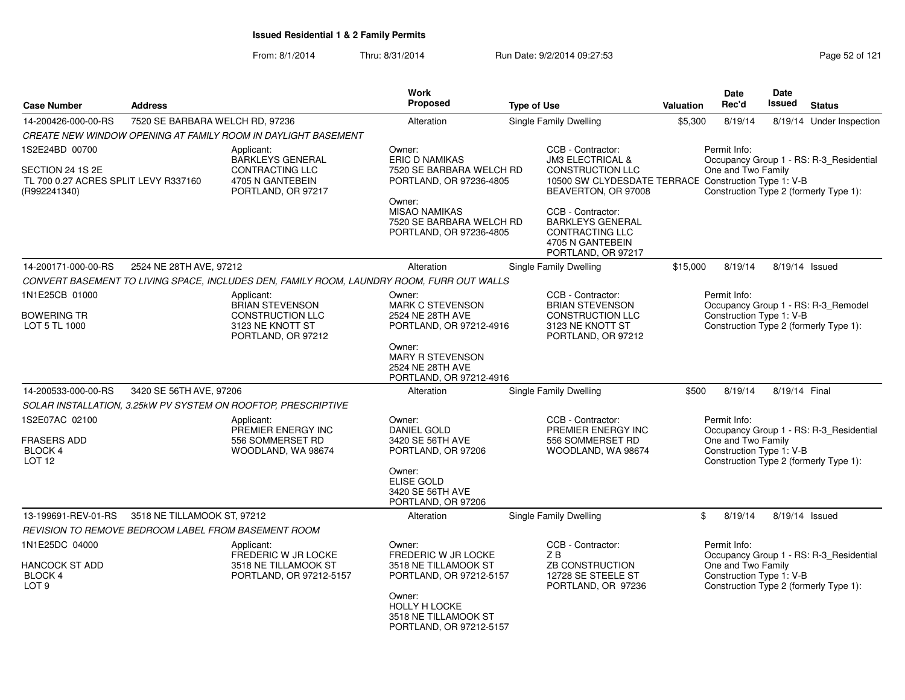From: 8/1/2014Thru: 8/31/2014 **Run Date: 9/2/2014 09:27:53** Page 52 of 121

|                                                                             |                                 |                                                                                             | <b>Work</b>                                                                           |                                                                                                                                       |           | Date                                                           | Date          |                                                                                   |
|-----------------------------------------------------------------------------|---------------------------------|---------------------------------------------------------------------------------------------|---------------------------------------------------------------------------------------|---------------------------------------------------------------------------------------------------------------------------------------|-----------|----------------------------------------------------------------|---------------|-----------------------------------------------------------------------------------|
| <b>Case Number</b>                                                          | <b>Address</b>                  |                                                                                             | Proposed                                                                              | <b>Type of Use</b>                                                                                                                    | Valuation | Rec'd                                                          | <b>Issued</b> | <b>Status</b>                                                                     |
| 14-200426-000-00-RS                                                         | 7520 SE BARBARA WELCH RD, 97236 |                                                                                             | Alteration                                                                            | Single Family Dwelling                                                                                                                | \$5,300   | 8/19/14                                                        |               | 8/19/14 Under Inspection                                                          |
|                                                                             |                                 | CREATE NEW WINDOW OPENING AT FAMILY ROOM IN DAYLIGHT BASEMENT                               |                                                                                       |                                                                                                                                       |           |                                                                |               |                                                                                   |
| 1S2E24BD 00700                                                              |                                 | Applicant:                                                                                  | Owner:                                                                                | CCB - Contractor:                                                                                                                     |           | Permit Info:                                                   |               |                                                                                   |
| SECTION 24 1S 2E<br>TL 700 0.27 ACRES SPLIT LEVY R337160<br>(R992241340)    |                                 | <b>BARKLEYS GENERAL</b><br><b>CONTRACTING LLC</b><br>4705 N GANTEBEIN<br>PORTLAND, OR 97217 | <b>ERIC D NAMIKAS</b><br>7520 SE BARBARA WELCH RD<br>PORTLAND, OR 97236-4805          | <b>JM3 ELECTRICAL &amp;</b><br><b>CONSTRUCTION LLC</b><br>10500 SW CLYDESDATE TERRACE Construction Type 1: V-B<br>BEAVERTON, OR 97008 |           | One and Two Family                                             |               | Occupancy Group 1 - RS: R-3_Residential<br>Construction Type 2 (formerly Type 1): |
|                                                                             |                                 |                                                                                             | Owner:<br><b>MISAO NAMIKAS</b><br>7520 SE BARBARA WELCH RD<br>PORTLAND, OR 97236-4805 | CCB - Contractor:<br><b>BARKLEYS GENERAL</b><br><b>CONTRACTING LLC</b><br>4705 N GANTEBEIN<br>PORTLAND, OR 97217                      |           |                                                                |               |                                                                                   |
| 14-200171-000-00-RS                                                         | 2524 NE 28TH AVE, 97212         |                                                                                             | Alteration                                                                            | Single Family Dwelling                                                                                                                | \$15,000  | 8/19/14                                                        |               | 8/19/14 Issued                                                                    |
|                                                                             |                                 | CONVERT BASEMENT TO LIVING SPACE, INCLUDES DEN, FAMILY ROOM, LAUNDRY ROOM, FURR OUT WALLS   |                                                                                       |                                                                                                                                       |           |                                                                |               |                                                                                   |
| 1N1E25CB 01000                                                              |                                 | Applicant:<br><b>BRIAN STEVENSON</b>                                                        | Owner:<br><b>MARK C STEVENSON</b>                                                     | CCB - Contractor:<br><b>BRIAN STEVENSON</b>                                                                                           |           | Permit Info:                                                   |               | Occupancy Group 1 - RS: R-3_Remodel                                               |
| <b>BOWERING TR</b><br>LOT 5 TL 1000                                         |                                 | CONSTRUCTION LLC<br>3123 NE KNOTT ST<br>PORTLAND, OR 97212                                  | 2524 NE 28TH AVE<br>PORTLAND, OR 97212-4916                                           | CONSTRUCTION LLC<br>3123 NE KNOTT ST<br>PORTLAND, OR 97212                                                                            |           | Construction Type 1: V-B                                       |               | Construction Type 2 (formerly Type 1):                                            |
|                                                                             |                                 |                                                                                             | Owner:<br><b>MARY R STEVENSON</b><br>2524 NE 28TH AVE<br>PORTLAND, OR 97212-4916      |                                                                                                                                       |           |                                                                |               |                                                                                   |
| 14-200533-000-00-RS                                                         | 3420 SE 56TH AVE, 97206         |                                                                                             | Alteration                                                                            | Single Family Dwelling                                                                                                                | \$500     | 8/19/14                                                        | 8/19/14 Final |                                                                                   |
|                                                                             |                                 | SOLAR INSTALLATION, 3.25kW PV SYSTEM ON ROOFTOP, PRESCRIPTIVE                               |                                                                                       |                                                                                                                                       |           |                                                                |               |                                                                                   |
| 1S2E07AC 02100<br><b>FRASERS ADD</b><br><b>BLOCK 4</b><br>LOT <sub>12</sub> |                                 | Applicant:<br>PREMIER ENERGY INC<br>556 SOMMERSET RD<br>WOODLAND, WA 98674                  | Owner:<br><b>DANIEL GOLD</b><br>3420 SE 56TH AVE<br>PORTLAND, OR 97206                | CCB - Contractor:<br>PREMIER ENERGY INC<br>556 SOMMERSET RD<br>WOODLAND, WA 98674                                                     |           | Permit Info:<br>One and Two Family<br>Construction Type 1: V-B |               | Occupancy Group 1 - RS: R-3_Residential<br>Construction Type 2 (formerly Type 1): |
|                                                                             |                                 |                                                                                             | Owner:<br><b>ELISE GOLD</b><br>3420 SE 56TH AVE<br>PORTLAND, OR 97206                 |                                                                                                                                       |           |                                                                |               |                                                                                   |
| 13-199691-REV-01-RS                                                         | 3518 NE TILLAMOOK ST, 97212     |                                                                                             | Alteration                                                                            | Single Family Dwelling                                                                                                                | \$        | 8/19/14                                                        |               | 8/19/14 Issued                                                                    |
|                                                                             |                                 | REVISION TO REMOVE BEDROOM LABEL FROM BASEMENT ROOM                                         |                                                                                       |                                                                                                                                       |           |                                                                |               |                                                                                   |
| 1N1E25DC 04000                                                              |                                 | Applicant:<br><b>FREDERIC W JR LOCKE</b>                                                    | Owner:<br>FREDERIC W JR LOCKE                                                         | CCB - Contractor:<br>ZB                                                                                                               |           | Permit Info:                                                   |               | Occupancy Group 1 - RS: R-3_Residential                                           |
| <b>HANCOCK ST ADD</b><br>BLOCK 4<br>LOT <sub>9</sub>                        |                                 | 3518 NE TILLAMOOK ST<br>PORTLAND, OR 97212-5157                                             | 3518 NE TILLAMOOK ST<br>PORTLAND, OR 97212-5157                                       | ZB CONSTRUCTION<br>12728 SE STEELE ST<br>PORTLAND, OR 97236                                                                           |           | One and Two Family<br>Construction Type 1: V-B                 |               | Construction Type 2 (formerly Type 1):                                            |
|                                                                             |                                 |                                                                                             | Owner:<br><b>HOLLY H LOCKE</b><br>3518 NE TILLAMOOK ST<br>PORTLAND, OR 97212-5157     |                                                                                                                                       |           |                                                                |               |                                                                                   |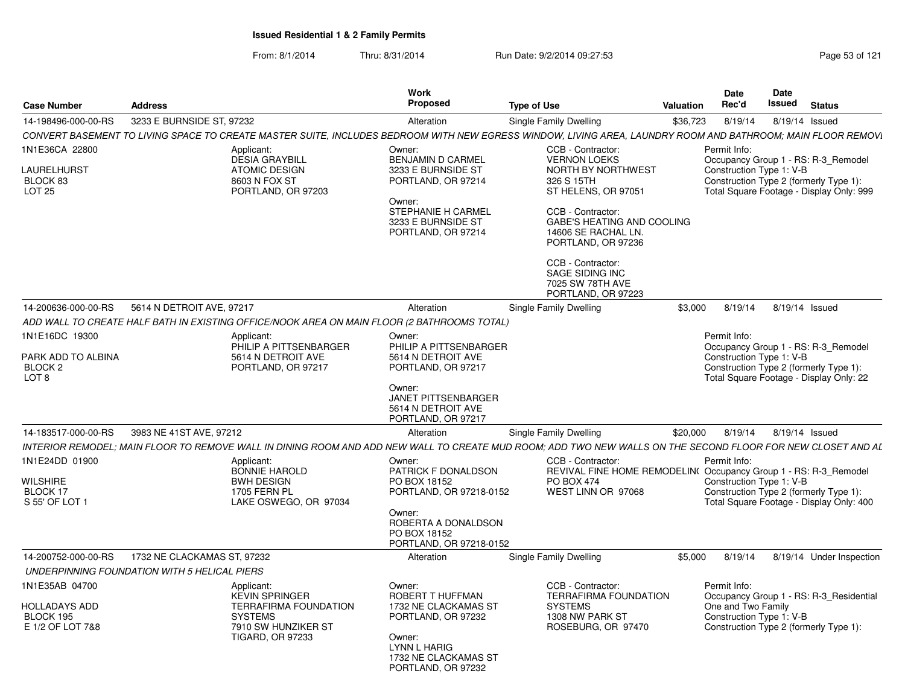| <b>Case Number</b>                                                             | <b>Address</b>                                                                                                                                              | Work<br>Proposed                                                                                                                                                  | <b>Type of Use</b>                                                                                                                                                                                                       | Valuation | <b>Date</b><br>Rec'd               | <b>Date</b><br>Issued    | <b>Status</b>                                                                                                             |
|--------------------------------------------------------------------------------|-------------------------------------------------------------------------------------------------------------------------------------------------------------|-------------------------------------------------------------------------------------------------------------------------------------------------------------------|--------------------------------------------------------------------------------------------------------------------------------------------------------------------------------------------------------------------------|-----------|------------------------------------|--------------------------|---------------------------------------------------------------------------------------------------------------------------|
| 14-198496-000-00-RS                                                            | 3233 E BURNSIDE ST, 97232                                                                                                                                   | Alteration                                                                                                                                                        | Single Family Dwelling                                                                                                                                                                                                   | \$36,723  | 8/19/14                            |                          | 8/19/14 Issued                                                                                                            |
|                                                                                | CONVERT BASEMENT TO LIVING SPACE TO CREATE MASTER SUITE, INCLUDES BEDROOM WITH NEW EGRESS WINDOW, LIVING AREA, LAUNDRY ROOM AND BATHROOM; MAIN FLOOR REMOVI |                                                                                                                                                                   |                                                                                                                                                                                                                          |           |                                    |                          |                                                                                                                           |
| 1N1E36CA 22800<br><b>LAURELHURST</b><br>BLOCK 83<br><b>LOT 25</b>              | Applicant:<br><b>DESIA GRAYBILL</b><br><b>ATOMIC DESIGN</b><br>8603 N FOX ST<br>PORTLAND, OR 97203                                                          | Owner:<br><b>BENJAMIN D CARMEL</b><br>3233 E BURNSIDE ST<br>PORTLAND, OR 97214<br>Owner:<br><b>STEPHANIE H CARMEL</b><br>3233 E BURNSIDE ST<br>PORTLAND, OR 97214 | CCB - Contractor:<br><b>VERNON LOEKS</b><br>NORTH BY NORTHWEST<br>326 S 15TH<br>ST HELENS, OR 97051<br>CCB - Contractor:<br>GABE'S HEATING AND COOLING<br>14606 SE RACHAL LN.<br>PORTLAND, OR 97236<br>CCB - Contractor: |           | Permit Info:                       | Construction Type 1: V-B | Occupancy Group 1 - RS: R-3_Remodel<br>Construction Type 2 (formerly Type 1):<br>Total Square Footage - Display Only: 999 |
|                                                                                |                                                                                                                                                             |                                                                                                                                                                   | SAGE SIDING INC<br>7025 SW 78TH AVE<br>PORTLAND, OR 97223                                                                                                                                                                |           |                                    |                          |                                                                                                                           |
| 14-200636-000-00-RS                                                            | 5614 N DETROIT AVE, 97217                                                                                                                                   | Alteration                                                                                                                                                        | Single Family Dwelling                                                                                                                                                                                                   | \$3,000   | 8/19/14                            |                          | 8/19/14 Issued                                                                                                            |
|                                                                                | ADD WALL TO CREATE HALF BATH IN EXISTING OFFICE/NOOK AREA ON MAIN FLOOR (2 BATHROOMS TOTAL)                                                                 |                                                                                                                                                                   |                                                                                                                                                                                                                          |           |                                    |                          |                                                                                                                           |
| 1N1E16DC 19300<br>PARK ADD TO ALBINA<br>BLOCK <sub>2</sub><br>LOT <sub>8</sub> | Applicant:<br>PHILIP A PITTSENBARGER<br>5614 N DETROIT AVE<br>PORTLAND, OR 97217                                                                            | Owner:<br>PHILIP A PITTSENBARGER<br>5614 N DETROIT AVE<br>PORTLAND, OR 97217<br>Owner:                                                                            |                                                                                                                                                                                                                          |           | Permit Info:                       | Construction Type 1: V-B | Occupancy Group 1 - RS: R-3_Remodel<br>Construction Type 2 (formerly Type 1):<br>Total Square Footage - Display Only: 22  |
|                                                                                |                                                                                                                                                             | JANET PITTSENBARGER<br>5614 N DETROIT AVE<br>PORTLAND, OR 97217                                                                                                   |                                                                                                                                                                                                                          |           |                                    |                          |                                                                                                                           |
| 14-183517-000-00-RS                                                            | 3983 NE 41ST AVE, 97212                                                                                                                                     | Alteration                                                                                                                                                        | Single Family Dwelling                                                                                                                                                                                                   | \$20,000  | 8/19/14                            |                          | 8/19/14 Issued                                                                                                            |
|                                                                                | INTERIOR REMODEL: MAIN FLOOR TO REMOVE WALL IN DINING ROOM AND ADD NEW WALL TO CREATE MUD ROOM: ADD TWO NEW WALLS ON THE SECOND FLOOR FOR NEW CLOSET AND AL |                                                                                                                                                                   |                                                                                                                                                                                                                          |           |                                    |                          |                                                                                                                           |
| 1N1E24DD 01900<br><b>WILSHIRE</b><br>BLOCK 17<br>S 55' OF LOT 1                | Applicant:<br><b>BONNIE HAROLD</b><br><b>BWH DESIGN</b><br><b>1705 FERN PL</b><br>LAKE OSWEGO, OR 97034                                                     | Owner:<br>PATRICK F DONALDSON<br>PO BOX 18152<br>PORTLAND, OR 97218-0152<br>Owner:<br>ROBERTA A DONALDSON<br>PO BOX 18152<br>PORTLAND, OR 97218-0152              | CCB - Contractor:<br>REVIVAL FINE HOME REMODELIN(Occupancy Group 1 - RS: R-3_Remodel<br><b>PO BOX 474</b><br>WEST LINN OR 97068                                                                                          |           | Permit Info:                       | Construction Type 1: V-B | Construction Type 2 (formerly Type 1):<br>Total Square Footage - Display Only: 400                                        |
| 14-200752-000-00-RS                                                            | 1732 NE CLACKAMAS ST. 97232                                                                                                                                 | Alteration                                                                                                                                                        | Single Family Dwelling                                                                                                                                                                                                   | \$5.000   | 8/19/14                            |                          | 8/19/14 Under Inspection                                                                                                  |
|                                                                                | UNDERPINNING FOUNDATION WITH 5 HELICAL PIERS                                                                                                                |                                                                                                                                                                   |                                                                                                                                                                                                                          |           |                                    |                          |                                                                                                                           |
| 1N1E35AB 04700<br><b>HOLLADAYS ADD</b><br>BLOCK 195<br>E 1/2 OF LOT 7&8        | Applicant:<br><b>KEVIN SPRINGER</b><br><b>TERRAFIRMA FOUNDATION</b><br><b>SYSTEMS</b><br>7910 SW HUNZIKER ST<br><b>TIGARD, OR 97233</b>                     | Owner:<br>ROBERT T HUFFMAN<br>1732 NE CLACKAMAS ST<br>PORTLAND, OR 97232<br>Owner:<br>LYNN L HARIG<br>1732 NE CLACKAMAS ST<br>PORTLAND, OR 97232                  | CCB - Contractor:<br><b>TERRAFIRMA FOUNDATION</b><br><b>SYSTEMS</b><br>1308 NW PARK ST<br>ROSEBURG, OR 97470                                                                                                             |           | Permit Info:<br>One and Two Family | Construction Type 1: V-B | Occupancy Group 1 - RS: R-3_Residential<br>Construction Type 2 (formerly Type 1):                                         |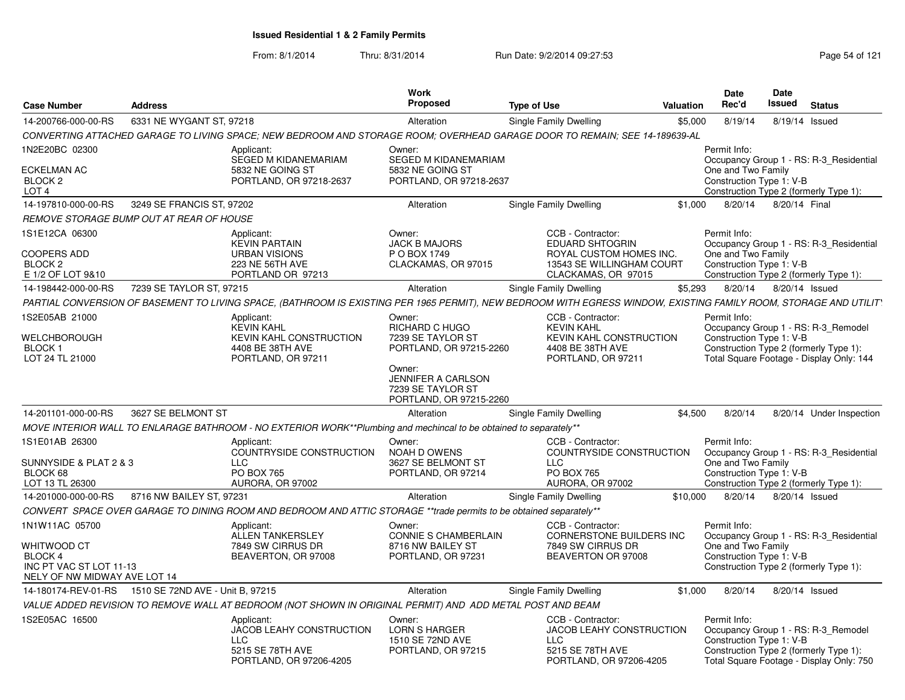| <b>Case Number</b>                                                                | <b>Address</b>            |                                                                                                                                                                   | Work<br>Proposed                                                                                                                    | <b>Type of Use</b>                                                                                         | <b>Valuation</b> | <b>Date</b><br>Rec'd                                                                                     | Date<br>Issued | <b>Status</b>                                                                     |
|-----------------------------------------------------------------------------------|---------------------------|-------------------------------------------------------------------------------------------------------------------------------------------------------------------|-------------------------------------------------------------------------------------------------------------------------------------|------------------------------------------------------------------------------------------------------------|------------------|----------------------------------------------------------------------------------------------------------|----------------|-----------------------------------------------------------------------------------|
| 14-200766-000-00-RS                                                               | 6331 NE WYGANT ST, 97218  |                                                                                                                                                                   | Alteration                                                                                                                          | Single Family Dwelling                                                                                     | \$5,000          | 8/19/14                                                                                                  | 8/19/14 Issued |                                                                                   |
|                                                                                   |                           | CONVERTING ATTACHED GARAGE TO LIVING SPACE: NEW BEDROOM AND STORAGE ROOM: OVERHEAD GARAGE DOOR TO REMAIN: SEE 14-189639-AL                                        |                                                                                                                                     |                                                                                                            |                  |                                                                                                          |                |                                                                                   |
| 1N2E20BC 02300                                                                    |                           | Applicant:                                                                                                                                                        | Owner:                                                                                                                              |                                                                                                            |                  | Permit Info:                                                                                             |                |                                                                                   |
| ECKELMAN AC<br>BLOCK <sub>2</sub><br>LOT <sub>4</sub>                             |                           | SEGED M KIDANEMARIAM<br>5832 NE GOING ST<br>PORTLAND, OR 97218-2637                                                                                               | SEGED M KIDANEMARIAM<br>5832 NE GOING ST<br>PORTLAND, OR 97218-2637                                                                 |                                                                                                            |                  | One and Two Family<br>Construction Type 1: V-B                                                           |                | Occupancy Group 1 - RS: R-3 Residential<br>Construction Type 2 (formerly Type 1): |
| 14-197810-000-00-RS                                                               | 3249 SE FRANCIS ST, 97202 |                                                                                                                                                                   | Alteration                                                                                                                          | Single Family Dwelling                                                                                     | \$1,000          | 8/20/14                                                                                                  | 8/20/14 Final  |                                                                                   |
| <b>REMOVE STORAGE BUMP OUT AT REAR OF HOUSE</b>                                   |                           |                                                                                                                                                                   |                                                                                                                                     |                                                                                                            |                  |                                                                                                          |                |                                                                                   |
| 1S1E12CA 06300<br><b>COOPERS ADD</b>                                              |                           | Applicant:<br><b>KEVIN PARTAIN</b><br><b>URBAN VISIONS</b>                                                                                                        | Owner:<br><b>JACK B MAJORS</b><br>P O BOX 1749                                                                                      | CCB - Contractor:<br><b>EDUARD SHTOGRIN</b><br>ROYAL CUSTOM HOMES INC.                                     |                  | Permit Info:<br>One and Two Family                                                                       |                | Occupancy Group 1 - RS: R-3 Residential                                           |
| BLOCK <sub>2</sub><br>E 1/2 OF LOT 9&10                                           |                           | 223 NE 56TH AVE<br>PORTLAND OR 97213                                                                                                                              | CLACKAMAS, OR 97015                                                                                                                 | 13543 SE WILLINGHAM COURT<br>CLACKAMAS, OR 97015                                                           |                  | Construction Type 1: V-B                                                                                 |                | Construction Type 2 (formerly Type 1):                                            |
| 14-198442-000-00-RS                                                               | 7239 SE TAYLOR ST, 97215  |                                                                                                                                                                   | Alteration                                                                                                                          | Single Family Dwelling                                                                                     | \$5.293          | 8/20/14                                                                                                  | 8/20/14 Issued |                                                                                   |
|                                                                                   |                           | PARTIAL CONVERSION OF BASEMENT TO LIVING SPACE, (BATHROOM IS EXISTING PER 1965 PERMIT), NEW BEDROOM WITH EGRESS WINDOW, EXISTING FAMILY ROOM, STORAGE AND UTILIT' |                                                                                                                                     |                                                                                                            |                  |                                                                                                          |                |                                                                                   |
| 1S2E05AB 21000                                                                    |                           | Applicant:<br><b>KEVIN KAHL</b>                                                                                                                                   | Owner:<br>RICHARD C HUGO                                                                                                            | CCB - Contractor:<br><b>KEVIN KAHL</b>                                                                     |                  | Permit Info:                                                                                             |                | Occupancy Group 1 - RS: R-3_Remodel                                               |
| WELCHBOROUGH<br>BLOCK 1<br>LOT 24 TL 21000                                        |                           | KEVIN KAHL CONSTRUCTION<br>4408 BE 38TH AVE<br>PORTLAND, OR 97211                                                                                                 | 7239 SE TAYLOR ST<br>PORTLAND, OR 97215-2260<br>Owner:<br><b>JENNIFER A CARLSON</b><br>7239 SE TAYLOR ST<br>PORTLAND, OR 97215-2260 | KEVIN KAHL CONSTRUCTION<br>4408 BE 38TH AVE<br>PORTLAND, OR 97211                                          |                  | Construction Type 1: V-B<br>Construction Type 2 (formerly Type 1):                                       |                | Total Square Footage - Display Only: 144                                          |
| 14-201101-000-00-RS                                                               | 3627 SE BELMONT ST        |                                                                                                                                                                   | Alteration                                                                                                                          | Single Family Dwelling                                                                                     | \$4,500          | 8/20/14                                                                                                  |                | 8/20/14 Under Inspection                                                          |
|                                                                                   |                           | MOVE INTERIOR WALL TO ENLARAGE BATHROOM - NO EXTERIOR WORK**Plumbing and mechincal to be obtained to separately**                                                 |                                                                                                                                     |                                                                                                            |                  |                                                                                                          |                |                                                                                   |
| 1S1E01AB 26300<br>SUNNYSIDE & PLAT 2 & 3<br>BLOCK 68<br>LOT 13 TL 26300           |                           | Applicant:<br>COUNTRYSIDE CONSTRUCTION<br><b>LLC</b><br>PO BOX 765<br>AURORA, OR 97002                                                                            | Owner:<br>NOAH D OWENS<br>3627 SE BELMONT ST<br>PORTLAND, OR 97214                                                                  | CCB - Contractor:<br>COUNTRYSIDE CONSTRUCTION<br><b>LLC</b><br>PO BOX 765<br>AURORA, OR 97002              |                  | Permit Info:<br>One and Two Family<br>Construction Type 1: V-B<br>Construction Type 2 (formerly Type 1): |                | Occupancy Group 1 - RS: R-3_Residential                                           |
| 14-201000-000-00-RS                                                               | 8716 NW BAILEY ST, 97231  |                                                                                                                                                                   | Alteration                                                                                                                          | Single Family Dwelling                                                                                     | \$10,000         | 8/20/14                                                                                                  | 8/20/14 Issued |                                                                                   |
|                                                                                   |                           | CONVERT SPACE OVER GARAGE TO DINING ROOM AND BEDROOM AND ATTIC STORAGE **trade permits to be obtained separately**                                                |                                                                                                                                     |                                                                                                            |                  |                                                                                                          |                |                                                                                   |
| 1N1W11AC 05700                                                                    |                           | Applicant:<br><b>ALLEN TANKERSLEY</b>                                                                                                                             | Owner:<br>CONNIE S CHAMBERLAIN                                                                                                      | CCB - Contractor:<br>CORNERSTONE BUILDERS INC                                                              |                  | Permit Info:                                                                                             |                | Occupancy Group 1 - RS: R-3_Residential                                           |
| WHITWOOD CT<br>BLOCK 4<br>INC PT VAC ST LOT 11-13<br>NELY OF NW MIDWAY AVE LOT 14 |                           | 7849 SW CIRRUS DR<br>BEAVERTON, OR 97008                                                                                                                          | 8716 NW BAILEY ST<br>PORTLAND, OR 97231                                                                                             | 7849 SW CIRRUS DR<br>BEAVERTON OR 97008                                                                    |                  | One and Two Family<br>Construction Type 1: V-B<br>Construction Type 2 (formerly Type 1):                 |                |                                                                                   |
| 14-180174-REV-01-RS    1510 SE 72ND AVE - Unit B, 97215                           |                           |                                                                                                                                                                   | Alteration                                                                                                                          | Single Family Dwelling                                                                                     | \$1,000          | 8/20/14                                                                                                  | 8/20/14 Issued |                                                                                   |
|                                                                                   |                           | VALUE ADDED REVISION TO REMOVE WALL AT BEDROOM (NOT SHOWN IN ORIGINAL PERMIT) AND ADD METAL POST AND BEAM                                                         |                                                                                                                                     |                                                                                                            |                  |                                                                                                          |                |                                                                                   |
| 1S2E05AC 16500                                                                    |                           | Applicant:<br>JACOB LEAHY CONSTRUCTION<br><b>LLC</b><br>5215 SE 78TH AVE<br>PORTLAND, OR 97206-4205                                                               | Owner:<br><b>LORN S HARGER</b><br>1510 SE 72ND AVE<br>PORTLAND, OR 97215                                                            | CCB - Contractor:<br>JACOB LEAHY CONSTRUCTION<br><b>LLC</b><br>5215 SE 78TH AVE<br>PORTLAND, OR 97206-4205 |                  | Permit Info:<br>Construction Type 1: V-B<br>Construction Type 2 (formerly Type 1):                       |                | Occupancy Group 1 - RS: R-3_Remodel<br>Total Square Footage - Display Only: 750   |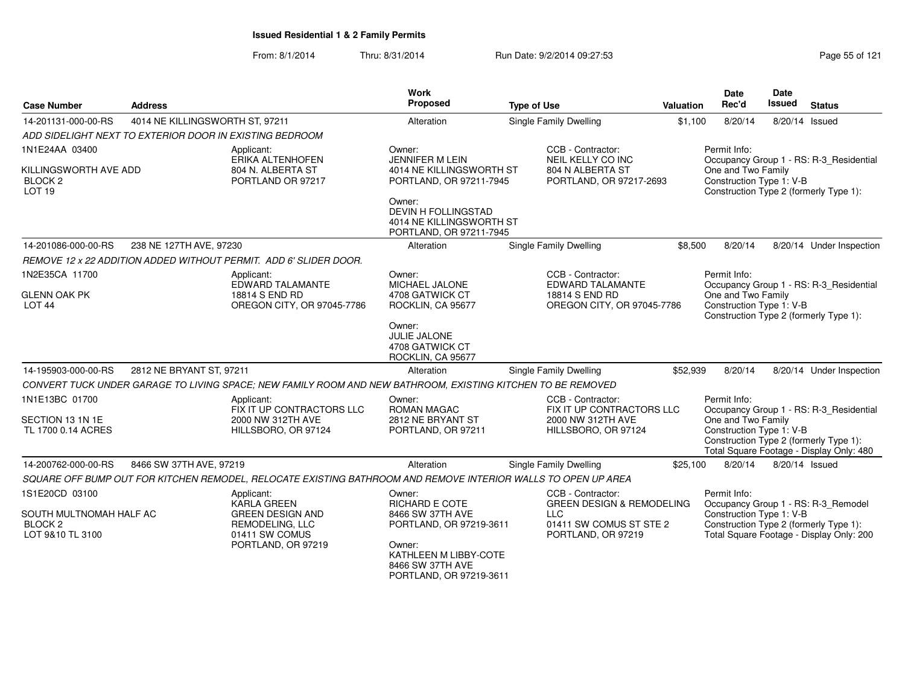| <b>Case Number</b>                                                             | <b>Address</b>                                          |                                                                                                               | <b>Work</b><br>Proposed                                                                 | <b>Type of Use</b>                                                                    | Valuation | <b>Date</b><br>Rec'd                                                                                     | <b>Date</b><br><b>Issued</b> | <b>Status</b>                            |
|--------------------------------------------------------------------------------|---------------------------------------------------------|---------------------------------------------------------------------------------------------------------------|-----------------------------------------------------------------------------------------|---------------------------------------------------------------------------------------|-----------|----------------------------------------------------------------------------------------------------------|------------------------------|------------------------------------------|
| 14-201131-000-00-RS                                                            | 4014 NE KILLINGSWORTH ST, 97211                         |                                                                                                               | Alteration                                                                              | Single Family Dwelling                                                                | \$1,100   | 8/20/14                                                                                                  | 8/20/14 Issued               |                                          |
|                                                                                | ADD SIDELIGHT NEXT TO EXTERIOR DOOR IN EXISTING BEDROOM |                                                                                                               |                                                                                         |                                                                                       |           |                                                                                                          |                              |                                          |
| 1N1E24AA 03400<br>KILLINGSWORTH AVE ADD<br><b>BLOCK 2</b><br>LOT <sub>19</sub> |                                                         | Applicant:<br>ERIKA ALTENHOFEN<br>804 N. ALBERTA ST<br>PORTLAND OR 97217                                      | Owner:<br><b>JENNIFER M LEIN</b><br>4014 NE KILLINGSWORTH ST<br>PORTLAND, OR 97211-7945 | CCB - Contractor:<br>NEIL KELLY CO INC<br>804 N ALBERTA ST<br>PORTLAND, OR 97217-2693 |           | Permit Info:<br>One and Two Family<br>Construction Type 1: V-B<br>Construction Type 2 (formerly Type 1): |                              | Occupancy Group 1 - RS: R-3_Residential  |
|                                                                                |                                                         |                                                                                                               | Owner:<br>DEVIN H FOLLINGSTAD<br>4014 NE KILLINGSWORTH ST<br>PORTLAND, OR 97211-7945    |                                                                                       |           |                                                                                                          |                              |                                          |
| 14-201086-000-00-RS                                                            | 238 NE 127TH AVE, 97230                                 |                                                                                                               | Alteration                                                                              | Single Family Dwelling                                                                | \$8,500   | 8/20/14                                                                                                  |                              | 8/20/14 Under Inspection                 |
|                                                                                |                                                         | REMOVE 12 x 22 ADDITION ADDED WITHOUT PERMIT. ADD 6' SLIDER DOOR.                                             |                                                                                         |                                                                                       |           |                                                                                                          |                              |                                          |
| 1N2E35CA 11700                                                                 |                                                         | Applicant:<br><b>EDWARD TALAMANTE</b>                                                                         | Owner:<br>MICHAEL JALONE                                                                | CCB - Contractor:<br>EDWARD TALAMANTE                                                 |           | Permit Info:                                                                                             |                              | Occupancy Group 1 - RS: R-3_Residential  |
| <b>GLENN OAK PK</b><br>LOT <sub>44</sub>                                       |                                                         | 18814 S END RD<br>OREGON CITY, OR 97045-7786                                                                  | 4708 GATWICK CT<br>ROCKLIN, CA 95677                                                    | 18814 S END RD<br>OREGON CITY, OR 97045-7786                                          |           | One and Two Family<br>Construction Type 1: V-B                                                           |                              | Construction Type 2 (formerly Type 1):   |
|                                                                                |                                                         |                                                                                                               | Owner:<br>JULIE JALONE<br>4708 GATWICK CT<br>ROCKLIN, CA 95677                          |                                                                                       |           |                                                                                                          |                              |                                          |
| 14-195903-000-00-RS                                                            | 2812 NE BRYANT ST, 97211                                |                                                                                                               | Alteration                                                                              | Single Family Dwelling                                                                | \$52,939  | 8/20/14                                                                                                  |                              | 8/20/14 Under Inspection                 |
|                                                                                |                                                         | CONVERT TUCK UNDER GARAGE TO LIVING SPACE; NEW FAMILY ROOM AND NEW BATHROOM, EXISTING KITCHEN TO BE REMOVED   |                                                                                         |                                                                                       |           |                                                                                                          |                              |                                          |
| 1N1E13BC 01700                                                                 |                                                         | Applicant:<br>FIX IT UP CONTRACTORS LLC                                                                       | Owner:<br><b>ROMAN MAGAC</b>                                                            | CCB - Contractor:<br>FIX IT UP CONTRACTORS LLC                                        |           | Permit Info:                                                                                             |                              | Occupancy Group 1 - RS: R-3 Residential  |
| SECTION 13 1N 1E<br>TL 1700 0.14 ACRES                                         |                                                         | 2000 NW 312TH AVE<br>HILLSBORO, OR 97124                                                                      | 2812 NE BRYANT ST<br>PORTLAND, OR 97211                                                 | 2000 NW 312TH AVE<br>HILLSBORO, OR 97124                                              |           | One and Two Family<br>Construction Type 1: V-B<br>Construction Type 2 (formerly Type 1):                 |                              | Total Square Footage - Display Only: 480 |
| 14-200762-000-00-RS                                                            | 8466 SW 37TH AVE, 97219                                 |                                                                                                               | Alteration                                                                              | Single Family Dwelling                                                                | \$25,100  | 8/20/14                                                                                                  | 8/20/14 Issued               |                                          |
|                                                                                |                                                         | SQUARE OFF BUMP OUT FOR KITCHEN REMODEL, RELOCATE EXISTING BATHROOM AND REMOVE INTERIOR WALLS TO OPEN UP AREA |                                                                                         |                                                                                       |           |                                                                                                          |                              |                                          |
| 1S1E20CD 03100<br>SOUTH MULTNOMAH HALF AC                                      |                                                         | Applicant:<br><b>KARLA GREEN</b><br><b>GREEN DESIGN AND</b>                                                   | Owner:<br><b>RICHARD E COTE</b><br>8466 SW 37TH AVE                                     | CCB - Contractor:<br><b>GREEN DESIGN &amp; REMODELING</b><br>LLC                      |           | Permit Info:<br>Construction Type 1: V-B                                                                 |                              | Occupancy Group 1 - RS: R-3_Remodel      |
| BLOCK <sub>2</sub><br>LOT 9&10 TL 3100                                         |                                                         | REMODELING, LLC<br>01411 SW COMUS<br>PORTLAND, OR 97219                                                       | PORTLAND, OR 97219-3611<br>Owner:<br>KATHLEEN M LIBBY-COTE                              | 01411 SW COMUS ST STE 2<br>PORTLAND, OR 97219                                         |           | Construction Type 2 (formerly Type 1):                                                                   |                              | Total Square Footage - Display Only: 200 |
|                                                                                |                                                         |                                                                                                               | 8466 SW 37TH AVE<br>PORTLAND, OR 97219-3611                                             |                                                                                       |           |                                                                                                          |                              |                                          |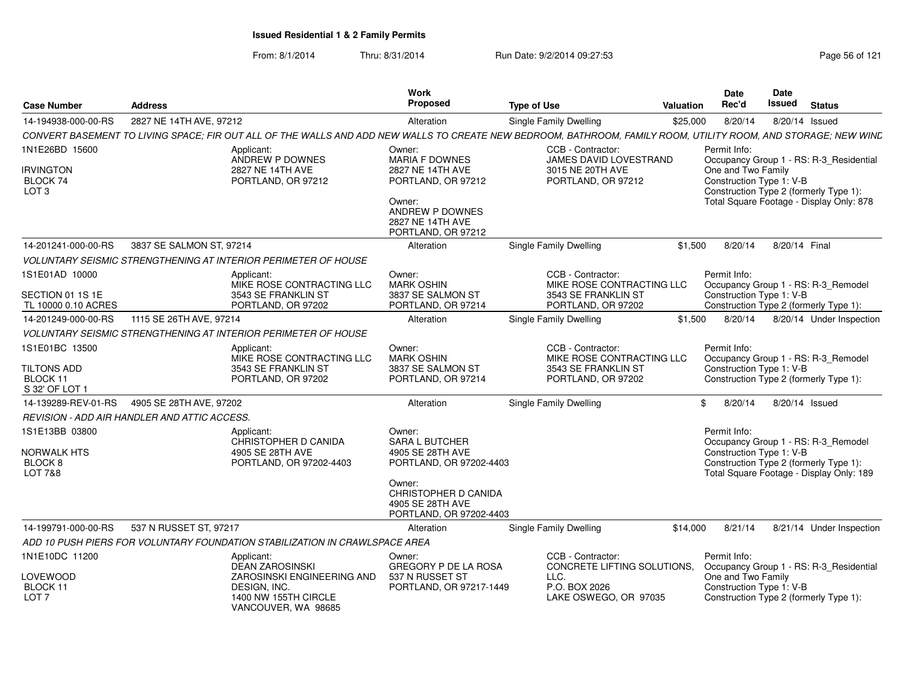| <b>Case Number</b>                                                               | <b>Address</b>           |                                                                                                                                                                | Work<br><b>Proposed</b>                                                                                                                                         | <b>Type of Use</b>                                                                                 | <b>Valuation</b> | <b>Date</b><br>Rec'd                                           | Date<br><b>Issued</b> | <b>Status</b>                                                                                                             |
|----------------------------------------------------------------------------------|--------------------------|----------------------------------------------------------------------------------------------------------------------------------------------------------------|-----------------------------------------------------------------------------------------------------------------------------------------------------------------|----------------------------------------------------------------------------------------------------|------------------|----------------------------------------------------------------|-----------------------|---------------------------------------------------------------------------------------------------------------------------|
| 14-194938-000-00-RS                                                              | 2827 NE 14TH AVE, 97212  |                                                                                                                                                                | Alteration                                                                                                                                                      | <b>Single Family Dwelling</b>                                                                      | \$25,000         | 8/20/14                                                        |                       | 8/20/14 Issued                                                                                                            |
|                                                                                  |                          | CONVERT BASEMENT TO LIVING SPACE; FIR OUT ALL OF THE WALLS AND ADD NEW WALLS TO CREATE NEW BEDROOM, BATHROOM, FAMILY ROOM, UTILITY ROOM, AND STORAGE; NEW WIND |                                                                                                                                                                 |                                                                                                    |                  |                                                                |                       |                                                                                                                           |
| 1N1E26BD 15600                                                                   |                          | Applicant:<br>ANDREW P DOWNES                                                                                                                                  | Owner:<br><b>MARIA F DOWNES</b>                                                                                                                                 | CCB - Contractor:<br>JAMES DAVID LOVESTRAND                                                        |                  | Permit Info:                                                   |                       | Occupancy Group 1 - RS: R-3_Residential                                                                                   |
| <b>IRVINGTON</b><br>BLOCK 74<br>LOT <sub>3</sub>                                 |                          | 2827 NE 14TH AVE<br>PORTLAND, OR 97212                                                                                                                         | 2827 NE 14TH AVE<br>PORTLAND, OR 97212<br>Owner:<br>ANDREW P DOWNES<br>2827 NE 14TH AVE<br>PORTLAND, OR 97212                                                   | 3015 NE 20TH AVE<br>PORTLAND, OR 97212                                                             |                  | One and Two Family<br>Construction Type 1: V-B                 |                       | Construction Type 2 (formerly Type 1):<br>Total Square Footage - Display Only: 878                                        |
| 14-201241-000-00-RS                                                              | 3837 SE SALMON ST, 97214 |                                                                                                                                                                | Alteration                                                                                                                                                      | Single Family Dwelling                                                                             | \$1,500          | 8/20/14                                                        | 8/20/14 Final         |                                                                                                                           |
|                                                                                  |                          | <b>VOLUNTARY SEISMIC STRENGTHENING AT INTERIOR PERIMETER OF HOUSE</b>                                                                                          |                                                                                                                                                                 |                                                                                                    |                  |                                                                |                       |                                                                                                                           |
| 1S1E01AD 10000<br>SECTION 01 1S 1E<br>TL 10000 0.10 ACRES                        |                          | Applicant:<br>MIKE ROSE CONTRACTING LLC<br>3543 SE FRANKLIN ST<br>PORTLAND, OR 97202                                                                           | Owner:<br><b>MARK OSHIN</b><br>3837 SE SALMON ST<br>PORTLAND, OR 97214                                                                                          | CCB - Contractor:<br>MIKE ROSE CONTRACTING LLC<br>3543 SE FRANKLIN ST<br>PORTLAND, OR 97202        |                  | Permit Info:<br>Construction Type 1: V-B                       |                       | Occupancy Group 1 - RS: R-3_Remodel<br>Construction Type 2 (formerly Type 1):                                             |
| 14-201249-000-00-RS                                                              | 1115 SE 26TH AVE, 97214  |                                                                                                                                                                | Alteration                                                                                                                                                      | Single Family Dwelling                                                                             | \$1.500          | 8/20/14                                                        |                       | 8/20/14 Under Inspection                                                                                                  |
|                                                                                  |                          | <b>VOLUNTARY SEISMIC STRENGTHENING AT INTERIOR PERIMETER OF HOUSE</b>                                                                                          |                                                                                                                                                                 |                                                                                                    |                  |                                                                |                       |                                                                                                                           |
| 1S1E01BC 13500<br><b>TILTONS ADD</b><br>BLOCK 11<br>S 32' OF LOT 1               |                          | Applicant:<br>MIKE ROSE CONTRACTING LLC<br>3543 SE FRANKLIN ST<br>PORTLAND, OR 97202                                                                           | Owner:<br><b>MARK OSHIN</b><br>3837 SE SALMON ST<br>PORTLAND, OR 97214                                                                                          | CCB - Contractor:<br>MIKE ROSE CONTRACTING LLC<br>3543 SE FRANKLIN ST<br>PORTLAND, OR 97202        |                  | Permit Info:<br>Construction Type 1: V-B                       |                       | Occupancy Group 1 - RS: R-3 Remodel<br>Construction Type 2 (formerly Type 1):                                             |
| 14-139289-REV-01-RS                                                              | 4905 SE 28TH AVE, 97202  |                                                                                                                                                                | Alteration                                                                                                                                                      | Single Family Dwelling                                                                             |                  | \$<br>8/20/14                                                  |                       | 8/20/14 Issued                                                                                                            |
| <b>REVISION - ADD AIR HANDLER AND ATTIC ACCESS.</b>                              |                          |                                                                                                                                                                |                                                                                                                                                                 |                                                                                                    |                  |                                                                |                       |                                                                                                                           |
| 1S1E13BB 03800<br><b>NORWALK HTS</b><br>BLOCK <sub>8</sub><br><b>LOT 7&amp;8</b> |                          | Applicant:<br>CHRISTOPHER D CANIDA<br>4905 SE 28TH AVE<br>PORTLAND, OR 97202-4403                                                                              | Owner:<br><b>SARA L BUTCHER</b><br>4905 SE 28TH AVE<br>PORTLAND, OR 97202-4403<br>Owner:<br>CHRISTOPHER D CANIDA<br>4905 SE 28TH AVE<br>PORTLAND, OR 97202-4403 |                                                                                                    |                  | Permit Info:<br>Construction Type 1: V-B                       |                       | Occupancy Group 1 - RS: R-3_Remodel<br>Construction Type 2 (formerly Type 1):<br>Total Square Footage - Display Only: 189 |
| 14-199791-000-00-RS                                                              | 537 N RUSSET ST, 97217   |                                                                                                                                                                | Alteration                                                                                                                                                      | Single Family Dwelling                                                                             | \$14,000         | 8/21/14                                                        |                       | 8/21/14 Under Inspection                                                                                                  |
|                                                                                  |                          | ADD 10 PUSH PIERS FOR VOLUNTARY FOUNDATION STABILIZATION IN CRAWLSPACE AREA                                                                                    |                                                                                                                                                                 |                                                                                                    |                  |                                                                |                       |                                                                                                                           |
| 1N1E10DC 11200<br><b>LOVEWOOD</b><br>BLOCK 11<br>LOT <sub>7</sub>                |                          | Applicant:<br><b>DEAN ZAROSINSKI</b><br>ZAROSINSKI ENGINEERING AND<br>DESIGN, INC.<br>1400 NW 155TH CIRCLE<br>VANCOUVER, WA 98685                              | Owner:<br>GREGORY P DE LA ROSA<br>537 N RUSSET ST<br>PORTLAND, OR 97217-1449                                                                                    | CCB - Contractor:<br>CONCRETE LIFTING SOLUTIONS,<br>LLC.<br>P.O. BOX 2026<br>LAKE OSWEGO, OR 97035 |                  | Permit Info:<br>One and Two Family<br>Construction Type 1: V-B |                       | Occupancy Group 1 - RS: R-3_Residential<br>Construction Type 2 (formerly Type 1):                                         |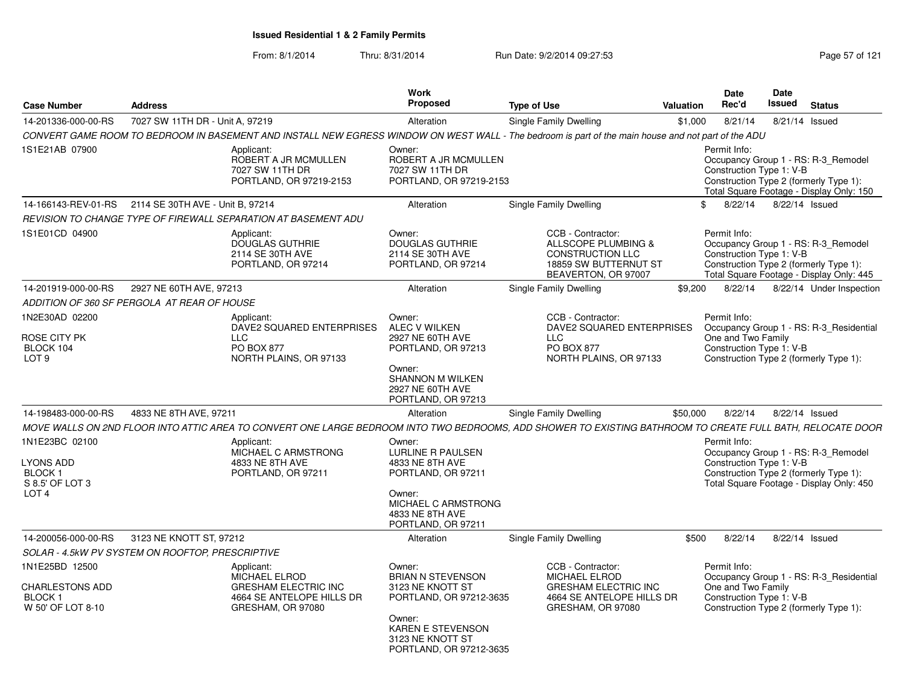| <b>Case Number</b>                                                                         | <b>Address</b>                   |                                                                                                                                                            | Work<br><b>Proposed</b>                                                                                                                                      | <b>Type of Use</b>                                                                                                  | Valuation | <b>Date</b><br>Rec'd                                           | Date<br><b>Issued</b> | <b>Status</b>                                                                                                             |
|--------------------------------------------------------------------------------------------|----------------------------------|------------------------------------------------------------------------------------------------------------------------------------------------------------|--------------------------------------------------------------------------------------------------------------------------------------------------------------|---------------------------------------------------------------------------------------------------------------------|-----------|----------------------------------------------------------------|-----------------------|---------------------------------------------------------------------------------------------------------------------------|
| 14-201336-000-00-RS                                                                        | 7027 SW 11TH DR - Unit A, 97219  |                                                                                                                                                            | Alteration                                                                                                                                                   | Single Family Dwelling                                                                                              | \$1,000   | 8/21/14                                                        |                       | 8/21/14 Issued                                                                                                            |
|                                                                                            |                                  | CONVERT GAME ROOM TO BEDROOM IN BASEMENT AND INSTALL NEW EGRESS WINDOW ON WEST WALL - The bedroom is part of the main house and not part of the ADU        |                                                                                                                                                              |                                                                                                                     |           |                                                                |                       |                                                                                                                           |
| 1S1E21AB 07900                                                                             |                                  | Applicant:<br>ROBERT A JR MCMULLEN<br>7027 SW 11TH DR<br>PORTLAND, OR 97219-2153                                                                           | Owner:<br>ROBERT A JR MCMULLEN<br>7027 SW 11TH DR<br>PORTLAND, OR 97219-2153                                                                                 |                                                                                                                     |           | Permit Info:<br>Construction Type 1: V-B                       |                       | Occupancy Group 1 - RS: R-3_Remodel<br>Construction Type 2 (formerly Type 1):<br>Total Square Footage - Display Only: 150 |
| 14-166143-REV-01-RS                                                                        | 2114 SE 30TH AVE - Unit B, 97214 |                                                                                                                                                            | Alteration                                                                                                                                                   | Single Family Dwelling                                                                                              |           | 8/22/14<br>\$.                                                 |                       | 8/22/14 Issued                                                                                                            |
|                                                                                            |                                  | REVISION TO CHANGE TYPE OF FIREWALL SEPARATION AT BASEMENT ADU                                                                                             |                                                                                                                                                              |                                                                                                                     |           |                                                                |                       |                                                                                                                           |
| 1S1E01CD 04900                                                                             |                                  | Applicant:<br><b>DOUGLAS GUTHRIE</b><br>2114 SE 30TH AVE<br>PORTLAND, OR 97214                                                                             | Owner:<br><b>DOUGLAS GUTHRIE</b><br>2114 SE 30TH AVE<br>PORTLAND, OR 97214                                                                                   | CCB - Contractor:<br>ALLSCOPE PLUMBING &<br><b>CONSTRUCTION LLC</b><br>18859 SW BUTTERNUT ST<br>BEAVERTON, OR 97007 |           | Permit Info:<br>Construction Type 1: V-B                       |                       | Occupancy Group 1 - RS: R-3 Remodel<br>Construction Type 2 (formerly Type 1):<br>Total Square Footage - Display Only: 445 |
| 14-201919-000-00-RS                                                                        | 2927 NE 60TH AVE, 97213          |                                                                                                                                                            | Alteration                                                                                                                                                   | Single Family Dwelling                                                                                              | \$9,200   | 8/22/14                                                        |                       | 8/22/14 Under Inspection                                                                                                  |
| ADDITION OF 360 SF PERGOLA AT REAR OF HOUSE                                                |                                  |                                                                                                                                                            |                                                                                                                                                              |                                                                                                                     |           |                                                                |                       |                                                                                                                           |
| 1N2E30AD 02200<br><b>ROSE CITY PK</b><br>BLOCK 104<br>LOT <sub>9</sub>                     |                                  | Applicant:<br>DAVE2 SQUARED ENTERPRISES<br><b>LLC</b><br><b>PO BOX 877</b><br>NORTH PLAINS, OR 97133                                                       | Owner:<br>ALEC V WILKEN<br>2927 NE 60TH AVE<br>PORTLAND, OR 97213                                                                                            | CCB - Contractor:<br>DAVE2 SQUARED ENTERPRISES<br><b>LLC</b><br>PO BOX 877<br>NORTH PLAINS, OR 97133                |           | Permit Info:<br>One and Two Family<br>Construction Type 1: V-B |                       | Occupancy Group 1 - RS: R-3_Residential<br>Construction Type 2 (formerly Type 1):                                         |
|                                                                                            |                                  |                                                                                                                                                            | Owner:<br><b>SHANNON M WILKEN</b><br>2927 NE 60TH AVE<br>PORTLAND, OR 97213                                                                                  |                                                                                                                     |           |                                                                |                       |                                                                                                                           |
| 14-198483-000-00-RS                                                                        | 4833 NE 8TH AVE, 97211           |                                                                                                                                                            | Alteration                                                                                                                                                   | Single Family Dwelling                                                                                              | \$50,000  | 8/22/14                                                        |                       | 8/22/14 Issued                                                                                                            |
|                                                                                            |                                  | MOVE WALLS ON 2ND FLOOR INTO ATTIC AREA TO CONVERT ONE LARGE BEDROOM INTO TWO BEDROOMS, ADD SHOWER TO EXISTING BATHROOM TO CREATE FULL BATH, RELOCATE DOOR |                                                                                                                                                              |                                                                                                                     |           |                                                                |                       |                                                                                                                           |
| 1N1E23BC 02100<br><b>LYONS ADD</b><br><b>BLOCK1</b><br>S 8.5' OF LOT 3<br>LOT <sub>4</sub> |                                  | Applicant:<br>MICHAEL C ARMSTRONG<br>4833 NE 8TH AVE<br>PORTLAND, OR 97211                                                                                 | Owner:<br>LURLINE R PAULSEN<br>4833 NE 8TH AVE<br>PORTLAND, OR 97211<br>Owner:<br>MICHAEL C ARMSTRONG<br>4833 NE 8TH AVE                                     |                                                                                                                     |           | Permit Info:<br>Construction Type 1: V-B                       |                       | Occupancy Group 1 - RS: R-3 Remodel<br>Construction Type 2 (formerly Type 1):<br>Total Square Footage - Display Only: 450 |
|                                                                                            |                                  |                                                                                                                                                            | PORTLAND, OR 97211                                                                                                                                           |                                                                                                                     |           |                                                                |                       |                                                                                                                           |
| 14-200056-000-00-RS                                                                        | 3123 NE KNOTT ST, 97212          |                                                                                                                                                            | Alteration                                                                                                                                                   | Single Family Dwelling                                                                                              | \$500     | 8/22/14                                                        |                       | 8/22/14 Issued                                                                                                            |
| SOLAR - 4.5kW PV SYSTEM ON ROOFTOP, PRESCRIPTIVE<br>1N1E25BD 12500                         |                                  | Applicant:                                                                                                                                                 | Owner:                                                                                                                                                       | CCB - Contractor:                                                                                                   |           | Permit Info:                                                   |                       |                                                                                                                           |
| <b>CHARLESTONS ADD</b><br><b>BLOCK1</b><br>W 50' OF LOT 8-10                               |                                  | MICHAEL ELROD<br><b>GRESHAM ELECTRIC INC</b><br>4664 SE ANTELOPE HILLS DR<br>GRESHAM, OR 97080                                                             | <b>BRIAN N STEVENSON</b><br>3123 NE KNOTT ST<br>PORTLAND, OR 97212-3635<br>Owner:<br><b>KAREN E STEVENSON</b><br>3123 NE KNOTT ST<br>PORTLAND, OR 97212-3635 | <b>MICHAEL ELROD</b><br><b>GRESHAM ELECTRIC INC</b><br>4664 SE ANTELOPE HILLS DR<br>GRESHAM, OR 97080               |           | One and Two Family<br>Construction Type 1: V-B                 |                       | Occupancy Group 1 - RS: R-3_Residential<br>Construction Type 2 (formerly Type 1):                                         |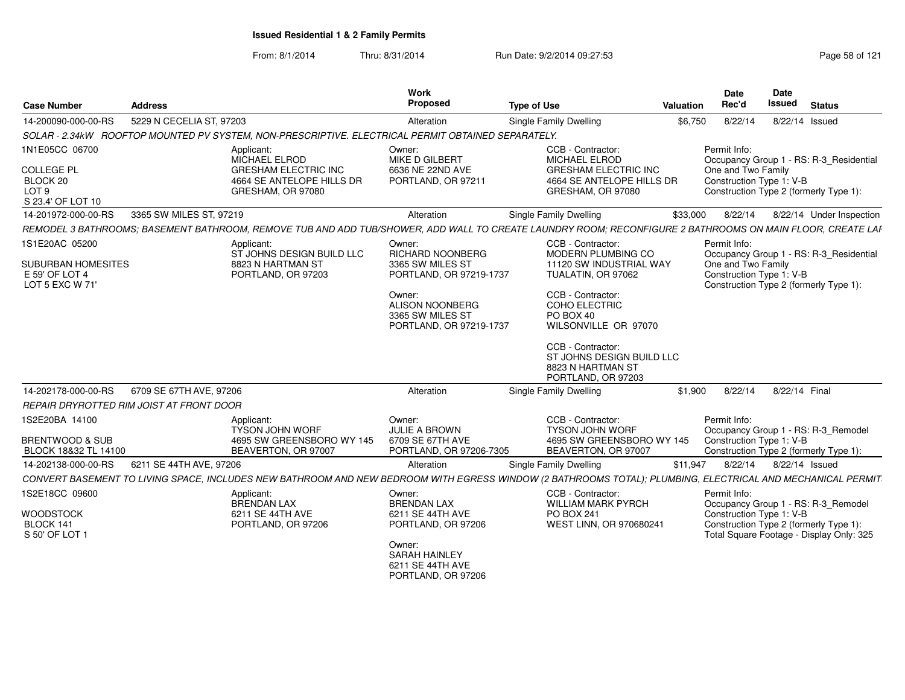| <b>Case Number</b>                                                                       | <b>Address</b>                                                                                                                                             | Work<br>Proposed                                                                 | <b>Type of Use</b>                                                                                                         | <b>Valuation</b> | Date<br>Rec'd                                                  | <b>Date</b><br><b>Issued</b> | <b>Status</b>                                                                      |
|------------------------------------------------------------------------------------------|------------------------------------------------------------------------------------------------------------------------------------------------------------|----------------------------------------------------------------------------------|----------------------------------------------------------------------------------------------------------------------------|------------------|----------------------------------------------------------------|------------------------------|------------------------------------------------------------------------------------|
| 14-200090-000-00-RS                                                                      | 5229 N CECELIA ST, 97203                                                                                                                                   | Alteration                                                                       | Single Family Dwelling                                                                                                     | \$6,750          | 8/22/14                                                        | 8/22/14 Issued               |                                                                                    |
|                                                                                          | SOLAR - 2.34kW ROOFTOP MOUNTED PV SYSTEM, NON-PRESCRIPTIVE. ELECTRICAL PERMIT OBTAINED SEPARATELY.                                                         |                                                                                  |                                                                                                                            |                  |                                                                |                              |                                                                                    |
| 1N1E05CC 06700<br><b>COLLEGE PL</b><br>BLOCK 20<br>LOT <sub>9</sub><br>S 23.4' OF LOT 10 | Applicant:<br>MICHAEL ELROD<br><b>GRESHAM ELECTRIC INC</b><br>4664 SE ANTELOPE HILLS DR<br>GRESHAM, OR 97080                                               | Owner:<br>MIKE D GILBERT<br>6636 NE 22ND AVE<br>PORTLAND, OR 97211               | CCB - Contractor:<br><b>MICHAEL ELROD</b><br><b>GRESHAM ELECTRIC INC</b><br>4664 SE ANTELOPE HILLS DR<br>GRESHAM, OR 97080 |                  | Permit Info:<br>One and Two Family<br>Construction Type 1: V-B |                              | Occupancy Group 1 - RS: R-3_Residential<br>Construction Type 2 (formerly Type 1):  |
| 14-201972-000-00-RS                                                                      | 3365 SW MILES ST, 97219                                                                                                                                    | Alteration                                                                       | <b>Single Family Dwelling</b>                                                                                              | \$33,000         | 8/22/14                                                        |                              | 8/22/14 Under Inspection                                                           |
|                                                                                          | REMODEL 3 BATHROOMS; BASEMENT BATHROOM, REMOVE TUB AND ADD TUB/SHOWER, ADD WALL TO CREATE LAUNDRY ROOM; RECONFIGURE 2 BATHROOMS ON MAIN FLOOR, CREATE LAF  |                                                                                  |                                                                                                                            |                  |                                                                |                              |                                                                                    |
| 1S1E20AC 05200<br><b>SUBURBAN HOMESITES</b><br>E 59' OF LOT 4<br>LOT 5 EXC W 71'         | Applicant:<br>ST JOHNS DESIGN BUILD LLC<br>8823 N HARTMAN ST<br>PORTLAND, OR 97203                                                                         | Owner:<br><b>RICHARD NOONBERG</b><br>3365 SW MILES ST<br>PORTLAND, OR 97219-1737 | CCB - Contractor:<br>MODERN PLUMBING CO<br>11120 SW INDUSTRIAL WAY<br>TUALATIN, OR 97062                                   |                  | Permit Info:<br>One and Two Family<br>Construction Type 1: V-B |                              | Occupancy Group 1 - RS: R-3 Residential<br>Construction Type 2 (formerly Type 1):  |
|                                                                                          |                                                                                                                                                            | Owner:<br><b>ALISON NOONBERG</b><br>3365 SW MILES ST<br>PORTLAND, OR 97219-1737  | CCB - Contractor:<br>COHO ELECTRIC<br>PO BOX 40<br>WILSONVILLE OR 97070                                                    |                  |                                                                |                              |                                                                                    |
|                                                                                          |                                                                                                                                                            |                                                                                  | CCB - Contractor:<br>ST JOHNS DESIGN BUILD LLC<br>8823 N HARTMAN ST<br>PORTLAND, OR 97203                                  |                  |                                                                |                              |                                                                                    |
| 14-202178-000-00-RS                                                                      | 6709 SE 67TH AVE, 97206                                                                                                                                    | Alteration                                                                       | Single Family Dwelling                                                                                                     | \$1,900          | 8/22/14                                                        | 8/22/14 Final                |                                                                                    |
|                                                                                          | REPAIR DRYROTTED RIM JOIST AT FRONT DOOR                                                                                                                   |                                                                                  |                                                                                                                            |                  |                                                                |                              |                                                                                    |
| 1S2E20BA 14100<br><b>BRENTWOOD &amp; SUB</b>                                             | Applicant:<br><b>TYSON JOHN WORF</b><br>4695 SW GREENSBORO WY 145                                                                                          | Owner:<br><b>JULIE A BROWN</b><br>6709 SE 67TH AVE                               | CCB - Contractor:<br>TYSON JOHN WORF<br>4695 SW GREENSBORO WY 145                                                          |                  | Permit Info:<br>Construction Type 1: V-B                       |                              | Occupancy Group 1 - RS: R-3_Remodel                                                |
| BLOCK 18&32 TL 14100                                                                     | BEAVERTON, OR 97007                                                                                                                                        | PORTLAND, OR 97206-7305                                                          | BEAVERTON, OR 97007                                                                                                        |                  |                                                                |                              | Construction Type 2 (formerly Type 1):                                             |
| 14-202138-000-00-RS                                                                      | 6211 SE 44TH AVE, 97206                                                                                                                                    | Alteration                                                                       | Single Family Dwelling                                                                                                     | \$11,947         | 8/22/14                                                        | 8/22/14 Issued               |                                                                                    |
|                                                                                          | CONVERT BASEMENT TO LIVING SPACE, INCLUDES NEW BATHROOM AND NEW BEDROOM WITH EGRESS WINDOW (2 BATHROOMS TOTAL); PLUMBING, ELECTRICAL AND MECHANICAL PERMIT |                                                                                  |                                                                                                                            |                  |                                                                |                              |                                                                                    |
| 1S2E18CC 09600                                                                           | Applicant:<br><b>BRENDAN LAX</b>                                                                                                                           | Owner:<br><b>BRENDAN LAX</b>                                                     | CCB - Contractor:<br><b>WILLIAM MARK PYRCH</b>                                                                             |                  | Permit Info:                                                   |                              | Occupancy Group 1 - RS: R-3_Remodel                                                |
| <b>WOODSTOCK</b><br>BLOCK 141<br>S 50' OF LOT 1                                          | 6211 SE 44TH AVE<br>PORTLAND, OR 97206                                                                                                                     | 6211 SE 44TH AVE<br>PORTLAND, OR 97206                                           | <b>PO BOX 241</b><br>WEST LINN, OR 970680241                                                                               |                  | Construction Type 1: V-B                                       |                              | Construction Type 2 (formerly Type 1):<br>Total Square Footage - Display Only: 325 |
|                                                                                          |                                                                                                                                                            | Owner:<br><b>SARAH HAINLEY</b><br>6211 SE 44TH AVE<br>PORTLAND, OR 97206         |                                                                                                                            |                  |                                                                |                              |                                                                                    |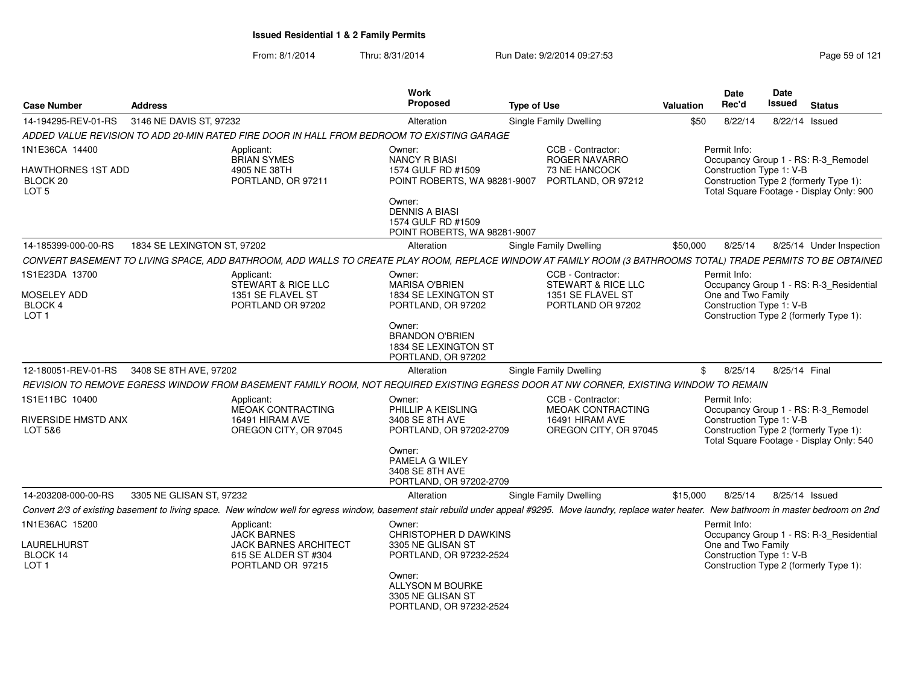| <b>Case Number</b>                               | <b>Address</b>              |                                                                                            | <b>Work</b><br>Proposed                                                               | <b>Type of Use</b>                                                                                                                                                                                        | <b>Valuation</b> | Date<br>Rec'd                                  | <b>Date</b><br>Issued | <b>Status</b>                                                                      |
|--------------------------------------------------|-----------------------------|--------------------------------------------------------------------------------------------|---------------------------------------------------------------------------------------|-----------------------------------------------------------------------------------------------------------------------------------------------------------------------------------------------------------|------------------|------------------------------------------------|-----------------------|------------------------------------------------------------------------------------|
| 14-194295-REV-01-RS                              | 3146 NE DAVIS ST, 97232     |                                                                                            | Alteration                                                                            | <b>Single Family Dwelling</b>                                                                                                                                                                             | \$50             | 8/22/14                                        | 8/22/14               | Issued                                                                             |
|                                                  |                             | ADDED VALUE REVISION TO ADD 20-MIN RATED FIRE DOOR IN HALL FROM BEDROOM TO EXISTING GARAGE |                                                                                       |                                                                                                                                                                                                           |                  |                                                |                       |                                                                                    |
| 1N1E36CA 14400                                   |                             | Applicant:<br><b>BRIAN SYMES</b>                                                           | Owner:<br><b>NANCY R BIASI</b>                                                        | CCB - Contractor:<br>ROGER NAVARRO                                                                                                                                                                        |                  | Permit Info:                                   |                       | Occupancy Group 1 - RS: R-3 Remodel                                                |
| HAWTHORNES 1ST ADD<br>BLOCK 20<br>LOT 5          |                             | 4905 NE 38TH<br>PORTLAND, OR 97211                                                         | 1574 GULF RD #1509<br>POINT ROBERTS, WA 98281-9007<br>Owner:<br><b>DENNIS A BIASI</b> | 73 NE HANCOCK<br>PORTLAND, OR 97212                                                                                                                                                                       |                  | Construction Type 1: V-B                       |                       | Construction Type 2 (formerly Type 1):<br>Total Square Footage - Display Only: 900 |
|                                                  |                             |                                                                                            | 1574 GULF RD #1509<br>POINT ROBERTS, WA 98281-9007                                    |                                                                                                                                                                                                           |                  |                                                |                       |                                                                                    |
| 14-185399-000-00-RS                              | 1834 SE LEXINGTON ST, 97202 |                                                                                            | Alteration                                                                            | Single Family Dwelling                                                                                                                                                                                    | \$50,000         | 8/25/14                                        |                       | 8/25/14 Under Inspection                                                           |
|                                                  |                             |                                                                                            |                                                                                       | CONVERT BASEMENT TO LIVING SPACE, ADD BATHROOM, ADD WALLS TO CREATE PLAY ROOM, REPLACE WINDOW AT FAMILY ROOM (3 BATHROOMS TOTAL) TRADE PERMITS TO BE OBTAINED                                             |                  |                                                |                       |                                                                                    |
| 1S1E23DA 13700                                   |                             | Applicant:<br>STEWART & RICE LLC                                                           | Owner:<br><b>MARISA O'BRIEN</b>                                                       | CCB - Contractor:<br>STEWART & RICE LLC                                                                                                                                                                   |                  | Permit Info:                                   |                       | Occupancy Group 1 - RS: R-3 Residential                                            |
| MOSELEY ADD<br>BLOCK 4<br>LOT 1                  |                             | 1351 SE FLAVEL ST<br>PORTLAND OR 97202                                                     | 1834 SE LEXINGTON ST<br>PORTLAND, OR 97202                                            | 1351 SE FLAVEL ST<br>PORTLAND OR 97202                                                                                                                                                                    |                  | One and Two Family<br>Construction Type 1: V-B |                       | Construction Type 2 (formerly Type 1):                                             |
|                                                  |                             |                                                                                            | Owner:<br><b>BRANDON O'BRIEN</b><br>1834 SE LEXINGTON ST<br>PORTLAND, OR 97202        |                                                                                                                                                                                                           |                  |                                                |                       |                                                                                    |
| 12-180051-REV-01-RS                              | 3408 SE 8TH AVE, 97202      |                                                                                            | Alteration                                                                            | Single Family Dwelling                                                                                                                                                                                    | \$               | 8/25/14                                        | 8/25/14 Final         |                                                                                    |
|                                                  |                             |                                                                                            |                                                                                       | REVISION TO REMOVE EGRESS WINDOW FROM BASEMENT FAMILY ROOM, NOT REQUIRED EXISTING EGRESS DOOR AT NW CORNER, EXISTING WINDOW TO REMAIN                                                                     |                  |                                                |                       |                                                                                    |
| 1S1E11BC 10400<br>RIVERSIDE HMSTD ANX<br>LOT 5&6 |                             | Applicant:<br>MEOAK CONTRACTING<br>16491 HIRAM AVE<br>OREGON CITY, OR 97045                | Owner:<br>PHILLIP A KEISLING<br>3408 SE 8TH AVE<br>PORTLAND, OR 97202-2709            | CCB - Contractor:<br><b>MEOAK CONTRACTING</b><br>16491 HIRAM AVE<br>OREGON CITY, OR 97045                                                                                                                 |                  | Permit Info:<br>Construction Type 1: V-B       |                       | Occupancy Group 1 - RS: R-3_Remodel<br>Construction Type 2 (formerly Type 1):      |
|                                                  |                             |                                                                                            | Owner:<br>PAMELA G WILEY<br>3408 SE 8TH AVE<br>PORTLAND, OR 97202-2709                |                                                                                                                                                                                                           |                  |                                                |                       | Total Square Footage - Display Only: 540                                           |
| 14-203208-000-00-RS                              | 3305 NE GLISAN ST, 97232    |                                                                                            | Alteration                                                                            | Single Family Dwelling                                                                                                                                                                                    | \$15,000         | 8/25/14                                        |                       | 8/25/14 Issued                                                                     |
|                                                  |                             |                                                                                            |                                                                                       | Convert 2/3 of existing basement to living space. New window well for egress window, basement stair rebuild under appeal #9295. Move laundry, replace water heater. New bathroom in master bedroom on 2nd |                  |                                                |                       |                                                                                    |
| 1N1E36AC 15200                                   |                             | Applicant:<br><b>JACK BARNES</b>                                                           | Owner:<br>CHRISTOPHER D DAWKINS                                                       |                                                                                                                                                                                                           |                  | Permit Info:                                   |                       | Occupancy Group 1 - RS: R-3_Residential                                            |
| LAURELHURST<br>BLOCK 14<br>LOT <sub>1</sub>      |                             | <b>JACK BARNES ARCHITECT</b><br>615 SE ALDER ST #304<br>PORTLAND OR 97215                  | 3305 NE GLISAN ST<br>PORTLAND, OR 97232-2524                                          |                                                                                                                                                                                                           |                  | One and Two Family<br>Construction Type 1: V-B |                       | Construction Type 2 (formerly Type 1):                                             |
|                                                  |                             |                                                                                            | Owner:<br>ALLYSON M BOURKE<br>3305 NE GLISAN ST<br>PORTLAND, OR 97232-2524            |                                                                                                                                                                                                           |                  |                                                |                       |                                                                                    |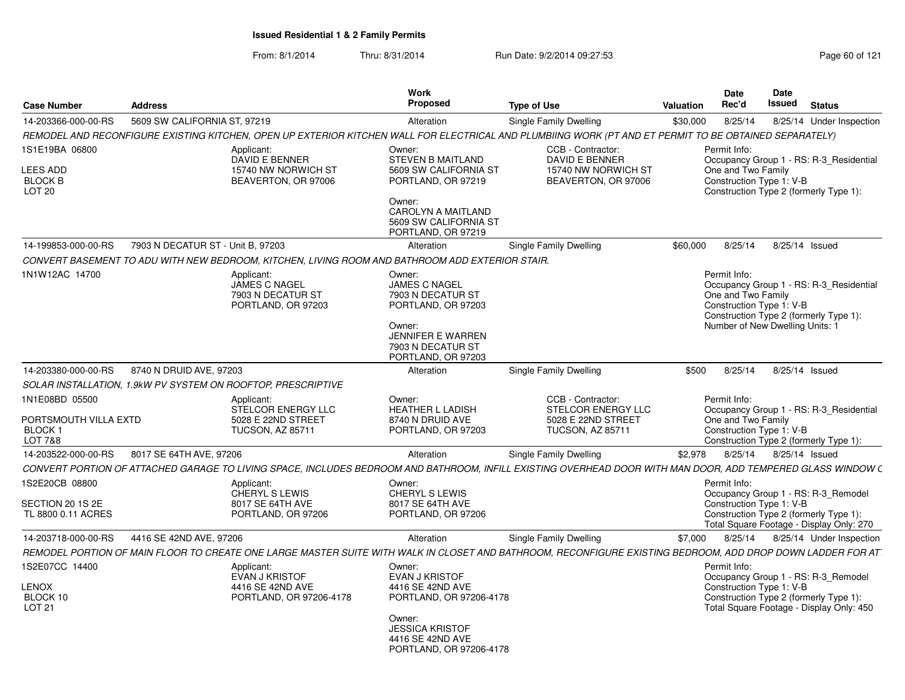| <b>Case Number</b>                                            | <b>Address</b>                                               |                                                                                                 | <b>Work</b><br>Proposed                                                                                                                                    | <b>Type of Use</b>                                                                                                                                          | Valuation | <b>Date</b><br>Rec'd                                                                              | Date<br><b>Issued</b> | <b>Status</b>                                                                                                             |
|---------------------------------------------------------------|--------------------------------------------------------------|-------------------------------------------------------------------------------------------------|------------------------------------------------------------------------------------------------------------------------------------------------------------|-------------------------------------------------------------------------------------------------------------------------------------------------------------|-----------|---------------------------------------------------------------------------------------------------|-----------------------|---------------------------------------------------------------------------------------------------------------------------|
| 14-203366-000-00-RS                                           | 5609 SW CALIFORNIA ST, 97219                                 |                                                                                                 | Alteration                                                                                                                                                 | Single Family Dwelling                                                                                                                                      | \$30,000  | 8/25/14                                                                                           |                       | 8/25/14 Under Inspection                                                                                                  |
|                                                               |                                                              |                                                                                                 |                                                                                                                                                            | REMODEL AND RECONFIGURE EXISTING KITCHEN, OPEN UP EXTERIOR KITCHEN WALL FOR ELECTRICAL AND PLUMBIING WORK (PT AND ET PERMIT TO BE OBTAINED SEPARATELY)      |           |                                                                                                   |                       |                                                                                                                           |
| 1S1E19BA 06800                                                |                                                              | Applicant:<br>DAVID E BENNER                                                                    | Owner:<br><b>STEVEN B MAITLAND</b>                                                                                                                         | CCB - Contractor:<br><b>DAVID E BENNER</b>                                                                                                                  |           | Permit Info:                                                                                      |                       | Occupancy Group 1 - RS: R-3_Residential                                                                                   |
| <b>LEES ADD</b><br><b>BLOCK B</b><br>LOT <sub>20</sub>        |                                                              | 15740 NW NORWICH ST<br>BEAVERTON, OR 97006                                                      | 5609 SW CALIFORNIA ST<br>PORTLAND, OR 97219                                                                                                                | 15740 NW NORWICH ST<br>BEAVERTON, OR 97006                                                                                                                  |           | One and Two Family<br>Construction Type 1: V-B                                                    |                       | Construction Type 2 (formerly Type 1):                                                                                    |
|                                                               |                                                              |                                                                                                 | Owner:<br><b>CAROLYN A MAITLAND</b><br>5609 SW CALIFORNIA ST<br>PORTLAND, OR 97219                                                                         |                                                                                                                                                             |           |                                                                                                   |                       |                                                                                                                           |
| 14-199853-000-00-RS                                           | 7903 N DECATUR ST - Unit B, 97203                            |                                                                                                 | Alteration                                                                                                                                                 | Single Family Dwelling                                                                                                                                      | \$60,000  | 8/25/14                                                                                           | 8/25/14 Issued        |                                                                                                                           |
|                                                               |                                                              | CONVERT BASEMENT TO ADU WITH NEW BEDROOM, KITCHEN, LIVING ROOM AND BATHROOM ADD EXTERIOR STAIR. |                                                                                                                                                            |                                                                                                                                                             |           |                                                                                                   |                       |                                                                                                                           |
| 1N1W12AC 14700                                                |                                                              | Applicant:<br><b>JAMES C NAGEL</b><br>7903 N DECATUR ST<br>PORTLAND, OR 97203                   | Owner:<br><b>JAMES C NAGEL</b><br>7903 N DECATUR ST<br>PORTLAND, OR 97203<br>Owner:<br><b>JENNIFER E WARREN</b><br>7903 N DECATUR ST<br>PORTLAND, OR 97203 |                                                                                                                                                             |           | Permit Info:<br>One and Two Family<br>Construction Type 1: V-B<br>Number of New Dwelling Units: 1 |                       | Occupancy Group 1 - RS: R-3_Residential<br>Construction Type 2 (formerly Type 1):                                         |
| 14-203380-000-00-RS                                           | 8740 N DRUID AVE, 97203                                      |                                                                                                 | Alteration                                                                                                                                                 | <b>Single Family Dwelling</b>                                                                                                                               | \$500     | 8/25/14                                                                                           | 8/25/14 Issued        |                                                                                                                           |
|                                                               | SOLAR INSTALLATION, 1.9kW PV SYSTEM ON ROOFTOP, PRESCRIPTIVE |                                                                                                 |                                                                                                                                                            |                                                                                                                                                             |           |                                                                                                   |                       |                                                                                                                           |
| 1N1E08BD 05500<br>PORTSMOUTH VILLA EXTD<br>BLOCK 1<br>LOT 7&8 |                                                              | Applicant:<br>STELCOR ENERGY LLC<br>5028 E 22ND STREET<br><b>TUCSON, AZ 85711</b>               | Owner:<br><b>HEATHER L LADISH</b><br>8740 N DRUID AVE<br>PORTLAND, OR 97203                                                                                | CCB - Contractor:<br>STELCOR ENERGY LLC<br>5028 E 22ND STREET<br><b>TUCSON, AZ 85711</b>                                                                    |           | Permit Info:<br>One and Two Family<br>Construction Type 1: V-B                                    |                       | Occupancy Group 1 - RS: R-3_Residential<br>Construction Type 2 (formerly Type 1):                                         |
| 14-203522-000-00-RS                                           | 8017 SE 64TH AVE, 97206                                      |                                                                                                 | Alteration                                                                                                                                                 | Single Family Dwelling                                                                                                                                      | \$2,978   | 8/25/14                                                                                           | 8/25/14 Issued        |                                                                                                                           |
|                                                               |                                                              |                                                                                                 |                                                                                                                                                            | CONVERT PORTION OF ATTACHED GARAGE TO LIVING SPACE, INCLUDES BEDROOM AND BATHROOM, INFILL EXISTING OVERHEAD DOOR WITH MAN DOOR, ADD TEMPERED GLASS WINDOW ( |           |                                                                                                   |                       |                                                                                                                           |
| 1S2E20CB 08800                                                |                                                              | Applicant:<br>CHERYL S LEWIS                                                                    | Owner:<br>CHERYL S LEWIS                                                                                                                                   |                                                                                                                                                             |           | Permit Info:                                                                                      |                       | Occupancy Group 1 - RS: R-3_Remodel                                                                                       |
| SECTION 20 1S 2E<br>TL 8800 0.11 ACRES                        |                                                              | 8017 SE 64TH AVE<br>PORTLAND, OR 97206                                                          | 8017 SE 64TH AVE<br>PORTLAND, OR 97206                                                                                                                     |                                                                                                                                                             |           | Construction Type 1: V-B                                                                          |                       | Construction Type 2 (formerly Type 1):<br>Total Square Footage - Display Only: 270                                        |
| 14-203718-000-00-RS                                           | 4416 SE 42ND AVE, 97206                                      |                                                                                                 | Alteration                                                                                                                                                 | Single Family Dwelling                                                                                                                                      | \$7,000   | 8/25/14                                                                                           |                       | 8/25/14 Under Inspection                                                                                                  |
|                                                               |                                                              |                                                                                                 |                                                                                                                                                            | REMODEL PORTION OF MAIN FLOOR TO CREATE ONE LARGE MASTER SUITE WITH WALK IN CLOSET AND BATHROOM, RECONFIGURE EXISTING BEDROOM, ADD DROP DOWN LADDER FOR AT  |           |                                                                                                   |                       |                                                                                                                           |
| 1S2E07CC 14400<br><b>LENOX</b><br>BLOCK 10<br><b>LOT 21</b>   |                                                              | Applicant:<br>EVAN J KRISTOF<br>4416 SE 42ND AVE<br>PORTLAND, OR 97206-4178                     | Owner:<br>EVAN J KRISTOF<br>4416 SE 42ND AVE<br>PORTLAND, OR 97206-4178<br>Owner:<br><b>JESSICA KRISTOF</b><br>4416 SE 42ND AVE<br>PORTLAND, OR 97206-4178 |                                                                                                                                                             |           | Permit Info:<br>Construction Type 1: V-B                                                          |                       | Occupancy Group 1 - RS: R-3_Remodel<br>Construction Type 2 (formerly Type 1):<br>Total Square Footage - Display Only: 450 |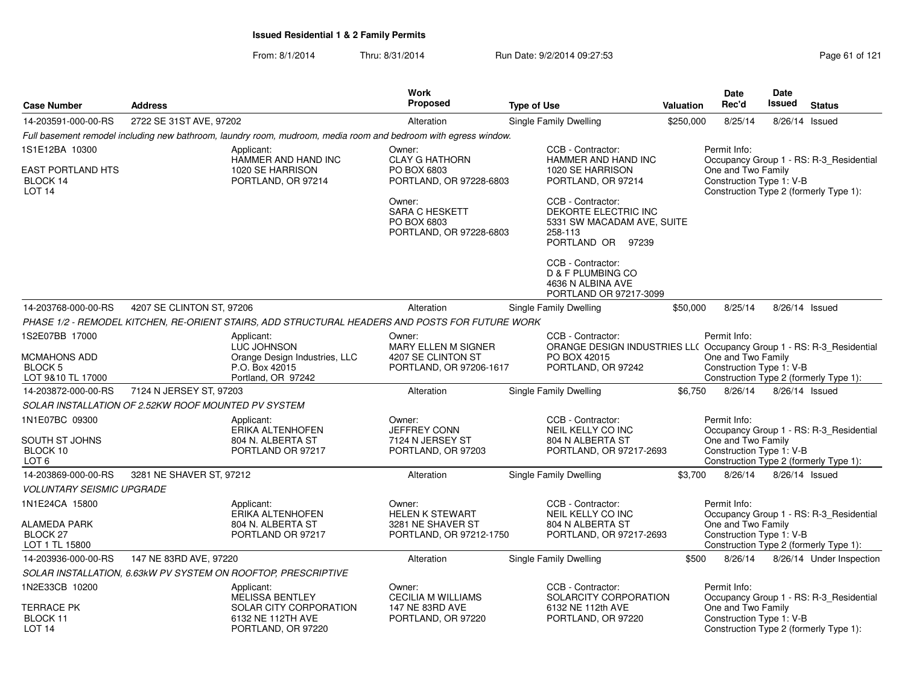|                                                            |                           |                                                                                                                 | Work                                                                      |                                                                                                         |                                                                                                                                     | <b>Date</b>                                    | <b>Date</b>    |                                         |  |
|------------------------------------------------------------|---------------------------|-----------------------------------------------------------------------------------------------------------------|---------------------------------------------------------------------------|---------------------------------------------------------------------------------------------------------|-------------------------------------------------------------------------------------------------------------------------------------|------------------------------------------------|----------------|-----------------------------------------|--|
| <b>Case Number</b>                                         | <b>Address</b>            |                                                                                                                 | Proposed                                                                  | <b>Type of Use</b>                                                                                      | <b>Valuation</b>                                                                                                                    | Rec'd                                          | Issued         | <b>Status</b>                           |  |
| 14-203591-000-00-RS                                        | 2722 SE 31ST AVE, 97202   |                                                                                                                 | Alteration                                                                | Single Family Dwelling                                                                                  | \$250,000                                                                                                                           | 8/25/14                                        | 8/26/14        | Issued                                  |  |
|                                                            |                           | Full basement remodel including new bathroom, laundry room, mudroom, media room and bedroom with egress window. |                                                                           |                                                                                                         |                                                                                                                                     |                                                |                |                                         |  |
| 1S1E12BA 10300                                             |                           | Applicant:                                                                                                      | Owner:                                                                    | CCB - Contractor:                                                                                       |                                                                                                                                     | Permit Info:                                   |                |                                         |  |
| <b>EAST PORTLAND HTS</b><br>BLOCK 14<br>LOT <sub>14</sub>  |                           | HAMMER AND HAND INC<br>1020 SE HARRISON<br>PORTLAND, OR 97214                                                   | <b>CLAY G HATHORN</b><br>PO BOX 6803<br>PORTLAND, OR 97228-6803           | HAMMER AND HAND INC<br>1020 SE HARRISON<br>PORTLAND, OR 97214                                           | Occupancy Group 1 - RS: R-3_Residential<br>One and Two Family<br>Construction Type 1: V-B<br>Construction Type 2 (formerly Type 1): |                                                |                |                                         |  |
|                                                            |                           |                                                                                                                 | Owner:<br><b>SARA C HESKETT</b><br>PO BOX 6803<br>PORTLAND, OR 97228-6803 | CCB - Contractor:<br>DEKORTE ELECTRIC INC<br>5331 SW MACADAM AVE, SUITE<br>258-113<br>PORTLAND OR 97239 |                                                                                                                                     |                                                |                |                                         |  |
|                                                            |                           |                                                                                                                 |                                                                           | CCB - Contractor:<br>D & F PLUMBING CO<br>4636 N ALBINA AVE<br>PORTLAND OR 97217-3099                   |                                                                                                                                     |                                                |                |                                         |  |
| 14-203768-000-00-RS                                        | 4207 SE CLINTON ST, 97206 |                                                                                                                 | Alteration                                                                | Single Family Dwelling                                                                                  | \$50,000                                                                                                                            | 8/25/14                                        | 8/26/14 Issued |                                         |  |
|                                                            |                           | PHASE 1/2 - REMODEL KITCHEN, RE-ORIENT STAIRS, ADD STRUCTURAL HEADERS AND POSTS FOR FUTURE WORK                 |                                                                           |                                                                                                         |                                                                                                                                     |                                                |                |                                         |  |
| 1S2E07BB 17000                                             |                           | Applicant:<br>LUC JOHNSON                                                                                       | Owner:<br><b>MARY ELLEN M SIGNER</b>                                      | CCB - Contractor:<br>ORANGE DESIGN INDUSTRIES LL( Occupancy Group 1 - RS: R-3_Residential               |                                                                                                                                     | Permit Info:                                   |                |                                         |  |
| <b>MCMAHONS ADD</b><br><b>BLOCK 5</b><br>LOT 9&10 TL 17000 |                           | Orange Design Industries, LLC<br>P.O. Box 42015<br>Portland, OR 97242                                           | 4207 SE CLINTON ST<br>PORTLAND, OR 97206-1617                             | PO BOX 42015<br>PORTLAND, OR 97242                                                                      |                                                                                                                                     | One and Two Family<br>Construction Type 1: V-B |                | Construction Type 2 (formerly Type 1):  |  |
| 14-203872-000-00-RS                                        | 7124 N JERSEY ST, 97203   |                                                                                                                 | Alteration                                                                | Single Family Dwelling                                                                                  | \$6,750                                                                                                                             | 8/26/14                                        |                | 8/26/14 Issued                          |  |
| SOLAR INSTALLATION OF 2.52KW ROOF MOUNTED PV SYSTEM        |                           |                                                                                                                 |                                                                           |                                                                                                         |                                                                                                                                     |                                                |                |                                         |  |
| 1N1E07BC 09300<br>SOUTH ST JOHNS                           |                           | Applicant:<br>ERIKA ALTENHOFEN<br>804 N. ALBERTA ST                                                             | Owner:<br><b>JEFFREY CONN</b><br>7124 N JERSEY ST                         | CCB - Contractor:<br>NEIL KELLY CO INC<br>804 N ALBERTA ST                                              |                                                                                                                                     | Permit Info:<br>One and Two Family             |                | Occupancy Group 1 - RS: R-3_Residential |  |
| BLOCK 10<br>LOT <sub>6</sub>                               |                           | PORTLAND OR 97217                                                                                               | PORTLAND, OR 97203                                                        | PORTLAND, OR 97217-2693                                                                                 |                                                                                                                                     | Construction Type 1: V-B                       |                | Construction Type 2 (formerly Type 1):  |  |
| 14-203869-000-00-RS                                        | 3281 NE SHAVER ST, 97212  |                                                                                                                 | Alteration                                                                | Single Family Dwelling                                                                                  | \$3,700                                                                                                                             | 8/26/14                                        |                | 8/26/14 Issued                          |  |
| <b>VOLUNTARY SEISMIC UPGRADE</b>                           |                           |                                                                                                                 |                                                                           |                                                                                                         |                                                                                                                                     |                                                |                |                                         |  |
| 1N1E24CA 15800                                             |                           | Applicant:<br>ERIKA ALTENHOFEN                                                                                  | Owner:<br><b>HELEN K STEWART</b>                                          | CCB - Contractor:<br>NEIL KELLY CO INC                                                                  |                                                                                                                                     | Permit Info:                                   |                | Occupancy Group 1 - RS: R-3_Residential |  |
| ALAMEDA PARK<br>BLOCK <sub>27</sub><br>LOT 1 TL 15800      |                           | 804 N. ALBERTA ST<br>PORTLAND OR 97217                                                                          | 3281 NE SHAVER ST<br>PORTLAND, OR 97212-1750                              | 804 N ALBERTA ST<br>PORTLAND, OR 97217-2693                                                             |                                                                                                                                     | One and Two Family<br>Construction Type 1: V-B |                | Construction Type 2 (formerly Type 1):  |  |
| 14-203936-000-00-RS                                        | 147 NE 83RD AVE, 97220    |                                                                                                                 | Alteration                                                                | Single Family Dwelling                                                                                  | \$500                                                                                                                               | 8/26/14                                        |                | 8/26/14 Under Inspection                |  |
|                                                            |                           | SOLAR INSTALLATION, 6.63kW PV SYSTEM ON ROOFTOP, PRESCRIPTIVE                                                   |                                                                           |                                                                                                         |                                                                                                                                     |                                                |                |                                         |  |
| 1N2E33CB 10200                                             |                           | Applicant:<br><b>MELISSA BENTLEY</b>                                                                            | Owner:<br><b>CECILIA M WILLIAMS</b>                                       | CCB - Contractor:<br>SOLARCITY CORPORATION                                                              |                                                                                                                                     | Permit Info:                                   |                | Occupancy Group 1 - RS: R-3_Residential |  |
| TERRACE PK<br>BLOCK 11<br><b>LOT 14</b>                    |                           | SOLAR CITY CORPORATION<br>6132 NE 112TH AVE<br>PORTLAND, OR 97220                                               | 147 NE 83RD AVE<br>PORTLAND, OR 97220                                     | 6132 NE 112th AVE<br>PORTLAND, OR 97220                                                                 |                                                                                                                                     | One and Two Family<br>Construction Type 1: V-B |                | Construction Type 2 (formerly Type 1):  |  |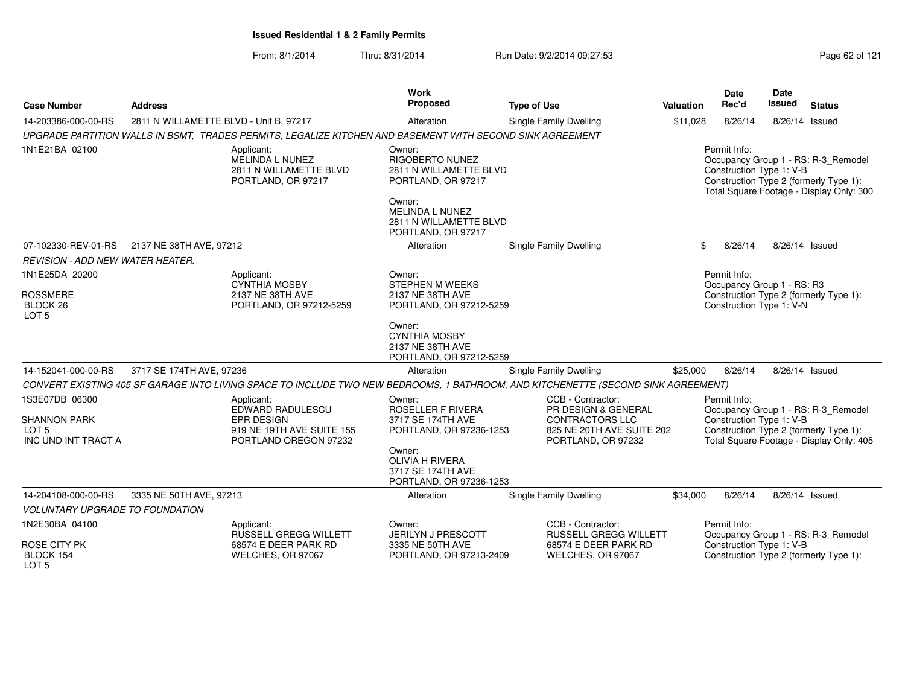| <b>Case Number</b>                                                               | <b>Address</b>                         |                                                                                                           | Work<br>Proposed                                                                 | <b>Type of Use</b>                                                                                                                | <b>Valuation</b> | <b>Date</b><br>Rec'd                                   | <b>Date</b><br><b>Issued</b> | <b>Status</b>                                                                                                             |
|----------------------------------------------------------------------------------|----------------------------------------|-----------------------------------------------------------------------------------------------------------|----------------------------------------------------------------------------------|-----------------------------------------------------------------------------------------------------------------------------------|------------------|--------------------------------------------------------|------------------------------|---------------------------------------------------------------------------------------------------------------------------|
| 14-203386-000-00-RS                                                              | 2811 N WILLAMETTE BLVD - Unit B, 97217 |                                                                                                           | Alteration                                                                       | Single Family Dwelling                                                                                                            | \$11,028         | 8/26/14                                                |                              | 8/26/14 Issued                                                                                                            |
|                                                                                  |                                        | UPGRADE PARTITION WALLS IN BSMT, TRADES PERMITS, LEGALIZE KITCHEN AND BASEMENT WITH SECOND SINK AGREEMENT |                                                                                  |                                                                                                                                   |                  |                                                        |                              |                                                                                                                           |
| 1N1E21BA 02100                                                                   |                                        | Applicant:<br>MELINDA L NUNEZ<br>2811 N WILLAMETTE BLVD<br>PORTLAND, OR 97217                             | Owner:<br><b>RIGOBERTO NUNEZ</b><br>2811 N WILLAMETTE BLVD<br>PORTLAND, OR 97217 |                                                                                                                                   |                  | Permit Info:<br>Construction Type 1: V-B               |                              | Occupancy Group 1 - RS: R-3_Remodel<br>Construction Type 2 (formerly Type 1):<br>Total Square Footage - Display Only: 300 |
|                                                                                  |                                        |                                                                                                           | Owner:<br><b>MELINDA L NUNEZ</b><br>2811 N WILLAMETTE BLVD<br>PORTLAND, OR 97217 |                                                                                                                                   |                  |                                                        |                              |                                                                                                                           |
| 07-102330-REV-01-RS                                                              | 2137 NE 38TH AVE, 97212                |                                                                                                           | Alteration                                                                       | <b>Single Family Dwelling</b>                                                                                                     | \$               | 8/26/14                                                |                              | 8/26/14 Issued                                                                                                            |
| REVISION - ADD NEW WATER HEATER.                                                 |                                        |                                                                                                           |                                                                                  |                                                                                                                                   |                  |                                                        |                              |                                                                                                                           |
| 1N1E25DA 20200                                                                   |                                        | Applicant:                                                                                                | Owner:                                                                           |                                                                                                                                   |                  | Permit Info:                                           |                              |                                                                                                                           |
| <b>ROSSMERE</b><br>BLOCK <sub>26</sub><br>LOT <sub>5</sub>                       |                                        | CYNTHIA MOSBY<br>2137 NE 38TH AVE<br>PORTLAND, OR 97212-5259                                              | <b>STEPHEN M WEEKS</b><br>2137 NE 38TH AVE<br>PORTLAND, OR 97212-5259            |                                                                                                                                   |                  | Occupancy Group 1 - RS: R3<br>Construction Type 1: V-N |                              | Construction Type 2 (formerly Type 1):                                                                                    |
|                                                                                  |                                        |                                                                                                           | Owner:<br><b>CYNTHIA MOSBY</b><br>2137 NE 38TH AVE<br>PORTLAND, OR 97212-5259    |                                                                                                                                   |                  |                                                        |                              |                                                                                                                           |
| 14-152041-000-00-RS                                                              | 3717 SE 174TH AVE, 97236               |                                                                                                           | Alteration                                                                       | Single Family Dwelling                                                                                                            | \$25,000         | 8/26/14                                                |                              | 8/26/14 Issued                                                                                                            |
|                                                                                  |                                        |                                                                                                           |                                                                                  | CONVERT EXISTING 405 SF GARAGE INTO LIVING SPACE TO INCLUDE TWO NEW BEDROOMS, 1 BATHROOM, AND KITCHENETTE (SECOND SINK AGREEMENT) |                  |                                                        |                              |                                                                                                                           |
| 1S3E07DB 06300<br><b>SHANNON PARK</b><br>LOT <sub>5</sub><br>INC UND INT TRACT A |                                        | Applicant:<br>EDWARD RADULESCU<br><b>EPR DESIGN</b><br>919 NE 19TH AVE SUITE 155<br>PORTLAND OREGON 97232 | Owner:<br>ROSELLER F RIVERA<br>3717 SE 174TH AVE<br>PORTLAND, OR 97236-1253      | CCB - Contractor:<br>PR DESIGN & GENERAL<br><b>CONTRACTORS LLC</b><br>825 NE 20TH AVE SUITE 202<br>PORTLAND, OR 97232             |                  | Permit Info:<br>Construction Type 1: V-B               |                              | Occupancy Group 1 - RS: R-3_Remodel<br>Construction Type 2 (formerly Type 1):<br>Total Square Footage - Display Only: 405 |
|                                                                                  |                                        |                                                                                                           | Owner:<br><b>OLIVIA H RIVERA</b><br>3717 SE 174TH AVE<br>PORTLAND, OR 97236-1253 |                                                                                                                                   |                  |                                                        |                              |                                                                                                                           |
| 14-204108-000-00-RS                                                              | 3335 NE 50TH AVE, 97213                |                                                                                                           | Alteration                                                                       | Single Family Dwelling                                                                                                            | \$34,000         | 8/26/14                                                |                              | 8/26/14 Issued                                                                                                            |
| <b>VOLUNTARY UPGRADE TO FOUNDATION</b>                                           |                                        |                                                                                                           |                                                                                  |                                                                                                                                   |                  |                                                        |                              |                                                                                                                           |
| 1N2E30BA 04100                                                                   |                                        | Applicant:<br>RUSSELL GREGG WILLETT                                                                       | Owner:<br>JERILYN J PRESCOTT                                                     | CCB - Contractor:<br>RUSSELL GREGG WILLETT                                                                                        |                  | Permit Info:                                           |                              | Occupancy Group 1 - RS: R-3_Remodel                                                                                       |
| <b>ROSE CITY PK</b><br>BLOCK 154<br>LOT <sub>5</sub>                             |                                        | 68574 E DEER PARK RD<br>WELCHES, OR 97067                                                                 | 3335 NE 50TH AVE<br>PORTLAND, OR 97213-2409                                      | 68574 E DEER PARK RD<br>WELCHES, OR 97067                                                                                         |                  | Construction Type 1: V-B                               |                              | Construction Type 2 (formerly Type 1):                                                                                    |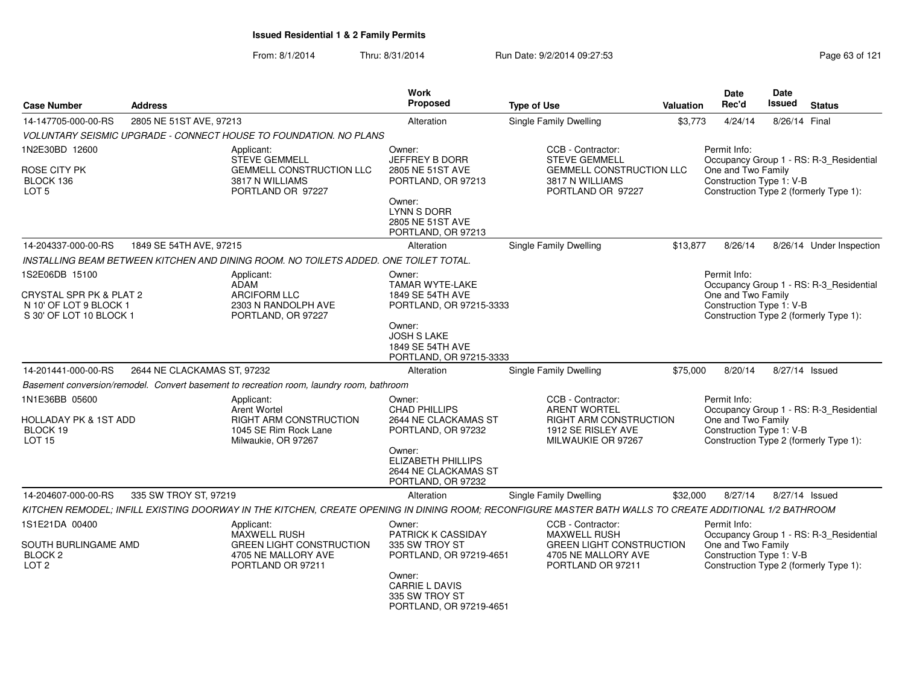|                                                                      |                                                                             |                                                                                                                                                         | Work<br><b>Proposed</b>                                                           |                                                                                                                |           | <b>Date</b>                                                                              | <b>Date</b><br>Issued |                                                                                   |
|----------------------------------------------------------------------|-----------------------------------------------------------------------------|---------------------------------------------------------------------------------------------------------------------------------------------------------|-----------------------------------------------------------------------------------|----------------------------------------------------------------------------------------------------------------|-----------|------------------------------------------------------------------------------------------|-----------------------|-----------------------------------------------------------------------------------|
| Case Number                                                          | <b>Address</b>                                                              |                                                                                                                                                         |                                                                                   | <b>Type of Use</b>                                                                                             | Valuation | Rec'd                                                                                    |                       | <b>Status</b>                                                                     |
| 14-147705-000-00-RS                                                  | 2805 NE 51ST AVE, 97213                                                     |                                                                                                                                                         | Alteration                                                                        | Single Family Dwelling                                                                                         | \$3,773   | 4/24/14                                                                                  | 8/26/14 Final         |                                                                                   |
|                                                                      |                                                                             | VOLUNTARY SEISMIC UPGRADE - CONNECT HOUSE TO FOUNDATION. NO PLANS                                                                                       |                                                                                   |                                                                                                                |           |                                                                                          |                       |                                                                                   |
| 1N2E30BD 12600<br>ROSE CITY PK<br>BLOCK 136                          |                                                                             | Applicant:<br><b>STEVE GEMMELL</b><br><b>GEMMELL CONSTRUCTION LLC</b><br>3817 N WILLIAMS                                                                | Owner:<br><b>JEFFREY B DORR</b><br>2805 NE 51ST AVE<br>PORTLAND, OR 97213         | CCB - Contractor:<br><b>STEVE GEMMELL</b><br><b>GEMMELL CONSTRUCTION LLC</b><br>3817 N WILLIAMS                |           | Permit Info:<br>One and Two Family<br>Construction Type 1: V-B                           |                       | Occupancy Group 1 - RS: R-3_Residential                                           |
| LOT <sub>5</sub>                                                     |                                                                             | PORTLAND OR 97227                                                                                                                                       | Owner:<br><b>LYNN S DORR</b><br>2805 NE 51ST AVE<br>PORTLAND, OR 97213            | PORTLAND OR 97227                                                                                              |           |                                                                                          |                       | Construction Type 2 (formerly Type 1):                                            |
| 14-204337-000-00-RS                                                  | 1849 SE 54TH AVE, 97215                                                     |                                                                                                                                                         | Alteration                                                                        | <b>Single Family Dwelling</b>                                                                                  | \$13,877  | 8/26/14                                                                                  |                       | 8/26/14 Under Inspection                                                          |
|                                                                      |                                                                             | INSTALLING BEAM BETWEEN KITCHEN AND DINING ROOM. NO TOILETS ADDED. ONE TOILET TOTAL.                                                                    |                                                                                   |                                                                                                                |           |                                                                                          |                       |                                                                                   |
| 1S2E06DB 15100<br>CRYSTAL SPR PK & PLAT 2<br>N 10' OF LOT 9 BLOCK 1  |                                                                             | Applicant:<br><b>ADAM</b><br><b>ARCIFORM LLC</b><br>2303 N RANDOLPH AVE                                                                                 | Owner:<br><b>TAMAR WYTE-LAKE</b><br>1849 SE 54TH AVE<br>PORTLAND, OR 97215-3333   |                                                                                                                |           | Permit Info:<br>One and Two Family<br>Construction Type 1: V-B                           |                       | Occupancy Group 1 - RS: R-3_Residential                                           |
| S 30' OF LOT 10 BLOCK 1                                              |                                                                             | PORTLAND, OR 97227                                                                                                                                      | Owner:<br><b>JOSH S LAKE</b><br>1849 SE 54TH AVE<br>PORTLAND, OR 97215-3333       |                                                                                                                |           |                                                                                          |                       | Construction Type 2 (formerly Type 1):                                            |
| 14-201441-000-00-RS                                                  | 2644 NE CLACKAMAS ST, 97232                                                 |                                                                                                                                                         | Alteration                                                                        | Single Family Dwelling                                                                                         | \$75,000  | 8/20/14                                                                                  |                       | 8/27/14 Issued                                                                    |
|                                                                      |                                                                             | Basement conversion/remodel. Convert basement to recreation room, laundry room, bathroom                                                                |                                                                                   |                                                                                                                |           |                                                                                          |                       |                                                                                   |
| 1N1E36BB 05600<br>HOLLADAY PK & 1ST ADD<br>BLOCK 19<br><b>LOT 15</b> |                                                                             | Applicant:<br>Arent Wortel<br>RIGHT ARM CONSTRUCTION<br>1045 SE Rim Rock Lane<br>Milwaukie, OR 97267                                                    | Owner:<br><b>CHAD PHILLIPS</b><br>2644 NE CLACKAMAS ST<br>PORTLAND, OR 97232      | CCB - Contractor:<br><b>ARENT WORTEL</b><br>RIGHT ARM CONSTRUCTION<br>1912 SE RISLEY AVE<br>MILWAUKIE OR 97267 |           | Permit Info:<br>One and Two Family<br>Construction Type 1: V-B                           |                       | Occupancy Group 1 - RS: R-3_Residential<br>Construction Type 2 (formerly Type 1): |
|                                                                      |                                                                             |                                                                                                                                                         | Owner:<br><b>ELIZABETH PHILLIPS</b><br>2644 NE CLACKAMAS ST<br>PORTLAND, OR 97232 |                                                                                                                |           |                                                                                          |                       |                                                                                   |
| 14-204607-000-00-RS                                                  | 335 SW TROY ST, 97219                                                       |                                                                                                                                                         | Alteration                                                                        | <b>Single Family Dwelling</b>                                                                                  | \$32,000  | 8/27/14                                                                                  |                       | 8/27/14 Issued                                                                    |
|                                                                      |                                                                             | KITCHEN REMODEL; INFILL EXISTING DOORWAY IN THE KITCHEN, CREATE OPENING IN DINING ROOM; RECONFIGURE MASTER BATH WALLS TO CREATE ADDITIONAL 1/2 BATHROOM |                                                                                   |                                                                                                                |           |                                                                                          |                       |                                                                                   |
| 1S1E21DA 00400                                                       |                                                                             | Applicant:<br><b>MAXWELL RUSH</b>                                                                                                                       | Owner:<br><b>PATRICK K CASSIDAY</b>                                               | CCB - Contractor:<br><b>MAXWELL RUSH</b>                                                                       |           | Permit Info:                                                                             |                       | Occupancy Group 1 - RS: R-3 Residential                                           |
| SOUTH BURLINGAME AMD<br>BLOCK <sub>2</sub><br>LOT <sub>2</sub>       | <b>GREEN LIGHT CONSTRUCTION</b><br>4705 NE MALLORY AVE<br>PORTLAND OR 97211 |                                                                                                                                                         | 335 SW TROY ST<br>PORTLAND, OR 97219-4651                                         | <b>GREEN LIGHT CONSTRUCTION</b><br>4705 NE MALLORY AVE<br>PORTLAND OR 97211                                    |           | One and Two Family<br>Construction Type 1: V-B<br>Construction Type 2 (formerly Type 1): |                       |                                                                                   |
|                                                                      |                                                                             |                                                                                                                                                         | Owner:<br><b>CARRIE L DAVIS</b><br>335 SW TROY ST<br>PORTLAND, OR 97219-4651      |                                                                                                                |           |                                                                                          |                       |                                                                                   |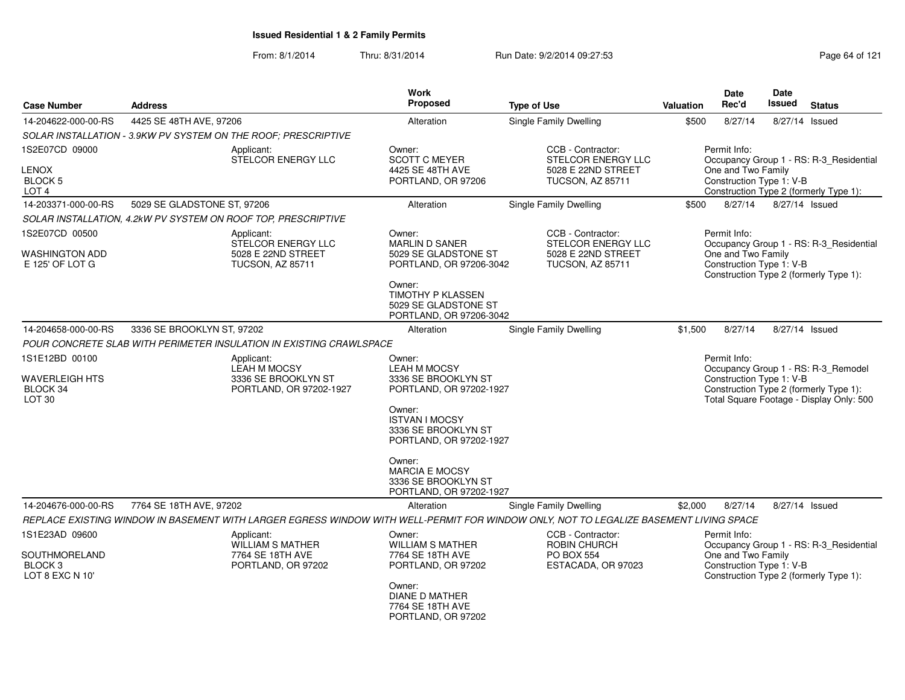| <b>Case Number</b>                                     | <b>Address</b>              |                                                                     | Work<br>Proposed                                                                      | <b>Type of Use</b>                                                                                                                    | <b>Valuation</b>                                                                                                                                      | Date<br>Rec'd                                           | Date<br>Issued | <b>Status</b>                                                                     |  |  |  |
|--------------------------------------------------------|-----------------------------|---------------------------------------------------------------------|---------------------------------------------------------------------------------------|---------------------------------------------------------------------------------------------------------------------------------------|-------------------------------------------------------------------------------------------------------------------------------------------------------|---------------------------------------------------------|----------------|-----------------------------------------------------------------------------------|--|--|--|
| 14-204622-000-00-RS                                    | 4425 SE 48TH AVE, 97206     |                                                                     | Alteration                                                                            | Single Family Dwelling                                                                                                                | \$500                                                                                                                                                 | 8/27/14                                                 |                | 8/27/14 Issued                                                                    |  |  |  |
|                                                        |                             | SOLAR INSTALLATION - 3.9KW PV SYSTEM ON THE ROOF; PRESCRIPTIVE      |                                                                                       |                                                                                                                                       |                                                                                                                                                       |                                                         |                |                                                                                   |  |  |  |
| 1S2E07CD 09000                                         |                             | Applicant:<br>STELCOR ENERGY LLC                                    | Owner:<br><b>SCOTT C MEYER</b>                                                        | CCB - Contractor:<br>STELCOR ENERGY LLC                                                                                               |                                                                                                                                                       | Permit Info:<br>Occupancy Group 1 - RS: R-3_Residential |                |                                                                                   |  |  |  |
| LENOX<br>BLOCK <sub>5</sub><br>LOT <sub>4</sub>        |                             |                                                                     | 4425 SE 48TH AVE<br>PORTLAND, OR 97206                                                | 5028 E 22ND STREET<br>TUCSON, AZ 85711                                                                                                |                                                                                                                                                       | One and Two Family<br>Construction Type 1: V-B          |                | Construction Type 2 (formerly Type 1):                                            |  |  |  |
| 14-203371-000-00-RS                                    | 5029 SE GLADSTONE ST, 97206 |                                                                     | Alteration                                                                            | <b>Single Family Dwelling</b>                                                                                                         | \$500                                                                                                                                                 | 8/27/14                                                 |                | 8/27/14 Issued                                                                    |  |  |  |
|                                                        |                             | SOLAR INSTALLATION, 4.2kW PV SYSTEM ON ROOF TOP, PRESCRIPTIVE       |                                                                                       |                                                                                                                                       |                                                                                                                                                       |                                                         |                |                                                                                   |  |  |  |
| 1S2E07CD 00500                                         |                             | Applicant:                                                          | Owner:                                                                                | CCB - Contractor:                                                                                                                     |                                                                                                                                                       | Permit Info:                                            |                |                                                                                   |  |  |  |
| WASHINGTON ADD<br>E 125' OF LOT G                      |                             | STELCOR ENERGY LLC<br>5028 E 22ND STREET<br><b>TUCSON, AZ 85711</b> | <b>MARLIN D SANER</b><br>5029 SE GLADSTONE ST<br>PORTLAND, OR 97206-3042              | STELCOR ENERGY LLC<br>5028 E 22ND STREET<br><b>TUCSON, AZ 85711</b>                                                                   |                                                                                                                                                       | One and Two Family<br>Construction Type 1: V-B          |                | Occupancy Group 1 - RS: R-3_Residential<br>Construction Type 2 (formerly Type 1): |  |  |  |
|                                                        |                             |                                                                     | Owner:<br><b>TIMOTHY P KLASSEN</b><br>5029 SE GLADSTONE ST<br>PORTLAND, OR 97206-3042 |                                                                                                                                       |                                                                                                                                                       |                                                         |                |                                                                                   |  |  |  |
| 14-204658-000-00-RS                                    | 3336 SE BROOKLYN ST, 97202  |                                                                     | Alteration                                                                            | <b>Single Family Dwelling</b>                                                                                                         | \$1,500                                                                                                                                               | 8/27/14                                                 |                | 8/27/14 Issued                                                                    |  |  |  |
|                                                        |                             | POUR CONCRETE SLAB WITH PERIMETER INSULATION IN EXISTING CRAWLSPACE |                                                                                       |                                                                                                                                       |                                                                                                                                                       |                                                         |                |                                                                                   |  |  |  |
| 1S1E12BD 00100                                         |                             | Applicant:<br><b>LEAH M MOCSY</b>                                   | Owner:<br><b>LEAH M MOCSY</b>                                                         |                                                                                                                                       |                                                                                                                                                       | Permit Info:                                            |                |                                                                                   |  |  |  |
| <b>WAVERLEIGH HTS</b><br>BLOCK 34<br>LOT <sub>30</sub> |                             | 3336 SE BROOKLYN ST<br>PORTLAND, OR 97202-1927                      | 3336 SE BROOKLYN ST<br>PORTLAND, OR 97202-1927                                        |                                                                                                                                       | Occupancy Group 1 - RS: R-3_Remodel<br>Construction Type 1: V-B<br>Construction Type 2 (formerly Type 1):<br>Total Square Footage - Display Only: 500 |                                                         |                |                                                                                   |  |  |  |
|                                                        |                             |                                                                     | Owner:<br><b>ISTVAN I MOCSY</b><br>3336 SE BROOKLYN ST<br>PORTLAND, OR 97202-1927     |                                                                                                                                       |                                                                                                                                                       |                                                         |                |                                                                                   |  |  |  |
|                                                        |                             |                                                                     | Owner:<br><b>MARCIA E MOCSY</b><br>3336 SE BROOKLYN ST<br>PORTLAND, OR 97202-1927     |                                                                                                                                       |                                                                                                                                                       |                                                         |                |                                                                                   |  |  |  |
| 14-204676-000-00-RS                                    | 7764 SE 18TH AVE, 97202     |                                                                     | Alteration                                                                            | Single Family Dwelling                                                                                                                | \$2,000                                                                                                                                               | 8/27/14                                                 |                | 8/27/14 Issued                                                                    |  |  |  |
|                                                        |                             |                                                                     |                                                                                       | REPLACE EXISTING WINDOW IN BASEMENT WITH LARGER EGRESS WINDOW WITH WELL-PERMIT FOR WINDOW ONLY, NOT TO LEGALIZE BASEMENT LIVING SPACE |                                                                                                                                                       |                                                         |                |                                                                                   |  |  |  |
| 1S1E23AD 09600                                         |                             | Applicant:<br><b>WILLIAM S MATHER</b>                               | Owner:<br><b>WILLIAM S MATHER</b>                                                     | CCB - Contractor:<br><b>ROBIN CHURCH</b>                                                                                              |                                                                                                                                                       | Permit Info:                                            |                | Occupancy Group 1 - RS: R-3_Residential                                           |  |  |  |
| SOUTHMORELAND<br>BLOCK <sub>3</sub><br>LOT 8 EXC N 10' |                             | 7764 SE 18TH AVE<br>PORTLAND, OR 97202                              | 7764 SE 18TH AVE<br>PORTLAND, OR 97202                                                | <b>PO BOX 554</b><br>ESTACADA, OR 97023                                                                                               |                                                                                                                                                       | One and Two Family<br>Construction Type 1: V-B          |                | Construction Type 2 (formerly Type 1):                                            |  |  |  |
|                                                        |                             |                                                                     | Owner:<br><b>DIANE D MATHER</b><br>7764 SE 18TH AVE<br>PORTLAND, OR 97202             |                                                                                                                                       |                                                                                                                                                       |                                                         |                |                                                                                   |  |  |  |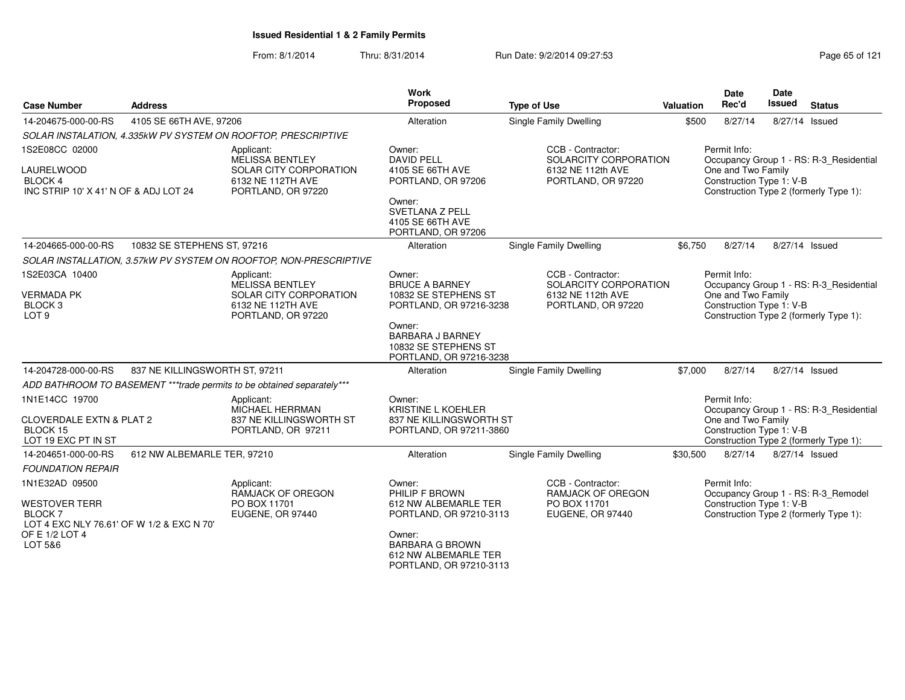| <b>Case Number</b>                                                                                                            | <b>Address</b>                                                                                            |                                                                                                    | <b>Work</b><br>Proposed                                                                                                                                                    | <b>Type of Use</b>                                                                    | Valuation                                                                                                                                           | <b>Date</b><br>Rec'd                                           | Date<br>Issued                                                                    | <b>Status</b>                                                                     |  |
|-------------------------------------------------------------------------------------------------------------------------------|-----------------------------------------------------------------------------------------------------------|----------------------------------------------------------------------------------------------------|----------------------------------------------------------------------------------------------------------------------------------------------------------------------------|---------------------------------------------------------------------------------------|-----------------------------------------------------------------------------------------------------------------------------------------------------|----------------------------------------------------------------|-----------------------------------------------------------------------------------|-----------------------------------------------------------------------------------|--|
| 14-204675-000-00-RS                                                                                                           | 4105 SE 66TH AVE, 97206                                                                                   |                                                                                                    | Alteration                                                                                                                                                                 | <b>Single Family Dwelling</b>                                                         | \$500                                                                                                                                               | 8/27/14                                                        |                                                                                   | 8/27/14 Issued                                                                    |  |
|                                                                                                                               |                                                                                                           | SOLAR INSTALATION, 4.335kW PV SYSTEM ON ROOFTOP, PRESCRIPTIVE                                      |                                                                                                                                                                            |                                                                                       |                                                                                                                                                     |                                                                |                                                                                   |                                                                                   |  |
| 1S2E08CC 02000<br><b>LAURELWOOD</b><br><b>BLOCK 4</b><br>INC STRIP 10' X 41' N OF & ADJ LOT 24<br>10832 SE STEPHENS ST, 97216 |                                                                                                           | Applicant:<br>MELISSA BENTLEY<br>SOLAR CITY CORPORATION<br>6132 NE 112TH AVE<br>PORTLAND, OR 97220 | Owner:<br><b>DAVID PELL</b><br>4105 SE 66TH AVE<br>PORTLAND, OR 97206<br>Owner:<br><b>SVETLANA Z PELL</b><br>4105 SE 66TH AVE<br>PORTLAND, OR 97206                        | CCB - Contractor:<br>SOLARCITY CORPORATION<br>6132 NE 112th AVE<br>PORTLAND, OR 97220 | Permit Info:<br>Occupancy Group 1 - RS: R-3_Residential<br>One and Two Family<br>Construction Type 1: V-B<br>Construction Type 2 (formerly Type 1): |                                                                |                                                                                   |                                                                                   |  |
| 14-204665-000-00-RS                                                                                                           |                                                                                                           |                                                                                                    | Alteration                                                                                                                                                                 | Single Family Dwelling                                                                | \$6,750                                                                                                                                             | 8/27/14                                                        |                                                                                   | 8/27/14 Issued                                                                    |  |
|                                                                                                                               |                                                                                                           | SOLAR INSTALLATION, 3.57kW PV SYSTEM ON ROOFTOP, NON-PRESCRIPTIVE                                  |                                                                                                                                                                            |                                                                                       |                                                                                                                                                     |                                                                |                                                                                   |                                                                                   |  |
| 1S2E03CA 10400<br><b>VERMADA PK</b><br>BLOCK <sub>3</sub><br>LOT <sub>9</sub>                                                 | Applicant:<br><b>MELISSA BENTLEY</b><br>SOLAR CITY CORPORATION<br>6132 NE 112TH AVE<br>PORTLAND, OR 97220 |                                                                                                    | Owner:<br><b>BRUCE A BARNEY</b><br>10832 SE STEPHENS ST<br>PORTLAND, OR 97216-3238<br>Owner:<br><b>BARBARA J BARNEY</b><br>10832 SE STEPHENS ST<br>PORTLAND, OR 97216-3238 | SOLARCITY CORPORATION                                                                 | Permit Info:<br>One and Two Family<br>Construction Type 1: V-B                                                                                      |                                                                | Occupancy Group 1 - RS: R-3_Residential<br>Construction Type 2 (formerly Type 1): |                                                                                   |  |
| 14-204728-000-00-RS                                                                                                           | 837 NE KILLINGSWORTH ST, 97211                                                                            |                                                                                                    | Alteration                                                                                                                                                                 | Single Family Dwelling                                                                | \$7,000                                                                                                                                             | 8/27/14                                                        |                                                                                   | 8/27/14 Issued                                                                    |  |
|                                                                                                                               |                                                                                                           | ADD BATHROOM TO BASEMENT ***trade permits to be obtained separately***                             |                                                                                                                                                                            |                                                                                       |                                                                                                                                                     |                                                                |                                                                                   |                                                                                   |  |
| 1N1E14CC 19700<br><b>CLOVERDALE EXTN &amp; PLAT 2</b><br>BLOCK 15<br>LOT 19 EXC PT IN ST                                      |                                                                                                           | Applicant:<br><b>MICHAEL HERRMAN</b><br>837 NE KILLINGSWORTH ST<br>PORTLAND, OR 97211              | Owner:<br><b>KRISTINE L KOEHLER</b><br>837 NE KILLINGSWORTH ST<br>PORTLAND, OR 97211-3860                                                                                  |                                                                                       |                                                                                                                                                     | Permit Info:<br>One and Two Family<br>Construction Type 1: V-B |                                                                                   | Occupancy Group 1 - RS: R-3 Residential<br>Construction Type 2 (formerly Type 1): |  |
| 14-204651-000-00-RS                                                                                                           | 612 NW ALBEMARLE TER, 97210                                                                               |                                                                                                    | Alteration                                                                                                                                                                 | Single Family Dwelling                                                                | \$30,500                                                                                                                                            | 8/27/14                                                        |                                                                                   | 8/27/14 Issued                                                                    |  |
| <b>FOUNDATION REPAIR</b>                                                                                                      |                                                                                                           |                                                                                                    |                                                                                                                                                                            |                                                                                       |                                                                                                                                                     |                                                                |                                                                                   |                                                                                   |  |
| 1N1E32AD 09500<br><b>WESTOVER TERR</b><br>BLOCK 7<br>LOT 4 EXC NLY 76.61' OF W 1/2 & EXC N 70'<br>OF E 1/2 LOT 4<br>LOT 5&6   |                                                                                                           | Applicant:<br>RAMJACK OF OREGON<br>PO BOX 11701<br>EUGENE, OR 97440                                | Owner:<br>PHILIP F BROWN<br>612 NW ALBEMARLE TER<br>PORTLAND, OR 97210-3113<br>Owner:<br><b>BARBARA G BROWN</b><br>612 NW ALBEMARLE TER<br>PORTLAND, OR 97210-3113         | CCB - Contractor:<br><b>RAMJACK OF OREGON</b><br>PO BOX 11701<br>EUGENE, OR 97440     |                                                                                                                                                     | Permit Info:<br>Construction Type 1: V-B                       |                                                                                   | Occupancy Group 1 - RS: R-3_Remodel<br>Construction Type 2 (formerly Type 1):     |  |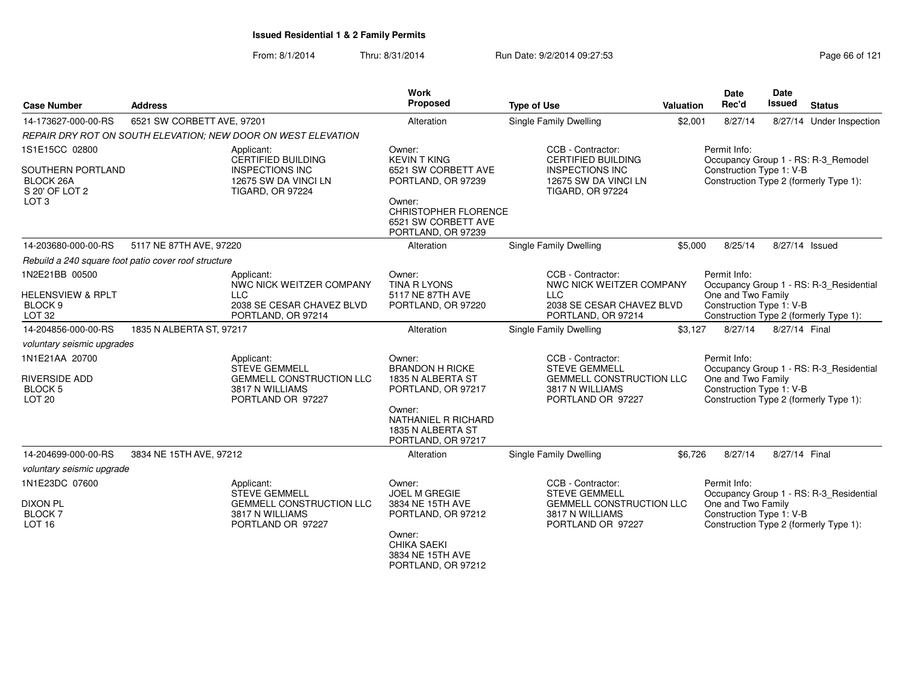| <b>Case Number</b>                                                                     | <b>Address</b>                                       |                                                                                                                      | Work<br>Proposed                                                                                                                  | <b>Type of Use</b>                                                                                                          | Valuation | <b>Date</b><br>Rec'd                                                                                     | Date<br>Issued | <b>Status</b>                           |
|----------------------------------------------------------------------------------------|------------------------------------------------------|----------------------------------------------------------------------------------------------------------------------|-----------------------------------------------------------------------------------------------------------------------------------|-----------------------------------------------------------------------------------------------------------------------------|-----------|----------------------------------------------------------------------------------------------------------|----------------|-----------------------------------------|
| 14-173627-000-00-RS                                                                    | 6521 SW CORBETT AVE, 97201                           |                                                                                                                      | Alteration                                                                                                                        | Single Family Dwelling                                                                                                      | \$2,001   | 8/27/14                                                                                                  |                | 8/27/14 Under Inspection                |
|                                                                                        |                                                      | REPAIR DRY ROT ON SOUTH ELEVATION: NEW DOOR ON WEST ELEVATION                                                        |                                                                                                                                   |                                                                                                                             |           |                                                                                                          |                |                                         |
| 1S1E15CC 02800<br>SOUTHERN PORTLAND<br>BLOCK 26A<br>S 20' OF LOT 2<br>LOT <sub>3</sub> |                                                      | Applicant:<br><b>CERTIFIED BUILDING</b><br><b>INSPECTIONS INC</b><br>12675 SW DA VINCI LN<br><b>TIGARD, OR 97224</b> | Owner:<br><b>KEVIN T KING</b><br>6521 SW CORBETT AVE<br>PORTLAND, OR 97239<br>Owner:                                              | CCB - Contractor:<br><b>CERTIFIED BUILDING</b><br><b>INSPECTIONS INC</b><br>12675 SW DA VINCI LN<br><b>TIGARD, OR 97224</b> |           | Permit Info:<br>Construction Type 1: V-B<br>Construction Type 2 (formerly Type 1):                       |                | Occupancy Group 1 - RS: R-3_Remodel     |
|                                                                                        |                                                      |                                                                                                                      | CHRISTOPHER FLORENCE<br>6521 SW CORBETT AVE<br>PORTLAND, OR 97239                                                                 |                                                                                                                             |           |                                                                                                          |                |                                         |
| 14-203680-000-00-RS                                                                    | 5117 NE 87TH AVE, 97220                              |                                                                                                                      | Alteration                                                                                                                        | Single Family Dwelling                                                                                                      | \$5,000   | 8/25/14                                                                                                  | 8/27/14 Issued |                                         |
|                                                                                        | Rebuild a 240 square foot patio cover roof structure |                                                                                                                      |                                                                                                                                   |                                                                                                                             |           |                                                                                                          |                |                                         |
| 1N2E21BB 00500<br><b>HELENSVIEW &amp; RPLT</b>                                         |                                                      | Applicant:<br>NWC NICK WEITZER COMPANY<br><b>LLC</b>                                                                 | Owner:<br><b>TINA R LYONS</b><br>5117 NE 87TH AVE                                                                                 | CCB - Contractor:<br>NWC NICK WEITZER COMPANY<br><b>LLC</b>                                                                 |           | Permit Info:<br>One and Two Family                                                                       |                | Occupancy Group 1 - RS: R-3 Residential |
| BLOCK <sub>9</sub><br>LOT 32                                                           |                                                      | 2038 SE CESAR CHAVEZ BLVD<br>PORTLAND, OR 97214                                                                      | PORTLAND, OR 97220                                                                                                                | 2038 SE CESAR CHAVEZ BLVD<br>PORTLAND, OR 97214                                                                             |           | Construction Type 1: V-B<br>Construction Type 2 (formerly Type 1):                                       |                |                                         |
| 14-204856-000-00-RS                                                                    | 1835 N ALBERTA ST, 97217                             |                                                                                                                      | Alteration                                                                                                                        | Single Family Dwelling                                                                                                      | \$3,127   | 8/27/14                                                                                                  | 8/27/14 Final  |                                         |
| voluntary seismic upgrades                                                             |                                                      |                                                                                                                      |                                                                                                                                   |                                                                                                                             |           |                                                                                                          |                |                                         |
| 1N1E21AA 20700<br><b>RIVERSIDE ADD</b><br><b>BLOCK 5</b><br>LOT <sub>20</sub>          |                                                      | Applicant:<br><b>STEVE GEMMELL</b><br>GEMMELL CONSTRUCTION LLC<br>3817 N WILLIAMS<br>PORTLAND OR 97227               | Owner:<br><b>BRANDON H RICKE</b><br>1835 N ALBERTA ST<br>PORTLAND, OR 97217<br>Owner:<br>NATHANIEL R RICHARD<br>1835 N ALBERTA ST | CCB - Contractor:<br><b>STEVE GEMMELL</b><br><b>GEMMELL CONSTRUCTION LLC</b><br>3817 N WILLIAMS<br>PORTLAND OR 97227        |           | Permit Info:<br>One and Two Family<br>Construction Type 1: V-B<br>Construction Type 2 (formerly Type 1): |                | Occupancy Group 1 - RS: R-3_Residential |
| 14-204699-000-00-RS                                                                    | 3834 NE 15TH AVE, 97212                              |                                                                                                                      | PORTLAND, OR 97217<br>Alteration                                                                                                  | Single Family Dwelling                                                                                                      | \$6,726   | 8/27/14                                                                                                  | 8/27/14 Final  |                                         |
| voluntary seismic upgrade                                                              |                                                      |                                                                                                                      |                                                                                                                                   |                                                                                                                             |           |                                                                                                          |                |                                         |
| 1N1E23DC 07600                                                                         |                                                      | Applicant:<br><b>STEVE GEMMELL</b>                                                                                   | Owner:<br><b>JOEL M GREGIE</b>                                                                                                    | CCB - Contractor:<br><b>STEVE GEMMELL</b>                                                                                   |           | Permit Info:                                                                                             |                | Occupancy Group 1 - RS: R-3_Residential |
| <b>DIXON PL</b><br>BLOCK <sub>7</sub><br>LOT <sub>16</sub>                             |                                                      | <b>GEMMELL CONSTRUCTION LLC</b><br>3817 N WILLIAMS<br>PORTLAND OR 97227                                              | 3834 NE 15TH AVE<br>PORTLAND, OR 97212<br>Owner:<br><b>CHIKA SAEKI</b>                                                            | <b>GEMMELL CONSTRUCTION LLC</b><br>3817 N WILLIAMS<br>PORTLAND OR 97227                                                     |           | One and Two Family<br>Construction Type 1: V-B<br>Construction Type 2 (formerly Type 1):                 |                |                                         |
|                                                                                        |                                                      |                                                                                                                      | 3834 NE 15TH AVE<br>PORTLAND, OR 97212                                                                                            |                                                                                                                             |           |                                                                                                          |                |                                         |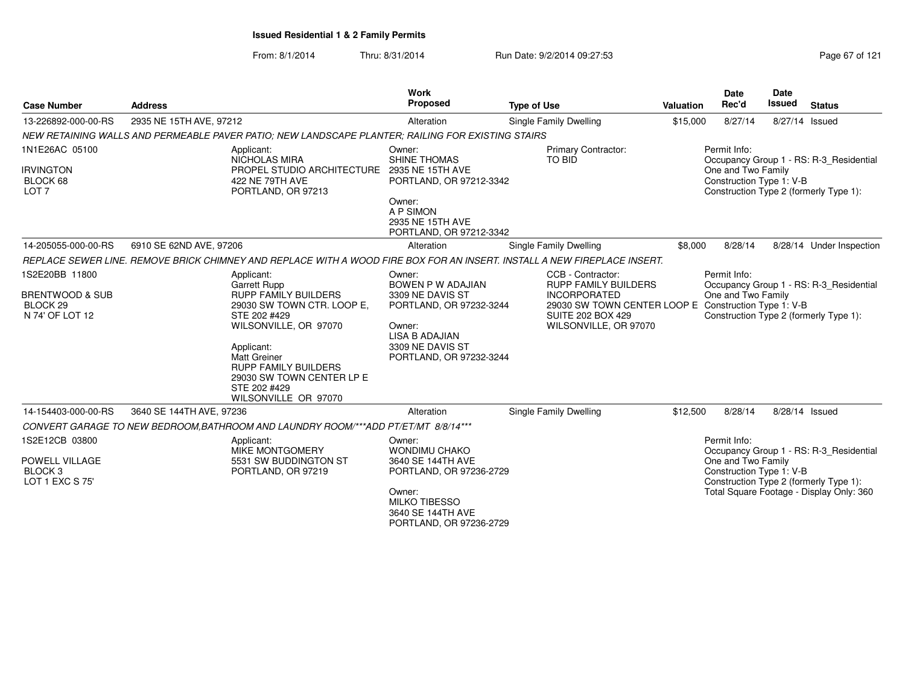From: 8/1/2014Thru: 8/31/2014 Run Date: 9/2/2014 09:27:53 Research 2012 121

| <b>Case Number</b>                                                        | <b>Address</b>                                                                                                                                                  | <b>Work</b><br>Proposed                                                                                                               | <b>Type of Use</b>                                                                                      | <b>Valuation</b>                                                                                                                                    | Date<br>Rec'd                      | <b>Date</b><br><b>Issued</b><br><b>Status</b>                                                                                                             |  |
|---------------------------------------------------------------------------|-----------------------------------------------------------------------------------------------------------------------------------------------------------------|---------------------------------------------------------------------------------------------------------------------------------------|---------------------------------------------------------------------------------------------------------|-----------------------------------------------------------------------------------------------------------------------------------------------------|------------------------------------|-----------------------------------------------------------------------------------------------------------------------------------------------------------|--|
| 13-226892-000-00-RS                                                       | 2935 NE 15TH AVE, 97212                                                                                                                                         | Alteration                                                                                                                            | Single Family Dwelling                                                                                  | \$15,000                                                                                                                                            | 8/27/14                            | 8/27/14 Issued                                                                                                                                            |  |
|                                                                           | NEW RETAINING WALLS AND PERMEABLE PAVER PATIO: NEW LANDSCAPE PLANTER: RAILING FOR EXISTING STAIRS                                                               |                                                                                                                                       |                                                                                                         |                                                                                                                                                     |                                    |                                                                                                                                                           |  |
| 1N1E26AC 05100<br><b>IRVINGTON</b><br>BLOCK 68<br>LOT <sub>7</sub>        | Applicant:<br><b>NICHOLAS MIRA</b><br>PROPEL STUDIO ARCHITECTURE<br>422 NE 79TH AVE<br>PORTLAND, OR 97213                                                       | Owner:<br><b>SHINE THOMAS</b><br>2935 NE 15TH AVE<br>PORTLAND, OR 97212-3342                                                          | Primary Contractor:<br><b>TO BID</b>                                                                    | Permit Info:<br>Occupancy Group 1 - RS: R-3 Residential<br>One and Two Family<br>Construction Type 1: V-B<br>Construction Type 2 (formerly Type 1): |                                    |                                                                                                                                                           |  |
|                                                                           |                                                                                                                                                                 | Owner:<br>A P SIMON<br>2935 NE 15TH AVE<br>PORTLAND, OR 97212-3342                                                                    |                                                                                                         |                                                                                                                                                     |                                    |                                                                                                                                                           |  |
| 14-205055-000-00-RS                                                       | 6910 SE 62ND AVE, 97206                                                                                                                                         | Alteration                                                                                                                            | Single Family Dwelling                                                                                  | \$8,000                                                                                                                                             | 8/28/14                            | 8/28/14 Under Inspection                                                                                                                                  |  |
|                                                                           | REPLACE SEWER LINE. REMOVE BRICK CHIMNEY AND REPLACE WITH A WOOD FIRE BOX FOR AN INSERT. INSTALL A NEW FIREPLACE INSERT.                                        |                                                                                                                                       |                                                                                                         |                                                                                                                                                     |                                    |                                                                                                                                                           |  |
| 1S2E20BB 11800                                                            | Applicant:<br>Garrett Rupp                                                                                                                                      | Owner:<br>BOWEN P W ADAJIAN                                                                                                           | CCB - Contractor:<br><b>RUPP FAMILY BUILDERS</b>                                                        |                                                                                                                                                     | Permit Info:                       | Occupancy Group 1 - RS: R-3 Residential                                                                                                                   |  |
| BRENTWOOD & SUB<br>BLOCK <sub>29</sub><br>N 74' OF LOT 12                 | RUPP FAMILY BUILDERS<br>29030 SW TOWN CTR. LOOP E,<br>STE 202 #429<br>WILSONVILLE, OR 97070<br>Applicant:<br><b>Matt Greiner</b><br><b>RUPP FAMILY BUILDERS</b> | 3309 NE DAVIS ST<br>PORTLAND, OR 97232-3244<br>Owner:<br><b>LISA B ADAJIAN</b><br>3309 NE DAVIS ST<br>PORTLAND, OR 97232-3244         | <b>INCORPORATED</b><br>29030 SW TOWN CENTER LOOP E<br><b>SUITE 202 BOX 429</b><br>WILSONVILLE, OR 97070 |                                                                                                                                                     | One and Two Family                 | Construction Type 1: V-B<br>Construction Type 2 (formerly Type 1):                                                                                        |  |
|                                                                           | 29030 SW TOWN CENTER LP E<br>STE 202 #429<br>WILSONVILLE OR 97070                                                                                               |                                                                                                                                       |                                                                                                         |                                                                                                                                                     |                                    |                                                                                                                                                           |  |
| 14-154403-000-00-RS                                                       | 3640 SE 144TH AVE, 97236                                                                                                                                        | Alteration                                                                                                                            | <b>Single Family Dwelling</b>                                                                           | \$12,500                                                                                                                                            | 8/28/14                            | 8/28/14 Issued                                                                                                                                            |  |
|                                                                           | CONVERT GARAGE TO NEW BEDROOM, BATHROOM AND LAUNDRY ROOM/***ADD PT/ET/MT 8/8/14***                                                                              |                                                                                                                                       |                                                                                                         |                                                                                                                                                     |                                    |                                                                                                                                                           |  |
| 1S2E12CB 03800<br>POWELL VILLAGE<br>BLOCK <sub>3</sub><br>LOT 1 EXC S 75' | Applicant:<br><b>MIKE MONTGOMERY</b><br>5531 SW BUDDINGTON ST<br>PORTLAND, OR 97219                                                                             | Owner:<br><b>WONDIMU CHAKO</b><br>3640 SE 144TH AVE<br>PORTLAND, OR 97236-2729<br>Owner:<br><b>MILKO TIBESSO</b><br>3640 SE 144TH AVE |                                                                                                         |                                                                                                                                                     | Permit Info:<br>One and Two Family | Occupancy Group 1 - RS: R-3 Residential<br>Construction Type 1: V-B<br>Construction Type 2 (formerly Type 1):<br>Total Square Footage - Display Only: 360 |  |

PORTLAND, OR 97236-2729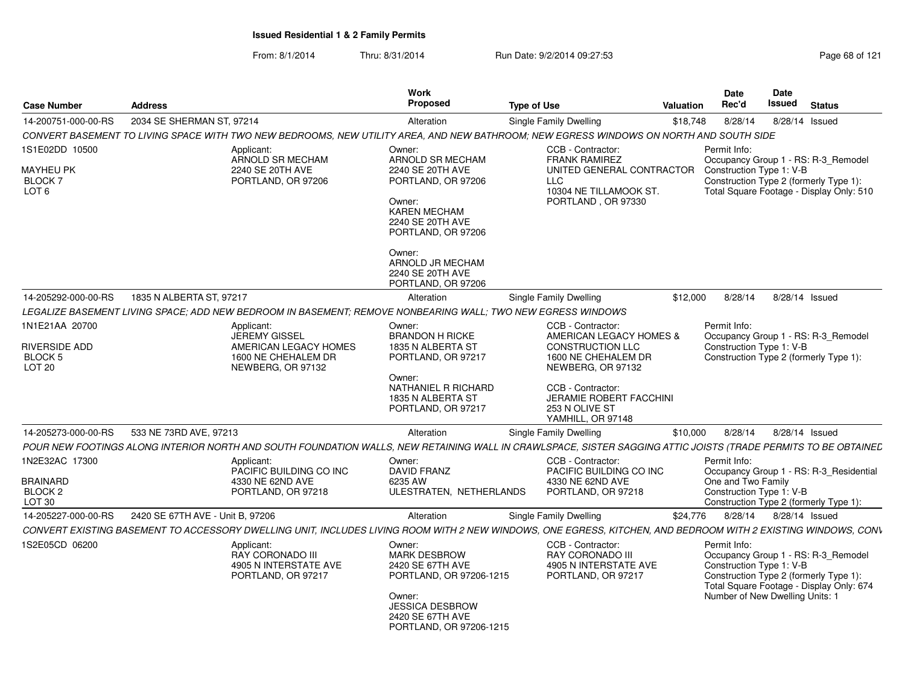| <b>Case Number</b>                                                | <b>Address</b>                   |                                                                                                                                                                | <b>Work</b><br>Proposed                                                                                                                                         | <b>Type of Use</b>                                                                                                                   | Valuation | <b>Date</b><br>Rec'd                                                        | Date<br>Issued | <b>Status</b>                                                                                                             |
|-------------------------------------------------------------------|----------------------------------|----------------------------------------------------------------------------------------------------------------------------------------------------------------|-----------------------------------------------------------------------------------------------------------------------------------------------------------------|--------------------------------------------------------------------------------------------------------------------------------------|-----------|-----------------------------------------------------------------------------|----------------|---------------------------------------------------------------------------------------------------------------------------|
| 14-200751-000-00-RS                                               | 2034 SE SHERMAN ST. 97214        |                                                                                                                                                                | Alteration                                                                                                                                                      | Single Family Dwelling                                                                                                               | \$18,748  | 8/28/14                                                                     | 8/28/14 Issued |                                                                                                                           |
|                                                                   |                                  | CONVERT BASEMENT TO LIVING SPACE WITH TWO NEW BEDROOMS, NEW UTILITY AREA, AND NEW BATHROOM; NEW EGRESS WINDOWS ON NORTH AND SOUTH SIDE                         |                                                                                                                                                                 |                                                                                                                                      |           |                                                                             |                |                                                                                                                           |
| 1S1E02DD 10500<br>MAYHEU PK<br><b>BLOCK7</b><br>LOT <sub>6</sub>  |                                  | Applicant:<br>ARNOLD SR MECHAM<br>2240 SE 20TH AVE<br>PORTLAND, OR 97206                                                                                       | Owner:<br>ARNOLD SR MECHAM<br>2240 SE 20TH AVE<br>PORTLAND, OR 97206<br>Owner:<br><b>KAREN MECHAM</b><br>2240 SE 20TH AVE<br>PORTLAND, OR 97206                 | CCB - Contractor:<br><b>FRANK RAMIREZ</b><br>UNITED GENERAL CONTRACTOR<br><b>LLC</b><br>10304 NE TILLAMOOK ST.<br>PORTLAND, OR 97330 |           | Permit Info:<br>Construction Type 1: V-B                                    |                | Occupancy Group 1 - RS: R-3 Remodel<br>Construction Type 2 (formerly Type 1):<br>Total Square Footage - Display Only: 510 |
|                                                                   |                                  |                                                                                                                                                                | Owner:<br>ARNOLD JR MECHAM<br>2240 SE 20TH AVE<br>PORTLAND, OR 97206                                                                                            |                                                                                                                                      |           |                                                                             |                |                                                                                                                           |
| 14-205292-000-00-RS                                               | 1835 N ALBERTA ST, 97217         |                                                                                                                                                                | Alteration                                                                                                                                                      | Single Family Dwelling                                                                                                               | \$12,000  | 8/28/14                                                                     | 8/28/14 Issued |                                                                                                                           |
|                                                                   |                                  | LEGALIZE BASEMENT LIVING SPACE: ADD NEW BEDROOM IN BASEMENT: REMOVE NONBEARING WALL: TWO NEW EGRESS WINDOWS                                                    |                                                                                                                                                                 |                                                                                                                                      |           |                                                                             |                |                                                                                                                           |
| 1N1E21AA 20700<br>RIVERSIDE ADD<br><b>BLOCK 5</b>                 |                                  | Applicant:<br>JEREMY GISSEL<br>AMERICAN LEGACY HOMES<br>1600 NE CHEHALEM DR                                                                                    | Owner:<br><b>BRANDON H RICKE</b><br>1835 N ALBERTA ST<br>PORTLAND, OR 97217                                                                                     | CCB - Contractor:<br>AMERICAN LEGACY HOMES &<br><b>CONSTRUCTION LLC</b><br>1600 NE CHEHALEM DR                                       |           | Permit Info:<br>Construction Type 1: V-B                                    |                | Occupancy Group 1 - RS: R-3 Remodel<br>Construction Type 2 (formerly Type 1):                                             |
| <b>LOT 20</b>                                                     |                                  | NEWBERG, OR 97132                                                                                                                                              | Owner:<br>NATHANIEL R RICHARD<br>1835 N ALBERTA ST<br>PORTLAND, OR 97217                                                                                        | NEWBERG, OR 97132<br>CCB - Contractor:<br>JERAMIE ROBERT FACCHINI<br>253 N OLIVE ST<br>YAMHILL, OR 97148                             |           |                                                                             |                |                                                                                                                           |
| 14-205273-000-00-RS                                               | 533 NE 73RD AVE, 97213           |                                                                                                                                                                | Alteration                                                                                                                                                      | Single Family Dwelling                                                                                                               | \$10,000  | 8/28/14                                                                     | 8/28/14 Issued |                                                                                                                           |
|                                                                   |                                  | POUR NEW FOOTINGS ALONG INTERIOR NORTH AND SOUTH FOUNDATION WALLS, NEW RETAINING WALL IN CRAWLSPACE, SISTER SAGGING ATTIC JOISTS (TRADE PERMITS TO BE OBTAINEL |                                                                                                                                                                 |                                                                                                                                      |           |                                                                             |                |                                                                                                                           |
| 1N2E32AC 17300<br><b>BRAINARD</b><br>BLOCK <sub>2</sub><br>LOT 30 |                                  | Applicant:<br>PACIFIC BUILDING CO INC<br>4330 NE 62ND AVE<br>PORTLAND, OR 97218                                                                                | Owner:<br>DAVID FRANZ<br>6235 AW<br>ULESTRATEN, NETHERLANDS                                                                                                     | CCB - Contractor:<br>PACIFIC BUILDING CO INC<br>4330 NE 62ND AVE<br>PORTLAND, OR 97218                                               |           | Permit Info:<br>One and Two Family<br>Construction Type 1: V-B              |                | Occupancy Group 1 - RS: R-3 Residential<br>Construction Type 2 (formerly Type 1):                                         |
| 14-205227-000-00-RS                                               | 2420 SE 67TH AVE - Unit B, 97206 |                                                                                                                                                                | Alteration                                                                                                                                                      | Single Family Dwelling                                                                                                               | \$24,776  | 8/28/14                                                                     | 8/28/14 Issued |                                                                                                                           |
|                                                                   |                                  | CONVERT EXISTING BASEMENT TO ACCESSORY DWELLING UNIT, INCLUDES LIVING ROOM WITH 2 NEW WINDOWS, ONE EGRESS, KITCHEN, AND BEDROOM WITH 2 EXISTING WINDOWS, CONV  |                                                                                                                                                                 |                                                                                                                                      |           |                                                                             |                |                                                                                                                           |
| 1S2E05CD 06200                                                    |                                  | Applicant:<br><b>RAY CORONADO III</b><br>4905 N INTERSTATE AVE<br>PORTLAND, OR 97217                                                                           | Owner:<br><b>MARK DESBROW</b><br>2420 SE 67TH AVE<br>PORTLAND, OR 97206-1215<br>Owner:<br><b>JESSICA DESBROW</b><br>2420 SE 67TH AVE<br>PORTLAND, OR 97206-1215 | CCB - Contractor:<br><b>RAY CORONADO III</b><br>4905 N INTERSTATE AVE<br>PORTLAND, OR 97217                                          |           | Permit Info:<br>Construction Type 1: V-B<br>Number of New Dwelling Units: 1 |                | Occupancy Group 1 - RS: R-3_Remodel<br>Construction Type 2 (formerly Type 1):<br>Total Square Footage - Display Only: 674 |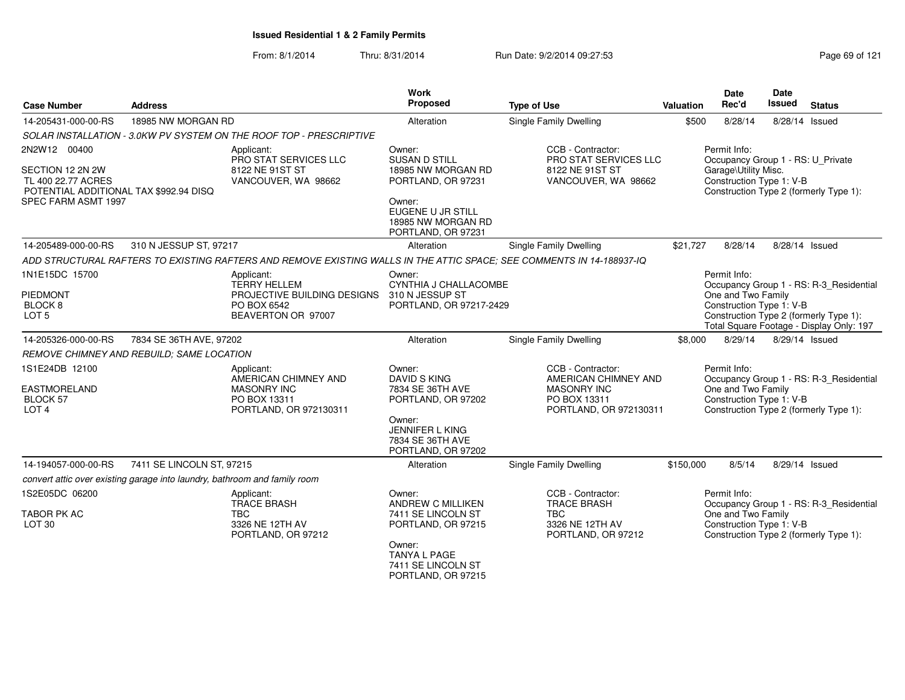| <b>Case Number</b>                                                                                                      | <b>Address</b>            |                                                                                                                       | Work<br>Proposed                                                                                                                                             | <b>Type of Use</b>                                                                                        | Valuation | Date<br>Rec'd                                                                                         | Date<br><b>Issued</b> | <b>Status</b>                                                                     |
|-------------------------------------------------------------------------------------------------------------------------|---------------------------|-----------------------------------------------------------------------------------------------------------------------|--------------------------------------------------------------------------------------------------------------------------------------------------------------|-----------------------------------------------------------------------------------------------------------|-----------|-------------------------------------------------------------------------------------------------------|-----------------------|-----------------------------------------------------------------------------------|
| 14-205431-000-00-RS                                                                                                     | 18985 NW MORGAN RD        |                                                                                                                       | Alteration                                                                                                                                                   | Single Family Dwelling                                                                                    | \$500     | 8/28/14                                                                                               | 8/28/14 Issued        |                                                                                   |
|                                                                                                                         |                           | SOLAR INSTALLATION - 3.0KW PV SYSTEM ON THE ROOF TOP - PRESCRIPTIVE                                                   |                                                                                                                                                              |                                                                                                           |           |                                                                                                       |                       |                                                                                   |
| 2N2W12 00400<br>SECTION 12 2N 2W<br>TL 400 22.77 ACRES<br>POTENTIAL ADDITIONAL TAX \$992.94 DISQ<br>SPEC FARM ASMT 1997 |                           | Applicant:<br><b>PRO STAT SERVICES LLC</b><br>8122 NE 91ST ST<br>VANCOUVER, WA 98662                                  | Owner:<br><b>SUSAN D STILL</b><br>18985 NW MORGAN RD<br>PORTLAND, OR 97231<br>Owner:<br><b>EUGENE U JR STILL</b><br>18985 NW MORGAN RD<br>PORTLAND, OR 97231 | CCB - Contractor:<br><b>PRO STAT SERVICES LLC</b><br>8122 NE 91ST ST<br>VANCOUVER, WA 98662               |           | Permit Info:<br>Occupancy Group 1 - RS: U_Private<br>Garage\Utility Misc.<br>Construction Type 1: V-B |                       | Construction Type 2 (formerly Type 1):                                            |
| 14-205489-000-00-RS                                                                                                     | 310 N JESSUP ST, 97217    |                                                                                                                       | Alteration                                                                                                                                                   | <b>Single Family Dwelling</b>                                                                             | \$21,727  | 8/28/14                                                                                               | 8/28/14 Issued        |                                                                                   |
|                                                                                                                         |                           | ADD STRUCTURAL RAFTERS TO EXISTING RAFTERS AND REMOVE EXISTING WALLS IN THE ATTIC SPACE; SEE COMMENTS IN 14-188937-IQ |                                                                                                                                                              |                                                                                                           |           |                                                                                                       |                       |                                                                                   |
| 1N1E15DC 15700<br><b>PIEDMONT</b><br>BLOCK 8<br>LOT <sub>5</sub>                                                        |                           | Applicant:<br><b>TERRY HELLEM</b><br>PROJECTIVE BUILDING DESIGNS 310 N JESSUP ST<br>PO BOX 6542<br>BEAVERTON OR 97007 | Owner:<br>CYNTHIA J CHALLACOMBE<br>PORTLAND, OR 97217-2429                                                                                                   |                                                                                                           |           | Permit Info:<br>One and Two Family<br>Construction Type 1: V-B                                        |                       | Occupancy Group 1 - RS: R-3_Residential<br>Construction Type 2 (formerly Type 1): |
| 14-205326-000-00-RS                                                                                                     | 7834 SE 36TH AVE, 97202   |                                                                                                                       | Alteration                                                                                                                                                   | <b>Single Family Dwelling</b>                                                                             | \$8,000   | 8/29/14                                                                                               | 8/29/14 Issued        | Total Square Footage - Display Only: 197                                          |
| REMOVE CHIMNEY AND REBUILD: SAME LOCATION                                                                               |                           |                                                                                                                       |                                                                                                                                                              |                                                                                                           |           |                                                                                                       |                       |                                                                                   |
| 1S1E24DB 12100<br><b>EASTMORELAND</b><br><b>BLOCK 57</b><br>LOT <sub>4</sub>                                            |                           | Applicant:<br>AMERICAN CHIMNEY AND<br><b>MASONRY INC</b><br>PO BOX 13311<br>PORTLAND, OR 972130311                    | Owner:<br><b>DAVID S KING</b><br>7834 SE 36TH AVE<br>PORTLAND, OR 97202<br>Owner:<br>JENNIFER L KING<br>7834 SE 36TH AVE<br>PORTLAND, OR 97202               | CCB - Contractor:<br>AMERICAN CHIMNEY AND<br><b>MASONRY INC</b><br>PO BOX 13311<br>PORTLAND, OR 972130311 |           | Permit Info:<br>One and Two Family<br>Construction Type 1: V-B                                        |                       | Occupancy Group 1 - RS: R-3_Residential<br>Construction Type 2 (formerly Type 1): |
| 14-194057-000-00-RS                                                                                                     | 7411 SE LINCOLN ST, 97215 |                                                                                                                       | Alteration                                                                                                                                                   | <b>Single Family Dwelling</b>                                                                             | \$150,000 | 8/5/14                                                                                                | 8/29/14 Issued        |                                                                                   |
| convert attic over existing garage into laundry, bathroom and family room                                               |                           |                                                                                                                       |                                                                                                                                                              |                                                                                                           |           |                                                                                                       |                       |                                                                                   |
| 1S2E05DC 06200<br>TABOR PK AC<br>LOT <sub>30</sub>                                                                      |                           | Applicant:<br><b>TRACE BRASH</b><br><b>TBC</b><br>3326 NE 12TH AV<br>PORTLAND, OR 97212                               | Owner:<br>ANDREW C MILLIKEN<br>7411 SE LINCOLN ST<br>PORTLAND, OR 97215<br>Owner:<br>TANYA L PAGE<br>7411 SE LINCOLN ST<br>PORTLAND, OR 97215                | CCB - Contractor:<br><b>TRACE BRASH</b><br><b>TBC</b><br>3326 NE 12TH AV<br>PORTLAND, OR 97212            |           | Permit Info:<br>One and Two Family<br>Construction Type 1: V-B                                        |                       | Occupancy Group 1 - RS: R-3_Residential<br>Construction Type 2 (formerly Type 1): |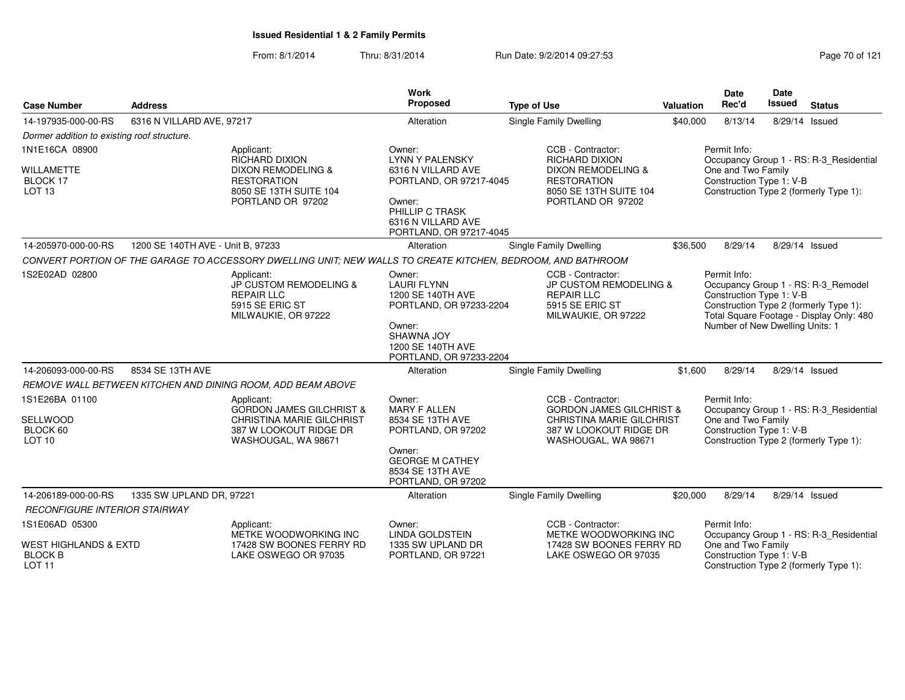From: 8/1/2014Thru: 8/31/2014 Run Date: 9/2/2014 09:27:53 Run Date: 9/2/2014 09:27:53

|                                                                         |                                   |                                                                                                                                           | <b>Work</b>                                                                                                                                                     |                                                                                                                                                  |                                                                                                                                                     | Date                                                                        | Date           |                                                                                                                           |
|-------------------------------------------------------------------------|-----------------------------------|-------------------------------------------------------------------------------------------------------------------------------------------|-----------------------------------------------------------------------------------------------------------------------------------------------------------------|--------------------------------------------------------------------------------------------------------------------------------------------------|-----------------------------------------------------------------------------------------------------------------------------------------------------|-----------------------------------------------------------------------------|----------------|---------------------------------------------------------------------------------------------------------------------------|
| <b>Case Number</b>                                                      | <b>Address</b>                    |                                                                                                                                           | Proposed                                                                                                                                                        | <b>Type of Use</b>                                                                                                                               | <b>Valuation</b>                                                                                                                                    | Rec'd                                                                       | Issued         | <b>Status</b>                                                                                                             |
| 14-197935-000-00-RS                                                     | 6316 N VILLARD AVE, 97217         |                                                                                                                                           | Alteration                                                                                                                                                      | <b>Single Family Dwelling</b>                                                                                                                    | \$40,000                                                                                                                                            | 8/13/14                                                                     |                | 8/29/14 Issued                                                                                                            |
| Dormer addition to existing roof structure.                             |                                   |                                                                                                                                           |                                                                                                                                                                 |                                                                                                                                                  |                                                                                                                                                     |                                                                             |                |                                                                                                                           |
| 1N1E16CA 08900<br><b>WILLAMETTE</b><br>BLOCK 17<br>LOT <sub>13</sub>    |                                   | Applicant:<br><b>RICHARD DIXION</b><br><b>DIXON REMODELING &amp;</b><br><b>RESTORATION</b><br>8050 SE 13TH SUITE 104<br>PORTLAND OR 97202 | Owner:<br><b>LYNN Y PALENSKY</b><br>6316 N VILLARD AVE<br>PORTLAND, OR 97217-4045<br>Owner:<br>PHILLIP C TRASK<br>6316 N VILLARD AVE<br>PORTLAND, OR 97217-4045 | CCB - Contractor:<br><b>RICHARD DIXION</b><br><b>DIXON REMODELING &amp;</b><br><b>RESTORATION</b><br>8050 SE 13TH SUITE 104<br>PORTLAND OR 97202 | Permit Info:<br>Occupancy Group 1 - RS: R-3_Residential<br>One and Two Family<br>Construction Type 1: V-B<br>Construction Type 2 (formerly Type 1): |                                                                             |                |                                                                                                                           |
| 14-205970-000-00-RS                                                     | 1200 SE 140TH AVE - Unit B, 97233 |                                                                                                                                           | Alteration                                                                                                                                                      | <b>Single Family Dwelling</b>                                                                                                                    | \$36,500                                                                                                                                            | 8/29/14                                                                     |                | 8/29/14 Issued                                                                                                            |
|                                                                         |                                   | CONVERT PORTION OF THE GARAGE TO ACCESSORY DWELLING UNIT: NEW WALLS TO CREATE KITCHEN, BEDROOM, AND BATHROOM                              |                                                                                                                                                                 |                                                                                                                                                  |                                                                                                                                                     |                                                                             |                |                                                                                                                           |
| 1S2E02AD 02800                                                          |                                   | Applicant:<br>JP CUSTOM REMODELING &<br><b>REPAIR LLC</b><br>5915 SE ERIC ST<br>MILWAUKIE, OR 97222                                       | Owner:<br><b>LAURI FLYNN</b><br>1200 SE 140TH AVE<br>PORTLAND, OR 97233-2204<br>Owner:<br>SHAWNA JOY<br>1200 SE 140TH AVE<br>PORTLAND, OR 97233-2204            | CCB - Contractor:<br><b>JP CUSTOM REMODELING &amp;</b><br><b>REPAIR LLC</b><br>5915 SE ERIC ST<br>MILWAUKIE, OR 97222                            |                                                                                                                                                     | Permit Info:<br>Construction Type 1: V-B<br>Number of New Dwelling Units: 1 |                | Occupancy Group 1 - RS: R-3_Remodel<br>Construction Type 2 (formerly Type 1):<br>Total Square Footage - Display Only: 480 |
| 14-206093-000-00-RS                                                     | 8534 SE 13TH AVE                  |                                                                                                                                           | Alteration                                                                                                                                                      | Single Family Dwelling                                                                                                                           | \$1,600                                                                                                                                             | 8/29/14                                                                     |                | 8/29/14 Issued                                                                                                            |
|                                                                         |                                   | REMOVE WALL BETWEEN KITCHEN AND DINING ROOM, ADD BEAM ABOVE                                                                               |                                                                                                                                                                 |                                                                                                                                                  |                                                                                                                                                     |                                                                             |                |                                                                                                                           |
| 1S1E26BA 01100<br>SELLWOOD<br>BLOCK 60<br>LOT <sub>10</sub>             |                                   | Applicant:<br><b>GORDON JAMES GILCHRIST &amp;</b><br>CHRISTINA MARIE GILCHRIST<br>387 W LOOKOUT RIDGE DR<br>WASHOUGAL, WA 98671           | Owner:<br>MARY F ALLEN<br>8534 SE 13TH AVE<br>PORTLAND, OR 97202<br>Owner:<br><b>GEORGE M CATHEY</b><br>8534 SE 13TH AVE<br>PORTLAND, OR 97202                  | CCB - Contractor:<br><b>GORDON JAMES GILCHRIST &amp;</b><br><b>CHRISTINA MARIE GILCHRIST</b><br>387 W LOOKOUT RIDGE DR<br>WASHOUGAL, WA 98671    |                                                                                                                                                     | Permit Info:<br>One and Two Family<br>Construction Type 1: V-B              |                | Occupancy Group 1 - RS: R-3_Residential<br>Construction Type 2 (formerly Type 1):                                         |
| 14-206189-000-00-RS                                                     | 1335 SW UPLAND DR, 97221          |                                                                                                                                           | Alteration                                                                                                                                                      | <b>Single Family Dwelling</b>                                                                                                                    | \$20,000                                                                                                                                            | 8/29/14                                                                     | 8/29/14 Issued |                                                                                                                           |
| <b>RECONFIGURE INTERIOR STAIRWAY</b>                                    |                                   |                                                                                                                                           |                                                                                                                                                                 |                                                                                                                                                  |                                                                                                                                                     |                                                                             |                |                                                                                                                           |
| 1S1E06AD 05300                                                          |                                   | Applicant:                                                                                                                                | Owner:                                                                                                                                                          | CCB - Contractor:                                                                                                                                |                                                                                                                                                     | Permit Info:                                                                |                |                                                                                                                           |
| <b>WEST HIGHLANDS &amp; EXTD</b><br><b>BLOCK B</b><br>LOT <sub>11</sub> |                                   | METKE WOODWORKING INC<br>17428 SW BOONES FERRY RD<br>LAKE OSWEGO OR 97035                                                                 | <b>LINDA GOLDSTEIN</b><br>1335 SW UPLAND DR<br>PORTLAND, OR 97221                                                                                               | METKE WOODWORKING INC<br>17428 SW BOONES FERRY RD<br>LAKE OSWEGO OR 97035                                                                        |                                                                                                                                                     | One and Two Family<br>Construction Type 1: V-B                              |                | Occupancy Group 1 - RS: R-3_Residential<br>Construction Type 2 (formerly Type 1):                                         |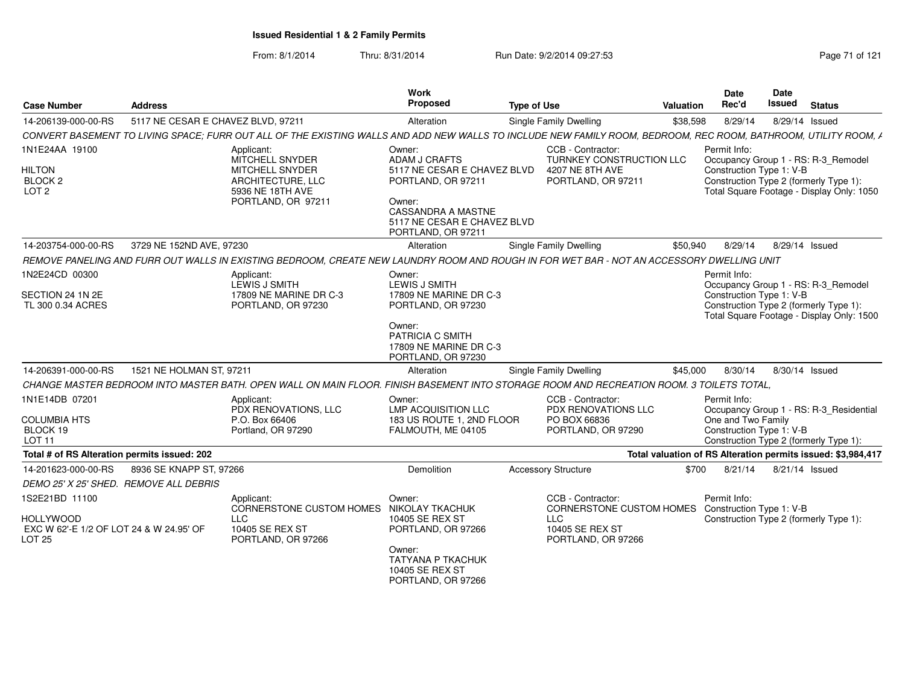| <b>Case Number</b>                                                            | <b>Address</b>                     |                                                                                                                                                                 | Work<br><b>Proposed</b>                                                                                                                                                  | <b>Type of Use</b> |                                                                                        | Valuation | <b>Date</b><br>Rec'd                                           | Date<br>Issued | <b>Status</b>                                                                                                              |
|-------------------------------------------------------------------------------|------------------------------------|-----------------------------------------------------------------------------------------------------------------------------------------------------------------|--------------------------------------------------------------------------------------------------------------------------------------------------------------------------|--------------------|----------------------------------------------------------------------------------------|-----------|----------------------------------------------------------------|----------------|----------------------------------------------------------------------------------------------------------------------------|
| 14-206139-000-00-RS                                                           | 5117 NE CESAR E CHAVEZ BLVD, 97211 |                                                                                                                                                                 | Alteration                                                                                                                                                               |                    | Single Family Dwelling                                                                 | \$38,598  | 8/29/14                                                        | 8/29/14 Issued |                                                                                                                            |
|                                                                               |                                    | CONVERT BASEMENT TO LIVING SPACE; FURR OUT ALL OF THE EXISTING WALLS AND ADD NEW WALLS TO INCLUDE NEW FAMILY ROOM, BEDROOM, REC ROOM, BATHROOM, UTILITY ROOM, A |                                                                                                                                                                          |                    |                                                                                        |           |                                                                |                |                                                                                                                            |
| 1N1E24AA 19100<br><b>HILTON</b><br>BLOCK <sub>2</sub><br>LOT <sub>2</sub>     |                                    | Applicant:<br>MITCHELL SNYDER<br>MITCHELL SNYDER<br>ARCHITECTURE, LLC<br>5936 NE 18TH AVE<br>PORTLAND, OR 97211                                                 | Owner:<br>ADAM J CRAFTS<br>5117 NE CESAR E CHAVEZ BLVD<br>PORTLAND, OR 97211<br>Owner:<br><b>CASSANDRA A MASTNE</b><br>5117 NE CESAR E CHAVEZ BLVD<br>PORTLAND, OR 97211 |                    | CCB - Contractor:<br>TURNKEY CONSTRUCTION LLC<br>4207 NE 8TH AVE<br>PORTLAND, OR 97211 |           | Permit Info:<br>Construction Type 1: V-B                       |                | Occupancy Group 1 - RS: R-3_Remodel<br>Construction Type 2 (formerly Type 1):<br>Total Square Footage - Display Only: 1050 |
| 14-203754-000-00-RS                                                           | 3729 NE 152ND AVE, 97230           |                                                                                                                                                                 | Alteration                                                                                                                                                               |                    | Single Family Dwelling                                                                 | \$50.940  | 8/29/14                                                        | 8/29/14 Issued |                                                                                                                            |
|                                                                               |                                    | REMOVE PANELING AND FURR OUT WALLS IN EXISTING BEDROOM. CREATE NEW LAUNDRY ROOM AND ROUGH IN FOR WET BAR - NOT AN ACCESSORY DWELLING UNIT                       |                                                                                                                                                                          |                    |                                                                                        |           |                                                                |                |                                                                                                                            |
| 1N2E24CD 00300<br>SECTION 24 1N 2E<br>TL 300 0.34 ACRES                       |                                    | Applicant:<br>LEWIS J SMITH<br>17809 NE MARINE DR C-3<br>PORTLAND, OR 97230                                                                                     | Owner:<br>LEWIS J SMITH<br>17809 NE MARINE DR C-3<br>PORTLAND, OR 97230                                                                                                  |                    |                                                                                        |           | Permit Info:<br>Construction Type 1: V-B                       |                | Occupancy Group 1 - RS: R-3 Remodel<br>Construction Type 2 (formerly Type 1):<br>Total Square Footage - Display Only: 1500 |
|                                                                               |                                    |                                                                                                                                                                 | Owner:<br>PATRICIA C SMITH<br>17809 NE MARINE DR C-3<br>PORTLAND, OR 97230                                                                                               |                    |                                                                                        |           |                                                                |                |                                                                                                                            |
| 14-206391-000-00-RS                                                           | 1521 NE HOLMAN ST, 97211           |                                                                                                                                                                 | Alteration                                                                                                                                                               |                    | Single Family Dwelling                                                                 | \$45,000  | 8/30/14                                                        | 8/30/14 Issued |                                                                                                                            |
|                                                                               |                                    | CHANGE MASTER BEDROOM INTO MASTER BATH. OPEN WALL ON MAIN FLOOR. FINISH BASEMENT INTO STORAGE ROOM AND RECREATION ROOM. 3 TOILETS TOTAL                         |                                                                                                                                                                          |                    |                                                                                        |           |                                                                |                |                                                                                                                            |
| 1N1E14DB 07201<br><b>COLUMBIA HTS</b><br>BLOCK 19<br><b>LOT 11</b>            |                                    | Applicant:<br>PDX RENOVATIONS, LLC<br>P.O. Box 66406<br>Portland, OR 97290                                                                                      | Owner:<br><b>LMP ACQUISITION LLC</b><br>183 US ROUTE 1, 2ND FLOOR<br>FALMOUTH, ME 04105                                                                                  |                    | CCB - Contractor:<br>PDX RENOVATIONS LLC<br>PO BOX 66836<br>PORTLAND, OR 97290         |           | Permit Info:<br>One and Two Family<br>Construction Type 1: V-B |                | Occupancy Group 1 - RS: R-3 Residential<br>Construction Type 2 (formerly Type 1):                                          |
| Total # of RS Alteration permits issued: 202                                  |                                    |                                                                                                                                                                 |                                                                                                                                                                          |                    |                                                                                        |           |                                                                |                | Total valuation of RS Alteration permits issued: \$3,984,417                                                               |
| 14-201623-000-00-RS                                                           | 8936 SE KNAPP ST, 97266            |                                                                                                                                                                 | Demolition                                                                                                                                                               |                    | <b>Accessory Structure</b>                                                             | \$700     | 8/21/14                                                        | 8/21/14 Issued |                                                                                                                            |
| DEMO 25' X 25' SHED. REMOVE ALL DEBRIS                                        |                                    |                                                                                                                                                                 |                                                                                                                                                                          |                    |                                                                                        |           |                                                                |                |                                                                                                                            |
| 1S2E21BD 11100<br><b>HOLLYWOOD</b><br>EXC W 62'-E 1/2 OF LOT 24 & W 24.95' OF |                                    | Applicant:<br>CORNERSTONE CUSTOM HOMES NIKOLAY TKACHUK<br><b>LLC</b><br>10405 SE REX ST                                                                         | Owner:<br>10405 SE REX ST<br>PORTLAND, OR 97266                                                                                                                          |                    | CCB - Contractor:<br>CORNERSTONE CUSTOM HOMES<br><b>LLC</b><br>10405 SE REX ST         |           | Permit Info:<br>Construction Type 1: V-B                       |                | Construction Type 2 (formerly Type 1):                                                                                     |
| <b>LOT 25</b>                                                                 |                                    | PORTLAND, OR 97266                                                                                                                                              | Owner:<br><b>TATYANA P TKACHUK</b><br>10405 SE REX ST<br>PORTLAND, OR 97266                                                                                              |                    | PORTLAND, OR 97266                                                                     |           |                                                                |                |                                                                                                                            |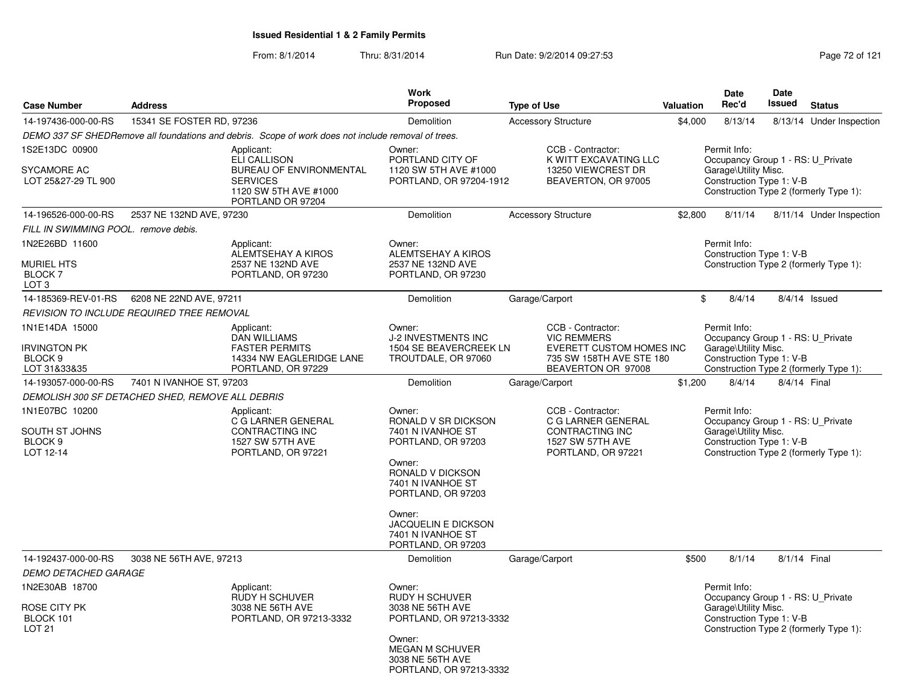|                                                                             |                                                  |                                                                                                                                      | Work                                                                                                                                                                                                                                 |                                                                                                                              |           | <b>Date</b>                                                                                           | <b>Date</b> |                                                                             |
|-----------------------------------------------------------------------------|--------------------------------------------------|--------------------------------------------------------------------------------------------------------------------------------------|--------------------------------------------------------------------------------------------------------------------------------------------------------------------------------------------------------------------------------------|------------------------------------------------------------------------------------------------------------------------------|-----------|-------------------------------------------------------------------------------------------------------|-------------|-----------------------------------------------------------------------------|
| <b>Case Number</b>                                                          | <b>Address</b>                                   |                                                                                                                                      | <b>Proposed</b>                                                                                                                                                                                                                      | <b>Type of Use</b>                                                                                                           | Valuation | Rec'd                                                                                                 | Issued      | <b>Status</b>                                                               |
| 14-197436-000-00-RS                                                         | 15341 SE FOSTER RD, 97236                        |                                                                                                                                      | Demolition                                                                                                                                                                                                                           | <b>Accessory Structure</b>                                                                                                   | \$4,000   | 8/13/14                                                                                               |             | 8/13/14 Under Inspection                                                    |
|                                                                             |                                                  | DEMO 337 SF SHEDRemove all foundations and debris. Scope of work does not include removal of trees.                                  |                                                                                                                                                                                                                                      |                                                                                                                              |           |                                                                                                       |             |                                                                             |
| 1S2E13DC 00900<br><b>SYCAMORE AC</b><br>LOT 25&27-29 TL 900                 |                                                  | Applicant:<br><b>ELI CALLISON</b><br><b>BUREAU OF ENVIRONMENTAL</b><br><b>SERVICES</b><br>1120 SW 5TH AVE #1000<br>PORTLAND OR 97204 | Owner:<br>PORTLAND CITY OF<br>1120 SW 5TH AVE #1000<br>PORTLAND, OR 97204-1912                                                                                                                                                       | CCB - Contractor:<br>K WITT EXCAVATING LLC<br>13250 VIEWCREST DR<br>BEAVERTON, OR 97005                                      |           | Permit Info:<br>Garage\Utility Misc.<br>Construction Type 1: V-B                                      |             | Occupancy Group 1 - RS: U Private<br>Construction Type 2 (formerly Type 1): |
| 14-196526-000-00-RS                                                         | 2537 NE 132ND AVE, 97230                         |                                                                                                                                      | Demolition                                                                                                                                                                                                                           | <b>Accessory Structure</b>                                                                                                   | \$2,800   | 8/11/14                                                                                               |             | 8/11/14 Under Inspection                                                    |
| FILL IN SWIMMING POOL. remove debis.                                        |                                                  |                                                                                                                                      |                                                                                                                                                                                                                                      |                                                                                                                              |           |                                                                                                       |             |                                                                             |
| 1N2E26BD 11600<br><b>MURIEL HTS</b><br><b>BLOCK 7</b><br>LOT <sub>3</sub>   |                                                  | Applicant:<br>ALEMTSEHAY A KIROS<br>2537 NE 132ND AVE<br>PORTLAND, OR 97230                                                          | Owner:<br>ALEMTSEHAY A KIROS<br>2537 NE 132ND AVE<br>PORTLAND, OR 97230                                                                                                                                                              |                                                                                                                              |           | Permit Info:<br>Construction Type 1: V-B                                                              |             | Construction Type 2 (formerly Type 1):                                      |
| 14-185369-REV-01-RS                                                         | 6208 NE 22ND AVE, 97211                          |                                                                                                                                      | Demolition                                                                                                                                                                                                                           | Garage/Carport                                                                                                               |           | \$<br>8/4/14                                                                                          |             | 8/4/14 Issued                                                               |
|                                                                             | REVISION TO INCLUDE REQUIRED TREE REMOVAL        |                                                                                                                                      |                                                                                                                                                                                                                                      |                                                                                                                              |           |                                                                                                       |             |                                                                             |
| 1N1E14DA 15000<br><b>IRVINGTON PK</b><br>BLOCK <sub>9</sub><br>LOT 31&33&35 |                                                  | Applicant:<br><b>DAN WILLIAMS</b><br><b>FASTER PERMITS</b><br>14334 NW EAGLERIDGE LANE<br>PORTLAND, OR 97229                         | Owner:<br><b>J-2 INVESTMENTS INC</b><br>1504 SE BEAVERCREEK LN<br>TROUTDALE, OR 97060                                                                                                                                                | CCB - Contractor:<br><b>VIC REMMERS</b><br><b>EVERETT CUSTOM HOMES INC</b><br>735 SW 158TH AVE STE 180<br>BEAVERTON OR 97008 |           | Permit Info:<br>Occupancy Group 1 - RS: U_Private<br>Garage\Utility Misc.<br>Construction Type 1: V-B |             | Construction Type 2 (formerly Type 1):                                      |
| 14-193057-000-00-RS                                                         | 7401 N IVANHOE ST, 97203                         |                                                                                                                                      | <b>Demolition</b>                                                                                                                                                                                                                    | Garage/Carport                                                                                                               | \$1,200   | 8/4/14                                                                                                |             | 8/4/14 Final                                                                |
|                                                                             | DEMOLISH 300 SF DETACHED SHED, REMOVE ALL DEBRIS |                                                                                                                                      |                                                                                                                                                                                                                                      |                                                                                                                              |           |                                                                                                       |             |                                                                             |
| 1N1E07BC 10200<br>SOUTH ST JOHNS<br>BLOCK <sub>9</sub><br>LOT 12-14         |                                                  | Applicant:<br>C G LARNER GENERAL<br><b>CONTRACTING INC</b><br>1527 SW 57TH AVE<br>PORTLAND, OR 97221                                 | Owner:<br>RONALD V SR DICKSON<br>7401 N IVANHOE ST<br>PORTLAND, OR 97203<br>Owner:<br>RONALD V DICKSON<br>7401 N IVANHOE ST<br>PORTLAND, OR 97203<br>Owner:<br><b>JACQUELIN E DICKSON</b><br>7401 N IVANHOE ST<br>PORTLAND, OR 97203 | CCB - Contractor:<br>C G LARNER GENERAL<br>CONTRACTING INC<br>1527 SW 57TH AVE<br>PORTLAND, OR 97221                         |           | Permit Info:<br>Garage\Utility Misc.<br>Construction Type 1: V-B                                      |             | Occupancy Group 1 - RS: U_Private<br>Construction Type 2 (formerly Type 1): |
| 14-192437-000-00-RS                                                         | 3038 NE 56TH AVE, 97213                          |                                                                                                                                      | Demolition                                                                                                                                                                                                                           | Garage/Carport                                                                                                               | \$500     | 8/1/14                                                                                                |             | 8/1/14 Final                                                                |
| <b>DEMO DETACHED GARAGE</b>                                                 |                                                  |                                                                                                                                      |                                                                                                                                                                                                                                      |                                                                                                                              |           |                                                                                                       |             |                                                                             |
| 1N2E30AB 18700<br>ROSE CITY PK<br>BLOCK 101<br><b>LOT 21</b>                |                                                  | Applicant:<br>RUDY H SCHUVER<br>3038 NE 56TH AVE<br>PORTLAND, OR 97213-3332                                                          | Owner:<br><b>RUDY H SCHUVER</b><br>3038 NE 56TH AVE<br>PORTLAND, OR 97213-3332<br>Owner:<br><b>MEGAN M SCHUVER</b><br>3038 NE 56TH AVE<br>PORTLAND, OR 97213-3332                                                                    |                                                                                                                              |           | Permit Info:<br>Garage\Utility Misc.<br>Construction Type 1: V-B                                      |             | Occupancy Group 1 - RS: U_Private<br>Construction Type 2 (formerly Type 1): |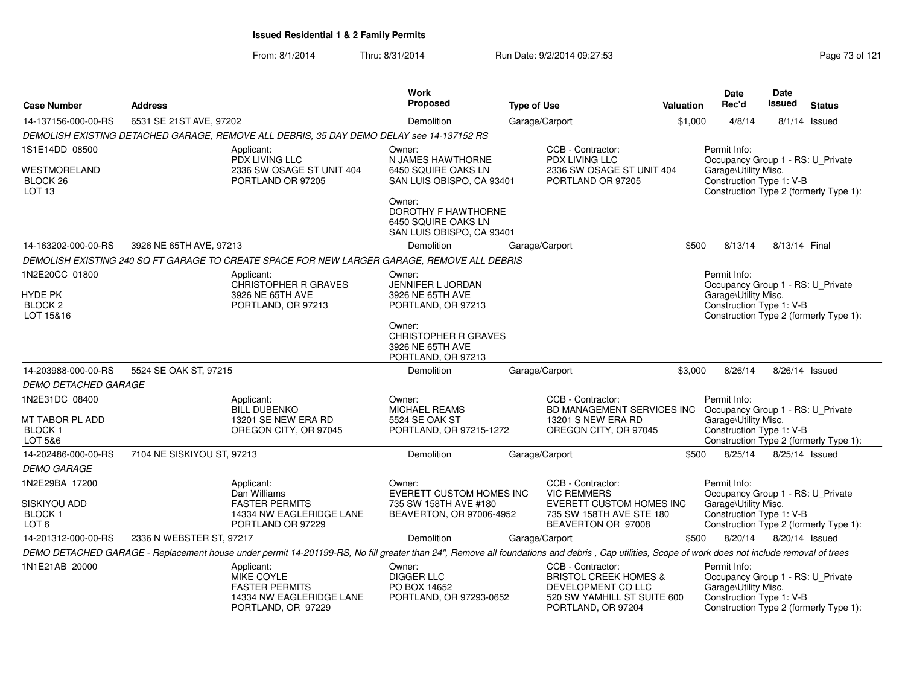| <b>Case Number</b>                                            | <b>Address</b>             |                                                                                                                                                                                                 | Work<br><b>Proposed</b>                                                           | <b>Type of Use</b>                                                                                                               | Valuation | <b>Date</b><br>Rec'd                                                                                                                            | <b>Date</b><br>Issued | <b>Status</b>   |
|---------------------------------------------------------------|----------------------------|-------------------------------------------------------------------------------------------------------------------------------------------------------------------------------------------------|-----------------------------------------------------------------------------------|----------------------------------------------------------------------------------------------------------------------------------|-----------|-------------------------------------------------------------------------------------------------------------------------------------------------|-----------------------|-----------------|
| 14-137156-000-00-RS                                           | 6531 SE 21ST AVE, 97202    |                                                                                                                                                                                                 | Demolition                                                                        | Garage/Carport                                                                                                                   | \$1,000   | 4/8/14                                                                                                                                          |                       | $8/1/14$ Issued |
|                                                               |                            | DEMOLISH EXISTING DETACHED GARAGE, REMOVE ALL DEBRIS, 35 DAY DEMO DELAY see 14-137152 RS                                                                                                        |                                                                                   |                                                                                                                                  |           |                                                                                                                                                 |                       |                 |
| 1S1E14DD 08500                                                |                            | Applicant:                                                                                                                                                                                      | Owner:                                                                            | CCB - Contractor:                                                                                                                |           | Permit Info:                                                                                                                                    |                       |                 |
| WESTMORELAND<br>BLOCK 26<br>LOT <sub>13</sub>                 |                            | PDX LIVING LLC<br>2336 SW OSAGE ST UNIT 404<br>PORTLAND OR 97205                                                                                                                                | N JAMES HAWTHORNE<br>6450 SQUIRE OAKS LN<br>SAN LUIS OBISPO, CA 93401             | PDX LIVING LLC<br>2336 SW OSAGE ST UNIT 404<br>PORTLAND OR 97205                                                                 |           | Occupancy Group 1 - RS: U_Private<br>Garage\Utility Misc.<br>Construction Type 1: V-B<br>Construction Type 2 (formerly Type 1):                 |                       |                 |
|                                                               |                            |                                                                                                                                                                                                 | Owner:<br>DOROTHY F HAWTHORNE<br>6450 SQUIRE OAKS LN<br>SAN LUIS OBISPO, CA 93401 |                                                                                                                                  |           |                                                                                                                                                 |                       |                 |
| 14-163202-000-00-RS                                           | 3926 NE 65TH AVE, 97213    |                                                                                                                                                                                                 | Demolition                                                                        | Garage/Carport                                                                                                                   | \$500     | 8/13/14                                                                                                                                         | 8/13/14 Final         |                 |
|                                                               |                            | DEMOLISH EXISTING 240 SQ FT GARAGE TO CREATE SPACE FOR NEW LARGER GARAGE, REMOVE ALL DEBRIS                                                                                                     |                                                                                   |                                                                                                                                  |           |                                                                                                                                                 |                       |                 |
| 1N2E20CC 01800<br>HYDE PK<br>BLOCK <sub>2</sub><br>LOT 15&16  |                            | Applicant:<br><b>CHRISTOPHER R GRAVES</b><br>3926 NE 65TH AVE<br>PORTLAND, OR 97213                                                                                                             | Owner:<br><b>JENNIFER L JORDAN</b><br>3926 NE 65TH AVE<br>PORTLAND, OR 97213      |                                                                                                                                  |           | Permit Info:<br>Occupancy Group 1 - RS: U_Private<br>Garage\Utility Misc.<br>Construction Type 1: V-B<br>Construction Type 2 (formerly Type 1): |                       |                 |
|                                                               |                            |                                                                                                                                                                                                 | Owner:<br><b>CHRISTOPHER R GRAVES</b><br>3926 NE 65TH AVE<br>PORTLAND, OR 97213   |                                                                                                                                  |           |                                                                                                                                                 |                       |                 |
| 14-203988-000-00-RS                                           | 5524 SE OAK ST, 97215      |                                                                                                                                                                                                 | Demolition                                                                        | Garage/Carport                                                                                                                   | \$3,000   | 8/26/14                                                                                                                                         | 8/26/14 Issued        |                 |
| <b>DEMO DETACHED GARAGE</b>                                   |                            |                                                                                                                                                                                                 |                                                                                   |                                                                                                                                  |           |                                                                                                                                                 |                       |                 |
| 1N2E31DC 08400<br>MT TABOR PL ADD<br><b>BLOCK1</b><br>LOT 5&6 |                            | Applicant:<br><b>BILL DUBENKO</b><br>13201 SE NEW ERA RD<br>OREGON CITY, OR 97045                                                                                                               | Owner:<br><b>MICHAEL REAMS</b><br>5524 SE OAK ST<br>PORTLAND, OR 97215-1272       | CCB - Contractor:<br>BD MANAGEMENT SERVICES INC<br>13201 S NEW ERA RD<br>OREGON CITY, OR 97045                                   |           | Permit Info:<br>Occupancy Group 1 - RS: U_Private<br>Garage\Utility Misc.<br>Construction Type 1: V-B<br>Construction Type 2 (formerly Type 1): |                       |                 |
| 14-202486-000-00-RS                                           | 7104 NE SISKIYOU ST, 97213 |                                                                                                                                                                                                 | Demolition                                                                        | Garage/Carport                                                                                                                   | \$500     | 8/25/14                                                                                                                                         | 8/25/14 Issued        |                 |
| <b>DEMO GARAGE</b>                                            |                            |                                                                                                                                                                                                 |                                                                                   |                                                                                                                                  |           |                                                                                                                                                 |                       |                 |
| 1N2E29BA 17200                                                |                            | Applicant:<br>Dan Williams                                                                                                                                                                      | Owner:<br>EVERETT CUSTOM HOMES INC                                                | CCB - Contractor:<br><b>VIC REMMERS</b>                                                                                          |           | Permit Info:<br>Occupancy Group 1 - RS: U_Private                                                                                               |                       |                 |
| SISKIYOU ADD<br>BLOCK <sub>1</sub><br>LOT <sub>6</sub>        |                            | <b>FASTER PERMITS</b><br>14334 NW EAGLERIDGE LANE<br>PORTLAND OR 97229                                                                                                                          | 735 SW 158TH AVE #180<br>BEAVERTON, OR 97006-4952                                 | EVERETT CUSTOM HOMES INC<br>735 SW 158TH AVE STE 180<br>BEAVERTON OR 97008                                                       |           | Garage\Utility Misc.<br>Construction Type 1: V-B<br>Construction Type 2 (formerly Type 1):                                                      |                       |                 |
| 14-201312-000-00-RS                                           | 2336 N WEBSTER ST, 97217   |                                                                                                                                                                                                 | Demolition                                                                        | Garage/Carport                                                                                                                   | \$500     | 8/20/14                                                                                                                                         | 8/20/14 Issued        |                 |
|                                                               |                            | DEMO DETACHED GARAGE - Replacement house under permit 14-201199-RS, No fill greater than 24", Remove all foundations and debris, Cap utilities, Scope of work does not include removal of trees |                                                                                   |                                                                                                                                  |           |                                                                                                                                                 |                       |                 |
| 1N1E21AB 20000                                                |                            | Applicant:<br><b>MIKE COYLE</b><br><b>FASTER PERMITS</b><br>14334 NW EAGLERIDGE LANE<br>PORTLAND, OR 97229                                                                                      | Owner:<br><b>DIGGER LLC</b><br>PO BOX 14652<br>PORTLAND, OR 97293-0652            | CCB - Contractor:<br><b>BRISTOL CREEK HOMES &amp;</b><br>DEVELOPMENT CO LLC<br>520 SW YAMHILL ST SUITE 600<br>PORTLAND, OR 97204 |           | Permit Info:<br>Occupancy Group 1 - RS: U_Private<br>Garage\Utility Misc.<br>Construction Type 1: V-B<br>Construction Type 2 (formerly Type 1): |                       |                 |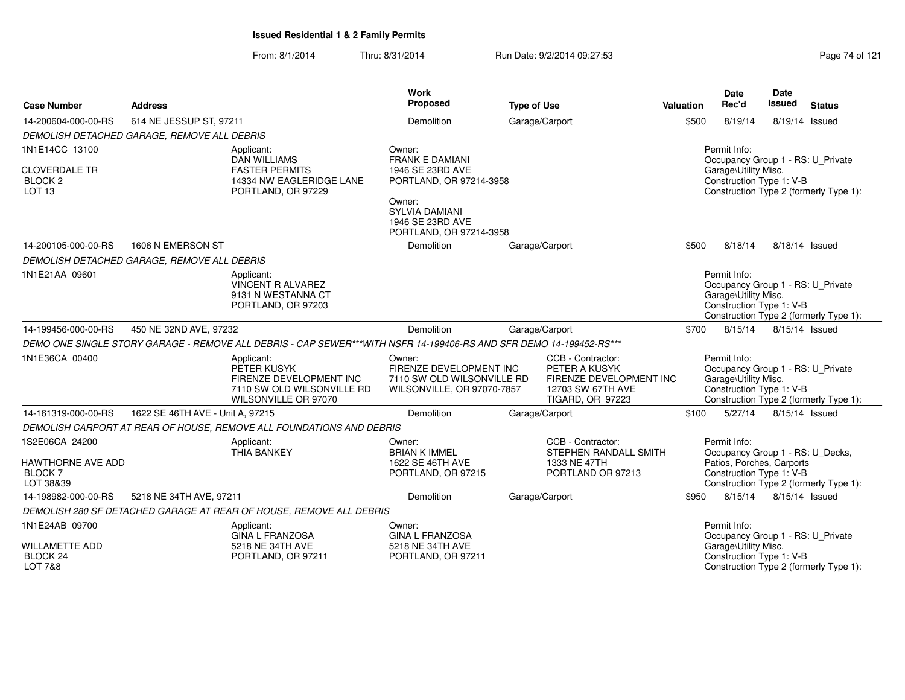| <b>Case Number</b>                                              | <b>Address</b>                              |                                                                                                                    | Work<br>Proposed                                                                              | <b>Type of Use</b> |                                                                                                               | Valuation | Date<br>Rec'd                                                                                         | Date<br><b>Issued</b> | <b>Status</b>                          |
|-----------------------------------------------------------------|---------------------------------------------|--------------------------------------------------------------------------------------------------------------------|-----------------------------------------------------------------------------------------------|--------------------|---------------------------------------------------------------------------------------------------------------|-----------|-------------------------------------------------------------------------------------------------------|-----------------------|----------------------------------------|
| 14-200604-000-00-RS                                             | 614 NE JESSUP ST, 97211                     |                                                                                                                    | Demolition                                                                                    |                    | Garage/Carport                                                                                                | \$500     | 8/19/14                                                                                               |                       | 8/19/14 Issued                         |
|                                                                 | DEMOLISH DETACHED GARAGE, REMOVE ALL DEBRIS |                                                                                                                    |                                                                                               |                    |                                                                                                               |           |                                                                                                       |                       |                                        |
| 1N1E14CC 13100                                                  |                                             | Applicant:<br><b>DAN WILLIAMS</b>                                                                                  | Owner:<br><b>FRANK E DAMIANI</b>                                                              |                    |                                                                                                               |           | Permit Info:<br>Occupancy Group 1 - RS: U_Private                                                     |                       |                                        |
| <b>CLOVERDALE TR</b><br>BLOCK <sub>2</sub><br>LOT <sub>13</sub> |                                             | <b>FASTER PERMITS</b><br>14334 NW EAGLERIDGE LANE<br>PORTLAND, OR 97229                                            | 1946 SE 23RD AVE<br>PORTLAND, OR 97214-3958                                                   |                    |                                                                                                               |           | Garage\Utility Misc.<br>Construction Type 1: V-B                                                      |                       | Construction Type 2 (formerly Type 1): |
|                                                                 |                                             |                                                                                                                    | Owner:<br><b>SYLVIA DAMIANI</b><br>1946 SE 23RD AVE<br>PORTLAND, OR 97214-3958                |                    |                                                                                                               |           |                                                                                                       |                       |                                        |
| 14-200105-000-00-RS                                             | 1606 N EMERSON ST                           |                                                                                                                    | Demolition                                                                                    |                    | Garage/Carport                                                                                                | \$500     | 8/18/14                                                                                               |                       | 8/18/14 Issued                         |
|                                                                 | DEMOLISH DETACHED GARAGE, REMOVE ALL DEBRIS |                                                                                                                    |                                                                                               |                    |                                                                                                               |           |                                                                                                       |                       |                                        |
| 1N1E21AA 09601                                                  |                                             | Applicant:<br><b>VINCENT R ALVAREZ</b><br>9131 N WESTANNA CT<br>PORTLAND, OR 97203                                 |                                                                                               |                    |                                                                                                               |           | Permit Info:<br>Occupancy Group 1 - RS: U_Private<br>Garage\Utility Misc.<br>Construction Type 1: V-B |                       | Construction Type 2 (formerly Type 1): |
| 14-199456-000-00-RS                                             | 450 NE 32ND AVE, 97232                      |                                                                                                                    | Demolition                                                                                    |                    | Garage/Carport                                                                                                | \$700     | 8/15/14                                                                                               | 8/15/14 Issued        |                                        |
|                                                                 |                                             | DEMO ONE SINGLE STORY GARAGE - REMOVE ALL DEBRIS - CAP SEWER***WITH NSFR 14-199406-RS AND SFR DEMO 14-199452-RS*** |                                                                                               |                    |                                                                                                               |           |                                                                                                       |                       |                                        |
| 1N1E36CA 00400                                                  |                                             | Applicant:<br>PETER KUSYK<br>FIRENZE DEVELOPMENT INC<br>7110 SW OLD WILSONVILLE RD<br>WILSONVILLE OR 97070         | Owner:<br>FIRENZE DEVELOPMENT INC<br>7110 SW OLD WILSONVILLE RD<br>WILSONVILLE, OR 97070-7857 |                    | CCB - Contractor:<br>PETER A KUSYK<br>FIRENZE DEVELOPMENT INC<br>12703 SW 67TH AVE<br><b>TIGARD, OR 97223</b> |           | Permit Info:<br>Occupancy Group 1 - RS: U_Private<br>Garage\Utility Misc.<br>Construction Type 1: V-B |                       | Construction Type 2 (formerly Type 1): |
| 14-161319-000-00-RS                                             | 1622 SE 46TH AVE - Unit A, 97215            |                                                                                                                    | Demolition                                                                                    |                    | Garage/Carport                                                                                                | \$100     | 5/27/14                                                                                               |                       | 8/15/14 Issued                         |
|                                                                 |                                             | DEMOLISH CARPORT AT REAR OF HOUSE, REMOVE ALL FOUNDATIONS AND DEBRIS                                               |                                                                                               |                    |                                                                                                               |           |                                                                                                       |                       |                                        |
| 1S2E06CA 24200                                                  |                                             | Applicant:<br><b>THIA BANKEY</b>                                                                                   | Owner:<br><b>BRIAN K IMMEL</b>                                                                |                    | CCB - Contractor:<br>STEPHEN RANDALL SMITH                                                                    |           | Permit Info:<br>Occupancy Group 1 - RS: U_Decks,                                                      |                       |                                        |
| HAWTHORNE AVE ADD<br><b>BLOCK7</b><br>LOT 38&39                 |                                             |                                                                                                                    | 1622 SE 46TH AVE<br>PORTLAND, OR 97215                                                        |                    | 1333 NE 47TH<br>PORTLAND OR 97213                                                                             |           | Patios, Porches, Carports<br>Construction Type 1: V-B                                                 |                       | Construction Type 2 (formerly Type 1): |
| 14-198982-000-00-RS                                             | 5218 NE 34TH AVE, 97211                     |                                                                                                                    | Demolition                                                                                    |                    | Garage/Carport                                                                                                | \$950     | 8/15/14                                                                                               | 8/15/14 Issued        |                                        |
|                                                                 |                                             | DEMOLISH 280 SF DETACHED GARAGE AT REAR OF HOUSE, REMOVE ALL DEBRIS                                                |                                                                                               |                    |                                                                                                               |           |                                                                                                       |                       |                                        |
| 1N1E24AB 09700                                                  |                                             | Applicant:<br><b>GINA L FRANZOSA</b>                                                                               | Owner:<br><b>GINA L FRANZOSA</b>                                                              |                    |                                                                                                               |           | Permit Info:<br>Occupancy Group 1 - RS: U_Private                                                     |                       |                                        |
| <b>WILLAMETTE ADD</b><br>BLOCK <sub>24</sub><br>LOT 7&8         |                                             | 5218 NE 34TH AVE<br>PORTLAND, OR 97211                                                                             | 5218 NE 34TH AVE<br>PORTLAND, OR 97211                                                        |                    |                                                                                                               |           | Garage\Utility Misc.<br>Construction Type 1: V-B                                                      |                       | Construction Type 2 (formerly Type 1): |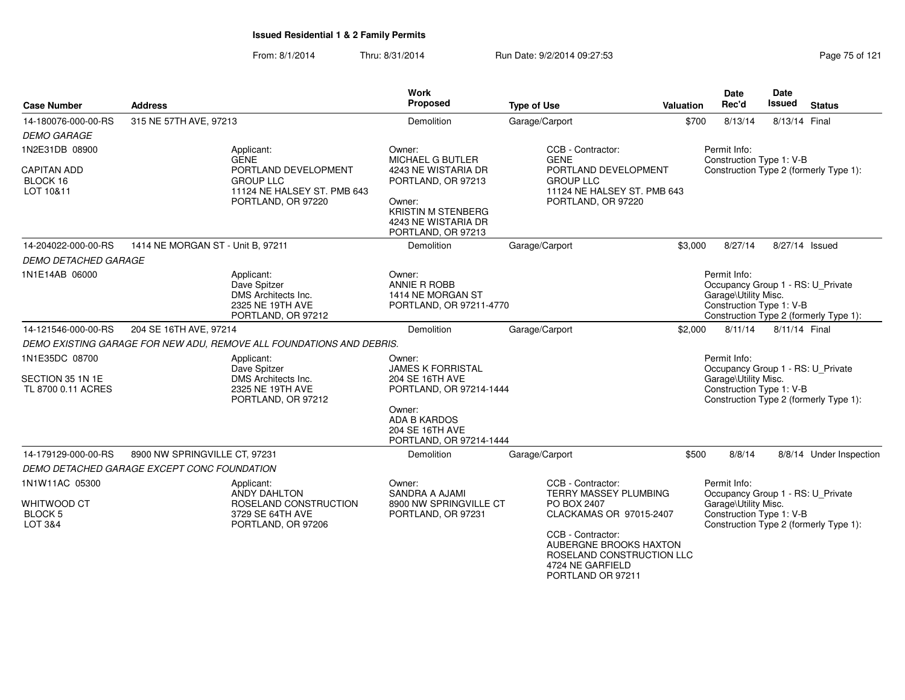| <b>Case Number</b>                                            | <b>Address</b>                              |                                                                                                                            | <b>Work</b><br>Proposed                                                                                                               | <b>Type of Use</b>                                                                                                                     | Valuation | Date<br>Rec'd                                                                                         | Date<br><b>Issued</b> | <b>Status</b>                          |
|---------------------------------------------------------------|---------------------------------------------|----------------------------------------------------------------------------------------------------------------------------|---------------------------------------------------------------------------------------------------------------------------------------|----------------------------------------------------------------------------------------------------------------------------------------|-----------|-------------------------------------------------------------------------------------------------------|-----------------------|----------------------------------------|
| 14-180076-000-00-RS                                           | 315 NE 57TH AVE, 97213                      |                                                                                                                            | Demolition                                                                                                                            | Garage/Carport                                                                                                                         | \$700     | 8/13/14                                                                                               | 8/13/14 Final         |                                        |
| <b>DEMO GARAGE</b>                                            |                                             |                                                                                                                            |                                                                                                                                       |                                                                                                                                        |           |                                                                                                       |                       |                                        |
| 1N2E31DB 08900<br><b>CAPITAN ADD</b><br>BLOCK 16<br>LOT 10&11 |                                             | Applicant:<br><b>GENE</b><br>PORTLAND DEVELOPMENT<br><b>GROUP LLC</b><br>11124 NE HALSEY ST. PMB 643<br>PORTLAND, OR 97220 | Owner:<br>MICHAEL G BUTLER<br>4243 NE WISTARIA DR<br>PORTLAND, OR 97213<br>Owner:<br><b>KRISTIN M STENBERG</b><br>4243 NE WISTARIA DR | CCB - Contractor:<br><b>GENE</b><br>PORTLAND DEVELOPMENT<br><b>GROUP LLC</b><br>11124 NE HALSEY ST. PMB 643<br>PORTLAND, OR 97220      |           | Permit Info:<br>Construction Type 1: V-B                                                              |                       | Construction Type 2 (formerly Type 1): |
|                                                               |                                             |                                                                                                                            | PORTLAND, OR 97213                                                                                                                    |                                                                                                                                        |           |                                                                                                       |                       |                                        |
| 14-204022-000-00-RS                                           | 1414 NE MORGAN ST - Unit B, 97211           |                                                                                                                            | Demolition                                                                                                                            | Garage/Carport                                                                                                                         | \$3,000   | 8/27/14                                                                                               |                       | 8/27/14 Issued                         |
| <b>DEMO DETACHED GARAGE</b>                                   |                                             |                                                                                                                            |                                                                                                                                       |                                                                                                                                        |           |                                                                                                       |                       |                                        |
| 1N1E14AB 06000                                                |                                             | Applicant:<br>Dave Spitzer<br>DMS Architects Inc.<br>2325 NE 19TH AVE<br>PORTLAND, OR 97212                                | Owner:<br>ANNIE R ROBB<br>1414 NE MORGAN ST<br>PORTLAND, OR 97211-4770                                                                |                                                                                                                                        |           | Permit Info:<br>Occupancy Group 1 - RS: U Private<br>Garage\Utility Misc.<br>Construction Type 1: V-B |                       | Construction Type 2 (formerly Type 1): |
| 14-121546-000-00-RS                                           | 204 SE 16TH AVE, 97214                      |                                                                                                                            | Demolition                                                                                                                            | Garage/Carport                                                                                                                         | \$2,000   | 8/11/14                                                                                               | 8/11/14 Final         |                                        |
|                                                               |                                             | DEMO EXISTING GARAGE FOR NEW ADU, REMOVE ALL FOUNDATIONS AND DEBRIS.                                                       |                                                                                                                                       |                                                                                                                                        |           |                                                                                                       |                       |                                        |
| 1N1E35DC 08700<br>SECTION 35 1N 1E                            |                                             | Applicant:<br>Dave Spitzer<br>DMS Architects Inc.                                                                          | Owner:<br><b>JAMES K FORRISTAL</b><br>204 SE 16TH AVE                                                                                 |                                                                                                                                        |           | Permit Info:<br>Occupancy Group 1 - RS: U_Private<br>Garage\Utility Misc.                             |                       |                                        |
| TL 8700 0.11 ACRES                                            |                                             | 2325 NE 19TH AVE<br>PORTLAND, OR 97212                                                                                     | PORTLAND, OR 97214-1444<br>Owner:<br><b>ADA B KARDOS</b><br>204 SE 16TH AVE<br>PORTLAND, OR 97214-1444                                |                                                                                                                                        |           | Construction Type 1: V-B                                                                              |                       | Construction Type 2 (formerly Type 1): |
| 14-179129-000-00-RS                                           | 8900 NW SPRINGVILLE CT, 97231               |                                                                                                                            | Demolition                                                                                                                            | Garage/Carport                                                                                                                         | \$500     | 8/8/14                                                                                                |                       | 8/8/14 Under Inspection                |
|                                                               | DEMO DETACHED GARAGE EXCEPT CONC FOUNDATION |                                                                                                                            |                                                                                                                                       |                                                                                                                                        |           |                                                                                                       |                       |                                        |
| 1N1W11AC 05300                                                |                                             | Applicant:<br>ANDY DAHLTON                                                                                                 | Owner:<br><b>SANDRA A AJAMI</b>                                                                                                       | CCB - Contractor:<br>TERRY MASSEY PLUMBING                                                                                             |           | Permit Info:<br>Occupancy Group 1 - RS: U_Private                                                     |                       |                                        |
| WHITWOOD CT<br><b>BLOCK 5</b><br>LOT 3&4                      |                                             | ROSELAND CONSTRUCTION<br>3729 SE 64TH AVE<br>PORTLAND, OR 97206                                                            | 8900 NW SPRINGVILLE CT<br>PORTLAND, OR 97231                                                                                          | PO BOX 2407<br>CLACKAMAS OR 97015-2407<br>CCB - Contractor:<br>AUBERGNE BROOKS HAXTON<br>ROSELAND CONSTRUCTION LLC<br>4724 NE GARFIELD |           | Garage\Utility Misc.<br>Construction Type 1: V-B                                                      |                       | Construction Type 2 (formerly Type 1): |
|                                                               |                                             |                                                                                                                            |                                                                                                                                       | PORTLAND OR 97211                                                                                                                      |           |                                                                                                       |                       |                                        |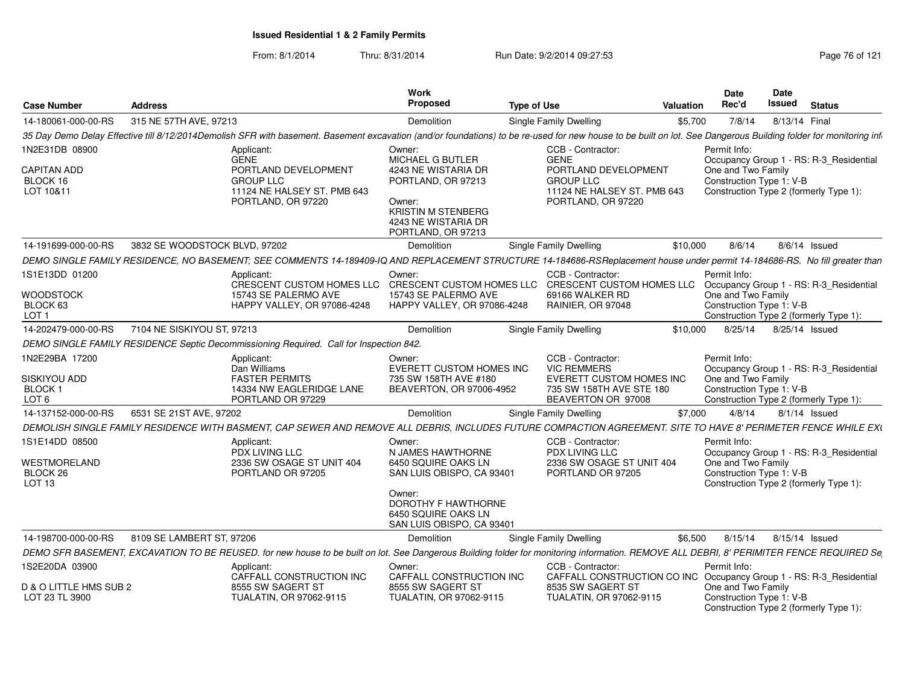| <b>Case Number</b>                                                  | <b>Address</b>                |                                                                                                                                                                                                                  | Work<br>Proposed                                                                                                                                  | <b>Type of Use</b>                                                                                                           | Valuation | <b>Date</b><br>Rec'd               | Date<br>Issued           | <b>Status</b>                                                                     |
|---------------------------------------------------------------------|-------------------------------|------------------------------------------------------------------------------------------------------------------------------------------------------------------------------------------------------------------|---------------------------------------------------------------------------------------------------------------------------------------------------|------------------------------------------------------------------------------------------------------------------------------|-----------|------------------------------------|--------------------------|-----------------------------------------------------------------------------------|
| 14-180061-000-00-RS                                                 | 315 NE 57TH AVE, 97213        |                                                                                                                                                                                                                  | Demolition                                                                                                                                        | <b>Single Family Dwelling</b>                                                                                                | \$5,700   | 7/8/14                             | 8/13/14 Final            |                                                                                   |
|                                                                     |                               | 35 Day Demo Delay Effective till 8/12/2014Demolish SFR with basement. Basement excavation (and/or foundations) to be re-used for new house to be built on lot. See Dangerous Building folder for monitoring infi |                                                                                                                                                   |                                                                                                                              |           |                                    |                          |                                                                                   |
| 1N2E31DB 08900                                                      |                               | Applicant:                                                                                                                                                                                                       | Owner:                                                                                                                                            | CCB - Contractor:                                                                                                            |           | Permit Info:                       |                          |                                                                                   |
| <b>CAPITAN ADD</b><br>BLOCK 16<br>LOT 10&11                         |                               | <b>GENE</b><br>PORTLAND DEVELOPMENT<br><b>GROUP LLC</b><br>11124 NE HALSEY ST. PMB 643<br>PORTLAND, OR 97220                                                                                                     | MICHAEL G BUTLER<br>4243 NE WISTARIA DR<br>PORTLAND, OR 97213<br>Owner:<br><b>KRISTIN M STENBERG</b><br>4243 NE WISTARIA DR<br>PORTLAND, OR 97213 | <b>GENE</b><br>PORTLAND DEVELOPMENT<br><b>GROUP LLC</b><br>11124 NE HALSEY ST. PMB 643<br>PORTLAND, OR 97220                 |           | One and Two Family                 | Construction Type 1: V-B | Occupancy Group 1 - RS: R-3_Residential<br>Construction Type 2 (formerly Type 1): |
| 14-191699-000-00-RS                                                 | 3832 SE WOODSTOCK BLVD, 97202 |                                                                                                                                                                                                                  | Demolition                                                                                                                                        | <b>Single Family Dwelling</b>                                                                                                | \$10,000  | 8/6/14                             | 8/6/14 Issued            |                                                                                   |
|                                                                     |                               | DEMO SINGLE FAMILY RESIDENCE, NO BASEMENT; SEE COMMENTS 14-189409-IQ AND REPLACEMENT STRUCTURE 14-184686-RSReplacement house under permit 14-184686-RS. No fill greater than                                     |                                                                                                                                                   |                                                                                                                              |           |                                    |                          |                                                                                   |
| 1S1E13DD 01200<br><b>WOODSTOCK</b><br>BLOCK 63<br>LOT <sub>1</sub>  |                               | Applicant:<br>CRESCENT CUSTOM HOMES LLC CRESCENT CUSTOM HOMES LLC CRESCENT CUSTOM HOMES LLC<br>15743 SE PALERMO AVE<br><b>HAPPY VALLEY, OR 97086-4248</b>                                                        | Owner:<br>15743 SE PALERMO AVE<br>HAPPY VALLEY, OR 97086-4248                                                                                     | CCB - Contractor:<br>69166 WALKER RD<br>RAINIER, OR 97048                                                                    |           | Permit Info:<br>One and Two Family | Construction Type 1: V-B | Occupancy Group 1 - RS: R-3_Residential<br>Construction Type 2 (formerly Type 1): |
| 14-202479-000-00-RS                                                 | 7104 NE SISKIYOU ST, 97213    |                                                                                                                                                                                                                  | Demolition                                                                                                                                        | <b>Single Family Dwelling</b>                                                                                                | \$10.000  | 8/25/14                            | 8/25/14 Issued           |                                                                                   |
|                                                                     |                               | DEMO SINGLE FAMILY RESIDENCE Septic Decommissioning Required. Call for Inspection 842.                                                                                                                           |                                                                                                                                                   |                                                                                                                              |           |                                    |                          |                                                                                   |
| 1N2E29BA 17200<br>SISKIYOU ADD<br><b>BLOCK1</b><br>LOT <sub>6</sub> |                               | Applicant:<br>Dan Williams<br><b>FASTER PERMITS</b><br>14334 NW EAGLERIDGE LANE<br>PORTLAND OR 97229                                                                                                             | Owner:<br>EVERETT CUSTOM HOMES INC<br>735 SW 158TH AVE #180<br>BEAVERTON, OR 97006-4952                                                           | CCB - Contractor:<br><b>VIC REMMERS</b><br><b>EVERETT CUSTOM HOMES INC</b><br>735 SW 158TH AVE STE 180<br>BEAVERTON OR 97008 |           | Permit Info:<br>One and Two Family | Construction Type 1: V-B | Occupancy Group 1 - RS: R-3_Residential<br>Construction Type 2 (formerly Type 1): |
| 14-137152-000-00-RS                                                 | 6531 SE 21ST AVE, 97202       |                                                                                                                                                                                                                  | Demolition                                                                                                                                        | Single Family Dwelling                                                                                                       | \$7.000   | 4/8/14                             |                          | $8/1/14$ Issued                                                                   |
| DEMOLISH SINGLE FAMILY RESIDENCE WITH                               |                               | BASMENT. CAP SEWER AND REMOVE ALL DEBRIS. INCLUDES FUTURE COMPACTION AGREEMENT. SITE TO HAVE 8' PERIMETER FENCE WHILE EXC                                                                                        |                                                                                                                                                   |                                                                                                                              |           |                                    |                          |                                                                                   |
| 1S1E14DD 08500                                                      |                               | Applicant:                                                                                                                                                                                                       | Owner:                                                                                                                                            | CCB - Contractor:                                                                                                            |           | Permit Info:                       |                          |                                                                                   |
| WESTMORELAND<br>BLOCK 26<br>LOT 13                                  |                               | PDX LIVING LLC<br>2336 SW OSAGE ST UNIT 404<br>PORTLAND OR 97205                                                                                                                                                 | N JAMES HAWTHORNE<br>6450 SQUIRE OAKS LN<br>SAN LUIS OBISPO, CA 93401                                                                             | PDX LIVING LLC<br>2336 SW OSAGE ST UNIT 404<br>PORTLAND OR 97205                                                             |           | One and Two Family                 | Construction Type 1: V-B | Occupancy Group 1 - RS: R-3_Residential<br>Construction Type 2 (formerly Type 1): |
|                                                                     |                               |                                                                                                                                                                                                                  | Owner:<br>DOROTHY F HAWTHORNE<br>6450 SQUIRE OAKS LN<br>SAN LUIS OBISPO, CA 93401                                                                 |                                                                                                                              |           |                                    |                          |                                                                                   |
| 14-198700-000-00-RS                                                 | 8109 SE LAMBERT ST, 97206     |                                                                                                                                                                                                                  | Demolition                                                                                                                                        | Single Family Dwelling                                                                                                       | \$6,500   | 8/15/14                            | 8/15/14 Issued           |                                                                                   |
|                                                                     |                               | DEMO SFR BASEMENT, EXCAVATION TO BE REUSED. for new house to be built on lot. See Dangerous Building folder for monitoring information. REMOVE ALL DEBRI, 8' PERIMITER FENCE REQUIRED Se                         |                                                                                                                                                   |                                                                                                                              |           |                                    |                          |                                                                                   |
| 1S2E20DA 03900                                                      |                               | Applicant:                                                                                                                                                                                                       | Owner:                                                                                                                                            | CCB - Contractor:                                                                                                            |           | Permit Info:                       |                          |                                                                                   |
| D & O LITTLE HMS SUB 2<br>LOT 23 TL 3900                            |                               | CAFFALL CONSTRUCTION INC<br>8555 SW SAGERT ST<br>TUALATIN, OR 97062-9115                                                                                                                                         | CAFFALL CONSTRUCTION INC<br>8555 SW SAGERT ST<br>TUALATIN, OR 97062-9115                                                                          | CAFFALL CONSTRUCTION CO INC Occupancy Group 1 - RS: R-3 Residential<br>8535 SW SAGERT ST<br>TUALATIN, OR 97062-9115          |           | One and Two Family                 | Construction Type 1: V-B | Construction Type 2 (formerly Type 1):                                            |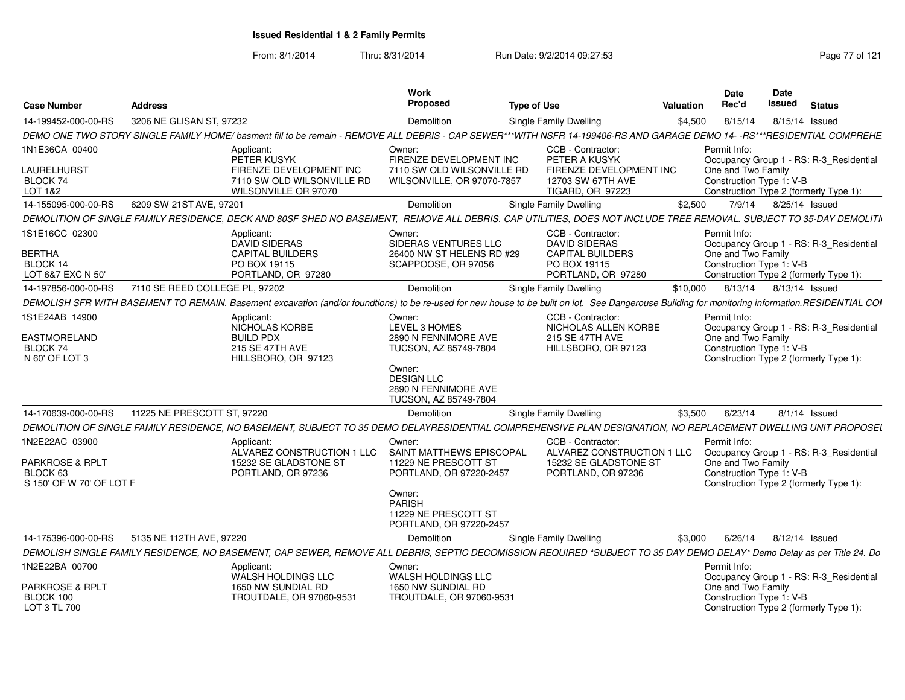From: 8/1/2014

Thru: 8/31/2014 Run Date: 9/2/2014 09:27:53 Research 2012 121

| <b>Case Number</b>                                                        | <b>Address</b>                 |                                                                                                                                                                                                  | Work<br>Proposed                                                                                                                                         | <b>Type of Use</b>                                                                                            | Valuation | <b>Date</b><br>Rec'd                                           | <b>Date</b><br>Issued | <b>Status</b>                                                                     |
|---------------------------------------------------------------------------|--------------------------------|--------------------------------------------------------------------------------------------------------------------------------------------------------------------------------------------------|----------------------------------------------------------------------------------------------------------------------------------------------------------|---------------------------------------------------------------------------------------------------------------|-----------|----------------------------------------------------------------|-----------------------|-----------------------------------------------------------------------------------|
| 14-199452-000-00-RS                                                       | 3206 NE GLISAN ST. 97232       |                                                                                                                                                                                                  | Demolition                                                                                                                                               | Single Family Dwelling                                                                                        | \$4,500   | 8/15/14                                                        |                       | 8/15/14 Issued                                                                    |
|                                                                           |                                | DEMO ONE TWO STORY SINGLE FAMILY HOME/ basment fill to be remain - REMOVE ALL DEBRIS - CAP SEWER***WITH NSFR 14-199406-RS AND GARAGE DEMO 14--RS*                                                |                                                                                                                                                          |                                                                                                               |           |                                                                |                       | **RESIDENTIAL COMPREHE                                                            |
| 1N1E36CA 00400<br><b>LAURELHURST</b><br>BLOCK 74<br>LOT 1&2               |                                | Applicant:<br>PETER KUSYK<br>FIRENZE DEVELOPMENT INC<br>7110 SW OLD WILSONVILLE RD<br>WILSONVILLE OR 97070                                                                                       | Owner:<br>FIRENZE DEVELOPMENT INC<br>7110 SW OLD WILSONVILLE RD<br>WILSONVILLE, OR 97070-7857                                                            | CCB - Contractor:<br>PETER A KUSYK<br>FIRENZE DEVELOPMENT INC<br>12703 SW 67TH AVE<br><b>TIGARD, OR 97223</b> |           | Permit Info:<br>One and Two Family<br>Construction Type 1: V-B |                       | Occupancy Group 1 - RS: R-3_Residential<br>Construction Type 2 (formerly Type 1): |
| 14-155095-000-00-RS                                                       | 6209 SW 21ST AVE, 97201        |                                                                                                                                                                                                  | Demolition                                                                                                                                               | Single Family Dwelling                                                                                        | \$2,500   | 7/9/14                                                         |                       | 8/25/14 Issued                                                                    |
|                                                                           |                                | DEMOLITION OF SINGLE FAMILY RESIDENCE, DECK AND 80SF SHED NO BASEMENT                                                                                                                            |                                                                                                                                                          | REMOVE ALL DEBRIS. CAP UTILITIES, DOES NOT INCLUDE TREE REMOVAL. SUBJECT TO 35-DAY DEMOLITI                   |           |                                                                |                       |                                                                                   |
| 1S1E16CC 02300<br><b>BERTHA</b><br>BLOCK 14<br>LOT 6&7 EXC N 50'          |                                | Applicant:<br>DAVID SIDERAS<br><b>CAPITAL BUILDERS</b><br>PO BOX 19115<br>PORTLAND, OR 97280                                                                                                     | Owner:<br>SIDERAS VENTURES LLC<br>26400 NW ST HELENS RD #29<br>SCAPPOOSE, OR 97056                                                                       | CCB - Contractor:<br><b>DAVID SIDERAS</b><br><b>CAPITAL BUILDERS</b><br>PO BOX 19115<br>PORTLAND, OR 97280    |           | Permit Info:<br>One and Two Family<br>Construction Type 1: V-B |                       | Occupancy Group 1 - RS: R-3 Residential<br>Construction Type 2 (formerly Type 1): |
| 14-197856-000-00-RS                                                       | 7110 SE REED COLLEGE PL, 97202 |                                                                                                                                                                                                  | Demolition                                                                                                                                               | <b>Single Family Dwelling</b>                                                                                 | \$10,000  |                                                                |                       | 8/13/14 8/13/14 Issued                                                            |
|                                                                           |                                | DEMOLISH SFR WITH BASEMENT TO REMAIN. Basement excavation (and/or foundtions) to be re-used for new house to be built on lot. See Dangerouse Building for monitoring information.RESIDENTIAL COI |                                                                                                                                                          |                                                                                                               |           |                                                                |                       |                                                                                   |
| 1S1E24AB 14900<br><b>EASTMORELAND</b><br>BLOCK 74<br>N 60' OF LOT 3       |                                | Applicant:<br>NICHOLAS KORBE<br><b>BUILD PDX</b><br>215 SE 47TH AVE<br>HILLSBORO, OR 97123                                                                                                       | Owner:<br>LEVEL 3 HOMES<br>2890 N FENNIMORE AVE<br>TUCSON, AZ 85749-7804<br>Owner:<br><b>DESIGN LLC</b><br>2890 N FENNIMORE AVE<br>TUCSON, AZ 85749-7804 | CCB - Contractor:<br>NICHOLAS ALLEN KORBE<br>215 SE 47TH AVE<br>HILLSBORO, OR 97123                           |           | Permit Info:<br>One and Two Family<br>Construction Type 1: V-B |                       | Occupancy Group 1 - RS: R-3_Residential<br>Construction Type 2 (formerly Type 1): |
| 14-170639-000-00-RS                                                       | 11225 NE PRESCOTT ST, 97220    |                                                                                                                                                                                                  | Demolition                                                                                                                                               | <b>Single Family Dwelling</b>                                                                                 | \$3,500   | 6/23/14                                                        |                       | 8/1/14 Issued                                                                     |
|                                                                           |                                | DEMOLITION OF SINGLE FAMILY RESIDENCE. NO BASEMENT, SUBJECT TO 35 DEMO DELAYRESIDENTIAL COMPREHENSIVE PLAN DESIGNATION. NO REPLACEMENT DWELLING UNIT PROPOSEL                                    |                                                                                                                                                          |                                                                                                               |           |                                                                |                       |                                                                                   |
| 1N2E22AC 03900<br>PARKROSE & RPLT<br>BLOCK 63<br>S 150' OF W 70' OF LOT F |                                | Applicant:<br>ALVAREZ CONSTRUCTION 1 LLC<br>15232 SE GLADSTONE ST<br>PORTLAND, OR 97236                                                                                                          | Owner:<br>SAINT MATTHEWS EPISCOPAL<br>11229 NE PRESCOTT ST<br>PORTLAND, OR 97220-2457<br>Owner:<br>PARISH<br>11229 NE PRESCOTT ST                        | CCB - Contractor<br>ALVAREZ CONSTRUCTION 1 LLC<br>15232 SE GLADSTONE ST<br>PORTLAND, OR 97236                 |           | Permit Info:<br>One and Two Family<br>Construction Type 1: V-B |                       | Occupancy Group 1 - RS: R-3_Residential<br>Construction Type 2 (formerly Type 1): |
| 14-175396-000-00-RS                                                       | 5135 NE 112TH AVE, 97220       |                                                                                                                                                                                                  | PORTLAND, OR 97220-2457<br>Demolition                                                                                                                    | Single Family Dwelling                                                                                        | \$3,000   | 6/26/14                                                        |                       | 8/12/14 Issued                                                                    |
|                                                                           |                                | DEMOLISH SINGLE FAMILY RESIDENCE, NO BASEMENT, CAP SEWER, REMOVE ALL DEBRIS, SEPTIC DECOMISSION REQUIRED *SUBJECT TO 35 DAY DEMO DELAY* Demo Delay as per Title 24. Do                           |                                                                                                                                                          |                                                                                                               |           |                                                                |                       |                                                                                   |
| 1N2E22BA 00700                                                            |                                | Applicant:                                                                                                                                                                                       | Owner:                                                                                                                                                   |                                                                                                               |           | Permit Info:                                                   |                       |                                                                                   |
| PARKROSE & RPLT<br>BLOCK 100<br>LOT 3 TL 700                              |                                | WALSH HOLDINGS LLC<br>1650 NW SUNDIAL RD<br>TROUTDALE, OR 97060-953                                                                                                                              | WALSH HOLDINGS LLC<br>1650 NW SUNDIAL RD<br>TROUTDALE, OR 97060-9531                                                                                     |                                                                                                               |           | One and Two Family<br>Construction Type 1: V-B                 |                       | Occupancy Group 1 - RS: R-3 Residential<br>Construction Type 2 (formerly Type 1): |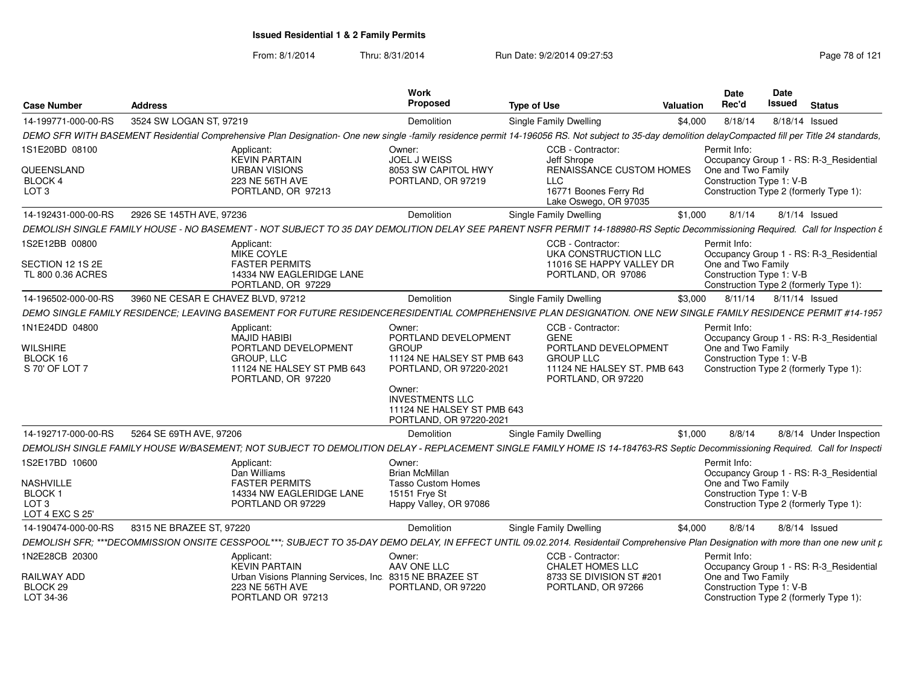From: 8/1/2014

Thru: 8/31/2014 Run Date: 9/2/2014 09:27:53 Research 2012 121

| <b>Case Number</b>                            | <b>Address</b>                     |                                                                                                                                                                                                       | Work<br><b>Proposed</b>                                                                   | <b>Type of Use</b> |                                                                                               | <b>Valuation</b> | Date<br>Rec'd                                  | Date<br>Issued | <b>Status</b>                           |
|-----------------------------------------------|------------------------------------|-------------------------------------------------------------------------------------------------------------------------------------------------------------------------------------------------------|-------------------------------------------------------------------------------------------|--------------------|-----------------------------------------------------------------------------------------------|------------------|------------------------------------------------|----------------|-----------------------------------------|
| 14-199771-000-00-RS                           | 3524 SW LOGAN ST, 97219            |                                                                                                                                                                                                       | Demolition                                                                                |                    | Single Family Dwelling                                                                        | \$4,000          | 8/18/14                                        |                | 8/18/14 Issued                          |
|                                               |                                    | DEMO SFR WITH BASEMENT Residential Comprehensive Plan Designation- One new single -family residence permit 14-196056 RS. Not subject to 35-day demolition delayCompacted fill per Title 24 standards, |                                                                                           |                    |                                                                                               |                  |                                                |                |                                         |
| 1S1E20BD 08100                                |                                    | Applicant:<br><b>KEVIN PARTAIN</b>                                                                                                                                                                    | Owner:<br>JOEL J WEISS                                                                    |                    | CCB - Contractor:<br>Jeff Shrope                                                              |                  | Permit Info:                                   |                | Occupancy Group 1 - RS: R-3 Residential |
| QUEENSLAND<br>BLOCK 4<br>LOT <sub>3</sub>     |                                    | <b>URBAN VISIONS</b><br>223 NE 56TH AVE<br>PORTLAND, OR 97213                                                                                                                                         | 8053 SW CAPITOL HWY<br>PORTLAND, OR 97219                                                 |                    | RENAISSANCE CUSTOM HOMES<br>LLC<br>16771 Boones Ferry Rd<br>Lake Oswego, OR 97035             |                  | One and Two Family<br>Construction Type 1: V-B |                | Construction Type 2 (formerly Type 1):  |
| 14-192431-000-00-RS                           | 2926 SE 145TH AVE, 97236           |                                                                                                                                                                                                       | Demolition                                                                                |                    | Single Family Dwelling                                                                        | \$1,000          | 8/1/14                                         |                | $8/1/14$ Issued                         |
|                                               |                                    | DEMOLISH SINGLE FAMILY HOUSE - NO BASEMENT - NOT SUBJECT TO 35 DAY DEMOLITION DELAY SEE PARENT NSFR PERMIT 14-188980-RS Septic Decommissioning Required. Call for Inspection &                        |                                                                                           |                    |                                                                                               |                  |                                                |                |                                         |
| 1S2E12BB 00800                                |                                    | Applicant:<br>MIKE COYLE                                                                                                                                                                              |                                                                                           |                    | CCB - Contractor:<br>UKA CONSTRUCTION LLC                                                     |                  | Permit Info:                                   |                | Occupancy Group 1 - RS: R-3_Residential |
| SECTION 12 1S 2E<br>TL 800 0.36 ACRES         |                                    | <b>FASTER PERMITS</b><br>14334 NW EAGLERIDGE LANE<br>PORTLAND, OR 97229                                                                                                                               |                                                                                           |                    | 11016 SE HAPPY VALLEY DR<br>PORTLAND, OR 97086                                                |                  | One and Two Family<br>Construction Type 1: V-B |                | Construction Type 2 (formerly Type 1):  |
| 14-196502-000-00-RS                           | 3960 NE CESAR E CHAVEZ BLVD, 97212 |                                                                                                                                                                                                       | Demolition                                                                                |                    | Single Family Dwelling                                                                        | \$3,000          | 8/11/14                                        |                | 8/11/14 Issued                          |
|                                               |                                    | DEMO SINGLE FAMILY RESIDENCE; LEAVING BASEMENT FOR FUTURE RESIDENCERESIDENTIAL COMPREHENSIVE PLAN DESIGNATION. ONE NEW SINGLE FAMILY RESIDENCE PERMIT #14-1957                                        |                                                                                           |                    |                                                                                               |                  |                                                |                |                                         |
| 1N1E24DD 04800                                |                                    | Applicant:<br><b>MAJID HABIBI</b>                                                                                                                                                                     | Owner:<br>PORTLAND DEVELOPMENT                                                            |                    | CCB - Contractor:<br><b>GENE</b>                                                              |                  | Permit Info:                                   |                | Occupancy Group 1 - RS: R-3_Residential |
| <b>WILSHIRE</b><br>BLOCK 16<br>S 70' OF LOT 7 |                                    | PORTLAND DEVELOPMENT<br>GROUP, LLC<br>11124 NE HALSEY ST PMB 643<br>PORTLAND, OR 97220                                                                                                                | <b>GROUP</b><br>11124 NE HALSEY ST PMB 643<br>PORTLAND, OR 97220-2021                     |                    | PORTLAND DEVELOPMENT<br><b>GROUP LLC</b><br>11124 NE HALSEY ST. PMB 643<br>PORTLAND, OR 97220 |                  | One and Two Family<br>Construction Type 1: V-B |                | Construction Type 2 (formerly Type 1):  |
|                                               |                                    |                                                                                                                                                                                                       | Owner:<br><b>INVESTMENTS LLC</b><br>11124 NE HALSEY ST PMB 643<br>PORTLAND, OR 97220-2021 |                    |                                                                                               |                  |                                                |                |                                         |
| 14-192717-000-00-RS                           | 5264 SE 69TH AVE, 97206            |                                                                                                                                                                                                       | Demolition                                                                                |                    | Single Family Dwelling                                                                        | \$1,000          | 8/8/14                                         |                | 8/8/14 Under Inspection                 |
|                                               |                                    | DEMOLISH SINGLE FAMILY HOUSE W/BASEMENT; NOT SUBJECT TO DEMOLITION DELAY - REPLACEMENT SINGLE FAMILY HOME IS 14-184763-RS Septic Decommissioning Required. Call for Inspecti                          |                                                                                           |                    |                                                                                               |                  |                                                |                |                                         |
| 1S2E17BD 10600                                |                                    | Applicant:<br>Dan Williams                                                                                                                                                                            | Owner:<br><b>Brian McMillan</b>                                                           |                    |                                                                                               |                  | Permit Info:                                   |                | Occupancy Group 1 - RS: R-3_Residential |
| <b>NASHVILLE</b>                              |                                    | <b>FASTER PERMITS</b>                                                                                                                                                                                 | <b>Tasso Custom Homes</b>                                                                 |                    |                                                                                               |                  | One and Two Family                             |                |                                         |
| BLOCK 1<br>LOT <sub>3</sub>                   |                                    | 14334 NW EAGLERIDGE LANE<br>PORTLAND OR 97229                                                                                                                                                         | 15151 Frye St<br>Happy Valley, OR 97086                                                   |                    |                                                                                               |                  | Construction Type 1: V-B                       |                | Construction Type 2 (formerly Type 1):  |
| LOT 4 EXC S 25'                               |                                    |                                                                                                                                                                                                       |                                                                                           |                    |                                                                                               |                  |                                                |                |                                         |
| 14-190474-000-00-RS                           | 8315 NE BRAZEE ST, 97220           |                                                                                                                                                                                                       | Demolition                                                                                |                    | Single Family Dwelling                                                                        | \$4,000          | 8/8/14                                         |                | $8/8/14$ Issued                         |
|                                               |                                    | DEMOLISH SFR; ***DECOMMISSION ONSITE CESSPOOL***; SUBJECT TO 35-DAY DEMO DELAY, IN EFFECT UNTIL 09.02.2014. Residentail Comprehensive Plan Designation with more than one new unit p                  |                                                                                           |                    |                                                                                               |                  |                                                |                |                                         |
| 1N2E28CB 20300                                |                                    | Applicant:<br><b>KEVIN PARTAIN</b>                                                                                                                                                                    | Owner:<br>AAV ONE LLC                                                                     |                    | CCB - Contractor:<br><b>CHALET HOMES LLC</b>                                                  |                  | Permit Info:                                   |                | Occupancy Group 1 - RS: R-3_Residential |
| RAILWAY ADD<br>BLOCK 29                       |                                    | Urban Visions Planning Services, Inc. 8315 NE BRAZEE ST<br>223 NE 56TH AVE                                                                                                                            | PORTLAND, OR 97220                                                                        |                    | 8733 SE DIVISION ST #201<br>PORTLAND, OR 97266                                                |                  | One and Two Family<br>Construction Type 1: V-B |                |                                         |
| LOT 34-36                                     |                                    | PORTLAND OR 97213                                                                                                                                                                                     |                                                                                           |                    |                                                                                               |                  |                                                |                | Construction Type 2 (formerly Type 1):  |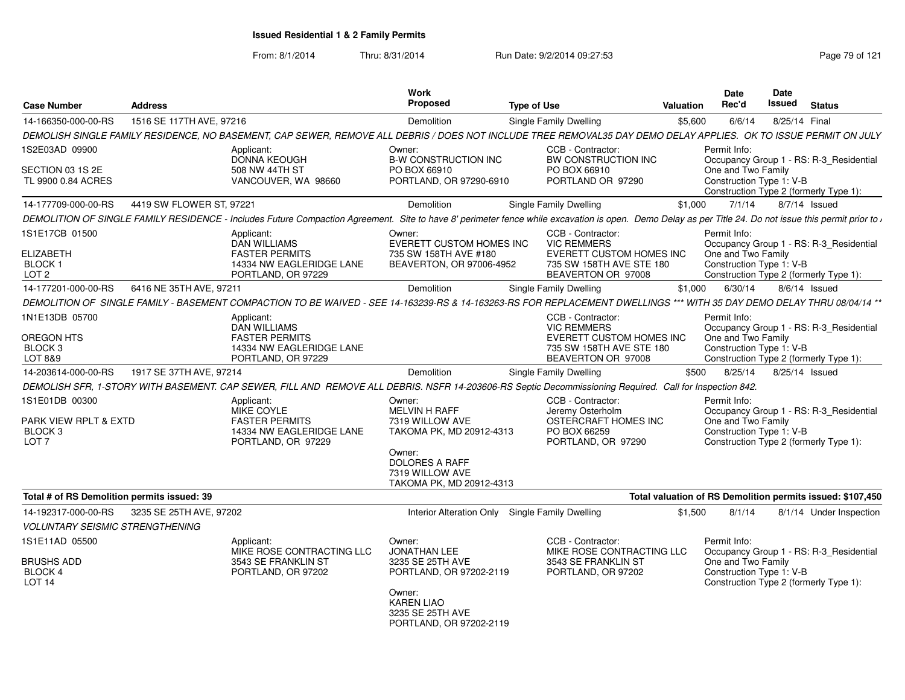| <b>Case Number</b>                                       | <b>Address</b>           |                                                                                        | <b>Work</b><br><b>Proposed</b>                                                                         | <b>Type of Use</b>                                                                                                                                                                                      | Valuation | Date<br>Rec'd                                                  | <b>Date</b><br><b>Issued</b> | <b>Status</b>                                                                     |
|----------------------------------------------------------|--------------------------|----------------------------------------------------------------------------------------|--------------------------------------------------------------------------------------------------------|---------------------------------------------------------------------------------------------------------------------------------------------------------------------------------------------------------|-----------|----------------------------------------------------------------|------------------------------|-----------------------------------------------------------------------------------|
| 14-166350-000-00-RS                                      | 1516 SE 117TH AVE, 97216 |                                                                                        | Demolition                                                                                             | Single Family Dwelling                                                                                                                                                                                  | \$5,600   | 6/6/14                                                         | 8/25/14 Final                |                                                                                   |
|                                                          |                          |                                                                                        |                                                                                                        | DEMOLISH SINGLE FAMILY RESIDENCE, NO BASEMENT, CAP SEWER, REMOVE ALL DEBRIS / DOES NOT INCLUDE TREE REMOVAL35 DAY DEMO DELAY APPLIES. OK TO ISSUE PERMIT ON JULY                                        |           |                                                                |                              |                                                                                   |
| 1S2E03AD 09900                                           |                          | Applicant:                                                                             | Owner:                                                                                                 | CCB - Contractor:                                                                                                                                                                                       |           | Permit Info:                                                   |                              |                                                                                   |
| SECTION 03 1S 2E                                         |                          | DONNA KEOUGH<br>508 NW 44TH ST                                                         | <b>B-W CONSTRUCTION INC</b><br>PO BOX 66910                                                            | BW CONSTRUCTION INC<br>PO BOX 66910                                                                                                                                                                     |           | One and Two Family                                             |                              | Occupancy Group 1 - RS: R-3_Residential                                           |
| TL 9900 0.84 ACRES                                       |                          | VANCOUVER, WA 98660                                                                    | PORTLAND, OR 97290-6910                                                                                | PORTLAND OR 97290                                                                                                                                                                                       |           | Construction Type 1: V-B                                       |                              | Construction Type 2 (formerly Type 1):                                            |
| 14-177709-000-00-RS                                      | 4419 SW FLOWER ST, 97221 |                                                                                        | Demolition                                                                                             | Single Family Dwelling                                                                                                                                                                                  | \$1,000   | 7/1/14                                                         |                              | 8/7/14 Issued                                                                     |
|                                                          |                          |                                                                                        |                                                                                                        | DEMOLITION OF SINGLE FAMILY RESIDENCE - Includes Future Compaction Agreement. Site to have 8' perimeter fence while excavation is open. Demo Delay as per Title 24. Do not issue this permit prior to , |           |                                                                |                              |                                                                                   |
| 1S1E17CB 01500<br><b>ELIZABETH</b><br>BLOCK <sub>1</sub> |                          | Applicant:<br><b>DAN WILLIAMS</b><br><b>FASTER PERMITS</b><br>14334 NW EAGLERIDGE LANE | Owner:<br>EVERETT CUSTOM HOMES INC<br>735 SW 158TH AVE #180<br>BEAVERTON, OR 97006-4952                | CCB - Contractor:<br><b>VIC REMMERS</b><br><b>EVERETT CUSTOM HOMES INC</b><br>735 SW 158TH AVE STE 180                                                                                                  |           | Permit Info:<br>One and Two Family<br>Construction Type 1: V-B |                              | Occupancy Group 1 - RS: R-3 Residential                                           |
| LOT <sub>2</sub>                                         |                          | PORTLAND, OR 97229                                                                     |                                                                                                        | BEAVERTON OR 97008                                                                                                                                                                                      |           |                                                                |                              | Construction Type 2 (formerly Type 1):                                            |
| 14-177201-000-00-RS                                      | 6416 NE 35TH AVE, 97211  |                                                                                        | Demolition                                                                                             | Single Family Dwelling                                                                                                                                                                                  | \$1,000   | 6/30/14                                                        |                              | 8/6/14 Issued                                                                     |
|                                                          |                          |                                                                                        |                                                                                                        | DEMOLITION OF SINGLE FAMILY - BASEMENT COMPACTION TO BE WAIVED - SEE 14-163239-RS & 14-163263-RS FOR REPLACEMENT DWELLINGS *** WITH 35 DAY DEMO DELAY THRU 08/04/14 **                                  |           |                                                                |                              |                                                                                   |
| 1N1E13DB 05700                                           |                          | Applicant:<br><b>DAN WILLIAMS</b>                                                      |                                                                                                        | CCB - Contractor:<br><b>VIC REMMERS</b>                                                                                                                                                                 |           | Permit Info:                                                   |                              | Occupancy Group 1 - RS: R-3_Residential                                           |
| <b>OREGON HTS</b>                                        |                          | <b>FASTER PERMITS</b>                                                                  |                                                                                                        | EVERETT CUSTOM HOMES INC                                                                                                                                                                                |           | One and Two Family                                             |                              |                                                                                   |
| BLOCK 3<br>LOT 8&9                                       |                          | 14334 NW EAGLERIDGE LANE<br>PORTLAND, OR 97229                                         |                                                                                                        | 735 SW 158TH AVE STE 180<br>BEAVERTON OR 97008                                                                                                                                                          |           | Construction Type 1: V-B                                       |                              | Construction Type 2 (formerly Type 1):                                            |
| 14-203614-000-00-RS                                      | 1917 SE 37TH AVE, 97214  |                                                                                        | Demolition                                                                                             | <b>Single Family Dwelling</b>                                                                                                                                                                           | \$500     | 8/25/14                                                        | 8/25/14 Issued               |                                                                                   |
|                                                          |                          |                                                                                        |                                                                                                        | DEMOLISH SFR, 1-STORY WITH BASEMENT. CAP SEWER, FILL AND REMOVE ALL DEBRIS. NSFR 14-203606-RS Septic Decommissioning Required. Call for Inspection 842.                                                 |           |                                                                |                              |                                                                                   |
| 1S1E01DB 00300                                           |                          | Applicant:                                                                             | Owner:                                                                                                 | CCB - Contractor:                                                                                                                                                                                       |           | Permit Info:                                                   |                              |                                                                                   |
| PARK VIEW RPLT & EXTD<br>BLOCK 3<br>LOT <sub>7</sub>     |                          | MIKE COYLE<br><b>FASTER PERMITS</b><br>14334 NW EAGLERIDGE LANE<br>PORTLAND, OR 97229  | <b>MELVIN H RAFF</b><br>7319 WILLOW AVE<br>TAKOMA PK, MD 20912-4313<br>Owner:<br><b>DOLORES A RAFF</b> | Jeremy Osterholm<br>OSTERCRAFT HOMES INC<br>PO BOX 66259<br>PORTLAND, OR 97290                                                                                                                          |           | One and Two Family<br>Construction Type 1: V-B                 |                              | Occupancy Group 1 - RS: R-3 Residential<br>Construction Type 2 (formerly Type 1): |
|                                                          |                          |                                                                                        | 7319 WILLOW AVE<br>TAKOMA PK, MD 20912-4313                                                            |                                                                                                                                                                                                         |           |                                                                |                              |                                                                                   |
| Total # of RS Demolition permits issued: 39              |                          |                                                                                        |                                                                                                        |                                                                                                                                                                                                         |           |                                                                |                              | Total valuation of RS Demolition permits issued: \$107,450                        |
| 14-192317-000-00-RS                                      | 3235 SE 25TH AVE, 97202  |                                                                                        | Interior Alteration Only                                                                               | <b>Single Family Dwelling</b>                                                                                                                                                                           | \$1,500   | 8/1/14                                                         |                              | 8/1/14 Under Inspection                                                           |
| <b>VOLUNTARY SEISMIC STRENGTHENING</b>                   |                          |                                                                                        |                                                                                                        |                                                                                                                                                                                                         |           |                                                                |                              |                                                                                   |
| 1S1E11AD 05500                                           |                          | Applicant:<br>MIKE ROSE CONTRACTING LLC                                                | Owner:<br><b>JONATHAN LEE</b>                                                                          | CCB - Contractor:<br>MIKE ROSE CONTRACTING LLC                                                                                                                                                          |           | Permit Info:                                                   |                              | Occupancy Group 1 - RS: R-3 Residential                                           |
| <b>BRUSHS ADD</b><br>BLOCK 4<br>LOT <sub>14</sub>        |                          | 3543 SE FRANKLIN ST<br>PORTLAND, OR 97202                                              | 3235 SE 25TH AVE<br>PORTLAND, OR 97202-2119                                                            | 3543 SE FRANKLIN ST<br>PORTLAND, OR 97202                                                                                                                                                               |           | One and Two Family<br>Construction Type 1: V-B                 |                              | Construction Type 2 (formerly Type 1):                                            |
|                                                          |                          |                                                                                        | Owner:<br><b>KAREN LIAO</b><br>3235 SE 25TH AVE<br>PORTLAND, OR 97202-2119                             |                                                                                                                                                                                                         |           |                                                                |                              |                                                                                   |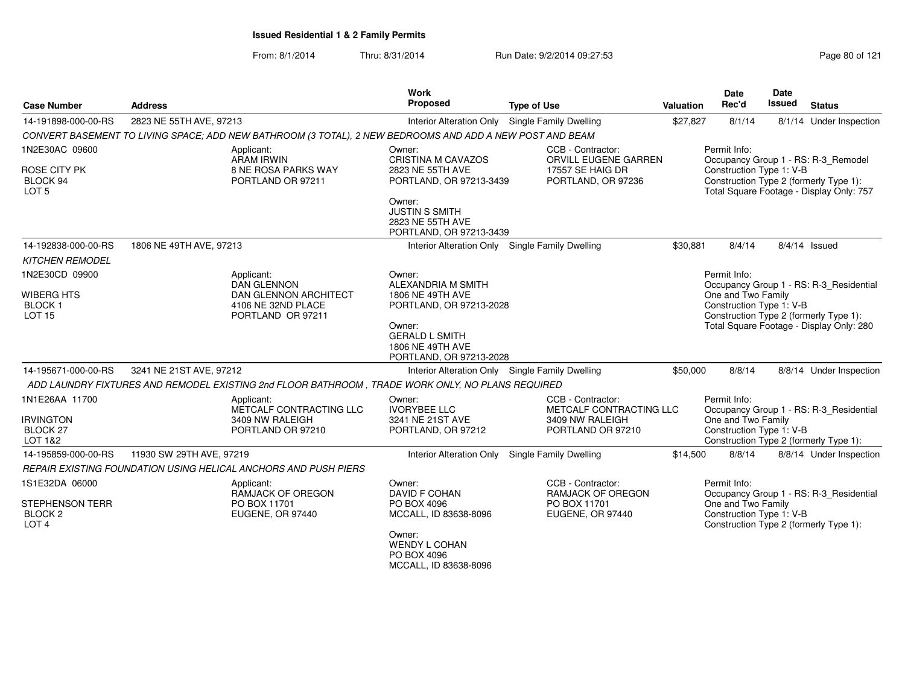From: 8/1/2014Thru: 8/31/2014 Run Date: 9/2/2014 09:27:53 Run Date: 9/2/2014 09:27:53

| <b>Case Number</b>                                        | <b>Address</b>                                                                                           |                            | Work<br>Proposed                                                               | <b>Type of Use</b>                            | Valuation | <b>Date</b><br>Rec'd                           | Date<br>Issued | <b>Status</b>                                                                      |
|-----------------------------------------------------------|----------------------------------------------------------------------------------------------------------|----------------------------|--------------------------------------------------------------------------------|-----------------------------------------------|-----------|------------------------------------------------|----------------|------------------------------------------------------------------------------------|
| 14-191898-000-00-RS                                       | 2823 NE 55TH AVE, 97213                                                                                  |                            | Interior Alteration Only Single Family Dwelling                                |                                               | \$27,827  | 8/1/14                                         |                | 8/1/14 Under Inspection                                                            |
|                                                           | CONVERT BASEMENT TO LIVING SPACE; ADD NEW BATHROOM (3 TOTAL), 2 NEW BEDROOMS AND ADD A NEW POST AND BEAM |                            |                                                                                |                                               |           |                                                |                |                                                                                    |
| 1N2E30AC 09600                                            | Applicant:<br><b>ARAM IRWIN</b>                                                                          |                            | Owner:<br>CRISTINA M CAVAZOS                                                   | CCB - Contractor:<br>ORVILL EUGENE GARREN     |           | Permit Info:                                   |                | Occupancy Group 1 - RS: R-3_Remodel                                                |
| ROSE CITY PK<br>BLOCK 94<br>LOT <sub>5</sub>              | PORTLAND OR 97211                                                                                        | <b>8 NE ROSA PARKS WAY</b> | 2823 NE 55TH AVE<br>PORTLAND, OR 97213-3439                                    | <b>17557 SE HAIG DR</b><br>PORTLAND, OR 97236 |           | Construction Type 1: V-B                       |                | Construction Type 2 (formerly Type 1):<br>Total Square Footage - Display Only: 757 |
|                                                           |                                                                                                          |                            | Owner:<br><b>JUSTIN S SMITH</b><br>2823 NE 55TH AVE<br>PORTLAND, OR 97213-3439 |                                               |           |                                                |                |                                                                                    |
| 14-192838-000-00-RS                                       | 1806 NE 49TH AVE, 97213                                                                                  |                            | Interior Alteration Only Single Family Dwelling                                |                                               | \$30,881  | 8/4/14                                         |                | $8/4/14$ Issued                                                                    |
| <b>KITCHEN REMODEL</b>                                    |                                                                                                          |                            |                                                                                |                                               |           |                                                |                |                                                                                    |
| 1N2E30CD 09900                                            | Applicant:<br><b>DAN GLENNON</b>                                                                         |                            | Owner:<br><b>ALEXANDRIA M SMITH</b>                                            |                                               |           | Permit Info:                                   |                | Occupancy Group 1 - RS: R-3_Residential                                            |
| <b>WIBERG HTS</b><br><b>BLOCK1</b><br><b>LOT 15</b>       | 4106 NE 32ND PLACE<br>PORTLAND OR 97211                                                                  | DAN GLENNON ARCHITECT      | 1806 NE 49TH AVE<br>PORTLAND, OR 97213-2028                                    |                                               |           | One and Two Family<br>Construction Type 1: V-B |                | Construction Type 2 (formerly Type 1):                                             |
|                                                           |                                                                                                          |                            | Owner:<br><b>GERALD L SMITH</b><br>1806 NE 49TH AVE<br>PORTLAND, OR 97213-2028 |                                               |           |                                                |                | Total Square Footage - Display Only: 280                                           |
| 14-195671-000-00-RS                                       | 3241 NE 21ST AVE, 97212                                                                                  |                            | Interior Alteration Only Single Family Dwelling                                |                                               | \$50,000  | 8/8/14                                         |                | 8/8/14 Under Inspection                                                            |
|                                                           | ADD LAUNDRY FIXTURES AND REMODEL EXISTING 2nd FLOOR BATHROOM, TRADE WORK ONLY, NO PLANS REQUIRED         |                            |                                                                                |                                               |           |                                                |                |                                                                                    |
| 1N1E26AA 11700                                            | Applicant:                                                                                               | METCALF CONTRACTING LLC    | Owner:<br><b>IVORYBEE LLC</b>                                                  | CCB - Contractor:<br>METCALF CONTRACTING LLC  |           | Permit Info:                                   |                | Occupancy Group 1 - RS: R-3_Residential                                            |
| <b>IRVINGTON</b><br>BLOCK <sub>27</sub><br>LOT 1&2        | 3409 NW RALEIGH<br>PORTLAND OR 97210                                                                     |                            | 3241 NE 21ST AVE<br>PORTLAND, OR 97212                                         | 3409 NW RALEIGH<br>PORTLAND OR 97210          |           | One and Two Family<br>Construction Type 1: V-B |                | Construction Type 2 (formerly Type 1):                                             |
| 14-195859-000-00-RS                                       | 11930 SW 29TH AVE, 97219                                                                                 |                            | Interior Alteration Only Single Family Dwelling                                |                                               | \$14,500  | 8/8/14                                         |                | 8/8/14 Under Inspection                                                            |
|                                                           | REPAIR EXISTING FOUNDATION USING HELICAL ANCHORS AND PUSH PIERS                                          |                            |                                                                                |                                               |           |                                                |                |                                                                                    |
| 1S1E32DA 06000                                            | Applicant:                                                                                               | RAMJACK OF OREGON          | Owner:<br><b>DAVID F COHAN</b>                                                 | CCB - Contractor:<br><b>RAMJACK OF OREGON</b> |           | Permit Info:                                   |                | Occupancy Group 1 - RS: R-3_Residential                                            |
| STEPHENSON TERR<br>BLOCK <sub>2</sub><br>LOT <sub>4</sub> | PO BOX 11701<br>EUGENE, OR 97440                                                                         |                            | PO BOX 4096<br>MCCALL, ID 83638-8096                                           | PO BOX 11701<br>EUGENE, OR 97440              |           | One and Two Family<br>Construction Type 1: V-B |                | Construction Type 2 (formerly Type 1):                                             |
|                                                           |                                                                                                          |                            | Owner:<br><b>WENDY L COHAN</b><br>PO BOX 4096<br>MCCALL, ID 83638-8096         |                                               |           |                                                |                |                                                                                    |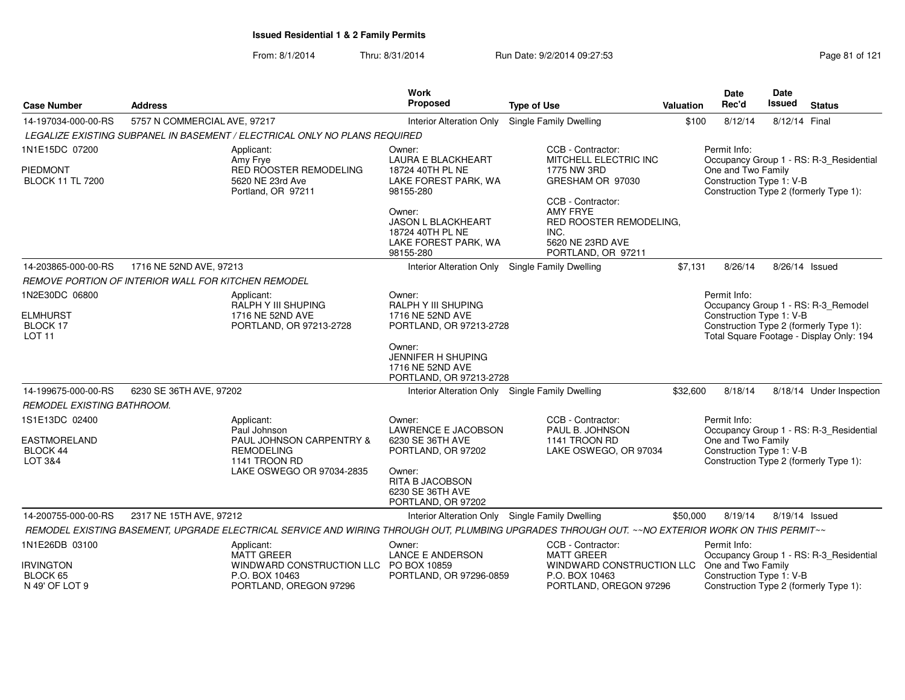| <b>Case Number</b>                                  | <b>Address</b>               |                                                                                                                                                  | <b>Work</b><br>Proposed                                                                      | <b>Type of Use</b>                                                                                                | Valuation | <b>Date</b><br>Rec'd                                               | Date<br><b>Issued</b> | <b>Status</b>                            |
|-----------------------------------------------------|------------------------------|--------------------------------------------------------------------------------------------------------------------------------------------------|----------------------------------------------------------------------------------------------|-------------------------------------------------------------------------------------------------------------------|-----------|--------------------------------------------------------------------|-----------------------|------------------------------------------|
| 14-197034-000-00-RS                                 | 5757 N COMMERCIAL AVE, 97217 |                                                                                                                                                  | <b>Interior Alteration Only</b>                                                              | <b>Single Family Dwelling</b>                                                                                     | \$100     | 8/12/14                                                            | 8/12/14 Final         |                                          |
|                                                     |                              | LEGALIZE EXISTING SUBPANEL IN BASEMENT / ELECTRICAL ONLY NO PLANS REQUIRED                                                                       |                                                                                              |                                                                                                                   |           |                                                                    |                       |                                          |
| 1N1E15DC 07200<br><b>PIEDMONT</b>                   |                              | Applicant:<br>Amy Frye<br>RED ROOSTER REMODELING                                                                                                 | Owner:<br><b>LAURA E BLACKHEART</b><br>18724 40TH PL NE                                      | CCB - Contractor:<br>MITCHELL ELECTRIC INC<br>1775 NW 3RD                                                         |           | Permit Info:<br>One and Two Family                                 |                       | Occupancy Group 1 - RS: R-3_Residential  |
| <b>BLOCK 11 TL 7200</b>                             |                              | 5620 NE 23rd Ave<br>Portland, OR 97211                                                                                                           | LAKE FOREST PARK, WA<br>98155-280                                                            | GRESHAM OR 97030                                                                                                  |           | Construction Type 1: V-B<br>Construction Type 2 (formerly Type 1): |                       |                                          |
|                                                     |                              |                                                                                                                                                  | Owner:<br><b>JASON L BLACKHEART</b><br>18724 40TH PL NE<br>LAKE FOREST PARK, WA<br>98155-280 | CCB - Contractor:<br><b>AMY FRYE</b><br>RED ROOSTER REMODELING,<br>INC.<br>5620 NE 23RD AVE<br>PORTLAND, OR 97211 |           |                                                                    |                       |                                          |
| 14-203865-000-00-RS                                 | 1716 NE 52ND AVE, 97213      |                                                                                                                                                  | <b>Interior Alteration Only</b>                                                              | Single Family Dwelling                                                                                            | \$7.131   | 8/26/14                                                            | 8/26/14 Issued        |                                          |
| REMOVE PORTION OF INTERIOR WALL FOR KITCHEN REMODEL |                              |                                                                                                                                                  |                                                                                              |                                                                                                                   |           |                                                                    |                       |                                          |
| 1N2E30DC 06800                                      |                              | Applicant:                                                                                                                                       | Owner:                                                                                       |                                                                                                                   |           | Permit Info:                                                       |                       |                                          |
| <b>ELMHURST</b>                                     |                              | <b>RALPH Y III SHUPING</b><br>1716 NE 52ND AVE                                                                                                   | RALPH Y III SHUPING<br>1716 NE 52ND AVE                                                      |                                                                                                                   |           | Construction Type 1: V-B                                           |                       | Occupancy Group 1 - RS: R-3_Remodel      |
| BLOCK 17                                            |                              | PORTLAND, OR 97213-2728                                                                                                                          | PORTLAND, OR 97213-2728                                                                      |                                                                                                                   |           | Construction Type 2 (formerly Type 1):                             |                       |                                          |
| LOT <sub>11</sub>                                   |                              |                                                                                                                                                  | Owner:<br><b>JENNIFER H SHUPING</b><br>1716 NE 52ND AVE<br>PORTLAND, OR 97213-2728           |                                                                                                                   |           |                                                                    |                       | Total Square Footage - Display Only: 194 |
| 14-199675-000-00-RS                                 | 6230 SE 36TH AVE, 97202      |                                                                                                                                                  | Interior Alteration Only Single Family Dwelling                                              |                                                                                                                   | \$32,600  | 8/18/14                                                            |                       | 8/18/14 Under Inspection                 |
| REMODEL EXISTING BATHROOM.                          |                              |                                                                                                                                                  |                                                                                              |                                                                                                                   |           |                                                                    |                       |                                          |
| 1S1E13DC 02400                                      |                              | Applicant:<br>Paul Johnson                                                                                                                       | Owner:<br><b>LAWRENCE E JACOBSON</b>                                                         | CCB - Contractor:<br>PAUL B. JOHNSON                                                                              |           | Permit Info:                                                       |                       | Occupancy Group 1 - RS: R-3 Residential  |
| <b>EASTMORELAND</b>                                 |                              | PAUL JOHNSON CARPENTRY &                                                                                                                         | 6230 SE 36TH AVE                                                                             | 1141 TROON RD                                                                                                     |           | One and Two Family                                                 |                       |                                          |
| BLOCK 44<br>LOT 3&4                                 |                              | <b>REMODELING</b><br>1141 TROON RD                                                                                                               | PORTLAND, OR 97202                                                                           | LAKE OSWEGO, OR 97034                                                                                             |           | Construction Type 1: V-B<br>Construction Type 2 (formerly Type 1): |                       |                                          |
|                                                     |                              | LAKE OSWEGO OR 97034-2835                                                                                                                        | Owner:<br>RITA B JACOBSON<br>6230 SE 36TH AVE<br>PORTLAND, OR 97202                          |                                                                                                                   |           |                                                                    |                       |                                          |
| 14-200755-000-00-RS                                 | 2317 NE 15TH AVE, 97212      |                                                                                                                                                  | Interior Alteration Only Single Family Dwelling                                              |                                                                                                                   | \$50,000  | 8/19/14                                                            | 8/19/14 Issued        |                                          |
|                                                     |                              | REMODEL EXISTING BASEMENT, UPGRADE ELECTRICAL SERVICE AND WIRING THROUGH OUT, PLUMBING UPGRADES THROUGH OUT. ~~NO EXTERIOR WORK ON THIS PERMIT~~ |                                                                                              |                                                                                                                   |           |                                                                    |                       |                                          |
| 1N1E26DB 03100                                      |                              | Applicant:<br><b>MATT GREER</b>                                                                                                                  | Owner:<br><b>LANCE E ANDERSON</b>                                                            | CCB - Contractor:<br><b>MATT GREER</b>                                                                            |           | Permit Info:                                                       |                       | Occupancy Group 1 - RS: R-3_Residential  |
| <b>IRVINGTON</b><br>BLOCK 65<br>N 49' OF LOT 9      |                              | WINDWARD CONSTRUCTION LLC PO BOX 10859<br>P.O. BOX 10463<br>PORTLAND, OREGON 97296                                                               | PORTLAND, OR 97296-0859                                                                      | WINDWARD CONSTRUCTION LLC One and Two Family<br>P.O. BOX 10463<br>PORTLAND, OREGON 97296                          |           | Construction Type 1: V-B<br>Construction Type 2 (formerly Type 1): |                       |                                          |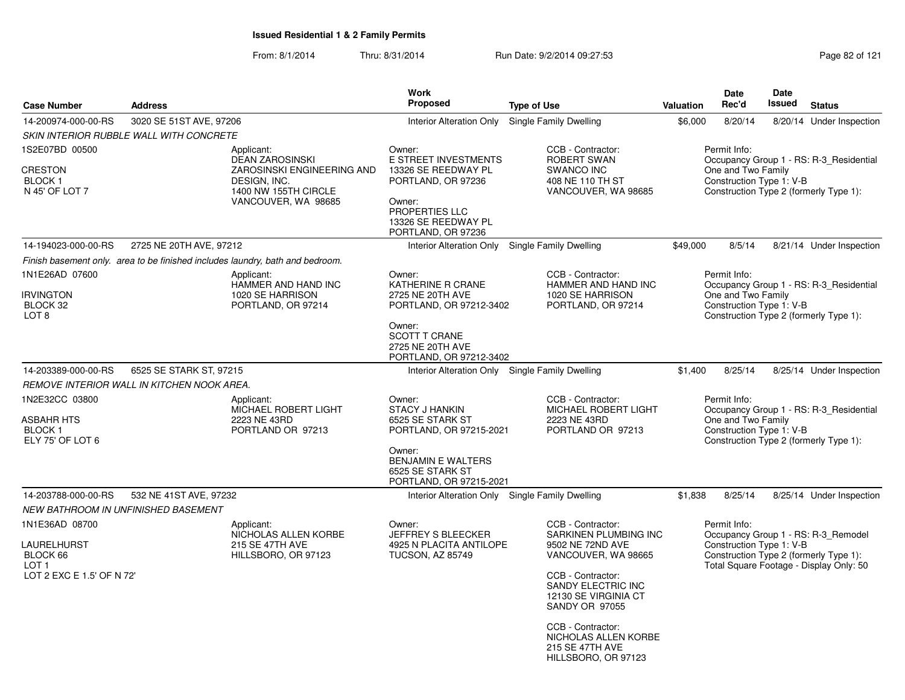|                                                                          |                                                   |                                                                                                                                   | <b>Work</b>                                                                                                                                                          |                                                                                                                                                                     |           | <b>Date</b>                                                    | <b>Date</b>   |                                                                                                                          |
|--------------------------------------------------------------------------|---------------------------------------------------|-----------------------------------------------------------------------------------------------------------------------------------|----------------------------------------------------------------------------------------------------------------------------------------------------------------------|---------------------------------------------------------------------------------------------------------------------------------------------------------------------|-----------|----------------------------------------------------------------|---------------|--------------------------------------------------------------------------------------------------------------------------|
| <b>Case Number</b>                                                       | <b>Address</b>                                    |                                                                                                                                   | <b>Proposed</b>                                                                                                                                                      | <b>Type of Use</b>                                                                                                                                                  | Valuation | Rec'd                                                          | <b>Issued</b> | <b>Status</b>                                                                                                            |
| 14-200974-000-00-RS                                                      | 3020 SE 51ST AVE, 97206                           |                                                                                                                                   | Interior Alteration Only                                                                                                                                             | Single Family Dwelling                                                                                                                                              | \$6,000   | 8/20/14                                                        |               | 8/20/14 Under Inspection                                                                                                 |
|                                                                          | SKIN INTERIOR RUBBLE WALL WITH CONCRETE           |                                                                                                                                   |                                                                                                                                                                      |                                                                                                                                                                     |           |                                                                |               |                                                                                                                          |
| 1S2E07BD 00500<br>CRESTON<br>BLOCK 1<br>N 45' OF LOT 7                   |                                                   | Applicant:<br><b>DEAN ZAROSINSKI</b><br>ZAROSINSKI ENGINEERING AND<br>DESIGN, INC.<br>1400 NW 155TH CIRCLE<br>VANCOUVER, WA 98685 | Owner:<br>E STREET INVESTMENTS<br>13326 SE REEDWAY PL<br>PORTLAND, OR 97236<br>Owner:<br>PROPERTIES LLC<br>13326 SE REEDWAY PL<br>PORTLAND, OR 97236                 | CCB - Contractor:<br><b>ROBERT SWAN</b><br><b>SWANCO INC</b><br>408 NE 110 TH ST<br>VANCOUVER, WA 98685                                                             |           | Permit Info:<br>One and Two Family<br>Construction Type 1: V-B |               | Occupancy Group 1 - RS: R-3 Residential<br>Construction Type 2 (formerly Type 1):                                        |
| 14-194023-000-00-RS                                                      | 2725 NE 20TH AVE, 97212                           |                                                                                                                                   |                                                                                                                                                                      | Interior Alteration Only Single Family Dwelling                                                                                                                     | \$49,000  | 8/5/14                                                         |               | 8/21/14 Under Inspection                                                                                                 |
|                                                                          |                                                   | Finish basement only. area to be finished includes laundry, bath and bedroom.                                                     |                                                                                                                                                                      |                                                                                                                                                                     |           |                                                                |               |                                                                                                                          |
| 1N1E26AD 07600<br>IRVINGTON<br>BLOCK 32<br>LOT 8                         |                                                   | Applicant:<br>HAMMER AND HAND INC<br>1020 SE HARRISON<br>PORTLAND, OR 97214                                                       | Owner:<br>KATHERINE R CRANE<br>2725 NE 20TH AVE<br>PORTLAND, OR 97212-3402<br>Owner:<br><b>SCOTT T CRANE</b><br>2725 NE 20TH AVE<br>PORTLAND, OR 97212-3402          | CCB - Contractor:<br>HAMMER AND HAND INC<br>1020 SE HARRISON<br>PORTLAND, OR 97214                                                                                  |           | Permit Info:<br>One and Two Family<br>Construction Type 1: V-B |               | Occupancy Group 1 - RS: R-3 Residential<br>Construction Type 2 (formerly Type 1):                                        |
| 14-203389-000-00-RS                                                      | 6525 SE STARK ST, 97215                           |                                                                                                                                   |                                                                                                                                                                      | Interior Alteration Only Single Family Dwelling                                                                                                                     | \$1,400   | 8/25/14                                                        |               | 8/25/14 Under Inspection                                                                                                 |
|                                                                          | <b>REMOVE INTERIOR WALL IN KITCHEN NOOK AREA.</b> |                                                                                                                                   |                                                                                                                                                                      |                                                                                                                                                                     |           |                                                                |               |                                                                                                                          |
| 1N2E32CC 03800<br>ASBAHR HTS<br><b>BLOCK1</b><br>ELY 75' OF LOT 6        |                                                   | Applicant:<br>MICHAEL ROBERT LIGHT<br>2223 NE 43RD<br>PORTLAND OR 97213                                                           | Owner:<br><b>STACY J HANKIN</b><br>6525 SE STARK ST<br>PORTLAND, OR 97215-2021<br>Owner:<br><b>BENJAMIN E WALTERS</b><br>6525 SE STARK ST<br>PORTLAND, OR 97215-2021 | CCB - Contractor:<br>MICHAEL ROBERT LIGHT<br>2223 NE 43RD<br>PORTLAND OR 97213                                                                                      |           | Permit Info:<br>One and Two Family<br>Construction Type 1: V-B |               | Occupancy Group 1 - RS: R-3 Residential<br>Construction Type 2 (formerly Type 1):                                        |
| 14-203788-000-00-RS                                                      | 532 NE 41ST AVE, 97232                            |                                                                                                                                   |                                                                                                                                                                      | Interior Alteration Only Single Family Dwelling                                                                                                                     | \$1,838   | 8/25/14                                                        |               | 8/25/14 Under Inspection                                                                                                 |
|                                                                          | NEW BATHROOM IN UNFINISHED BASEMENT               |                                                                                                                                   |                                                                                                                                                                      |                                                                                                                                                                     |           |                                                                |               |                                                                                                                          |
| 1N1E36AD 08700                                                           |                                                   | Applicant:                                                                                                                        | Owner:                                                                                                                                                               | CCB - Contractor:                                                                                                                                                   |           | Permit Info:                                                   |               |                                                                                                                          |
| LAURELHURST<br>BLOCK 66<br>LOT <sub>1</sub><br>LOT 2 EXC E 1.5' OF N 72' |                                                   | NICHOLAS ALLEN KORBE<br>215 SE 47TH AVE<br>HILLSBORO, OR 97123                                                                    | JEFFREY S BLEECKER<br>4925 N PLACITA ANTILOPE<br><b>TUCSON, AZ 85749</b>                                                                                             | <b>SARKINEN PLUMBING INC</b><br>9502 NE 72ND AVE<br>VANCOUVER, WA 98665<br>CCB - Contractor:<br>SANDY ELECTRIC INC<br>12130 SE VIRGINIA CT<br><b>SANDY OR 97055</b> |           | Construction Type 1: V-B                                       |               | Occupancy Group 1 - RS: R-3_Remodel<br>Construction Type 2 (formerly Type 1):<br>Total Square Footage - Display Only: 50 |
|                                                                          |                                                   |                                                                                                                                   |                                                                                                                                                                      | CCB - Contractor:<br>NICHOLAS ALLEN KORBE<br>215 SE 47TH AVE<br>HILLSBORO, OR 97123                                                                                 |           |                                                                |               |                                                                                                                          |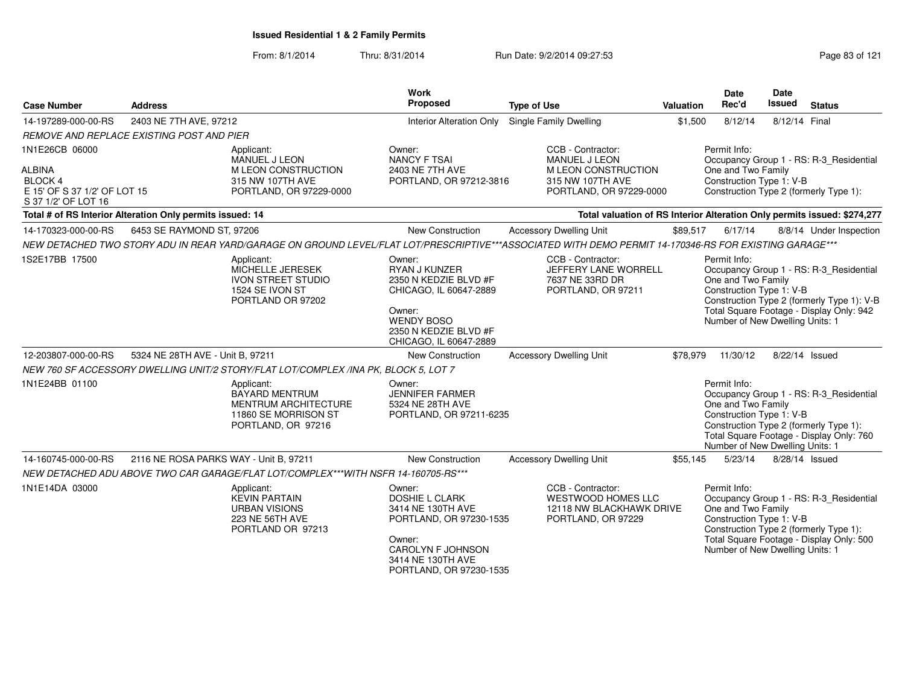From: 8/1/2014

Thru: 8/31/2014 Run Date: 9/2/2014 09:27:53 Research 2012 121

| <b>Case Number</b>                                                                                       | <b>Address</b>                                            |                                                                                                                  | <b>Work</b><br>Proposed                                                                                                                                        | <b>Type of Use</b>                                                                                                                                     | <b>Valuation</b> | Date<br>Rec'd                                                                                     | Date<br><b>Issued</b> | <b>Status</b>                                                                                                                     |
|----------------------------------------------------------------------------------------------------------|-----------------------------------------------------------|------------------------------------------------------------------------------------------------------------------|----------------------------------------------------------------------------------------------------------------------------------------------------------------|--------------------------------------------------------------------------------------------------------------------------------------------------------|------------------|---------------------------------------------------------------------------------------------------|-----------------------|-----------------------------------------------------------------------------------------------------------------------------------|
| 14-197289-000-00-RS                                                                                      | 2403 NE 7TH AVE, 97212                                    |                                                                                                                  | <b>Interior Alteration Only</b>                                                                                                                                | Single Family Dwelling                                                                                                                                 | \$1,500          | 8/12/14                                                                                           | 8/12/14 Final         |                                                                                                                                   |
|                                                                                                          | <b>REMOVE AND REPLACE EXISTING POST AND PIER</b>          |                                                                                                                  |                                                                                                                                                                |                                                                                                                                                        |                  |                                                                                                   |                       |                                                                                                                                   |
| 1N1E26CB 06000<br><b>ALBINA</b><br><b>BLOCK 4</b><br>E 15' OF S 37 1/2' OF LOT 15<br>S 37 1/2' OF LOT 16 |                                                           | Applicant:<br>MANUEL J LEON<br>M LEON CONSTRUCTION<br>315 NW 107TH AVE<br>PORTLAND, OR 97229-0000                | Owner:<br><b>NANCY F TSAI</b><br>2403 NE 7TH AVE<br>PORTLAND, OR 97212-3816                                                                                    | CCB - Contractor:<br><b>MANUEL J LEON</b><br>M LEON CONSTRUCTION<br>315 NW 107TH AVE<br>PORTLAND, OR 97229-0000                                        |                  | Permit Info:<br>One and Two Family<br>Construction Type 1: V-B                                    |                       | Occupancy Group 1 - RS: R-3_Residential<br>Construction Type 2 (formerly Type 1):                                                 |
|                                                                                                          | Total # of RS Interior Alteration Only permits issued: 14 |                                                                                                                  |                                                                                                                                                                | Total valuation of RS Interior Alteration Only permits issued: \$274,277                                                                               |                  |                                                                                                   |                       |                                                                                                                                   |
| 14-170323-000-00-RS                                                                                      | 6453 SE RAYMOND ST, 97206                                 |                                                                                                                  | New Construction                                                                                                                                               | <b>Accessory Dwelling Unit</b>                                                                                                                         | \$89,517         | 6/17/14                                                                                           |                       | 8/8/14 Under Inspection                                                                                                           |
|                                                                                                          |                                                           |                                                                                                                  |                                                                                                                                                                | NEW DETACHED TWO STORY ADU IN REAR YARD/GARAGE ON GROUND LEVEL/FLAT LOT/PRESCRIPTIVE***ASSOCIATED WITH DEMO PERMIT 14-170346-RS FOR EXISTING GARAGE*** |                  |                                                                                                   |                       |                                                                                                                                   |
| 1S2E17BB 17500                                                                                           |                                                           | Applicant:<br>MICHELLE JERESEK<br><b>IVON STREET STUDIO</b><br>1524 SE IVON ST<br>PORTLAND OR 97202              | Owner:<br>RYAN J KUNZER<br>2350 N KEDZIE BLVD #F<br>CHICAGO, IL 60647-2889<br>Owner:<br><b>WENDY BOSO</b><br>2350 N KEDZIE BLVD #F<br>CHICAGO, IL 60647-2889   | CCB - Contractor:<br>JEFFERY LANE WORRELL<br>7637 NE 33RD DR<br>PORTLAND, OR 97211                                                                     |                  | Permit Info:<br>One and Two Family<br>Construction Type 1: V-B<br>Number of New Dwelling Units: 1 |                       | Occupancy Group 1 - RS: R-3_Residential<br>Construction Type 2 (formerly Type 1): V-B<br>Total Square Footage - Display Only: 942 |
| 12-203807-000-00-RS                                                                                      | 5324 NE 28TH AVE - Unit B, 97211                          |                                                                                                                  | <b>New Construction</b>                                                                                                                                        | <b>Accessory Dwelling Unit</b>                                                                                                                         | \$78.979         | 11/30/12                                                                                          |                       | 8/22/14 Issued                                                                                                                    |
|                                                                                                          |                                                           | NEW 760 SF ACCESSORY DWELLING UNIT/2 STORY/FLAT LOT/COMPLEX /INA PK, BLOCK 5, LOT 7                              |                                                                                                                                                                |                                                                                                                                                        |                  |                                                                                                   |                       |                                                                                                                                   |
| 1N1E24BB 01100                                                                                           |                                                           | Applicant:<br><b>BAYARD MENTRUM</b><br><b>MENTRUM ARCHITECTURE</b><br>11860 SE MORRISON ST<br>PORTLAND, OR 97216 | Owner:<br><b>JENNIFER FARMER</b><br>5324 NE 28TH AVE<br>PORTLAND, OR 97211-6235                                                                                |                                                                                                                                                        |                  | Permit Info:<br>One and Two Family<br>Construction Type 1: V-B<br>Number of New Dwelling Units: 1 |                       | Occupancy Group 1 - RS: R-3 Residential<br>Construction Type 2 (formerly Type 1):<br>Total Square Footage - Display Only: 760     |
| 14-160745-000-00-RS                                                                                      | 2116 NE ROSA PARKS WAY - Unit B, 97211                    |                                                                                                                  | New Construction                                                                                                                                               | <b>Accessory Dwelling Unit</b>                                                                                                                         | \$55,145         | 5/23/14                                                                                           |                       | 8/28/14 Issued                                                                                                                    |
|                                                                                                          |                                                           | NEW DETACHED ADU ABOVE TWO CAR GARAGE/FLAT LOT/COMPLEX***WITH NSFR 14-160705-RS***                               |                                                                                                                                                                |                                                                                                                                                        |                  |                                                                                                   |                       |                                                                                                                                   |
| 1N1E14DA 03000                                                                                           |                                                           | Applicant:<br><b>KEVIN PARTAIN</b><br><b>URBAN VISIONS</b><br>223 NE 56TH AVE<br>PORTLAND OR 97213               | Owner:<br>DOSHIE L CLARK<br>3414 NE 130TH AVE<br>PORTLAND, OR 97230-1535<br>Owner:<br><b>CAROLYN F JOHNSON</b><br>3414 NE 130TH AVE<br>PORTLAND, OR 97230-1535 | CCB - Contractor:<br>WESTWOOD HOMES LLC<br>12118 NW BLACKHAWK DRIVE<br>PORTLAND, OR 97229                                                              |                  | Permit Info:<br>One and Two Family<br>Construction Type 1: V-B<br>Number of New Dwelling Units: 1 |                       | Occupancy Group 1 - RS: R-3_Residential<br>Construction Type 2 (formerly Type 1):<br>Total Square Footage - Display Only: 500     |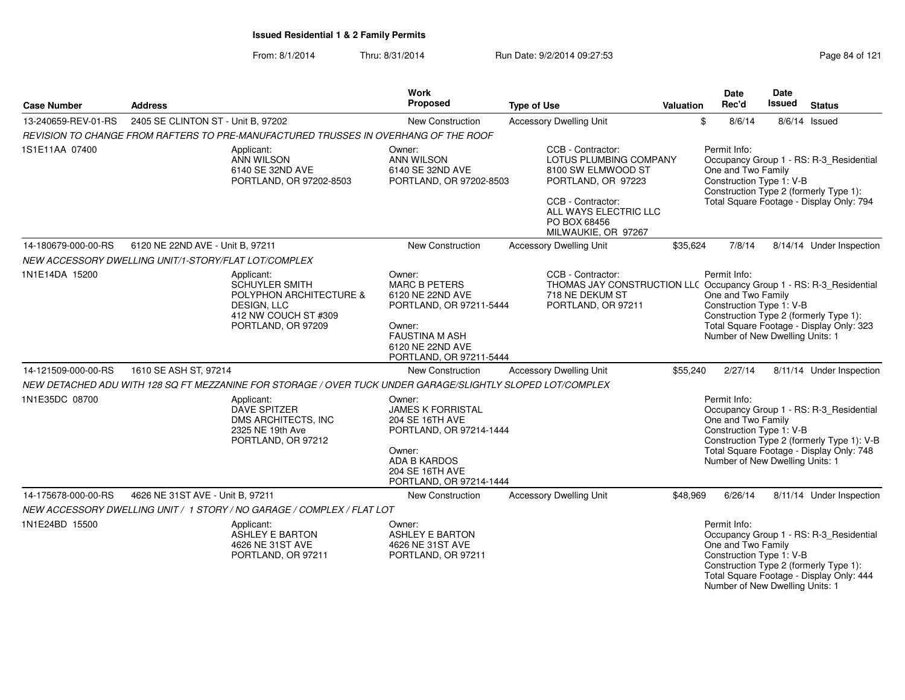#### From: 8/1/2014Thru: 8/31/2014 Run Date: 9/2/2014 09:27:53

| <b>Case Number</b>  | <b>Address</b>                                                                                                                     | <b>Work</b><br>Proposed                                                                                                                                         | <b>Type of Use</b>                                                                                                                                                           | <b>Valuation</b> | Date<br>Rec'd                                                                                     | Date<br><b>Issued</b> | <b>Status</b>                                                                                                                     |
|---------------------|------------------------------------------------------------------------------------------------------------------------------------|-----------------------------------------------------------------------------------------------------------------------------------------------------------------|------------------------------------------------------------------------------------------------------------------------------------------------------------------------------|------------------|---------------------------------------------------------------------------------------------------|-----------------------|-----------------------------------------------------------------------------------------------------------------------------------|
| 13-240659-REV-01-RS | 2405 SE CLINTON ST - Unit B, 97202                                                                                                 | <b>New Construction</b>                                                                                                                                         | <b>Accessory Dwelling Unit</b>                                                                                                                                               |                  | \$<br>8/6/14                                                                                      |                       | $8/6/14$ Issued                                                                                                                   |
|                     | REVISION TO CHANGE FROM RAFTERS TO PRE-MANUFACTURED TRUSSES IN OVERHANG OF THE ROOF                                                |                                                                                                                                                                 |                                                                                                                                                                              |                  |                                                                                                   |                       |                                                                                                                                   |
| 1S1E11AA 07400      | Applicant:<br>ANN WILSON<br>6140 SE 32ND AVE<br>PORTLAND, OR 97202-8503                                                            | Owner:<br><b>ANN WILSON</b><br>6140 SE 32ND AVE<br>PORTLAND, OR 97202-8503                                                                                      | CCB - Contractor:<br>LOTUS PLUMBING COMPANY<br>8100 SW ELMWOOD ST<br>PORTLAND, OR 97223<br>CCB - Contractor:<br>ALL WAYS ELECTRIC LLC<br>PO BOX 68456<br>MILWAUKIE, OR 97267 |                  | Permit Info:<br>One and Two Family<br>Construction Type 1: V-B                                    |                       | Occupancy Group 1 - RS: R-3_Residential<br>Construction Type 2 (formerly Type 1):<br>Total Square Footage - Display Only: 794     |
| 14-180679-000-00-RS | 6120 NE 22ND AVE - Unit B, 97211                                                                                                   | <b>New Construction</b>                                                                                                                                         | <b>Accessory Dwelling Unit</b>                                                                                                                                               | \$35.624         | 7/8/14                                                                                            |                       | 8/14/14 Under Inspection                                                                                                          |
|                     | NEW ACCESSORY DWELLING UNIT/1-STORY/FLAT LOT/COMPLEX                                                                               |                                                                                                                                                                 |                                                                                                                                                                              |                  |                                                                                                   |                       |                                                                                                                                   |
| 1N1E14DA 15200      | Applicant:<br><b>SCHUYLER SMITH</b><br>POLYPHON ARCHITECTURE &<br><b>DESIGN, LLC</b><br>412 NW COUCH ST #309<br>PORTLAND, OR 97209 | Owner:<br><b>MARC B PETERS</b><br>6120 NE 22ND AVE<br>PORTLAND, OR 97211-5444<br>Owner:<br><b>FAUSTINA M ASH</b><br>6120 NE 22ND AVE<br>PORTLAND, OR 97211-5444 | CCB - Contractor:<br>THOMAS JAY CONSTRUCTION LLC Occupancy Group 1 - RS: R-3_Residential<br>718 NE DEKUM ST<br>PORTLAND, OR 97211                                            |                  | Permit Info:<br>One and Two Family<br>Construction Type 1: V-B<br>Number of New Dwelling Units: 1 |                       | Construction Type 2 (formerly Type 1):<br>Total Square Footage - Display Only: 323                                                |
| 14-121509-000-00-RS | 1610 SE ASH ST, 97214                                                                                                              | <b>New Construction</b>                                                                                                                                         | <b>Accessory Dwelling Unit</b>                                                                                                                                               | \$55,240         | 2/27/14                                                                                           |                       | 8/11/14 Under Inspection                                                                                                          |
|                     | NEW DETACHED ADU WITH 128 SQ FT MEZZANINE FOR STORAGE / OVER TUCK UNDER GARAGE/SLIGHTLY SLOPED LOT/COMPLEX                         |                                                                                                                                                                 |                                                                                                                                                                              |                  |                                                                                                   |                       |                                                                                                                                   |
| 1N1E35DC 08700      | Applicant:<br>DAVE SPITZER<br>DMS ARCHITECTS, INC<br>2325 NE 19th Ave<br>PORTLAND, OR 97212                                        | Owner:<br><b>JAMES K FORRISTAL</b><br>204 SE 16TH AVE<br>PORTLAND, OR 97214-1444<br>Owner:<br><b>ADA B KARDOS</b><br>204 SE 16TH AVE<br>PORTLAND, OR 97214-1444 |                                                                                                                                                                              |                  | Permit Info:<br>One and Two Family<br>Construction Type 1: V-B<br>Number of New Dwelling Units: 1 |                       | Occupancy Group 1 - RS: R-3_Residential<br>Construction Type 2 (formerly Type 1): V-B<br>Total Square Footage - Display Only: 748 |
| 14-175678-000-00-RS | 4626 NE 31ST AVE - Unit B. 97211                                                                                                   | <b>New Construction</b>                                                                                                                                         | <b>Accessory Dwelling Unit</b>                                                                                                                                               | \$48.969         | 6/26/14                                                                                           |                       | 8/11/14 Under Inspection                                                                                                          |
|                     | NEW ACCESSORY DWELLING UNIT / 1 STORY / NO GARAGE / COMPLEX / FLAT LOT                                                             |                                                                                                                                                                 |                                                                                                                                                                              |                  |                                                                                                   |                       |                                                                                                                                   |
| 1N1E24BD 15500      | Applicant:<br><b>ASHLEY E BARTON</b><br>4626 NE 31ST AVE<br>PORTLAND, OR 97211                                                     | Owner:<br><b>ASHLEY E BARTON</b><br>4626 NE 31ST AVE<br>PORTLAND, OR 97211                                                                                      |                                                                                                                                                                              |                  | Permit Info:<br>One and Two Family<br>Construction Type 1: V-B                                    |                       | Occupancy Group 1 - RS: R-3_Residential<br>Construction Type 2 (formerly Type 1):<br>Total Square Footage - Display Only: 444     |

Number of New Dwelling Units: 1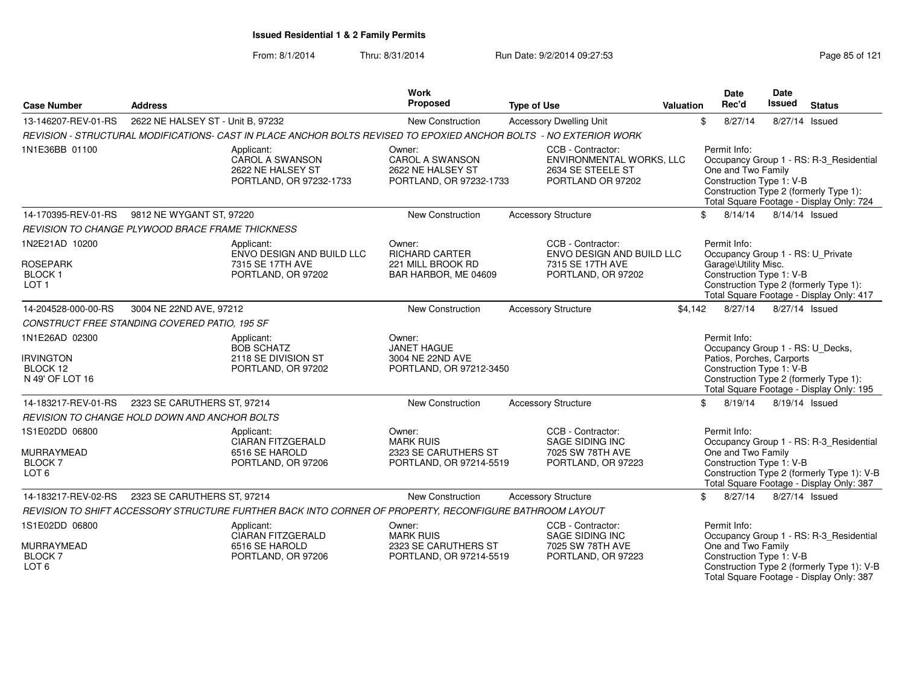From: 8/1/2014Thru: 8/31/2014 **Run Date: 9/2/2014 09:27:53** Page 85 of 121

| <b>Case Number</b>                                                          | <b>Address</b>                                          |                                                                                                                    | Work<br>Proposed                                                              | <b>Type of Use</b>                                                                       | <b>Valuation</b> | <b>Date</b><br>Rec'd                                                                                      | Date<br><b>Issued</b> | <b>Status</b>                                                                                                                     |
|-----------------------------------------------------------------------------|---------------------------------------------------------|--------------------------------------------------------------------------------------------------------------------|-------------------------------------------------------------------------------|------------------------------------------------------------------------------------------|------------------|-----------------------------------------------------------------------------------------------------------|-----------------------|-----------------------------------------------------------------------------------------------------------------------------------|
| 13-146207-REV-01-RS                                                         | 2622 NE HALSEY ST - Unit B, 97232                       |                                                                                                                    | New Construction                                                              | <b>Accessory Dwelling Unit</b>                                                           |                  | \$<br>8/27/14                                                                                             |                       | 8/27/14 Issued                                                                                                                    |
|                                                                             |                                                         | REVISION - STRUCTURAL MODIFICATIONS- CAST IN PLACE ANCHOR BOLTS REVISED TO EPOXIED ANCHOR BOLTS - NO EXTERIOR WORK |                                                                               |                                                                                          |                  |                                                                                                           |                       |                                                                                                                                   |
| 1N1E36BB 01100                                                              |                                                         | Applicant:<br>CAROL A SWANSON<br>2622 NE HALSEY ST<br>PORTLAND, OR 97232-1733                                      | Owner:<br>CAROL A SWANSON<br>2622 NE HALSEY ST<br>PORTLAND, OR 97232-1733     | CCB - Contractor:<br>ENVIRONMENTAL WORKS, LLC<br>2634 SE STEELE ST<br>PORTLAND OR 97202  |                  | Permit Info:<br>One and Two Family<br>Construction Type 1: V-B                                            |                       | Occupancy Group 1 - RS: R-3_Residential<br>Construction Type 2 (formerly Type 1):<br>Total Square Footage - Display Only: 724     |
| 14-170395-REV-01-RS                                                         | 9812 NE WYGANT ST, 97220                                |                                                                                                                    | New Construction                                                              | <b>Accessory Structure</b>                                                               |                  | 8/14/14<br>\$                                                                                             |                       | 8/14/14 Issued                                                                                                                    |
|                                                                             | <b>REVISION TO CHANGE PLYWOOD BRACE FRAME THICKNESS</b> |                                                                                                                    |                                                                               |                                                                                          |                  |                                                                                                           |                       |                                                                                                                                   |
| 1N2E21AD 10200<br><b>ROSEPARK</b><br>BLOCK <sub>1</sub><br>LOT <sub>1</sub> |                                                         | Applicant:<br>ENVO DESIGN AND BUILD LLC<br>7315 SE 17TH AVE<br>PORTLAND, OR 97202                                  | Owner:<br>RICHARD CARTER<br>221 MILL BROOK RD<br>BAR HARBOR, ME 04609         | CCB - Contractor:<br>ENVO DESIGN AND BUILD LLC<br>7315 SE 17TH AVE<br>PORTLAND, OR 97202 |                  | Permit Info:<br>Occupancy Group 1 - RS: U_Private<br>Garage\Utility Misc.<br>Construction Type 1: V-B     |                       | Construction Type 2 (formerly Type 1):<br>Total Square Footage - Display Only: 417                                                |
| 14-204528-000-00-RS                                                         | 3004 NE 22ND AVE, 97212                                 |                                                                                                                    | New Construction                                                              | <b>Accessory Structure</b>                                                               | \$4,142          | 8/27/14                                                                                                   |                       | 8/27/14 Issued                                                                                                                    |
|                                                                             | CONSTRUCT FREE STANDING COVERED PATIO, 195 SF           |                                                                                                                    |                                                                               |                                                                                          |                  |                                                                                                           |                       |                                                                                                                                   |
| 1N1E26AD 02300<br><b>IRVINGTON</b><br>BLOCK 12<br>N 49' OF LOT 16           |                                                         | Applicant:<br><b>BOB SCHATZ</b><br>2118 SE DIVISION ST<br>PORTLAND, OR 97202                                       | Owner:<br><b>JANET HAGUE</b><br>3004 NE 22ND AVE<br>PORTLAND, OR 97212-3450   |                                                                                          |                  | Permit Info:<br>Occupancy Group 1 - RS: U_Decks,<br>Patios, Porches, Carports<br>Construction Type 1: V-B |                       | Construction Type 2 (formerly Type 1):<br>Total Square Footage - Display Only: 195                                                |
| 14-183217-REV-01-RS                                                         | 2323 SE CARUTHERS ST, 97214                             |                                                                                                                    | New Construction                                                              | <b>Accessory Structure</b>                                                               |                  | 8/19/14<br>\$                                                                                             |                       | 8/19/14 Issued                                                                                                                    |
|                                                                             | REVISION TO CHANGE HOLD DOWN AND ANCHOR BOLTS           |                                                                                                                    |                                                                               |                                                                                          |                  |                                                                                                           |                       |                                                                                                                                   |
| 1S1E02DD 06800<br><b>MURRAYMEAD</b><br><b>BLOCK7</b><br>LOT <sub>6</sub>    |                                                         | Applicant:<br><b>CIARAN FITZGERALD</b><br>6516 SE HAROLD<br>PORTLAND, OR 97206                                     | Owner:<br><b>MARK RUIS</b><br>2323 SE CARUTHERS ST<br>PORTLAND, OR 97214-5519 | CCB - Contractor:<br><b>SAGE SIDING INC</b><br>7025 SW 78TH AVE<br>PORTLAND, OR 97223    |                  | Permit Info:<br>One and Two Family<br>Construction Type 1: V-B                                            |                       | Occupancy Group 1 - RS: R-3_Residential<br>Construction Type 2 (formerly Type 1): V-B<br>Total Square Footage - Display Only: 387 |
| 14-183217-REV-02-RS                                                         | 2323 SE CARUTHERS ST, 97214                             |                                                                                                                    | New Construction                                                              | <b>Accessory Structure</b>                                                               |                  | 8/27/14<br>\$                                                                                             |                       | 8/27/14 Issued                                                                                                                    |
|                                                                             |                                                         | REVISION TO SHIFT ACCESSORY STRUCTURE FURTHER BACK INTO CORNER OF PROPERTY, RECONFIGURE BATHROOM LAYOUT            |                                                                               |                                                                                          |                  |                                                                                                           |                       |                                                                                                                                   |
| 1S1E02DD 06800<br><b>MURRAYMEAD</b>                                         |                                                         | Applicant:<br>CIARAN FITZGERALD<br>6516 SE HAROLD                                                                  | Owner:<br><b>MARK RUIS</b><br>2323 SE CARUTHERS ST                            | CCB - Contractor:<br>SAGE SIDING INC<br>7025 SW 78TH AVE                                 |                  | Permit Info:<br>One and Two Family                                                                        |                       | Occupancy Group 1 - RS: R-3_Residential                                                                                           |
| <b>BLOCK7</b><br>LOT <sub>6</sub>                                           |                                                         | PORTLAND, OR 97206                                                                                                 | PORTLAND, OR 97214-5519                                                       | PORTLAND, OR 97223                                                                       |                  | Construction Type 1: V-B                                                                                  |                       | Construction Type 2 (formerly Type 1): V-B<br>Total Square Footage - Display Only: 387                                            |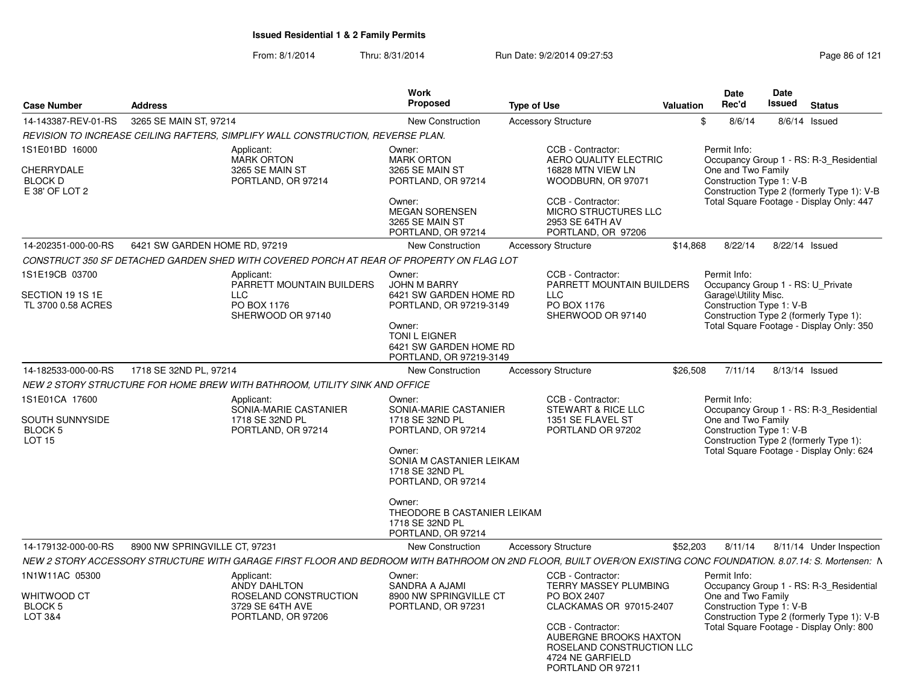| <b>Case Number</b>                                                       | <b>Address</b>                                                                     | <b>Work</b><br>Proposed                                                                                                                                                                                                                   | <b>Type of Use</b>                                                                                                                                                                   | <b>Valuation</b> | Date<br>Rec'd                                                                                         | <b>Date</b><br>Issued | <b>Status</b>                                                                                                                     |
|--------------------------------------------------------------------------|------------------------------------------------------------------------------------|-------------------------------------------------------------------------------------------------------------------------------------------------------------------------------------------------------------------------------------------|--------------------------------------------------------------------------------------------------------------------------------------------------------------------------------------|------------------|-------------------------------------------------------------------------------------------------------|-----------------------|-----------------------------------------------------------------------------------------------------------------------------------|
| 14-143387-REV-01-RS                                                      | 3265 SE MAIN ST, 97214                                                             | New Construction                                                                                                                                                                                                                          | <b>Accessory Structure</b>                                                                                                                                                           | \$               | 8/6/14                                                                                                |                       | 8/6/14 Issued                                                                                                                     |
|                                                                          | REVISION TO INCREASE CEILING RAFTERS, SIMPLIFY WALL CONSTRUCTION, REVERSE PLAN.    |                                                                                                                                                                                                                                           |                                                                                                                                                                                      |                  |                                                                                                       |                       |                                                                                                                                   |
| 1S1E01BD 16000<br><b>CHERRYDALE</b><br><b>BLOCK D</b><br>E 38' OF LOT 2  | Applicant:<br><b>MARK ORTON</b><br>3265 SE MAIN ST<br>PORTLAND, OR 97214           | Owner:<br><b>MARK ORTON</b><br>3265 SE MAIN ST<br>PORTLAND, OR 97214<br>Owner:<br><b>MEGAN SORENSEN</b><br>3265 SE MAIN ST<br>PORTLAND, OR 97214                                                                                          | CCB - Contractor:<br>AERO QUALITY ELECTRIC<br>16828 MTN VIEW LN<br>WOODBURN, OR 97071<br>CCB - Contractor:<br>MICRO STRUCTURES LLC<br>2953 SE 64TH AV<br>PORTLAND, OR 97206          |                  | Permit Info:<br>One and Two Family<br>Construction Type 1: V-B                                        |                       | Occupancy Group 1 - RS: R-3 Residential<br>Construction Type 2 (formerly Type 1): V-B<br>Total Square Footage - Display Only: 447 |
| 14-202351-000-00-RS                                                      | 6421 SW GARDEN HOME RD, 97219                                                      | <b>New Construction</b>                                                                                                                                                                                                                   | <b>Accessory Structure</b>                                                                                                                                                           | \$14,868         | 8/22/14                                                                                               |                       | 8/22/14 Issued                                                                                                                    |
|                                                                          |                                                                                    | CONSTRUCT 350 SF DETACHED GARDEN SHED WITH COVERED PORCH AT REAR OF PROPERTY ON FLAG LOT                                                                                                                                                  |                                                                                                                                                                                      |                  |                                                                                                       |                       |                                                                                                                                   |
| 1S1E19CB 03700<br>SECTION 19 1S 1E<br>TL 3700 0.58 ACRES                 | Applicant:<br>PARRETT MOUNTAIN BUILDERS<br>LLC<br>PO BOX 1176<br>SHERWOOD OR 97140 | Owner:<br>JOHN M BARRY<br>6421 SW GARDEN HOME RD<br>PORTLAND, OR 97219-3149<br>Owner:<br><b>TONI L EIGNER</b><br>6421 SW GARDEN HOME RD<br>PORTLAND, OR 97219-3149                                                                        | CCB - Contractor:<br>PARRETT MOUNTAIN BUILDERS<br><b>LLC</b><br>PO BOX 1176<br>SHERWOOD OR 97140                                                                                     |                  | Permit Info:<br>Occupancy Group 1 - RS: U Private<br>Garage\Utility Misc.<br>Construction Type 1: V-B |                       | Construction Type 2 (formerly Type 1):<br>Total Square Footage - Display Only: 350                                                |
| 14-182533-000-00-RS                                                      | 1718 SE 32ND PL, 97214                                                             | New Construction                                                                                                                                                                                                                          | <b>Accessory Structure</b>                                                                                                                                                           | \$26,508         | 7/11/14                                                                                               |                       | 8/13/14 Issued                                                                                                                    |
|                                                                          | NEW 2 STORY STRUCTURE FOR HOME BREW WITH BATHROOM, UTILITY SINK AND OFFICE         |                                                                                                                                                                                                                                           |                                                                                                                                                                                      |                  |                                                                                                       |                       |                                                                                                                                   |
| 1S1E01CA 17600<br>SOUTH SUNNYSIDE<br>BLOCK <sub>5</sub><br><b>LOT 15</b> | Applicant:<br>SONIA-MARIE CASTANIER<br>1718 SE 32ND PL<br>PORTLAND, OR 97214       | Owner:<br>SONIA-MARIE CASTANIER<br>1718 SE 32ND PL<br>PORTLAND, OR 97214<br>Owner:<br>SONIA M CASTANIER LEIKAM<br>1718 SE 32ND PL<br>PORTLAND, OR 97214<br>Owner:<br>THEODORE B CASTANIER LEIKAM<br>1718 SE 32ND PL<br>PORTLAND, OR 97214 | CCB - Contractor:<br>STEWART & RICE LLC<br>1351 SE FLAVEL ST<br>PORTLAND OR 97202                                                                                                    |                  | Permit Info:<br>One and Two Family<br>Construction Type 1: V-B                                        |                       | Occupancy Group 1 - RS: R-3_Residential<br>Construction Type 2 (formerly Type 1):<br>Total Square Footage - Display Only: 624     |
| 14-179132-000-00-RS                                                      | 8900 NW SPRINGVILLE CT, 97231                                                      | New Construction                                                                                                                                                                                                                          | <b>Accessory Structure</b>                                                                                                                                                           | \$52,203         | 8/11/14                                                                                               |                       | 8/11/14 Under Inspection                                                                                                          |
|                                                                          |                                                                                    | NEW 2 STORY ACCESSORY STRUCTURE WITH GARAGE FIRST FLOOR AND BEDROOM WITH BATHROOM ON 2ND FLOOR, BUILT OVER/ON EXISTING CONC FOUNDATION. 8.07.14: S. Mortensen: N                                                                          |                                                                                                                                                                                      |                  |                                                                                                       |                       |                                                                                                                                   |
| 1N1W11AC 05300                                                           | Applicant:                                                                         | Owner:                                                                                                                                                                                                                                    | CCB - Contractor:                                                                                                                                                                    |                  | Permit Info:                                                                                          |                       |                                                                                                                                   |
| WHITWOOD CT<br>BLOCK 5<br><b>LOT 3&amp;4</b>                             | ANDY DAHLTON<br>ROSELAND CONSTRUCTION<br>3729 SE 64TH AVE<br>PORTLAND, OR 97206    | SANDRA A AJAMI<br>8900 NW SPRINGVILLE CT<br>PORTLAND, OR 97231                                                                                                                                                                            | TERRY MASSEY PLUMBING<br>PO BOX 2407<br>CLACKAMAS OR 97015-2407<br>CCB - Contractor:<br>AUBERGNE BROOKS HAXTON<br>ROSELAND CONSTRUCTION LLC<br>4724 NE GARFIELD<br>PORTLAND OR 97211 |                  | One and Two Family<br>Construction Type 1: V-B                                                        |                       | Occupancy Group 1 - RS: R-3 Residential<br>Construction Type 2 (formerly Type 1): V-B<br>Total Square Footage - Display Only: 800 |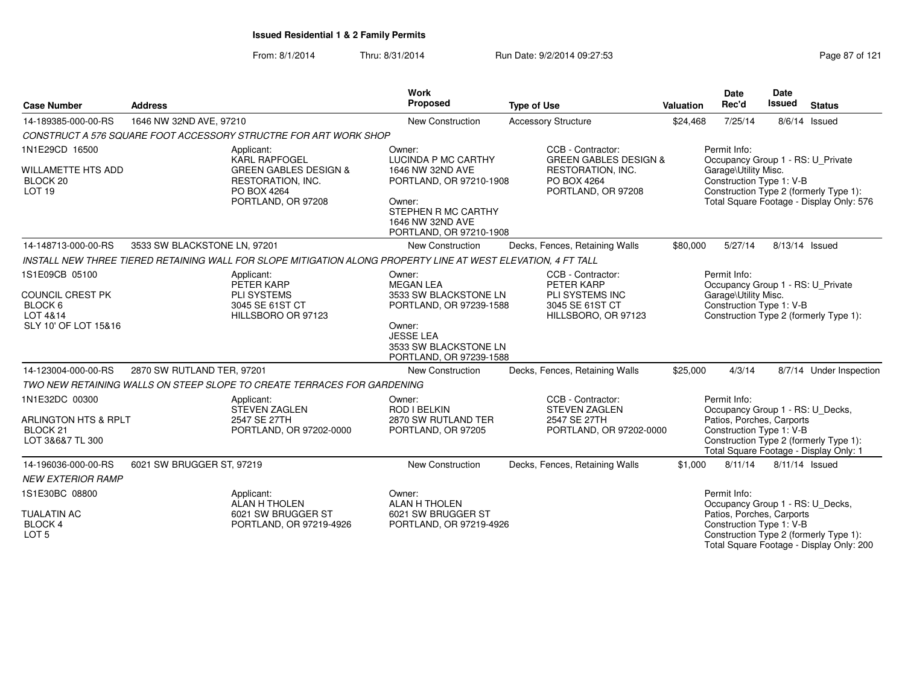#### From: 8/1/2014Thru: 8/31/2014 Run Date: 9/2/2014 09:27:53

| <b>Case Number</b>                                                                       | Work<br>Proposed<br><b>Address</b><br><b>Type of Use</b> |                                                                                                                                  |                                                                                                                                                                  |                                                                                                                 | <b>Valuation</b> | <b>Date</b><br>Rec'd                                                                                                                                                                          | Date<br><b>Issued</b> | <b>Status</b>                            |
|------------------------------------------------------------------------------------------|----------------------------------------------------------|----------------------------------------------------------------------------------------------------------------------------------|------------------------------------------------------------------------------------------------------------------------------------------------------------------|-----------------------------------------------------------------------------------------------------------------|------------------|-----------------------------------------------------------------------------------------------------------------------------------------------------------------------------------------------|-----------------------|------------------------------------------|
| 14-189385-000-00-RS                                                                      | 1646 NW 32ND AVE, 97210                                  |                                                                                                                                  | New Construction                                                                                                                                                 | <b>Accessory Structure</b>                                                                                      | \$24,468         | 7/25/14                                                                                                                                                                                       |                       | 8/6/14 Issued                            |
|                                                                                          |                                                          | CONSTRUCT A 576 SQUARE FOOT ACCESSORY STRUCTRE FOR ART WORK SHOP                                                                 |                                                                                                                                                                  |                                                                                                                 |                  |                                                                                                                                                                                               |                       |                                          |
| 1N1E29CD 16500<br><b>WILLAMETTE HTS ADD</b><br>BLOCK <sub>20</sub><br>LOT <sub>19</sub>  |                                                          | Applicant:<br><b>KARL RAPFOGEL</b><br><b>GREEN GABLES DESIGN &amp;</b><br>RESTORATION, INC.<br>PO BOX 4264<br>PORTLAND, OR 97208 | Owner:<br>LUCINDA P MC CARTHY<br>1646 NW 32ND AVE<br>PORTLAND, OR 97210-1908<br>Owner:<br>STEPHEN R MC CARTHY<br>1646 NW 32ND AVE<br>PORTLAND, OR 97210-1908     | CCB - Contractor:<br><b>GREEN GABLES DESIGN &amp;</b><br>RESTORATION, INC.<br>PO BOX 4264<br>PORTLAND, OR 97208 |                  | Permit Info:<br>Occupancy Group 1 - RS: U_Private<br>Garage\Utility Misc.<br>Construction Type 1: V-B<br>Construction Type 2 (formerly Type 1):                                               |                       | Total Square Footage - Display Only: 576 |
| 14-148713-000-00-RS                                                                      | 3533 SW BLACKSTONE LN, 97201                             |                                                                                                                                  | New Construction                                                                                                                                                 | Decks, Fences, Retaining Walls                                                                                  | \$80,000         | 5/27/14                                                                                                                                                                                       | 8/13/14 Issued        |                                          |
|                                                                                          |                                                          | INSTALL NEW THREE TIERED RETAINING WALL FOR SLOPE MITIGATION ALONG PROPERTY LINE AT WEST ELEVATION. 4 FT TALL                    |                                                                                                                                                                  |                                                                                                                 |                  |                                                                                                                                                                                               |                       |                                          |
| 1S1E09CB 05100<br><b>COUNCIL CREST PK</b><br>BLOCK 6<br>LOT 4&14<br>SLY 10' OF LOT 15&16 |                                                          | Applicant:<br>PETER KARP<br><b>PLI SYSTEMS</b><br>3045 SE 61ST CT<br>HILLSBORO OR 97123                                          | Owner:<br><b>MEGAN LEA</b><br>3533 SW BLACKSTONE LN<br>PORTLAND, OR 97239-1588<br>Owner:<br><b>JESSE LEA</b><br>3533 SW BLACKSTONE LN<br>PORTLAND, OR 97239-1588 | CCB - Contractor:<br>PETER KARP<br>PLI SYSTEMS INC<br>3045 SE 61ST CT<br>HILLSBORO, OR 97123                    |                  | Permit Info:<br>Occupancy Group 1 - RS: U_Private<br>Garage\Utility Misc.<br>Construction Type 1: V-B<br>Construction Type 2 (formerly Type 1):                                               |                       |                                          |
| 14-123004-000-00-RS                                                                      | 2870 SW RUTLAND TER, 97201                               |                                                                                                                                  | New Construction                                                                                                                                                 | Decks, Fences, Retaining Walls                                                                                  | \$25,000         | 4/3/14                                                                                                                                                                                        |                       | 8/7/14 Under Inspection                  |
|                                                                                          |                                                          | TWO NEW RETAINING WALLS ON STEEP SLOPE TO CREATE TERRACES FOR GARDENING                                                          |                                                                                                                                                                  |                                                                                                                 |                  |                                                                                                                                                                                               |                       |                                          |
| 1N1E32DC 00300<br>ARLINGTON HTS & RPLT<br>BLOCK <sub>21</sub><br>LOT 3&6&7 TL 300        |                                                          | Applicant:<br><b>STEVEN ZAGLEN</b><br>2547 SE 27TH<br>PORTLAND, OR 97202-0000                                                    | Owner:<br>ROD I BELKIN<br>2870 SW RUTLAND TER<br>PORTLAND, OR 97205                                                                                              | CCB - Contractor:<br><b>STEVEN ZAGLEN</b><br>2547 SE 27TH<br>PORTLAND, OR 97202-0000                            |                  | Permit Info:<br>Occupancy Group 1 - RS: U_Decks,<br>Patios, Porches, Carports<br>Construction Type 1: V-B<br>Construction Type 2 (formerly Type 1):<br>Total Square Footage - Display Only: 1 |                       |                                          |
| 14-196036-000-00-RS                                                                      | 6021 SW BRUGGER ST, 97219                                |                                                                                                                                  | <b>New Construction</b>                                                                                                                                          | Decks, Fences, Retaining Walls                                                                                  | \$1,000          | 8/11/14                                                                                                                                                                                       | 8/11/14 Issued        |                                          |
| <b>NEW EXTERIOR RAMP</b>                                                                 |                                                          |                                                                                                                                  |                                                                                                                                                                  |                                                                                                                 |                  |                                                                                                                                                                                               |                       |                                          |
| 1S1E30BC 08800<br><b>TUALATIN AC</b><br>BLOCK 4<br>LOT <sub>5</sub>                      |                                                          | Applicant:<br><b>ALAN H THOLEN</b><br>6021 SW BRUGGER ST<br>PORTLAND, OR 97219-4926                                              | Owner:<br><b>ALAN H THOLEN</b><br>6021 SW BRUGGER ST<br>PORTLAND, OR 97219-4926                                                                                  |                                                                                                                 |                  | Permit Info:<br>Occupancy Group 1 - RS: U_Decks,<br>Patios, Porches, Carports<br>Construction Type 1: V-B<br>Construction Type 2 (formerly Type 1):                                           |                       | Total Square Footage - Display Only: 200 |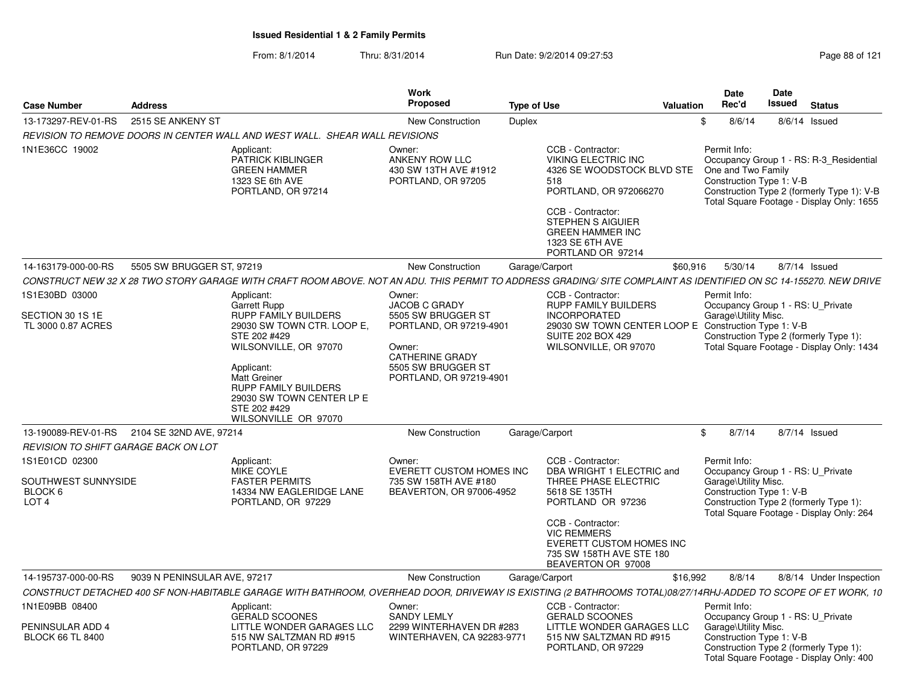| <b>Case Number</b>                                                   | <b>Address</b>               |                                                                                                                                                                                                                                             | Work<br>Proposed                                                                                                                   | <b>Type of Use</b> |                                                                                                                                                                                                               | <b>Valuation</b> | <b>Date</b><br>Rec'd                                                                                                                                                                                 | <b>Date</b><br>Issued | <b>Status</b> |                         |
|----------------------------------------------------------------------|------------------------------|---------------------------------------------------------------------------------------------------------------------------------------------------------------------------------------------------------------------------------------------|------------------------------------------------------------------------------------------------------------------------------------|--------------------|---------------------------------------------------------------------------------------------------------------------------------------------------------------------------------------------------------------|------------------|------------------------------------------------------------------------------------------------------------------------------------------------------------------------------------------------------|-----------------------|---------------|-------------------------|
| 13-173297-REV-01-RS                                                  | 2515 SE ANKENY ST            |                                                                                                                                                                                                                                             | New Construction                                                                                                                   | <b>Duplex</b>      |                                                                                                                                                                                                               | \$               | 8/6/14                                                                                                                                                                                               |                       | 8/6/14 Issued |                         |
|                                                                      |                              | REVISION TO REMOVE DOORS IN CENTER WALL AND WEST WALL. SHEAR WALL REVISIONS                                                                                                                                                                 |                                                                                                                                    |                    |                                                                                                                                                                                                               |                  |                                                                                                                                                                                                      |                       |               |                         |
| 1N1E36CC 19002                                                       |                              | Applicant:<br>PATRICK KIBLINGER<br><b>GREEN HAMMER</b><br>1323 SE 6th AVE<br>PORTLAND, OR 97214                                                                                                                                             | Owner:<br>ANKENY ROW LLC<br>430 SW 13TH AVE #1912<br>PORTLAND, OR 97205                                                            | 518                | CCB - Contractor:<br>VIKING ELECTRIC INC<br>4326 SE WOODSTOCK BLVD STE<br>PORTLAND, OR 972066270<br>CCB - Contractor:<br>STEPHEN S AIGUIER<br><b>GREEN HAMMER INC</b><br>1323 SE 6TH AVE<br>PORTLAND OR 97214 |                  | Permit Info:<br>Occupancy Group 1 - RS: R-3 Residential<br>One and Two Family<br>Construction Type 1: V-B<br>Construction Type 2 (formerly Type 1): V-B<br>Total Square Footage - Display Only: 1655 |                       |               |                         |
| 14-163179-000-00-RS                                                  | 5505 SW BRUGGER ST, 97219    |                                                                                                                                                                                                                                             | New Construction                                                                                                                   | Garage/Carport     |                                                                                                                                                                                                               | \$60,916         | 5/30/14                                                                                                                                                                                              |                       | 8/7/14 Issued |                         |
|                                                                      |                              | CONSTRUCT NEW 32 X 28 TWO STORY GARAGE WITH CRAFT ROOM ABOVE. NOT AN ADU. THIS PERMIT TO ADDRESS GRADING/ SITE COMPLAINT AS IDENTIFIED ON SC 14-155270. NEW DRIVE                                                                           |                                                                                                                                    |                    |                                                                                                                                                                                                               |                  |                                                                                                                                                                                                      |                       |               |                         |
| 1S1E30BD 03000                                                       |                              | Applicant:<br><b>Garrett Rupp</b>                                                                                                                                                                                                           | Owner:<br>JACOB C GRADY                                                                                                            |                    | CCB - Contractor:<br><b>RUPP FAMILY BUILDERS</b>                                                                                                                                                              |                  | Permit Info:<br>Occupancy Group 1 - RS: U Private                                                                                                                                                    |                       |               |                         |
| SECTION 30 1S 1E<br>TL 3000 0.87 ACRES                               |                              | <b>RUPP FAMILY BUILDERS</b><br>29030 SW TOWN CTR. LOOP E,<br>STE 202 #429<br>WILSONVILLE, OR 97070<br>Applicant:<br><b>Matt Greiner</b><br><b>RUPP FAMILY BUILDERS</b><br>29030 SW TOWN CENTER LP E<br>STE 202 #429<br>WILSONVILLE OR 97070 | 5505 SW BRUGGER ST<br>PORTLAND, OR 97219-4901<br>Owner:<br><b>CATHERINE GRADY</b><br>5505 SW BRUGGER ST<br>PORTLAND, OR 97219-4901 |                    | <b>INCORPORATED</b><br>29030 SW TOWN CENTER LOOP E Construction Type 1: V-B<br><b>SUITE 202 BOX 429</b><br>WILSONVILLE, OR 97070                                                                              |                  | Garage\Utility Misc.<br>Construction Type 2 (formerly Type 1):<br>Total Square Footage - Display Only: 1434                                                                                          |                       |               |                         |
| 13-190089-REV-01-RS 2104 SE 32ND AVE, 97214                          |                              |                                                                                                                                                                                                                                             | <b>New Construction</b>                                                                                                            | Garage/Carport     |                                                                                                                                                                                                               | \$               | 8/7/14                                                                                                                                                                                               |                       | 8/7/14 Issued |                         |
| REVISION TO SHIFT GARAGE BACK ON LOT                                 |                              |                                                                                                                                                                                                                                             |                                                                                                                                    |                    |                                                                                                                                                                                                               |                  |                                                                                                                                                                                                      |                       |               |                         |
| 1S1E01CD 02300<br>SOUTHWEST SUNNYSIDE<br>BLOCK 6<br>LOT <sub>4</sub> |                              | Applicant:<br>MIKE COYLE<br><b>FASTER PERMITS</b><br>14334 NW EAGLERIDGE LANE<br>PORTLAND, OR 97229                                                                                                                                         | Owner:<br><b>EVERETT CUSTOM HOMES INC</b><br>735 SW 158TH AVE #180<br>BEAVERTON, OR 97006-4952                                     |                    | CCB - Contractor:<br>DBA WRIGHT 1 ELECTRIC and<br>THREE PHASE ELECTRIC<br>5618 SE 135TH<br>PORTLAND OR 97236<br>CCB - Contractor:<br><b>VIC REMMERS</b><br>EVERETT CUSTOM HOMES INC                           |                  | Permit Info:<br>Occupancy Group 1 - RS: U_Private<br>Garage\Utility Misc.<br>Construction Type 1: V-B<br>Construction Type 2 (formerly Type 1):<br>Total Square Footage - Display Only: 264          |                       |               |                         |
|                                                                      |                              |                                                                                                                                                                                                                                             |                                                                                                                                    |                    | 735 SW 158TH AVE STE 180<br>BEAVERTON OR 97008                                                                                                                                                                |                  |                                                                                                                                                                                                      |                       |               |                         |
| 14-195737-000-00-RS                                                  | 9039 N PENINSULAR AVE, 97217 |                                                                                                                                                                                                                                             | <b>New Construction</b>                                                                                                            | Garage/Carport     |                                                                                                                                                                                                               | \$16,992         | 8/8/14                                                                                                                                                                                               |                       |               | 8/8/14 Under Inspection |
|                                                                      |                              | CONSTRUCT DETACHED 400 SF NON-HABITABLE GARAGE WITH BATHROOM, OVERHEAD DOOR, DRIVEWAY IS EXISTING (2 BATHROOMS TOTAL)08/27/14RHJ-ADDED TO SCOPE OF ET WORK, 10                                                                              |                                                                                                                                    |                    |                                                                                                                                                                                                               |                  |                                                                                                                                                                                                      |                       |               |                         |
| 1N1E09BB 08400                                                       |                              | Applicant:<br><b>GERALD SCOONES</b>                                                                                                                                                                                                         | Owner:<br><b>SANDY LEMLY</b>                                                                                                       |                    | CCB - Contractor:<br><b>GERALD SCOONES</b>                                                                                                                                                                    |                  | Permit Info:<br>Occupancy Group 1 - RS: U Private                                                                                                                                                    |                       |               |                         |
| PENINSULAR ADD 4<br><b>BLOCK 66 TL 8400</b>                          |                              | LITTLE WONDER GARAGES LLC<br>515 NW SALTZMAN RD #915<br>PORTLAND, OR 97229                                                                                                                                                                  | 2299 WINTERHAVEN DR #283<br>WINTERHAVEN, CA 92283-9771                                                                             |                    | LITTLE WONDER GARAGES LLC<br>515 NW SALTZMAN RD #915<br>PORTLAND, OR 97229                                                                                                                                    |                  | Garage\Utility Misc.<br>Construction Type 1: V-B<br>Construction Type 2 (formerly Type 1):<br>Total Square Footage - Display Only: 400                                                               |                       |               |                         |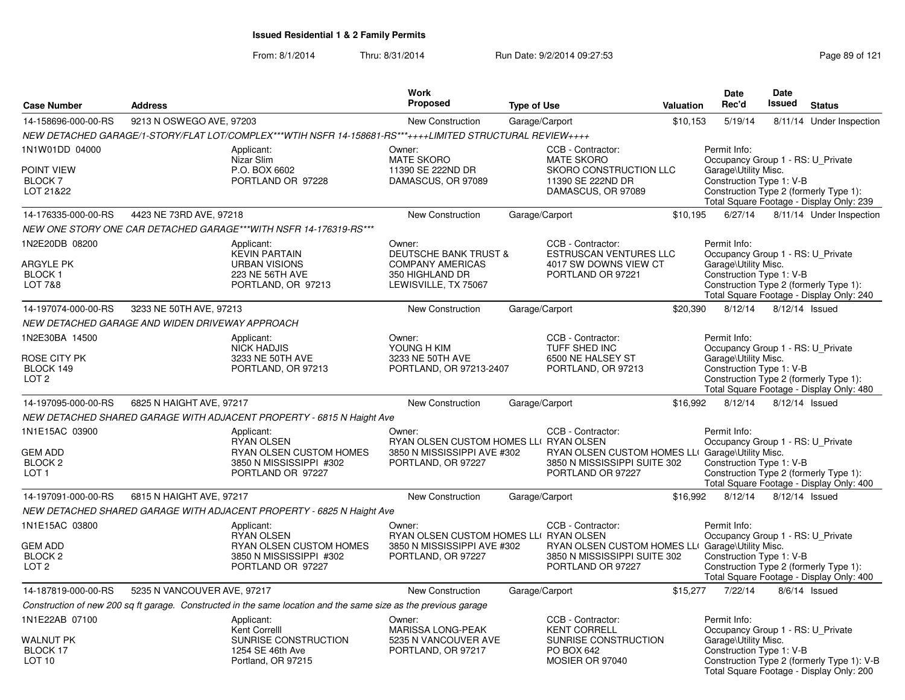From: 8/1/2014Thru: 8/31/2014 Run Date: 9/2/2014 09:27:53 Run Date: 9/2/2014 09:27:53

| <b>Case Number</b>                                                         | <b>Address</b>                                                                                                  | <b>Work</b><br><b>Proposed</b>                                                                                   | <b>Type of Use</b>                                                                                                         | Valuation | <b>Date</b><br>Rec'd                                                                                  | <b>Date</b><br><b>Issued</b> | <b>Status</b>                                                                          |
|----------------------------------------------------------------------------|-----------------------------------------------------------------------------------------------------------------|------------------------------------------------------------------------------------------------------------------|----------------------------------------------------------------------------------------------------------------------------|-----------|-------------------------------------------------------------------------------------------------------|------------------------------|----------------------------------------------------------------------------------------|
| 14-158696-000-00-RS                                                        | 9213 N OSWEGO AVE, 97203                                                                                        | <b>New Construction</b>                                                                                          | Garage/Carport                                                                                                             | \$10,153  | 5/19/14                                                                                               | 8/11/14                      | Under Inspection                                                                       |
|                                                                            | NEW DETACHED GARAGE/1-STORY/FLAT LOT/COMPLEX***WTIH NSFR 14-158681-RS***++++LIMITED STRUCTURAL REVIEW++++       |                                                                                                                  |                                                                                                                            |           |                                                                                                       |                              |                                                                                        |
| 1N1W01DD 04000<br>POINT VIEW<br>BLOCK <sub>7</sub><br>LOT 21&22            | Applicant:<br>Nizar Slim<br>P.O. BOX 6602<br>PORTLAND OR 97228                                                  | Owner:<br><b>MATE SKORO</b><br>11390 SE 222ND DR<br>DAMASCUS, OR 97089                                           | CCB - Contractor:<br><b>MATE SKORO</b><br>SKORO CONSTRUCTION LLC<br>11390 SE 222ND DR<br>DAMASCUS, OR 97089                |           | Permit Info:<br>Occupancy Group 1 - RS: U_Private<br>Garage\Utility Misc.<br>Construction Type 1: V-B |                              | Construction Type 2 (formerly Type 1):<br>Total Square Footage - Display Only: 239     |
| 14-176335-000-00-RS                                                        | 4423 NE 73RD AVE, 97218                                                                                         | New Construction                                                                                                 | Garage/Carport                                                                                                             | \$10,195  | 6/27/14                                                                                               |                              | 8/11/14 Under Inspection                                                               |
|                                                                            | NEW ONE STORY ONE CAR DETACHED GARAGE***WITH NSFR 14-176319-RS***                                               |                                                                                                                  |                                                                                                                            |           |                                                                                                       |                              |                                                                                        |
| 1N2E20DB 08200<br><b>ARGYLE PK</b><br><b>BLOCK1</b><br><b>LOT 7&amp;8</b>  | Applicant:<br><b>KEVIN PARTAIN</b><br><b>URBAN VISIONS</b><br>223 NE 56TH AVE<br>PORTLAND, OR 97213             | Owner:<br><b>DEUTSCHE BANK TRUST &amp;</b><br><b>COMPANY AMERICAS</b><br>350 HIGHLAND DR<br>LEWISVILLE, TX 75067 | CCB - Contractor:<br><b>ESTRUSCAN VENTURES LLC</b><br>4017 SW DOWNS VIEW CT<br>PORTLAND OR 97221                           |           | Permit Info:<br>Occupancy Group 1 - RS: U Private<br>Garage\Utility Misc.<br>Construction Type 1: V-B |                              | Construction Type 2 (formerly Type 1):<br>Total Square Footage - Display Only: 240     |
| 14-197074-000-00-RS                                                        | 3233 NE 50TH AVE, 97213                                                                                         | New Construction                                                                                                 | Garage/Carport                                                                                                             | \$20,390  | 8/12/14                                                                                               | 8/12/14 Issued               |                                                                                        |
|                                                                            | NEW DETACHED GARAGE AND WIDEN DRIVEWAY APPROACH                                                                 |                                                                                                                  |                                                                                                                            |           |                                                                                                       |                              |                                                                                        |
| 1N2E30BA 14500                                                             | Applicant:<br><b>NICK HADJIS</b>                                                                                | Owner:<br>YOUNG H KIM                                                                                            | CCB - Contractor:<br>TUFF SHED INC                                                                                         |           | Permit Info:<br>Occupancy Group 1 - RS: U_Private                                                     |                              |                                                                                        |
| ROSE CITY PK<br>BLOCK 149<br>LOT <sub>2</sub>                              | 3233 NE 50TH AVE<br>PORTLAND, OR 97213                                                                          | 3233 NE 50TH AVE<br>PORTLAND, OR 97213-2407                                                                      | 6500 NE HALSEY ST<br>PORTLAND, OR 97213                                                                                    |           | Garage\Utility Misc.<br>Construction Type 1: V-B                                                      |                              | Construction Type 2 (formerly Type 1):<br>Total Square Footage - Display Only: 480     |
| 14-197095-000-00-RS                                                        | 6825 N HAIGHT AVE, 97217                                                                                        | New Construction                                                                                                 | Garage/Carport                                                                                                             | \$16,992  | 8/12/14                                                                                               | 8/12/14 Issued               |                                                                                        |
|                                                                            | NEW DETACHED SHARED GARAGE WITH ADJACENT PROPERTY - 6815 N Haight Ave                                           |                                                                                                                  |                                                                                                                            |           |                                                                                                       |                              |                                                                                        |
| 1N1E15AC 03900<br><b>GEM ADD</b><br>BLOCK <sub>2</sub><br>LOT <sub>1</sub> | Applicant:<br><b>RYAN OLSEN</b><br>RYAN OLSEN CUSTOM HOMES<br>3850 N MISSISSIPPI #302<br>PORTLAND OR 97227      | Owner:<br>RYAN OLSEN CUSTOM HOMES LLI RYAN OLSEN<br>3850 N MISSISSIPPI AVE #302<br>PORTLAND, OR 97227            | CCB - Contractor:<br>RYAN OLSEN CUSTOM HOMES LLI Garage\Utility Misc.<br>3850 N MISSISSIPPI SUITE 302<br>PORTLAND OR 97227 |           | Permit Info:<br>Occupancy Group 1 - RS: U Private<br>Construction Type 1: V-B                         |                              | Construction Type 2 (formerly Type 1):<br>Total Square Footage - Display Only: 400     |
| 14-197091-000-00-RS                                                        | 6815 N HAIGHT AVE, 97217                                                                                        | <b>New Construction</b>                                                                                          | Garage/Carport                                                                                                             | \$16,992  | 8/12/14                                                                                               | 8/12/14 Issued               |                                                                                        |
|                                                                            | NEW DETACHED SHARED GARAGE WITH ADJACENT PROPERTY - 6825 N Haight Ave                                           |                                                                                                                  |                                                                                                                            |           |                                                                                                       |                              |                                                                                        |
| 1N1E15AC 03800                                                             | Applicant:<br><b>RYAN OLSEN</b>                                                                                 | Owner:<br>RYAN OLSEN CUSTOM HOMES LLI RYAN OLSEN                                                                 | CCB - Contractor:                                                                                                          |           | Permit Info:<br>Occupancy Group 1 - RS: U_Private                                                     |                              |                                                                                        |
| <b>GEM ADD</b><br>BLOCK <sub>2</sub><br>LOT <sub>2</sub>                   | RYAN OLSEN CUSTOM HOMES<br>3850 N MISSISSIPPI #302<br>PORTLAND OR 97227                                         | 3850 N MISSISSIPPI AVE #302<br>PORTLAND, OR 97227                                                                | RYAN OLSEN CUSTOM HOMES LLI Garage\Utility Misc.<br>3850 N MISSISSIPPI SUITE 302<br>PORTLAND OR 97227                      |           | Construction Type 1: V-B                                                                              |                              | Construction Type 2 (formerly Type 1):<br>Total Square Footage - Display Only: 400     |
| 14-187819-000-00-RS                                                        | 5235 N VANCOUVER AVE, 97217                                                                                     | New Construction                                                                                                 | Garage/Carport                                                                                                             | \$15,277  | 7/22/14                                                                                               |                              | 8/6/14 Issued                                                                          |
|                                                                            | Construction of new 200 sq ft garage. Constructed in the same location and the same size as the previous garage |                                                                                                                  |                                                                                                                            |           |                                                                                                       |                              |                                                                                        |
| 1N1E22AB 07100                                                             | Applicant:<br>Kent Correlll                                                                                     | Owner:<br>MARISSA LONG-PEAK                                                                                      | CCB - Contractor:<br><b>KENT CORRELL</b>                                                                                   |           | Permit Info:<br>Occupancy Group 1 - RS: U_Private                                                     |                              |                                                                                        |
| WALNUT PK<br>BLOCK 17<br>LOT <sub>10</sub>                                 | SUNRISE CONSTRUCTION<br>1254 SE 46th Ave<br>Portland, OR 97215                                                  | 5235 N VANCOUVER AVE<br>PORTLAND, OR 97217                                                                       | SUNRISE CONSTRUCTION<br>PO BOX 642<br>MOSIER OR 97040                                                                      |           | Garage\Utility Misc.<br>Construction Type 1: V-B                                                      |                              | Construction Type 2 (formerly Type 1): V-B<br>Total Square Footage - Display Only: 200 |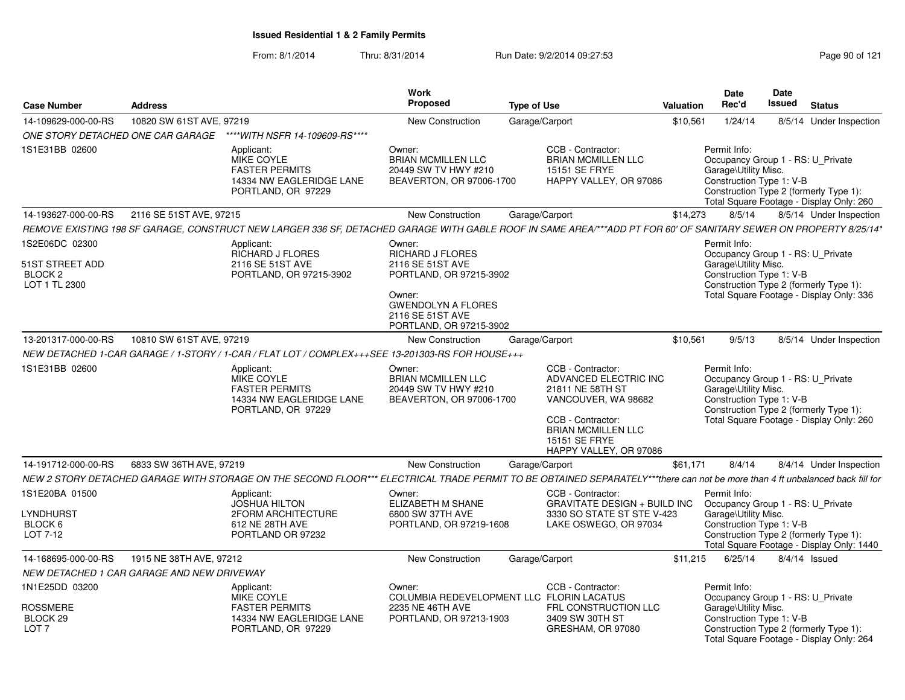| <b>Case Number</b>                                                       | <b>Address</b>           |                                                                                                                                                                              | <b>Work</b><br>Proposed                                                                                                                                         | <b>Type of Use</b>                                                                                                                                                                 |          | Date<br>Rec'd<br><b>Valuation</b>                                                                     |  | <b>Status</b>                                                                       |
|--------------------------------------------------------------------------|--------------------------|------------------------------------------------------------------------------------------------------------------------------------------------------------------------------|-----------------------------------------------------------------------------------------------------------------------------------------------------------------|------------------------------------------------------------------------------------------------------------------------------------------------------------------------------------|----------|-------------------------------------------------------------------------------------------------------|--|-------------------------------------------------------------------------------------|
| 14-109629-000-00-RS                                                      | 10820 SW 61ST AVE, 97219 |                                                                                                                                                                              | New Construction                                                                                                                                                | Garage/Carport                                                                                                                                                                     | \$10,561 | 1/24/14                                                                                               |  | 8/5/14 Under Inspection                                                             |
| ONE STORY DETACHED ONE CAR GARAGE                                        |                          | ****WITH NSFR 14-109609-RS****                                                                                                                                               |                                                                                                                                                                 |                                                                                                                                                                                    |          |                                                                                                       |  |                                                                                     |
| 1S1E31BB 02600                                                           |                          | Applicant:<br>MIKE COYLE<br><b>FASTER PERMITS</b><br>14334 NW EAGLERIDGE LANE<br>PORTLAND, OR 97229                                                                          | Owner:<br><b>BRIAN MCMILLEN LLC</b><br>20449 SW TV HWY #210<br>BEAVERTON, OR 97006-1700                                                                         | CCB - Contractor:<br>BRIAN MCMILLEN LLC<br><b>15151 SE FRYE</b><br>HAPPY VALLEY, OR 97086                                                                                          |          | Permit Info:<br>Occupancy Group 1 - RS: U Private<br>Garage\Utility Misc.<br>Construction Type 1: V-B |  | Construction Type 2 (formerly Type 1):<br>Total Square Footage - Display Only: 260  |
| 14-193627-000-00-RS                                                      | 2116 SE 51ST AVE, 97215  |                                                                                                                                                                              | <b>New Construction</b>                                                                                                                                         | Garage/Carport                                                                                                                                                                     | \$14,273 | 8/5/14                                                                                                |  | 8/5/14 Under Inspection                                                             |
|                                                                          |                          | REMOVE EXISTING 198 SF GARAGE, CONSTRUCT NEW LARGER 336 SF, DETACHED GARAGE WITH GABLE ROOF IN SAME AREA/***ADD PT FOR 60' OF SANITARY SEWER ON PROPERTY 8/25/14*            |                                                                                                                                                                 |                                                                                                                                                                                    |          |                                                                                                       |  |                                                                                     |
| 1S2E06DC 02300<br>51ST STREET ADD<br>BLOCK <sub>2</sub><br>LOT 1 TL 2300 |                          | Applicant:<br><b>RICHARD J FLORES</b><br>2116 SE 51ST AVE<br>PORTLAND, OR 97215-3902                                                                                         | Owner:<br>RICHARD J FLORES<br>2116 SE 51ST AVE<br>PORTLAND, OR 97215-3902<br>Owner:<br><b>GWENDOLYN A FLORES</b><br>2116 SE 51ST AVE<br>PORTLAND, OR 97215-3902 |                                                                                                                                                                                    |          | Permit Info:<br>Occupancy Group 1 - RS: U_Private<br>Garage\Utility Misc.<br>Construction Type 1: V-B |  | Construction Type 2 (formerly Type 1):<br>Total Square Footage - Display Only: 336  |
| 13-201317-000-00-RS                                                      | 10810 SW 61ST AVE, 97219 |                                                                                                                                                                              | New Construction                                                                                                                                                | Garage/Carport                                                                                                                                                                     | \$10,561 | 9/5/13                                                                                                |  | 8/5/14 Under Inspection                                                             |
|                                                                          |                          | NEW DETACHED 1-CAR GARAGE / 1-STORY / 1-CAR / FLAT LOT / COMPLEX+++SEE 13-201303-RS FOR HOUSE+++                                                                             |                                                                                                                                                                 |                                                                                                                                                                                    |          |                                                                                                       |  |                                                                                     |
| 1S1E31BB 02600                                                           |                          | Applicant:<br>MIKE COYLE<br><b>FASTER PERMITS</b><br>14334 NW EAGLERIDGE LANE<br>PORTLAND, OR 97229                                                                          | Owner:<br><b>BRIAN MCMILLEN LLC</b><br>20449 SW TV HWY #210<br>BEAVERTON, OR 97006-1700                                                                         | CCB - Contractor:<br>ADVANCED ELECTRIC INC<br>21811 NE 58TH ST<br>VANCOUVER, WA 98682<br>CCB - Contractor:<br><b>BRIAN MCMILLEN LLC</b><br>15151 SE FRYE<br>HAPPY VALLEY, OR 97086 |          | Permit Info:<br>Occupancy Group 1 - RS: U_Private<br>Garage\Utility Misc.<br>Construction Type 1: V-B |  | Construction Type 2 (formerly Type 1):<br>Total Square Footage - Display Only: 260  |
| 14-191712-000-00-RS                                                      | 6833 SW 36TH AVE, 97219  |                                                                                                                                                                              | <b>New Construction</b>                                                                                                                                         | Garage/Carport                                                                                                                                                                     | \$61,171 | 8/4/14                                                                                                |  | 8/4/14 Under Inspection                                                             |
|                                                                          |                          | NEW 2 STORY DETACHED GARAGE WITH STORAGE ON THE SECOND FLOOR*** ELECTRICAL TRADE PERMIT TO BE OBTAINED SEPARATELY***there can not be more than 4 ft unbalanced back fill for |                                                                                                                                                                 |                                                                                                                                                                                    |          |                                                                                                       |  |                                                                                     |
| 1S1E20BA 01500<br>LYNDHURST<br>BLOCK 6<br>LOT 7-12                       |                          | Applicant:<br><b>JOSHUA HILTON</b><br>2FORM ARCHITECTURE<br>612 NE 28TH AVE<br>PORTLAND OR 97232                                                                             | Owner:<br>ELIZABETH M SHANE<br>6800 SW 37TH AVE<br>PORTLAND, OR 97219-1608                                                                                      | CCB - Contractor:<br><b>GRAVITATE DESIGN + BUILD INC</b><br>3330 SO STATE ST STE V-423<br>LAKE OSWEGO, OR 97034                                                                    |          | Permit Info:<br>Occupancy Group 1 - RS: U_Private<br>Garage\Utility Misc.<br>Construction Type 1: V-B |  | Construction Type 2 (formerly Type 1):<br>Total Square Footage - Display Only: 1440 |
| 14-168695-000-00-RS                                                      | 1915 NE 38TH AVE, 97212  |                                                                                                                                                                              | New Construction                                                                                                                                                | Garage/Carport                                                                                                                                                                     | \$11,215 | 6/25/14                                                                                               |  | 8/4/14 Issued                                                                       |
| NEW DETACHED 1 CAR GARAGE AND NEW DRIVEWAY                               |                          |                                                                                                                                                                              |                                                                                                                                                                 |                                                                                                                                                                                    |          |                                                                                                       |  |                                                                                     |
| 1N1E25DD 03200<br><b>ROSSMERE</b><br>BLOCK 29<br>LOT <sub>7</sub>        |                          | Applicant:<br>MIKE COYLE<br><b>FASTER PERMITS</b><br>14334 NW EAGLERIDGE LANE<br>PORTLAND, OR 97229                                                                          | Owner:<br>2235 NE 46TH AVE<br>PORTLAND, OR 97213-1903                                                                                                           | CCB - Contractor:<br>COLUMBIA REDEVELOPMENT LLC FLORIN LACATUS<br>FRL CONSTRUCTION LLC<br>3409 SW 30TH ST<br>GRESHAM, OR 97080                                                     |          | Permit Info:<br>Occupancy Group 1 - RS: U_Private<br>Garage\Utility Misc.<br>Construction Type 1: V-B |  | Construction Type 2 (formerly Type 1):<br>Total Square Footage - Display Only: 264  |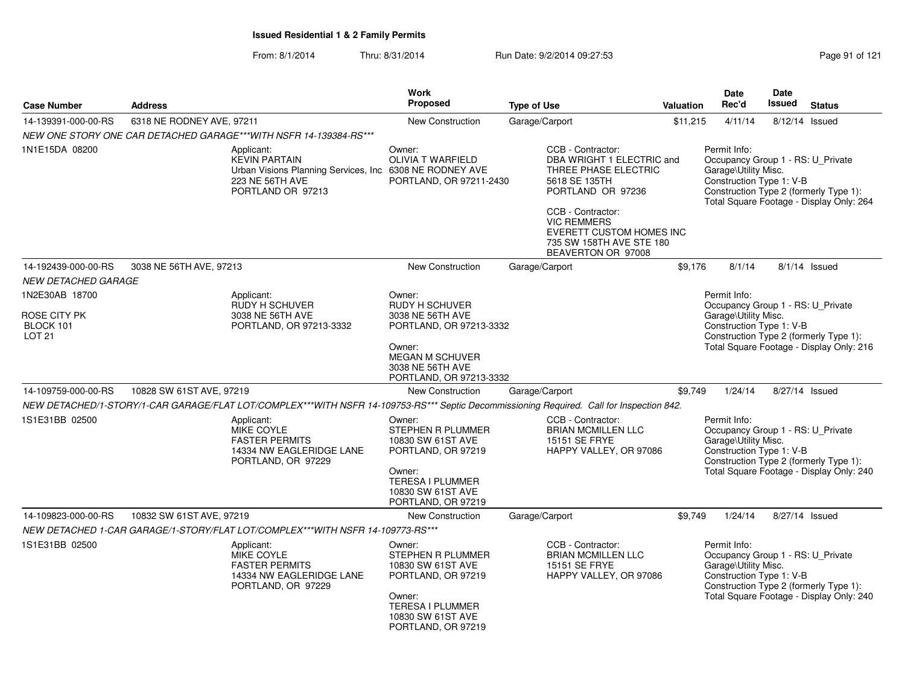| <b>Case Number</b><br><b>Address</b>                                |                                                                                                                                          | <b>Work</b><br><b>Proposed</b>                                                                                                                             | <b>Type of Use</b>                                                                                                                                                                                                                           | Valuation | <b>Date</b><br>Rec'd                                                                                  | <b>Date</b><br>Issued | <b>Status</b>                                                                      |
|---------------------------------------------------------------------|------------------------------------------------------------------------------------------------------------------------------------------|------------------------------------------------------------------------------------------------------------------------------------------------------------|----------------------------------------------------------------------------------------------------------------------------------------------------------------------------------------------------------------------------------------------|-----------|-------------------------------------------------------------------------------------------------------|-----------------------|------------------------------------------------------------------------------------|
| 14-139391-000-00-RS                                                 | 6318 NE RODNEY AVE, 97211                                                                                                                | New Construction                                                                                                                                           | Garage/Carport                                                                                                                                                                                                                               | \$11,215  | 4/11/14                                                                                               |                       | 8/12/14 Issued                                                                     |
|                                                                     | NEW ONE STORY ONE CAR DETACHED GARAGE***WITH NSFR 14-139384-RS***                                                                        |                                                                                                                                                            |                                                                                                                                                                                                                                              |           |                                                                                                       |                       |                                                                                    |
| 1N1E15DA 08200                                                      | Applicant:<br><b>KEVIN PARTAIN</b><br>Urban Visions Planning Services, Inc. 6308 NE RODNEY AVE<br>223 NE 56TH AVE<br>PORTLAND OR 97213   | Owner:<br>OLIVIA T WARFIELD<br>PORTLAND, OR 97211-2430                                                                                                     | CCB - Contractor:<br>DBA WRIGHT 1 ELECTRIC and<br>THREE PHASE ELECTRIC<br>5618 SE 135TH<br>PORTLAND OR 97236<br>CCB - Contractor:<br><b>VIC REMMERS</b><br><b>EVERETT CUSTOM HOMES INC</b><br>735 SW 158TH AVE STE 180<br>BEAVERTON OR 97008 |           | Permit Info:<br>Occupancy Group 1 - RS: U_Private<br>Garage\Utility Misc.<br>Construction Type 1: V-B |                       | Construction Type 2 (formerly Type 1):<br>Total Square Footage - Display Only: 264 |
| 14-192439-000-00-RS                                                 | 3038 NE 56TH AVE, 97213                                                                                                                  | <b>New Construction</b>                                                                                                                                    | Garage/Carport                                                                                                                                                                                                                               | \$9,176   | 8/1/14                                                                                                |                       | 8/1/14 Issued                                                                      |
| <b>NEW DETACHED GARAGE</b>                                          |                                                                                                                                          |                                                                                                                                                            |                                                                                                                                                                                                                                              |           |                                                                                                       |                       |                                                                                    |
| 1N2E30AB 18700<br><b>ROSE CITY PK</b><br>BLOCK 101<br><b>LOT 21</b> | Applicant:<br><b>RUDY H SCHUVER</b><br>3038 NE 56TH AVE<br>PORTLAND, OR 97213-3332                                                       | Owner:<br><b>RUDY H SCHUVER</b><br>3038 NE 56TH AVE<br>PORTLAND, OR 97213-3332<br>Owner:<br>MEGAN M SCHUVER<br>3038 NE 56TH AVE<br>PORTLAND, OR 97213-3332 |                                                                                                                                                                                                                                              |           | Permit Info:<br>Occupancy Group 1 - RS: U_Private<br>Garage\Utility Misc.<br>Construction Type 1: V-B |                       | Construction Type 2 (formerly Type 1):<br>Total Square Footage - Display Only: 216 |
| 14-109759-000-00-RS                                                 | 10828 SW 61ST AVE, 97219                                                                                                                 | <b>New Construction</b>                                                                                                                                    | Garage/Carport                                                                                                                                                                                                                               | \$9,749   | 1/24/14                                                                                               |                       | 8/27/14 Issued                                                                     |
|                                                                     | NEW DETACHED/1-STORY/1-CAR GARAGE/FLAT LOT/COMPLEX***WITH NSFR 14-109753-RS*** Septic Decommissioning Required. Call for Inspection 842. |                                                                                                                                                            |                                                                                                                                                                                                                                              |           |                                                                                                       |                       |                                                                                    |
| 1S1E31BB 02500                                                      | Applicant:<br><b>MIKE COYLE</b><br><b>FASTER PERMITS</b><br>14334 NW EAGLERIDGE LANE<br>PORTLAND, OR 97229                               | Owner:<br>STEPHEN R PLUMMER<br>10830 SW 61ST AVE<br>PORTLAND, OR 97219<br>Owner:<br><b>TERESA I PLUMMER</b><br>10830 SW 61ST AVE<br>PORTLAND, OR 97219     | CCB - Contractor:<br><b>BRIAN MCMILLEN LLC</b><br>15151 SE FRYE<br>HAPPY VALLEY, OR 97086                                                                                                                                                    |           | Permit Info:<br>Occupancy Group 1 - RS: U_Private<br>Garage\Utility Misc.<br>Construction Type 1: V-B |                       | Construction Type 2 (formerly Type 1):<br>Total Square Footage - Display Only: 240 |
| 14-109823-000-00-RS                                                 | 10832 SW 61ST AVE, 97219                                                                                                                 | <b>New Construction</b>                                                                                                                                    | Garage/Carport                                                                                                                                                                                                                               | \$9,749   | 1/24/14                                                                                               |                       | 8/27/14 Issued                                                                     |
|                                                                     | NEW DETACHED 1-CAR GARAGE/1-STORY/FLAT LOT/COMPLEX***WITH NSFR 14-109773-RS***                                                           |                                                                                                                                                            |                                                                                                                                                                                                                                              |           |                                                                                                       |                       |                                                                                    |
| 1S1E31BB 02500                                                      | Applicant:<br><b>MIKE COYLE</b><br><b>FASTER PERMITS</b><br>14334 NW EAGLERIDGE LANE<br>PORTLAND, OR 97229                               | Owner:<br>STEPHEN R PLUMMER<br>10830 SW 61ST AVE<br>PORTLAND, OR 97219<br>Owner:<br>TERESA I PLUMMER<br>10830 SW 61ST AVE<br>PORTLAND, OR 97219            | CCB - Contractor:<br><b>BRIAN MCMILLEN LLC</b><br><b>15151 SE FRYE</b><br>HAPPY VALLEY, OR 97086                                                                                                                                             |           | Permit Info:<br>Occupancy Group 1 - RS: U_Private<br>Garage\Utility Misc.<br>Construction Type 1: V-B |                       | Construction Type 2 (formerly Type 1):<br>Total Square Footage - Display Only: 240 |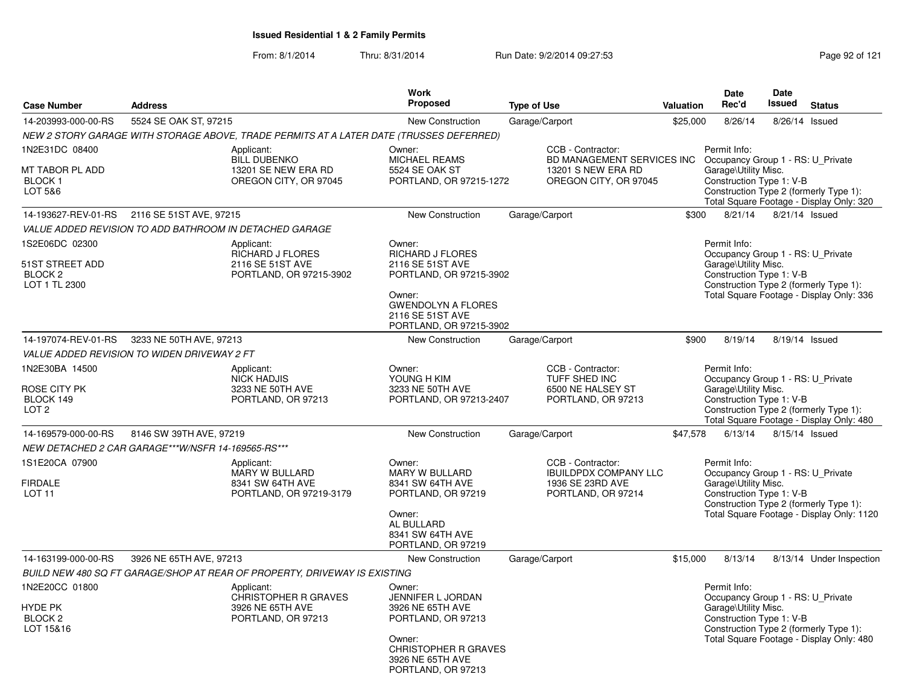| <b>Case Number</b>                                                       | <b>Address</b>                                     |                                                                                         | <b>Work</b><br><b>Proposed</b>                                                                                                                                         | <b>Type of Use</b>                                                                                                               | Valuation | <b>Date</b><br>Rec'd                                                                                  | Date<br>Issued | <b>Status</b>                                                                       |
|--------------------------------------------------------------------------|----------------------------------------------------|-----------------------------------------------------------------------------------------|------------------------------------------------------------------------------------------------------------------------------------------------------------------------|----------------------------------------------------------------------------------------------------------------------------------|-----------|-------------------------------------------------------------------------------------------------------|----------------|-------------------------------------------------------------------------------------|
| 14-203993-000-00-RS                                                      | 5524 SE OAK ST, 97215                              |                                                                                         | <b>New Construction</b>                                                                                                                                                | Garage/Carport                                                                                                                   | \$25,000  | 8/26/14                                                                                               | 8/26/14        | Issued                                                                              |
|                                                                          |                                                    | NEW 2 STORY GARAGE WITH STORAGE ABOVE, TRADE PERMITS AT A LATER DATE (TRUSSES DEFERRED) |                                                                                                                                                                        |                                                                                                                                  |           |                                                                                                       |                |                                                                                     |
| 1N2E31DC 08400<br>MT TABOR PL ADD<br><b>BLOCK1</b><br>LOT 5&6            |                                                    | Applicant:<br><b>BILL DUBENKO</b><br>13201 SE NEW ERA RD<br>OREGON CITY, OR 97045       | Owner:<br>MICHAEL REAMS<br><b>5524 SE OAK ST</b><br>PORTLAND, OR 97215-1272                                                                                            | CCB - Contractor:<br>BD MANAGEMENT SERVICES INC Occupancy Group 1 - RS: U Private<br>13201 S NEW ERA RD<br>OREGON CITY, OR 97045 |           | Permit Info:<br>Garage\Utility Misc.<br>Construction Type 1: V-B                                      |                | Construction Type 2 (formerly Type 1):<br>Total Square Footage - Display Only: 320  |
| 14-193627-REV-01-RS                                                      | 2116 SE 51ST AVE, 97215                            |                                                                                         | New Construction                                                                                                                                                       | Garage/Carport                                                                                                                   | \$300     | 8/21/14                                                                                               |                | 8/21/14 Issued                                                                      |
|                                                                          |                                                    | VALUE ADDED REVISION TO ADD BATHROOM IN DETACHED GARAGE                                 |                                                                                                                                                                        |                                                                                                                                  |           |                                                                                                       |                |                                                                                     |
| 1S2E06DC 02300<br>51ST STREET ADD<br>BLOCK <sub>2</sub><br>LOT 1 TL 2300 |                                                    | Applicant:<br><b>RICHARD J FLORES</b><br>2116 SE 51ST AVE<br>PORTLAND, OR 97215-3902    | Owner:<br><b>RICHARD J FLORES</b><br>2116 SE 51ST AVE<br>PORTLAND, OR 97215-3902<br>Owner:<br><b>GWENDOLYN A FLORES</b><br>2116 SE 51ST AVE<br>PORTLAND, OR 97215-3902 |                                                                                                                                  |           | Permit Info:<br>Occupancy Group 1 - RS: U Private<br>Garage\Utility Misc.<br>Construction Type 1: V-B |                | Construction Type 2 (formerly Type 1):<br>Total Square Footage - Display Only: 336  |
| 14-197074-REV-01-RS                                                      | 3233 NE 50TH AVE, 97213                            |                                                                                         | New Construction                                                                                                                                                       | Garage/Carport                                                                                                                   | \$900     | 8/19/14                                                                                               |                | 8/19/14 Issued                                                                      |
|                                                                          | VALUE ADDED REVISION TO WIDEN DRIVEWAY 2 FT        |                                                                                         |                                                                                                                                                                        |                                                                                                                                  |           |                                                                                                       |                |                                                                                     |
| 1N2E30BA 14500<br>ROSE CITY PK<br>BLOCK 149<br>LOT <sub>2</sub>          |                                                    | Applicant:<br><b>NICK HADJIS</b><br>3233 NE 50TH AVE<br>PORTLAND, OR 97213              | Owner:<br>YOUNG H KIM<br>3233 NE 50TH AVE<br>PORTLAND, OR 97213-2407                                                                                                   | CCB - Contractor:<br>TUFF SHED INC<br>6500 NE HALSEY ST<br>PORTLAND, OR 97213                                                    |           | Permit Info:<br>Occupancy Group 1 - RS: U_Private<br>Garage\Utility Misc.<br>Construction Type 1: V-B |                | Construction Type 2 (formerly Type 1):<br>Total Square Footage - Display Only: 480  |
| 14-169579-000-00-RS                                                      | 8146 SW 39TH AVE, 97219                            |                                                                                         | <b>New Construction</b>                                                                                                                                                | Garage/Carport                                                                                                                   | \$47,578  | 6/13/14                                                                                               |                | 8/15/14 Issued                                                                      |
|                                                                          | NEW DETACHED 2 CAR GARAGE***W/NSFR 14-169565-RS*** |                                                                                         |                                                                                                                                                                        |                                                                                                                                  |           |                                                                                                       |                |                                                                                     |
| 1S1E20CA 07900<br><b>FIRDALE</b><br>LOT <sub>11</sub>                    |                                                    | Applicant:<br>MARY W BULLARD<br>8341 SW 64TH AVE<br>PORTLAND, OR 97219-3179             | Owner:<br><b>MARY W BULLARD</b><br>8341 SW 64TH AVE<br>PORTLAND, OR 97219<br>Owner:<br>AL BULLARD<br>8341 SW 64TH AVE<br>PORTLAND, OR 97219                            | CCB - Contractor:<br><b>IBUILDPDX COMPANY LLC</b><br>1936 SE 23RD AVE<br>PORTLAND, OR 97214                                      |           | Permit Info:<br>Occupancy Group 1 - RS: U_Private<br>Garage\Utility Misc.<br>Construction Type 1: V-B |                | Construction Type 2 (formerly Type 1):<br>Total Square Footage - Display Only: 1120 |
| 14-163199-000-00-RS                                                      | 3926 NE 65TH AVE, 97213                            |                                                                                         | New Construction                                                                                                                                                       | Garage/Carport                                                                                                                   | \$15,000  | 8/13/14                                                                                               |                | 8/13/14 Under Inspection                                                            |
|                                                                          |                                                    | BUILD NEW 480 SQ FT GARAGE/SHOP AT REAR OF PROPERTY, DRIVEWAY IS EXISTING               |                                                                                                                                                                        |                                                                                                                                  |           |                                                                                                       |                |                                                                                     |
| 1N2E20CC 01800<br>HYDE PK<br>BLOCK <sub>2</sub><br>LOT 15&16             |                                                    | Applicant:<br><b>CHRISTOPHER R GRAVES</b><br>3926 NE 65TH AVE<br>PORTLAND, OR 97213     | Owner:<br>JENNIFER L JORDAN<br>3926 NE 65TH AVE<br>PORTLAND, OR 97213<br>Owner:<br><b>CHRISTOPHER R GRAVES</b><br>3926 NE 65TH AVE<br>PORTLAND, OR 97213               |                                                                                                                                  |           | Permit Info:<br>Occupancy Group 1 - RS: U_Private<br>Garage\Utility Misc.<br>Construction Type 1: V-B |                | Construction Type 2 (formerly Type 1):<br>Total Square Footage - Display Only: 480  |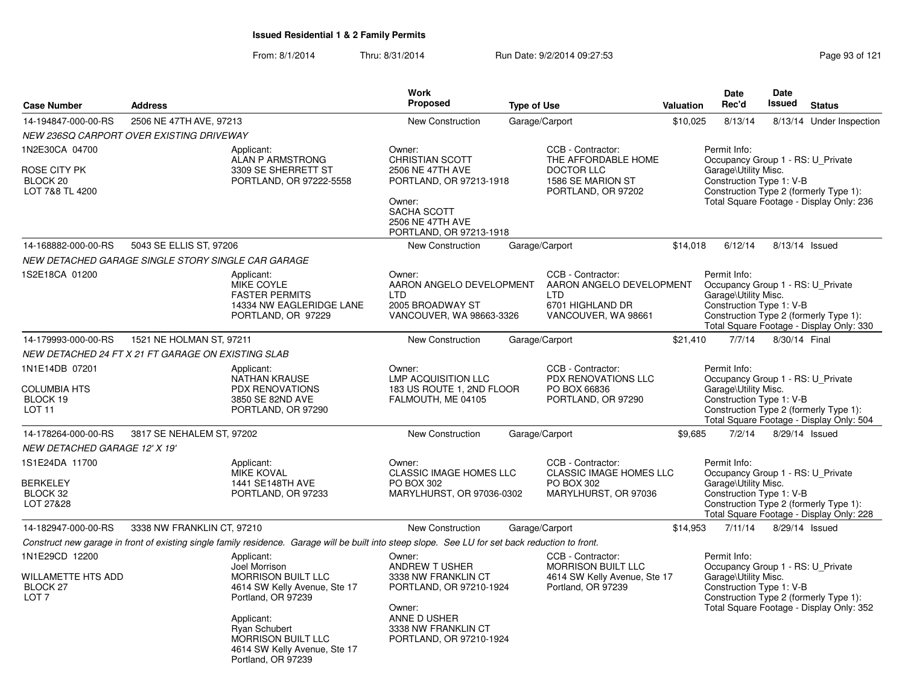|                                                                                 |                                                    |                                                                                                                                                                                                                                         | <b>Work</b>                                                                                                                                             |                    |                                                                                                          |           | Date                                                                                                  | Date          |                                                                                    |
|---------------------------------------------------------------------------------|----------------------------------------------------|-----------------------------------------------------------------------------------------------------------------------------------------------------------------------------------------------------------------------------------------|---------------------------------------------------------------------------------------------------------------------------------------------------------|--------------------|----------------------------------------------------------------------------------------------------------|-----------|-------------------------------------------------------------------------------------------------------|---------------|------------------------------------------------------------------------------------|
| <b>Case Number</b>                                                              | <b>Address</b>                                     |                                                                                                                                                                                                                                         | <b>Proposed</b>                                                                                                                                         | <b>Type of Use</b> |                                                                                                          | Valuation | Rec'd                                                                                                 | <b>Issued</b> | <b>Status</b>                                                                      |
| 14-194847-000-00-RS                                                             | 2506 NE 47TH AVE, 97213                            |                                                                                                                                                                                                                                         | <b>New Construction</b>                                                                                                                                 |                    | Garage/Carport                                                                                           | \$10,025  | 8/13/14                                                                                               |               | 8/13/14 Under Inspection                                                           |
|                                                                                 | NEW 236SQ CARPORT OVER EXISTING DRIVEWAY           |                                                                                                                                                                                                                                         |                                                                                                                                                         |                    |                                                                                                          |           |                                                                                                       |               |                                                                                    |
| 1N2E30CA 04700<br>ROSE CITY PK<br>BLOCK <sub>20</sub><br>LOT 7&8 TL 4200        |                                                    | Applicant:<br>ALAN P ARMSTRONG<br>3309 SE SHERRETT ST<br>PORTLAND, OR 97222-5558                                                                                                                                                        | Owner:<br><b>CHRISTIAN SCOTT</b><br>2506 NE 47TH AVE<br>PORTLAND, OR 97213-1918<br>Owner:<br>SACHA SCOTT<br>2506 NE 47TH AVE<br>PORTLAND, OR 97213-1918 |                    | CCB - Contractor:<br>THE AFFORDABLE HOME<br><b>DOCTOR LLC</b><br>1586 SE MARION ST<br>PORTLAND, OR 97202 |           | Permit Info:<br>Occupancy Group 1 - RS: U_Private<br>Garage\Utility Misc.<br>Construction Type 1: V-B |               | Construction Type 2 (formerly Type 1):<br>Total Square Footage - Display Only: 236 |
| 14-168882-000-00-RS                                                             | 5043 SE ELLIS ST, 97206                            |                                                                                                                                                                                                                                         | <b>New Construction</b>                                                                                                                                 |                    | Garage/Carport                                                                                           | \$14,018  | 6/12/14                                                                                               |               | 8/13/14 Issued                                                                     |
|                                                                                 | NEW DETACHED GARAGE SINGLE STORY SINGLE CAR GARAGE |                                                                                                                                                                                                                                         |                                                                                                                                                         |                    |                                                                                                          |           |                                                                                                       |               |                                                                                    |
| 1S2E18CA 01200                                                                  |                                                    | Applicant:<br><b>MIKE COYLE</b><br><b>FASTER PERMITS</b><br>14334 NW EAGLERIDGE LANE<br>PORTLAND, OR 97229                                                                                                                              | Owner:<br>AARON ANGELO DEVELOPMENT<br>LTD<br>2005 BROADWAY ST<br>VANCOUVER, WA 98663-3326                                                               |                    | CCB - Contractor:<br>AARON ANGELO DEVELOPMENT<br><b>LTD</b><br>6701 HIGHLAND DR<br>VANCOUVER, WA 98661   |           | Permit Info:<br>Occupancy Group 1 - RS: U Private<br>Garage\Utility Misc.<br>Construction Type 1: V-B |               | Construction Type 2 (formerly Type 1):<br>Total Square Footage - Display Only: 330 |
| 14-179993-000-00-RS                                                             | 1521 NE HOLMAN ST, 97211                           |                                                                                                                                                                                                                                         | New Construction                                                                                                                                        |                    | Garage/Carport                                                                                           | \$21,410  | 7/7/14                                                                                                | 8/30/14 Final |                                                                                    |
|                                                                                 | NEW DETACHED 24 FT X 21 FT GARAGE ON EXISTING SLAB |                                                                                                                                                                                                                                         |                                                                                                                                                         |                    |                                                                                                          |           |                                                                                                       |               |                                                                                    |
| 1N1E14DB 07201<br><b>COLUMBIA HTS</b><br>BLOCK 19<br>LOT <sub>11</sub>          |                                                    | Applicant:<br><b>NATHAN KRAUSE</b><br><b>PDX RENOVATIONS</b><br>3850 SE 82ND AVE<br>PORTLAND, OR 97290                                                                                                                                  | Owner:<br><b>LMP ACQUISITION LLC</b><br>183 US ROUTE 1, 2ND FLOOR<br>FALMOUTH, ME 04105                                                                 |                    | CCB - Contractor:<br>PDX RENOVATIONS LLC<br>PO BOX 66836<br>PORTLAND, OR 97290                           |           | Permit Info:<br>Occupancy Group 1 - RS: U_Private<br>Garage\Utility Misc.<br>Construction Type 1: V-B |               | Construction Type 2 (formerly Type 1):<br>Total Square Footage - Display Only: 504 |
| 14-178264-000-00-RS                                                             | 3817 SE NEHALEM ST, 97202                          |                                                                                                                                                                                                                                         | New Construction                                                                                                                                        |                    | Garage/Carport                                                                                           | \$9,685   | 7/2/14                                                                                                |               | 8/29/14 Issued                                                                     |
| NEW DETACHED GARAGE 12' X 19'                                                   |                                                    |                                                                                                                                                                                                                                         |                                                                                                                                                         |                    |                                                                                                          |           |                                                                                                       |               |                                                                                    |
| 1S1E24DA 11700<br><b>BERKELEY</b><br>BLOCK 32<br>LOT 27&28                      |                                                    | Applicant:<br><b>MIKE KOVAL</b><br>1441 SE148TH AVE<br>PORTLAND, OR 97233                                                                                                                                                               | Owner:<br><b>CLASSIC IMAGE HOMES LLC</b><br>PO BOX 302<br>MARYLHURST, OR 97036-0302                                                                     |                    | CCB - Contractor:<br><b>CLASSIC IMAGE HOMES LLC</b><br>PO BOX 302<br>MARYLHURST, OR 97036                |           | Permit Info:<br>Occupancy Group 1 - RS: U_Private<br>Garage\Utility Misc.<br>Construction Type 1: V-B |               | Construction Type 2 (formerly Type 1):<br>Total Square Footage - Display Only: 228 |
| 14-182947-000-00-RS                                                             | 3338 NW FRANKLIN CT, 97210                         |                                                                                                                                                                                                                                         | <b>New Construction</b>                                                                                                                                 |                    | Garage/Carport                                                                                           | \$14,953  | 7/11/14                                                                                               |               | 8/29/14 Issued                                                                     |
|                                                                                 |                                                    | Construct new garage in front of existing single family residence. Garage will be built into steep slope. See LU for set back reduction to front.                                                                                       |                                                                                                                                                         |                    |                                                                                                          |           |                                                                                                       |               |                                                                                    |
| 1N1E29CD 12200<br>WILLAMETTE HTS ADD<br>BLOCK <sub>27</sub><br>LOT <sub>7</sub> |                                                    | Applicant:<br>Joel Morrison<br><b>MORRISON BUILT LLC</b><br>4614 SW Kelly Avenue, Ste 17<br>Portland, OR 97239<br>Applicant:<br><b>Ryan Schubert</b><br><b>MORRISON BUILT LLC</b><br>4614 SW Kelly Avenue, Ste 17<br>Portland, OR 97239 | Owner:<br>ANDREW T USHER<br>3338 NW FRANKLIN CT<br>PORTLAND, OR 97210-1924<br>Owner:<br>ANNE D USHER<br>3338 NW FRANKLIN CT<br>PORTLAND, OR 97210-1924  |                    | CCB - Contractor:<br><b>MORRISON BUILT LLC</b><br>4614 SW Kelly Avenue, Ste 17<br>Portland, OR 97239     |           | Permit Info:<br>Occupancy Group 1 - RS: U Private<br>Garage\Utility Misc.<br>Construction Type 1: V-B |               | Construction Type 2 (formerly Type 1):<br>Total Square Footage - Display Only: 352 |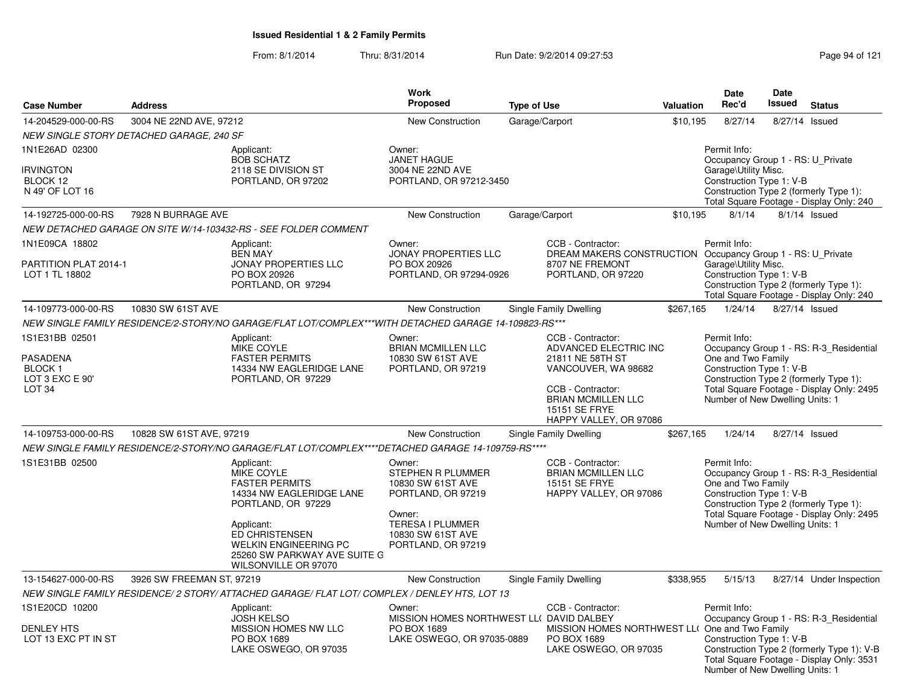| <b>Case Number</b>                                                            | <b>Address</b>            |                                                                                                                                                                            | <b>Work</b><br><b>Proposed</b>                                                                                                                         | <b>Type of Use</b> |                                                                                                                                                                                           | <b>Valuation</b>                                                                                                                                                                                                                    | <b>Date</b><br>Rec'd                                                                                  | <b>Date</b><br><b>Issued</b> | <b>Status</b>                                                                                                                      |
|-------------------------------------------------------------------------------|---------------------------|----------------------------------------------------------------------------------------------------------------------------------------------------------------------------|--------------------------------------------------------------------------------------------------------------------------------------------------------|--------------------|-------------------------------------------------------------------------------------------------------------------------------------------------------------------------------------------|-------------------------------------------------------------------------------------------------------------------------------------------------------------------------------------------------------------------------------------|-------------------------------------------------------------------------------------------------------|------------------------------|------------------------------------------------------------------------------------------------------------------------------------|
| 14-204529-000-00-RS                                                           | 3004 NE 22ND AVE, 97212   |                                                                                                                                                                            | <b>New Construction</b>                                                                                                                                | Garage/Carport     |                                                                                                                                                                                           | \$10,195                                                                                                                                                                                                                            | 8/27/14                                                                                               |                              | 8/27/14 Issued                                                                                                                     |
| NEW SINGLE STORY DETACHED GARAGE, 240 SF                                      |                           |                                                                                                                                                                            |                                                                                                                                                        |                    |                                                                                                                                                                                           |                                                                                                                                                                                                                                     |                                                                                                       |                              |                                                                                                                                    |
| 1N1E26AD 02300<br><b>IRVINGTON</b><br>BLOCK 12<br>N 49' OF LOT 16             |                           | Applicant:<br><b>BOB SCHATZ</b><br>2118 SE DIVISION ST<br>PORTLAND, OR 97202                                                                                               | Owner:<br><b>JANET HAGUE</b><br>3004 NE 22ND AVE<br>PORTLAND, OR 97212-3450                                                                            |                    |                                                                                                                                                                                           |                                                                                                                                                                                                                                     | Permit Info:<br>Occupancy Group 1 - RS: U_Private<br>Garage\Utility Misc.<br>Construction Type 1: V-B |                              | Construction Type 2 (formerly Type 1):<br>Total Square Footage - Display Only: 240                                                 |
| 14-192725-000-00-RS                                                           | 7928 N BURRAGE AVE        |                                                                                                                                                                            | New Construction                                                                                                                                       | Garage/Carport     |                                                                                                                                                                                           | \$10,195                                                                                                                                                                                                                            | 8/1/14                                                                                                |                              | 8/1/14 Issued                                                                                                                      |
|                                                                               |                           | NEW DETACHED GARAGE ON SITE W/14-103432-RS - SEE FOLDER COMMENT                                                                                                            |                                                                                                                                                        |                    |                                                                                                                                                                                           |                                                                                                                                                                                                                                     |                                                                                                       |                              |                                                                                                                                    |
| 1N1E09CA 18802<br>PARTITION PLAT 2014-1<br>LOT 1 TL 18802                     |                           | Applicant:<br><b>BEN MAY</b><br><b>JONAY PROPERTIES LLC</b><br>PO BOX 20926<br>PORTLAND, OR 97294                                                                          | Owner:<br><b>JONAY PROPERTIES LLC</b><br>PO BOX 20926<br>PORTLAND, OR 97294-0926                                                                       |                    | CCB - Contractor:<br>DREAM MAKERS CONSTRUCTION Occupancy Group 1 - RS: U Private<br>8707 NE FREMONT<br>PORTLAND, OR 97220                                                                 |                                                                                                                                                                                                                                     | Permit Info:<br>Garage\Utility Misc.<br>Construction Type 1: V-B                                      |                              | Construction Type 2 (formerly Type 1):<br>Total Square Footage - Display Only: 240                                                 |
| 14-109773-000-00-RS                                                           | 10830 SW 61ST AVE         |                                                                                                                                                                            | <b>New Construction</b>                                                                                                                                |                    | Single Family Dwelling                                                                                                                                                                    | \$267,165                                                                                                                                                                                                                           | 1/24/14                                                                                               |                              | 8/27/14 Issued                                                                                                                     |
|                                                                               |                           | NEW SINGLE FAMILY RESIDENCE/2-STORY/NO GARAGE/FLAT LOT/COMPLEX***WITH DETACHED GARAGE 14-109823-RS***                                                                      |                                                                                                                                                        |                    |                                                                                                                                                                                           |                                                                                                                                                                                                                                     |                                                                                                       |                              |                                                                                                                                    |
| 1S1E31BB 02501<br>PASADENA<br>BLOCK 1<br>LOT 3 EXC E 90'<br>LOT <sub>34</sub> |                           | Applicant:<br>MIKE COYLE<br><b>FASTER PERMITS</b><br>14334 NW EAGLERIDGE LANE<br>PORTLAND, OR 97229                                                                        | Owner:<br><b>BRIAN MCMILLEN LLC</b><br>10830 SW 61ST AVE<br>PORTLAND, OR 97219                                                                         |                    | CCB - Contractor:<br>ADVANCED ELECTRIC INC<br>21811 NE 58TH ST<br>VANCOUVER, WA 98682<br>CCB - Contractor:<br><b>BRIAN MCMILLEN LLC</b><br><b>15151 SE FRYE</b><br>HAPPY VALLEY, OR 97086 | Permit Info:<br>Occupancy Group 1 - RS: R-3 Residential<br>One and Two Family<br>Construction Type 1: V-B<br>Construction Type 2 (formerly Type 1):<br>Total Square Footage - Display Only: 2495<br>Number of New Dwelling Units: 1 |                                                                                                       |                              |                                                                                                                                    |
| 14-109753-000-00-RS                                                           | 10828 SW 61ST AVE, 97219  |                                                                                                                                                                            | <b>New Construction</b>                                                                                                                                |                    | Single Family Dwelling                                                                                                                                                                    | \$267,165                                                                                                                                                                                                                           | 1/24/14                                                                                               |                              | 8/27/14 Issued                                                                                                                     |
|                                                                               |                           | NEW SINGLE FAMILY RESIDENCE/2-STORY/NO GARAGE/FLAT LOT/COMPLEX****DETACHED GARAGE 14-109759-RS****                                                                         |                                                                                                                                                        |                    |                                                                                                                                                                                           |                                                                                                                                                                                                                                     |                                                                                                       |                              |                                                                                                                                    |
| 1S1E31BB 02500                                                                |                           | Applicant:<br>MIKE COYLE<br><b>FASTER PERMITS</b><br>14334 NW EAGLERIDGE LANE<br>PORTLAND, OR 97229<br>Applicant:<br><b>ED CHRISTENSEN</b><br><b>WELKIN ENGINEERING PC</b> | Owner:<br>STEPHEN R PLUMMER<br>10830 SW 61ST AVE<br>PORTLAND, OR 97219<br>Owner:<br><b>TERESA I PLUMMER</b><br>10830 SW 61ST AVE<br>PORTLAND, OR 97219 |                    | CCB - Contractor:<br><b>BRIAN MCMILLEN LLC</b><br>15151 SE FRYE<br>HAPPY VALLEY, OR 97086                                                                                                 |                                                                                                                                                                                                                                     | Permit Info:<br>One and Two Family<br>Construction Type 1: V-B<br>Number of New Dwelling Units: 1     |                              | Occupancy Group 1 - RS: R-3_Residential<br>Construction Type 2 (formerly Type 1):<br>Total Square Footage - Display Only: 2495     |
|                                                                               |                           | 25260 SW PARKWAY AVE SUITE G<br>WILSONVILLE OR 97070                                                                                                                       |                                                                                                                                                        |                    |                                                                                                                                                                                           |                                                                                                                                                                                                                                     |                                                                                                       |                              |                                                                                                                                    |
| 13-154627-000-00-RS                                                           | 3926 SW FREEMAN ST, 97219 |                                                                                                                                                                            | <b>New Construction</b>                                                                                                                                |                    | Single Family Dwelling                                                                                                                                                                    | \$338,955                                                                                                                                                                                                                           | 5/15/13                                                                                               |                              | 8/27/14 Under Inspection                                                                                                           |
|                                                                               |                           | NEW SINGLE FAMILY RESIDENCE/ 2 STORY/ ATTACHED GARAGE/ FLAT LOT/ COMPLEX / DENLEY HTS, LOT 13                                                                              |                                                                                                                                                        |                    |                                                                                                                                                                                           |                                                                                                                                                                                                                                     |                                                                                                       |                              |                                                                                                                                    |
| 1S1E20CD 10200                                                                |                           | Applicant:                                                                                                                                                                 | Owner:                                                                                                                                                 |                    | CCB - Contractor:                                                                                                                                                                         |                                                                                                                                                                                                                                     | Permit Info:                                                                                          |                              |                                                                                                                                    |
| DENLEY HTS<br>LOT 13 EXC PT IN ST                                             |                           | <b>JOSH KELSO</b><br>MISSION HOMES NW LLC<br>PO BOX 1689<br>LAKE OSWEGO, OR 97035                                                                                          | MISSION HOMES NORTHWEST LL( DAVID DALBEY<br>PO BOX 1689<br>LAKE OSWEGO, OR 97035-0889                                                                  |                    | MISSION HOMES NORTHWEST LL( One and Two Family<br>PO BOX 1689<br>LAKE OSWEGO, OR 97035                                                                                                    |                                                                                                                                                                                                                                     | Construction Type 1: V-B<br>Number of New Dwelling Units: 1                                           |                              | Occupancy Group 1 - RS: R-3_Residential<br>Construction Type 2 (formerly Type 1): V-B<br>Total Square Footage - Display Only: 3531 |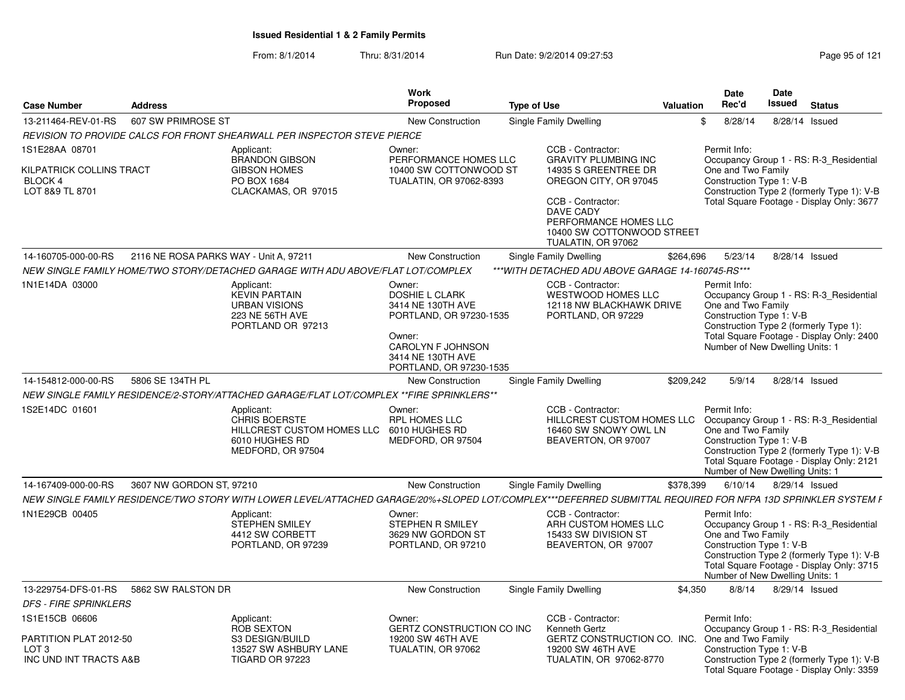| <b>Case Number</b>                                                                     | <b>Address</b>                         |                                                                                                                                                             | <b>Work</b><br>Proposed                                                                                                                                        | <b>Type of Use</b>                                                                                                                                                                                                      | <b>Valuation</b> | Date<br>Rec'd                                                                                                                               | Date<br>Issued | <b>Status</b>                                                                                                                      |
|----------------------------------------------------------------------------------------|----------------------------------------|-------------------------------------------------------------------------------------------------------------------------------------------------------------|----------------------------------------------------------------------------------------------------------------------------------------------------------------|-------------------------------------------------------------------------------------------------------------------------------------------------------------------------------------------------------------------------|------------------|---------------------------------------------------------------------------------------------------------------------------------------------|----------------|------------------------------------------------------------------------------------------------------------------------------------|
| 13-211464-REV-01-RS                                                                    | 607 SW PRIMROSE ST                     |                                                                                                                                                             | New Construction                                                                                                                                               | Single Family Dwelling                                                                                                                                                                                                  |                  | 8/28/14<br>\$                                                                                                                               |                | 8/28/14 Issued                                                                                                                     |
|                                                                                        |                                        | REVISION TO PROVIDE CALCS FOR FRONT SHEARWALL PER INSPECTOR STEVE PIERCE                                                                                    |                                                                                                                                                                |                                                                                                                                                                                                                         |                  |                                                                                                                                             |                |                                                                                                                                    |
| 1S1E28AA 08701<br>KILPATRICK COLLINS TRACT<br><b>BLOCK 4</b><br>LOT 8&9 TL 8701        |                                        | Applicant:<br><b>BRANDON GIBSON</b><br><b>GIBSON HOMES</b><br>PO BOX 1684<br>CLACKAMAS, OR 97015                                                            | Owner:<br>PERFORMANCE HOMES LLC<br>10400 SW COTTONWOOD ST<br>TUALATIN, OR 97062-8393                                                                           | CCB - Contractor:<br><b>GRAVITY PLUMBING INC</b><br>14935 S GREENTREE DR<br>OREGON CITY, OR 97045<br>CCB - Contractor:<br><b>DAVE CADY</b><br>PERFORMANCE HOMES LLC<br>10400 SW COTTONWOOD STREET<br>TUALATIN, OR 97062 |                  | Permit Info:<br>One and Two Family<br>Construction Type 1: V-B                                                                              |                | Occupancy Group 1 - RS: R-3_Residential<br>Construction Type 2 (formerly Type 1): V-B<br>Total Square Footage - Display Only: 3677 |
| 14-160705-000-00-RS                                                                    | 2116 NE ROSA PARKS WAY - Unit A, 97211 |                                                                                                                                                             | New Construction                                                                                                                                               | Single Family Dwelling                                                                                                                                                                                                  | \$264,696        | 5/23/14                                                                                                                                     |                | 8/28/14 Issued                                                                                                                     |
|                                                                                        |                                        | NEW SINGLE FAMILY HOME/TWO STORY/DETACHED GARAGE WITH ADU ABOVE/FLAT LOT/COMPLEX                                                                            |                                                                                                                                                                | ***WITH DETACHED ADU ABOVE GARAGE 14-160745-RS***                                                                                                                                                                       |                  |                                                                                                                                             |                |                                                                                                                                    |
| 1N1E14DA 03000                                                                         |                                        | Applicant:<br><b>KEVIN PARTAIN</b><br><b>URBAN VISIONS</b><br>223 NE 56TH AVE<br>PORTLAND OR 97213                                                          | Owner:<br><b>DOSHIE L CLARK</b><br>3414 NE 130TH AVE<br>PORTLAND, OR 97230-1535<br>Owner:<br>CAROLYN F JOHNSON<br>3414 NE 130TH AVE<br>PORTLAND, OR 97230-1535 | CCB - Contractor:<br><b>WESTWOOD HOMES LLC</b><br>12118 NW BLACKHAWK DRIVE<br>PORTLAND, OR 97229                                                                                                                        |                  | Permit Info:<br>One and Two Family<br>Construction Type 1: V-B<br>Construction Type 2 (formerly Type 1):<br>Number of New Dwelling Units: 1 |                | Occupancy Group 1 - RS: R-3_Residential<br>Total Square Footage - Display Only: 2400                                               |
| 14-154812-000-00-RS                                                                    | 5806 SE 134TH PL                       |                                                                                                                                                             | <b>New Construction</b>                                                                                                                                        | Single Family Dwelling                                                                                                                                                                                                  | \$209,242        | 5/9/14                                                                                                                                      |                | 8/28/14 Issued                                                                                                                     |
|                                                                                        |                                        | NEW SINGLE FAMILY RESIDENCE/2-STORY/ATTACHED GARAGE/FLAT LOT/COMPLEX ** FIRE SPRINKLERS**                                                                   |                                                                                                                                                                |                                                                                                                                                                                                                         |                  |                                                                                                                                             |                |                                                                                                                                    |
| 1S2E14DC 01601                                                                         |                                        | Applicant:<br><b>CHRIS BOERSTE</b><br>HILLCREST CUSTOM HOMES LLC<br>6010 HUGHES RD<br>MEDFORD, OR 97504                                                     | Owner:<br><b>RPL HOMES LLC</b><br>6010 HUGHES RD<br>MEDFORD, OR 97504                                                                                          | CCB - Contractor:<br>HILLCREST CUSTOM HOMES LLC<br>16460 SW SNOWY OWL LN<br>BEAVERTON, OR 97007                                                                                                                         |                  | Permit Info:<br>One and Two Family<br>Construction Type 1: V-B<br>Number of New Dwelling Units: 1                                           |                | Occupancy Group 1 - RS: R-3_Residential<br>Construction Type 2 (formerly Type 1): V-B<br>Total Square Footage - Display Only: 2121 |
| 14-167409-000-00-RS                                                                    | 3607 NW GORDON ST, 97210               |                                                                                                                                                             | <b>New Construction</b>                                                                                                                                        | Single Family Dwelling                                                                                                                                                                                                  | \$378,399        | 6/10/14                                                                                                                                     |                | 8/29/14 Issued                                                                                                                     |
|                                                                                        |                                        | NEW SINGLE FAMILY RESIDENCE/TWO STORY WITH LOWER LEVEL/ATTACHED GARAGE/20%+SLOPED LOT/COMPLEX***DEFERRED SUBMITTAL REQUIRED FOR NFPA 13D SPRINKLER SYSTEM F |                                                                                                                                                                |                                                                                                                                                                                                                         |                  |                                                                                                                                             |                |                                                                                                                                    |
| 1N1E29CB 00405                                                                         |                                        | Applicant:<br><b>STEPHEN SMILEY</b><br>4412 SW CORBETT<br>PORTLAND, OR 97239                                                                                | Owner:<br>STEPHEN R SMILEY<br>3629 NW GORDON ST<br>PORTLAND, OR 97210                                                                                          | CCB - Contractor:<br>ARH CUSTOM HOMES LLC<br>15433 SW DIVISION ST<br>BEAVERTON, OR 97007                                                                                                                                |                  | Permit Info:<br>One and Two Family<br>Construction Type 1: V-B<br>Number of New Dwelling Units: 1                                           |                | Occupancy Group 1 - RS: R-3 Residential<br>Construction Type 2 (formerly Type 1): V-B<br>Total Square Footage - Display Only: 3715 |
| 13-229754-DFS-01-RS                                                                    | 5862 SW RALSTON DR                     |                                                                                                                                                             | New Construction                                                                                                                                               | Single Family Dwelling                                                                                                                                                                                                  | \$4,350          | 8/8/14                                                                                                                                      |                | 8/29/14 Issued                                                                                                                     |
| <b>DFS - FIRE SPRINKLERS</b>                                                           |                                        |                                                                                                                                                             |                                                                                                                                                                |                                                                                                                                                                                                                         |                  |                                                                                                                                             |                |                                                                                                                                    |
| 1S1E15CB 06606<br>PARTITION PLAT 2012-50<br>LOT <sub>3</sub><br>INC UND INT TRACTS A&B |                                        | Applicant:<br><b>ROB SEXTON</b><br>S3 DESIGN/BUILD<br>13527 SW ASHBURY LANE<br>TIGARD OR 97223                                                              | Owner:<br>GERTZ CONSTRUCTION CO INC<br>19200 SW 46TH AVE<br>TUALATIN, OR 97062                                                                                 | CCB - Contractor:<br>Kenneth Gertz<br>GERTZ CONSTRUCTION CO. INC.<br>19200 SW 46TH AVE<br>TUALATIN, OR 97062-8770                                                                                                       |                  | Permit Info:<br>One and Two Family<br>Construction Type 1: V-B                                                                              |                | Occupancy Group 1 - RS: R-3_Residential<br>Construction Type 2 (formerly Type 1): V-B                                              |
|                                                                                        |                                        |                                                                                                                                                             |                                                                                                                                                                |                                                                                                                                                                                                                         |                  |                                                                                                                                             |                | Total Square Footage - Display Only: 3359                                                                                          |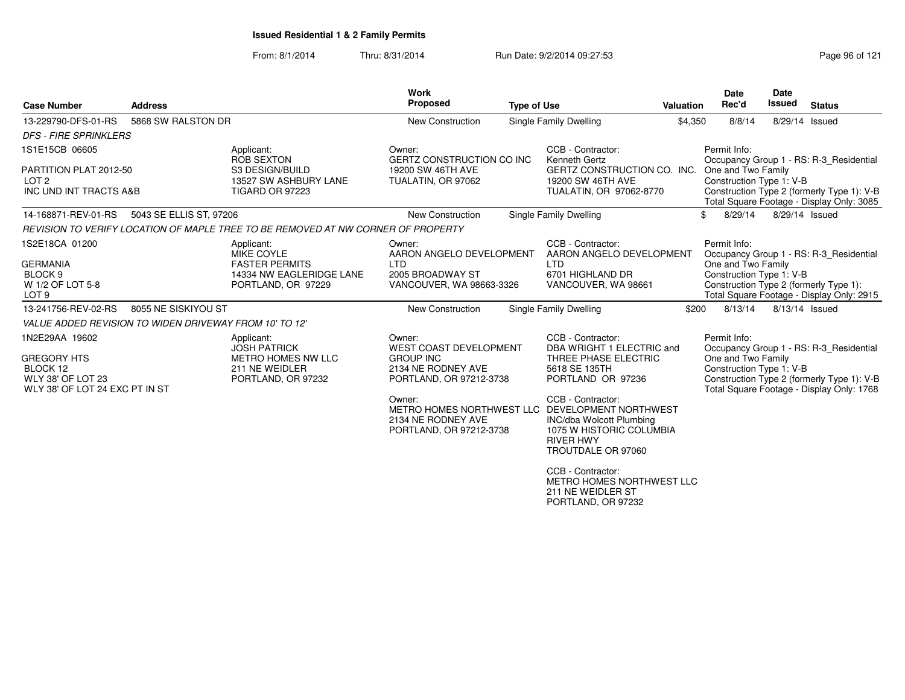| <b>Case Number</b>                                                                                             | <b>Address</b>                                         |                                                                                                            | Work<br><b>Proposed</b><br><b>Type of Use</b>                                                                |  |                                                                                                                                      | <b>Valuation</b> | <b>Date</b><br>Rec'd                                           | Date<br><b>Issued</b>                                                                                                          | <b>Status</b>                                                                                                                      |
|----------------------------------------------------------------------------------------------------------------|--------------------------------------------------------|------------------------------------------------------------------------------------------------------------|--------------------------------------------------------------------------------------------------------------|--|--------------------------------------------------------------------------------------------------------------------------------------|------------------|----------------------------------------------------------------|--------------------------------------------------------------------------------------------------------------------------------|------------------------------------------------------------------------------------------------------------------------------------|
| 13-229790-DFS-01-RS                                                                                            | 5868 SW RALSTON DR                                     |                                                                                                            | New Construction                                                                                             |  | Single Family Dwelling                                                                                                               | \$4,350          | 8/8/14                                                         |                                                                                                                                | 8/29/14 Issued                                                                                                                     |
| <b>DFS - FIRE SPRINKLERS</b>                                                                                   |                                                        |                                                                                                            |                                                                                                              |  |                                                                                                                                      |                  |                                                                |                                                                                                                                |                                                                                                                                    |
| 1S1E15CB 06605<br>PARTITION PLAT 2012-50<br>LOT <sub>2</sub><br>INC UND INT TRACTS A&B                         |                                                        | Applicant:<br><b>ROB SEXTON</b><br>S3 DESIGN/BUILD<br>13527 SW ASHBURY LANE<br><b>TIGARD OR 97223</b>      | Owner:<br>GERTZ CONSTRUCTION CO INC<br>19200 SW 46TH AVE<br>TUALATIN, OR 97062                               |  | CCB - Contractor:<br>Kenneth Gertz<br>GERTZ CONSTRUCTION CO. INC. One and Two Family<br>19200 SW 46TH AVE<br>TUALATIN, OR 97062-8770 |                  | Permit Info:<br>Construction Type 1: V-B                       |                                                                                                                                | Occupancy Group 1 - RS: R-3_Residential<br>Construction Type 2 (formerly Type 1): V-B<br>Total Square Footage - Display Only: 3085 |
| 14-168871-REV-01-RS                                                                                            | 5043 SE ELLIS ST, 97206                                |                                                                                                            | New Construction                                                                                             |  | Single Family Dwelling                                                                                                               |                  | 8/29/14<br>\$                                                  |                                                                                                                                | 8/29/14 Issued                                                                                                                     |
|                                                                                                                |                                                        | REVISION TO VERIFY LOCATION OF MAPLE TREE TO BE REMOVED AT NW CORNER OF PROPERTY                           |                                                                                                              |  |                                                                                                                                      |                  |                                                                |                                                                                                                                |                                                                                                                                    |
| 1S2E18CA 01200<br><b>GERMANIA</b><br>BLOCK <sub>9</sub><br>W 1/2 OF LOT 5-8<br>LOT <sub>9</sub>                |                                                        | Applicant:<br><b>MIKE COYLE</b><br><b>FASTER PERMITS</b><br>14334 NW EAGLERIDGE LANE<br>PORTLAND, OR 97229 | Owner:<br>AARON ANGELO DEVELOPMENT<br><b>LTD</b><br>2005 BROADWAY ST<br>VANCOUVER, WA 98663-3326             |  | CCB - Contractor:<br>AARON ANGELO DEVELOPMENT<br><b>LTD</b><br>6701 HIGHLAND DR<br>VANCOUVER, WA 98661                               |                  | Permit Info:<br>One and Two Family<br>Construction Type 1: V-B | Occupancy Group 1 - RS: R-3_Residential<br>Construction Type 2 (formerly Type 1):<br>Total Square Footage - Display Only: 2915 |                                                                                                                                    |
| 13-241756-REV-02-RS                                                                                            | 8055 NE SISKIYOU ST                                    |                                                                                                            | <b>New Construction</b>                                                                                      |  | Single Family Dwelling                                                                                                               | \$200            | 8/13/14                                                        |                                                                                                                                | 8/13/14 Issued                                                                                                                     |
|                                                                                                                | VALUE ADDED REVISION TO WIDEN DRIVEWAY FROM 10' TO 12" |                                                                                                            |                                                                                                              |  |                                                                                                                                      |                  |                                                                |                                                                                                                                |                                                                                                                                    |
| 1N2E29AA 19602<br><b>GREGORY HTS</b><br>BLOCK 12<br><b>WLY 38' OF LOT 23</b><br>WLY 38' OF LOT 24 EXC PT IN ST |                                                        | Applicant:<br><b>JOSH PATRICK</b><br><b>METRO HOMES NW LLC</b><br>211 NE WEIDLER<br>PORTLAND, OR 97232     | Owner:<br><b>WEST COAST DEVELOPMENT</b><br><b>GROUP INC</b><br>2134 NE RODNEY AVE<br>PORTLAND, OR 97212-3738 |  | CCB - Contractor:<br>DBA WRIGHT 1 ELECTRIC and<br>THREE PHASE ELECTRIC<br>5618 SE 135TH<br>PORTLAND OR 97236                         |                  | Permit Info:<br>One and Two Family<br>Construction Type 1: V-B |                                                                                                                                | Occupancy Group 1 - RS: R-3 Residential<br>Construction Type 2 (formerly Type 1): V-B<br>Total Square Footage - Display Only: 1768 |
|                                                                                                                |                                                        |                                                                                                            | Owner:<br>METRO HOMES NORTHWEST LLC DEVELOPMENT NORTHWEST<br>2134 NE RODNEY AVE<br>PORTLAND, OR 97212-3738   |  | CCB - Contractor:<br>INC/dba Wolcott Plumbing<br>1075 W HISTORIC COLUMBIA<br><b>RIVER HWY</b><br>TROUTDALE OR 97060                  |                  |                                                                |                                                                                                                                |                                                                                                                                    |
|                                                                                                                |                                                        |                                                                                                            |                                                                                                              |  | CCB - Contractor:<br>METRO HOMES NORTHWEST LLC<br>211 NE WEIDLER ST<br>PORTLAND, OR 97232                                            |                  |                                                                |                                                                                                                                |                                                                                                                                    |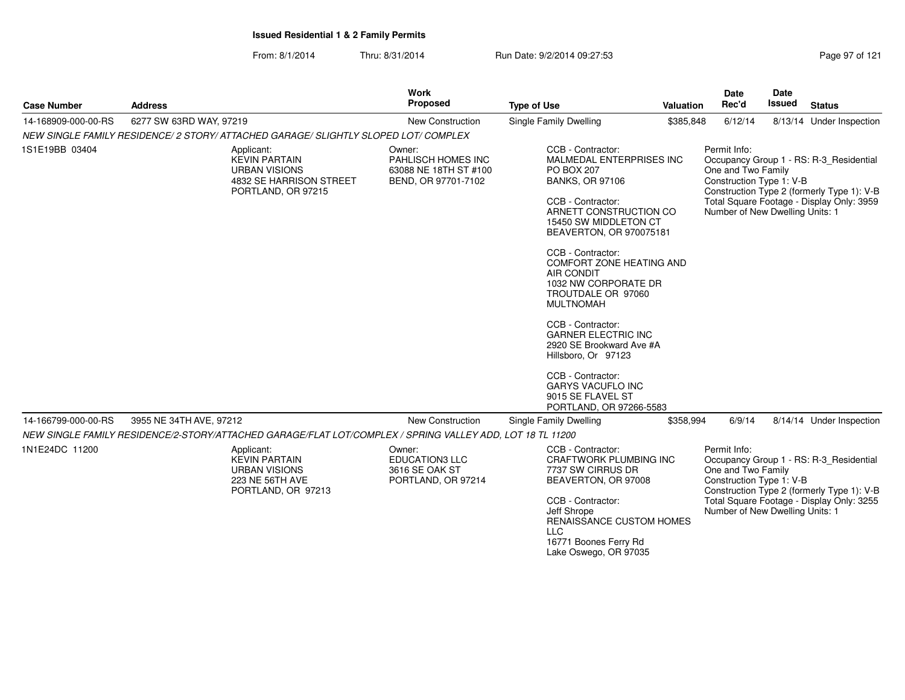From: 8/1/2014Thru: 8/31/2014 Run Date: 9/2/2014 09:27:53

| <b>Case Number</b>  | <b>Address</b>                                                                                              | <b>Work</b><br><b>Proposed</b>                                               | <b>Type of Use</b>                                                                                                                                                                                                                                                                                                                                                                                                                                                                                                                             | Valuation | <b>Date</b><br>Rec'd                                                                              | Date<br><b>Issued</b> | <b>Status</b>                                                                                                                      |
|---------------------|-------------------------------------------------------------------------------------------------------------|------------------------------------------------------------------------------|------------------------------------------------------------------------------------------------------------------------------------------------------------------------------------------------------------------------------------------------------------------------------------------------------------------------------------------------------------------------------------------------------------------------------------------------------------------------------------------------------------------------------------------------|-----------|---------------------------------------------------------------------------------------------------|-----------------------|------------------------------------------------------------------------------------------------------------------------------------|
| 14-168909-000-00-RS | 6277 SW 63RD WAY, 97219                                                                                     | New Construction                                                             | Single Family Dwelling                                                                                                                                                                                                                                                                                                                                                                                                                                                                                                                         | \$385,848 | 6/12/14                                                                                           |                       | 8/13/14 Under Inspection                                                                                                           |
|                     | NEW SINGLE FAMILY RESIDENCE/2 STORY/ ATTACHED GARAGE/ SLIGHTLY SLOPED LOT/ COMPLEX                          |                                                                              |                                                                                                                                                                                                                                                                                                                                                                                                                                                                                                                                                |           |                                                                                                   |                       |                                                                                                                                    |
| 1S1E19BB 03404      | Applicant:<br><b>KEVIN PARTAIN</b><br><b>URBAN VISIONS</b><br>4832 SE HARRISON STREET<br>PORTLAND, OR 97215 | Owner:<br>PAHLISCH HOMES INC<br>63088 NE 18TH ST #100<br>BEND, OR 97701-7102 | CCB - Contractor:<br>MALMEDAL ENTERPRISES INC<br><b>PO BOX 207</b><br><b>BANKS, OR 97106</b><br>CCB - Contractor:<br>ARNETT CONSTRUCTION CO<br>15450 SW MIDDLETON CT<br>BEAVERTON, OR 970075181<br>CCB - Contractor:<br>COMFORT ZONE HEATING AND<br><b>AIR CONDIT</b><br>1032 NW CORPORATE DR<br>TROUTDALE OR 97060<br><b>MULTNOMAH</b><br>CCB - Contractor:<br><b>GARNER ELECTRIC INC</b><br>2920 SE Brookward Ave #A<br>Hillsboro, Or 97123<br>CCB - Contractor:<br><b>GARYS VACUFLO INC</b><br>9015 SE FLAVEL ST<br>PORTLAND, OR 97266-5583 |           | Permit Info:<br>One and Two Family<br>Construction Type 1: V-B<br>Number of New Dwelling Units: 1 |                       | Occupancy Group 1 - RS: R-3_Residential<br>Construction Type 2 (formerly Type 1): V-B<br>Total Square Footage - Display Only: 3959 |
| 14-166799-000-00-RS | 3955 NE 34TH AVE, 97212                                                                                     | <b>New Construction</b>                                                      | Single Family Dwelling                                                                                                                                                                                                                                                                                                                                                                                                                                                                                                                         | \$358,994 | 6/9/14                                                                                            |                       | 8/14/14 Under Inspection                                                                                                           |
|                     | NEW SINGLE FAMILY RESIDENCE/2-STORY/ATTACHED GARAGE/FLAT LOT/COMPLEX / SPRING VALLEY ADD, LOT 18 TL 11200   |                                                                              |                                                                                                                                                                                                                                                                                                                                                                                                                                                                                                                                                |           |                                                                                                   |                       |                                                                                                                                    |
| 1N1E24DC 11200      | Applicant:                                                                                                  | Owner:                                                                       | CCB - Contractor:                                                                                                                                                                                                                                                                                                                                                                                                                                                                                                                              |           | Permit Info:                                                                                      |                       |                                                                                                                                    |
|                     | <b>KEVIN PARTAIN</b><br><b>URBAN VISIONS</b><br>223 NE 56TH AVE<br>PORTLAND, OR 97213                       | <b>EDUCATION3 LLC</b><br>3616 SE OAK ST<br>PORTLAND, OR 97214                | CRAFTWORK PLUMBING INC<br>7737 SW CIRRUS DR<br>BEAVERTON, OR 97008<br>CCB - Contractor:<br>Jeff Shrope<br>RENAISSANCE CUSTOM HOMES<br><b>LLC</b><br>16771 Boones Ferry Rd<br>Lake Oswego, OR 97035                                                                                                                                                                                                                                                                                                                                             |           | One and Two Family<br>Construction Type 1: V-B<br>Number of New Dwelling Units: 1                 |                       | Occupancy Group 1 - RS: R-3_Residential<br>Construction Type 2 (formerly Type 1): V-B<br>Total Square Footage - Display Only: 3255 |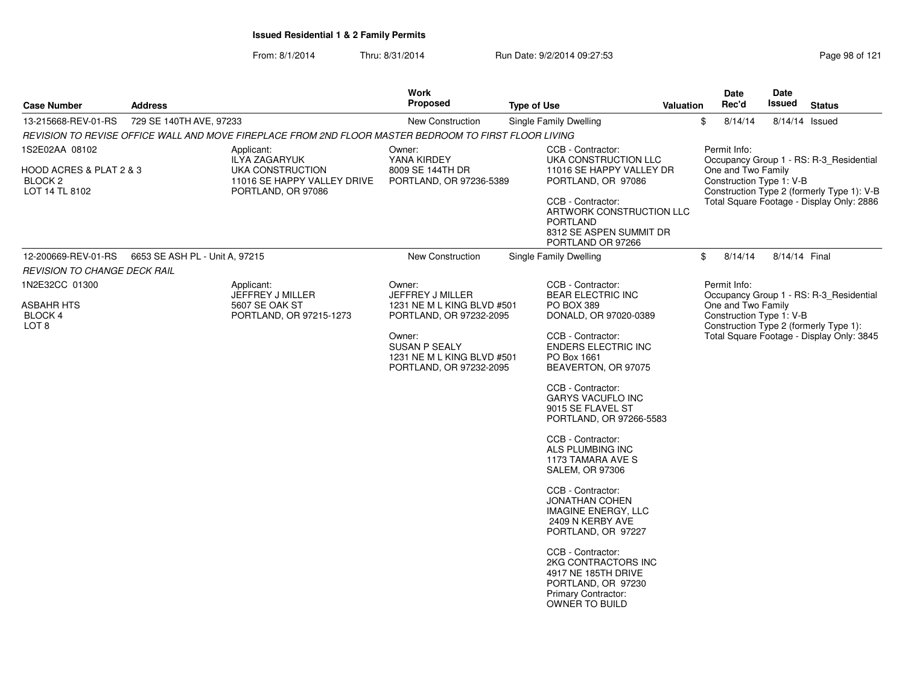| <b>Case Number</b>                                              | <b>Address</b>                 |                                                                                                       | Work<br><b>Proposed</b>                                                          | <b>Type of Use</b>                          | <b>Valuation</b>                                                                                                 | Date<br>Rec'd                                                                                | Date<br>Issued                                                                      | <b>Status</b>                           |  |  |
|-----------------------------------------------------------------|--------------------------------|-------------------------------------------------------------------------------------------------------|----------------------------------------------------------------------------------|---------------------------------------------|------------------------------------------------------------------------------------------------------------------|----------------------------------------------------------------------------------------------|-------------------------------------------------------------------------------------|-----------------------------------------|--|--|
| 13-215668-REV-01-RS                                             | 729 SE 140TH AVE, 97233        |                                                                                                       | New Construction                                                                 | Single Family Dwelling                      |                                                                                                                  | \$<br>8/14/14                                                                                |                                                                                     | 8/14/14 Issued                          |  |  |
|                                                                 |                                | REVISION TO REVISE OFFICE WALL AND MOVE FIREPLACE FROM 2ND FLOOR MASTER BEDROOM TO FIRST FLOOR LIVING |                                                                                  |                                             |                                                                                                                  |                                                                                              |                                                                                     |                                         |  |  |
| 1S2E02AA 08102                                                  |                                | Applicant:<br><b>ILYA ZAGARYUK</b>                                                                    | Owner:<br>YANA KIRDEY                                                            | CCB - Contractor:<br>UKA CONSTRUCTION LLC   | Permit Info:                                                                                                     |                                                                                              | Occupancy Group 1 - RS: R-3_Residential                                             |                                         |  |  |
| HOOD ACRES & PLAT 2 & 3<br>BLOCK <sub>2</sub><br>LOT 14 TL 8102 |                                | UKA CONSTRUCTION<br>11016 SE HAPPY VALLEY DRIVE<br>PORTLAND, OR 97086                                 | 8009 SE 144TH DR<br>PORTLAND, OR 97236-5389                                      |                                             | 11016 SE HAPPY VALLEY DR<br>PORTLAND, OR 97086                                                                   | One and Two Family<br>Construction Type 1: V-B<br>Construction Type 2 (formerly Type 1): V-B |                                                                                     |                                         |  |  |
|                                                                 |                                |                                                                                                       |                                                                                  | CCB - Contractor:<br><b>PORTLAND</b>        | ARTWORK CONSTRUCTION LLC<br>8312 SE ASPEN SUMMIT DR<br>PORTLAND OR 97266                                         |                                                                                              | Total Square Footage - Display Only: 2886                                           |                                         |  |  |
| 12-200669-REV-01-RS                                             | 6653 SE ASH PL - Unit A, 97215 |                                                                                                       | New Construction                                                                 | Single Family Dwelling                      |                                                                                                                  | $\mathbb S$<br>8/14/14                                                                       | 8/14/14 Final                                                                       |                                         |  |  |
| <b>REVISION TO CHANGE DECK RAIL</b>                             |                                |                                                                                                       |                                                                                  |                                             |                                                                                                                  |                                                                                              |                                                                                     |                                         |  |  |
| 1N2E32CC 01300                                                  |                                | Applicant:<br>JEFFREY J MILLER                                                                        | Owner:<br>JEFFREY J MILLER                                                       | CCB - Contractor:                           | <b>BEAR ELECTRIC INC</b>                                                                                         | Permit Info:                                                                                 |                                                                                     | Occupancy Group 1 - RS: R-3 Residential |  |  |
| <b>ASBAHR HTS</b><br><b>BLOCK 4</b>                             |                                | 5607 SE OAK ST<br>PORTLAND, OR 97215-1273                                                             | 1231 NE M L KING BLVD #501<br>PORTLAND, OR 97232-2095                            | PO BOX 389                                  | DONALD, OR 97020-0389                                                                                            | One and Two Family<br>Construction Type 1: V-B                                               |                                                                                     |                                         |  |  |
| LOT <sub>8</sub>                                                |                                |                                                                                                       | Owner:<br>SUSAN P SEALY<br>1231 NE M L KING BLVD #501<br>PORTLAND, OR 97232-2095 | CCB - Contractor:<br>PO Box 1661            | <b>ENDERS ELECTRIC INC</b><br>BEAVERTON, OR 97075                                                                |                                                                                              | Construction Type 2 (formerly Type 1):<br>Total Square Footage - Display Only: 3845 |                                         |  |  |
|                                                                 |                                |                                                                                                       |                                                                                  | CCB - Contractor:                           | <b>GARYS VACUFLO INC</b><br>9015 SE FLAVEL ST<br>PORTLAND, OR 97266-5583                                         |                                                                                              |                                                                                     |                                         |  |  |
|                                                                 |                                |                                                                                                       |                                                                                  | CCB - Contractor:<br><b>SALEM, OR 97306</b> | ALS PLUMBING INC<br>1173 TAMARA AVE S                                                                            |                                                                                              |                                                                                     |                                         |  |  |
|                                                                 |                                |                                                                                                       |                                                                                  | CCB - Contractor:                           | <b>JONATHAN COHEN</b><br>IMAGINE ENERGY, LLC<br>2409 N KERBY AVE<br>PORTLAND, OR 97227                           |                                                                                              |                                                                                     |                                         |  |  |
|                                                                 |                                |                                                                                                       |                                                                                  | CCB - Contractor:                           | 2KG CONTRACTORS INC<br>4917 NE 185TH DRIVE<br>PORTLAND, OR 97230<br><b>Primary Contractor:</b><br>OWNER TO BUILD |                                                                                              |                                                                                     |                                         |  |  |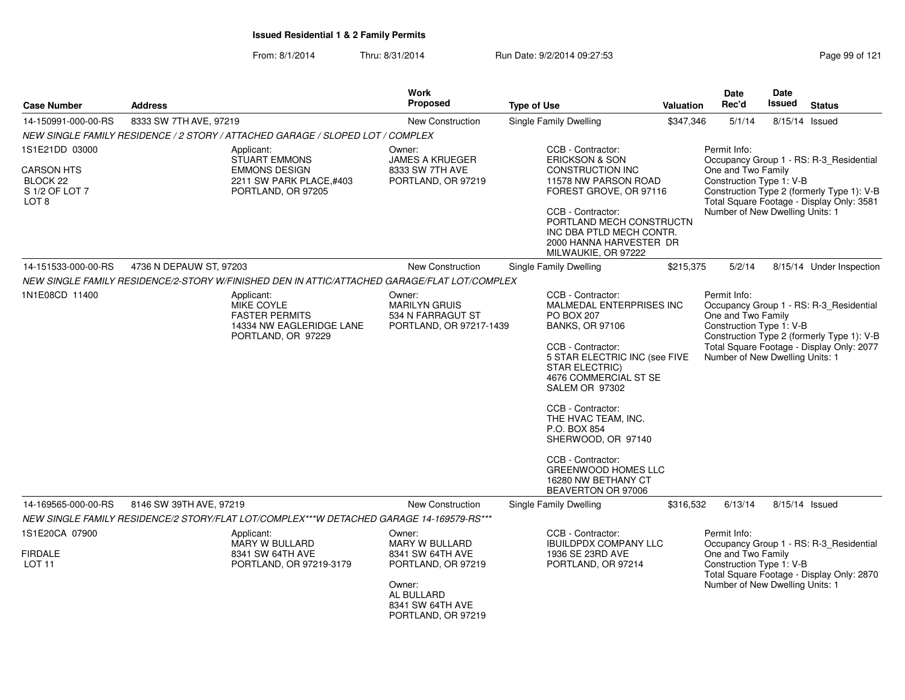| <b>Case Number</b>                                                             | <b>Address</b>                                                                                      | Work<br><b>Proposed</b>                                                                                                              | <b>Type of Use</b>                                                                                                                                                                                                                                                                                                                                                                                | <b>Valuation</b> | <b>Date</b><br>Rec'd                                                                                                         | Date<br><b>Issued</b>                                                                   | <b>Status</b>                                                                                                                      |
|--------------------------------------------------------------------------------|-----------------------------------------------------------------------------------------------------|--------------------------------------------------------------------------------------------------------------------------------------|---------------------------------------------------------------------------------------------------------------------------------------------------------------------------------------------------------------------------------------------------------------------------------------------------------------------------------------------------------------------------------------------------|------------------|------------------------------------------------------------------------------------------------------------------------------|-----------------------------------------------------------------------------------------|------------------------------------------------------------------------------------------------------------------------------------|
| 14-150991-000-00-RS                                                            | 8333 SW 7TH AVE, 97219                                                                              | <b>New Construction</b>                                                                                                              | Single Family Dwelling                                                                                                                                                                                                                                                                                                                                                                            | \$347,346        | 5/1/14                                                                                                                       |                                                                                         | 8/15/14 Issued                                                                                                                     |
|                                                                                | NEW SINGLE FAMILY RESIDENCE / 2 STORY / ATTACHED GARAGE / SLOPED LOT / COMPLEX                      |                                                                                                                                      |                                                                                                                                                                                                                                                                                                                                                                                                   |                  |                                                                                                                              |                                                                                         |                                                                                                                                    |
| 1S1E21DD 03000                                                                 | Applicant:                                                                                          | Owner:                                                                                                                               | CCB - Contractor:                                                                                                                                                                                                                                                                                                                                                                                 |                  | Permit Info:                                                                                                                 |                                                                                         |                                                                                                                                    |
| <b>CARSON HTS</b><br>BLOCK <sub>22</sub><br>S 1/2 OF LOT 7<br>LOT <sub>8</sub> | <b>STUART EMMONS</b><br><b>EMMONS DESIGN</b><br>2211 SW PARK PLACE,#403<br>PORTLAND, OR 97205       | JAMES A KRUEGER<br>8333 SW 7TH AVE<br>PORTLAND, OR 97219                                                                             | <b>ERICKSON &amp; SON</b><br><b>CONSTRUCTION INC</b><br>11578 NW PARSON ROAD<br>FOREST GROVE, OR 97116<br>CCB - Contractor:<br>PORTLAND MECH CONSTRUCTN<br>INC DBA PTLD MECH CONTR.<br>2000 HANNA HARVESTER DR<br>MILWAUKIE, OR 97222                                                                                                                                                             |                  | Occupancy Group 1 - RS: R-3_Residential<br>One and Two Family<br>Construction Type 1: V-B<br>Number of New Dwelling Units: 1 | Construction Type 2 (formerly Type 1): V-B<br>Total Square Footage - Display Only: 3581 |                                                                                                                                    |
| 14-151533-000-00-RS                                                            | 4736 N DEPAUW ST, 97203                                                                             | New Construction                                                                                                                     | Single Family Dwelling                                                                                                                                                                                                                                                                                                                                                                            | \$215,375        | 5/2/14                                                                                                                       |                                                                                         | 8/15/14 Under Inspection                                                                                                           |
|                                                                                | NEW SINGLE FAMILY RESIDENCE/2-STORY W/FINISHED DEN IN ATTIC/ATTACHED GARAGE/FLAT LOT/COMPLEX        |                                                                                                                                      |                                                                                                                                                                                                                                                                                                                                                                                                   |                  |                                                                                                                              |                                                                                         |                                                                                                                                    |
| 1N1E08CD 11400                                                                 | Applicant:<br>MIKE COYLE<br><b>FASTER PERMITS</b><br>14334 NW EAGLERIDGE LANE<br>PORTLAND, OR 97229 | Owner:<br><b>MARILYN GRUIS</b><br>534 N FARRAGUT ST<br>PORTLAND, OR 97217-1439                                                       | CCB - Contractor:<br>MALMEDAL ENTERPRISES INC<br>PO BOX 207<br><b>BANKS, OR 97106</b><br>CCB - Contractor:<br>5 STAR ELECTRIC INC (see FIVE<br><b>STAR ELECTRIC)</b><br>4676 COMMERCIAL ST SE<br>SALEM OR 97302<br>CCB - Contractor:<br>THE HVAC TEAM, INC.<br>P.O. BOX 854<br>SHERWOOD, OR 97140<br>CCB - Contractor:<br><b>GREENWOOD HOMES LLC</b><br>16280 NW BETHANY CT<br>BEAVERTON OR 97006 |                  | Permit Info:<br>One and Two Family<br>Construction Type 1: V-B<br>Number of New Dwelling Units: 1                            |                                                                                         | Occupancy Group 1 - RS: R-3_Residential<br>Construction Type 2 (formerly Type 1): V-B<br>Total Square Footage - Display Only: 2077 |
| 14-169565-000-00-RS                                                            | 8146 SW 39TH AVE, 97219                                                                             | New Construction                                                                                                                     | Single Family Dwelling                                                                                                                                                                                                                                                                                                                                                                            | \$316,532        | 6/13/14                                                                                                                      | 8/15/14 Issued                                                                          |                                                                                                                                    |
|                                                                                | NEW SINGLE FAMILY RESIDENCE/2 STORY/FLAT LOT/COMPLEX***W DETACHED GARAGE 14-169579-RS***            |                                                                                                                                      |                                                                                                                                                                                                                                                                                                                                                                                                   |                  |                                                                                                                              |                                                                                         |                                                                                                                                    |
| 1S1E20CA 07900<br><b>FIRDALE</b><br><b>LOT 11</b>                              | Applicant:<br><b>MARY W BULLARD</b><br>8341 SW 64TH AVE<br>PORTLAND, OR 97219-3179                  | Owner:<br>MARY W BULLARD<br>8341 SW 64TH AVE<br>PORTLAND, OR 97219<br>Owner:<br>AL BULLARD<br>8341 SW 64TH AVE<br>PORTLAND, OR 97219 | CCB - Contractor:<br><b>IBUILDPDX COMPANY LLC</b><br>1936 SE 23RD AVE<br>PORTLAND, OR 97214                                                                                                                                                                                                                                                                                                       |                  | Permit Info:<br>One and Two Family<br>Construction Type 1: V-B<br>Number of New Dwelling Units: 1                            |                                                                                         | Occupancy Group 1 - RS: R-3_Residential<br>Total Square Footage - Display Only: 2870                                               |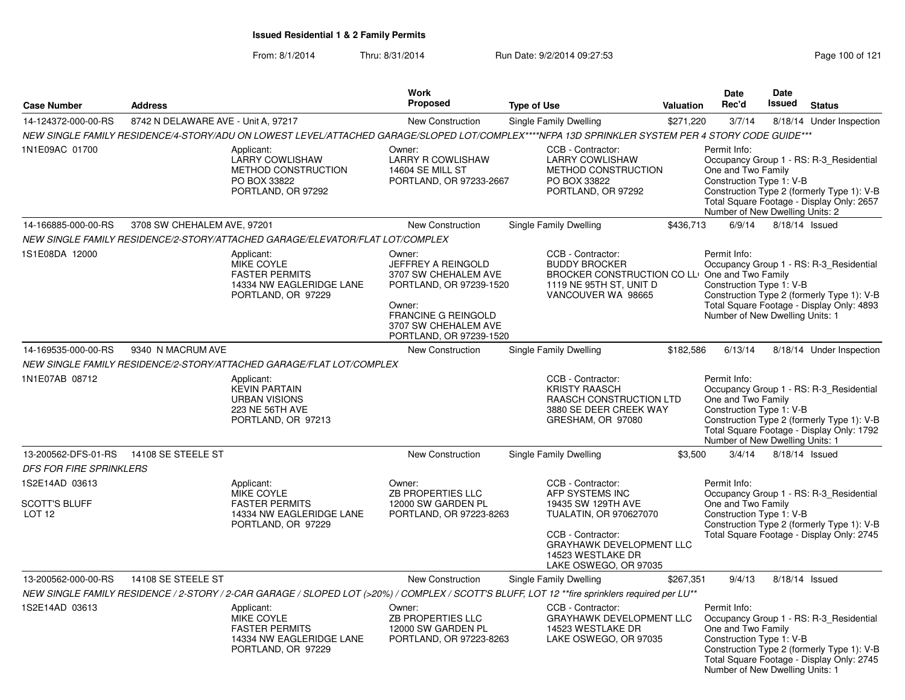| <b>Case Number</b>                                          | <b>Address</b>                      |                                                                                                                                                   | Work<br><b>Proposed</b>                                                                                                                                             | <b>Type of Use</b>                                                                                                                                                                  |                                                                                                                                              | <b>Valuation</b> | Date<br>Rec'd                                                                                                                                                                                        | Date<br><b>Issued</b> | <b>Status</b>                                                                                                                      |
|-------------------------------------------------------------|-------------------------------------|---------------------------------------------------------------------------------------------------------------------------------------------------|---------------------------------------------------------------------------------------------------------------------------------------------------------------------|-------------------------------------------------------------------------------------------------------------------------------------------------------------------------------------|----------------------------------------------------------------------------------------------------------------------------------------------|------------------|------------------------------------------------------------------------------------------------------------------------------------------------------------------------------------------------------|-----------------------|------------------------------------------------------------------------------------------------------------------------------------|
| 14-124372-000-00-RS                                         | 8742 N DELAWARE AVE - Unit A, 97217 |                                                                                                                                                   | <b>New Construction</b>                                                                                                                                             |                                                                                                                                                                                     | Single Family Dwelling                                                                                                                       | \$271,220        | 3/7/14                                                                                                                                                                                               |                       | 8/18/14 Under Inspection                                                                                                           |
|                                                             |                                     | NEW SINGLE FAMILY RESIDENCE/4-STORY/ADU ON LOWEST LEVEL/ATTACHED GARAGE/SLOPED LOT/COMPLEX****NFPA 13D SPRINKLER SYSTEM PER 4 STORY CODE GUIDE*** |                                                                                                                                                                     |                                                                                                                                                                                     |                                                                                                                                              |                  |                                                                                                                                                                                                      |                       |                                                                                                                                    |
| 1N1E09AC 01700                                              |                                     | Applicant:<br><b>LARRY COWLISHAW</b><br>METHOD CONSTRUCTION<br>PO BOX 33822<br>PORTLAND, OR 97292                                                 | Owner:<br><b>LARRY R COWLISHAW</b><br>14604 SE MILL ST<br>PORTLAND, OR 97233-2667                                                                                   |                                                                                                                                                                                     | CCB - Contractor:<br><b>LARRY COWLISHAW</b><br>METHOD CONSTRUCTION<br>PO BOX 33822<br>PORTLAND, OR 97292                                     |                  | Permit Info:<br>One and Two Family<br>Construction Type 1: V-B<br>Number of New Dwelling Units: 2                                                                                                    |                       | Occupancy Group 1 - RS: R-3_Residential<br>Construction Type 2 (formerly Type 1): V-B<br>Total Square Footage - Display Only: 2657 |
| 14-166885-000-00-RS                                         | 3708 SW CHEHALEM AVE, 97201         |                                                                                                                                                   | <b>New Construction</b>                                                                                                                                             |                                                                                                                                                                                     | Single Family Dwelling                                                                                                                       | \$436,713        | 6/9/14                                                                                                                                                                                               |                       | 8/18/14 Issued                                                                                                                     |
|                                                             |                                     | NEW SINGLE FAMILY RESIDENCE/2-STORY/ATTACHED GARAGE/ELEVATOR/FLAT LOT/COMPLEX                                                                     |                                                                                                                                                                     |                                                                                                                                                                                     |                                                                                                                                              |                  |                                                                                                                                                                                                      |                       |                                                                                                                                    |
| 1S1E08DA 12000                                              |                                     | Applicant:<br>MIKE COYLE<br><b>FASTER PERMITS</b><br>14334 NW EAGLERIDGE LANE<br>PORTLAND, OR 97229                                               | Owner:<br>JEFFREY A REINGOLD<br>3707 SW CHEHALEM AVE<br>PORTLAND, OR 97239-1520<br>Owner:<br>FRANCINE G REINGOLD<br>3707 SW CHEHALEM AVE<br>PORTLAND, OR 97239-1520 |                                                                                                                                                                                     | CCB - Contractor:<br><b>BUDDY BROCKER</b><br>BROCKER CONSTRUCTION CO LLI One and Two Family<br>1119 NE 95TH ST, UNIT D<br>VANCOUVER WA 98665 |                  | Permit Info:<br>Construction Type 1: V-B<br>Number of New Dwelling Units: 1                                                                                                                          |                       | Occupancy Group 1 - RS: R-3_Residential<br>Construction Type 2 (formerly Type 1): V-B<br>Total Square Footage - Display Only: 4893 |
| 14-169535-000-00-RS                                         | 9340 N MACRUM AVE                   |                                                                                                                                                   | New Construction                                                                                                                                                    |                                                                                                                                                                                     | Single Family Dwelling                                                                                                                       | \$182,586        | 6/13/14                                                                                                                                                                                              |                       | 8/18/14 Under Inspection                                                                                                           |
|                                                             |                                     | NEW SINGLE FAMILY RESIDENCE/2-STORY/ATTACHED GARAGE/FLAT LOT/COMPLEX                                                                              |                                                                                                                                                                     |                                                                                                                                                                                     |                                                                                                                                              |                  |                                                                                                                                                                                                      |                       |                                                                                                                                    |
| 1N1E07AB 08712                                              |                                     | Applicant:<br><b>KEVIN PARTAIN</b><br><b>URBAN VISIONS</b><br>223 NE 56TH AVE<br>PORTLAND, OR 97213                                               |                                                                                                                                                                     |                                                                                                                                                                                     | CCB - Contractor:<br><b>KRISTY RAASCH</b><br>RAASCH CONSTRUCTION LTD<br>3880 SE DEER CREEK WAY<br>GRESHAM, OR 97080                          |                  | Permit Info:<br>One and Two Family<br>Construction Type 1: V-B<br>Number of New Dwelling Units: 1                                                                                                    |                       | Occupancy Group 1 - RS: R-3 Residential<br>Construction Type 2 (formerly Type 1): V-B<br>Total Square Footage - Display Only: 1792 |
| 13-200562-DFS-01-RS                                         | 14108 SE STEELE ST                  |                                                                                                                                                   | New Construction                                                                                                                                                    |                                                                                                                                                                                     | Single Family Dwelling                                                                                                                       | \$3,500          | 3/4/14                                                                                                                                                                                               |                       | 8/18/14 Issued                                                                                                                     |
| <b>DFS FOR FIRE SPRINKLERS</b>                              |                                     |                                                                                                                                                   |                                                                                                                                                                     |                                                                                                                                                                                     |                                                                                                                                              |                  |                                                                                                                                                                                                      |                       |                                                                                                                                    |
| 1S2E14AD 03613<br><b>SCOTT'S BLUFF</b><br>LOT <sub>12</sub> |                                     | Applicant:<br><b>MIKE COYLE</b><br><b>FASTER PERMITS</b><br>14334 NW EAGLERIDGE LANE<br>PORTLAND, OR 97229                                        | Owner:<br><b>ZB PROPERTIES LLC</b><br>12000 SW GARDEN PL<br>PORTLAND, OR 97223-8263                                                                                 | CCB - Contractor:<br>AFP SYSTEMS INC<br>19435 SW 129TH AVE<br>TUALATIN, OR 970627070<br>CCB - Contractor:<br>GRAYHAWK DEVELOPMENT LLC<br>14523 WESTLAKE DR<br>LAKE OSWEGO, OR 97035 |                                                                                                                                              |                  | Permit Info:<br>Occupancy Group 1 - RS: R-3_Residential<br>One and Two Family<br>Construction Type 1: V-B<br>Construction Type 2 (formerly Type 1): V-B<br>Total Square Footage - Display Only: 2745 |                       |                                                                                                                                    |
| 13-200562-000-00-RS                                         | 14108 SE STEELE ST                  |                                                                                                                                                   | <b>New Construction</b>                                                                                                                                             |                                                                                                                                                                                     | Single Family Dwelling                                                                                                                       | \$267,351        | 9/4/13                                                                                                                                                                                               |                       | 8/18/14 Issued                                                                                                                     |
|                                                             |                                     | NEW SINGLE FAMILY RESIDENCE / 2-STORY / 2-CAR GARAGE / SLOPED LOT (>20%) / COMPLEX / SCOTT'S BLUFF, LOT 12 **fire sprinklers required per LU**    |                                                                                                                                                                     |                                                                                                                                                                                     |                                                                                                                                              |                  |                                                                                                                                                                                                      |                       |                                                                                                                                    |
| 1S2E14AD 03613                                              |                                     | Applicant:<br><b>MIKE COYLE</b><br><b>FASTER PERMITS</b><br>14334 NW EAGLERIDGE LANE<br>PORTLAND, OR 97229                                        | Owner:<br><b>ZB PROPERTIES LLC</b><br>12000 SW GARDEN PL<br>PORTLAND, OR 97223-8263                                                                                 |                                                                                                                                                                                     | CCB - Contractor:<br><b>GRAYHAWK DEVELOPMENT LLC</b><br>14523 WESTLAKE DR<br>LAKE OSWEGO, OR 97035                                           |                  | Permit Info:<br>One and Two Family<br>Construction Type 1: V-B<br>Number of New Dwelling Units: 1                                                                                                    |                       | Occupancy Group 1 - RS: R-3_Residential<br>Construction Type 2 (formerly Type 1): V-B<br>Total Square Footage - Display Only: 2745 |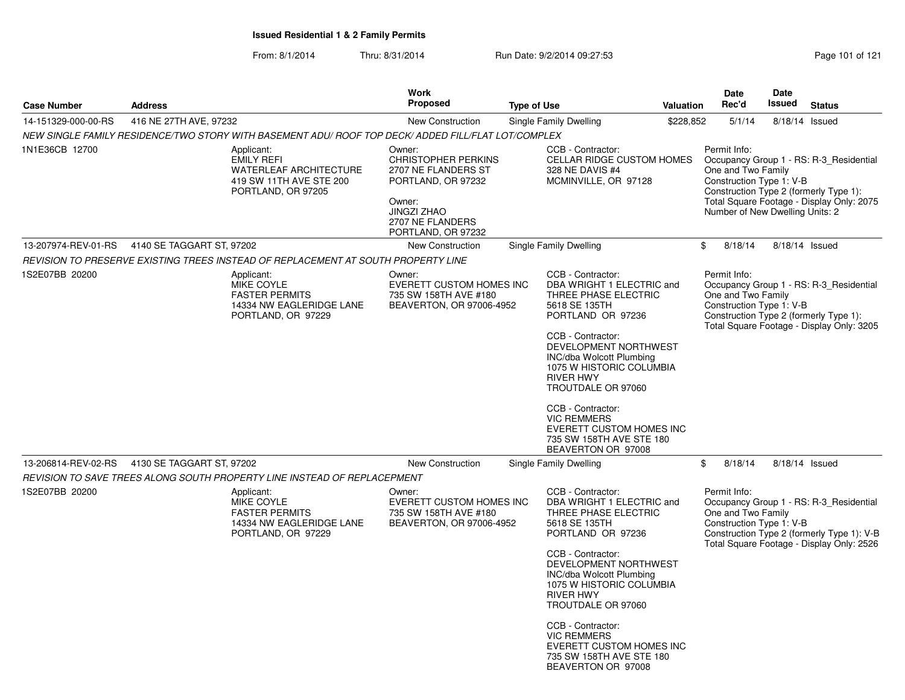|                     |                           |                                                                                                                                                                                                                          | Work                                                                                                                                  |                                                                                                                                                                                                                                                                                                                                                                                              |           | <b>Date</b>                                                                                       | Date   |                                                                                                                                    |
|---------------------|---------------------------|--------------------------------------------------------------------------------------------------------------------------------------------------------------------------------------------------------------------------|---------------------------------------------------------------------------------------------------------------------------------------|----------------------------------------------------------------------------------------------------------------------------------------------------------------------------------------------------------------------------------------------------------------------------------------------------------------------------------------------------------------------------------------------|-----------|---------------------------------------------------------------------------------------------------|--------|------------------------------------------------------------------------------------------------------------------------------------|
| <b>Case Number</b>  | <b>Address</b>            |                                                                                                                                                                                                                          | <b>Proposed</b>                                                                                                                       | <b>Type of Use</b>                                                                                                                                                                                                                                                                                                                                                                           | Valuation | Rec'd                                                                                             | Issued | <b>Status</b>                                                                                                                      |
| 14-151329-000-00-RS | 416 NE 27TH AVE, 97232    |                                                                                                                                                                                                                          | New Construction                                                                                                                      | Single Family Dwelling                                                                                                                                                                                                                                                                                                                                                                       | \$228,852 | 5/1/14                                                                                            |        | 8/18/14 Issued                                                                                                                     |
| 1N1E36CB 12700      |                           | NEW SINGLE FAMILY RESIDENCE/TWO STORY WITH BASEMENT ADU/ ROOF TOP DECK/ ADDED FILL/FLAT LOT/COMPLEX<br>Applicant:<br><b>EMILY REFI</b><br><b>WATERLEAF ARCHITECTURE</b><br>419 SW 11TH AVE STE 200<br>PORTLAND, OR 97205 | Owner:<br><b>CHRISTOPHER PERKINS</b><br>2707 NE FLANDERS ST<br>PORTLAND, OR 97232<br>Owner:<br><b>JINGZI ZHAO</b><br>2707 NE FLANDERS | CCB - Contractor:<br>CELLAR RIDGE CUSTOM HOMES<br>328 NE DAVIS #4<br>MCMINVILLE, OR 97128                                                                                                                                                                                                                                                                                                    |           | Permit Info:<br>One and Two Family<br>Construction Type 1: V-B<br>Number of New Dwelling Units: 2 |        | Occupancy Group 1 - RS: R-3_Residential<br>Construction Type 2 (formerly Type 1):<br>Total Square Footage - Display Only: 2075     |
| 13-207974-REV-01-RS | 4140 SE TAGGART ST, 97202 |                                                                                                                                                                                                                          | PORTLAND, OR 97232<br>New Construction                                                                                                | Single Family Dwelling                                                                                                                                                                                                                                                                                                                                                                       |           | \$<br>8/18/14                                                                                     |        | 8/18/14 Issued                                                                                                                     |
|                     |                           | REVISION TO PRESERVE EXISTING TREES INSTEAD OF REPLACEMENT AT SOUTH PROPERTY LINE                                                                                                                                        |                                                                                                                                       |                                                                                                                                                                                                                                                                                                                                                                                              |           |                                                                                                   |        |                                                                                                                                    |
| 1S2E07BB 20200      |                           | Applicant:<br>MIKE COYLE<br><b>FASTER PERMITS</b><br>14334 NW EAGLERIDGE LANE<br>PORTLAND, OR 97229                                                                                                                      | Owner:<br><b>EVERETT CUSTOM HOMES INC</b><br>735 SW 158TH AVE #180<br>BEAVERTON, OR 97006-4952                                        | CCB - Contractor:<br>DBA WRIGHT 1 ELECTRIC and<br>THREE PHASE ELECTRIC<br>5618 SE 135TH<br>PORTLAND OR 97236<br>CCB - Contractor:<br>DEVELOPMENT NORTHWEST<br><b>INC/dba Wolcott Plumbing</b><br>1075 W HISTORIC COLUMBIA<br><b>RIVER HWY</b><br>TROUTDALE OR 97060<br>CCB - Contractor:<br><b>VIC REMMERS</b><br>EVERETT CUSTOM HOMES INC<br>735 SW 158TH AVE STE 180<br>BEAVERTON OR 97008 |           | Permit Info:<br>One and Two Family<br>Construction Type 1: V-B                                    |        | Occupancy Group 1 - RS: R-3 Residential<br>Construction Type 2 (formerly Type 1):<br>Total Square Footage - Display Only: 3205     |
| 13-206814-REV-02-RS | 4130 SE TAGGART ST, 97202 |                                                                                                                                                                                                                          | New Construction                                                                                                                      | Single Family Dwelling                                                                                                                                                                                                                                                                                                                                                                       |           | \$<br>8/18/14                                                                                     |        | 8/18/14 Issued                                                                                                                     |
|                     |                           | REVISION TO SAVE TREES ALONG SOUTH PROPERTY LINE INSTEAD OF REPLACEPMENT                                                                                                                                                 |                                                                                                                                       |                                                                                                                                                                                                                                                                                                                                                                                              |           |                                                                                                   |        |                                                                                                                                    |
| 1S2E07BB 20200      |                           | Applicant:<br>MIKE COYLE<br><b>FASTER PERMITS</b><br>14334 NW EAGLERIDGE LANE<br>PORTLAND, OR 97229                                                                                                                      | Owner:<br><b>EVERETT CUSTOM HOMES INC</b><br>735 SW 158TH AVE #180<br>BEAVERTON, OR 97006-4952                                        | CCB - Contractor:<br>DBA WRIGHT 1 ELECTRIC and<br>THREE PHASE ELECTRIC<br>5618 SE 135TH<br>PORTLAND OR 97236<br>CCB - Contractor:<br>DEVELOPMENT NORTHWEST<br>INC/dba Wolcott Plumbing<br>1075 W HISTORIC COLUMBIA<br>RIVER HWY<br>TROUTDALE OR 97060<br>CCB - Contractor:<br><b>VIC REMMERS</b><br><b>EVERETT CUSTOM HOMES INC</b><br>735 SW 158TH AVE STE 180<br>BEAVERTON OR 97008        |           | Permit Info:<br>One and Two Family<br>Construction Type 1: V-B                                    |        | Occupancy Group 1 - RS: R-3_Residential<br>Construction Type 2 (formerly Type 1): V-B<br>Total Square Footage - Display Only: 2526 |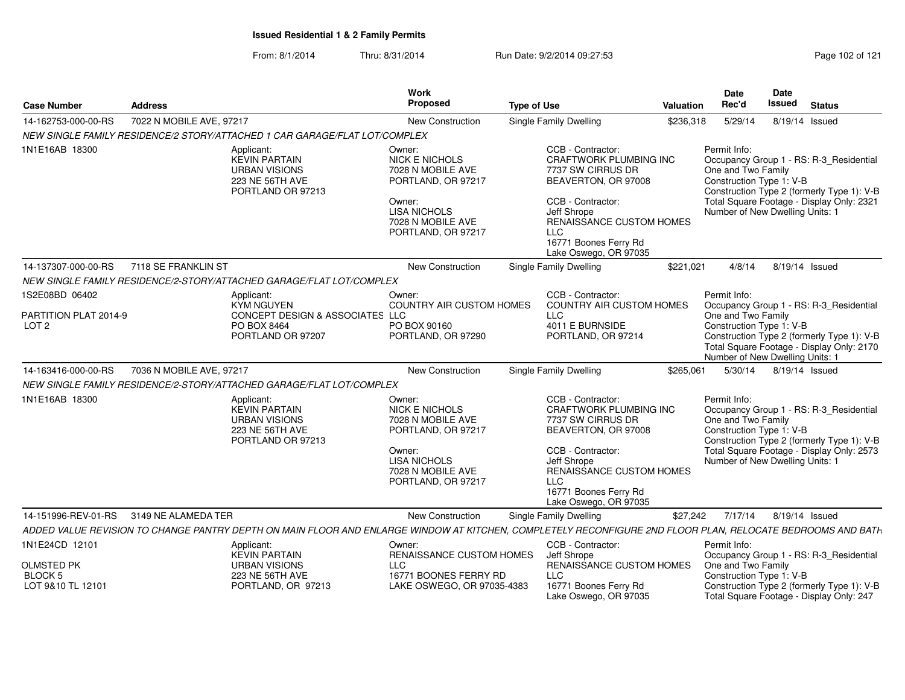| <b>Case Number</b>                  | Address                                                                                                                                                    | Work<br><b>Proposed</b><br><b>Type of Use</b>                                        |                                                                                                                              | Valuation    | <b>Date</b><br>Rec'd | <b>Date</b><br>Issued                                                | <b>Status</b>  |                                                                                                                                    |
|-------------------------------------|------------------------------------------------------------------------------------------------------------------------------------------------------------|--------------------------------------------------------------------------------------|------------------------------------------------------------------------------------------------------------------------------|--------------|----------------------|----------------------------------------------------------------------|----------------|------------------------------------------------------------------------------------------------------------------------------------|
| 14-162753-000-00-RS                 | 7022 N MOBILE AVE, 97217                                                                                                                                   | New Construction                                                                     | Single Family Dwelling                                                                                                       | \$236,318    | 5/29/14              |                                                                      | 8/19/14 Issued |                                                                                                                                    |
|                                     | NEW SINGLE FAMILY RESIDENCE/2 STORY/ATTACHED 1 CAR GARAGE/FLAT LOT/COMPLEX                                                                                 |                                                                                      |                                                                                                                              |              |                      |                                                                      |                |                                                                                                                                    |
| 1N1E16AB 18300                      | Applicant:<br><b>KEVIN PARTAIN</b><br><b>URBAN VISIONS</b><br>223 NE 56TH AVE<br>PORTLAND OR 97213                                                         | Owner:<br><b>NICK E NICHOLS</b><br>7028 N MOBILE AVE<br>PORTLAND, OR 97217<br>Owner: | CCB - Contractor:<br><b>CRAFTWORK PLUMBING INC</b><br>7737 SW CIRRUS DR<br>BEAVERTON, OR 97008<br>CCB - Contractor:          | Permit Info: | One and Two Family   | Construction Type 1: V-B                                             |                | Occupancy Group 1 - RS: R-3_Residential<br>Construction Type 2 (formerly Type 1): V-B<br>Total Square Footage - Display Only: 2321 |
|                                     |                                                                                                                                                            | <b>LISA NICHOLS</b><br>7028 N MOBILE AVE<br>PORTLAND, OR 97217                       | Jeff Shrope<br>RENAISSANCE CUSTOM HOMES<br><b>LLC</b><br>16771 Boones Ferry Rd<br>Lake Oswego, OR 97035                      |              |                      | Number of New Dwelling Units: 1                                      |                |                                                                                                                                    |
| 14-137307-000-00-RS                 | 7118 SE FRANKLIN ST                                                                                                                                        | <b>New Construction</b>                                                              | Single Family Dwelling                                                                                                       | \$221,021    | 4/8/14               |                                                                      | 8/19/14 Issued |                                                                                                                                    |
|                                     | NEW SINGLE FAMILY RESIDENCE/2-STORY/ATTACHED GARAGE/FLAT LOT/COMPLEX                                                                                       |                                                                                      |                                                                                                                              |              |                      |                                                                      |                |                                                                                                                                    |
| 1S2E08BD 06402                      | Applicant:<br><b>KYM NGUYEN</b>                                                                                                                            | Owner:<br><b>COUNTRY AIR CUSTOM HOMES</b>                                            | CCB - Contractor:<br><b>COUNTRY AIR CUSTOM HOMES</b>                                                                         | Permit Info: |                      |                                                                      |                | Occupancy Group 1 - RS: R-3 Residential                                                                                            |
| PARTITION PLAT 2014-9               | CONCEPT DESIGN & ASSOCIATES LLC                                                                                                                            |                                                                                      | <b>LLC</b>                                                                                                                   |              | One and Two Family   |                                                                      |                |                                                                                                                                    |
| LOT <sub>2</sub>                    | PO BOX 8464<br>PORTLAND OR 97207                                                                                                                           | PO BOX 90160<br>PORTLAND, OR 97290                                                   | 4011 E BURNSIDE<br>PORTLAND, OR 97214                                                                                        |              |                      | Construction Type 1: V-B<br>Number of New Dwelling Units: 1          |                | Construction Type 2 (formerly Type 1): V-B<br>Total Square Footage - Display Only: 2170                                            |
| 14-163416-000-00-RS                 | 7036 N MOBILE AVE, 97217                                                                                                                                   | <b>New Construction</b>                                                              | Single Family Dwelling                                                                                                       | \$265,061    | 5/30/14              |                                                                      | 8/19/14 Issued |                                                                                                                                    |
|                                     | NEW SINGLE FAMILY RESIDENCE/2-STORY/ATTACHED GARAGE/FLAT LOT/COMPLEX                                                                                       |                                                                                      |                                                                                                                              |              |                      |                                                                      |                |                                                                                                                                    |
| 1N1E16AB 18300                      | Applicant:<br><b>KEVIN PARTAIN</b><br><b>URBAN VISIONS</b><br>223 NE 56TH AVE<br>PORTLAND OR 97213                                                         | Owner:<br><b>NICK E NICHOLS</b><br>7028 N MOBILE AVE<br>PORTLAND, OR 97217           | CCB - Contractor:<br>CRAFTWORK PLUMBING INC<br>7737 SW CIRRUS DR<br>BEAVERTON, OR 97008                                      | Permit Info: | One and Two Family   | Construction Type 1: V-B                                             |                | Occupancy Group 1 - RS: R-3 Residential<br>Construction Type 2 (formerly Type 1): V-B                                              |
|                                     |                                                                                                                                                            | Owner:<br><b>LISA NICHOLS</b><br>7028 N MOBILE AVE<br>PORTLAND, OR 97217             | CCB - Contractor:<br>Jeff Shrope<br>RENAISSANCE CUSTOM HOMES<br><b>LLC</b><br>16771 Boones Ferry Rd<br>Lake Oswego, OR 97035 |              |                      | Number of New Dwelling Units: 1                                      |                | Total Square Footage - Display Only: 2573                                                                                          |
| 14-151996-REV-01-RS                 | 3149 NE ALAMEDA TER                                                                                                                                        | <b>New Construction</b>                                                              | Single Family Dwelling                                                                                                       | \$27,242     | 7/17/14              |                                                                      | 8/19/14 Issued |                                                                                                                                    |
|                                     | ADDED VALUE REVISION TO CHANGE PANTRY DEPTH ON MAIN FLOOR AND ENLARGE WINDOW AT KITCHEN, COMPLETELY RECONFIGURE 2ND FLOOR PLAN, RELOCATE BEDROOMS AND BATH |                                                                                      |                                                                                                                              |              |                      |                                                                      |                |                                                                                                                                    |
| 1N1E24CD 12101                      | Applicant:<br><b>KEVIN PARTAIN</b>                                                                                                                         | Owner:<br>RENAISSANCE CUSTOM HOMES                                                   | CCB - Contractor:<br>Jeff Shrope                                                                                             | Permit Info: |                      |                                                                      |                | Occupancy Group 1 - RS: R-3_Residential                                                                                            |
| <b>OLMSTED PK</b>                   | <b>URBAN VISIONS</b>                                                                                                                                       | <b>LLC</b>                                                                           | RENAISSANCE CUSTOM HOMES                                                                                                     |              | One and Two Family   |                                                                      |                |                                                                                                                                    |
| <b>BLOCK 5</b><br>LOT 9&10 TL 12101 | <b>223 NE 56TH AVE</b><br>PORTLAND, OR 97213                                                                                                               | 16771 BOONES FERRY RD<br>LAKE OSWEGO, OR 97035-4383                                  | <b>LLC</b><br>16771 Boones Ferry Rd<br>Lake Oswego, OR 97035                                                                 |              |                      | Construction Type 1: V-B<br>Total Square Footage - Display Only: 247 |                | Construction Type 2 (formerly Type 1): V-B                                                                                         |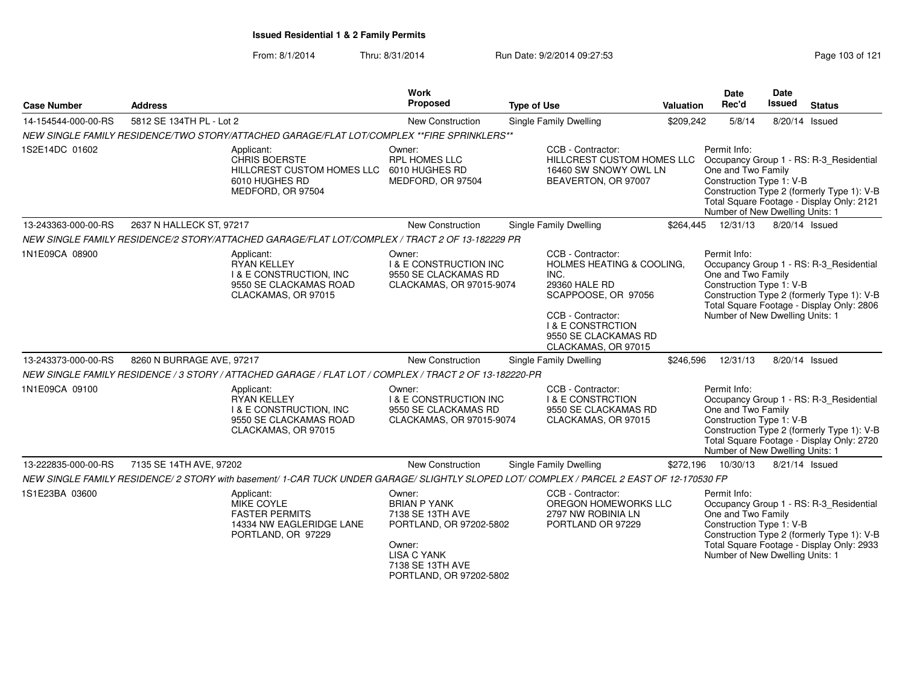| <b>Case Number</b>  | <b>Address</b>                                                                                                                                                                                                                                                                                                                  | <b>Work</b><br>Proposed                                                                                                                                     | <b>Type of Use</b>                                                                                                                                                                                            | Valuation | <b>Date</b><br>Rec'd                                                                                                                                                                                                                    | Date<br>Issued | <b>Status</b>                                                                                                                      |  |  |
|---------------------|---------------------------------------------------------------------------------------------------------------------------------------------------------------------------------------------------------------------------------------------------------------------------------------------------------------------------------|-------------------------------------------------------------------------------------------------------------------------------------------------------------|---------------------------------------------------------------------------------------------------------------------------------------------------------------------------------------------------------------|-----------|-----------------------------------------------------------------------------------------------------------------------------------------------------------------------------------------------------------------------------------------|----------------|------------------------------------------------------------------------------------------------------------------------------------|--|--|
| 14-154544-000-00-RS | 5812 SE 134TH PL - Lot 2                                                                                                                                                                                                                                                                                                        | <b>New Construction</b>                                                                                                                                     | <b>Single Family Dwelling</b>                                                                                                                                                                                 | \$209,242 | 5/8/14                                                                                                                                                                                                                                  |                | 8/20/14 Issued                                                                                                                     |  |  |
|                     | NEW SINGLE FAMILY RESIDENCE/TWO STORY/ATTACHED GARAGE/FLAT LOT/COMPLEX **FIRE SPRINKLERS**                                                                                                                                                                                                                                      |                                                                                                                                                             |                                                                                                                                                                                                               |           |                                                                                                                                                                                                                                         |                |                                                                                                                                    |  |  |
| 1S2E14DC 01602      | Applicant:<br>Owner:<br><b>CHRIS BOERSTE</b><br><b>RPL HOMES LLC</b><br>HILLCREST CUSTOM HOMES LLC 6010 HUGHES RD<br>6010 HUGHES RD<br>MEDFORD, OR 97504<br>MEDFORD, OR 97504<br>2637 N HALLECK ST, 97217<br>New Construction<br>NEW SINGLE FAMILY RESIDENCE/2 STORY/ATTACHED GARAGE/FLAT LOT/COMPLEX / TRACT 2 OF 13-182229 PR |                                                                                                                                                             | CCB - Contractor:<br>HILLCREST CUSTOM HOMES LLC<br>16460 SW SNOWY OWL LN<br>BEAVERTON, OR 97007                                                                                                               |           | Permit Info:<br>One and Two Family<br>Construction Type 1: V-B<br>Number of New Dwelling Units: 1                                                                                                                                       |                | Occupancy Group 1 - RS: R-3_Residential<br>Construction Type 2 (formerly Type 1): V-B<br>Total Square Footage - Display Only: 2121 |  |  |
| 13-243363-000-00-RS |                                                                                                                                                                                                                                                                                                                                 |                                                                                                                                                             | <b>Single Family Dwelling</b>                                                                                                                                                                                 | \$264.445 | 12/31/13                                                                                                                                                                                                                                | 8/20/14 Issued |                                                                                                                                    |  |  |
|                     |                                                                                                                                                                                                                                                                                                                                 |                                                                                                                                                             |                                                                                                                                                                                                               |           |                                                                                                                                                                                                                                         |                |                                                                                                                                    |  |  |
| 1N1E09CA 08900      | Applicant:<br><b>RYAN KELLEY</b><br><b>I &amp; E CONSTRUCTION, INC</b><br>9550 SE CLACKAMAS ROAD<br>CLACKAMAS, OR 97015                                                                                                                                                                                                         | Owner:<br><b>I &amp; E CONSTRUCTION INC</b><br>9550 SE CLACKAMAS RD<br>CLACKAMAS, OR 97015-9074                                                             | CCB - Contractor:<br><b>HOLMES HEATING &amp; COOLING.</b><br>INC.<br>29360 HALE RD<br>SCAPPOOSE, OR 97056<br>CCB - Contractor:<br><b>I &amp; E CONSTRCTION</b><br>9550 SE CLACKAMAS RD<br>CLACKAMAS, OR 97015 |           | Permit Info:<br>Occupancy Group 1 - RS: R-3_Residential<br>One and Two Family<br>Construction Type 1: V-B<br>Construction Type 2 (formerly Type 1): V-B<br>Total Square Footage - Display Only: 2806<br>Number of New Dwelling Units: 1 |                |                                                                                                                                    |  |  |
| 13-243373-000-00-RS | 8260 N BURRAGE AVE, 97217                                                                                                                                                                                                                                                                                                       | New Construction                                                                                                                                            | Single Family Dwelling                                                                                                                                                                                        | \$246,596 | 12/31/13                                                                                                                                                                                                                                | 8/20/14 Issued |                                                                                                                                    |  |  |
|                     | NEW SINGLE FAMILY RESIDENCE / 3 STORY / ATTACHED GARAGE / FLAT LOT / COMPLEX / TRACT 2 OF 13-182220-PR                                                                                                                                                                                                                          |                                                                                                                                                             |                                                                                                                                                                                                               |           |                                                                                                                                                                                                                                         |                |                                                                                                                                    |  |  |
| 1N1E09CA 09100      | Applicant:<br><b>RYAN KELLEY</b><br><b>I &amp; E CONSTRUCTION. INC</b><br>9550 SE CLACKAMAS ROAD<br>CLACKAMAS, OR 97015                                                                                                                                                                                                         | Owner:<br><b>I &amp; E CONSTRUCTION INC</b><br>9550 SE CLACKAMAS RD<br>CLACKAMAS, OR 97015-9074                                                             | CCB - Contractor:<br><b>I &amp; E CONSTRCTION</b><br>9550 SE CLACKAMAS RD<br>CLACKAMAS, OR 97015                                                                                                              |           | Permit Info:<br>One and Two Family<br>Construction Type 1: V-B<br>Number of New Dwelling Units: 1                                                                                                                                       |                | Occupancy Group 1 - RS: R-3_Residential<br>Construction Type 2 (formerly Type 1): V-B<br>Total Square Footage - Display Only: 2720 |  |  |
| 13-222835-000-00-RS | 7135 SE 14TH AVE, 97202                                                                                                                                                                                                                                                                                                         | <b>New Construction</b>                                                                                                                                     | <b>Single Family Dwelling</b>                                                                                                                                                                                 | \$272,196 | 10/30/13                                                                                                                                                                                                                                | 8/21/14 Issued |                                                                                                                                    |  |  |
|                     | NEW SINGLE FAMILY RESIDENCE/ 2 STORY with basement/ 1-CAR TUCK UNDER GARAGE/ SLIGHTLY SLOPED LOT/ COMPLEX / PARCEL 2 EAST OF 12-170530 FP                                                                                                                                                                                       |                                                                                                                                                             |                                                                                                                                                                                                               |           |                                                                                                                                                                                                                                         |                |                                                                                                                                    |  |  |
| 1S1E23BA 03600      | Applicant:<br>MIKE COYLE<br><b>FASTER PERMITS</b><br>14334 NW EAGLERIDGE LANE<br>PORTLAND, OR 97229                                                                                                                                                                                                                             | Owner:<br><b>BRIAN P YANK</b><br>7138 SE 13TH AVE<br>PORTLAND, OR 97202-5802<br>Owner:<br><b>LISA C YANK</b><br>7138 SE 13TH AVE<br>PORTLAND, OR 97202-5802 | CCB - Contractor:<br>OREGON HOMEWORKS LLC<br>2797 NW ROBINIA LN<br>PORTLAND OR 97229                                                                                                                          |           | Permit Info:<br>Occupancy Group 1 - RS: R-3_Residential<br>One and Two Family<br>Construction Type 1: V-B<br>Construction Type 2 (formerly Type 1): V-B<br>Total Square Footage - Display Only: 2933<br>Number of New Dwelling Units: 1 |                |                                                                                                                                    |  |  |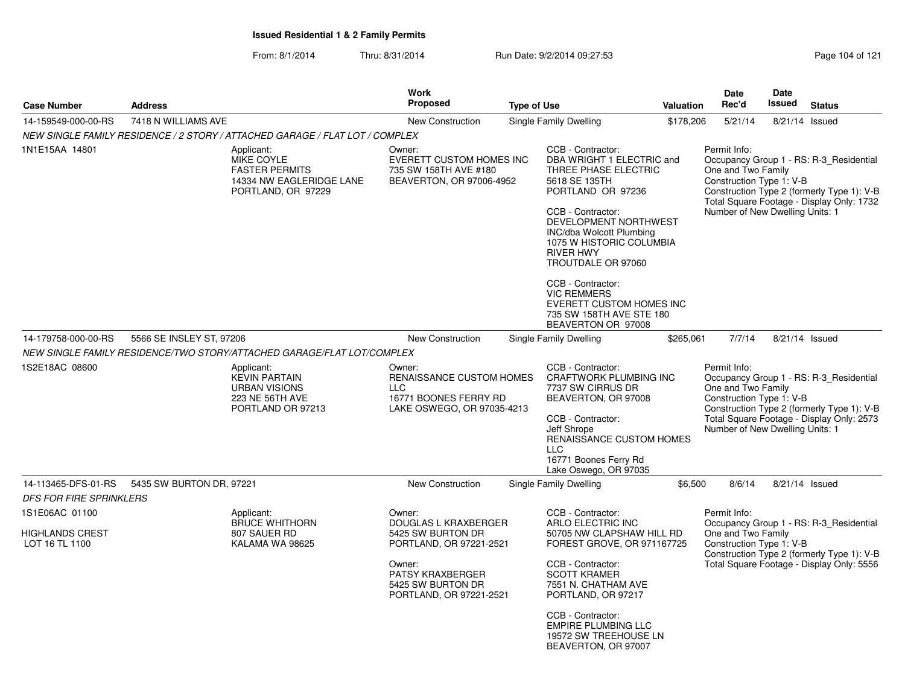|                                                     |                                                                                                     |                                                                                                    | <b>Work</b><br><b>Proposed</b>                                                                                                                               |  |                                                                                                                                                                                                                                                                                               | Valuation                                                                                                                                                                                                               | <b>Date</b><br>Rec'd                                                                              | <b>Date</b><br>Issued |                                                                                                                                    |
|-----------------------------------------------------|-----------------------------------------------------------------------------------------------------|----------------------------------------------------------------------------------------------------|--------------------------------------------------------------------------------------------------------------------------------------------------------------|--|-----------------------------------------------------------------------------------------------------------------------------------------------------------------------------------------------------------------------------------------------------------------------------------------------|-------------------------------------------------------------------------------------------------------------------------------------------------------------------------------------------------------------------------|---------------------------------------------------------------------------------------------------|-----------------------|------------------------------------------------------------------------------------------------------------------------------------|
| <b>Case Number</b>                                  | <b>Address</b>                                                                                      |                                                                                                    |                                                                                                                                                              |  | <b>Type of Use</b>                                                                                                                                                                                                                                                                            |                                                                                                                                                                                                                         |                                                                                                   |                       | <b>Status</b>                                                                                                                      |
| 14-159549-000-00-RS                                 | 7418 N WILLIAMS AVE                                                                                 |                                                                                                    | <b>New Construction</b>                                                                                                                                      |  | Single Family Dwelling                                                                                                                                                                                                                                                                        | \$178,206                                                                                                                                                                                                               | 5/21/14                                                                                           | 8/21/14 Issued        |                                                                                                                                    |
|                                                     |                                                                                                     | NEW SINGLE FAMILY RESIDENCE / 2 STORY / ATTACHED GARAGE / FLAT LOT / COMPLEX                       |                                                                                                                                                              |  |                                                                                                                                                                                                                                                                                               |                                                                                                                                                                                                                         | Permit Info:                                                                                      |                       |                                                                                                                                    |
| 1N1E15AA 14801                                      | Applicant:<br>MIKE COYLE<br><b>FASTER PERMITS</b><br>14334 NW EAGLERIDGE LANE<br>PORTLAND, OR 97229 |                                                                                                    | Owner:<br><b>EVERETT CUSTOM HOMES INC</b><br>735 SW 158TH AVE #180<br>BEAVERTON, OR 97006-4952                                                               |  | CCB - Contractor:<br>DBA WRIGHT 1 ELECTRIC and<br>THREE PHASE ELECTRIC<br>5618 SE 135TH<br>PORTLAND OR 97236<br>CCB - Contractor:<br>DEVELOPMENT NORTHWEST<br>INC/dba Wolcott Plumbing<br>1075 W HISTORIC COLUMBIA<br><b>RIVER HWY</b><br>TROUTDALE OR 97060                                  | Occupancy Group 1 - RS: R-3 Residential<br>One and Two Family<br>Construction Type 1: V-B<br>Construction Type 2 (formerly Type 1): V-B<br>Total Square Footage - Display Only: 1732<br>Number of New Dwelling Units: 1 |                                                                                                   |                       |                                                                                                                                    |
|                                                     |                                                                                                     |                                                                                                    |                                                                                                                                                              |  | CCB - Contractor:<br><b>VIC REMMERS</b><br>EVERETT CUSTOM HOMES INC<br>735 SW 158TH AVE STE 180<br>BEAVERTON OR 97008                                                                                                                                                                         |                                                                                                                                                                                                                         |                                                                                                   |                       |                                                                                                                                    |
| 14-179758-000-00-RS                                 | 5566 SE INSLEY ST, 97206                                                                            |                                                                                                    | New Construction                                                                                                                                             |  | Single Family Dwelling                                                                                                                                                                                                                                                                        | \$265,061                                                                                                                                                                                                               | 7/7/14                                                                                            | 8/21/14 Issued        |                                                                                                                                    |
|                                                     |                                                                                                     | NEW SINGLE FAMILY RESIDENCE/TWO STORY/ATTACHED GARAGE/FLAT LOT/COMPLEX                             |                                                                                                                                                              |  |                                                                                                                                                                                                                                                                                               |                                                                                                                                                                                                                         |                                                                                                   |                       |                                                                                                                                    |
| 1S2E18AC 08600                                      |                                                                                                     | Applicant:<br><b>KEVIN PARTAIN</b><br><b>URBAN VISIONS</b><br>223 NE 56TH AVE<br>PORTLAND OR 97213 | Owner:<br>RENAISSANCE CUSTOM HOMES<br><b>LLC</b><br>16771 BOONES FERRY RD<br>LAKE OSWEGO, OR 97035-4213                                                      |  | CCB - Contractor:<br>CRAFTWORK PLUMBING INC<br>7737 SW CIRRUS DR<br>BEAVERTON, OR 97008<br>CCB - Contractor:<br>Jeff Shrope<br>RENAISSANCE CUSTOM HOMES<br><b>LLC</b><br>16771 Boones Ferry Rd<br>Lake Oswego, OR 97035                                                                       |                                                                                                                                                                                                                         | Permit Info:<br>One and Two Family<br>Construction Type 1: V-B<br>Number of New Dwelling Units: 1 |                       | Occupancy Group 1 - RS: R-3_Residential<br>Construction Type 2 (formerly Type 1): V-B<br>Total Square Footage - Display Only: 2573 |
| 14-113465-DFS-01-RS                                 | 5435 SW BURTON DR, 97221                                                                            |                                                                                                    | <b>New Construction</b>                                                                                                                                      |  | Single Family Dwelling                                                                                                                                                                                                                                                                        | \$6,500                                                                                                                                                                                                                 | 8/6/14                                                                                            | 8/21/14 Issued        |                                                                                                                                    |
| <b>DFS FOR FIRE SPRINKLERS</b>                      |                                                                                                     |                                                                                                    |                                                                                                                                                              |  |                                                                                                                                                                                                                                                                                               |                                                                                                                                                                                                                         |                                                                                                   |                       |                                                                                                                                    |
| 1S1E06AC 01100<br>HIGHLANDS CREST<br>LOT 16 TL 1100 |                                                                                                     | Applicant:<br><b>BRUCE WHITHORN</b><br>807 SAUER RD<br>KALAMA WA 98625                             | Owner:<br>DOUGLAS L KRAXBERGER<br>5425 SW BURTON DR<br>PORTLAND, OR 97221-2521<br>Owner:<br>PATSY KRAXBERGER<br>5425 SW BURTON DR<br>PORTLAND, OR 97221-2521 |  | CCB - Contractor:<br>ARLO ELECTRIC INC<br>50705 NW CLAPSHAW HILL RD<br>FOREST GROVE, OR 971167725<br>CCB - Contractor:<br><b>SCOTT KRAMER</b><br>7551 N. CHATHAM AVE<br>PORTLAND, OR 97217<br>CCB - Contractor:<br><b>EMPIRE PLUMBING LLC</b><br>19572 SW TREEHOUSE LN<br>BEAVERTON, OR 97007 |                                                                                                                                                                                                                         | Permit Info:<br>One and Two Family<br>Construction Type 1: V-B                                    |                       | Occupancy Group 1 - RS: R-3_Residential<br>Construction Type 2 (formerly Type 1): V-B<br>Total Square Footage - Display Only: 5556 |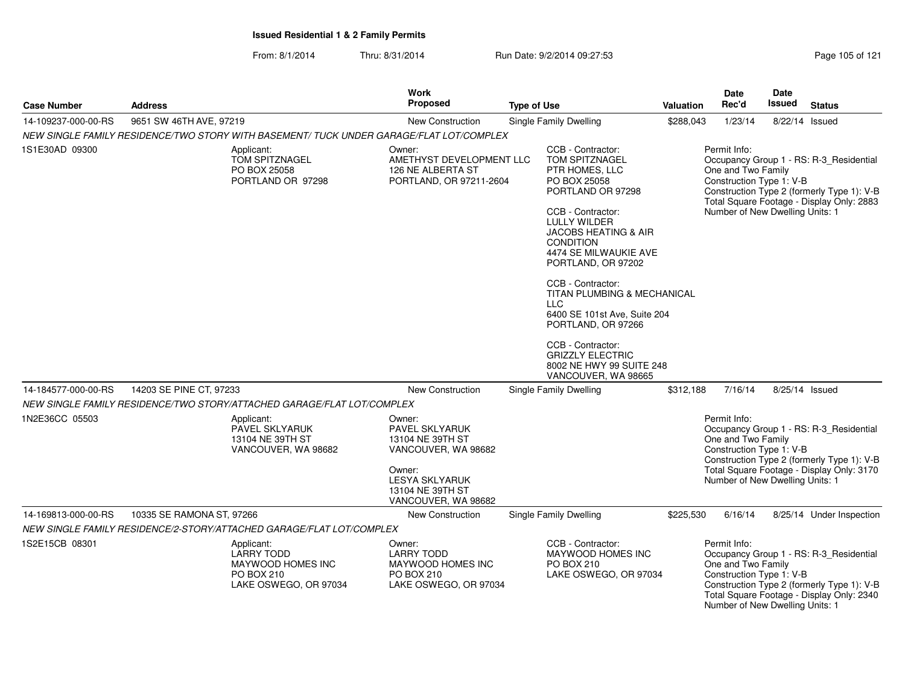From: 8/1/2014Thru: 8/31/2014 Run Date: 9/2/2014 09:27:53

|                     |                                                                                             | <b>Work</b><br><b>Proposed</b>                                                                                                                    |                                                                                                                                                                                                                                                                                                                                                                                                                                                                     |           | <b>Date</b>                                                                                       | <b>Date</b><br>Issued |                                                                                                                                    |  |
|---------------------|---------------------------------------------------------------------------------------------|---------------------------------------------------------------------------------------------------------------------------------------------------|---------------------------------------------------------------------------------------------------------------------------------------------------------------------------------------------------------------------------------------------------------------------------------------------------------------------------------------------------------------------------------------------------------------------------------------------------------------------|-----------|---------------------------------------------------------------------------------------------------|-----------------------|------------------------------------------------------------------------------------------------------------------------------------|--|
| <b>Case Number</b>  | <b>Address</b>                                                                              | <b>New Construction</b>                                                                                                                           | <b>Type of Use</b>                                                                                                                                                                                                                                                                                                                                                                                                                                                  | Valuation | Rec'd                                                                                             |                       | <b>Status</b>                                                                                                                      |  |
| 14-109237-000-00-RS | 9651 SW 46TH AVE, 97219                                                                     |                                                                                                                                                   | Single Family Dwelling                                                                                                                                                                                                                                                                                                                                                                                                                                              | \$288,043 | 1/23/14                                                                                           | 8/22/14 Issued        |                                                                                                                                    |  |
|                     | NEW SINGLE FAMILY RESIDENCE/TWO STORY WITH BASEMENT/ TUCK UNDER GARAGE/FLAT LOT/COMPLEX     |                                                                                                                                                   |                                                                                                                                                                                                                                                                                                                                                                                                                                                                     |           |                                                                                                   |                       |                                                                                                                                    |  |
| 1S1E30AD 09300      | Applicant:<br>TOM SPITZNAGEL<br>PO BOX 25058<br>PORTLAND OR 97298                           | Owner:<br>AMETHYST DEVELOPMENT LLC<br>126 NE ALBERTA ST<br>PORTLAND, OR 97211-2604                                                                | CCB - Contractor:<br><b>TOM SPITZNAGEL</b><br>PTR HOMES, LLC<br>PO BOX 25058<br>PORTLAND OR 97298<br>CCB - Contractor:<br><b>LULLY WILDER</b><br>JACOBS HEATING & AIR<br><b>CONDITION</b><br>4474 SE MILWAUKIE AVE<br>PORTLAND, OR 97202<br>CCB - Contractor:<br>TITAN PLUMBING & MECHANICAL<br><b>LLC</b><br>6400 SE 101st Ave, Suite 204<br>PORTLAND, OR 97266<br>CCB - Contractor:<br><b>GRIZZLY ELECTRIC</b><br>8002 NE HWY 99 SUITE 248<br>VANCOUVER, WA 98665 |           | Permit Info:<br>One and Two Family<br>Construction Type 1: V-B<br>Number of New Dwelling Units: 1 |                       | Occupancy Group 1 - RS: R-3_Residential<br>Construction Type 2 (formerly Type 1): V-B<br>Total Square Footage - Display Only: 2883 |  |
| 14-184577-000-00-RS | 14203 SE PINE CT, 97233                                                                     | New Construction                                                                                                                                  | Single Family Dwelling                                                                                                                                                                                                                                                                                                                                                                                                                                              | \$312,188 | 7/16/14                                                                                           | 8/25/14 Issued        |                                                                                                                                    |  |
|                     | NEW SINGLE FAMILY RESIDENCE/TWO STORY/ATTACHED GARAGE/FLAT LOT/COMPLEX                      |                                                                                                                                                   |                                                                                                                                                                                                                                                                                                                                                                                                                                                                     |           |                                                                                                   |                       |                                                                                                                                    |  |
| 1N2E36CC 05503      | Applicant:<br>PAVEL SKLYARUK<br>13104 NE 39TH ST<br>VANCOUVER, WA 98682                     | Owner:<br>PAVEL SKLYARUK<br>13104 NE 39TH ST<br>VANCOUVER, WA 98682<br>Owner:<br><b>LESYA SKLYARUK</b><br>13104 NE 39TH ST<br>VANCOUVER, WA 98682 |                                                                                                                                                                                                                                                                                                                                                                                                                                                                     |           | Permit Info:<br>One and Two Family<br>Construction Type 1: V-B<br>Number of New Dwelling Units: 1 |                       | Occupancy Group 1 - RS: R-3_Residential<br>Construction Type 2 (formerly Type 1): V-B<br>Total Square Footage - Display Only: 3170 |  |
| 14-169813-000-00-RS | 10335 SE RAMONA ST, 97266                                                                   | <b>New Construction</b>                                                                                                                           | Single Family Dwelling                                                                                                                                                                                                                                                                                                                                                                                                                                              | \$225,530 | 6/16/14                                                                                           |                       | 8/25/14 Under Inspection                                                                                                           |  |
|                     | NEW SINGLE FAMILY RESIDENCE/2-STORY/ATTACHED GARAGE/FLAT LOT/COMPLEX                        |                                                                                                                                                   |                                                                                                                                                                                                                                                                                                                                                                                                                                                                     |           |                                                                                                   |                       |                                                                                                                                    |  |
| 1S2E15CB 08301      | Applicant:<br><b>LARRY TODD</b><br>MAYWOOD HOMES INC<br>PO BOX 210<br>LAKE OSWEGO, OR 97034 | Owner:<br><b>LARRY TODD</b><br>MAYWOOD HOMES INC<br>PO BOX 210<br>LAKE OSWEGO, OR 97034                                                           | CCB - Contractor:<br><b>MAYWOOD HOMES INC</b><br><b>PO BOX 210</b><br>LAKE OSWEGO, OR 97034                                                                                                                                                                                                                                                                                                                                                                         |           | Permit Info:<br>One and Two Family<br>Construction Type 1: V-B<br>Number of New Dwelling Units: 1 |                       | Occupancy Group 1 - RS: R-3_Residential<br>Construction Type 2 (formerly Type 1): V-B<br>Total Square Footage - Display Only: 2340 |  |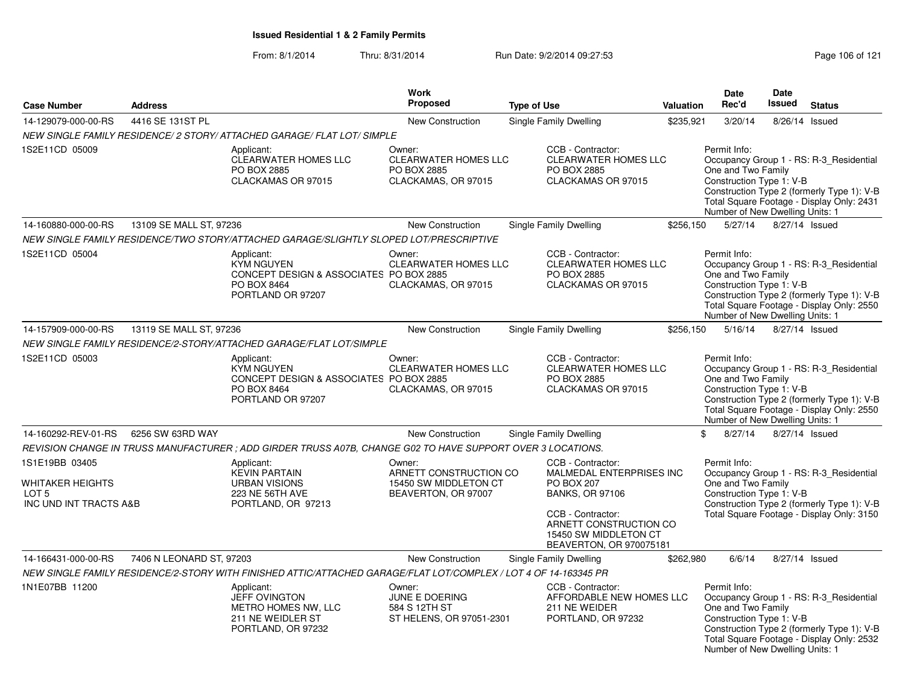|                                                                                       |                          |                                                                                                                  | <b>Work</b>                                                                                                                                           |                                                                                                                                                                                                 |                                                                                                                                                                                                                                         | <b>Date</b>                                                                                       | <b>Date</b>   |                                                                                                                                    |
|---------------------------------------------------------------------------------------|--------------------------|------------------------------------------------------------------------------------------------------------------|-------------------------------------------------------------------------------------------------------------------------------------------------------|-------------------------------------------------------------------------------------------------------------------------------------------------------------------------------------------------|-----------------------------------------------------------------------------------------------------------------------------------------------------------------------------------------------------------------------------------------|---------------------------------------------------------------------------------------------------|---------------|------------------------------------------------------------------------------------------------------------------------------------|
| <b>Case Number</b>                                                                    | <b>Address</b>           |                                                                                                                  | <b>Proposed</b>                                                                                                                                       | <b>Type of Use</b>                                                                                                                                                                              | Valuation                                                                                                                                                                                                                               | Rec'd                                                                                             | <b>Issued</b> | <b>Status</b>                                                                                                                      |
| 14-129079-000-00-RS                                                                   | 4416 SE 131ST PL         |                                                                                                                  | <b>New Construction</b>                                                                                                                               | Single Family Dwelling                                                                                                                                                                          | \$235,921                                                                                                                                                                                                                               | 3/20/14                                                                                           | 8/26/14       | Issued                                                                                                                             |
|                                                                                       |                          | NEW SINGLE FAMILY RESIDENCE/ 2 STORY/ ATTACHED GARAGE/ FLAT LOT/ SIMPLE                                          |                                                                                                                                                       |                                                                                                                                                                                                 |                                                                                                                                                                                                                                         |                                                                                                   |               |                                                                                                                                    |
| 1S2E11CD 05009                                                                        |                          | Applicant:<br><b>CLEARWATER HOMES LLC</b><br>PO BOX 2885<br>CLACKAMAS OR 97015                                   | Owner:<br><b>CLEARWATER HOMES LLC</b><br>PO BOX 2885<br>CLACKAMAS, OR 97015                                                                           | CCB - Contractor:<br><b>CLEARWATER HOMES LLC</b><br>PO BOX 2885<br>CLACKAMAS OR 97015                                                                                                           |                                                                                                                                                                                                                                         | Permit Info:<br>One and Two Family<br>Construction Type 1: V-B<br>Number of New Dwelling Units: 1 |               | Occupancy Group 1 - RS: R-3_Residential<br>Construction Type 2 (formerly Type 1): V-B<br>Total Square Footage - Display Only: 2431 |
| 14-160880-000-00-RS                                                                   | 13109 SE MALL ST, 97236  |                                                                                                                  | New Construction                                                                                                                                      | Single Family Dwelling                                                                                                                                                                          | \$256,150                                                                                                                                                                                                                               | 5/27/14                                                                                           |               | 8/27/14 Issued                                                                                                                     |
|                                                                                       |                          | NEW SINGLE FAMILY RESIDENCE/TWO STORY/ATTACHED GARAGE/SLIGHTLY SLOPED LOT/PRESCRIPTIVE                           |                                                                                                                                                       |                                                                                                                                                                                                 |                                                                                                                                                                                                                                         |                                                                                                   |               |                                                                                                                                    |
| 1S2E11CD 05004                                                                        |                          | Applicant:<br><b>KYM NGUYEN</b><br>CONCEPT DESIGN & ASSOCIATES PO BOX 2885<br>PO BOX 8464<br>PORTLAND OR 97207   | Owner:<br><b>CLEARWATER HOMES LLC</b><br>CLACKAMAS, OR 97015                                                                                          | CCB - Contractor:<br><b>CLEARWATER HOMES LLC</b><br>PO BOX 2885<br>CLACKAMAS OR 97015                                                                                                           |                                                                                                                                                                                                                                         | Permit Info:<br>One and Two Family<br>Construction Type 1: V-B<br>Number of New Dwelling Units: 1 |               | Occupancy Group 1 - RS: R-3_Residential<br>Construction Type 2 (formerly Type 1): V-B<br>Total Square Footage - Display Only: 2550 |
| 14-157909-000-00-RS                                                                   | 13119 SE MALL ST, 97236  |                                                                                                                  | New Construction                                                                                                                                      | Single Family Dwelling                                                                                                                                                                          | \$256,150                                                                                                                                                                                                                               | 5/16/14                                                                                           |               | 8/27/14 Issued                                                                                                                     |
|                                                                                       |                          |                                                                                                                  |                                                                                                                                                       |                                                                                                                                                                                                 |                                                                                                                                                                                                                                         |                                                                                                   |               |                                                                                                                                    |
| NEW SINGLE FAMILY RESIDENCE/2-STORY/ATTACHED GARAGE/FLAT LOT/SIMPLE<br>1S2E11CD 05003 |                          | Applicant:<br><b>KYM NGUYEN</b><br>CONCEPT DESIGN & ASSOCIATES PO BOX 2885<br>PO BOX 8464<br>PORTLAND OR 97207   | Owner:<br>CCB - Contractor:<br><b>CLEARWATER HOMES LLC</b><br><b>CLEARWATER HOMES LLC</b><br>PO BOX 2885<br>CLACKAMAS, OR 97015<br>CLACKAMAS OR 97015 |                                                                                                                                                                                                 | Permit Info:<br>Occupancy Group 1 - RS: R-3_Residential<br>One and Two Family<br>Construction Type 1: V-B<br>Construction Type 2 (formerly Type 1): V-B<br>Total Square Footage - Display Only: 2550<br>Number of New Dwelling Units: 1 |                                                                                                   |               |                                                                                                                                    |
| 14-160292-REV-01-RS                                                                   | 6256 SW 63RD WAY         |                                                                                                                  | New Construction                                                                                                                                      | <b>Single Family Dwelling</b>                                                                                                                                                                   |                                                                                                                                                                                                                                         | \$<br>8/27/14                                                                                     |               | 8/27/14 Issued                                                                                                                     |
|                                                                                       |                          | REVISION CHANGE IN TRUSS MANUFACTURER ; ADD GIRDER TRUSS A07B, CHANGE G02 TO HAVE SUPPORT OVER 3 LOCATIONS.      |                                                                                                                                                       |                                                                                                                                                                                                 |                                                                                                                                                                                                                                         |                                                                                                   |               |                                                                                                                                    |
| 1S1E19BB 03405<br><b>WHITAKER HEIGHTS</b><br>LOT 5<br>INC UND INT TRACTS A&B          |                          | Applicant:<br><b>KEVIN PARTAIN</b><br><b>URBAN VISIONS</b><br><b>223 NE 56TH AVE</b><br>PORTLAND, OR 97213       | Owner:<br>ARNETT CONSTRUCTION CO<br>15450 SW MIDDLETON CT<br>BEAVERTON, OR 97007                                                                      | CCB - Contractor:<br>MALMEDAL ENTERPRISES INC<br><b>PO BOX 207</b><br><b>BANKS, OR 97106</b><br>CCB - Contractor:<br>ARNETT CONSTRUCTION CO<br>15450 SW MIDDLETON CT<br>BEAVERTON, OR 970075181 |                                                                                                                                                                                                                                         | Permit Info:<br>One and Two Family<br>Construction Type 1: V-B                                    |               | Occupancy Group 1 - RS: R-3 Residential<br>Construction Type 2 (formerly Type 1): V-B<br>Total Square Footage - Display Only: 3150 |
| 14-166431-000-00-RS                                                                   | 7406 N LEONARD ST, 97203 |                                                                                                                  | New Construction                                                                                                                                      | Single Family Dwelling                                                                                                                                                                          | \$262,980                                                                                                                                                                                                                               | 6/6/14                                                                                            |               | 8/27/14 Issued                                                                                                                     |
|                                                                                       |                          | NEW SINGLE FAMILY RESIDENCE/2-STORY WITH FINISHED ATTIC/ATTACHED GARAGE/FLAT LOT/COMPLEX / LOT 4 OF 14-163345 PR |                                                                                                                                                       |                                                                                                                                                                                                 |                                                                                                                                                                                                                                         |                                                                                                   |               |                                                                                                                                    |
| 1N1E07BB 11200                                                                        |                          | Applicant:<br><b>JEFF OVINGTON</b><br>METRO HOMES NW, LLC<br>211 NE WEIDLER ST<br>PORTLAND, OR 97232             | Owner:<br>JUNE E DOERING<br>584 S 12TH ST<br>ST HELENS, OR 97051-2301                                                                                 | CCB - Contractor:<br>AFFORDABLE NEW HOMES LLC<br>211 NE WEIDER<br>PORTLAND, OR 97232                                                                                                            |                                                                                                                                                                                                                                         | Permit Info:<br>One and Two Family<br>Construction Type 1: V-B<br>Number of New Dwelling Units: 1 |               | Occupancy Group 1 - RS: R-3_Residential<br>Construction Type 2 (formerly Type 1): V-B<br>Total Square Footage - Display Only: 2532 |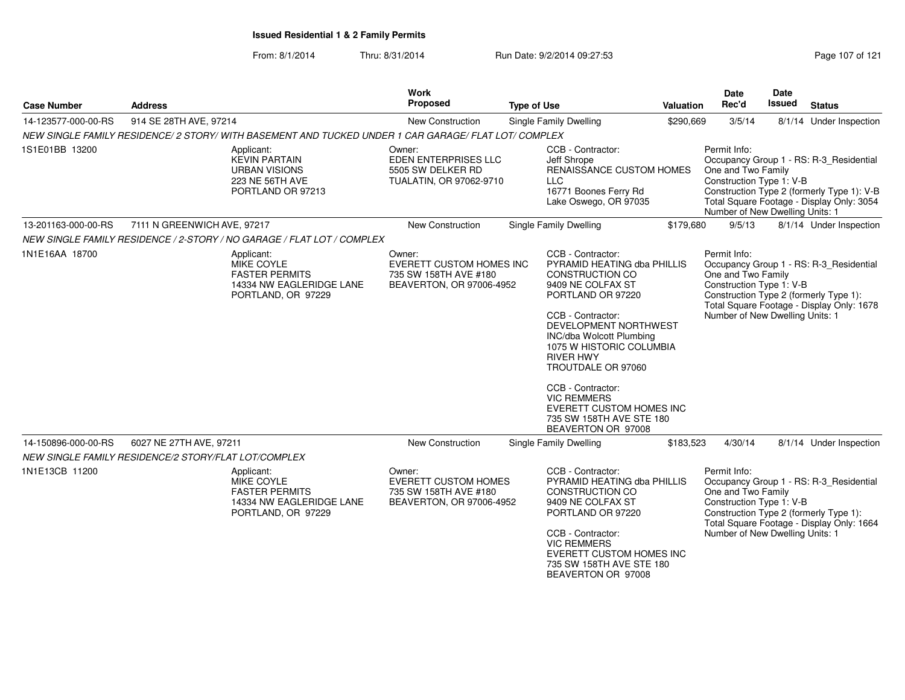| <b>Case Number</b>  | <b>Address</b>                                                                                     |                                                                                              | <b>Work</b><br>Proposed                                                                        | <b>Type of Use</b> |                                                                                                                                                                                                                                                                                                                                                                                               | <b>Valuation</b> | Date<br>Rec'd                                                                                     | Date<br><b>Issued</b> | <b>Status</b>                                                                                                                      |
|---------------------|----------------------------------------------------------------------------------------------------|----------------------------------------------------------------------------------------------|------------------------------------------------------------------------------------------------|--------------------|-----------------------------------------------------------------------------------------------------------------------------------------------------------------------------------------------------------------------------------------------------------------------------------------------------------------------------------------------------------------------------------------------|------------------|---------------------------------------------------------------------------------------------------|-----------------------|------------------------------------------------------------------------------------------------------------------------------------|
| 14-123577-000-00-RS | 914 SE 28TH AVE, 97214                                                                             |                                                                                              | New Construction                                                                               |                    | <b>Single Family Dwelling</b>                                                                                                                                                                                                                                                                                                                                                                 | \$290,669        | 3/5/14                                                                                            |                       | 8/1/14 Under Inspection                                                                                                            |
|                     | NEW SINGLE FAMILY RESIDENCE/2 STORY/WITH BASEMENT AND TUCKED UNDER 1 CAR GARAGE/ FLAT LOT/ COMPLEX |                                                                                              |                                                                                                |                    |                                                                                                                                                                                                                                                                                                                                                                                               |                  |                                                                                                   |                       |                                                                                                                                    |
| 1S1E01BB 13200      | Applicant:                                                                                         | <b>KEVIN PARTAIN</b><br>URBAN VISIONS<br>223 NE 56TH AVE<br>PORTLAND OR 97213                | Owner:<br>EDEN ENTERPRISES LLC<br>5505 SW DELKER RD<br>TUALATIN, OR 97062-9710                 |                    | CCB - Contractor:<br>Jeff Shrope<br>RENAISSANCE CUSTOM HOMES<br><b>LLC</b><br>16771 Boones Ferry Rd<br>Lake Oswego, OR 97035                                                                                                                                                                                                                                                                  |                  | Permit Info:<br>One and Two Family<br>Construction Type 1: V-B<br>Number of New Dwelling Units: 1 |                       | Occupancy Group 1 - RS: R-3_Residential<br>Construction Type 2 (formerly Type 1): V-B<br>Total Square Footage - Display Only: 3054 |
| 13-201163-000-00-RS | 7111 N GREENWICH AVE, 97217                                                                        |                                                                                              | New Construction                                                                               |                    | Single Family Dwelling                                                                                                                                                                                                                                                                                                                                                                        | \$179,680        | 9/5/13                                                                                            |                       | 8/1/14 Under Inspection                                                                                                            |
|                     | NEW SINGLE FAMILY RESIDENCE / 2-STORY / NO GARAGE / FLAT LOT / COMPLEX                             |                                                                                              |                                                                                                |                    |                                                                                                                                                                                                                                                                                                                                                                                               |                  |                                                                                                   |                       |                                                                                                                                    |
| 1N1E16AA 18700      | Applicant:                                                                                         | <b>MIKE COYLE</b><br><b>FASTER PERMITS</b><br>14334 NW EAGLERIDGE LANE<br>PORTLAND, OR 97229 | Owner:<br><b>EVERETT CUSTOM HOMES INC</b><br>735 SW 158TH AVE #180<br>BEAVERTON, OR 97006-4952 |                    | CCB - Contractor:<br>PYRAMID HEATING dba PHILLIS<br><b>CONSTRUCTION CO</b><br>9409 NE COLFAX ST<br>PORTLAND OR 97220<br>CCB - Contractor:<br>DEVELOPMENT NORTHWEST<br>INC/dba Wolcott Plumbing<br>1075 W HISTORIC COLUMBIA<br><b>RIVER HWY</b><br>TROUTDALE OR 97060<br>CCB - Contractor:<br><b>VIC REMMERS</b><br>EVERETT CUSTOM HOMES INC<br>735 SW 158TH AVE STE 180<br>BEAVERTON OR 97008 |                  | Permit Info:<br>One and Two Family<br>Construction Type 1: V-B<br>Number of New Dwelling Units: 1 |                       | Occupancy Group 1 - RS: R-3 Residential<br>Construction Type 2 (formerly Type 1):<br>Total Square Footage - Display Only: 1678     |
| 14-150896-000-00-RS | 6027 NE 27TH AVE, 97211                                                                            |                                                                                              | New Construction                                                                               |                    | Single Family Dwelling                                                                                                                                                                                                                                                                                                                                                                        | \$183,523        | 4/30/14                                                                                           |                       | 8/1/14 Under Inspection                                                                                                            |
|                     | NEW SINGLE FAMILY RESIDENCE/2 STORY/FLAT LOT/COMPLEX                                               |                                                                                              |                                                                                                |                    |                                                                                                                                                                                                                                                                                                                                                                                               |                  |                                                                                                   |                       |                                                                                                                                    |
| 1N1E13CB 11200      | Applicant:                                                                                         | MIKE COYLE<br><b>FASTER PERMITS</b><br>14334 NW EAGLERIDGE LANE<br>PORTLAND, OR 97229        | Owner:<br><b>EVERETT CUSTOM HOMES</b><br>735 SW 158TH AVE #180<br>BEAVERTON, OR 97006-4952     |                    | CCB - Contractor:<br>PYRAMID HEATING dba PHILLIS<br>CONSTRUCTION CO<br>9409 NE COLFAX ST<br>PORTLAND OR 97220<br>CCB - Contractor:<br><b>VIC REMMERS</b><br><b>EVERETT CUSTOM HOMES INC</b><br>735 SW 158TH AVE STE 180<br>BEAVERTON OR 97008                                                                                                                                                 |                  | Permit Info:<br>One and Two Family<br>Construction Type 1: V-B<br>Number of New Dwelling Units: 1 |                       | Occupancy Group 1 - RS: R-3_Residential<br>Construction Type 2 (formerly Type 1):<br>Total Square Footage - Display Only: 1664     |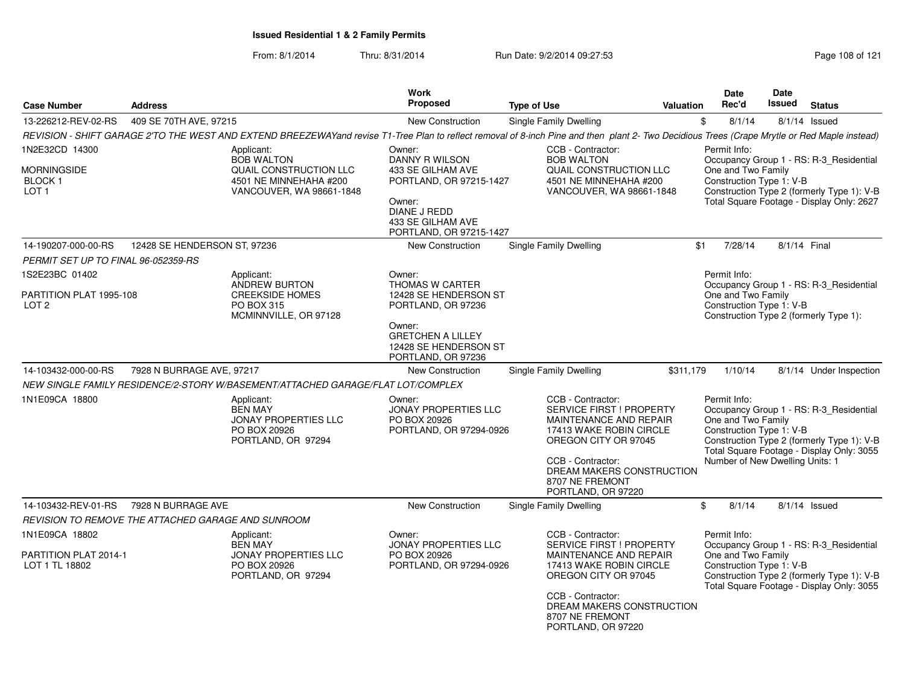| <b>Case Number</b>                                            | <b>Address</b>               |                                                                                                                                                                                               | <b>Work</b><br><b>Proposed</b>                                                                                         | <b>Type of Use</b>                                                        |                                                                                                                                                                 | Valuation | Date<br>Rec'd                                                                                                                             | <b>Date</b><br>Issued | <b>Status</b>                                                                                                                      |
|---------------------------------------------------------------|------------------------------|-----------------------------------------------------------------------------------------------------------------------------------------------------------------------------------------------|------------------------------------------------------------------------------------------------------------------------|---------------------------------------------------------------------------|-----------------------------------------------------------------------------------------------------------------------------------------------------------------|-----------|-------------------------------------------------------------------------------------------------------------------------------------------|-----------------------|------------------------------------------------------------------------------------------------------------------------------------|
| 13-226212-REV-02-RS                                           | 409 SE 70TH AVE, 97215       |                                                                                                                                                                                               | New Construction                                                                                                       | Single Family Dwelling                                                    |                                                                                                                                                                 | \$        | 8/1/14                                                                                                                                    |                       | $8/1/14$ Issued                                                                                                                    |
|                                                               |                              | REVISION - SHIFT GARAGE 2'TO THE WEST AND EXTEND BREEZEWAYand revise T1-Tree Plan to reflect removal of 8-inch Pine and then plant 2- Two Decidious Trees (Crape Mrytle or Red Maple instead) |                                                                                                                        |                                                                           |                                                                                                                                                                 |           |                                                                                                                                           |                       |                                                                                                                                    |
| 1N2E32CD 14300                                                |                              | Applicant:<br><b>BOB WALTON</b>                                                                                                                                                               | Owner:<br>DANNY R WILSON                                                                                               | CCB - Contractor:<br><b>BOB WALTON</b>                                    |                                                                                                                                                                 |           | Permit Info:                                                                                                                              |                       | Occupancy Group 1 - RS: R-3_Residential                                                                                            |
| MORNINGSIDE<br>BLOCK 1<br>LOT <sub>1</sub>                    |                              | QUAIL CONSTRUCTION LLC<br>4501 NE MINNEHAHA #200<br>VANCOUVER, WA 98661-1848                                                                                                                  | 433 SE GILHAM AVE<br>PORTLAND, OR 97215-1427<br>Owner:<br>DIANE J REDD<br>433 SE GILHAM AVE<br>PORTLAND, OR 97215-1427 |                                                                           | QUAIL CONSTRUCTION LLC<br>4501 NE MINNEHAHA #200<br>VANCOUVER, WA 98661-1848                                                                                    |           | One and Two Family<br>Construction Type 1: V-B                                                                                            |                       | Construction Type 2 (formerly Type 1): V-B<br>Total Square Footage - Display Only: 2627                                            |
| 14-190207-000-00-RS                                           | 12428 SE HENDERSON ST, 97236 |                                                                                                                                                                                               | <b>New Construction</b>                                                                                                | <b>Single Family Dwelling</b>                                             |                                                                                                                                                                 | \$1       | 7/28/14                                                                                                                                   | 8/1/14 Final          |                                                                                                                                    |
| PERMIT SET UP TO FINAL 96-052359-RS                           |                              |                                                                                                                                                                                               |                                                                                                                        |                                                                           |                                                                                                                                                                 |           |                                                                                                                                           |                       |                                                                                                                                    |
| 1S2E23BC 01402<br>PARTITION PLAT 1995-108<br>LOT <sub>2</sub> |                              | Applicant:<br><b>ANDREW BURTON</b><br><b>CREEKSIDE HOMES</b><br>PO BOX 315<br>MCMINNVILLE, OR 97128                                                                                           | Owner:<br>THOMAS W CARTER<br>12428 SE HENDERSON ST<br>PORTLAND, OR 97236                                               |                                                                           |                                                                                                                                                                 |           | Permit Info:<br>One and Two Family<br>Construction Type 1: V-B                                                                            |                       | Occupancy Group 1 - RS: R-3_Residential<br>Construction Type 2 (formerly Type 1):                                                  |
|                                                               |                              |                                                                                                                                                                                               | Owner:<br><b>GRETCHEN A LILLEY</b><br>12428 SE HENDERSON ST<br>PORTLAND, OR 97236                                      |                                                                           |                                                                                                                                                                 |           |                                                                                                                                           |                       |                                                                                                                                    |
| 14-103432-000-00-RS                                           | 7928 N BURRAGE AVE, 97217    |                                                                                                                                                                                               | <b>New Construction</b>                                                                                                | <b>Single Family Dwelling</b>                                             |                                                                                                                                                                 | \$311,179 | 1/10/14                                                                                                                                   |                       | 8/1/14 Under Inspection                                                                                                            |
|                                                               |                              | NEW SINGLE FAMILY RESIDENCE/2-STORY W/BASEMENT/ATTACHED GARAGE/FLAT LOT/COMPLEX                                                                                                               |                                                                                                                        |                                                                           |                                                                                                                                                                 |           |                                                                                                                                           |                       |                                                                                                                                    |
| 1N1E09CA 18800                                                |                              | Applicant:<br><b>BEN MAY</b><br>JONAY PROPERTIES LLC<br>PO BOX 20926<br>PORTLAND, OR 97294                                                                                                    | Owner:<br><b>JONAY PROPERTIES LLC</b><br>PO BOX 20926<br>PORTLAND, OR 97294-0926                                       | CCB - Contractor:<br>CCB - Contractor:<br>8707 NE FREMONT                 | <b>SERVICE FIRST ! PROPERTY</b><br>MAINTENANCE AND REPAIR<br>17413 WAKE ROBIN CIRCLE<br>OREGON CITY OR 97045<br>DREAM MAKERS CONSTRUCTION<br>PORTLAND, OR 97220 |           | Permit Info:<br>One and Two Family<br>Construction Type 1: V-B<br>Number of New Dwelling Units: 1                                         |                       | Occupancy Group 1 - RS: R-3_Residential<br>Construction Type 2 (formerly Type 1): V-B<br>Total Square Footage - Display Only: 3055 |
| 14-103432-REV-01-RS                                           | 7928 N BURRAGE AVE           |                                                                                                                                                                                               | <b>New Construction</b>                                                                                                | Single Family Dwelling                                                    |                                                                                                                                                                 | \$        | 8/1/14                                                                                                                                    |                       | $8/1/14$ Issued                                                                                                                    |
| REVISION TO REMOVE THE ATTACHED GARAGE AND SUNROOM            |                              |                                                                                                                                                                                               |                                                                                                                        |                                                                           |                                                                                                                                                                 |           |                                                                                                                                           |                       |                                                                                                                                    |
| 1N1E09CA 18802                                                |                              | Applicant:<br><b>BEN MAY</b>                                                                                                                                                                  | Owner:<br><b>JONAY PROPERTIES LLC</b>                                                                                  | CCB - Contractor:                                                         | <b>SERVICE FIRST ! PROPERTY</b>                                                                                                                                 |           | Permit Info:                                                                                                                              |                       | Occupancy Group 1 - RS: R-3_Residential                                                                                            |
| PARTITION PLAT 2014-1<br>LOT 1 TL 18802                       |                              | <b>JONAY PROPERTIES LLC</b><br>PO BOX 20926<br>PORTLAND, OR 97294                                                                                                                             | PO BOX 20926<br>PORTLAND, OR 97294-0926                                                                                | MAINTENANCE AND REPAIR<br>17413 WAKE ROBIN CIRCLE<br>OREGON CITY OR 97045 |                                                                                                                                                                 |           | One and Two Family<br>Construction Type 1: V-B<br>Construction Type 2 (formerly Type 1): V-B<br>Total Square Footage - Display Only: 3055 |                       |                                                                                                                                    |
|                                                               |                              |                                                                                                                                                                                               |                                                                                                                        | CCB - Contractor:<br>8707 NE FREMONT                                      | DREAM MAKERS CONSTRUCTION<br>PORTLAND, OR 97220                                                                                                                 |           |                                                                                                                                           |                       |                                                                                                                                    |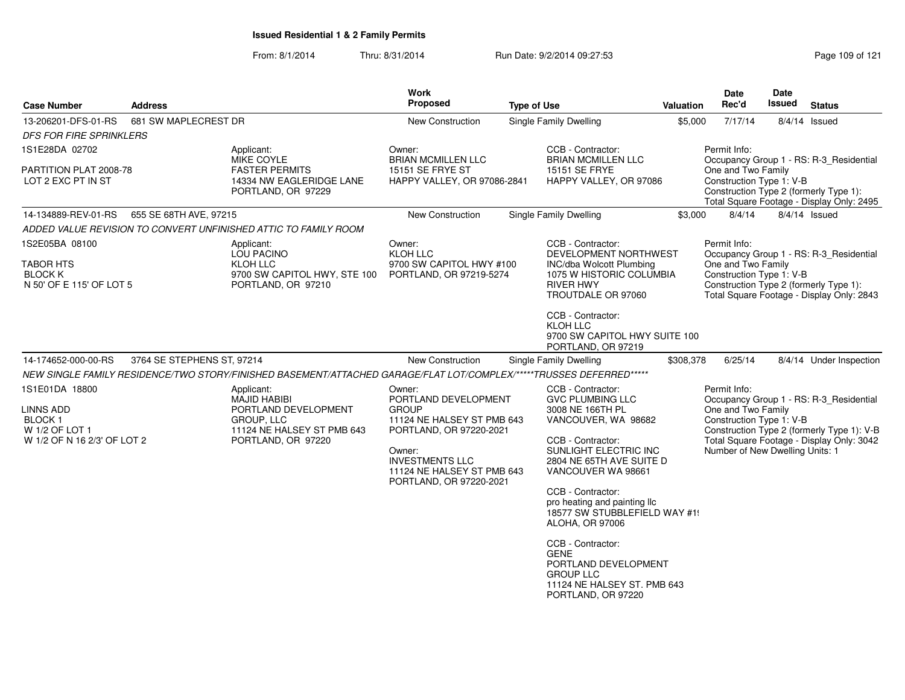| <b>Case Number</b>                                                                      | <b>Address</b>                                                          |                                                                                                                             | <b>Work</b><br><b>Proposed</b>                                                                                                                                                                       | <b>Type of Use</b>                                                                                                                                                                                                                                                                               | <b>Valuation</b>                                                                                                                      | <b>Date</b><br>Rec'd                                                                              | <b>Date</b><br>Issued | <b>Status</b>                                                                                                                      |
|-----------------------------------------------------------------------------------------|-------------------------------------------------------------------------|-----------------------------------------------------------------------------------------------------------------------------|------------------------------------------------------------------------------------------------------------------------------------------------------------------------------------------------------|--------------------------------------------------------------------------------------------------------------------------------------------------------------------------------------------------------------------------------------------------------------------------------------------------|---------------------------------------------------------------------------------------------------------------------------------------|---------------------------------------------------------------------------------------------------|-----------------------|------------------------------------------------------------------------------------------------------------------------------------|
| 13-206201-DFS-01-RS                                                                     | 681 SW MAPLECREST DR                                                    |                                                                                                                             | <b>New Construction</b>                                                                                                                                                                              | <b>Single Family Dwelling</b>                                                                                                                                                                                                                                                                    | \$5,000                                                                                                                               | 7/17/14                                                                                           |                       | $8/4/14$ Issued                                                                                                                    |
| <b>DFS FOR FIRE SPRINKLERS</b>                                                          |                                                                         |                                                                                                                             |                                                                                                                                                                                                      |                                                                                                                                                                                                                                                                                                  |                                                                                                                                       |                                                                                                   |                       |                                                                                                                                    |
| 1S1E28DA 02702                                                                          |                                                                         | Applicant:<br>MIKE COYLE                                                                                                    | Owner:<br><b>BRIAN MCMILLEN LLC</b>                                                                                                                                                                  | CCB - Contractor:<br><b>BRIAN MCMILLEN LLC</b>                                                                                                                                                                                                                                                   |                                                                                                                                       | Permit Info:                                                                                      |                       | Occupancy Group 1 - RS: R-3_Residential                                                                                            |
| PARTITION PLAT 2008-78<br>LOT 2 EXC PT IN ST                                            | <b>FASTER PERMITS</b><br>14334 NW EAGLERIDGE LANE<br>PORTLAND, OR 97229 |                                                                                                                             | 15151 SE FRYE ST<br><b>HAPPY VALLEY, OR 97086-2841</b>                                                                                                                                               | <b>15151 SE FRYE</b><br>HAPPY VALLEY, OR 97086                                                                                                                                                                                                                                                   | One and Two Family<br>Construction Type 1: V-B<br>Construction Type 2 (formerly Type 1):<br>Total Square Footage - Display Only: 2495 |                                                                                                   |                       |                                                                                                                                    |
| 14-134889-REV-01-RS                                                                     | 655 SE 68TH AVE, 97215                                                  |                                                                                                                             | <b>New Construction</b>                                                                                                                                                                              | <b>Single Family Dwelling</b>                                                                                                                                                                                                                                                                    | \$3,000                                                                                                                               | 8/4/14                                                                                            |                       | 8/4/14 Issued                                                                                                                      |
|                                                                                         |                                                                         | ADDED VALUE REVISION TO CONVERT UNFINISHED ATTIC TO FAMILY ROOM                                                             |                                                                                                                                                                                                      |                                                                                                                                                                                                                                                                                                  |                                                                                                                                       |                                                                                                   |                       |                                                                                                                                    |
| 1S2E05BA 08100<br><b>TABOR HTS</b><br><b>BLOCK K</b>                                    |                                                                         | Applicant:<br><b>LOU PACINO</b><br>KLOH LLC<br>9700 SW CAPITOL HWY, STE 100                                                 | Owner:<br>KLOH LLC<br>9700 SW CAPITOL HWY #100<br>PORTLAND, OR 97219-5274                                                                                                                            | CCB - Contractor:<br>DEVELOPMENT NORTHWEST<br>INC/dba Wolcott Plumbing<br>1075 W HISTORIC COLUMBIA                                                                                                                                                                                               |                                                                                                                                       | Permit Info:<br>One and Two Family<br>Construction Type 1: V-B                                    |                       | Occupancy Group 1 - RS: R-3_Residential                                                                                            |
| N 50' OF E 115' OF LOT 5                                                                |                                                                         | PORTLAND, OR 97210                                                                                                          |                                                                                                                                                                                                      | <b>RIVER HWY</b><br>TROUTDALE OR 97060<br>CCB - Contractor:<br>KLOH LLC<br>9700 SW CAPITOL HWY SUITE 100<br>PORTLAND, OR 97219                                                                                                                                                                   |                                                                                                                                       |                                                                                                   |                       | Construction Type 2 (formerly Type 1):<br>Total Square Footage - Display Only: 2843                                                |
| 14-174652-000-00-RS                                                                     | 3764 SE STEPHENS ST, 97214                                              |                                                                                                                             | New Construction                                                                                                                                                                                     | <b>Single Family Dwelling</b>                                                                                                                                                                                                                                                                    | \$308,378                                                                                                                             | 6/25/14                                                                                           |                       | 8/4/14 Under Inspection                                                                                                            |
|                                                                                         |                                                                         | NEW SINGLE FAMILY RESIDENCE/TWO STORY/FINISHED BASEMENT/ATTACHED GARAGE/FLAT LOT/COMPLEX/*****TRUSSES DEFERRED*****         |                                                                                                                                                                                                      |                                                                                                                                                                                                                                                                                                  |                                                                                                                                       |                                                                                                   |                       |                                                                                                                                    |
| 1S1E01DA 18800<br>LINNS ADD<br>BLOCK 1<br>W 1/2 OF LOT 1<br>W 1/2 OF N 16 2/3' OF LOT 2 |                                                                         | Applicant:<br><b>MAJID HABIBI</b><br>PORTLAND DEVELOPMENT<br>GROUP, LLC<br>11124 NE HALSEY ST PMB 643<br>PORTLAND, OR 97220 | Owner:<br>PORTLAND DEVELOPMENT<br><b>GROUP</b><br>11124 NE HALSEY ST PMB 643<br>PORTLAND, OR 97220-2021<br>Owner:<br><b>INVESTMENTS LLC</b><br>11124 NE HALSEY ST PMB 643<br>PORTLAND, OR 97220-2021 | CCB - Contractor:<br><b>GVC PLUMBING LLC</b><br>3008 NE 166TH PL<br>VANCOUVER, WA 98682<br>CCB - Contractor:<br>SUNLIGHT ELECTRIC INC<br>2804 NE 65TH AVE SUITE D<br>VANCOUVER WA 98661<br>CCB - Contractor:<br>pro heating and painting IIc<br>18577 SW STUBBLEFIELD WAY #1!<br>ALOHA, OR 97006 |                                                                                                                                       | Permit Info:<br>One and Two Family<br>Construction Type 1: V-B<br>Number of New Dwelling Units: 1 |                       | Occupancy Group 1 - RS: R-3_Residential<br>Construction Type 2 (formerly Type 1): V-B<br>Total Square Footage - Display Only: 3042 |
|                                                                                         |                                                                         |                                                                                                                             |                                                                                                                                                                                                      | CCB - Contractor:<br><b>GENE</b><br>PORTLAND DEVELOPMENT<br><b>GROUP LLC</b><br>11124 NE HALSEY ST. PMB 643<br>PORTLAND, OR 97220                                                                                                                                                                |                                                                                                                                       |                                                                                                   |                       |                                                                                                                                    |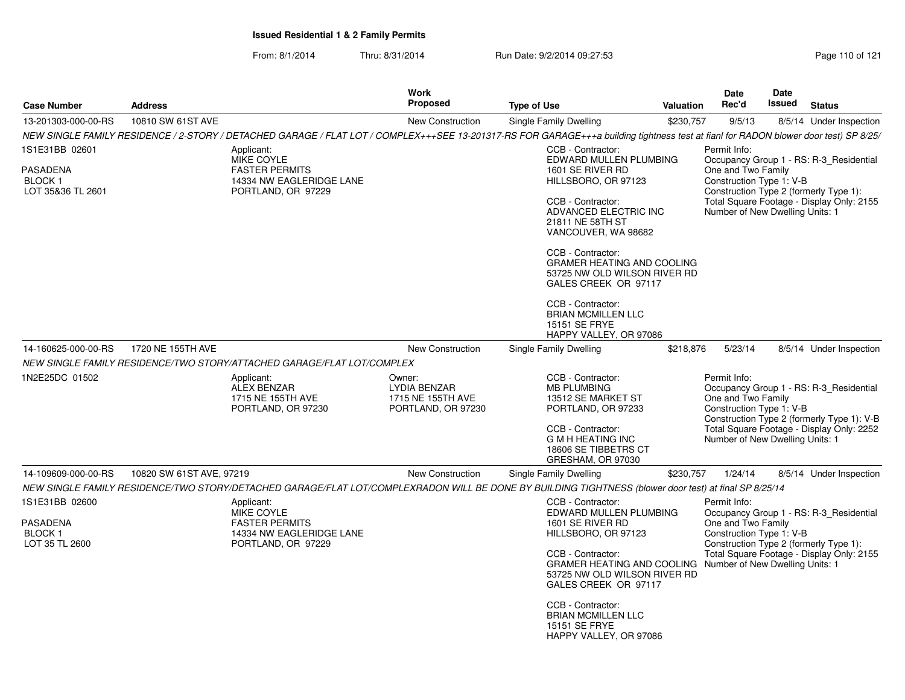| <b>Address</b>    |                                                                                                            | <b>Work</b><br>Proposed                                                  | <b>Type of Use</b>                                                                                                                                                                            | Date<br>Rec'd                                                                                                                                                                                                                                                                                                                                  | Date<br>Issued                                   | <b>Status</b>                                                                                                                                                                                                                                                                                                                                                                                                                                                                                                                                                                                                                                                                                                                                                                                                                                                                                                                                                                                                          |
|-------------------|------------------------------------------------------------------------------------------------------------|--------------------------------------------------------------------------|-----------------------------------------------------------------------------------------------------------------------------------------------------------------------------------------------|------------------------------------------------------------------------------------------------------------------------------------------------------------------------------------------------------------------------------------------------------------------------------------------------------------------------------------------------|--------------------------------------------------|------------------------------------------------------------------------------------------------------------------------------------------------------------------------------------------------------------------------------------------------------------------------------------------------------------------------------------------------------------------------------------------------------------------------------------------------------------------------------------------------------------------------------------------------------------------------------------------------------------------------------------------------------------------------------------------------------------------------------------------------------------------------------------------------------------------------------------------------------------------------------------------------------------------------------------------------------------------------------------------------------------------------|
| 10810 SW 61ST AVE |                                                                                                            | <b>New Construction</b>                                                  | Single Family Dwelling                                                                                                                                                                        | 9/5/13                                                                                                                                                                                                                                                                                                                                         |                                                  | 8/5/14 Under Inspection                                                                                                                                                                                                                                                                                                                                                                                                                                                                                                                                                                                                                                                                                                                                                                                                                                                                                                                                                                                                |
|                   |                                                                                                            |                                                                          |                                                                                                                                                                                               |                                                                                                                                                                                                                                                                                                                                                |                                                  |                                                                                                                                                                                                                                                                                                                                                                                                                                                                                                                                                                                                                                                                                                                                                                                                                                                                                                                                                                                                                        |
|                   | Applicant:<br>MIKE COYLE<br><b>FASTER PERMITS</b><br>14334 NW EAGLERIDGE LANE<br>PORTLAND, OR 97229        |                                                                          | CCB - Contractor:<br>1601 SE RIVER RD<br>HILLSBORO, OR 97123<br>CCB - Contractor:<br>21811 NE 58TH ST<br>CCB - Contractor:<br>CCB - Contractor:<br><b>BRIAN MCMILLEN LLC</b><br>15151 SE FRYE | Permit Info:                                                                                                                                                                                                                                                                                                                                   |                                                  |                                                                                                                                                                                                                                                                                                                                                                                                                                                                                                                                                                                                                                                                                                                                                                                                                                                                                                                                                                                                                        |
| 1720 NE 155TH AVE |                                                                                                            | <b>New Construction</b>                                                  | Single Family Dwelling                                                                                                                                                                        | 5/23/14                                                                                                                                                                                                                                                                                                                                        |                                                  | 8/5/14 Under Inspection                                                                                                                                                                                                                                                                                                                                                                                                                                                                                                                                                                                                                                                                                                                                                                                                                                                                                                                                                                                                |
|                   |                                                                                                            |                                                                          |                                                                                                                                                                                               |                                                                                                                                                                                                                                                                                                                                                |                                                  |                                                                                                                                                                                                                                                                                                                                                                                                                                                                                                                                                                                                                                                                                                                                                                                                                                                                                                                                                                                                                        |
|                   | Applicant:<br><b>ALEX BENZAR</b><br>1715 NE 155TH AVE<br>PORTLAND, OR 97230                                | Owner:<br><b>LYDIA BENZAR</b><br>1715 NE 155TH AVE<br>PORTLAND, OR 97230 | CCB - Contractor:<br><b>MB PLUMBING</b><br>13512 SE MARKET ST<br>PORTLAND, OR 97233<br>CCB - Contractor:<br><b>G M H HEATING INC</b><br>18606 SE TIBBETRS CT<br>GRESHAM, OR 97030             | Permit Info:                                                                                                                                                                                                                                                                                                                                   |                                                  |                                                                                                                                                                                                                                                                                                                                                                                                                                                                                                                                                                                                                                                                                                                                                                                                                                                                                                                                                                                                                        |
|                   |                                                                                                            | <b>New Construction</b>                                                  | Single Family Dwelling                                                                                                                                                                        | 1/24/14                                                                                                                                                                                                                                                                                                                                        |                                                  | 8/5/14 Under Inspection                                                                                                                                                                                                                                                                                                                                                                                                                                                                                                                                                                                                                                                                                                                                                                                                                                                                                                                                                                                                |
|                   |                                                                                                            |                                                                          |                                                                                                                                                                                               |                                                                                                                                                                                                                                                                                                                                                |                                                  |                                                                                                                                                                                                                                                                                                                                                                                                                                                                                                                                                                                                                                                                                                                                                                                                                                                                                                                                                                                                                        |
|                   | Applicant:<br><b>MIKE COYLE</b><br><b>FASTER PERMITS</b><br>14334 NW EAGLERIDGE LANE<br>PORTLAND, OR 97229 |                                                                          | CCB - Contractor:<br>1601 SE RIVER RD<br>HILLSBORO, OR 97123<br>CCB - Contractor:<br>CCB - Contractor:<br><b>BRIAN MCMILLEN LLC</b><br>15151 SE FRYE                                          | Permit Info:                                                                                                                                                                                                                                                                                                                                   |                                                  |                                                                                                                                                                                                                                                                                                                                                                                                                                                                                                                                                                                                                                                                                                                                                                                                                                                                                                                                                                                                                        |
|                   |                                                                                                            | 10820 SW 61ST AVE, 97219                                                 | NEW SINGLE FAMILY RESIDENCE/TWO STORY/ATTACHED GARAGE/FLAT LOT/COMPLEX                                                                                                                        | EDWARD MULLEN PLUMBING<br>ADVANCED ELECTRIC INC<br>VANCOUVER, WA 98682<br><b>GRAMER HEATING AND COOLING</b><br>53725 NW OLD WILSON RIVER RD<br>GALES CREEK OR 97117<br>HAPPY VALLEY, OR 97086<br>EDWARD MULLEN PLUMBING<br><b>GRAMER HEATING AND COOLING</b><br>53725 NW OLD WILSON RIVER RD<br>GALES CREEK OR 97117<br>HAPPY VALLEY, OR 97086 | Valuation<br>\$230,757<br>\$218,876<br>\$230,757 | NEW SINGLE FAMILY RESIDENCE / 2-STORY / DETACHED GARAGE / FLAT LOT / COMPLEX+++SEE 13-201317-RS FOR GARAGE+++a building tightness test at fianl for RADON blower door test) SP 8/25/<br>Occupancy Group 1 - RS: R-3 Residential<br>One and Two Family<br>Construction Type 1: V-B<br>Construction Type 2 (formerly Type 1):<br>Total Square Footage - Display Only: 2155<br>Number of New Dwelling Units: 1<br>Occupancy Group 1 - RS: R-3_Residential<br>One and Two Family<br>Construction Type 1: V-B<br>Construction Type 2 (formerly Type 1): V-B<br>Total Square Footage - Display Only: 2252<br>Number of New Dwelling Units: 1<br>NEW SINGLE FAMILY RESIDENCE/TWO STORY/DETACHED GARAGE/FLAT LOT/COMPLEXRADON WILL BE DONE BY BUILDING TIGHTNESS (blower door test) at final SP 8/25/14<br>Occupancy Group 1 - RS: R-3_Residential<br>One and Two Family<br>Construction Type 1: V-B<br>Construction Type 2 (formerly Type 1):<br>Total Square Footage - Display Only: 2155<br>Number of New Dwelling Units: 1 |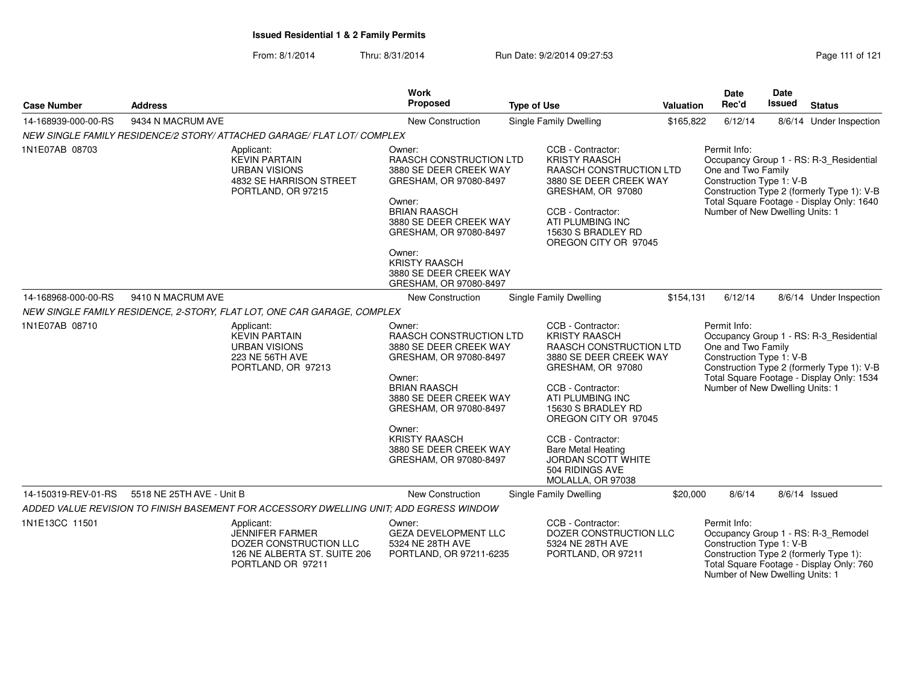From: 8/1/2014Thru: 8/31/2014 Run Date: 9/2/2014 09:27:53 Research 21 Page 111 of 121

| <b>Case Number</b>  | <b>Address</b>            |                                                                                                                     | <b>Work</b><br>Proposed                                                                                                                                                                                                                                          | <b>Type of Use</b> |                                                                                                                                                                                                                                                                                                                            | Valuation | <b>Date</b><br>Rec'd                                                                              | Date<br>Issued | <b>Status</b>                                                                                                                      |
|---------------------|---------------------------|---------------------------------------------------------------------------------------------------------------------|------------------------------------------------------------------------------------------------------------------------------------------------------------------------------------------------------------------------------------------------------------------|--------------------|----------------------------------------------------------------------------------------------------------------------------------------------------------------------------------------------------------------------------------------------------------------------------------------------------------------------------|-----------|---------------------------------------------------------------------------------------------------|----------------|------------------------------------------------------------------------------------------------------------------------------------|
| 14-168939-000-00-RS | 9434 N MACRUM AVE         |                                                                                                                     | New Construction                                                                                                                                                                                                                                                 |                    | Single Family Dwelling                                                                                                                                                                                                                                                                                                     | \$165,822 | 6/12/14                                                                                           |                | 8/6/14 Under Inspection                                                                                                            |
|                     |                           | NEW SINGLE FAMILY RESIDENCE/2 STORY/ ATTACHED GARAGE/ FLAT LOT/ COMPLEX                                             |                                                                                                                                                                                                                                                                  |                    |                                                                                                                                                                                                                                                                                                                            |           |                                                                                                   |                |                                                                                                                                    |
| 1N1E07AB 08703      |                           | Applicant:<br><b>KEVIN PARTAIN</b><br><b>URBAN VISIONS</b><br>4832 SE HARRISON STREET<br>PORTLAND, OR 97215         | Owner:<br>RAASCH CONSTRUCTION LTD<br>3880 SE DEER CREEK WAY<br>GRESHAM, OR 97080-8497<br>Owner:<br><b>BRIAN RAASCH</b><br>3880 SE DEER CREEK WAY<br>GRESHAM, OR 97080-8497<br>Owner:<br><b>KRISTY RAASCH</b><br>3880 SE DEER CREEK WAY<br>GRESHAM, OR 97080-8497 |                    | CCB - Contractor:<br><b>KRISTY RAASCH</b><br>RAASCH CONSTRUCTION LTD<br>3880 SE DEER CREEK WAY<br>GRESHAM, OR 97080<br>CCB - Contractor:<br>ATI PLUMBING INC<br>15630 S BRADLEY RD<br>OREGON CITY OR 97045                                                                                                                 |           | Permit Info:<br>One and Two Family<br>Construction Type 1: V-B<br>Number of New Dwelling Units: 1 |                | Occupancy Group 1 - RS: R-3_Residential<br>Construction Type 2 (formerly Type 1): V-B<br>Total Square Footage - Display Only: 1640 |
| 14-168968-000-00-RS | 9410 N MACRUM AVE         |                                                                                                                     | <b>New Construction</b>                                                                                                                                                                                                                                          |                    | Single Family Dwelling                                                                                                                                                                                                                                                                                                     | \$154,131 | 6/12/14                                                                                           |                | 8/6/14 Under Inspection                                                                                                            |
|                     |                           | NEW SINGLE FAMILY RESIDENCE, 2-STORY, FLAT LOT, ONE CAR GARAGE, COMPLEX                                             |                                                                                                                                                                                                                                                                  |                    |                                                                                                                                                                                                                                                                                                                            |           |                                                                                                   |                |                                                                                                                                    |
| 1N1E07AB 08710      |                           | Applicant:<br><b>KEVIN PARTAIN</b><br><b>URBAN VISIONS</b><br>223 NE 56TH AVE<br>PORTLAND, OR 97213                 | Owner:<br>RAASCH CONSTRUCTION LTD<br>3880 SE DEER CREEK WAY<br>GRESHAM, OR 97080-8497<br>Owner:<br><b>BRIAN RAASCH</b><br>3880 SE DEER CREEK WAY<br>GRESHAM, OR 97080-8497<br>Owner:<br><b>KRISTY RAASCH</b><br>3880 SE DEER CREEK WAY<br>GRESHAM, OR 97080-8497 |                    | CCB - Contractor:<br><b>KRISTY RAASCH</b><br>RAASCH CONSTRUCTION LTD<br>3880 SE DEER CREEK WAY<br>GRESHAM, OR 97080<br>CCB - Contractor:<br>ATI PLUMBING INC<br>15630 S BRADLEY RD<br>OREGON CITY OR 97045<br>CCB - Contractor:<br><b>Bare Metal Heating</b><br>JORDAN SCOTT WHITE<br>504 RIDINGS AVE<br>MOLALLA, OR 97038 |           | Permit Info:<br>One and Two Family<br>Construction Type 1: V-B<br>Number of New Dwelling Units: 1 |                | Occupancy Group 1 - RS: R-3_Residential<br>Construction Type 2 (formerly Type 1): V-B<br>Total Square Footage - Display Only: 1534 |
| 14-150319-REV-01-RS | 5518 NE 25TH AVE - Unit B |                                                                                                                     | <b>New Construction</b>                                                                                                                                                                                                                                          |                    | Single Family Dwelling                                                                                                                                                                                                                                                                                                     | \$20,000  | 8/6/14                                                                                            |                | $8/6/14$ Issued                                                                                                                    |
|                     |                           | ADDED VALUE REVISION TO FINISH BASEMENT FOR ACCESSORY DWELLING UNIT; ADD EGRESS WINDOW                              |                                                                                                                                                                                                                                                                  |                    |                                                                                                                                                                                                                                                                                                                            |           |                                                                                                   |                |                                                                                                                                    |
| 1N1E13CC 11501      |                           | Applicant:<br><b>JENNIFER FARMER</b><br>DOZER CONSTRUCTION LLC<br>126 NE ALBERTA ST. SUITE 206<br>PORTLAND OR 97211 | Owner:<br><b>GEZA DEVELOPMENT LLC</b><br>5324 NE 28TH AVE<br>PORTLAND, OR 97211-6235                                                                                                                                                                             |                    | CCB - Contractor:<br>DOZER CONSTRUCTION LLC<br>5324 NE 28TH AVE<br>PORTLAND, OR 97211                                                                                                                                                                                                                                      |           | Permit Info:<br>Construction Type 1: V-B<br>Number of New Dwelling Units: 1                       |                | Occupancy Group 1 - RS: R-3_Remodel<br>Construction Type 2 (formerly Type 1):<br>Total Square Footage - Display Only: 760          |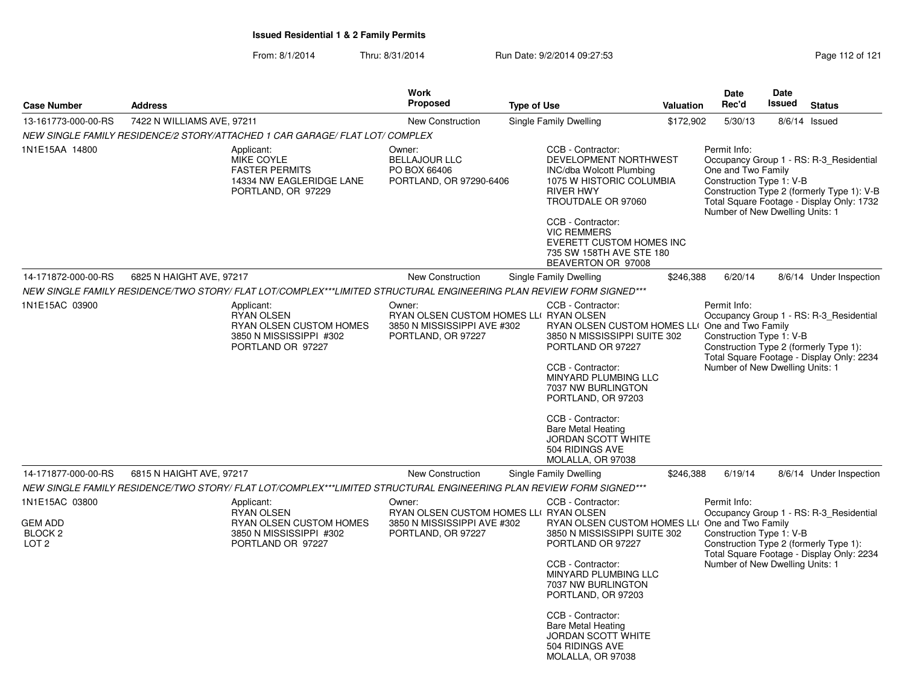From: 8/1/2014Thru: 8/31/2014 Run Date: 9/2/2014 09:27:53 Research 21 Page 112 of 121

| <b>Case Number</b>                                                         | <b>Address</b>                                                                                                      | <b>Work</b><br><b>Proposed</b>                                                                        | <b>Type of Use</b>                                                                                                                                                                                                                                                                                                                | Valuation | <b>Date</b><br>Rec'd                                                                              | <b>Date</b><br>Issued | <b>Status</b>                                                                                                                      |
|----------------------------------------------------------------------------|---------------------------------------------------------------------------------------------------------------------|-------------------------------------------------------------------------------------------------------|-----------------------------------------------------------------------------------------------------------------------------------------------------------------------------------------------------------------------------------------------------------------------------------------------------------------------------------|-----------|---------------------------------------------------------------------------------------------------|-----------------------|------------------------------------------------------------------------------------------------------------------------------------|
| 13-161773-000-00-RS                                                        | 7422 N WILLIAMS AVE, 97211                                                                                          | <b>New Construction</b>                                                                               | Single Family Dwelling                                                                                                                                                                                                                                                                                                            | \$172,902 | 5/30/13                                                                                           | 8/6/14                | Issued                                                                                                                             |
|                                                                            | NEW SINGLE FAMILY RESIDENCE/2 STORY/ATTACHED 1 CAR GARAGE/ FLAT LOT/ COMPLEX                                        |                                                                                                       |                                                                                                                                                                                                                                                                                                                                   |           |                                                                                                   |                       |                                                                                                                                    |
| 1N1E15AA 14800                                                             | Applicant:<br><b>MIKE COYLE</b><br><b>FASTER PERMITS</b><br>14334 NW EAGLERIDGE LANE<br>PORTLAND, OR 97229          | Owner:<br><b>BELLAJOUR LLC</b><br>PO BOX 66406<br>PORTLAND, OR 97290-6406                             | CCB - Contractor:<br>DEVELOPMENT NORTHWEST<br>INC/dba Wolcott Plumbing<br>1075 W HISTORIC COLUMBIA<br><b>RIVER HWY</b><br>TROUTDALE OR 97060<br>CCB - Contractor:<br><b>VIC REMMERS</b><br>EVERETT CUSTOM HOMES INC<br>735 SW 158TH AVE STE 180<br>BEAVERTON OR 97008                                                             |           | Permit Info:<br>One and Two Family<br>Construction Type 1: V-B<br>Number of New Dwelling Units: 1 |                       | Occupancy Group 1 - RS: R-3 Residential<br>Construction Type 2 (formerly Type 1): V-B<br>Total Square Footage - Display Only: 1732 |
| 14-171872-000-00-RS                                                        | 6825 N HAIGHT AVE, 97217                                                                                            | <b>New Construction</b>                                                                               | Single Family Dwelling                                                                                                                                                                                                                                                                                                            | \$246,388 | 6/20/14                                                                                           |                       | 8/6/14 Under Inspection                                                                                                            |
|                                                                            | NEW SINGLE FAMILY RESIDENCE/TWO STORY/ FLAT LOT/COMPLEX***LIMITED STRUCTURAL ENGINEERING PLAN REVIEW FORM SIGNED*** |                                                                                                       |                                                                                                                                                                                                                                                                                                                                   |           |                                                                                                   |                       |                                                                                                                                    |
| 1N1E15AC 03900                                                             | Applicant:<br><b>RYAN OLSEN</b><br>RYAN OLSEN CUSTOM HOMES<br>3850 N MISSISSIPPI #302<br>PORTLAND OR 97227          | Owner:<br>RYAN OLSEN CUSTOM HOMES LLI RYAN OLSEN<br>3850 N MISSISSIPPI AVE #302<br>PORTLAND, OR 97227 | CCB - Contractor:<br>RYAN OLSEN CUSTOM HOMES LLI<br>3850 N MISSISSIPPI SUITE 302<br>PORTLAND OR 97227<br>CCB - Contractor:<br>MINYARD PLUMBING LLC<br>7037 NW BURLINGTON<br>PORTLAND, OR 97203<br>CCB - Contractor:<br><b>Bare Metal Heating</b><br>JORDAN SCOTT WHITE<br>504 RIDINGS AVE<br>MOLALLA, OR 97038                    |           | Permit Info:<br>One and Two Family<br>Construction Type 1: V-B<br>Number of New Dwelling Units: 1 |                       | Occupancy Group 1 - RS: R-3 Residential<br>Construction Type 2 (formerly Type 1):<br>Total Square Footage - Display Only: 2234     |
| 14-171877-000-00-RS                                                        | 6815 N HAIGHT AVE, 97217                                                                                            | <b>New Construction</b>                                                                               | Single Family Dwelling                                                                                                                                                                                                                                                                                                            | \$246,388 | 6/19/14                                                                                           |                       | 8/6/14 Under Inspection                                                                                                            |
|                                                                            | NEW SINGLE FAMILY RESIDENCE/TWO STORY/ FLAT LOT/COMPLEX***LIMITED STRUCTURAL ENGINEERING PLAN REVIEW FORM SIGNED*** |                                                                                                       |                                                                                                                                                                                                                                                                                                                                   |           |                                                                                                   |                       |                                                                                                                                    |
| 1N1E15AC 03800<br><b>GEM ADD</b><br>BLOCK <sub>2</sub><br>LOT <sub>2</sub> | Applicant:<br><b>RYAN OLSEN</b><br>RYAN OLSEN CUSTOM HOMES<br>3850 N MISSISSIPPI #302<br>PORTLAND OR 97227          | Owner:<br>RYAN OLSEN CUSTOM HOMES LLI RYAN OLSEN<br>3850 N MISSISSIPPI AVE #302<br>PORTLAND, OR 97227 | CCB - Contractor:<br>RYAN OLSEN CUSTOM HOMES LLI One and Two Family<br>3850 N MISSISSIPPI SUITE 302<br>PORTLAND OR 97227<br>CCB - Contractor:<br>MINYARD PLUMBING LLC<br>7037 NW BURLINGTON<br>PORTLAND, OR 97203<br>CCB - Contractor:<br><b>Bare Metal Heating</b><br>JORDAN SCOTT WHITE<br>504 RIDINGS AVE<br>MOLALLA, OR 97038 |           | Permit Info:<br>Construction Type 1: V-B<br>Number of New Dwelling Units: 1                       |                       | Occupancy Group 1 - RS: R-3 Residential<br>Construction Type 2 (formerly Type 1):<br>Total Square Footage - Display Only: 2234     |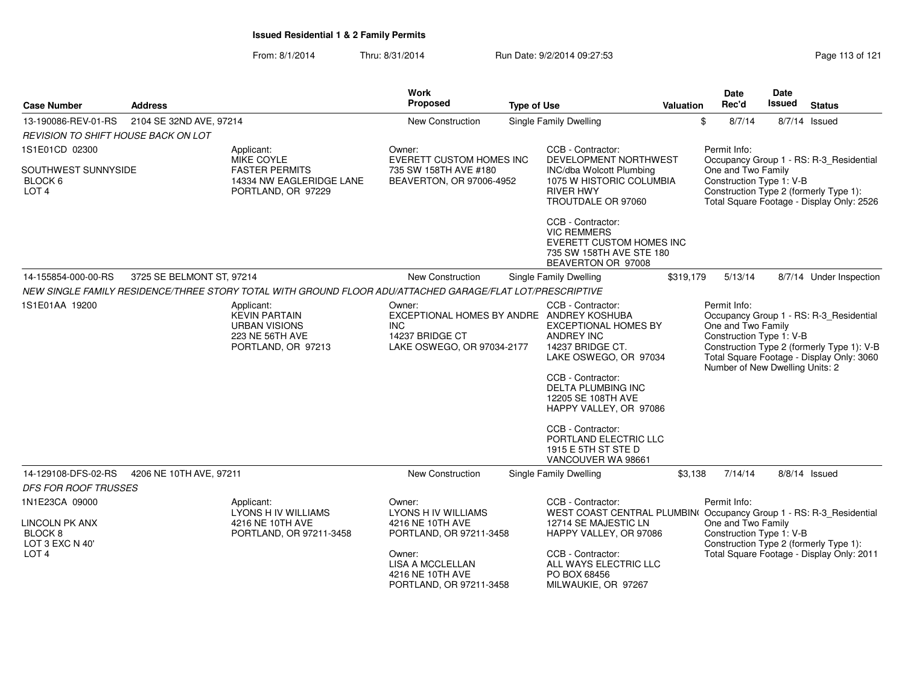| <b>Case Number</b>                                             | <b>Address</b>            |                                                                                                           | <b>Work</b><br>Proposed                                                                                            | <b>Type of Use</b> |                                                                                                                                                                                                                                                                                                          | Valuation | <b>Date</b><br>Rec'd               | Date<br>Issued                                              | <b>Status</b>                                                                                                                      |
|----------------------------------------------------------------|---------------------------|-----------------------------------------------------------------------------------------------------------|--------------------------------------------------------------------------------------------------------------------|--------------------|----------------------------------------------------------------------------------------------------------------------------------------------------------------------------------------------------------------------------------------------------------------------------------------------------------|-----------|------------------------------------|-------------------------------------------------------------|------------------------------------------------------------------------------------------------------------------------------------|
| 13-190086-REV-01-RS                                            | 2104 SE 32ND AVE, 97214   |                                                                                                           | New Construction                                                                                                   |                    | Single Family Dwelling                                                                                                                                                                                                                                                                                   |           | \$<br>8/7/14                       |                                                             | $8/7/14$ Issued                                                                                                                    |
| REVISION TO SHIFT HOUSE BACK ON LOT                            |                           |                                                                                                           |                                                                                                                    |                    |                                                                                                                                                                                                                                                                                                          |           |                                    |                                                             |                                                                                                                                    |
| 1S1E01CD 02300                                                 |                           | Applicant:                                                                                                | Owner:                                                                                                             |                    | CCB - Contractor:                                                                                                                                                                                                                                                                                        |           | Permit Info:                       |                                                             |                                                                                                                                    |
| SOUTHWEST SUNNYSIDE<br>BLOCK 6<br>LOT <sub>4</sub>             |                           | MIKE COYLE<br><b>FASTER PERMITS</b><br>14334 NW EAGLERIDGE LANE<br>PORTLAND, OR 97229                     | <b>EVERETT CUSTOM HOMES INC</b><br>735 SW 158TH AVE #180<br>BEAVERTON, OR 97006-4952                               |                    | DEVELOPMENT NORTHWEST<br><b>INC/dba Wolcott Plumbing</b><br>1075 W HISTORIC COLUMBIA<br><b>RIVER HWY</b><br>TROUTDALE OR 97060                                                                                                                                                                           |           | One and Two Family                 | Construction Type 1: V-B                                    | Occupancy Group 1 - RS: R-3_Residential<br>Construction Type 2 (formerly Type 1):<br>Total Square Footage - Display Only: 2526     |
|                                                                |                           |                                                                                                           |                                                                                                                    |                    | CCB - Contractor:<br><b>VIC REMMERS</b><br>EVERETT CUSTOM HOMES INC<br>735 SW 158TH AVE STE 180<br>BEAVERTON OR 97008                                                                                                                                                                                    |           |                                    |                                                             |                                                                                                                                    |
| 14-155854-000-00-RS                                            | 3725 SE BELMONT ST, 97214 |                                                                                                           | New Construction                                                                                                   |                    | Single Family Dwelling                                                                                                                                                                                                                                                                                   | \$319,179 | 5/13/14                            |                                                             | 8/7/14 Under Inspection                                                                                                            |
|                                                                |                           | NEW SINGLE FAMILY RESIDENCE/THREE STORY TOTAL WITH GROUND FLOOR ADU/ATTACHED GARAGE/FLAT LOT/PRESCRIPTIVE |                                                                                                                    |                    |                                                                                                                                                                                                                                                                                                          |           |                                    |                                                             |                                                                                                                                    |
| 1S1E01AA 19200                                                 |                           | Applicant:<br><b>KEVIN PARTAIN</b><br><b>URBAN VISIONS</b><br>223 NE 56TH AVE<br>PORTLAND, OR 97213       | Owner:<br>EXCEPTIONAL HOMES BY ANDRE ANDREY KOSHUBA<br><b>INC</b><br>14237 BRIDGE CT<br>LAKE OSWEGO, OR 97034-2177 |                    | CCB - Contractor:<br><b>EXCEPTIONAL HOMES BY</b><br><b>ANDREY INC</b><br>14237 BRIDGE CT.<br>LAKE OSWEGO, OR 97034<br>CCB - Contractor:<br>DELTA PLUMBING INC<br>12205 SE 108TH AVE<br>HAPPY VALLEY, OR 97086<br>CCB - Contractor:<br>PORTLAND ELECTRIC LLC<br>1915 E 5TH ST STE D<br>VANCOUVER WA 98661 |           | Permit Info:<br>One and Two Family | Construction Type 1: V-B<br>Number of New Dwelling Units: 2 | Occupancy Group 1 - RS: R-3_Residential<br>Construction Type 2 (formerly Type 1): V-B<br>Total Square Footage - Display Only: 3060 |
| 14-129108-DFS-02-RS                                            | 4206 NE 10TH AVE, 97211   |                                                                                                           | New Construction                                                                                                   |                    | Single Family Dwelling                                                                                                                                                                                                                                                                                   | \$3,138   | 7/14/14                            |                                                             | $8/8/14$ Issued                                                                                                                    |
| <b>DFS FOR ROOF TRUSSES</b>                                    |                           |                                                                                                           |                                                                                                                    |                    |                                                                                                                                                                                                                                                                                                          |           |                                    |                                                             |                                                                                                                                    |
| 1N1E23CA 09000                                                 |                           | Applicant:                                                                                                | Owner:                                                                                                             |                    | CCB - Contractor:                                                                                                                                                                                                                                                                                        |           | Permit Info:                       |                                                             |                                                                                                                                    |
| <b>LINCOLN PK ANX</b><br>BLOCK <sub>8</sub><br>LOT 3 EXC N 40' |                           | LYONS H IV WILLIAMS<br>4216 NE 10TH AVE<br>PORTLAND, OR 97211-3458                                        | <b>LYONS H IV WILLIAMS</b><br>4216 NE 10TH AVE<br>PORTLAND, OR 97211-3458                                          |                    | WEST COAST CENTRAL PLUMBIN( Occupancy Group 1 - RS: R-3_Residential<br>12714 SE MAJESTIC LN<br>HAPPY VALLEY, OR 97086                                                                                                                                                                                    |           | One and Two Family                 | Construction Type 1: V-B                                    | Construction Type 2 (formerly Type 1):                                                                                             |
| LOT <sub>4</sub>                                               |                           |                                                                                                           | Owner:<br>LISA A MCCLELLAN<br>4216 NE 10TH AVE<br>PORTLAND, OR 97211-3458                                          |                    | CCB - Contractor:<br>ALL WAYS ELECTRIC LLC<br>PO BOX 68456<br>MILWAUKIE, OR 97267                                                                                                                                                                                                                        |           |                                    |                                                             | Total Square Footage - Display Only: 2011                                                                                          |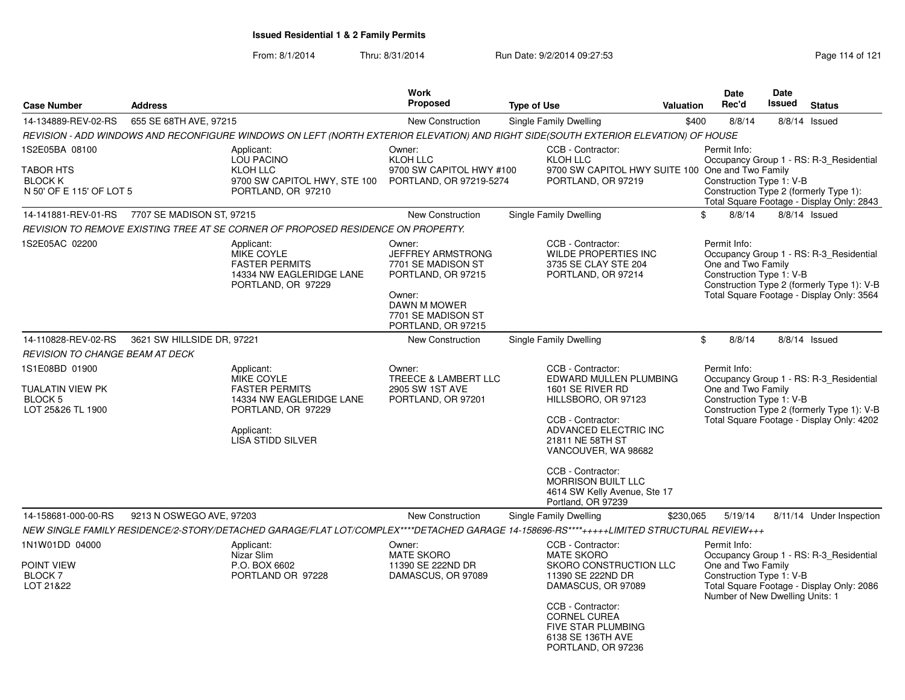| <b>Case Number</b>                                                               | <b>Address</b>             |                                                                                                                                                                                                                                                 | Work<br>Proposed                                                                                                                                     | <b>Type of Use</b> |                                                                                                                                                                                                                          | <b>Valuation</b>                                                                                                                                                                                     | Date<br>Rec'd                                                                                     | Date<br><b>Issued</b> | <b>Status</b>                                                                                                                      |
|----------------------------------------------------------------------------------|----------------------------|-------------------------------------------------------------------------------------------------------------------------------------------------------------------------------------------------------------------------------------------------|------------------------------------------------------------------------------------------------------------------------------------------------------|--------------------|--------------------------------------------------------------------------------------------------------------------------------------------------------------------------------------------------------------------------|------------------------------------------------------------------------------------------------------------------------------------------------------------------------------------------------------|---------------------------------------------------------------------------------------------------|-----------------------|------------------------------------------------------------------------------------------------------------------------------------|
|                                                                                  |                            |                                                                                                                                                                                                                                                 |                                                                                                                                                      |                    |                                                                                                                                                                                                                          |                                                                                                                                                                                                      |                                                                                                   |                       |                                                                                                                                    |
| 14-134889-REV-02-RS                                                              | 655 SE 68TH AVE, 97215     |                                                                                                                                                                                                                                                 | New Construction                                                                                                                                     |                    | Single Family Dwelling                                                                                                                                                                                                   | \$400                                                                                                                                                                                                | 8/8/14                                                                                            |                       | 8/8/14 Issued                                                                                                                      |
| 1S2E05BA 08100<br>TABOR HTS<br><b>BLOCK K</b><br>N 50' OF E 115' OF LOT 5        |                            | REVISION - ADD WINDOWS AND RECONFIGURE WINDOWS ON LEFT (NORTH EXTERIOR ELEVATION) AND RIGHT SIDE(SOUTH EXTERIOR ELEVATION) OF HOUSE<br>Applicant:<br><b>LOU PACINO</b><br><b>KLOH LLC</b><br>9700 SW CAPITOL HWY, STE 100<br>PORTLAND, OR 97210 | Owner:<br><b>KLOH LLC</b><br>9700 SW CAPITOL HWY #100<br>PORTLAND, OR 97219-5274                                                                     |                    | CCB - Contractor:<br>KLOH LLC<br>9700 SW CAPITOL HWY SUITE 100 One and Two Family<br>PORTLAND, OR 97219                                                                                                                  |                                                                                                                                                                                                      | Permit Info:<br>Construction Type 1: V-B                                                          |                       | Occupancy Group 1 - RS: R-3_Residential<br>Construction Type 2 (formerly Type 1):<br>Total Square Footage - Display Only: 2843     |
| 14-141881-REV-01-RS                                                              | 7707 SE MADISON ST, 97215  |                                                                                                                                                                                                                                                 | New Construction                                                                                                                                     |                    | Single Family Dwelling                                                                                                                                                                                                   | \$                                                                                                                                                                                                   | 8/8/14                                                                                            |                       | 8/8/14 Issued                                                                                                                      |
|                                                                                  |                            | REVISION TO REMOVE EXISTING TREE AT SE CORNER OF PROPOSED RESIDENCE ON PROPERTY.                                                                                                                                                                |                                                                                                                                                      |                    |                                                                                                                                                                                                                          |                                                                                                                                                                                                      |                                                                                                   |                       |                                                                                                                                    |
| 1S2E05AC 02200                                                                   |                            | Applicant:<br><b>MIKE COYLE</b><br><b>FASTER PERMITS</b><br>14334 NW EAGLERIDGE LANE<br>PORTLAND, OR 97229                                                                                                                                      | Owner:<br><b>JEFFREY ARMSTRONG</b><br>7701 SE MADISON ST<br>PORTLAND, OR 97215<br>Owner:<br>DAWN M MOWER<br>7701 SE MADISON ST<br>PORTLAND, OR 97215 |                    | CCB - Contractor:<br><b>WILDE PROPERTIES INC</b><br>3735 SE CLAY STE 204<br>PORTLAND, OR 97214                                                                                                                           |                                                                                                                                                                                                      | Permit Info:<br>One and Two Family<br>Construction Type 1: V-B                                    |                       | Occupancy Group 1 - RS: R-3 Residential<br>Construction Type 2 (formerly Type 1): V-B<br>Total Square Footage - Display Only: 3564 |
| 14-110828-REV-02-RS                                                              | 3621 SW HILLSIDE DR, 97221 |                                                                                                                                                                                                                                                 | New Construction                                                                                                                                     |                    | Single Family Dwelling                                                                                                                                                                                                   | \$                                                                                                                                                                                                   | 8/8/14                                                                                            |                       | 8/8/14 Issued                                                                                                                      |
| <b>REVISION TO CHANGE BEAM AT DECK</b>                                           |                            |                                                                                                                                                                                                                                                 |                                                                                                                                                      |                    |                                                                                                                                                                                                                          |                                                                                                                                                                                                      |                                                                                                   |                       |                                                                                                                                    |
| 1S1E08BD 01900<br><b>TUALATIN VIEW PK</b><br><b>BLOCK 5</b><br>LOT 25&26 TL 1900 |                            | Applicant:<br><b>MIKE COYLE</b><br><b>FASTER PERMITS</b><br>14334 NW EAGLERIDGE LANE<br>PORTLAND, OR 97229<br>Applicant:<br><b>LISA STIDD SILVER</b>                                                                                            | Owner:<br>TREECE & LAMBERT LLC<br>2905 SW 1ST AVE<br>PORTLAND, OR 97201                                                                              |                    | CCB - Contractor:<br>EDWARD MULLEN PLUMBING<br>1601 SE RIVER RD<br>HILLSBORO, OR 97123<br>CCB - Contractor:<br>ADVANCED ELECTRIC INC<br>21811 NE 58TH ST<br>VANCOUVER, WA 98682                                          | Permit Info:<br>Occupancy Group 1 - RS: R-3 Residential<br>One and Two Family<br>Construction Type 1: V-B<br>Construction Type 2 (formerly Type 1): V-B<br>Total Square Footage - Display Only: 4202 |                                                                                                   |                       |                                                                                                                                    |
|                                                                                  |                            |                                                                                                                                                                                                                                                 |                                                                                                                                                      |                    | CCB - Contractor:<br><b>MORRISON BUILT LLC</b><br>4614 SW Kelly Avenue, Ste 17<br>Portland, OR 97239                                                                                                                     |                                                                                                                                                                                                      |                                                                                                   |                       |                                                                                                                                    |
| 14-158681-000-00-RS                                                              | 9213 N OSWEGO AVE, 97203   |                                                                                                                                                                                                                                                 | New Construction                                                                                                                                     |                    | Single Family Dwelling                                                                                                                                                                                                   | \$230,065                                                                                                                                                                                            | 5/19/14                                                                                           |                       | 8/11/14 Under Inspection                                                                                                           |
|                                                                                  |                            | NEW SINGLE FAMILY RESIDENCE/2-STORY/DETACHED GARAGE/FLAT LOT/COMPLEX****DETACHED GARAGE 14-158696-RS****++++++LIMITED STRUCTURAL REVIEW+++                                                                                                      |                                                                                                                                                      |                    |                                                                                                                                                                                                                          |                                                                                                                                                                                                      |                                                                                                   |                       |                                                                                                                                    |
| 1N1W01DD 04000<br>POINT VIEW<br><b>BLOCK7</b><br>LOT 21&22                       |                            | Applicant:<br>Nizar Slim<br>P.O. BOX 6602<br>PORTLAND OR 97228                                                                                                                                                                                  | Owner:<br><b>MATE SKORO</b><br>11390 SE 222ND DR<br>DAMASCUS, OR 97089                                                                               |                    | CCB - Contractor:<br><b>MATE SKORO</b><br>SKORO CONSTRUCTION LLC<br>11390 SE 222ND DR<br>DAMASCUS, OR 97089<br>CCB - Contractor:<br><b>CORNEL CUREA</b><br>FIVE STAR PLUMBING<br>6138 SE 136TH AVE<br>PORTLAND, OR 97236 |                                                                                                                                                                                                      | Permit Info:<br>One and Two Family<br>Construction Type 1: V-B<br>Number of New Dwelling Units: 1 |                       | Occupancy Group 1 - RS: R-3 Residential<br>Total Square Footage - Display Only: 2086                                               |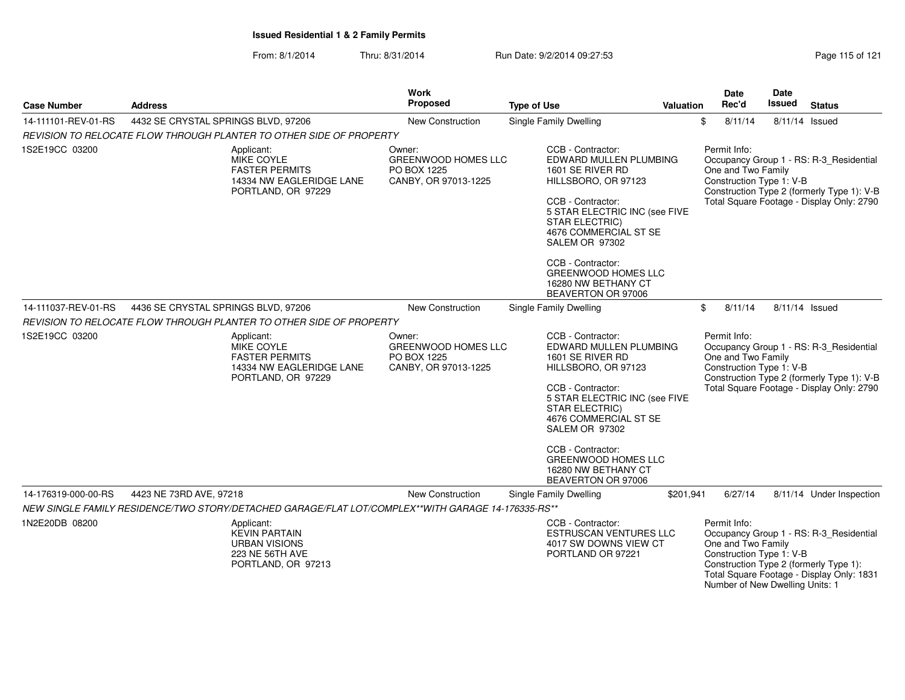| Page 115 of 121 |  |
|-----------------|--|
|-----------------|--|

| <b>Case Number</b>  | <b>Address</b>                                                                                             | Work<br><b>Proposed</b>                                                     | <b>Type of Use</b>                                                                                                                                                                                                                                                                                               | Valuation | Date<br>Rec'd                                                                                     | Date<br>Issued | <b>Status</b>                                                                                                                      |
|---------------------|------------------------------------------------------------------------------------------------------------|-----------------------------------------------------------------------------|------------------------------------------------------------------------------------------------------------------------------------------------------------------------------------------------------------------------------------------------------------------------------------------------------------------|-----------|---------------------------------------------------------------------------------------------------|----------------|------------------------------------------------------------------------------------------------------------------------------------|
| 14-111101-REV-01-RS | 4432 SE CRYSTAL SPRINGS BLVD, 97206                                                                        | New Construction                                                            | <b>Single Family Dwelling</b>                                                                                                                                                                                                                                                                                    |           | \$<br>8/11/14                                                                                     | 8/11/14 Issued |                                                                                                                                    |
|                     | REVISION TO RELOCATE FLOW THROUGH PLANTER TO OTHER SIDE OF PROPERTY                                        |                                                                             |                                                                                                                                                                                                                                                                                                                  |           |                                                                                                   |                |                                                                                                                                    |
| 1S2E19CC 03200      | Applicant:<br>MIKE COYLE<br><b>FASTER PERMITS</b><br>14334 NW EAGLERIDGE LANE<br>PORTLAND, OR 97229        | Owner:<br><b>GREENWOOD HOMES LLC</b><br>PO BOX 1225<br>CANBY, OR 97013-1225 | CCB - Contractor:<br>EDWARD MULLEN PLUMBING<br>1601 SE RIVER RD<br>HILLSBORO, OR 97123<br>CCB - Contractor:<br>5 STAR ELECTRIC INC (see FIVE<br><b>STAR ELECTRIC)</b><br>4676 COMMERCIAL ST SE<br>SALEM OR 97302<br>CCB - Contractor:<br><b>GREENWOOD HOMES LLC</b><br>16280 NW BETHANY CT<br>BEAVERTON OR 97006 |           | Permit Info:<br>One and Two Family<br>Construction Type 1: V-B                                    |                | Occupancy Group 1 - RS: R-3_Residential<br>Construction Type 2 (formerly Type 1): V-B<br>Total Square Footage - Display Only: 2790 |
| 14-111037-REV-01-RS | 4436 SE CRYSTAL SPRINGS BLVD, 97206                                                                        | <b>New Construction</b>                                                     | Single Family Dwelling                                                                                                                                                                                                                                                                                           |           | \$<br>8/11/14                                                                                     |                | 8/11/14 Issued                                                                                                                     |
|                     | REVISION TO RELOCATE FLOW THROUGH PLANTER TO OTHER SIDE OF PROPERTY                                        |                                                                             |                                                                                                                                                                                                                                                                                                                  |           |                                                                                                   |                |                                                                                                                                    |
| 1S2E19CC 03200      | Applicant:<br>MIKE COYLE<br><b>FASTER PERMITS</b><br>14334 NW EAGLERIDGE LANE<br>PORTLAND, OR 97229        | Owner:<br><b>GREENWOOD HOMES LLC</b><br>PO BOX 1225<br>CANBY, OR 97013-1225 | CCB - Contractor:<br>EDWARD MULLEN PLUMBING<br>1601 SE RIVER RD<br>HILLSBORO, OR 97123<br>CCB - Contractor:<br>5 STAR ELECTRIC INC (see FIVE<br>STAR ELECTRIC)<br>4676 COMMERCIAL ST SE<br>SALEM OR 97302<br>CCB - Contractor:<br><b>GREENWOOD HOMES LLC</b><br>16280 NW BETHANY CT<br>BEAVERTON OR 97006        |           | Permit Info:<br>One and Two Family<br>Construction Type 1: V-B                                    |                | Occupancy Group 1 - RS: R-3_Residential<br>Construction Type 2 (formerly Type 1): V-B<br>Total Square Footage - Display Only: 2790 |
| 14-176319-000-00-RS | 4423 NE 73RD AVE, 97218                                                                                    | <b>New Construction</b>                                                     | Single Family Dwelling                                                                                                                                                                                                                                                                                           | \$201,941 | 6/27/14                                                                                           |                | 8/11/14 Under Inspection                                                                                                           |
|                     | NEW SINGLE FAMILY RESIDENCE/TWO STORY/DETACHED GARAGE/FLAT LOT/COMPLEX**WITH GARAGE 14-176335-RS**         |                                                                             |                                                                                                                                                                                                                                                                                                                  |           |                                                                                                   |                |                                                                                                                                    |
| 1N2E20DB 08200      | Applicant:<br><b>KEVIN PARTAIN</b><br><b>URBAN VISIONS</b><br><b>223 NE 56TH AVE</b><br>PORTLAND, OR 97213 |                                                                             | CCB - Contractor:<br><b>ESTRUSCAN VENTURES LLC</b><br>4017 SW DOWNS VIEW CT<br>PORTLAND OR 97221                                                                                                                                                                                                                 |           | Permit Info:<br>One and Two Family<br>Construction Type 1: V-B<br>Number of New Dwelling Units: 1 |                | Occupancy Group 1 - RS: R-3 Residential<br>Construction Type 2 (formerly Type 1):<br>Total Square Footage - Display Only: 1831     |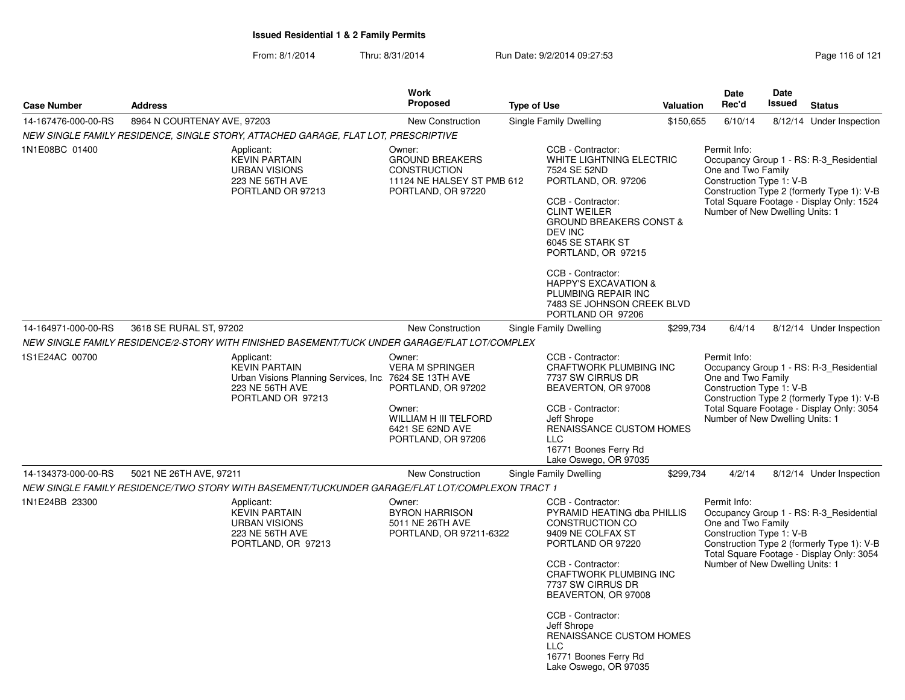|                     |                                                                                                     | <b>Work</b>                                                                                                                |                                                                                                                                                                                                                                    |           | <b>Date</b>                                                                                       | Date   |                                                                                                                                    |
|---------------------|-----------------------------------------------------------------------------------------------------|----------------------------------------------------------------------------------------------------------------------------|------------------------------------------------------------------------------------------------------------------------------------------------------------------------------------------------------------------------------------|-----------|---------------------------------------------------------------------------------------------------|--------|------------------------------------------------------------------------------------------------------------------------------------|
| <b>Case Number</b>  | <b>Address</b>                                                                                      | <b>Proposed</b>                                                                                                            | <b>Type of Use</b>                                                                                                                                                                                                                 | Valuation | Rec'd                                                                                             | Issued | <b>Status</b>                                                                                                                      |
| 14-167476-000-00-RS | 8964 N COURTENAY AVE, 97203                                                                         | New Construction                                                                                                           | Single Family Dwelling                                                                                                                                                                                                             | \$150,655 | 6/10/14                                                                                           |        | 8/12/14 Under Inspection                                                                                                           |
|                     | NEW SINGLE FAMILY RESIDENCE, SINGLE STORY, ATTACHED GARAGE, FLAT LOT, PRESCRIPTIVE                  |                                                                                                                            |                                                                                                                                                                                                                                    |           |                                                                                                   |        |                                                                                                                                    |
| 1N1E08BC 01400      | Applicant:<br><b>KEVIN PARTAIN</b><br><b>URBAN VISIONS</b><br>223 NE 56TH AVE<br>PORTLAND OR 97213  | Owner:<br><b>GROUND BREAKERS</b><br><b>CONSTRUCTION</b><br>11124 NE HALSEY ST PMB 612<br>PORTLAND, OR 97220                | CCB - Contractor:<br>WHITE LIGHTNING ELECTRIC<br>7524 SE 52ND<br>PORTLAND, OR. 97206<br>CCB - Contractor:<br><b>CLINT WEILER</b><br><b>GROUND BREAKERS CONST &amp;</b><br><b>DEV INC</b><br>6045 SE STARK ST<br>PORTLAND, OR 97215 |           | Permit Info:<br>One and Two Family<br>Construction Type 1: V-B<br>Number of New Dwelling Units: 1 |        | Occupancy Group 1 - RS: R-3_Residential<br>Construction Type 2 (formerly Type 1): V-B<br>Total Square Footage - Display Only: 1524 |
|                     |                                                                                                     |                                                                                                                            | CCB - Contractor:<br><b>HAPPY'S EXCAVATION &amp;</b><br>PLUMBING REPAIR INC<br>7483 SE JOHNSON CREEK BLVD<br>PORTLAND OR 97206                                                                                                     |           |                                                                                                   |        |                                                                                                                                    |
| 14-164971-000-00-RS | 3618 SE RURAL ST, 97202                                                                             | New Construction                                                                                                           | Single Family Dwelling                                                                                                                                                                                                             | \$299,734 | 6/4/14                                                                                            |        | 8/12/14 Under Inspection                                                                                                           |
|                     | NEW SINGLE FAMILY RESIDENCE/2-STORY WITH FINISHED BASEMENT/TUCK UNDER GARAGE/FLAT LOT/COMPLEX       |                                                                                                                            |                                                                                                                                                                                                                                    |           |                                                                                                   |        |                                                                                                                                    |
| 1S1E24AC 00700      | Applicant:<br><b>KEVIN PARTAIN</b><br>223 NE 56TH AVE<br>PORTLAND OR 97213                          | Owner:<br><b>VERA M SPRINGER</b><br>Urban Visions Planning Services, Inc. 7624 SE 13TH AVE<br>PORTLAND, OR 97202<br>Owner: | CCB - Contractor:<br>CRAFTWORK PLUMBING INC<br>7737 SW CIRRUS DR<br>BEAVERTON, OR 97008<br>CCB - Contractor:                                                                                                                       |           | Permit Info:<br>One and Two Family<br>Construction Type 1: V-B                                    |        | Occupancy Group 1 - RS: R-3_Residential<br>Construction Type 2 (formerly Type 1): V-B<br>Total Square Footage - Display Only: 3054 |
|                     |                                                                                                     | WILLIAM H III TELFORD<br>6421 SE 62ND AVE<br>PORTLAND, OR 97206                                                            | Jeff Shrope<br><b>RENAISSANCE CUSTOM HOMES</b><br><b>LLC</b><br>16771 Boones Ferry Rd<br>Lake Oswego, OR 97035                                                                                                                     |           | Number of New Dwelling Units: 1                                                                   |        |                                                                                                                                    |
| 14-134373-000-00-RS | 5021 NE 26TH AVE, 97211                                                                             | New Construction                                                                                                           | Single Family Dwelling                                                                                                                                                                                                             | \$299,734 | 4/2/14                                                                                            |        | 8/12/14 Under Inspection                                                                                                           |
|                     | NEW SINGLE FAMILY RESIDENCE/TWO STORY WITH BASEMENT/TUCKUNDER GARAGE/FLAT LOT/COMPLEXON TRACT 1     |                                                                                                                            |                                                                                                                                                                                                                                    |           |                                                                                                   |        |                                                                                                                                    |
| 1N1E24BB 23300      | Applicant:<br><b>KEVIN PARTAIN</b><br><b>URBAN VISIONS</b><br>223 NE 56TH AVE<br>PORTLAND, OR 97213 | Owner:<br><b>BYRON HARRISON</b><br>5011 NE 26TH AVE<br>PORTLAND, OR 97211-6322                                             | CCB - Contractor:<br>PYRAMID HEATING dba PHILLIS<br>CONSTRUCTION CO<br>9409 NE COLFAX ST<br>PORTLAND OR 97220<br>CCB - Contractor:<br>CRAFTWORK PLUMBING INC<br>7737 SW CIRRUS DR<br>BEAVERTON, OR 97008                           |           | Permit Info:<br>One and Two Family<br>Construction Type 1: V-B<br>Number of New Dwelling Units: 1 |        | Occupancy Group 1 - RS: R-3_Residential<br>Construction Type 2 (formerly Type 1): V-B<br>Total Square Footage - Display Only: 3054 |
|                     |                                                                                                     |                                                                                                                            | CCB - Contractor:<br>Jeff Shrope<br><b>RENAISSANCE CUSTOM HOMES</b><br><b>LLC</b><br>16771 Boones Ferry Rd<br>Lake Oswego, OR 97035                                                                                                |           |                                                                                                   |        |                                                                                                                                    |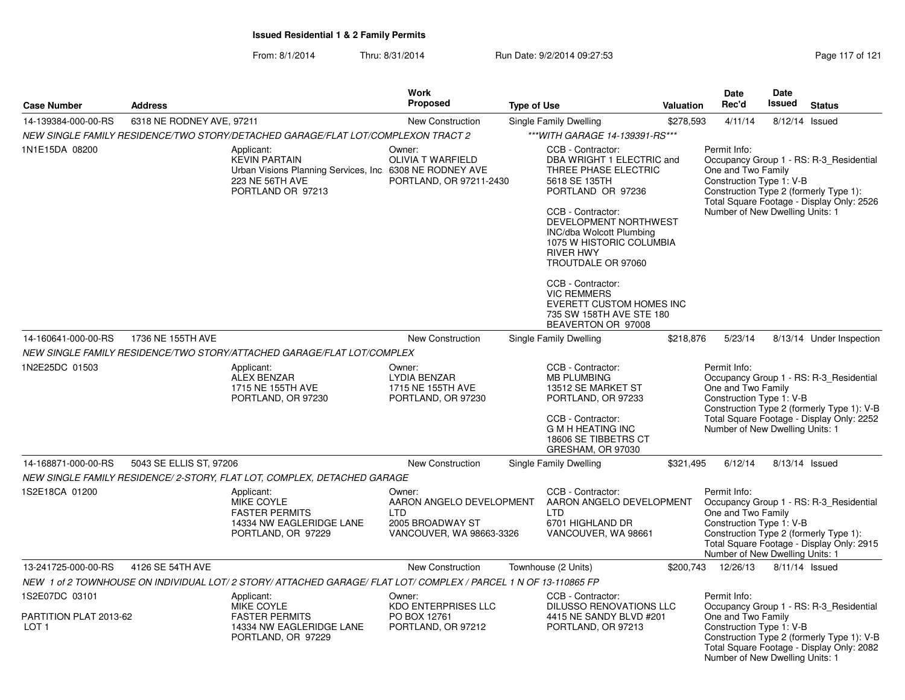From: 8/1/2014

Thru: 8/31/2014 Run Date: 9/2/2014 09:27:53 Research 21 Page 117 of 121

| <b>Case Number</b>                                           | <b>Address</b>            |                                                                                                                                        | Work<br>Proposed                                                                                 | <b>Type of Use</b>                                                                                                                                                                                                                                                                                                                                                                    | Valuation                          | Date<br>Rec'd                                                                                                                               | <b>Date</b><br>Issued                                       | <b>Status</b>                                                                                                                      |
|--------------------------------------------------------------|---------------------------|----------------------------------------------------------------------------------------------------------------------------------------|--------------------------------------------------------------------------------------------------|---------------------------------------------------------------------------------------------------------------------------------------------------------------------------------------------------------------------------------------------------------------------------------------------------------------------------------------------------------------------------------------|------------------------------------|---------------------------------------------------------------------------------------------------------------------------------------------|-------------------------------------------------------------|------------------------------------------------------------------------------------------------------------------------------------|
| 14-139384-000-00-RS                                          | 6318 NE RODNEY AVE, 97211 |                                                                                                                                        | New Construction                                                                                 | Single Family Dwelling                                                                                                                                                                                                                                                                                                                                                                | \$278,593                          | 4/11/14                                                                                                                                     | 8/12/14 Issued                                              |                                                                                                                                    |
|                                                              |                           | NEW SINGLE FAMILY RESIDENCE/TWO STORY/DETACHED GARAGE/FLAT LOT/COMPLEXON TRACT 2                                                       |                                                                                                  | *** WITH GARAGE 14-139391-RS***                                                                                                                                                                                                                                                                                                                                                       |                                    |                                                                                                                                             |                                                             |                                                                                                                                    |
| 1N1E15DA 08200                                               |                           | Applicant:<br><b>KEVIN PARTAIN</b><br>Urban Visions Planning Services, Inc. 6308 NE RODNEY AVE<br>223 NE 56TH AVE<br>PORTLAND OR 97213 | Owner:<br><b>OLIVIA T WARFIELD</b><br>PORTLAND, OR 97211-2430                                    | CCB - Contractor:<br>DBA WRIGHT 1 ELECTRIC and<br>THREE PHASE ELECTRIC<br>5618 SE 135TH<br>PORTLAND OR 97236<br>CCB - Contractor:<br>DEVELOPMENT NORTHWEST<br>INC/dba Wolcott Plumbing<br>1075 W HISTORIC COLUMBIA<br><b>RIVER HWY</b><br>TROUTDALE OR 97060<br>CCB - Contractor:<br><b>VIC REMMERS</b><br>EVERETT CUSTOM HOMES INC<br>735 SW 158TH AVE STE 180<br>BEAVERTON OR 97008 |                                    | Permit Info:<br>One and Two Family<br>Construction Type 1: V-B<br>Construction Type 2 (formerly Type 1):<br>Number of New Dwelling Units: 1 |                                                             | Occupancy Group 1 - RS: R-3_Residential<br>Total Square Footage - Display Only: 2526                                               |
| 14-160641-000-00-RS                                          | 1736 NE 155TH AVE         |                                                                                                                                        | <b>New Construction</b>                                                                          | Single Family Dwelling                                                                                                                                                                                                                                                                                                                                                                | \$218,876                          | 5/23/14                                                                                                                                     |                                                             | 8/13/14 Under Inspection                                                                                                           |
|                                                              |                           | NEW SINGLE FAMILY RESIDENCE/TWO STORY/ATTACHED GARAGE/FLAT LOT/COMPLEX                                                                 |                                                                                                  |                                                                                                                                                                                                                                                                                                                                                                                       |                                    |                                                                                                                                             |                                                             |                                                                                                                                    |
| 1N2E25DC 01503                                               |                           | Applicant:<br><b>ALEX BENZAR</b><br>1715 NE 155TH AVE<br>PORTLAND, OR 97230                                                            | Owner:<br><b>LYDIA BENZAR</b><br>1715 NE 155TH AVE<br>PORTLAND, OR 97230                         | CCB - Contractor:<br><b>MB PLUMBING</b><br>13512 SE MARKET ST<br>PORTLAND, OR 97233<br>CCB - Contractor:<br><b>G M H HEATING INC</b><br>18606 SE TIBBETRS CT<br>GRESHAM, OR 97030                                                                                                                                                                                                     | Permit Info:<br>One and Two Family |                                                                                                                                             | Construction Type 1: V-B<br>Number of New Dwelling Units: 1 | Occupancy Group 1 - RS: R-3_Residential<br>Construction Type 2 (formerly Type 1): V-B<br>Total Square Footage - Display Only: 2252 |
| 14-168871-000-00-RS                                          | 5043 SE ELLIS ST, 97206   |                                                                                                                                        | <b>New Construction</b>                                                                          | Single Family Dwelling                                                                                                                                                                                                                                                                                                                                                                | \$321,495                          | 6/12/14                                                                                                                                     | 8/13/14 Issued                                              |                                                                                                                                    |
|                                                              |                           | NEW SINGLE FAMILY RESIDENCE/ 2-STORY, FLAT LOT, COMPLEX, DETACHED GARAGE                                                               |                                                                                                  |                                                                                                                                                                                                                                                                                                                                                                                       |                                    |                                                                                                                                             |                                                             |                                                                                                                                    |
| 1S2E18CA 01200                                               |                           | Applicant:<br><b>MIKE COYLE</b><br><b>FASTER PERMITS</b><br>14334 NW EAGLERIDGE LANE<br>PORTLAND, OR 97229                             | Owner:<br>AARON ANGELO DEVELOPMENT<br><b>LTD</b><br>2005 BROADWAY ST<br>VANCOUVER, WA 98663-3326 | CCB - Contractor:<br>AARON ANGELO DEVELOPMENT<br><b>LTD</b><br>6701 HIGHLAND DR<br>VANCOUVER, WA 98661                                                                                                                                                                                                                                                                                |                                    | Permit Info:<br>One and Two Family<br>Construction Type 1: V-B<br>Construction Type 2 (formerly Type 1):<br>Number of New Dwelling Units: 1 |                                                             | Occupancy Group 1 - RS: R-3 Residential<br>Total Square Footage - Display Only: 2915                                               |
| 13-241725-000-00-RS                                          | 4126 SE 54TH AVE          |                                                                                                                                        | <b>New Construction</b>                                                                          | Townhouse (2 Units)                                                                                                                                                                                                                                                                                                                                                                   | \$200,743                          | 12/26/13                                                                                                                                    |                                                             | 8/11/14 Issued                                                                                                                     |
|                                                              |                           | NEW 1 of 2 TOWNHOUSE ON INDIVIDUAL LOT/2 STORY/ ATTACHED GARAGE/ FLAT LOT/ COMPLEX / PARCEL 1 N OF 13-110865 FP                        |                                                                                                  |                                                                                                                                                                                                                                                                                                                                                                                       |                                    |                                                                                                                                             |                                                             |                                                                                                                                    |
| 1S2E07DC 03101<br>PARTITION PLAT 2013-62<br>LOT <sub>1</sub> |                           | Applicant:<br>MIKE COYLE<br><b>FASTER PERMITS</b><br>14334 NW EAGLERIDGE LANE<br>PORTLAND, OR 97229                                    | Owner:<br><b>KDO ENTERPRISES LLC</b><br>PO BOX 12761<br>PORTLAND, OR 97212                       | CCB - Contractor:<br>DILUSSO RENOVATIONS LLC<br>4415 NE SANDY BLVD #201<br>PORTLAND, OR 97213                                                                                                                                                                                                                                                                                         |                                    | Permit Info:<br>One and Two Family<br>Construction Type 1: V-B<br>Number of New Dwelling Units: 1                                           |                                                             | Occupancy Group 1 - RS: R-3 Residential<br>Construction Type 2 (formerly Type 1): V-B<br>Total Square Footage - Display Only: 2082 |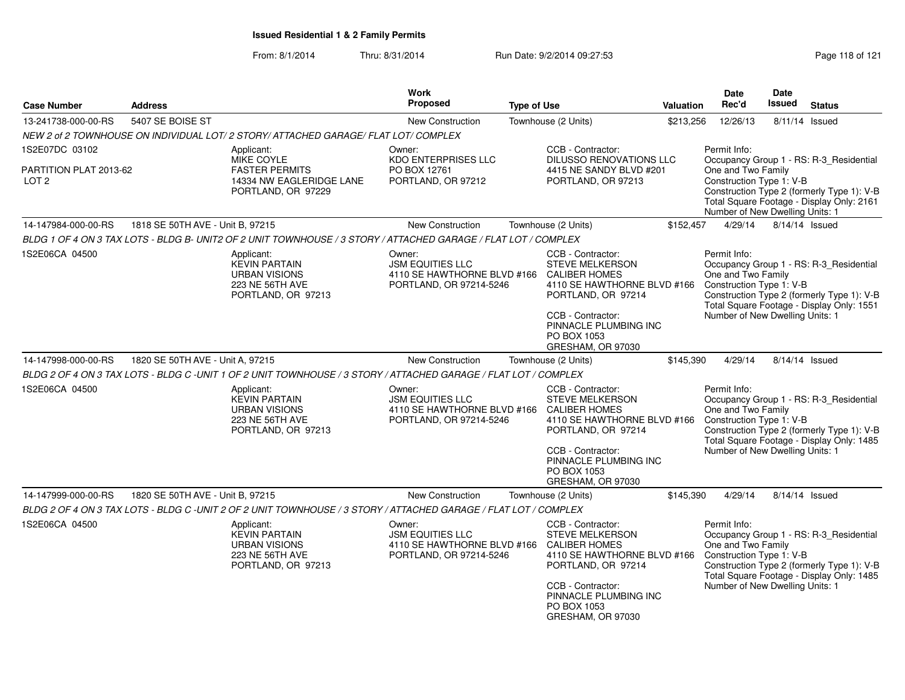| <b>Case Number</b>                         | <b>Address</b>                   |                                                                                                                 | Work<br><b>Proposed</b>                                                                     | <b>Type of Use</b> |                                                                                                                                                                                                            | <b>Valuation</b> | Date<br>Rec'd                                                                                     | <b>Date</b><br><b>Issued</b>                                                                                                       | <b>Status</b>                                                                                                                      |
|--------------------------------------------|----------------------------------|-----------------------------------------------------------------------------------------------------------------|---------------------------------------------------------------------------------------------|--------------------|------------------------------------------------------------------------------------------------------------------------------------------------------------------------------------------------------------|------------------|---------------------------------------------------------------------------------------------------|------------------------------------------------------------------------------------------------------------------------------------|------------------------------------------------------------------------------------------------------------------------------------|
| 13-241738-000-00-RS                        | 5407 SE BOISE ST                 |                                                                                                                 | <b>New Construction</b>                                                                     |                    | Townhouse (2 Units)                                                                                                                                                                                        | \$213,256        | 12/26/13                                                                                          | 8/11/14 Issued                                                                                                                     |                                                                                                                                    |
|                                            |                                  | NEW 2 of 2 TOWNHOUSE ON INDIVIDUAL LOT/ 2 STORY/ ATTACHED GARAGE/ FLAT LOT/ COMPLEX                             |                                                                                             |                    |                                                                                                                                                                                                            |                  |                                                                                                   |                                                                                                                                    |                                                                                                                                    |
| 1S2E07DC 03102                             |                                  | Applicant:<br><b>MIKE COYLE</b>                                                                                 | Owner:                                                                                      |                    | CCB - Contractor:<br><b>DILUSSO RENOVATIONS LLC</b>                                                                                                                                                        |                  | Permit Info:                                                                                      |                                                                                                                                    |                                                                                                                                    |
| PARTITION PLAT 2013-62<br>LOT <sub>2</sub> |                                  | <b>FASTER PERMITS</b><br>14334 NW EAGLERIDGE LANE<br>PORTLAND, OR 97229                                         | <b>KDO ENTERPRISES LLC</b><br>PO BOX 12761<br>PORTLAND, OR 97212                            |                    | 4415 NE SANDY BLVD #201<br>PORTLAND, OR 97213                                                                                                                                                              |                  | One and Two Family<br>Construction Type 1: V-B<br>Number of New Dwelling Units: 1                 | Occupancy Group 1 - RS: R-3_Residential<br>Construction Type 2 (formerly Type 1): V-B<br>Total Square Footage - Display Only: 2161 |                                                                                                                                    |
| 14-147984-000-00-RS                        | 1818 SE 50TH AVE - Unit B, 97215 |                                                                                                                 | <b>New Construction</b>                                                                     |                    | Townhouse (2 Units)                                                                                                                                                                                        | \$152,457        | 4/29/14                                                                                           | 8/14/14 Issued                                                                                                                     |                                                                                                                                    |
|                                            |                                  | BLDG 1 OF 4 ON 3 TAX LOTS - BLDG B- UNIT2 OF 2 UNIT TOWNHOUSE / 3 STORY / ATTACHED GARAGE / FLAT LOT / COMPLEX  |                                                                                             |                    |                                                                                                                                                                                                            |                  |                                                                                                   |                                                                                                                                    |                                                                                                                                    |
| 1S2E06CA 04500                             |                                  | Applicant:<br><b>KEVIN PARTAIN</b><br><b>URBAN VISIONS</b><br>223 NE 56TH AVE<br>PORTLAND, OR 97213             | Owner:<br><b>JSM EQUITIES LLC</b><br>4110 SE HAWTHORNE BLVD #166<br>PORTLAND, OR 97214-5246 |                    | CCB - Contractor:<br><b>STEVE MELKERSON</b><br><b>CALIBER HOMES</b><br>4110 SE HAWTHORNE BLVD #166<br>PORTLAND, OR 97214<br>CCB - Contractor:<br>PINNACLE PLUMBING INC<br>PO BOX 1053<br>GRESHAM, OR 97030 |                  | Permit Info:<br>One and Two Family<br>Construction Type 1: V-B<br>Number of New Dwelling Units: 1 |                                                                                                                                    | Occupancy Group 1 - RS: R-3_Residential<br>Construction Type 2 (formerly Type 1): V-B<br>Total Square Footage - Display Only: 1551 |
| 14-147998-000-00-RS                        | 1820 SE 50TH AVE - Unit A, 97215 |                                                                                                                 | New Construction                                                                            |                    | Townhouse (2 Units)                                                                                                                                                                                        | \$145,390        | 4/29/14                                                                                           | 8/14/14 Issued                                                                                                                     |                                                                                                                                    |
|                                            |                                  | BLDG 2 OF 4 ON 3 TAX LOTS - BLDG C -UNIT 1 OF 2 UNIT TOWNHOUSE / 3 STORY / ATTACHED GARAGE / FLAT LOT / COMPLEX |                                                                                             |                    |                                                                                                                                                                                                            |                  |                                                                                                   |                                                                                                                                    |                                                                                                                                    |
| 1S2E06CA 04500                             |                                  | Applicant:<br><b>KEVIN PARTAIN</b><br><b>URBAN VISIONS</b><br>223 NE 56TH AVE<br>PORTLAND, OR 97213             | Owner:<br><b>JSM EQUITIES LLC</b><br>4110 SE HAWTHORNE BLVD #166<br>PORTLAND, OR 97214-5246 |                    | CCB - Contractor:<br><b>STEVE MELKERSON</b><br><b>CALIBER HOMES</b><br>4110 SE HAWTHORNE BLVD #166<br>PORTLAND, OR 97214<br>CCB - Contractor:<br>PINNACLE PLUMBING INC<br>PO BOX 1053<br>GRESHAM, OR 97030 |                  | Permit Info:<br>One and Two Family<br>Construction Type 1: V-B<br>Number of New Dwelling Units: 1 |                                                                                                                                    | Occupancy Group 1 - RS: R-3 Residential<br>Construction Type 2 (formerly Type 1): V-B<br>Total Square Footage - Display Only: 1485 |
| 14-147999-000-00-RS                        | 1820 SE 50TH AVE - Unit B, 97215 |                                                                                                                 | New Construction                                                                            |                    | Townhouse (2 Units)                                                                                                                                                                                        | \$145,390        | 4/29/14                                                                                           | 8/14/14 Issued                                                                                                                     |                                                                                                                                    |
|                                            |                                  | BLDG 2 OF 4 ON 3 TAX LOTS - BLDG C -UNIT 2 OF 2 UNIT TOWNHOUSE / 3 STORY / ATTACHED GARAGE / FLAT LOT / COMPLEX |                                                                                             |                    |                                                                                                                                                                                                            |                  |                                                                                                   |                                                                                                                                    |                                                                                                                                    |
| 1S2E06CA 04500                             |                                  | Applicant:<br><b>KEVIN PARTAIN</b><br><b>URBAN VISIONS</b><br>223 NE 56TH AVE<br>PORTLAND, OR 97213             | Owner:<br><b>JSM EQUITIES LLC</b><br>4110 SE HAWTHORNE BLVD #166<br>PORTLAND, OR 97214-5246 |                    | CCB - Contractor:<br><b>STEVE MELKERSON</b><br><b>CALIBER HOMES</b><br>4110 SE HAWTHORNE BLVD #166<br>PORTLAND, OR 97214<br>CCB - Contractor:<br>PINNACLE PLUMBING INC<br>PO BOX 1053<br>GRESHAM, OR 97030 |                  | Permit Info:<br>One and Two Family<br>Construction Type 1: V-B<br>Number of New Dwelling Units: 1 |                                                                                                                                    | Occupancy Group 1 - RS: R-3 Residential<br>Construction Type 2 (formerly Type 1): V-B<br>Total Square Footage - Display Only: 1485 |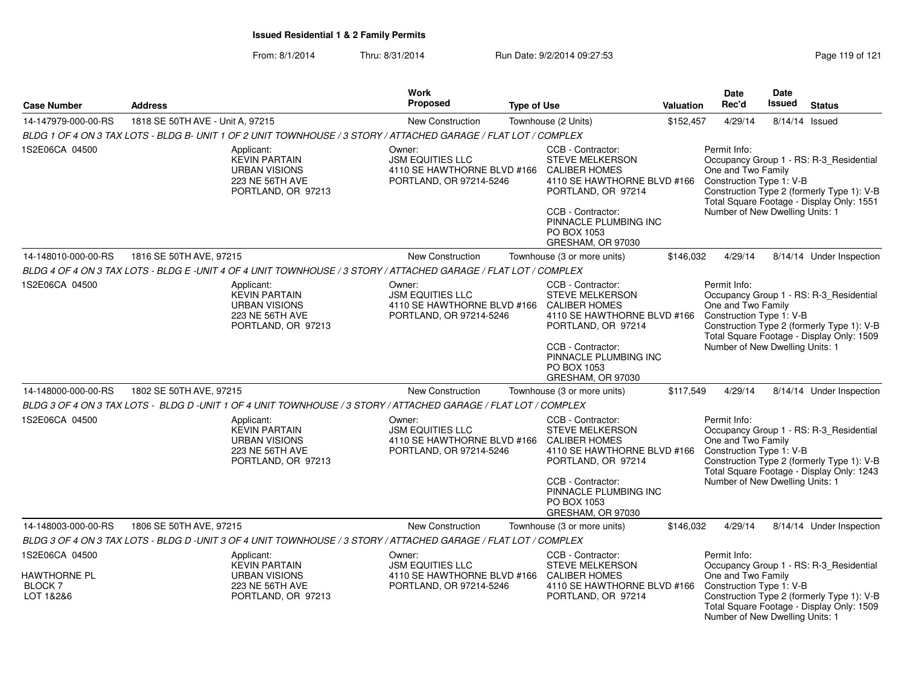| Page 119 of 121 |  |  |
|-----------------|--|--|
|                 |  |  |

| <b>Case Number</b>                                                   | <b>Address</b>                                                                                                  | Work<br><b>Proposed</b>                                                                                   | <b>Type of Use</b>                                                                          |                                                                                                                                                                                                     | <b>Valuation</b>                                                                                                                                                                                    | Date<br>Rec'd                                                                                                                                                                                                                           | Date<br><b>Issued</b>                                                                                                                                                                                                                   | <b>Status</b>                                                                                                                      |  |  |
|----------------------------------------------------------------------|-----------------------------------------------------------------------------------------------------------------|-----------------------------------------------------------------------------------------------------------|---------------------------------------------------------------------------------------------|-----------------------------------------------------------------------------------------------------------------------------------------------------------------------------------------------------|-----------------------------------------------------------------------------------------------------------------------------------------------------------------------------------------------------|-----------------------------------------------------------------------------------------------------------------------------------------------------------------------------------------------------------------------------------------|-----------------------------------------------------------------------------------------------------------------------------------------------------------------------------------------------------------------------------------------|------------------------------------------------------------------------------------------------------------------------------------|--|--|
| 14-147979-000-00-RS                                                  | 1818 SE 50TH AVE - Unit A, 97215                                                                                | <b>New Construction</b>                                                                                   |                                                                                             | Townhouse (2 Units)                                                                                                                                                                                 |                                                                                                                                                                                                     | \$152,457<br>4/29/14                                                                                                                                                                                                                    | 8/14/14 Issued                                                                                                                                                                                                                          |                                                                                                                                    |  |  |
|                                                                      | BLDG 1 OF 4 ON 3 TAX LOTS - BLDG B- UNIT 1 OF 2 UNIT TOWNHOUSE / 3 STORY / ATTACHED GARAGE / FLAT LOT / COMPLEX |                                                                                                           |                                                                                             |                                                                                                                                                                                                     |                                                                                                                                                                                                     |                                                                                                                                                                                                                                         |                                                                                                                                                                                                                                         |                                                                                                                                    |  |  |
| 1S2E06CA 04500                                                       | Applicant:<br><b>KEVIN PARTAIN</b><br><b>URBAN VISIONS</b><br>223 NE 56TH AVE<br>PORTLAND, OR 97213             |                                                                                                           | Owner:<br><b>JSM EQUITIES LLC</b><br>4110 SE HAWTHORNE BLVD #166<br>PORTLAND, OR 97214-5246 |                                                                                                                                                                                                     | CCB - Contractor:<br>STEVE MELKERSON<br><b>CALIBER HOMES</b><br>4110 SE HAWTHORNE BLVD #166<br>PORTLAND, OR 97214<br>CCB - Contractor:<br>PINNACLE PLUMBING INC<br>PO BOX 1053<br>GRESHAM, OR 97030 |                                                                                                                                                                                                                                         | Permit Info:<br>Occupancy Group 1 - RS: R-3_Residential<br>One and Two Family<br>Construction Type 1: V-B<br>Construction Type 2 (formerly Type 1): V-B<br>Total Square Footage - Display Only: 1551<br>Number of New Dwelling Units: 1 |                                                                                                                                    |  |  |
| 14-148010-000-00-RS                                                  | 1816 SE 50TH AVE, 97215                                                                                         | New Construction                                                                                          |                                                                                             | Townhouse (3 or more units)                                                                                                                                                                         | \$146,032                                                                                                                                                                                           | 4/29/14                                                                                                                                                                                                                                 |                                                                                                                                                                                                                                         | 8/14/14 Under Inspection                                                                                                           |  |  |
|                                                                      | BLDG 4 OF 4 ON 3 TAX LOTS - BLDG E -UNIT 4 OF 4 UNIT TOWNHOUSE / 3 STORY / ATTACHED GARAGE / FLAT LOT / COMPLEX |                                                                                                           |                                                                                             |                                                                                                                                                                                                     |                                                                                                                                                                                                     |                                                                                                                                                                                                                                         |                                                                                                                                                                                                                                         |                                                                                                                                    |  |  |
| 1S2E06CA 04500                                                       | Applicant:<br><b>KEVIN PARTAIN</b><br><b>URBAN VISIONS</b><br>223 NE 56TH AVE<br>PORTLAND, OR 97213             | Owner:<br><b>JSM EQUITIES LLC</b><br>4110 SE HAWTHORNE BLVD #166<br>PORTLAND, OR 97214-5246               |                                                                                             | CCB - Contractor:<br><b>STEVE MELKERSON</b><br><b>CALIBER HOMES</b><br>4110 SE HAWTHORNE BLVD #166<br>PORTLAND, OR 97214<br>CCB - Contractor:<br>PINNACLE PLUMBING INC<br>PO BOX 1053               |                                                                                                                                                                                                     | Permit Info:<br>Occupancy Group 1 - RS: R-3_Residential<br>One and Two Family<br>Construction Type 1: V-B<br>Construction Type 2 (formerly Type 1): V-B<br>Total Square Footage - Display Only: 1509<br>Number of New Dwelling Units: 1 |                                                                                                                                                                                                                                         |                                                                                                                                    |  |  |
| 14-148000-000-00-RS                                                  | 1802 SE 50TH AVE, 97215                                                                                         | <b>New Construction</b>                                                                                   |                                                                                             | GRESHAM, OR 97030<br>Townhouse (3 or more units)                                                                                                                                                    | \$117,549                                                                                                                                                                                           | 4/29/14                                                                                                                                                                                                                                 |                                                                                                                                                                                                                                         | 8/14/14 Under Inspection                                                                                                           |  |  |
|                                                                      | BLDG 3 OF 4 ON 3 TAX LOTS - BLDG D -UNIT 1 OF 4 UNIT TOWNHOUSE / 3 STORY / ATTACHED GARAGE / FLAT LOT / COMPLEX |                                                                                                           |                                                                                             |                                                                                                                                                                                                     |                                                                                                                                                                                                     |                                                                                                                                                                                                                                         |                                                                                                                                                                                                                                         |                                                                                                                                    |  |  |
| 1S2E06CA 04500                                                       | Applicant:<br><b>KEVIN PARTAIN</b><br><b>URBAN VISIONS</b><br>223 NE 56TH AVE<br>PORTLAND, OR 97213             | Owner:<br><b>JSM EQUITIES LLC</b><br>4110 SE HAWTHORNE BLVD #166<br>PORTLAND, OR 97214-5246               |                                                                                             | CCB - Contractor:<br>STEVE MELKERSON<br><b>CALIBER HOMES</b><br>4110 SE HAWTHORNE BLVD #166<br>PORTLAND, OR 97214<br>CCB - Contractor:<br>PINNACLE PLUMBING INC<br>PO BOX 1053<br>GRESHAM, OR 97030 |                                                                                                                                                                                                     | Permit Info:<br>One and Two Family<br>Construction Type 1: V-B<br>Number of New Dwelling Units: 1                                                                                                                                       |                                                                                                                                                                                                                                         | Occupancy Group 1 - RS: R-3_Residential<br>Construction Type 2 (formerly Type 1): V-B<br>Total Square Footage - Display Only: 1243 |  |  |
| 14-148003-000-00-RS<br>1806 SE 50TH AVE, 97215                       |                                                                                                                 | <b>New Construction</b><br>Townhouse (3 or more units)                                                    |                                                                                             |                                                                                                                                                                                                     | \$146,032                                                                                                                                                                                           | 4/29/14                                                                                                                                                                                                                                 |                                                                                                                                                                                                                                         | 8/14/14 Under Inspection                                                                                                           |  |  |
|                                                                      | BLDG 3 OF 4 ON 3 TAX LOTS - BLDG D -UNIT 3 OF 4 UNIT TOWNHOUSE / 3 STORY / ATTACHED GARAGE / FLAT LOT / COMPLEX |                                                                                                           |                                                                                             |                                                                                                                                                                                                     |                                                                                                                                                                                                     |                                                                                                                                                                                                                                         |                                                                                                                                                                                                                                         |                                                                                                                                    |  |  |
| 1S2E06CA 04500<br><b>HAWTHORNE PL</b><br><b>BLOCK 7</b><br>LOT 1&2&6 | Applicant:<br><b>KEVIN PARTAIN</b><br><b>URBAN VISIONS</b><br>223 NE 56TH AVE<br>PORTLAND, OR 97213             | Owner:<br><b>JSM EQUITIES LLC</b><br>4110 SE HAWTHORNE BLVD #166 CALIBER HOMES<br>PORTLAND, OR 97214-5246 |                                                                                             | CCB - Contractor:<br><b>STEVE MELKERSON</b><br>4110 SE HAWTHORNE BLVD #166<br>PORTLAND, OR 97214                                                                                                    |                                                                                                                                                                                                     | Permit Info:<br>One and Two Family<br>Construction Type 1: V-B<br>Number of New Dwelling Units: 1                                                                                                                                       |                                                                                                                                                                                                                                         | Occupancy Group 1 - RS: R-3_Residential<br>Construction Type 2 (formerly Type 1): V-B<br>Total Square Footage - Display Only: 1509 |  |  |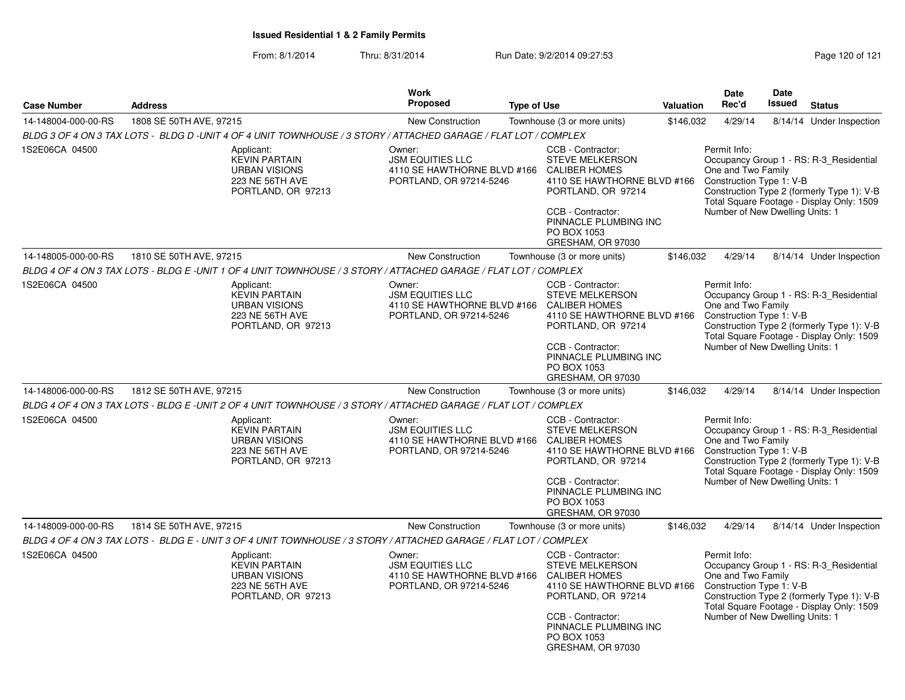| <b>Case Number</b>  | <b>Address</b>                                                                                                   | <b>Work</b><br><b>Proposed</b><br><b>Type of Use</b>                                        |                                                                                                                                                                                                            |                                                                            | <b>Date</b><br>Rec'd<br><b>Valuation</b>                                                          | Date<br><b>Issued</b>                                                                                                                                                                                                                   | <b>Status</b>                                                                                                                      |  |
|---------------------|------------------------------------------------------------------------------------------------------------------|---------------------------------------------------------------------------------------------|------------------------------------------------------------------------------------------------------------------------------------------------------------------------------------------------------------|----------------------------------------------------------------------------|---------------------------------------------------------------------------------------------------|-----------------------------------------------------------------------------------------------------------------------------------------------------------------------------------------------------------------------------------------|------------------------------------------------------------------------------------------------------------------------------------|--|
| 14-148004-000-00-RS | 1808 SE 50TH AVE, 97215                                                                                          | New Construction                                                                            | Townhouse (3 or more units)                                                                                                                                                                                | \$146,032                                                                  | 4/29/14                                                                                           |                                                                                                                                                                                                                                         | 8/14/14 Under Inspection                                                                                                           |  |
|                     | BLDG 3 OF 4 ON 3 TAX LOTS - BLDG D -UNIT 4 OF 4 UNIT TOWNHOUSE / 3 STORY / ATTACHED GARAGE / FLAT LOT / COMPLEX  |                                                                                             |                                                                                                                                                                                                            |                                                                            |                                                                                                   |                                                                                                                                                                                                                                         |                                                                                                                                    |  |
| 1S2E06CA 04500      | Applicant:<br><b>KEVIN PARTAIN</b><br><b>URBAN VISIONS</b><br>223 NE 56TH AVE<br>PORTLAND, OR 97213              | Owner:<br><b>JSM EQUITIES LLC</b><br>4110 SE HAWTHORNE BLVD #166<br>PORTLAND, OR 97214-5246 | CCB - Contractor:<br><b>STEVE MELKERSON</b><br><b>CALIBER HOMES</b><br>CCB - Contractor:<br>PO BOX 1053<br>GRESHAM, OR 97030                                                                               | 4110 SE HAWTHORNE BLVD #166<br>PORTLAND, OR 97214<br>PINNACLE PLUMBING INC |                                                                                                   | Permit Info:<br>Occupancy Group 1 - RS: R-3 Residential<br>One and Two Family<br>Construction Type 1: V-B<br>Construction Type 2 (formerly Type 1): V-B<br>Total Square Footage - Display Only: 1509<br>Number of New Dwelling Units: 1 |                                                                                                                                    |  |
| 14-148005-000-00-RS | 1810 SE 50TH AVE, 97215                                                                                          | New Construction                                                                            | Townhouse (3 or more units)                                                                                                                                                                                | \$146,032                                                                  | 4/29/14                                                                                           |                                                                                                                                                                                                                                         | 8/14/14 Under Inspection                                                                                                           |  |
|                     | BLDG 4 OF 4 ON 3 TAX LOTS - BLDG E -UNIT 1 OF 4 UNIT TOWNHOUSE / 3 STORY / ATTACHED GARAGE / FLAT LOT / COMPLEX  |                                                                                             |                                                                                                                                                                                                            |                                                                            |                                                                                                   |                                                                                                                                                                                                                                         |                                                                                                                                    |  |
| 1S2E06CA 04500      | Applicant:<br><b>KEVIN PARTAIN</b><br><b>URBAN VISIONS</b><br>223 NE 56TH AVE<br>PORTLAND, OR 97213              | Owner:<br><b>JSM EQUITIES LLC</b><br>4110 SE HAWTHORNE BLVD #166<br>PORTLAND, OR 97214-5246 | CCB - Contractor:<br><b>STEVE MELKERSON</b><br><b>CALIBER HOMES</b><br>4110 SE HAWTHORNE BLVD #166<br>PORTLAND, OR 97214<br>CCB - Contractor:<br>PINNACLE PLUMBING INC<br>PO BOX 1053<br>GRESHAM, OR 97030 |                                                                            | Permit Info:<br>One and Two Family<br>Construction Type 1: V-B<br>Number of New Dwelling Units: 1 |                                                                                                                                                                                                                                         | Occupancy Group 1 - RS: R-3 Residential<br>Construction Type 2 (formerly Type 1): V-B<br>Total Square Footage - Display Only: 1509 |  |
| 14-148006-000-00-RS | 1812 SE 50TH AVE, 97215                                                                                          | <b>New Construction</b>                                                                     | Townhouse (3 or more units)                                                                                                                                                                                | \$146,032                                                                  | 4/29/14                                                                                           |                                                                                                                                                                                                                                         | 8/14/14 Under Inspection                                                                                                           |  |
|                     | BLDG 4 OF 4 ON 3 TAX LOTS - BLDG E -UNIT 2 OF 4 UNIT TOWNHOUSE / 3 STORY / ATTACHED GARAGE / FLAT LOT / COMPLEX  |                                                                                             |                                                                                                                                                                                                            |                                                                            |                                                                                                   |                                                                                                                                                                                                                                         |                                                                                                                                    |  |
| 1S2E06CA 04500      | Applicant:<br><b>KEVIN PARTAIN</b><br><b>URBAN VISIONS</b><br>223 NE 56TH AVE<br>PORTLAND, OR 97213              |                                                                                             | CCB - Contractor:<br><b>STEVE MELKERSON</b><br>4110 SE HAWTHORNE BLVD #166 CALIBER HOMES<br>PORTLAND, OR 97214-5246<br>CCB - Contractor:<br>PO BOX 1053<br>GRESHAM, OR 97030                               | 4110 SE HAWTHORNE BLVD #166<br>PORTLAND, OR 97214<br>PINNACLE PLUMBING INC |                                                                                                   | Permit Info:<br>Occupancy Group 1 - RS: R-3 Residential<br>One and Two Family<br>Construction Type 1: V-B<br>Construction Type 2 (formerly Type 1): V-B<br>Total Square Footage - Display Only: 1509<br>Number of New Dwelling Units: 1 |                                                                                                                                    |  |
| 14-148009-000-00-RS | 1814 SE 50TH AVE, 97215                                                                                          | <b>New Construction</b>                                                                     | Townhouse (3 or more units)                                                                                                                                                                                | \$146,032                                                                  | 4/29/14                                                                                           |                                                                                                                                                                                                                                         | 8/14/14 Under Inspection                                                                                                           |  |
|                     | BLDG 4 OF 4 ON 3 TAX LOTS - BLDG E - UNIT 3 OF 4 UNIT TOWNHOUSE / 3 STORY / ATTACHED GARAGE / FLAT LOT / COMPLEX |                                                                                             |                                                                                                                                                                                                            |                                                                            |                                                                                                   |                                                                                                                                                                                                                                         |                                                                                                                                    |  |
| 1S2E06CA 04500      | Applicant:<br><b>KEVIN PARTAIN</b><br><b>URBAN VISIONS</b><br>223 NE 56TH AVE<br>PORTLAND, OR 97213              | Owner:<br><b>JSM EQUITIES LLC</b><br>4110 SE HAWTHORNE BLVD #166<br>PORTLAND, OR 97214-5246 | CCB - Contractor:<br><b>STEVE MELKERSON</b><br><b>CALIBER HOMES</b><br>4110 SE HAWTHORNE BLVD #166<br>PORTLAND, OR 97214<br>CCB - Contractor:<br>PINNACLE PLUMBING INC<br>PO BOX 1053<br>GRESHAM, OR 97030 |                                                                            | Permit Info:<br>One and Two Family<br>Construction Type 1: V-B<br>Number of New Dwelling Units: 1 |                                                                                                                                                                                                                                         | Occupancy Group 1 - RS: R-3 Residential<br>Construction Type 2 (formerly Type 1): V-B<br>Total Square Footage - Display Only: 1509 |  |